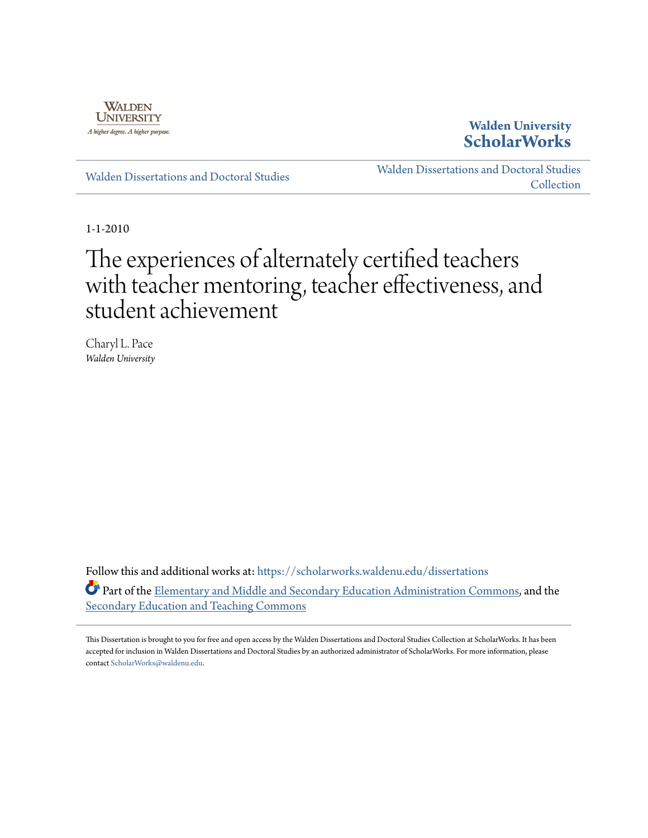

**Walden University [ScholarWorks](https://scholarworks.waldenu.edu?utm_source=scholarworks.waldenu.edu%2Fdissertations%2F821&utm_medium=PDF&utm_campaign=PDFCoverPages)**

[Walden Dissertations and Doctoral Studies](https://scholarworks.waldenu.edu/dissertations?utm_source=scholarworks.waldenu.edu%2Fdissertations%2F821&utm_medium=PDF&utm_campaign=PDFCoverPages)

[Walden Dissertations and Doctoral Studies](https://scholarworks.waldenu.edu/dissanddoc?utm_source=scholarworks.waldenu.edu%2Fdissertations%2F821&utm_medium=PDF&utm_campaign=PDFCoverPages) **[Collection](https://scholarworks.waldenu.edu/dissanddoc?utm_source=scholarworks.waldenu.edu%2Fdissertations%2F821&utm_medium=PDF&utm_campaign=PDFCoverPages)** 

1-1-2010

# The experiences of alternately certified teachers with teacher mentoring, teacher effectiveness, and student achievement

Charyl L. Pace *Walden University*

Follow this and additional works at: [https://scholarworks.waldenu.edu/dissertations](https://scholarworks.waldenu.edu/dissertations?utm_source=scholarworks.waldenu.edu%2Fdissertations%2F821&utm_medium=PDF&utm_campaign=PDFCoverPages) Part of the [Elementary and Middle and Secondary Education Administration Commons,](http://network.bepress.com/hgg/discipline/790?utm_source=scholarworks.waldenu.edu%2Fdissertations%2F821&utm_medium=PDF&utm_campaign=PDFCoverPages) and the [Secondary Education and Teaching Commons](http://network.bepress.com/hgg/discipline/809?utm_source=scholarworks.waldenu.edu%2Fdissertations%2F821&utm_medium=PDF&utm_campaign=PDFCoverPages)

This Dissertation is brought to you for free and open access by the Walden Dissertations and Doctoral Studies Collection at ScholarWorks. It has been accepted for inclusion in Walden Dissertations and Doctoral Studies by an authorized administrator of ScholarWorks. For more information, please contact [ScholarWorks@waldenu.edu](mailto:ScholarWorks@waldenu.edu).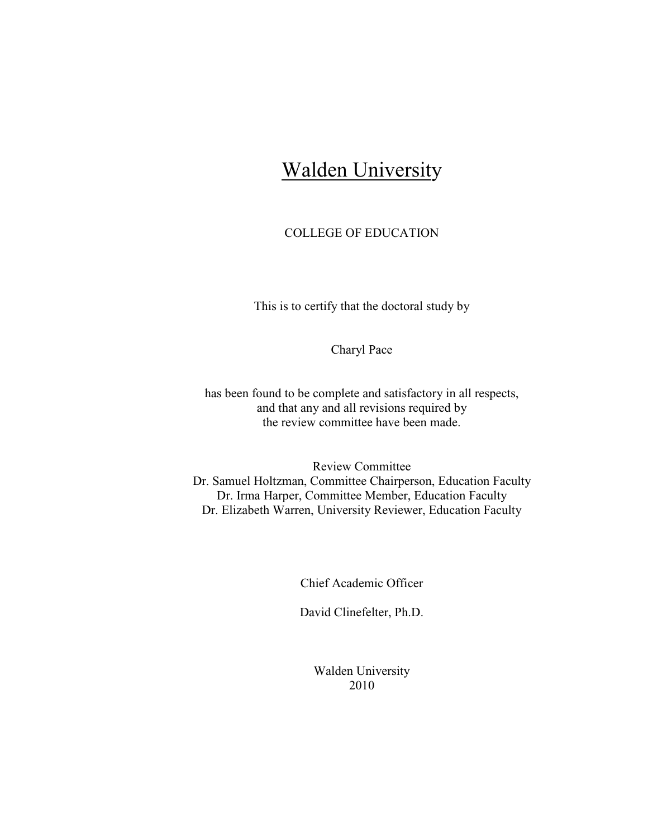## **Walden University**

### COLLEGE OF EDUCATION

This is to certify that the doctoral study by

Charyl Pace

has been found to be complete and satisfactory in all respects, and that any and all revisions required by the review committee have been made.

Review Committee Dr. Samuel Holtzman, Committee Chairperson, Education Faculty Dr. Irma Harper, Committee Member, Education Faculty Dr. Elizabeth Warren, University Reviewer, Education Faculty

Chief Academic Officer

David Clinefelter, Ph.D.

Walden University 2010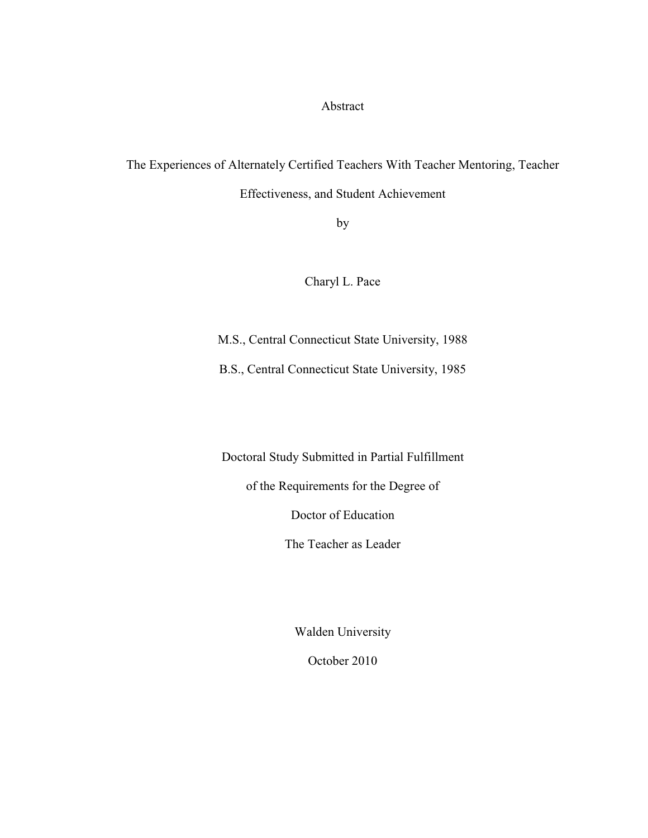Abstract

## The Experiences of Alternately Certified Teachers With Teacher Mentoring, Teacher

Effectiveness, and Student Achievement

by

Charyl L. Pace

M.S., Central Connecticut State University, 1988

B.S., Central Connecticut State University, 1985

Doctoral Study Submitted in Partial Fulfillment

of the Requirements for the Degree of

Doctor of Education

The Teacher as Leader

Walden University

October 2010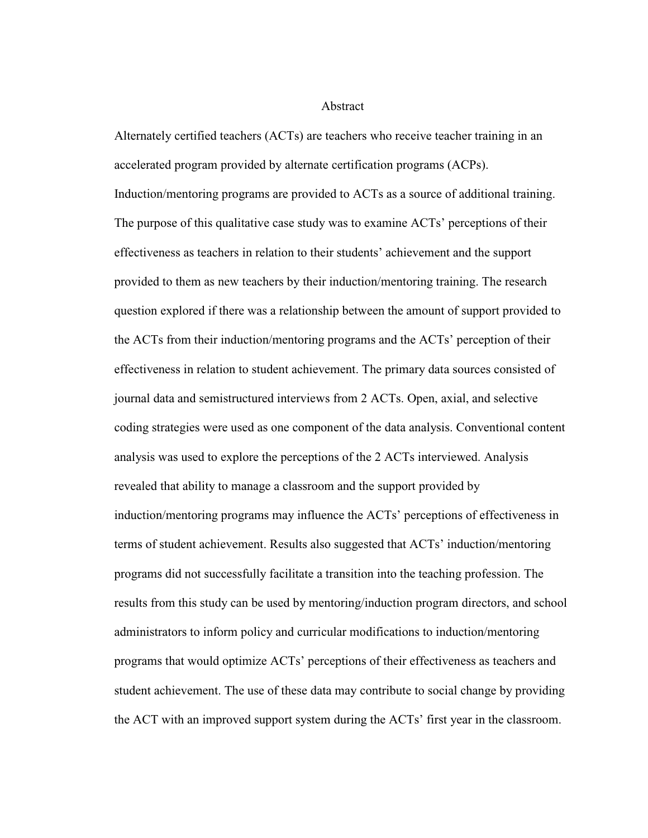#### Abstract

Alternately certified teachers (ACTs) are teachers who receive teacher training in an accelerated program provided by alternate certification programs (ACPs). Induction/mentoring programs are provided to ACTs as a source of additional training. The purpose of this qualitative case study was to examine ACTs' perceptions of their effectiveness as teachers in relation to their students' achievement and the support provided to them as new teachers by their induction/mentoring training. The research question explored if there was a relationship between the amount of support provided to the ACTs from their induction/mentoring programs and the ACTs' perception of their effectiveness in relation to student achievement. The primary data sources consisted of journal data and semistructured interviews from 2 ACTs. Open, axial, and selective coding strategies were used as one component of the data analysis. Conventional content analysis was used to explore the perceptions of the 2 ACTs interviewed. Analysis revealed that ability to manage a classroom and the support provided by induction/mentoring programs may influence the ACTs' perceptions of effectiveness in terms of student achievement. Results also suggested that ACTs' induction/mentoring programs did not successfully facilitate a transition into the teaching profession. The results from this study can be used by mentoring/induction program directors, and school administrators to inform policy and curricular modifications to induction/mentoring programs that would optimize ACTs' perceptions of their effectiveness as teachers and student achievement. The use of these data may contribute to social change by providing the ACT with an improved support system during the ACTs' first year in the classroom.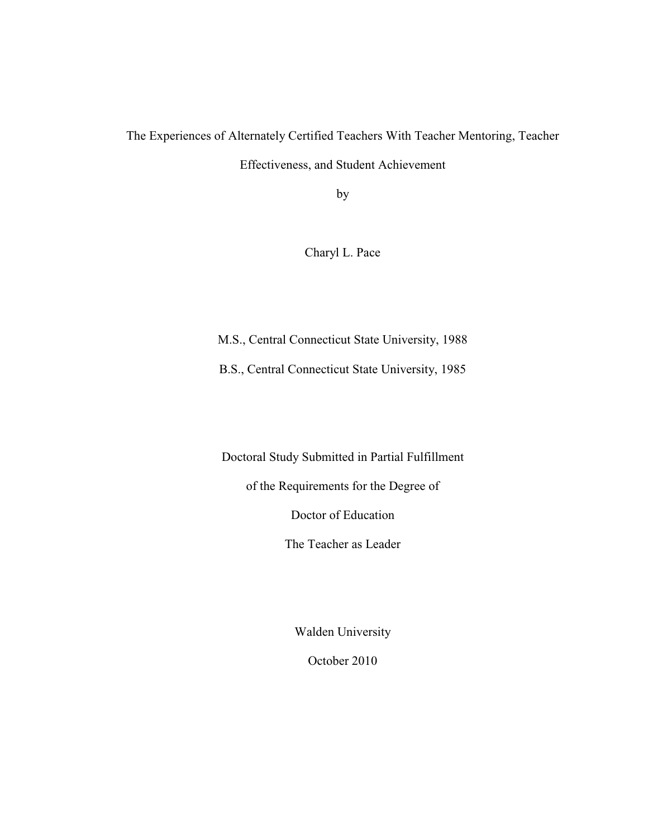The Experiences of Alternately Certified Teachers With Teacher Mentoring, Teacher Effectiveness, and Student Achievement

by

Charyl L. Pace

M.S., Central Connecticut State University, 1988

B.S., Central Connecticut State University, 1985

Doctoral Study Submitted in Partial Fulfillment

of the Requirements for the Degree of

Doctor of Education

The Teacher as Leader

Walden University

October 2010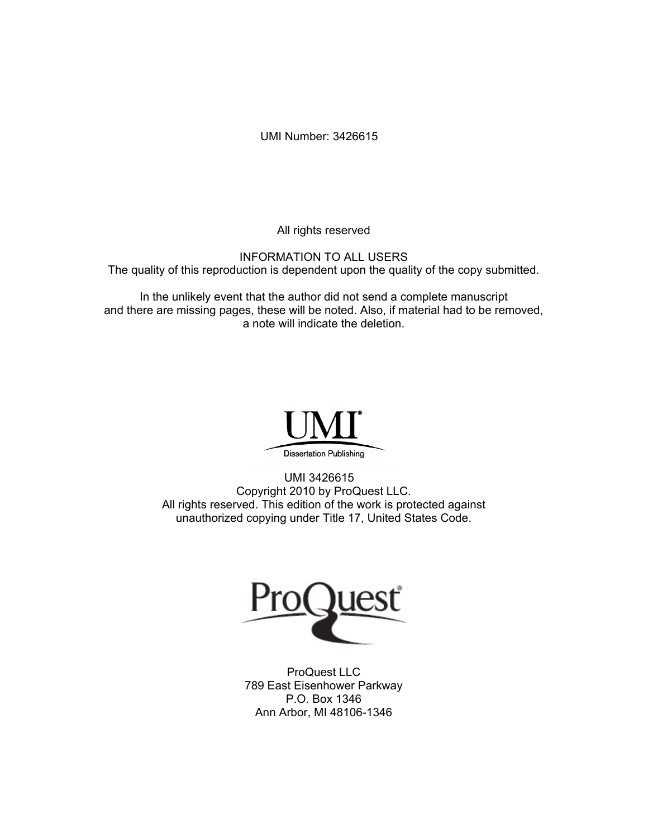UMI Number: 3426615

All rights reserved

INFORMATION TO ALL USERS The quality of this reproduction is dependent upon the quality of the copy submitted.

In the unlikely event that the author did not send a complete manuscript and there are missing pages, these will be noted. Also, if material had to be removed, a note will indicate the deletion.



UMI 3426615 Copyright 2010 by ProQuest LLC. All rights reserved. This edition of the work is protected against unauthorized copying under Title 17, United States Code.



ProQuest LLC 789 East Eisenhower Parkway P.O. Box 1346 Ann Arbor, MI 48106-1346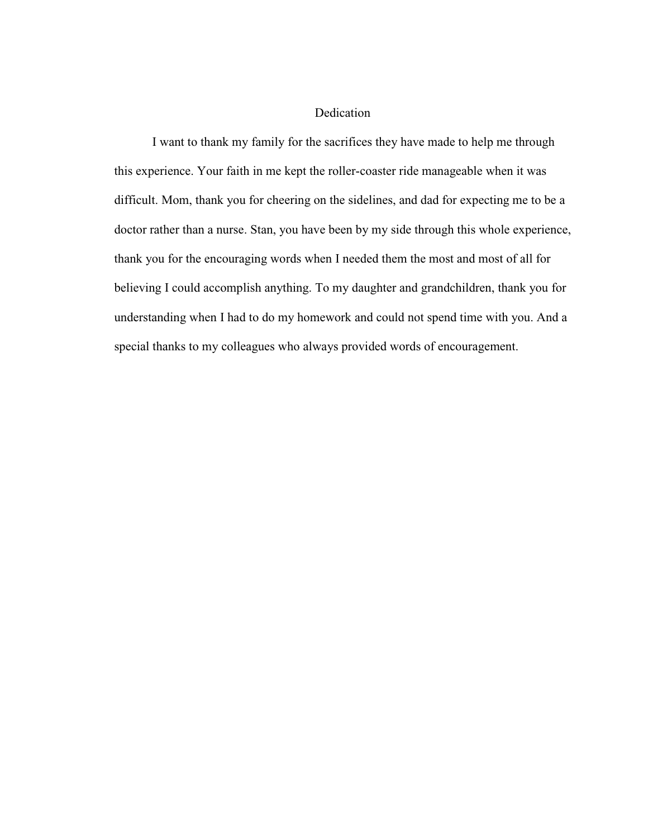#### Dedication

 I want to thank my family for the sacrifices they have made to help me through this experience. Your faith in me kept the roller-coaster ride manageable when it was difficult. Mom, thank you for cheering on the sidelines, and dad for expecting me to be a doctor rather than a nurse. Stan, you have been by my side through this whole experience, thank you for the encouraging words when I needed them the most and most of all for believing I could accomplish anything. To my daughter and grandchildren, thank you for understanding when I had to do my homework and could not spend time with you. And a special thanks to my colleagues who always provided words of encouragement.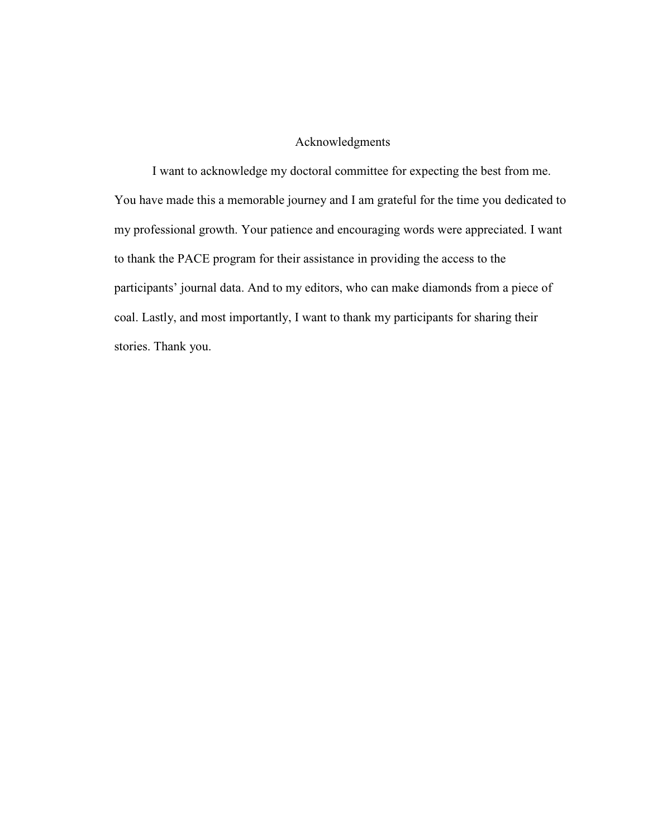#### Acknowledgments

I want to acknowledge my doctoral committee for expecting the best from me. You have made this a memorable journey and I am grateful for the time you dedicated to my professional growth. Your patience and encouraging words were appreciated. I want to thank the PACE program for their assistance in providing the access to the participants' journal data. And to my editors, who can make diamonds from a piece of coal. Lastly, and most importantly, I want to thank my participants for sharing their stories. Thank you.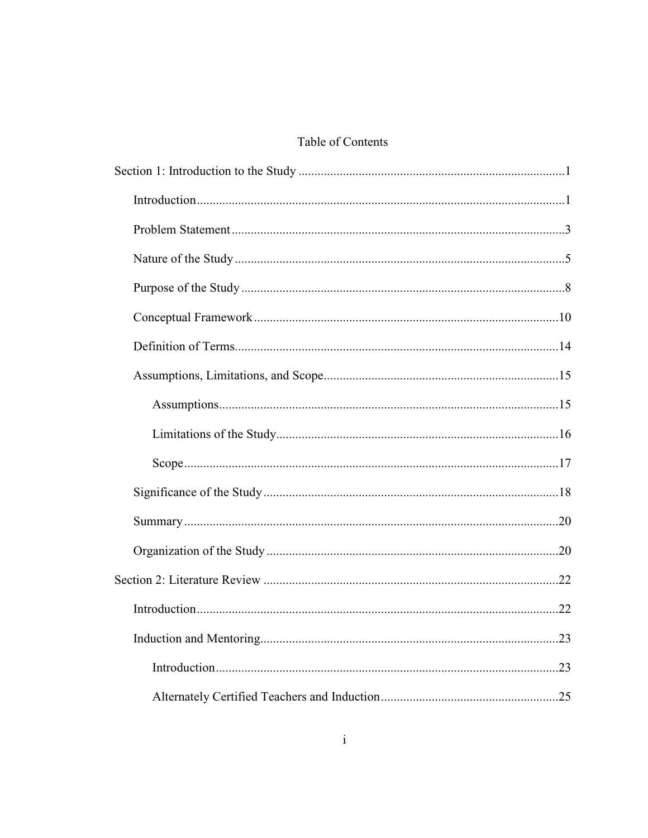### Table of Contents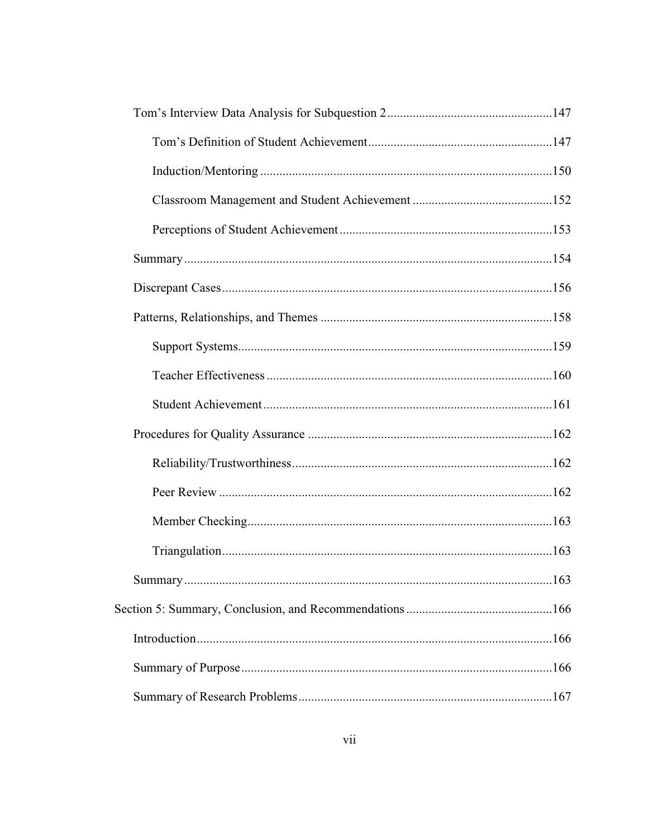| .163 |
|------|
|      |
|      |
|      |
|      |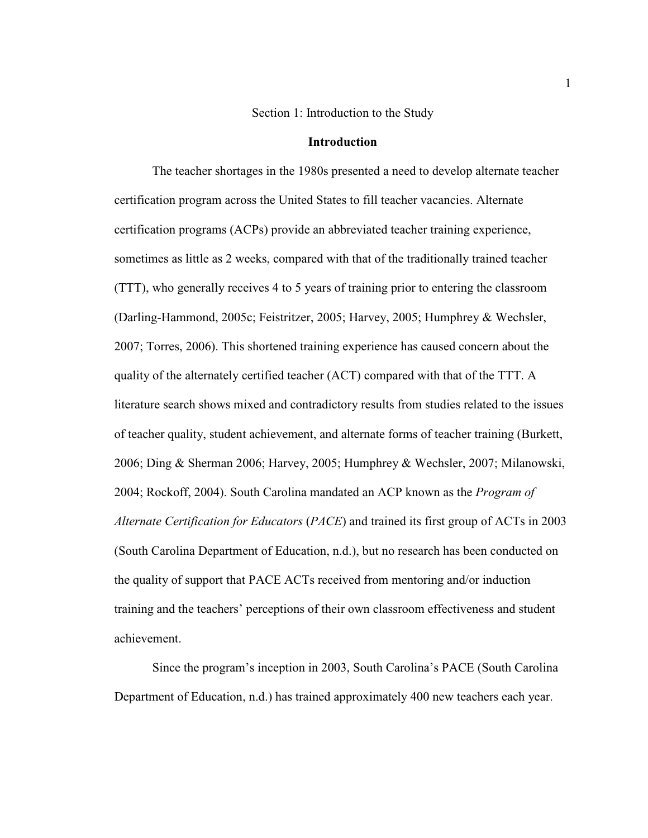#### Section 1: Introduction to the Study

#### **Introduction**

The teacher shortages in the 1980s presented a need to develop alternate teacher certification program across the United States to fill teacher vacancies. Alternate certification programs (ACPs) provide an abbreviated teacher training experience, sometimes as little as 2 weeks, compared with that of the traditionally trained teacher (TTT), who generally receives 4 to 5 years of training prior to entering the classroom (Darling-Hammond, 2005c; Feistritzer, 2005; Harvey, 2005; Humphrey & Wechsler, 2007; Torres, 2006). This shortened training experience has caused concern about the quality of the alternately certified teacher (ACT) compared with that of the TTT. A literature search shows mixed and contradictory results from studies related to the issues of teacher quality, student achievement, and alternate forms of teacher training (Burkett, 2006; Ding & Sherman 2006; Harvey, 2005; Humphrey & Wechsler, 2007; Milanowski, 2004; Rockoff, 2004). South Carolina mandated an ACP known as the *Program of Alternate Certification for Educators* (*PACE*) and trained its first group of ACTs in 2003 (South Carolina Department of Education, n.d.), but no research has been conducted on the quality of support that PACE ACTs received from mentoring and/or induction training and the teachers' perceptions of their own classroom effectiveness and student achievement.

Since the program's inception in 2003, South Carolina's PACE (South Carolina Department of Education, n.d.) has trained approximately 400 new teachers each year.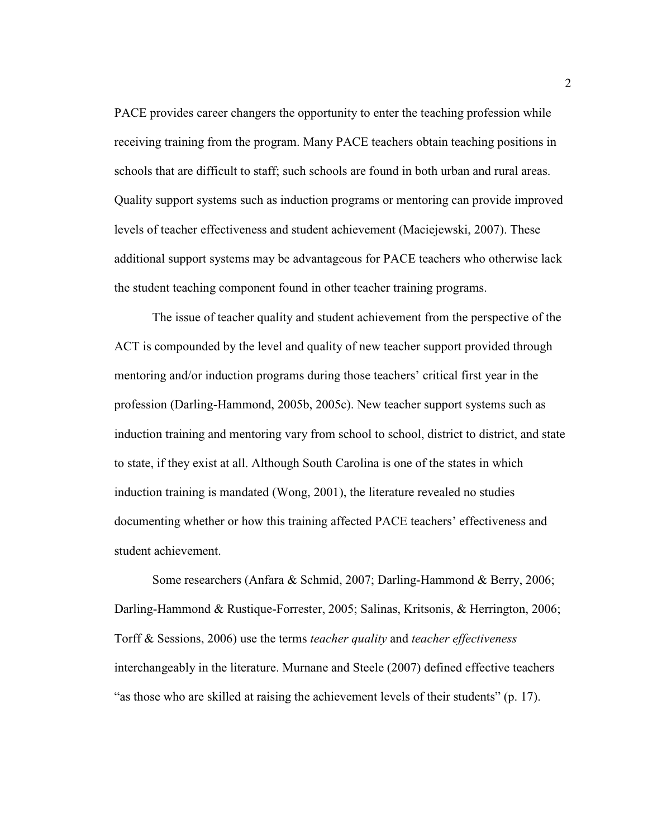PACE provides career changers the opportunity to enter the teaching profession while receiving training from the program. Many PACE teachers obtain teaching positions in schools that are difficult to staff; such schools are found in both urban and rural areas. Quality support systems such as induction programs or mentoring can provide improved levels of teacher effectiveness and student achievement (Maciejewski, 2007). These additional support systems may be advantageous for PACE teachers who otherwise lack the student teaching component found in other teacher training programs.

The issue of teacher quality and student achievement from the perspective of the ACT is compounded by the level and quality of new teacher support provided through mentoring and/or induction programs during those teachers' critical first year in the profession (Darling-Hammond, 2005b, 2005c). New teacher support systems such as induction training and mentoring vary from school to school, district to district, and state to state, if they exist at all. Although South Carolina is one of the states in which induction training is mandated (Wong, 2001), the literature revealed no studies documenting whether or how this training affected PACE teachers' effectiveness and student achievement.

Some researchers (Anfara & Schmid, 2007; Darling-Hammond & Berry, 2006; Darling-Hammond & Rustique-Forrester, 2005; Salinas, Kritsonis, & Herrington, 2006; Torff & Sessions, 2006) use the terms *teacher quality* and *teacher effectiveness* interchangeably in the literature. Murnane and Steele (2007) defined effective teachers "as those who are skilled at raising the achievement levels of their students" (p. 17).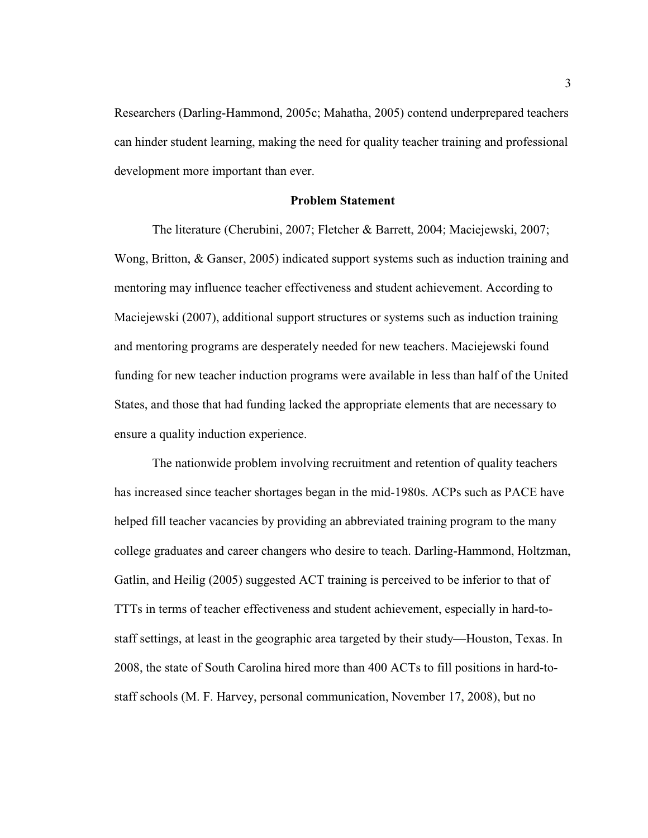Researchers (Darling-Hammond, 2005c; Mahatha, 2005) contend underprepared teachers can hinder student learning, making the need for quality teacher training and professional development more important than ever.

#### **Problem Statement**

The literature (Cherubini, 2007; Fletcher & Barrett, 2004; Maciejewski, 2007; Wong, Britton, & Ganser, 2005) indicated support systems such as induction training and mentoring may influence teacher effectiveness and student achievement. According to Maciejewski (2007), additional support structures or systems such as induction training and mentoring programs are desperately needed for new teachers. Maciejewski found funding for new teacher induction programs were available in less than half of the United States, and those that had funding lacked the appropriate elements that are necessary to ensure a quality induction experience.

The nationwide problem involving recruitment and retention of quality teachers has increased since teacher shortages began in the mid-1980s. ACPs such as PACE have helped fill teacher vacancies by providing an abbreviated training program to the many college graduates and career changers who desire to teach. Darling-Hammond, Holtzman, Gatlin, and Heilig (2005) suggested ACT training is perceived to be inferior to that of TTTs in terms of teacher effectiveness and student achievement, especially in hard-tostaff settings, at least in the geographic area targeted by their study—Houston, Texas. In 2008, the state of South Carolina hired more than 400 ACTs to fill positions in hard-tostaff schools (M. F. Harvey, personal communication, November 17, 2008), but no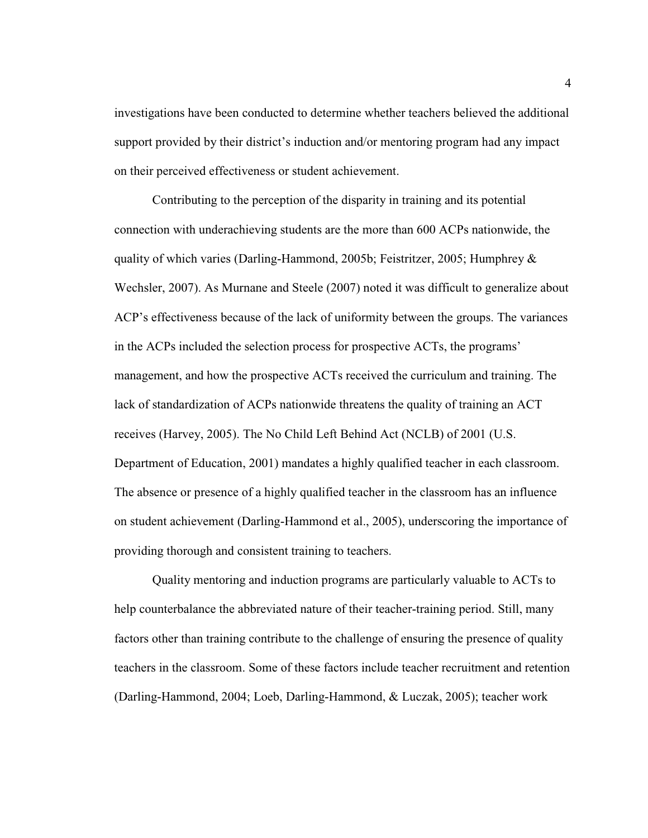investigations have been conducted to determine whether teachers believed the additional support provided by their district's induction and/or mentoring program had any impact on their perceived effectiveness or student achievement.

Contributing to the perception of the disparity in training and its potential connection with underachieving students are the more than 600 ACPs nationwide, the quality of which varies (Darling-Hammond, 2005b; Feistritzer, 2005; Humphrey & Wechsler, 2007). As Murnane and Steele (2007) noted it was difficult to generalize about ACP's effectiveness because of the lack of uniformity between the groups. The variances in the ACPs included the selection process for prospective ACTs, the programs' management, and how the prospective ACTs received the curriculum and training. The lack of standardization of ACPs nationwide threatens the quality of training an ACT receives (Harvey, 2005). The No Child Left Behind Act (NCLB) of 2001 (U.S. Department of Education, 2001) mandates a highly qualified teacher in each classroom. The absence or presence of a highly qualified teacher in the classroom has an influence on student achievement (Darling-Hammond et al., 2005), underscoring the importance of providing thorough and consistent training to teachers.

Quality mentoring and induction programs are particularly valuable to ACTs to help counterbalance the abbreviated nature of their teacher-training period. Still, many factors other than training contribute to the challenge of ensuring the presence of quality teachers in the classroom. Some of these factors include teacher recruitment and retention (Darling-Hammond, 2004; Loeb, Darling-Hammond, & Luczak, 2005); teacher work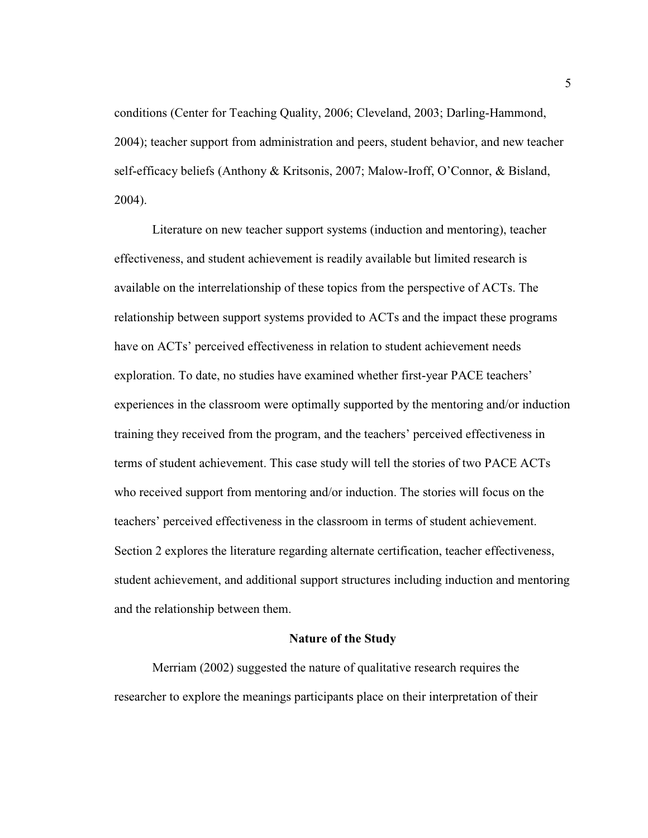conditions (Center for Teaching Quality, 2006; Cleveland, 2003; Darling-Hammond, 2004); teacher support from administration and peers, student behavior, and new teacher self-efficacy beliefs (Anthony & Kritsonis, 2007; Malow-Iroff, O'Connor, & Bisland, 2004).

Literature on new teacher support systems (induction and mentoring), teacher effectiveness, and student achievement is readily available but limited research is available on the interrelationship of these topics from the perspective of ACTs. The relationship between support systems provided to ACTs and the impact these programs have on ACTs' perceived effectiveness in relation to student achievement needs exploration. To date, no studies have examined whether first-year PACE teachers' experiences in the classroom were optimally supported by the mentoring and/or induction training they received from the program, and the teachers' perceived effectiveness in terms of student achievement. This case study will tell the stories of two PACE ACTs who received support from mentoring and/or induction. The stories will focus on the teachers' perceived effectiveness in the classroom in terms of student achievement. Section 2 explores the literature regarding alternate certification, teacher effectiveness, student achievement, and additional support structures including induction and mentoring and the relationship between them.

#### **Nature of the Study**

Merriam (2002) suggested the nature of qualitative research requires the researcher to explore the meanings participants place on their interpretation of their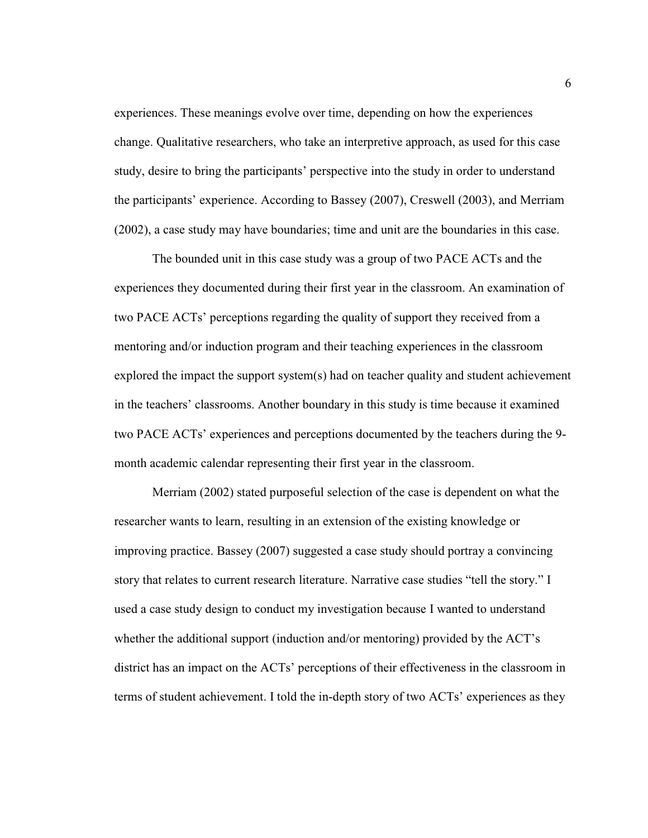experiences. These meanings evolve over time, depending on how the experiences change. Qualitative researchers, who take an interpretive approach, as used for this case study, desire to bring the participants' perspective into the study in order to understand the participants' experience. According to Bassey (2007), Creswell (2003), and Merriam (2002), a case study may have boundaries; time and unit are the boundaries in this case.

The bounded unit in this case study was a group of two PACE ACTs and the experiences they documented during their first year in the classroom. An examination of two PACE ACTs' perceptions regarding the quality of support they received from a mentoring and/or induction program and their teaching experiences in the classroom explored the impact the support system(s) had on teacher quality and student achievement in the teachers' classrooms. Another boundary in this study is time because it examined two PACE ACTs' experiences and perceptions documented by the teachers during the 9 month academic calendar representing their first year in the classroom.

Merriam (2002) stated purposeful selection of the case is dependent on what the researcher wants to learn, resulting in an extension of the existing knowledge or improving practice. Bassey (2007) suggested a case study should portray a convincing story that relates to current research literature. Narrative case studies "tell the story." I used a case study design to conduct my investigation because I wanted to understand whether the additional support (induction and/or mentoring) provided by the ACT's district has an impact on the ACTs' perceptions of their effectiveness in the classroom in terms of student achievement. I told the in-depth story of two ACTs' experiences as they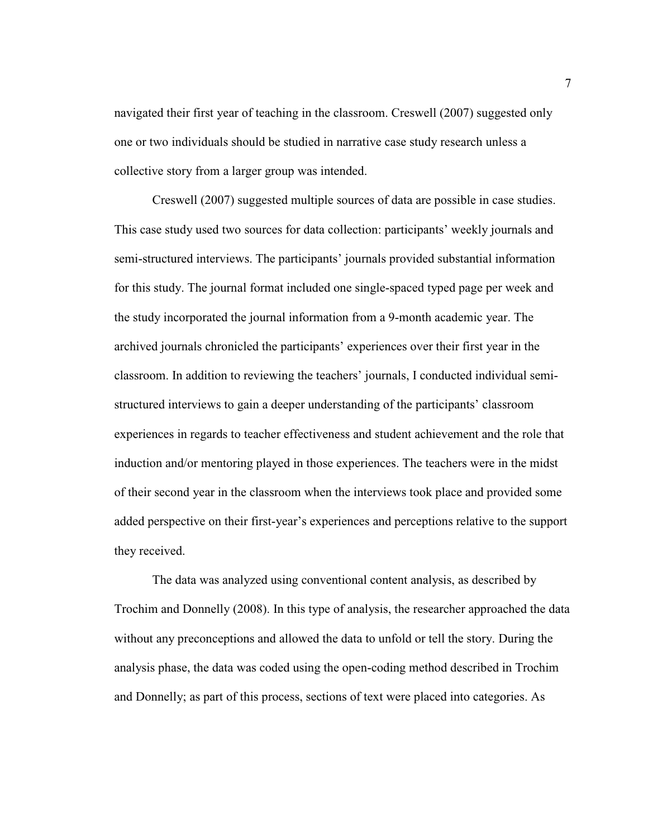navigated their first year of teaching in the classroom. Creswell (2007) suggested only one or two individuals should be studied in narrative case study research unless a collective story from a larger group was intended.

Creswell (2007) suggested multiple sources of data are possible in case studies. This case study used two sources for data collection: participants' weekly journals and semi-structured interviews. The participants' journals provided substantial information for this study. The journal format included one single-spaced typed page per week and the study incorporated the journal information from a 9-month academic year. The archived journals chronicled the participants' experiences over their first year in the classroom. In addition to reviewing the teachers' journals, I conducted individual semistructured interviews to gain a deeper understanding of the participants' classroom experiences in regards to teacher effectiveness and student achievement and the role that induction and/or mentoring played in those experiences. The teachers were in the midst of their second year in the classroom when the interviews took place and provided some added perspective on their first-year's experiences and perceptions relative to the support they received.

The data was analyzed using conventional content analysis, as described by Trochim and Donnelly (2008). In this type of analysis, the researcher approached the data without any preconceptions and allowed the data to unfold or tell the story. During the analysis phase, the data was coded using the open-coding method described in Trochim and Donnelly; as part of this process, sections of text were placed into categories. As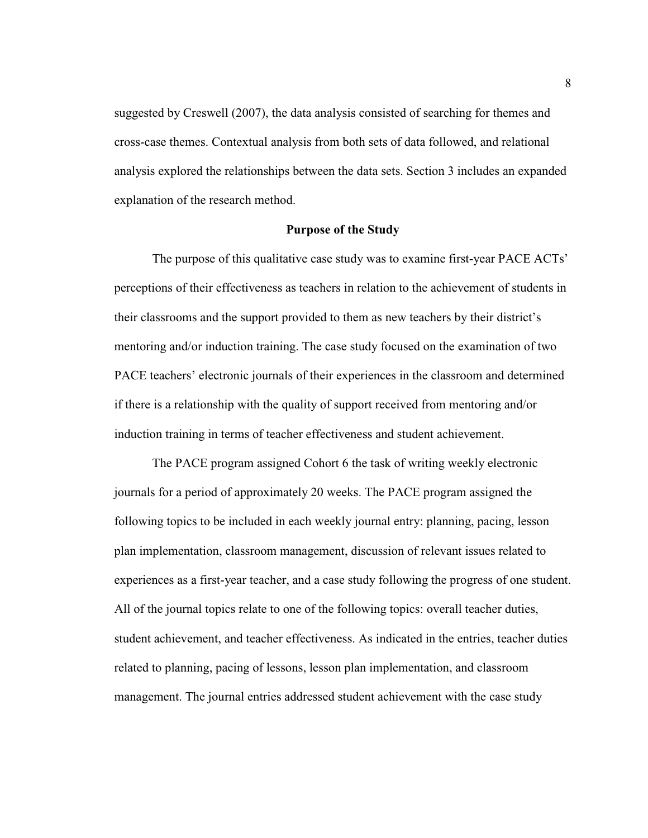suggested by Creswell (2007), the data analysis consisted of searching for themes and cross-case themes. Contextual analysis from both sets of data followed, and relational analysis explored the relationships between the data sets. Section 3 includes an expanded explanation of the research method.

#### **Purpose of the Study**

The purpose of this qualitative case study was to examine first-year PACE ACTs' perceptions of their effectiveness as teachers in relation to the achievement of students in their classrooms and the support provided to them as new teachers by their district's mentoring and/or induction training. The case study focused on the examination of two PACE teachers' electronic journals of their experiences in the classroom and determined if there is a relationship with the quality of support received from mentoring and/or induction training in terms of teacher effectiveness and student achievement.

The PACE program assigned Cohort 6 the task of writing weekly electronic journals for a period of approximately 20 weeks. The PACE program assigned the following topics to be included in each weekly journal entry: planning, pacing, lesson plan implementation, classroom management, discussion of relevant issues related to experiences as a first-year teacher, and a case study following the progress of one student. All of the journal topics relate to one of the following topics: overall teacher duties, student achievement, and teacher effectiveness. As indicated in the entries, teacher duties related to planning, pacing of lessons, lesson plan implementation, and classroom management. The journal entries addressed student achievement with the case study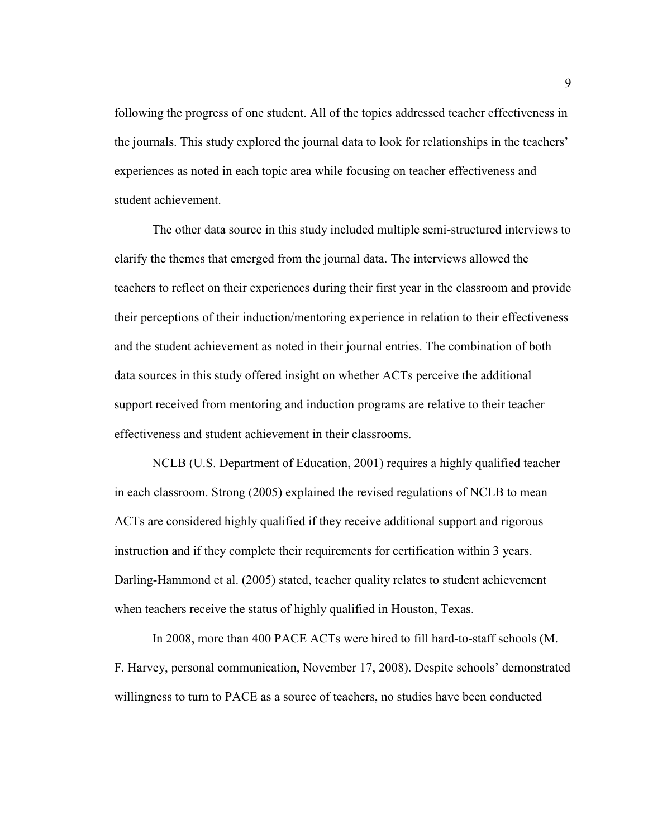following the progress of one student. All of the topics addressed teacher effectiveness in the journals. This study explored the journal data to look for relationships in the teachers' experiences as noted in each topic area while focusing on teacher effectiveness and student achievement.

The other data source in this study included multiple semi-structured interviews to clarify the themes that emerged from the journal data. The interviews allowed the teachers to reflect on their experiences during their first year in the classroom and provide their perceptions of their induction/mentoring experience in relation to their effectiveness and the student achievement as noted in their journal entries. The combination of both data sources in this study offered insight on whether ACTs perceive the additional support received from mentoring and induction programs are relative to their teacher effectiveness and student achievement in their classrooms.

NCLB (U.S. Department of Education, 2001) requires a highly qualified teacher in each classroom. Strong (2005) explained the revised regulations of NCLB to mean ACTs are considered highly qualified if they receive additional support and rigorous instruction and if they complete their requirements for certification within 3 years. Darling-Hammond et al. (2005) stated, teacher quality relates to student achievement when teachers receive the status of highly qualified in Houston, Texas.

In 2008, more than 400 PACE ACTs were hired to fill hard-to-staff schools (M. F. Harvey, personal communication, November 17, 2008). Despite schools' demonstrated willingness to turn to PACE as a source of teachers, no studies have been conducted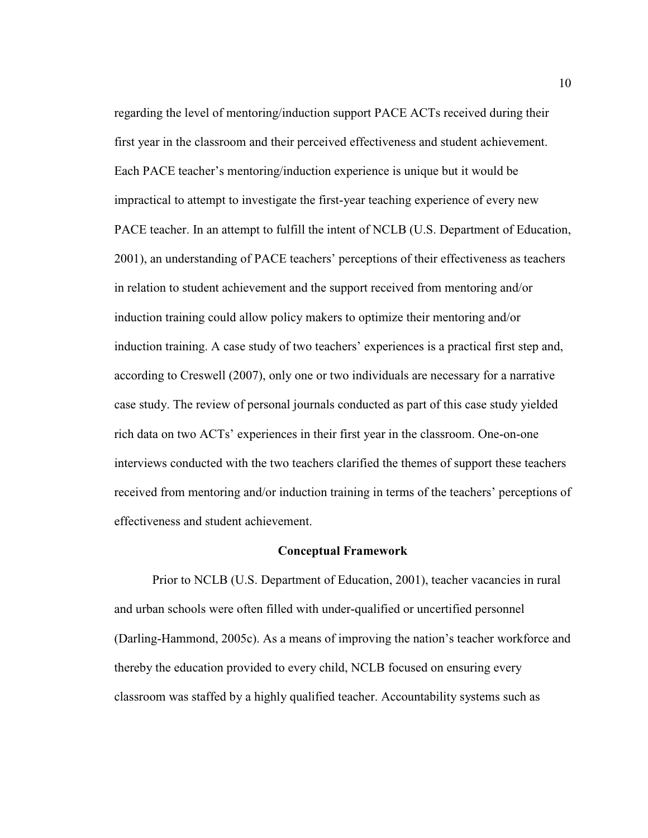regarding the level of mentoring/induction support PACE ACTs received during their first year in the classroom and their perceived effectiveness and student achievement. Each PACE teacher's mentoring/induction experience is unique but it would be impractical to attempt to investigate the first-year teaching experience of every new PACE teacher. In an attempt to fulfill the intent of NCLB (U.S. Department of Education, 2001), an understanding of PACE teachers' perceptions of their effectiveness as teachers in relation to student achievement and the support received from mentoring and/or induction training could allow policy makers to optimize their mentoring and/or induction training. A case study of two teachers' experiences is a practical first step and, according to Creswell (2007), only one or two individuals are necessary for a narrative case study. The review of personal journals conducted as part of this case study yielded rich data on two ACTs' experiences in their first year in the classroom. One-on-one interviews conducted with the two teachers clarified the themes of support these teachers received from mentoring and/or induction training in terms of the teachers' perceptions of effectiveness and student achievement.

#### **Conceptual Framework**

Prior to NCLB (U.S. Department of Education, 2001), teacher vacancies in rural and urban schools were often filled with under-qualified or uncertified personnel (Darling-Hammond, 2005c). As a means of improving the nation's teacher workforce and thereby the education provided to every child, NCLB focused on ensuring every classroom was staffed by a highly qualified teacher. Accountability systems such as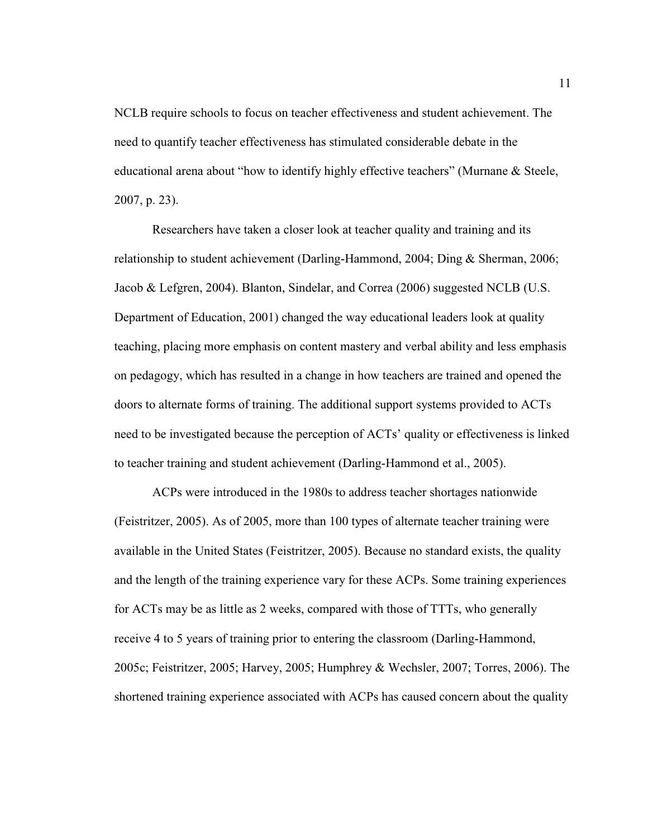NCLB require schools to focus on teacher effectiveness and student achievement. The need to quantify teacher effectiveness has stimulated considerable debate in the educational arena about "how to identify highly effective teachers" (Murnane & Steele, 2007, p. 23).

Researchers have taken a closer look at teacher quality and training and its relationship to student achievement (Darling-Hammond, 2004; Ding & Sherman, 2006; Jacob & Lefgren, 2004). Blanton, Sindelar, and Correa (2006) suggested NCLB (U.S. Department of Education, 2001) changed the way educational leaders look at quality teaching, placing more emphasis on content mastery and verbal ability and less emphasis on pedagogy, which has resulted in a change in how teachers are trained and opened the doors to alternate forms of training. The additional support systems provided to ACTs need to be investigated because the perception of ACTs' quality or effectiveness is linked to teacher training and student achievement (Darling-Hammond et al., 2005).

ACPs were introduced in the 1980s to address teacher shortages nationwide (Feistritzer, 2005). As of 2005, more than 100 types of alternate teacher training were available in the United States (Feistritzer, 2005). Because no standard exists, the quality and the length of the training experience vary for these ACPs. Some training experiences for ACTs may be as little as 2 weeks, compared with those of TTTs, who generally receive 4 to 5 years of training prior to entering the classroom (Darling-Hammond, 2005c; Feistritzer, 2005; Harvey, 2005; Humphrey & Wechsler, 2007; Torres, 2006). The shortened training experience associated with ACPs has caused concern about the quality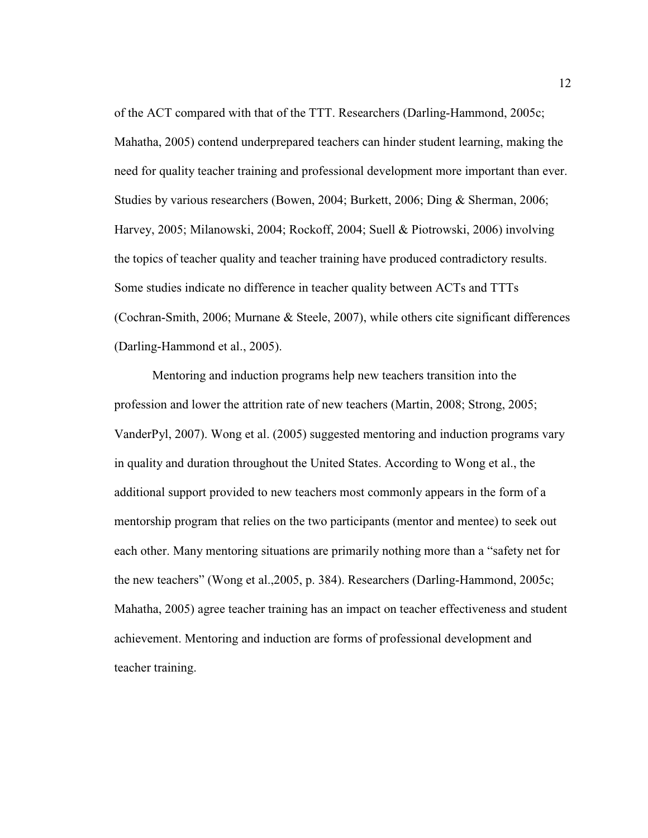of the ACT compared with that of the TTT. Researchers (Darling-Hammond, 2005c; Mahatha, 2005) contend underprepared teachers can hinder student learning, making the need for quality teacher training and professional development more important than ever. Studies by various researchers (Bowen, 2004; Burkett, 2006; Ding & Sherman, 2006; Harvey, 2005; Milanowski, 2004; Rockoff, 2004; Suell & Piotrowski, 2006) involving the topics of teacher quality and teacher training have produced contradictory results. Some studies indicate no difference in teacher quality between ACTs and TTTs (Cochran-Smith, 2006; Murnane & Steele, 2007), while others cite significant differences (Darling-Hammond et al., 2005).

Mentoring and induction programs help new teachers transition into the profession and lower the attrition rate of new teachers (Martin, 2008; Strong, 2005; VanderPyl, 2007). Wong et al. (2005) suggested mentoring and induction programs vary in quality and duration throughout the United States. According to Wong et al., the additional support provided to new teachers most commonly appears in the form of a mentorship program that relies on the two participants (mentor and mentee) to seek out each other. Many mentoring situations are primarily nothing more than a "safety net for the new teachers" (Wong et al.,2005, p. 384). Researchers (Darling-Hammond, 2005c; Mahatha, 2005) agree teacher training has an impact on teacher effectiveness and student achievement. Mentoring and induction are forms of professional development and teacher training.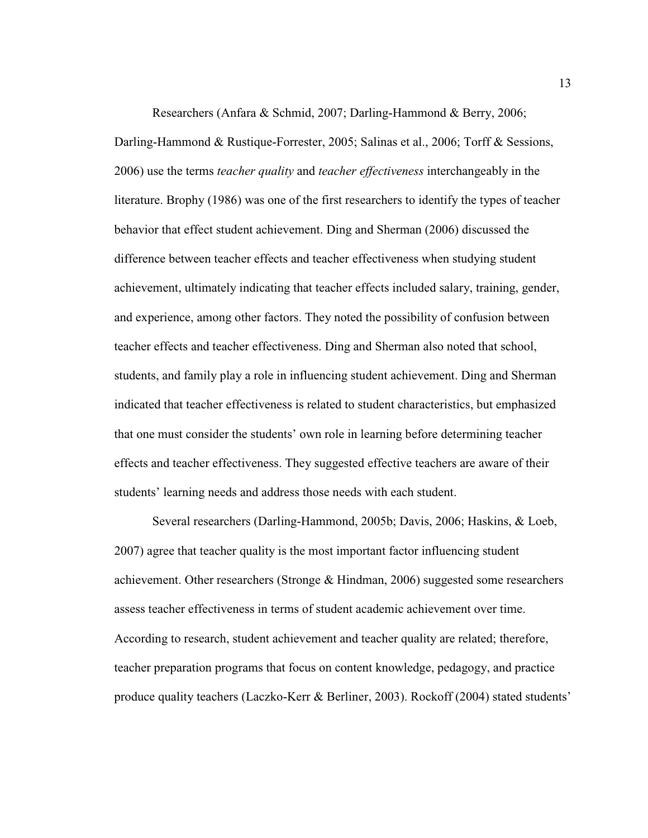Researchers (Anfara & Schmid, 2007; Darling-Hammond & Berry, 2006; Darling-Hammond & Rustique-Forrester, 2005; Salinas et al., 2006; Torff & Sessions, 2006) use the terms *teacher quality* and *teacher effectiveness* interchangeably in the literature. Brophy (1986) was one of the first researchers to identify the types of teacher behavior that effect student achievement. Ding and Sherman (2006) discussed the difference between teacher effects and teacher effectiveness when studying student achievement, ultimately indicating that teacher effects included salary, training, gender, and experience, among other factors. They noted the possibility of confusion between teacher effects and teacher effectiveness. Ding and Sherman also noted that school, students, and family play a role in influencing student achievement. Ding and Sherman indicated that teacher effectiveness is related to student characteristics, but emphasized that one must consider the students' own role in learning before determining teacher effects and teacher effectiveness. They suggested effective teachers are aware of their students' learning needs and address those needs with each student.

Several researchers (Darling-Hammond, 2005b; Davis, 2006; Haskins, & Loeb, 2007) agree that teacher quality is the most important factor influencing student achievement. Other researchers (Stronge & Hindman, 2006) suggested some researchers assess teacher effectiveness in terms of student academic achievement over time. According to research, student achievement and teacher quality are related; therefore, teacher preparation programs that focus on content knowledge, pedagogy, and practice produce quality teachers (Laczko-Kerr & Berliner, 2003). Rockoff (2004) stated students'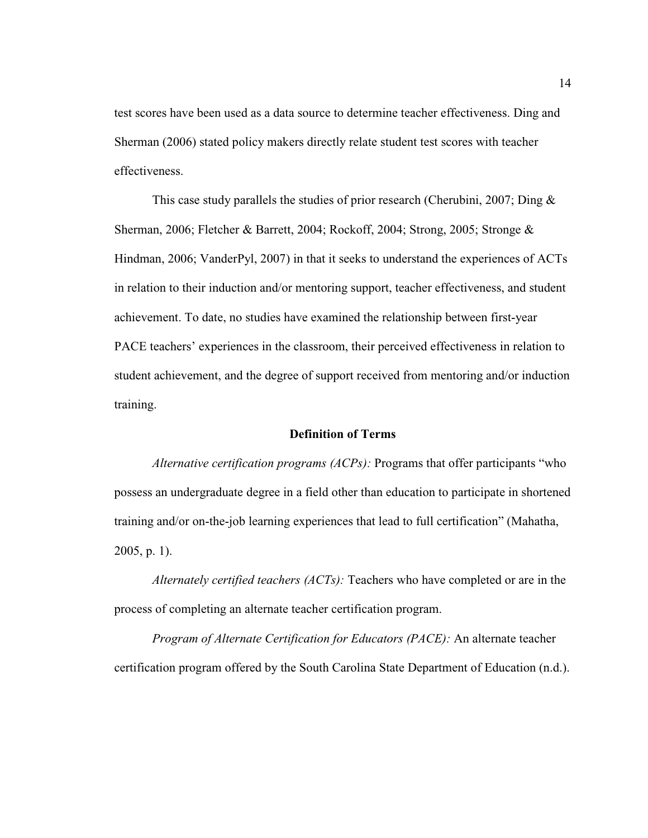test scores have been used as a data source to determine teacher effectiveness. Ding and Sherman (2006) stated policy makers directly relate student test scores with teacher effectiveness.

This case study parallels the studies of prior research (Cherubini, 2007; Ding  $\&$ Sherman, 2006; Fletcher & Barrett, 2004; Rockoff, 2004; Strong, 2005; Stronge & Hindman, 2006; VanderPyl, 2007) in that it seeks to understand the experiences of ACTs in relation to their induction and/or mentoring support, teacher effectiveness, and student achievement. To date, no studies have examined the relationship between first-year PACE teachers' experiences in the classroom, their perceived effectiveness in relation to student achievement, and the degree of support received from mentoring and/or induction training.

#### **Definition of Terms**

*Alternative certification programs (ACPs):* Programs that offer participants "who possess an undergraduate degree in a field other than education to participate in shortened training and/or on-the-job learning experiences that lead to full certification" (Mahatha, 2005, p. 1).

*Alternately certified teachers (ACTs):* Teachers who have completed or are in the process of completing an alternate teacher certification program.

*Program of Alternate Certification for Educators (PACE):* An alternate teacher certification program offered by the South Carolina State Department of Education (n.d.).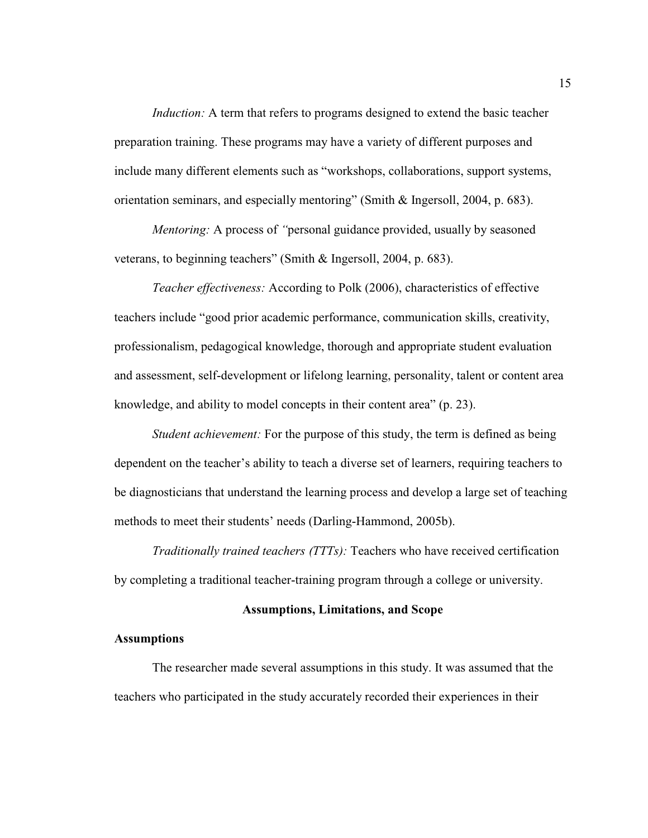*Induction:* A term that refers to programs designed to extend the basic teacher preparation training. These programs may have a variety of different purposes and include many different elements such as "workshops, collaborations, support systems, orientation seminars, and especially mentoring" (Smith & Ingersoll, 2004, p. 683).

*Mentoring:* A process of *"*personal guidance provided, usually by seasoned veterans, to beginning teachers" (Smith & Ingersoll, 2004, p. 683).

*Teacher effectiveness:* According to Polk (2006), characteristics of effective teachers include "good prior academic performance, communication skills, creativity, professionalism, pedagogical knowledge, thorough and appropriate student evaluation and assessment, self-development or lifelong learning, personality, talent or content area knowledge, and ability to model concepts in their content area" (p. 23).

*Student achievement:* For the purpose of this study, the term is defined as being dependent on the teacher's ability to teach a diverse set of learners, requiring teachers to be diagnosticians that understand the learning process and develop a large set of teaching methods to meet their students' needs (Darling-Hammond, 2005b).

*Traditionally trained teachers (TTTs):* Teachers who have received certification by completing a traditional teacher-training program through a college or university.

#### **Assumptions, Limitations, and Scope**

#### **Assumptions**

The researcher made several assumptions in this study. It was assumed that the teachers who participated in the study accurately recorded their experiences in their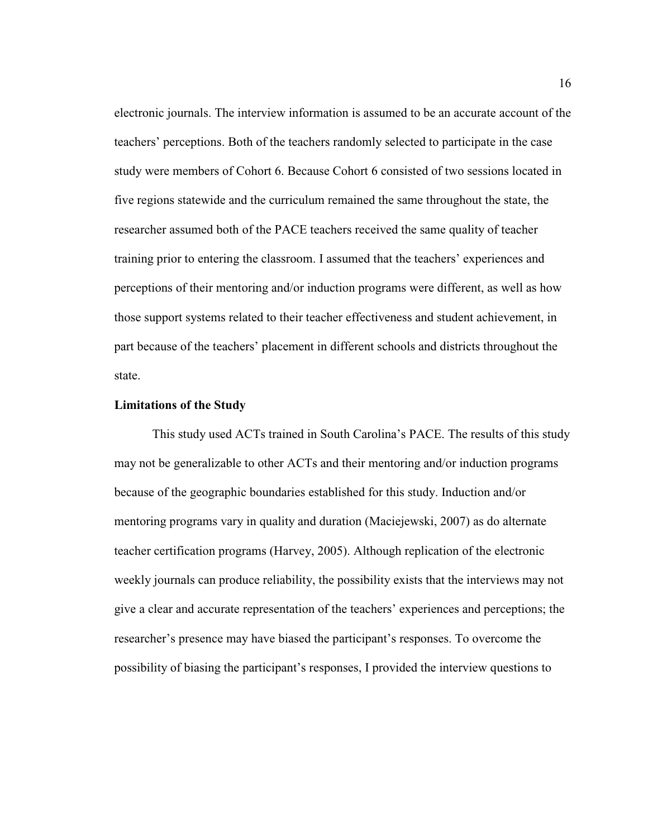electronic journals. The interview information is assumed to be an accurate account of the teachers' perceptions. Both of the teachers randomly selected to participate in the case study were members of Cohort 6. Because Cohort 6 consisted of two sessions located in five regions statewide and the curriculum remained the same throughout the state, the researcher assumed both of the PACE teachers received the same quality of teacher training prior to entering the classroom. I assumed that the teachers' experiences and perceptions of their mentoring and/or induction programs were different, as well as how those support systems related to their teacher effectiveness and student achievement, in part because of the teachers' placement in different schools and districts throughout the state.

#### **Limitations of the Study**

This study used ACTs trained in South Carolina's PACE. The results of this study may not be generalizable to other ACTs and their mentoring and/or induction programs because of the geographic boundaries established for this study. Induction and/or mentoring programs vary in quality and duration (Maciejewski, 2007) as do alternate teacher certification programs (Harvey, 2005). Although replication of the electronic weekly journals can produce reliability, the possibility exists that the interviews may not give a clear and accurate representation of the teachers' experiences and perceptions; the researcher's presence may have biased the participant's responses. To overcome the possibility of biasing the participant's responses, I provided the interview questions to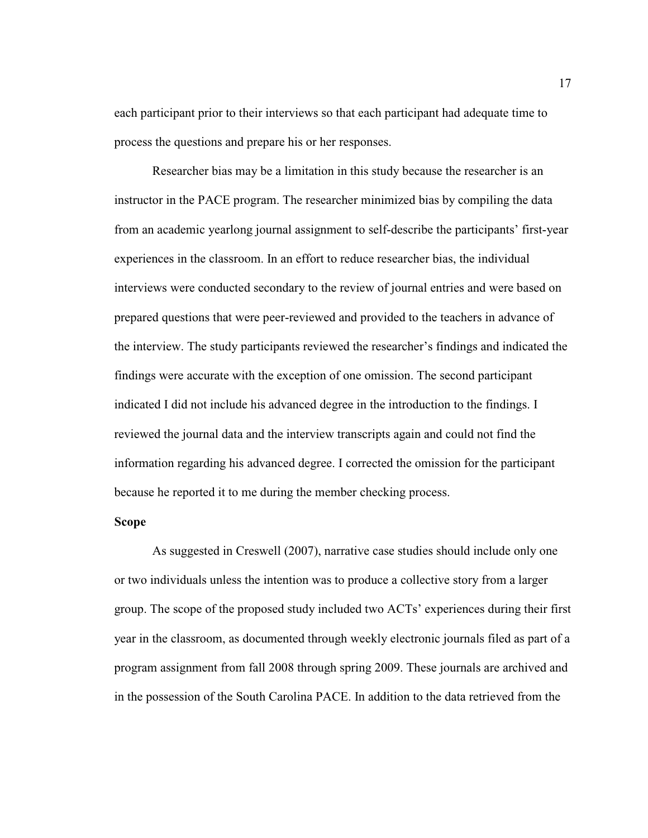each participant prior to their interviews so that each participant had adequate time to process the questions and prepare his or her responses.

Researcher bias may be a limitation in this study because the researcher is an instructor in the PACE program. The researcher minimized bias by compiling the data from an academic yearlong journal assignment to self-describe the participants' first-year experiences in the classroom. In an effort to reduce researcher bias, the individual interviews were conducted secondary to the review of journal entries and were based on prepared questions that were peer-reviewed and provided to the teachers in advance of the interview. The study participants reviewed the researcher's findings and indicated the findings were accurate with the exception of one omission. The second participant indicated I did not include his advanced degree in the introduction to the findings. I reviewed the journal data and the interview transcripts again and could not find the information regarding his advanced degree. I corrected the omission for the participant because he reported it to me during the member checking process.

#### **Scope**

As suggested in Creswell (2007), narrative case studies should include only one or two individuals unless the intention was to produce a collective story from a larger group. The scope of the proposed study included two ACTs' experiences during their first year in the classroom, as documented through weekly electronic journals filed as part of a program assignment from fall 2008 through spring 2009. These journals are archived and in the possession of the South Carolina PACE. In addition to the data retrieved from the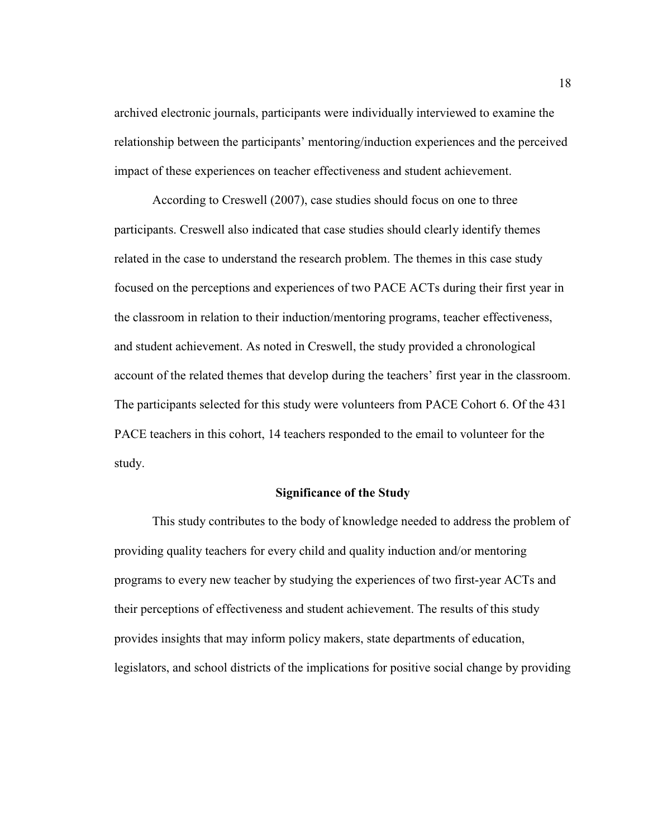archived electronic journals, participants were individually interviewed to examine the relationship between the participants' mentoring/induction experiences and the perceived impact of these experiences on teacher effectiveness and student achievement.

According to Creswell (2007), case studies should focus on one to three participants. Creswell also indicated that case studies should clearly identify themes related in the case to understand the research problem. The themes in this case study focused on the perceptions and experiences of two PACE ACTs during their first year in the classroom in relation to their induction/mentoring programs, teacher effectiveness, and student achievement. As noted in Creswell, the study provided a chronological account of the related themes that develop during the teachers' first year in the classroom. The participants selected for this study were volunteers from PACE Cohort 6. Of the 431 PACE teachers in this cohort, 14 teachers responded to the email to volunteer for the study.

#### **Significance of the Study**

This study contributes to the body of knowledge needed to address the problem of providing quality teachers for every child and quality induction and/or mentoring programs to every new teacher by studying the experiences of two first-year ACTs and their perceptions of effectiveness and student achievement. The results of this study provides insights that may inform policy makers, state departments of education, legislators, and school districts of the implications for positive social change by providing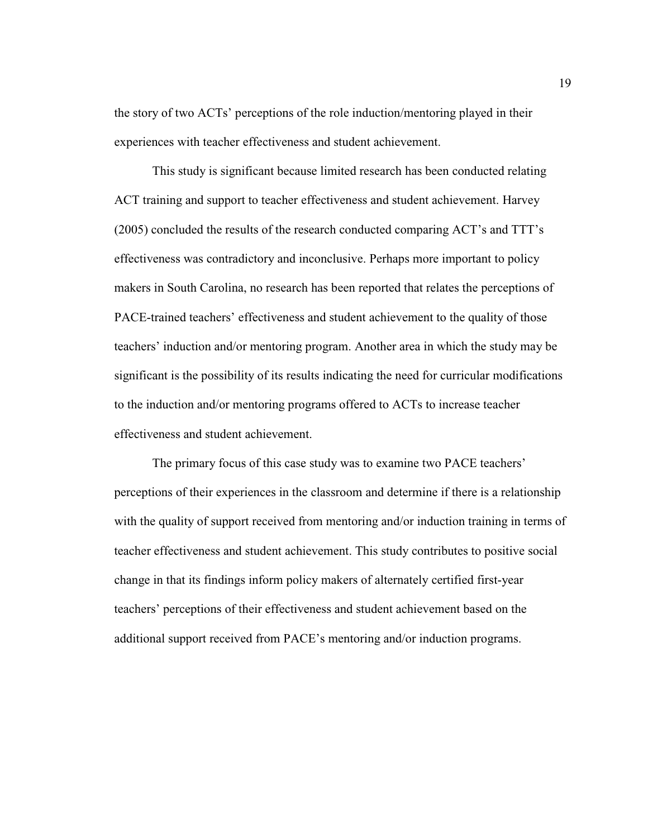the story of two ACTs' perceptions of the role induction/mentoring played in their experiences with teacher effectiveness and student achievement.

This study is significant because limited research has been conducted relating ACT training and support to teacher effectiveness and student achievement. Harvey (2005) concluded the results of the research conducted comparing ACT's and TTT's effectiveness was contradictory and inconclusive. Perhaps more important to policy makers in South Carolina, no research has been reported that relates the perceptions of PACE-trained teachers' effectiveness and student achievement to the quality of those teachers' induction and/or mentoring program. Another area in which the study may be significant is the possibility of its results indicating the need for curricular modifications to the induction and/or mentoring programs offered to ACTs to increase teacher effectiveness and student achievement.

The primary focus of this case study was to examine two PACE teachers' perceptions of their experiences in the classroom and determine if there is a relationship with the quality of support received from mentoring and/or induction training in terms of teacher effectiveness and student achievement. This study contributes to positive social change in that its findings inform policy makers of alternately certified first-year teachers' perceptions of their effectiveness and student achievement based on the additional support received from PACE's mentoring and/or induction programs.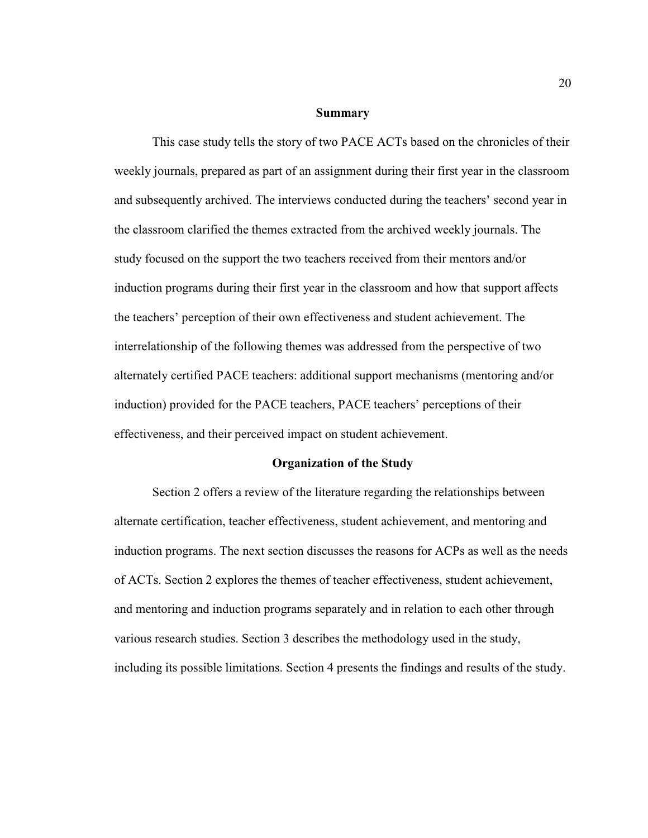#### **Summary**

This case study tells the story of two PACE ACTs based on the chronicles of their weekly journals, prepared as part of an assignment during their first year in the classroom and subsequently archived. The interviews conducted during the teachers' second year in the classroom clarified the themes extracted from the archived weekly journals. The study focused on the support the two teachers received from their mentors and/or induction programs during their first year in the classroom and how that support affects the teachers' perception of their own effectiveness and student achievement. The interrelationship of the following themes was addressed from the perspective of two alternately certified PACE teachers: additional support mechanisms (mentoring and/or induction) provided for the PACE teachers, PACE teachers' perceptions of their effectiveness, and their perceived impact on student achievement.

#### **Organization of the Study**

Section 2 offers a review of the literature regarding the relationships between alternate certification, teacher effectiveness, student achievement, and mentoring and induction programs. The next section discusses the reasons for ACPs as well as the needs of ACTs. Section 2 explores the themes of teacher effectiveness, student achievement, and mentoring and induction programs separately and in relation to each other through various research studies. Section 3 describes the methodology used in the study, including its possible limitations. Section 4 presents the findings and results of the study.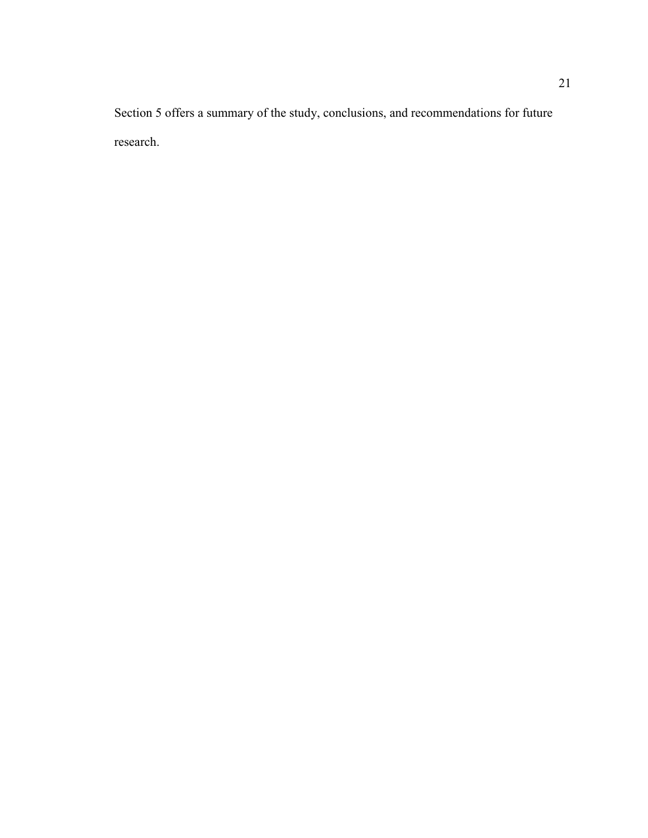Section 5 offers a summary of the study, conclusions, and recommendations for future research.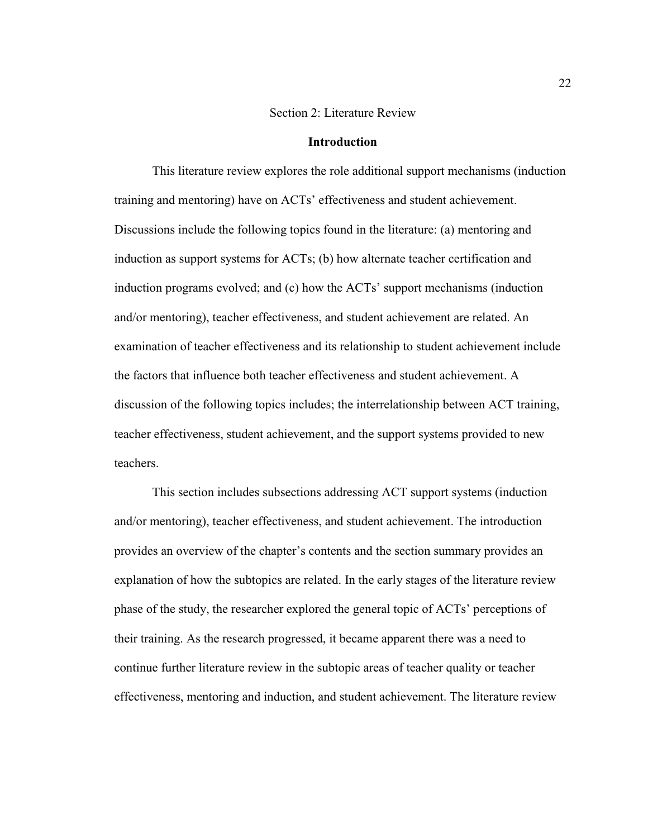#### Section 2: Literature Review

#### **Introduction**

This literature review explores the role additional support mechanisms (induction training and mentoring) have on ACTs' effectiveness and student achievement. Discussions include the following topics found in the literature: (a) mentoring and induction as support systems for ACTs; (b) how alternate teacher certification and induction programs evolved; and (c) how the ACTs' support mechanisms (induction and/or mentoring), teacher effectiveness, and student achievement are related. An examination of teacher effectiveness and its relationship to student achievement include the factors that influence both teacher effectiveness and student achievement. A discussion of the following topics includes; the interrelationship between ACT training, teacher effectiveness, student achievement, and the support systems provided to new teachers.

This section includes subsections addressing ACT support systems (induction and/or mentoring), teacher effectiveness, and student achievement. The introduction provides an overview of the chapter's contents and the section summary provides an explanation of how the subtopics are related. In the early stages of the literature review phase of the study, the researcher explored the general topic of ACTs' perceptions of their training. As the research progressed, it became apparent there was a need to continue further literature review in the subtopic areas of teacher quality or teacher effectiveness, mentoring and induction, and student achievement. The literature review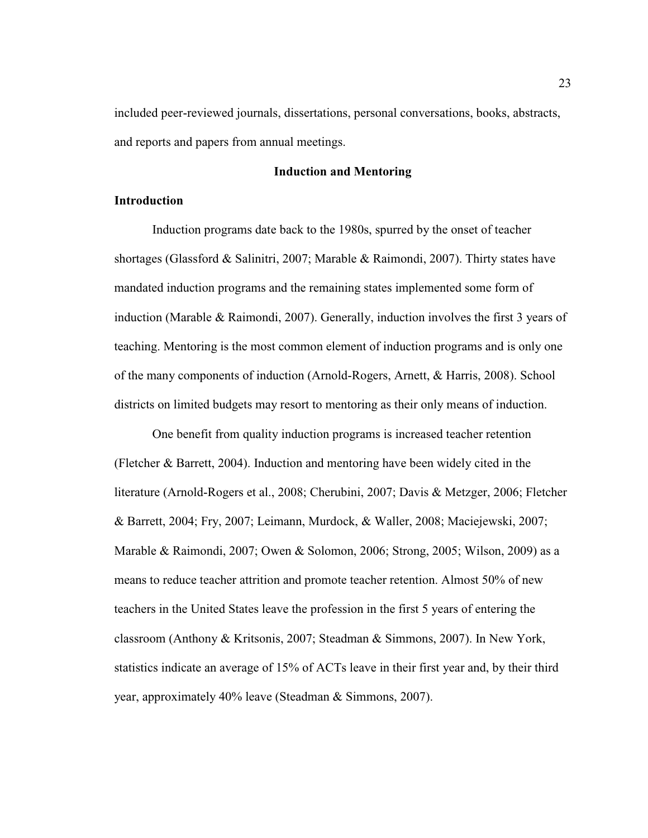included peer-reviewed journals, dissertations, personal conversations, books, abstracts, and reports and papers from annual meetings.

# **Induction and Mentoring**

# **Introduction**

Induction programs date back to the 1980s, spurred by the onset of teacher shortages (Glassford & Salinitri, 2007; Marable & Raimondi, 2007). Thirty states have mandated induction programs and the remaining states implemented some form of induction (Marable & Raimondi, 2007). Generally, induction involves the first 3 years of teaching. Mentoring is the most common element of induction programs and is only one of the many components of induction (Arnold-Rogers, Arnett, & Harris, 2008). School districts on limited budgets may resort to mentoring as their only means of induction.

One benefit from quality induction programs is increased teacher retention (Fletcher & Barrett, 2004). Induction and mentoring have been widely cited in the literature (Arnold-Rogers et al., 2008; Cherubini, 2007; Davis & Metzger, 2006; Fletcher & Barrett, 2004; Fry, 2007; Leimann, Murdock, & Waller, 2008; Maciejewski, 2007; Marable & Raimondi, 2007; Owen & Solomon, 2006; Strong, 2005; Wilson, 2009) as a means to reduce teacher attrition and promote teacher retention. Almost 50% of new teachers in the United States leave the profession in the first 5 years of entering the classroom (Anthony & Kritsonis, 2007; Steadman & Simmons, 2007). In New York, statistics indicate an average of 15% of ACTs leave in their first year and, by their third year, approximately 40% leave (Steadman & Simmons, 2007).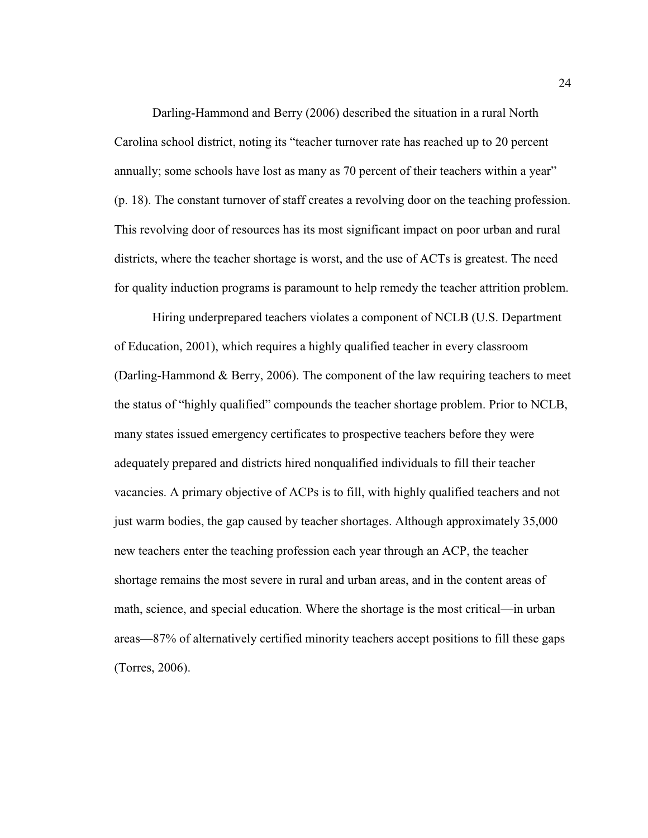Darling-Hammond and Berry (2006) described the situation in a rural North Carolina school district, noting its "teacher turnover rate has reached up to 20 percent annually; some schools have lost as many as 70 percent of their teachers within a year" (p. 18). The constant turnover of staff creates a revolving door on the teaching profession. This revolving door of resources has its most significant impact on poor urban and rural districts, where the teacher shortage is worst, and the use of ACTs is greatest. The need for quality induction programs is paramount to help remedy the teacher attrition problem.

Hiring underprepared teachers violates a component of NCLB (U.S. Department of Education, 2001), which requires a highly qualified teacher in every classroom (Darling-Hammond & Berry, 2006). The component of the law requiring teachers to meet the status of "highly qualified" compounds the teacher shortage problem. Prior to NCLB, many states issued emergency certificates to prospective teachers before they were adequately prepared and districts hired nonqualified individuals to fill their teacher vacancies. A primary objective of ACPs is to fill, with highly qualified teachers and not just warm bodies, the gap caused by teacher shortages. Although approximately 35,000 new teachers enter the teaching profession each year through an ACP, the teacher shortage remains the most severe in rural and urban areas, and in the content areas of math, science, and special education. Where the shortage is the most critical—in urban areas—87% of alternatively certified minority teachers accept positions to fill these gaps (Torres, 2006).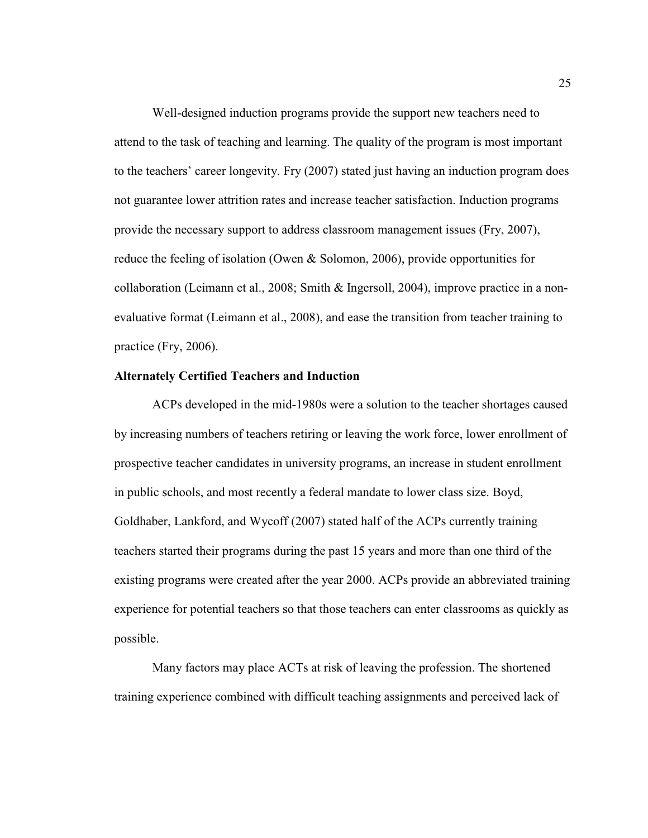Well-designed induction programs provide the support new teachers need to attend to the task of teaching and learning. The quality of the program is most important to the teachers' career longevity. Fry (2007) stated just having an induction program does not guarantee lower attrition rates and increase teacher satisfaction. Induction programs provide the necessary support to address classroom management issues (Fry, 2007), reduce the feeling of isolation (Owen & Solomon, 2006), provide opportunities for collaboration (Leimann et al., 2008; Smith & Ingersoll, 2004), improve practice in a nonevaluative format (Leimann et al., 2008), and ease the transition from teacher training to practice (Fry, 2006).

### **Alternately Certified Teachers and Induction**

ACPs developed in the mid-1980s were a solution to the teacher shortages caused by increasing numbers of teachers retiring or leaving the work force, lower enrollment of prospective teacher candidates in university programs, an increase in student enrollment in public schools, and most recently a federal mandate to lower class size. Boyd, Goldhaber, Lankford, and Wycoff (2007) stated half of the ACPs currently training teachers started their programs during the past 15 years and more than one third of the existing programs were created after the year 2000. ACPs provide an abbreviated training experience for potential teachers so that those teachers can enter classrooms as quickly as possible.

Many factors may place ACTs at risk of leaving the profession. The shortened training experience combined with difficult teaching assignments and perceived lack of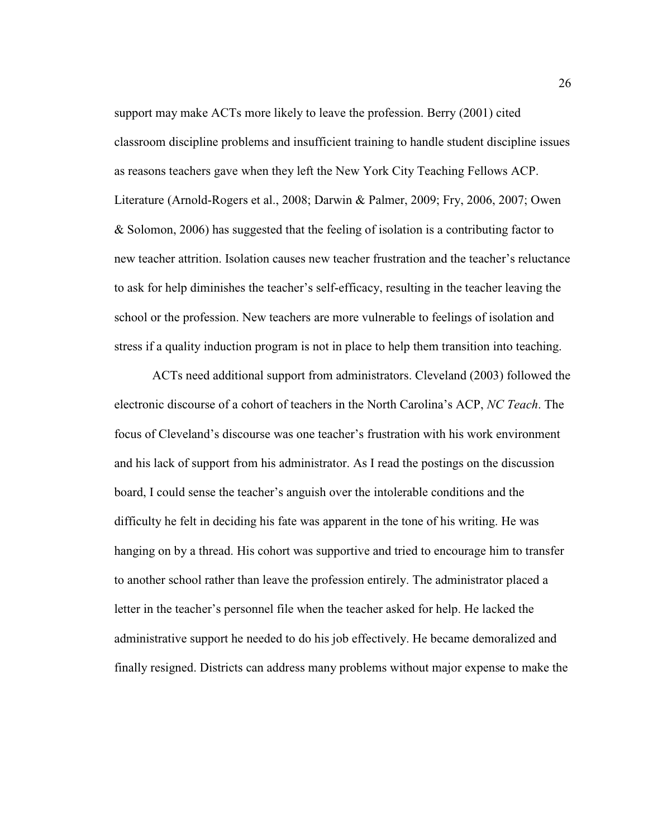support may make ACTs more likely to leave the profession. Berry (2001) cited classroom discipline problems and insufficient training to handle student discipline issues as reasons teachers gave when they left the New York City Teaching Fellows ACP. Literature (Arnold-Rogers et al., 2008; Darwin & Palmer, 2009; Fry, 2006, 2007; Owen & Solomon, 2006) has suggested that the feeling of isolation is a contributing factor to new teacher attrition. Isolation causes new teacher frustration and the teacher's reluctance to ask for help diminishes the teacher's self-efficacy, resulting in the teacher leaving the school or the profession. New teachers are more vulnerable to feelings of isolation and stress if a quality induction program is not in place to help them transition into teaching.

ACTs need additional support from administrators. Cleveland (2003) followed the electronic discourse of a cohort of teachers in the North Carolina's ACP, *NC Teach*. The focus of Cleveland's discourse was one teacher's frustration with his work environment and his lack of support from his administrator. As I read the postings on the discussion board, I could sense the teacher's anguish over the intolerable conditions and the difficulty he felt in deciding his fate was apparent in the tone of his writing. He was hanging on by a thread. His cohort was supportive and tried to encourage him to transfer to another school rather than leave the profession entirely. The administrator placed a letter in the teacher's personnel file when the teacher asked for help. He lacked the administrative support he needed to do his job effectively. He became demoralized and finally resigned. Districts can address many problems without major expense to make the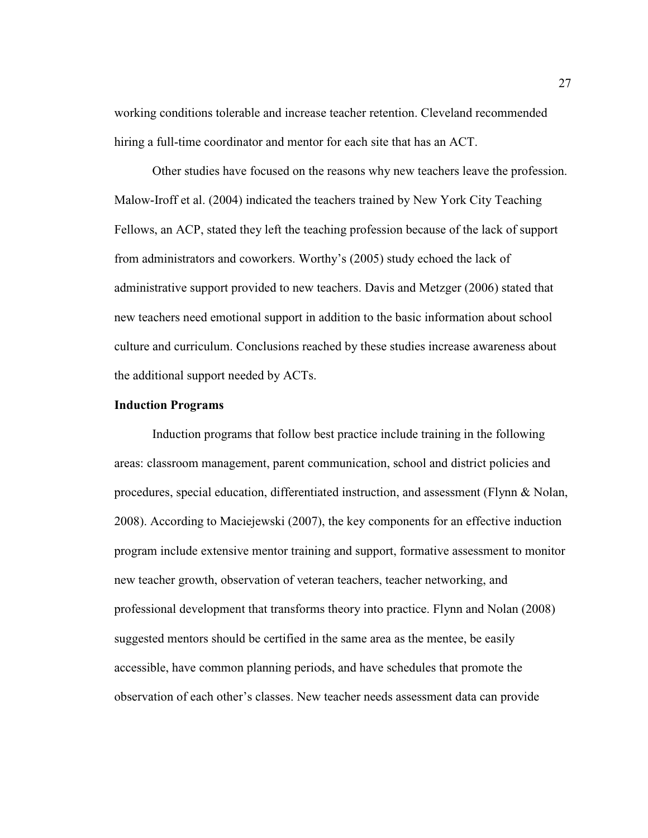working conditions tolerable and increase teacher retention. Cleveland recommended hiring a full-time coordinator and mentor for each site that has an ACT.

Other studies have focused on the reasons why new teachers leave the profession. Malow-Iroff et al. (2004) indicated the teachers trained by New York City Teaching Fellows, an ACP, stated they left the teaching profession because of the lack of support from administrators and coworkers. Worthy's (2005) study echoed the lack of administrative support provided to new teachers. Davis and Metzger (2006) stated that new teachers need emotional support in addition to the basic information about school culture and curriculum. Conclusions reached by these studies increase awareness about the additional support needed by ACTs.

# **Induction Programs**

Induction programs that follow best practice include training in the following areas: classroom management, parent communication, school and district policies and procedures, special education, differentiated instruction, and assessment (Flynn & Nolan, 2008). According to Maciejewski (2007), the key components for an effective induction program include extensive mentor training and support, formative assessment to monitor new teacher growth, observation of veteran teachers, teacher networking, and professional development that transforms theory into practice. Flynn and Nolan (2008) suggested mentors should be certified in the same area as the mentee, be easily accessible, have common planning periods, and have schedules that promote the observation of each other's classes. New teacher needs assessment data can provide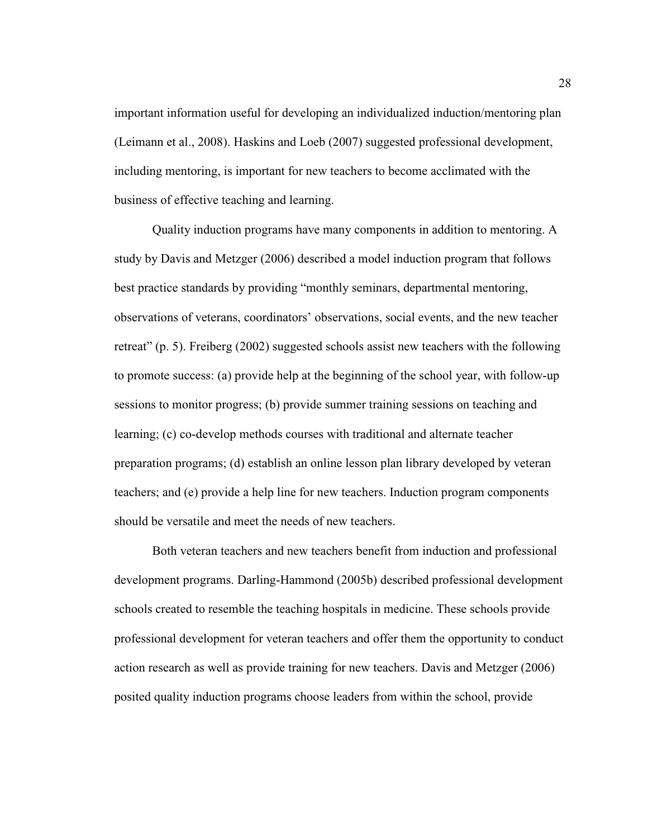important information useful for developing an individualized induction/mentoring plan (Leimann et al., 2008). Haskins and Loeb (2007) suggested professional development, including mentoring, is important for new teachers to become acclimated with the business of effective teaching and learning.

Quality induction programs have many components in addition to mentoring. A study by Davis and Metzger (2006) described a model induction program that follows best practice standards by providing "monthly seminars, departmental mentoring, observations of veterans, coordinators' observations, social events, and the new teacher retreat" (p. 5). Freiberg (2002) suggested schools assist new teachers with the following to promote success: (a) provide help at the beginning of the school year, with follow-up sessions to monitor progress; (b) provide summer training sessions on teaching and learning; (c) co-develop methods courses with traditional and alternate teacher preparation programs; (d) establish an online lesson plan library developed by veteran teachers; and (e) provide a help line for new teachers. Induction program components should be versatile and meet the needs of new teachers.

Both veteran teachers and new teachers benefit from induction and professional development programs. Darling-Hammond (2005b) described professional development schools created to resemble the teaching hospitals in medicine. These schools provide professional development for veteran teachers and offer them the opportunity to conduct action research as well as provide training for new teachers. Davis and Metzger (2006) posited quality induction programs choose leaders from within the school, provide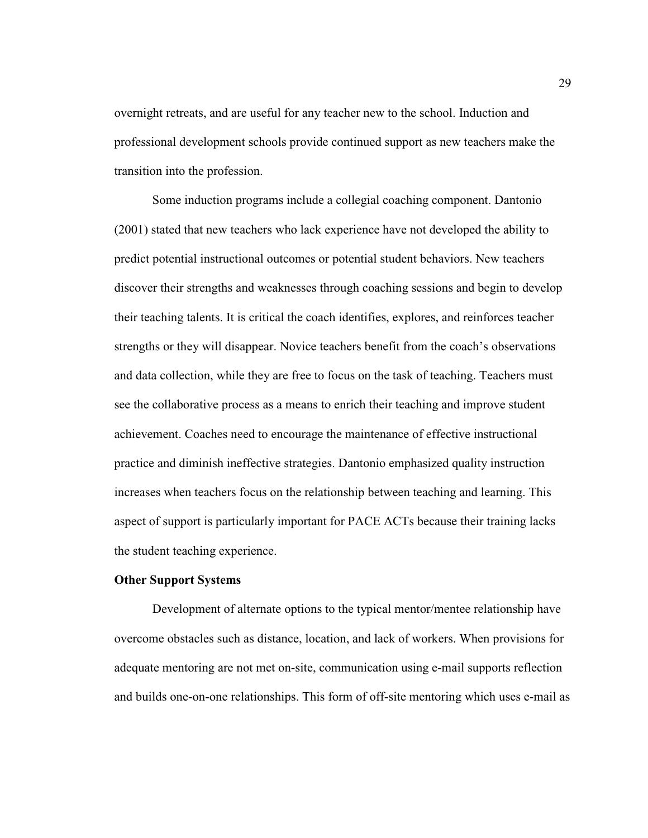overnight retreats, and are useful for any teacher new to the school. Induction and professional development schools provide continued support as new teachers make the transition into the profession.

Some induction programs include a collegial coaching component. Dantonio (2001) stated that new teachers who lack experience have not developed the ability to predict potential instructional outcomes or potential student behaviors. New teachers discover their strengths and weaknesses through coaching sessions and begin to develop their teaching talents. It is critical the coach identifies, explores, and reinforces teacher strengths or they will disappear. Novice teachers benefit from the coach's observations and data collection, while they are free to focus on the task of teaching. Teachers must see the collaborative process as a means to enrich their teaching and improve student achievement. Coaches need to encourage the maintenance of effective instructional practice and diminish ineffective strategies. Dantonio emphasized quality instruction increases when teachers focus on the relationship between teaching and learning. This aspect of support is particularly important for PACE ACTs because their training lacks the student teaching experience.

# **Other Support Systems**

Development of alternate options to the typical mentor/mentee relationship have overcome obstacles such as distance, location, and lack of workers. When provisions for adequate mentoring are not met on-site, communication using e-mail supports reflection and builds one-on-one relationships. This form of off-site mentoring which uses e-mail as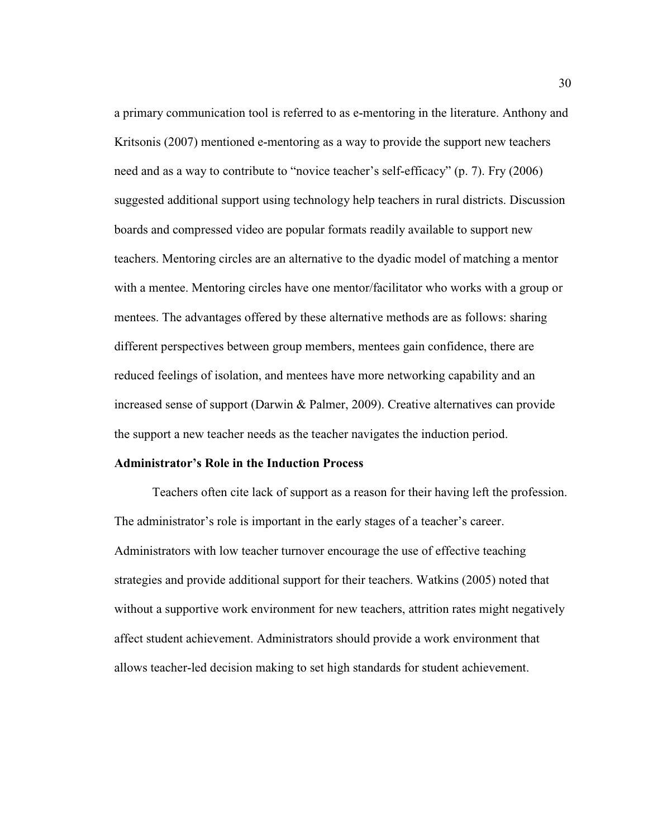a primary communication tool is referred to as e-mentoring in the literature. Anthony and Kritsonis (2007) mentioned e-mentoring as a way to provide the support new teachers need and as a way to contribute to "novice teacher's self-efficacy" (p. 7). Fry (2006) suggested additional support using technology help teachers in rural districts. Discussion boards and compressed video are popular formats readily available to support new teachers. Mentoring circles are an alternative to the dyadic model of matching a mentor with a mentee. Mentoring circles have one mentor/facilitator who works with a group or mentees. The advantages offered by these alternative methods are as follows: sharing different perspectives between group members, mentees gain confidence, there are reduced feelings of isolation, and mentees have more networking capability and an increased sense of support (Darwin & Palmer, 2009). Creative alternatives can provide the support a new teacher needs as the teacher navigates the induction period.

### **Administrator's Role in the Induction Process**

Teachers often cite lack of support as a reason for their having left the profession. The administrator's role is important in the early stages of a teacher's career. Administrators with low teacher turnover encourage the use of effective teaching strategies and provide additional support for their teachers. Watkins (2005) noted that without a supportive work environment for new teachers, attrition rates might negatively affect student achievement. Administrators should provide a work environment that allows teacher-led decision making to set high standards for student achievement.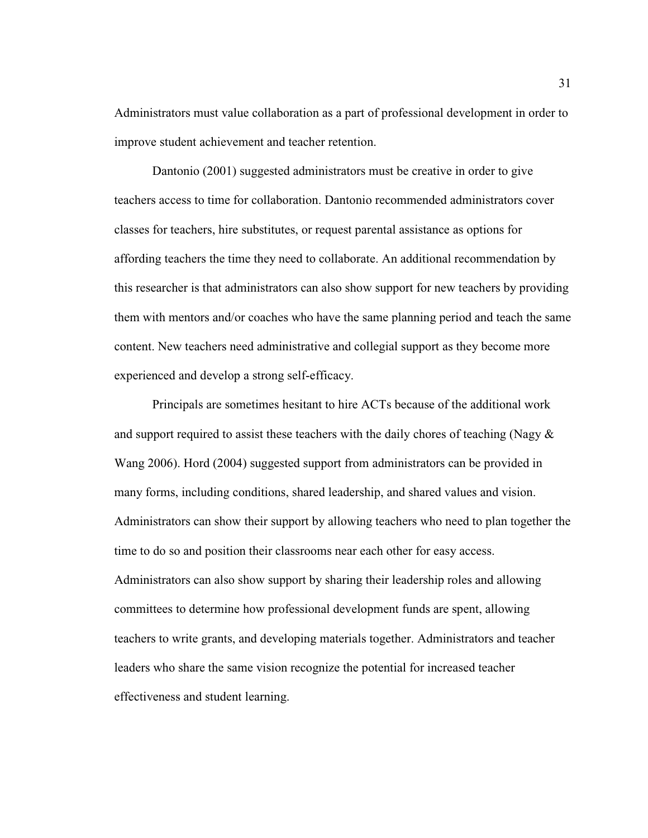Administrators must value collaboration as a part of professional development in order to improve student achievement and teacher retention.

Dantonio (2001) suggested administrators must be creative in order to give teachers access to time for collaboration. Dantonio recommended administrators cover classes for teachers, hire substitutes, or request parental assistance as options for affording teachers the time they need to collaborate. An additional recommendation by this researcher is that administrators can also show support for new teachers by providing them with mentors and/or coaches who have the same planning period and teach the same content. New teachers need administrative and collegial support as they become more experienced and develop a strong self-efficacy.

Principals are sometimes hesitant to hire ACTs because of the additional work and support required to assist these teachers with the daily chores of teaching (Nagy  $\&$ Wang 2006). Hord (2004) suggested support from administrators can be provided in many forms, including conditions, shared leadership, and shared values and vision. Administrators can show their support by allowing teachers who need to plan together the time to do so and position their classrooms near each other for easy access. Administrators can also show support by sharing their leadership roles and allowing committees to determine how professional development funds are spent, allowing teachers to write grants, and developing materials together. Administrators and teacher leaders who share the same vision recognize the potential for increased teacher effectiveness and student learning.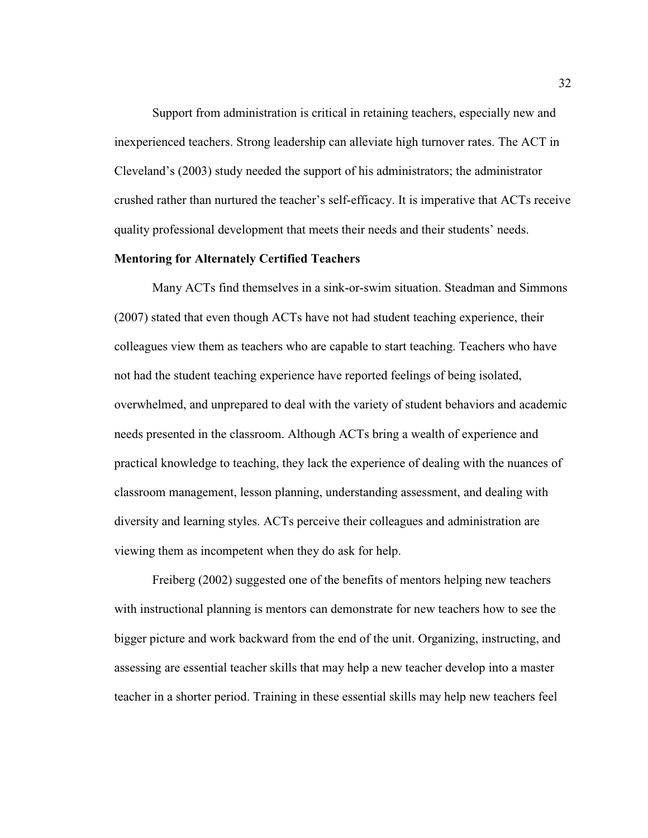Support from administration is critical in retaining teachers, especially new and inexperienced teachers. Strong leadership can alleviate high turnover rates. The ACT in Cleveland's (2003) study needed the support of his administrators; the administrator crushed rather than nurtured the teacher's self-efficacy. It is imperative that ACTs receive quality professional development that meets their needs and their students' needs.

#### **Mentoring for Alternately Certified Teachers**

Many ACTs find themselves in a sink-or-swim situation. Steadman and Simmons (2007) stated that even though ACTs have not had student teaching experience, their colleagues view them as teachers who are capable to start teaching. Teachers who have not had the student teaching experience have reported feelings of being isolated, overwhelmed, and unprepared to deal with the variety of student behaviors and academic needs presented in the classroom. Although ACTs bring a wealth of experience and practical knowledge to teaching, they lack the experience of dealing with the nuances of classroom management, lesson planning, understanding assessment, and dealing with diversity and learning styles. ACTs perceive their colleagues and administration are viewing them as incompetent when they do ask for help.

Freiberg (2002) suggested one of the benefits of mentors helping new teachers with instructional planning is mentors can demonstrate for new teachers how to see the bigger picture and work backward from the end of the unit. Organizing, instructing, and assessing are essential teacher skills that may help a new teacher develop into a master teacher in a shorter period. Training in these essential skills may help new teachers feel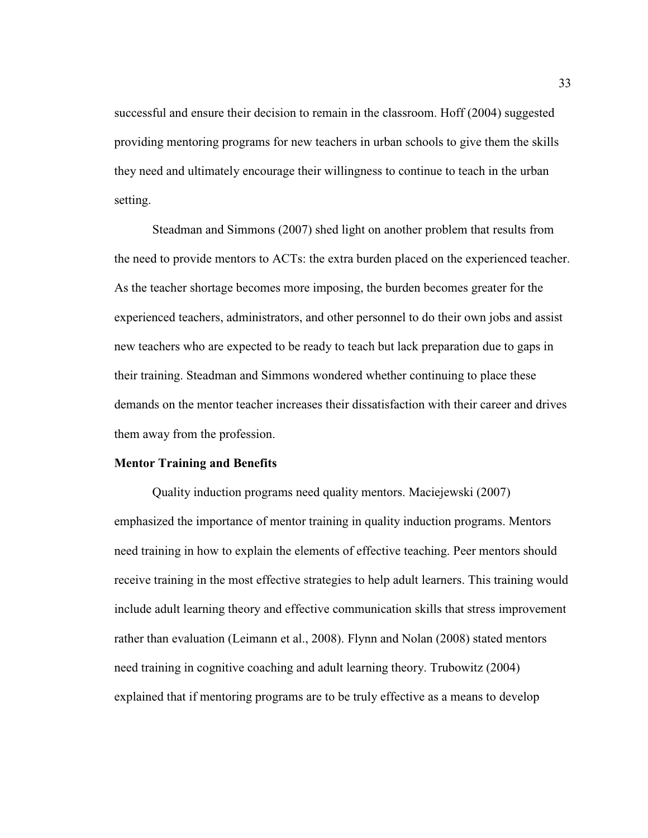successful and ensure their decision to remain in the classroom. Hoff (2004) suggested providing mentoring programs for new teachers in urban schools to give them the skills they need and ultimately encourage their willingness to continue to teach in the urban setting.

Steadman and Simmons (2007) shed light on another problem that results from the need to provide mentors to ACTs: the extra burden placed on the experienced teacher. As the teacher shortage becomes more imposing, the burden becomes greater for the experienced teachers, administrators, and other personnel to do their own jobs and assist new teachers who are expected to be ready to teach but lack preparation due to gaps in their training. Steadman and Simmons wondered whether continuing to place these demands on the mentor teacher increases their dissatisfaction with their career and drives them away from the profession.

### **Mentor Training and Benefits**

Quality induction programs need quality mentors. Maciejewski (2007) emphasized the importance of mentor training in quality induction programs. Mentors need training in how to explain the elements of effective teaching. Peer mentors should receive training in the most effective strategies to help adult learners. This training would include adult learning theory and effective communication skills that stress improvement rather than evaluation (Leimann et al., 2008). Flynn and Nolan (2008) stated mentors need training in cognitive coaching and adult learning theory. Trubowitz (2004) explained that if mentoring programs are to be truly effective as a means to develop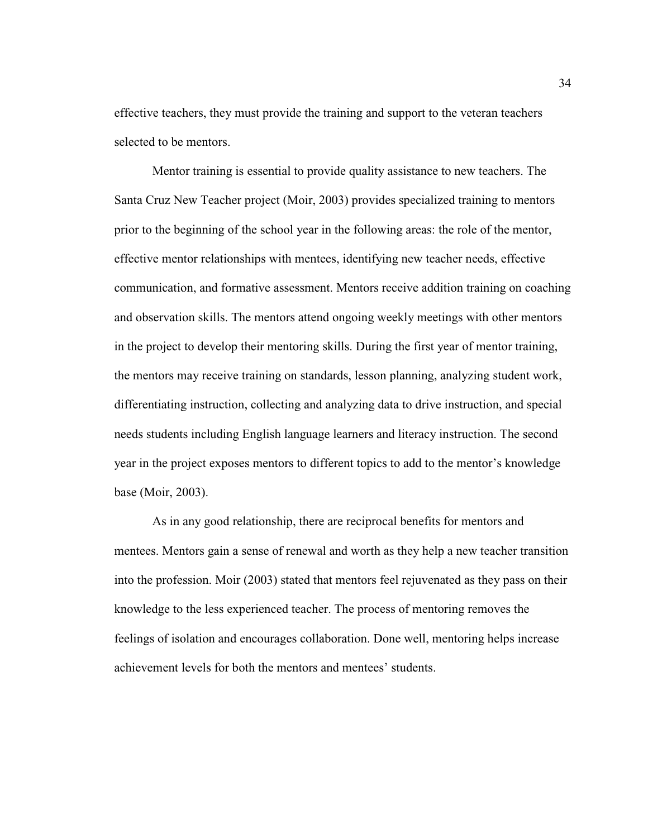effective teachers, they must provide the training and support to the veteran teachers selected to be mentors.

Mentor training is essential to provide quality assistance to new teachers. The Santa Cruz New Teacher project (Moir, 2003) provides specialized training to mentors prior to the beginning of the school year in the following areas: the role of the mentor, effective mentor relationships with mentees, identifying new teacher needs, effective communication, and formative assessment. Mentors receive addition training on coaching and observation skills. The mentors attend ongoing weekly meetings with other mentors in the project to develop their mentoring skills. During the first year of mentor training, the mentors may receive training on standards, lesson planning, analyzing student work, differentiating instruction, collecting and analyzing data to drive instruction, and special needs students including English language learners and literacy instruction. The second year in the project exposes mentors to different topics to add to the mentor's knowledge base (Moir, 2003).

As in any good relationship, there are reciprocal benefits for mentors and mentees. Mentors gain a sense of renewal and worth as they help a new teacher transition into the profession. Moir (2003) stated that mentors feel rejuvenated as they pass on their knowledge to the less experienced teacher. The process of mentoring removes the feelings of isolation and encourages collaboration. Done well, mentoring helps increase achievement levels for both the mentors and mentees' students.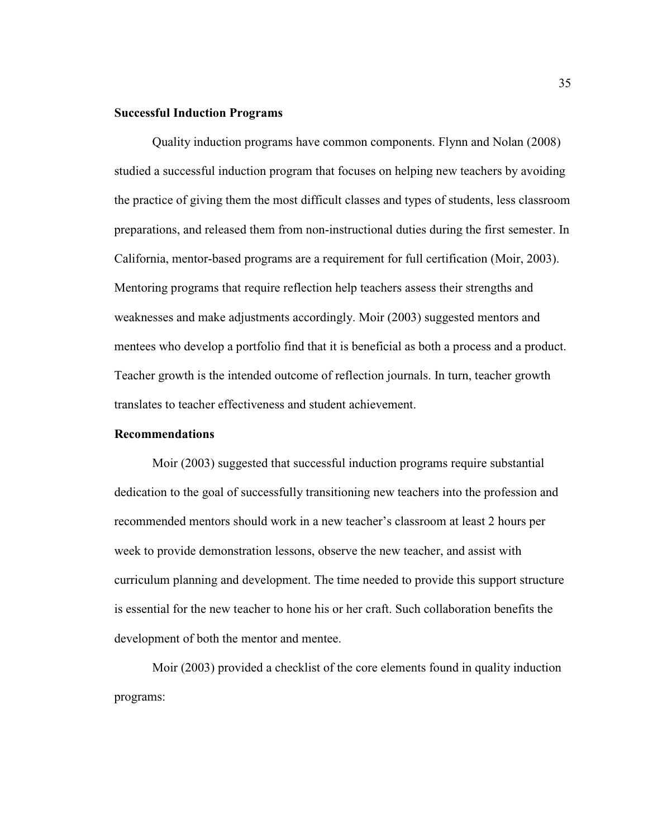# **Successful Induction Programs**

Quality induction programs have common components. Flynn and Nolan (2008) studied a successful induction program that focuses on helping new teachers by avoiding the practice of giving them the most difficult classes and types of students, less classroom preparations, and released them from non-instructional duties during the first semester. In California, mentor-based programs are a requirement for full certification (Moir, 2003). Mentoring programs that require reflection help teachers assess their strengths and weaknesses and make adjustments accordingly. Moir (2003) suggested mentors and mentees who develop a portfolio find that it is beneficial as both a process and a product. Teacher growth is the intended outcome of reflection journals. In turn, teacher growth translates to teacher effectiveness and student achievement.

### **Recommendations**

Moir (2003) suggested that successful induction programs require substantial dedication to the goal of successfully transitioning new teachers into the profession and recommended mentors should work in a new teacher's classroom at least 2 hours per week to provide demonstration lessons, observe the new teacher, and assist with curriculum planning and development. The time needed to provide this support structure is essential for the new teacher to hone his or her craft. Such collaboration benefits the development of both the mentor and mentee.

Moir (2003) provided a checklist of the core elements found in quality induction programs: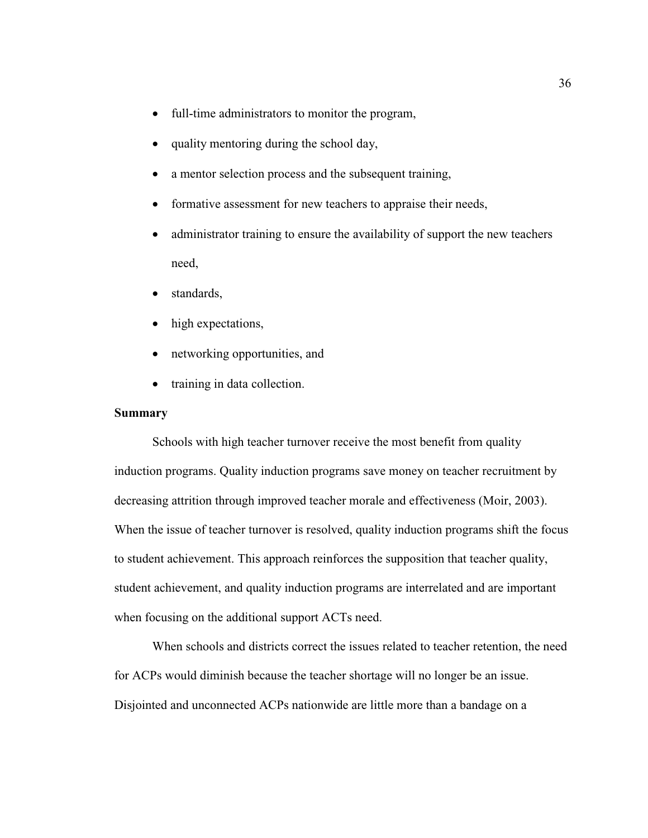- full-time administrators to monitor the program,
- quality mentoring during the school day,
- a mentor selection process and the subsequent training,
- formative assessment for new teachers to appraise their needs,
- administrator training to ensure the availability of support the new teachers need,
- standards.
- high expectations,
- networking opportunities, and
- training in data collection.

# **Summary**

Schools with high teacher turnover receive the most benefit from quality induction programs. Quality induction programs save money on teacher recruitment by decreasing attrition through improved teacher morale and effectiveness (Moir, 2003). When the issue of teacher turnover is resolved, quality induction programs shift the focus to student achievement. This approach reinforces the supposition that teacher quality, student achievement, and quality induction programs are interrelated and are important when focusing on the additional support ACTs need.

When schools and districts correct the issues related to teacher retention, the need for ACPs would diminish because the teacher shortage will no longer be an issue. Disjointed and unconnected ACPs nationwide are little more than a bandage on a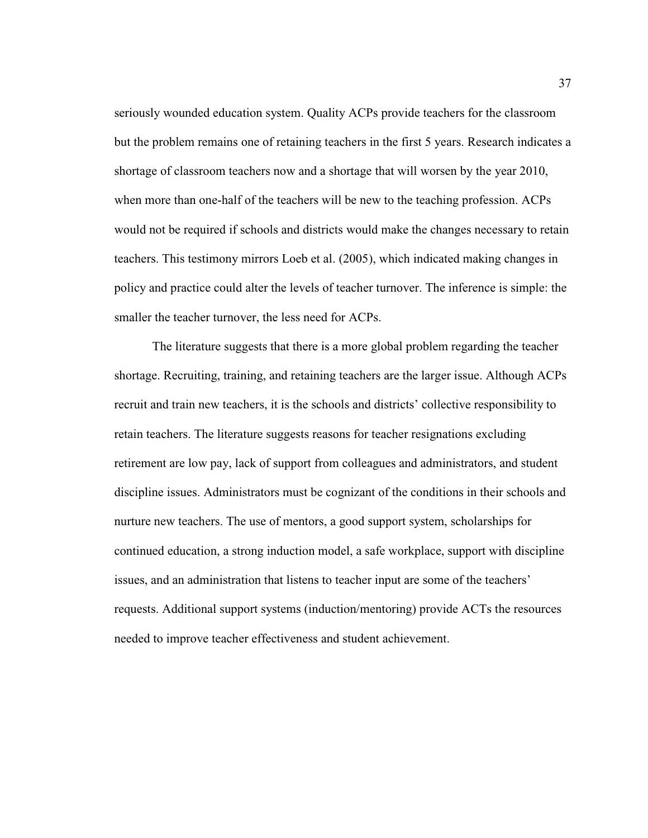seriously wounded education system. Quality ACPs provide teachers for the classroom but the problem remains one of retaining teachers in the first 5 years. Research indicates a shortage of classroom teachers now and a shortage that will worsen by the year 2010, when more than one-half of the teachers will be new to the teaching profession. ACPs would not be required if schools and districts would make the changes necessary to retain teachers. This testimony mirrors Loeb et al. (2005), which indicated making changes in policy and practice could alter the levels of teacher turnover. The inference is simple: the smaller the teacher turnover, the less need for ACPs.

The literature suggests that there is a more global problem regarding the teacher shortage. Recruiting, training, and retaining teachers are the larger issue. Although ACPs recruit and train new teachers, it is the schools and districts' collective responsibility to retain teachers. The literature suggests reasons for teacher resignations excluding retirement are low pay, lack of support from colleagues and administrators, and student discipline issues. Administrators must be cognizant of the conditions in their schools and nurture new teachers. The use of mentors, a good support system, scholarships for continued education, a strong induction model, a safe workplace, support with discipline issues, and an administration that listens to teacher input are some of the teachers' requests. Additional support systems (induction/mentoring) provide ACTs the resources needed to improve teacher effectiveness and student achievement.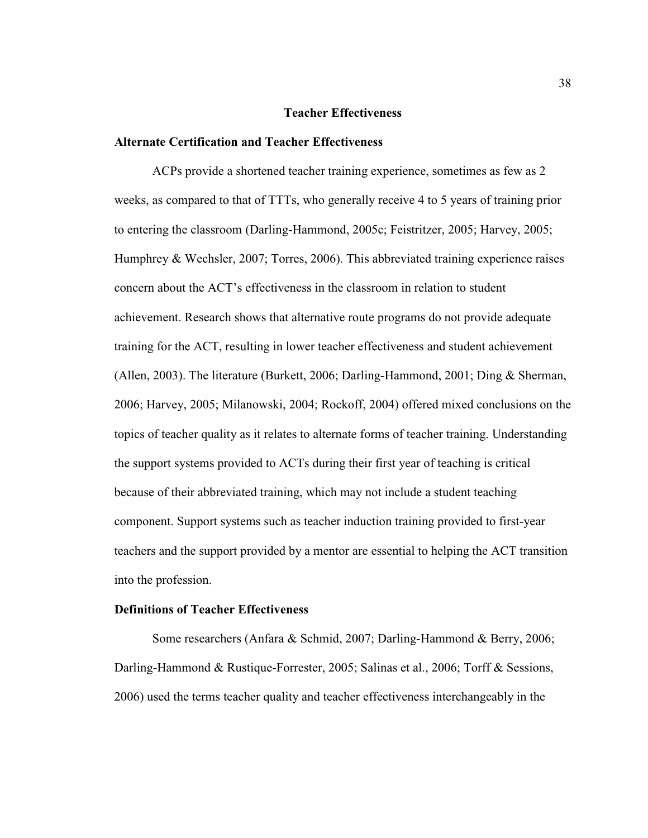### **Teacher Effectiveness**

## **Alternate Certification and Teacher Effectiveness**

ACPs provide a shortened teacher training experience, sometimes as few as 2 weeks, as compared to that of TTTs, who generally receive 4 to 5 years of training prior to entering the classroom (Darling-Hammond, 2005c; Feistritzer, 2005; Harvey, 2005; Humphrey & Wechsler, 2007; Torres, 2006). This abbreviated training experience raises concern about the ACT's effectiveness in the classroom in relation to student achievement. Research shows that alternative route programs do not provide adequate training for the ACT, resulting in lower teacher effectiveness and student achievement (Allen, 2003). The literature (Burkett, 2006; Darling-Hammond, 2001; Ding & Sherman, 2006; Harvey, 2005; Milanowski, 2004; Rockoff, 2004) offered mixed conclusions on the topics of teacher quality as it relates to alternate forms of teacher training. Understanding the support systems provided to ACTs during their first year of teaching is critical because of their abbreviated training, which may not include a student teaching component. Support systems such as teacher induction training provided to first-year teachers and the support provided by a mentor are essential to helping the ACT transition into the profession.

## **Definitions of Teacher Effectiveness**

Some researchers (Anfara & Schmid, 2007; Darling-Hammond & Berry, 2006; Darling-Hammond & Rustique-Forrester, 2005; Salinas et al., 2006; Torff & Sessions, 2006) used the terms teacher quality and teacher effectiveness interchangeably in the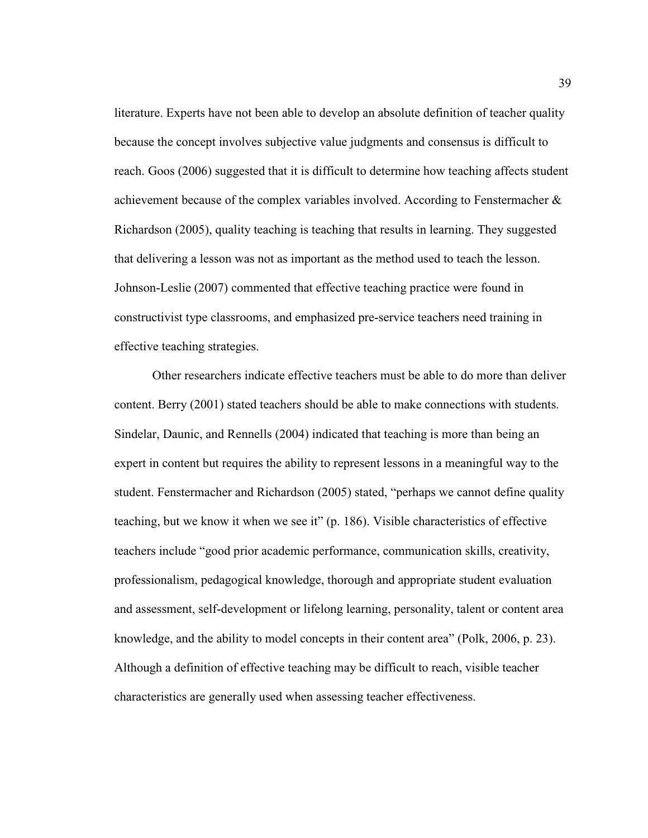literature. Experts have not been able to develop an absolute definition of teacher quality because the concept involves subjective value judgments and consensus is difficult to reach. Goos (2006) suggested that it is difficult to determine how teaching affects student achievement because of the complex variables involved. According to Fenstermacher & Richardson (2005), quality teaching is teaching that results in learning. They suggested that delivering a lesson was not as important as the method used to teach the lesson. Johnson-Leslie (2007) commented that effective teaching practice were found in constructivist type classrooms, and emphasized pre-service teachers need training in effective teaching strategies.

Other researchers indicate effective teachers must be able to do more than deliver content. Berry (2001) stated teachers should be able to make connections with students. Sindelar, Daunic, and Rennells (2004) indicated that teaching is more than being an expert in content but requires the ability to represent lessons in a meaningful way to the student. Fenstermacher and Richardson (2005) stated, "perhaps we cannot define quality teaching, but we know it when we see it" (p. 186). Visible characteristics of effective teachers include "good prior academic performance, communication skills, creativity, professionalism, pedagogical knowledge, thorough and appropriate student evaluation and assessment, self-development or lifelong learning, personality, talent or content area knowledge, and the ability to model concepts in their content area" (Polk, 2006, p. 23). Although a definition of effective teaching may be difficult to reach, visible teacher characteristics are generally used when assessing teacher effectiveness.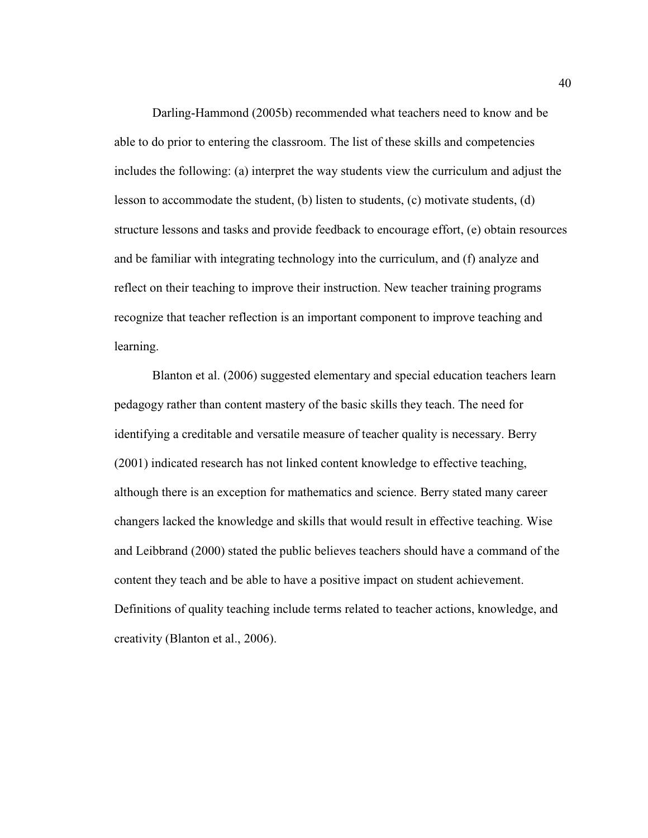Darling-Hammond (2005b) recommended what teachers need to know and be able to do prior to entering the classroom. The list of these skills and competencies includes the following: (a) interpret the way students view the curriculum and adjust the lesson to accommodate the student, (b) listen to students, (c) motivate students, (d) structure lessons and tasks and provide feedback to encourage effort, (e) obtain resources and be familiar with integrating technology into the curriculum, and (f) analyze and reflect on their teaching to improve their instruction. New teacher training programs recognize that teacher reflection is an important component to improve teaching and learning.

Blanton et al. (2006) suggested elementary and special education teachers learn pedagogy rather than content mastery of the basic skills they teach. The need for identifying a creditable and versatile measure of teacher quality is necessary. Berry (2001) indicated research has not linked content knowledge to effective teaching, although there is an exception for mathematics and science. Berry stated many career changers lacked the knowledge and skills that would result in effective teaching. Wise and Leibbrand (2000) stated the public believes teachers should have a command of the content they teach and be able to have a positive impact on student achievement. Definitions of quality teaching include terms related to teacher actions, knowledge, and creativity (Blanton et al., 2006).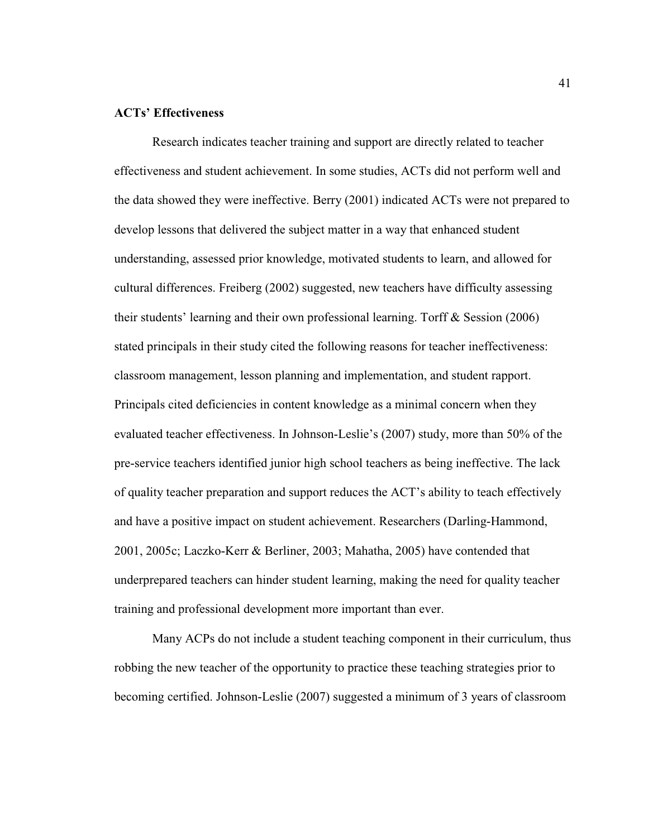# **ACTs' Effectiveness**

Research indicates teacher training and support are directly related to teacher effectiveness and student achievement. In some studies, ACTs did not perform well and the data showed they were ineffective. Berry (2001) indicated ACTs were not prepared to develop lessons that delivered the subject matter in a way that enhanced student understanding, assessed prior knowledge, motivated students to learn, and allowed for cultural differences. Freiberg (2002) suggested, new teachers have difficulty assessing their students' learning and their own professional learning. Torff & Session (2006) stated principals in their study cited the following reasons for teacher ineffectiveness: classroom management, lesson planning and implementation, and student rapport. Principals cited deficiencies in content knowledge as a minimal concern when they evaluated teacher effectiveness. In Johnson-Leslie's (2007) study, more than 50% of the pre-service teachers identified junior high school teachers as being ineffective. The lack of quality teacher preparation and support reduces the ACT's ability to teach effectively and have a positive impact on student achievement. Researchers (Darling-Hammond, 2001, 2005c; Laczko-Kerr & Berliner, 2003; Mahatha, 2005) have contended that underprepared teachers can hinder student learning, making the need for quality teacher training and professional development more important than ever.

Many ACPs do not include a student teaching component in their curriculum, thus robbing the new teacher of the opportunity to practice these teaching strategies prior to becoming certified. Johnson-Leslie (2007) suggested a minimum of 3 years of classroom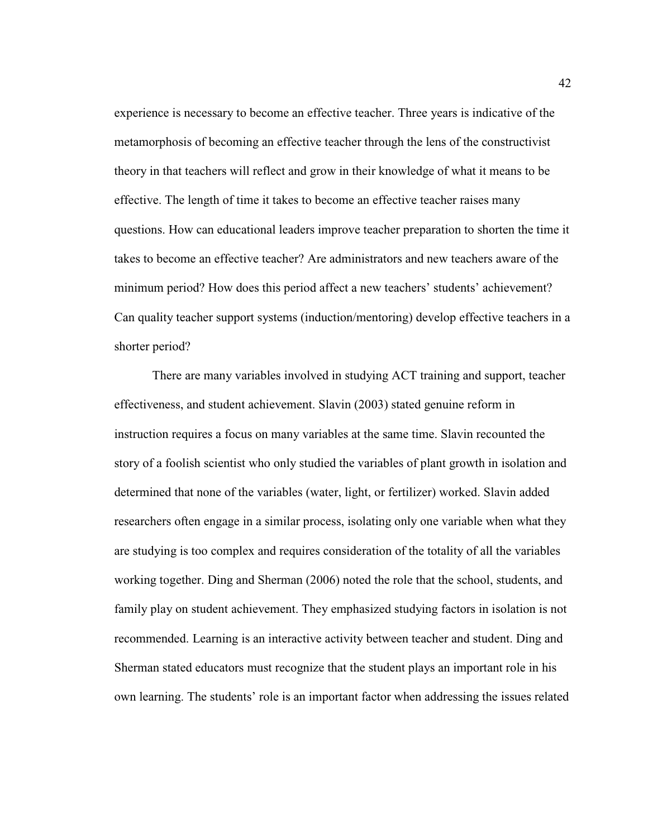experience is necessary to become an effective teacher. Three years is indicative of the metamorphosis of becoming an effective teacher through the lens of the constructivist theory in that teachers will reflect and grow in their knowledge of what it means to be effective. The length of time it takes to become an effective teacher raises many questions. How can educational leaders improve teacher preparation to shorten the time it takes to become an effective teacher? Are administrators and new teachers aware of the minimum period? How does this period affect a new teachers' students' achievement? Can quality teacher support systems (induction/mentoring) develop effective teachers in a shorter period?

There are many variables involved in studying ACT training and support, teacher effectiveness, and student achievement. Slavin (2003) stated genuine reform in instruction requires a focus on many variables at the same time. Slavin recounted the story of a foolish scientist who only studied the variables of plant growth in isolation and determined that none of the variables (water, light, or fertilizer) worked. Slavin added researchers often engage in a similar process, isolating only one variable when what they are studying is too complex and requires consideration of the totality of all the variables working together. Ding and Sherman (2006) noted the role that the school, students, and family play on student achievement. They emphasized studying factors in isolation is not recommended. Learning is an interactive activity between teacher and student. Ding and Sherman stated educators must recognize that the student plays an important role in his own learning. The students' role is an important factor when addressing the issues related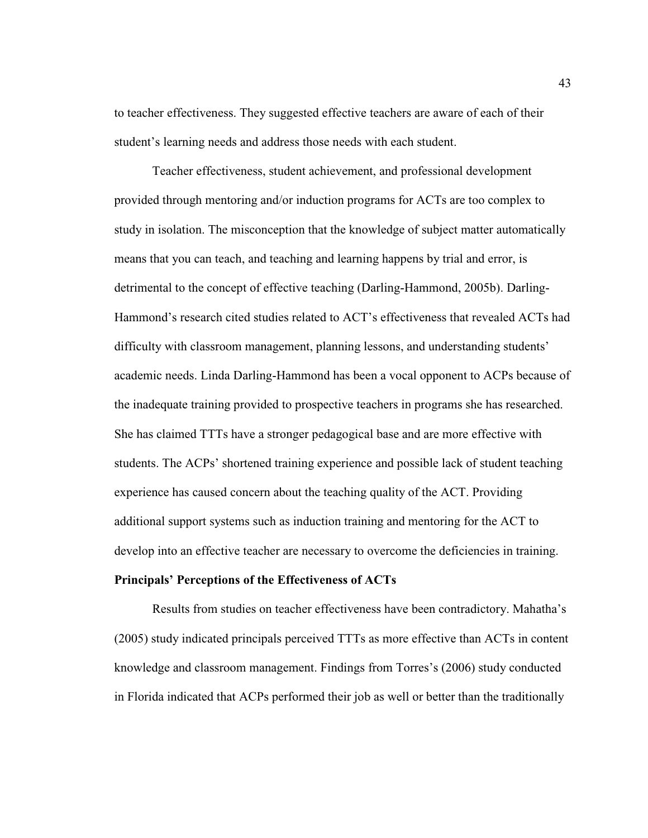to teacher effectiveness. They suggested effective teachers are aware of each of their student's learning needs and address those needs with each student.

Teacher effectiveness, student achievement, and professional development provided through mentoring and/or induction programs for ACTs are too complex to study in isolation. The misconception that the knowledge of subject matter automatically means that you can teach, and teaching and learning happens by trial and error, is detrimental to the concept of effective teaching (Darling-Hammond, 2005b). Darling-Hammond's research cited studies related to ACT's effectiveness that revealed ACTs had difficulty with classroom management, planning lessons, and understanding students' academic needs. Linda Darling-Hammond has been a vocal opponent to ACPs because of the inadequate training provided to prospective teachers in programs she has researched. She has claimed TTTs have a stronger pedagogical base and are more effective with students. The ACPs' shortened training experience and possible lack of student teaching experience has caused concern about the teaching quality of the ACT. Providing additional support systems such as induction training and mentoring for the ACT to develop into an effective teacher are necessary to overcome the deficiencies in training.

#### **Principals' Perceptions of the Effectiveness of ACTs**

Results from studies on teacher effectiveness have been contradictory. Mahatha's (2005) study indicated principals perceived TTTs as more effective than ACTs in content knowledge and classroom management. Findings from Torres's (2006) study conducted in Florida indicated that ACPs performed their job as well or better than the traditionally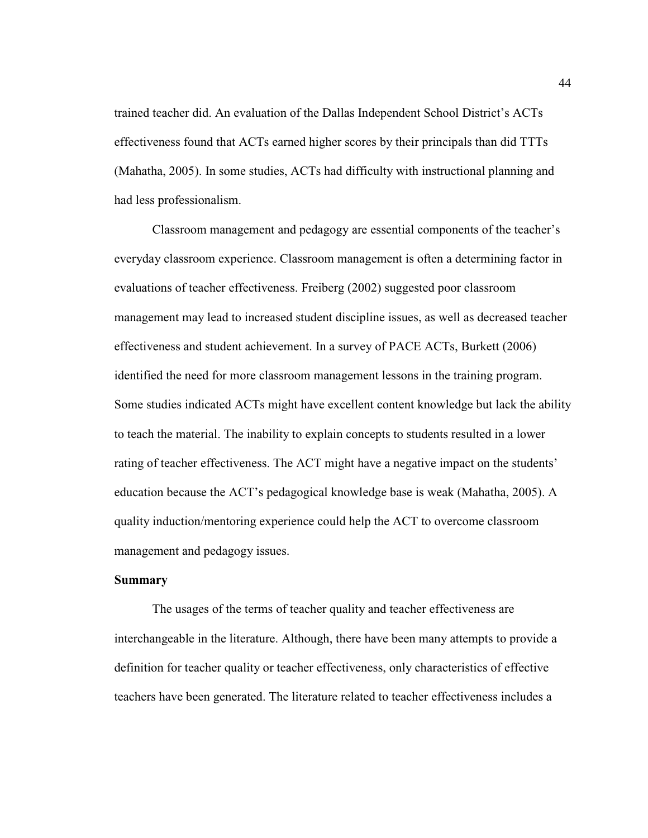trained teacher did. An evaluation of the Dallas Independent School District's ACTs effectiveness found that ACTs earned higher scores by their principals than did TTTs (Mahatha, 2005). In some studies, ACTs had difficulty with instructional planning and had less professionalism.

Classroom management and pedagogy are essential components of the teacher's everyday classroom experience. Classroom management is often a determining factor in evaluations of teacher effectiveness. Freiberg (2002) suggested poor classroom management may lead to increased student discipline issues, as well as decreased teacher effectiveness and student achievement. In a survey of PACE ACTs, Burkett (2006) identified the need for more classroom management lessons in the training program. Some studies indicated ACTs might have excellent content knowledge but lack the ability to teach the material. The inability to explain concepts to students resulted in a lower rating of teacher effectiveness. The ACT might have a negative impact on the students' education because the ACT's pedagogical knowledge base is weak (Mahatha, 2005). A quality induction/mentoring experience could help the ACT to overcome classroom management and pedagogy issues.

# **Summary**

The usages of the terms of teacher quality and teacher effectiveness are interchangeable in the literature. Although, there have been many attempts to provide a definition for teacher quality or teacher effectiveness, only characteristics of effective teachers have been generated. The literature related to teacher effectiveness includes a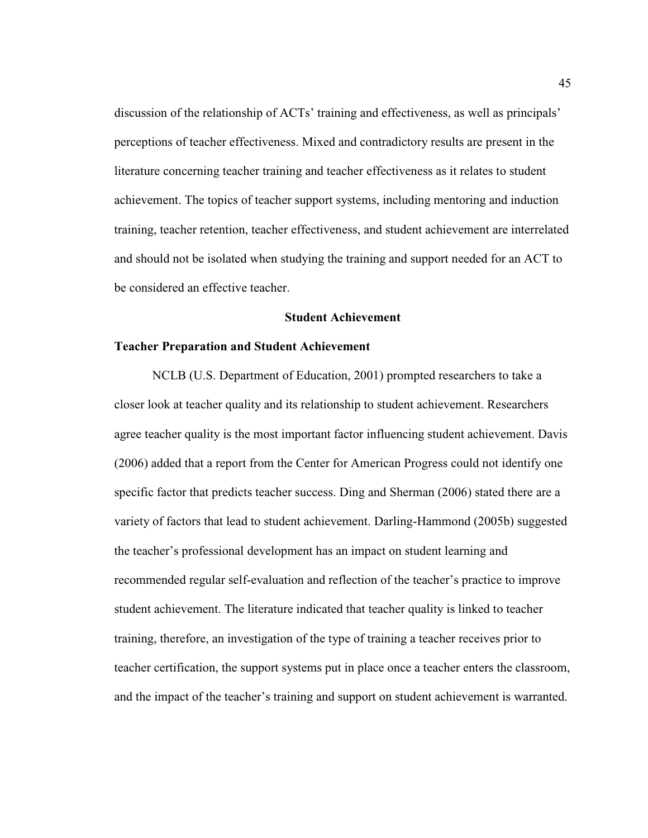discussion of the relationship of ACTs' training and effectiveness, as well as principals' perceptions of teacher effectiveness. Mixed and contradictory results are present in the literature concerning teacher training and teacher effectiveness as it relates to student achievement. The topics of teacher support systems, including mentoring and induction training, teacher retention, teacher effectiveness, and student achievement are interrelated and should not be isolated when studying the training and support needed for an ACT to be considered an effective teacher.

## **Student Achievement**

# **Teacher Preparation and Student Achievement**

NCLB (U.S. Department of Education, 2001) prompted researchers to take a closer look at teacher quality and its relationship to student achievement. Researchers agree teacher quality is the most important factor influencing student achievement. Davis (2006) added that a report from the Center for American Progress could not identify one specific factor that predicts teacher success. Ding and Sherman (2006) stated there are a variety of factors that lead to student achievement. Darling-Hammond (2005b) suggested the teacher's professional development has an impact on student learning and recommended regular self-evaluation and reflection of the teacher's practice to improve student achievement. The literature indicated that teacher quality is linked to teacher training, therefore, an investigation of the type of training a teacher receives prior to teacher certification, the support systems put in place once a teacher enters the classroom, and the impact of the teacher's training and support on student achievement is warranted.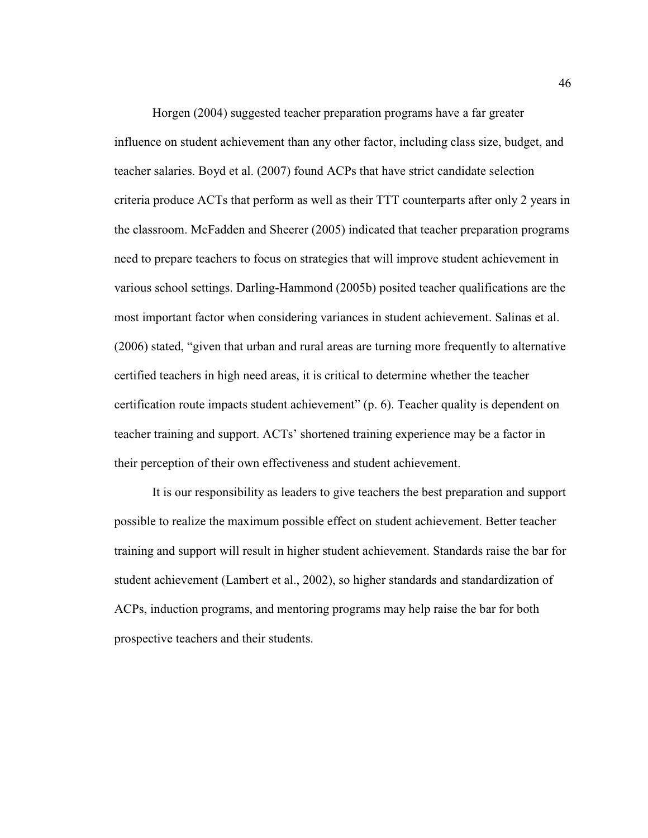Horgen (2004) suggested teacher preparation programs have a far greater influence on student achievement than any other factor, including class size, budget, and teacher salaries. Boyd et al. (2007) found ACPs that have strict candidate selection criteria produce ACTs that perform as well as their TTT counterparts after only 2 years in the classroom. McFadden and Sheerer (2005) indicated that teacher preparation programs need to prepare teachers to focus on strategies that will improve student achievement in various school settings. Darling-Hammond (2005b) posited teacher qualifications are the most important factor when considering variances in student achievement. Salinas et al. (2006) stated, "given that urban and rural areas are turning more frequently to alternative certified teachers in high need areas, it is critical to determine whether the teacher certification route impacts student achievement" (p. 6). Teacher quality is dependent on teacher training and support. ACTs' shortened training experience may be a factor in their perception of their own effectiveness and student achievement.

It is our responsibility as leaders to give teachers the best preparation and support possible to realize the maximum possible effect on student achievement. Better teacher training and support will result in higher student achievement. Standards raise the bar for student achievement (Lambert et al., 2002), so higher standards and standardization of ACPs, induction programs, and mentoring programs may help raise the bar for both prospective teachers and their students.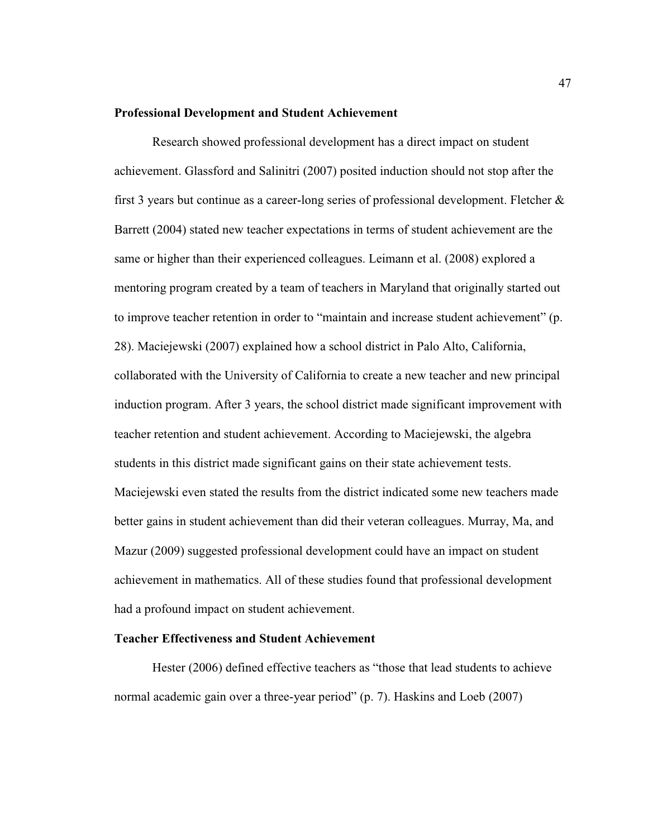#### **Professional Development and Student Achievement**

Research showed professional development has a direct impact on student achievement. Glassford and Salinitri (2007) posited induction should not stop after the first 3 years but continue as a career-long series of professional development. Fletcher  $\&$ Barrett (2004) stated new teacher expectations in terms of student achievement are the same or higher than their experienced colleagues. Leimann et al. (2008) explored a mentoring program created by a team of teachers in Maryland that originally started out to improve teacher retention in order to "maintain and increase student achievement" (p. 28). Maciejewski (2007) explained how a school district in Palo Alto, California, collaborated with the University of California to create a new teacher and new principal induction program. After 3 years, the school district made significant improvement with teacher retention and student achievement. According to Maciejewski, the algebra students in this district made significant gains on their state achievement tests. Maciejewski even stated the results from the district indicated some new teachers made better gains in student achievement than did their veteran colleagues. Murray, Ma, and Mazur (2009) suggested professional development could have an impact on student achievement in mathematics. All of these studies found that professional development had a profound impact on student achievement.

## **Teacher Effectiveness and Student Achievement**

Hester (2006) defined effective teachers as "those that lead students to achieve normal academic gain over a three-year period" (p. 7). Haskins and Loeb (2007)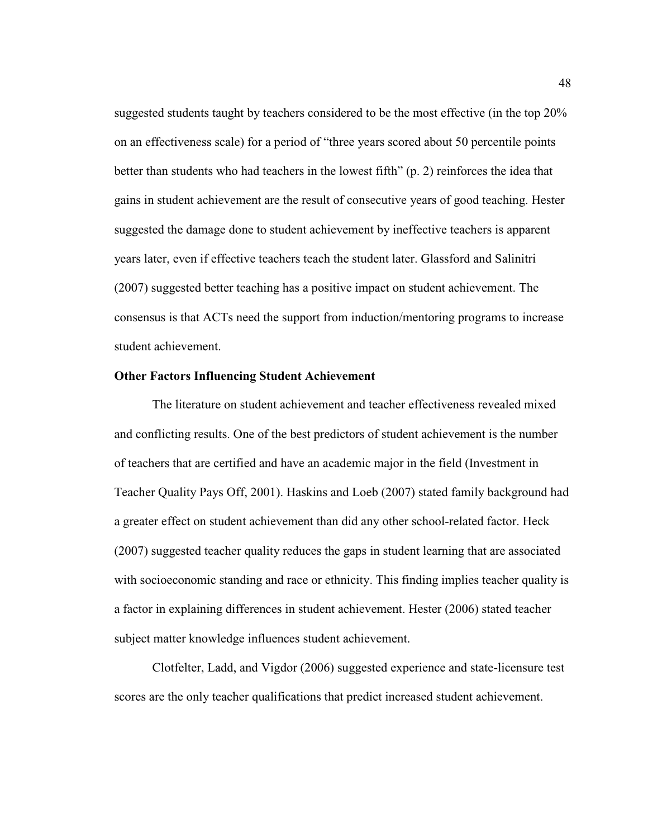suggested students taught by teachers considered to be the most effective (in the top 20% on an effectiveness scale) for a period of "three years scored about 50 percentile points better than students who had teachers in the lowest fifth" (p. 2) reinforces the idea that gains in student achievement are the result of consecutive years of good teaching. Hester suggested the damage done to student achievement by ineffective teachers is apparent years later, even if effective teachers teach the student later. Glassford and Salinitri (2007) suggested better teaching has a positive impact on student achievement. The consensus is that ACTs need the support from induction/mentoring programs to increase student achievement.

### **Other Factors Influencing Student Achievement**

The literature on student achievement and teacher effectiveness revealed mixed and conflicting results. One of the best predictors of student achievement is the number of teachers that are certified and have an academic major in the field (Investment in Teacher Quality Pays Off, 2001). Haskins and Loeb (2007) stated family background had a greater effect on student achievement than did any other school-related factor. Heck (2007) suggested teacher quality reduces the gaps in student learning that are associated with socioeconomic standing and race or ethnicity. This finding implies teacher quality is a factor in explaining differences in student achievement. Hester (2006) stated teacher subject matter knowledge influences student achievement.

Clotfelter, Ladd, and Vigdor (2006) suggested experience and state-licensure test scores are the only teacher qualifications that predict increased student achievement.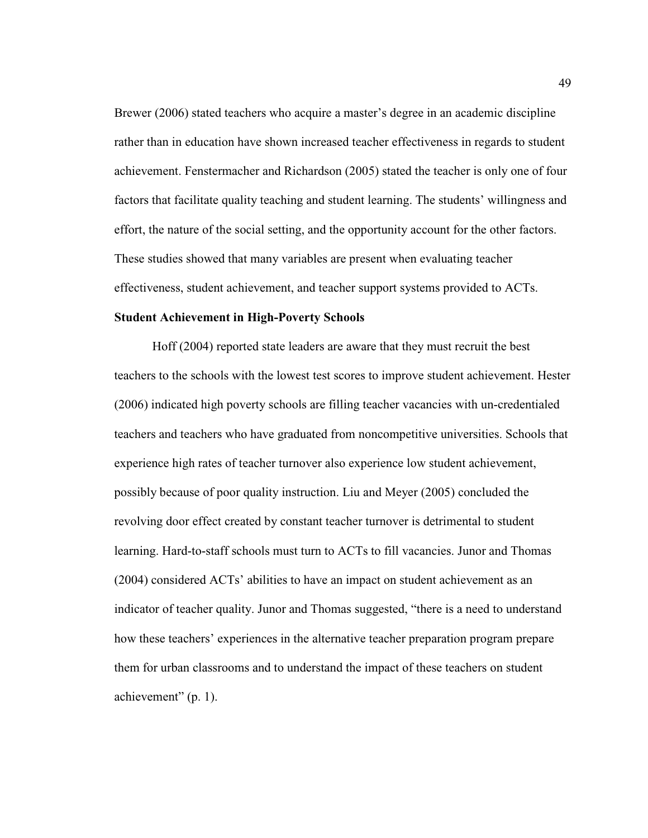Brewer (2006) stated teachers who acquire a master's degree in an academic discipline rather than in education have shown increased teacher effectiveness in regards to student achievement. Fenstermacher and Richardson (2005) stated the teacher is only one of four factors that facilitate quality teaching and student learning. The students' willingness and effort, the nature of the social setting, and the opportunity account for the other factors. These studies showed that many variables are present when evaluating teacher effectiveness, student achievement, and teacher support systems provided to ACTs.

#### **Student Achievement in High-Poverty Schools**

Hoff (2004) reported state leaders are aware that they must recruit the best teachers to the schools with the lowest test scores to improve student achievement. Hester (2006) indicated high poverty schools are filling teacher vacancies with un-credentialed teachers and teachers who have graduated from noncompetitive universities. Schools that experience high rates of teacher turnover also experience low student achievement, possibly because of poor quality instruction. Liu and Meyer (2005) concluded the revolving door effect created by constant teacher turnover is detrimental to student learning. Hard-to-staff schools must turn to ACTs to fill vacancies. Junor and Thomas (2004) considered ACTs' abilities to have an impact on student achievement as an indicator of teacher quality. Junor and Thomas suggested, "there is a need to understand how these teachers' experiences in the alternative teacher preparation program prepare them for urban classrooms and to understand the impact of these teachers on student achievement" (p. 1).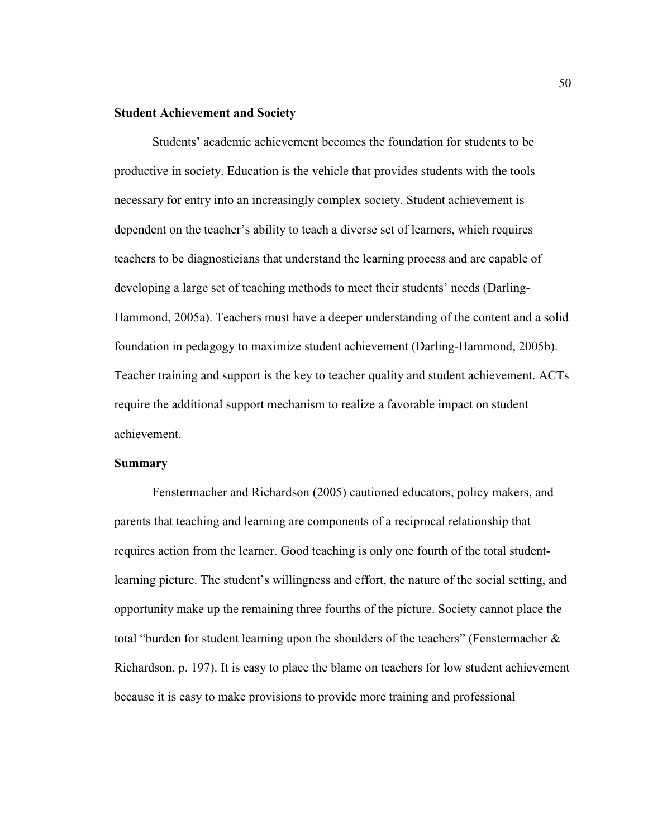# **Student Achievement and Society**

Students' academic achievement becomes the foundation for students to be productive in society. Education is the vehicle that provides students with the tools necessary for entry into an increasingly complex society. Student achievement is dependent on the teacher's ability to teach a diverse set of learners, which requires teachers to be diagnosticians that understand the learning process and are capable of developing a large set of teaching methods to meet their students' needs (Darling-Hammond, 2005a). Teachers must have a deeper understanding of the content and a solid foundation in pedagogy to maximize student achievement (Darling-Hammond, 2005b). Teacher training and support is the key to teacher quality and student achievement. ACTs require the additional support mechanism to realize a favorable impact on student achievement.

#### **Summary**

Fenstermacher and Richardson (2005) cautioned educators, policy makers, and parents that teaching and learning are components of a reciprocal relationship that requires action from the learner. Good teaching is only one fourth of the total studentlearning picture. The student's willingness and effort, the nature of the social setting, and opportunity make up the remaining three fourths of the picture. Society cannot place the total "burden for student learning upon the shoulders of the teachers" (Fenstermacher  $\&$ Richardson, p. 197). It is easy to place the blame on teachers for low student achievement because it is easy to make provisions to provide more training and professional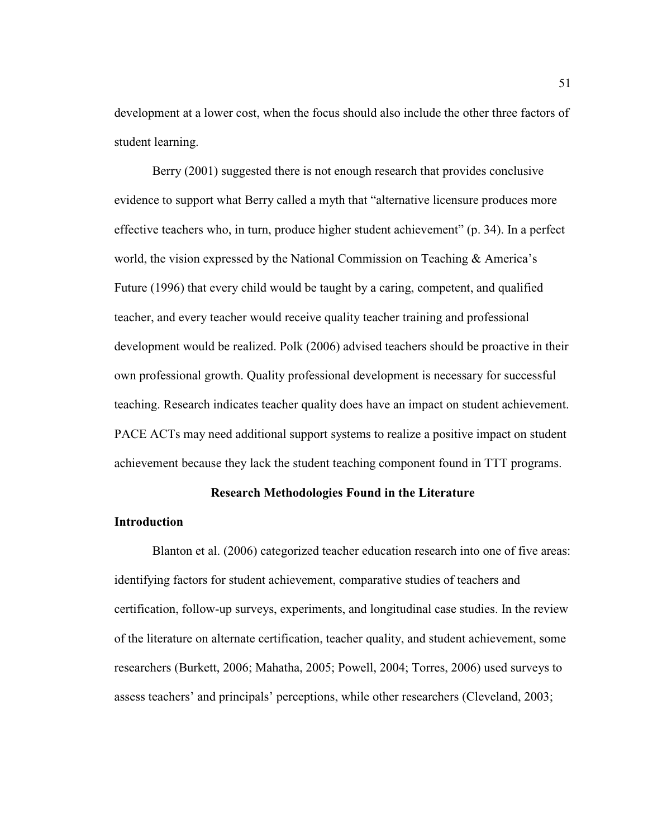development at a lower cost, when the focus should also include the other three factors of student learning.

Berry (2001) suggested there is not enough research that provides conclusive evidence to support what Berry called a myth that "alternative licensure produces more effective teachers who, in turn, produce higher student achievement" (p. 34). In a perfect world, the vision expressed by the National Commission on Teaching & America's Future (1996) that every child would be taught by a caring, competent, and qualified teacher, and every teacher would receive quality teacher training and professional development would be realized. Polk (2006) advised teachers should be proactive in their own professional growth. Quality professional development is necessary for successful teaching. Research indicates teacher quality does have an impact on student achievement. PACE ACTs may need additional support systems to realize a positive impact on student achievement because they lack the student teaching component found in TTT programs.

# **Research Methodologies Found in the Literature**

#### **Introduction**

Blanton et al. (2006) categorized teacher education research into one of five areas: identifying factors for student achievement, comparative studies of teachers and certification, follow-up surveys, experiments, and longitudinal case studies. In the review of the literature on alternate certification, teacher quality, and student achievement, some researchers (Burkett, 2006; Mahatha, 2005; Powell, 2004; Torres, 2006) used surveys to assess teachers' and principals' perceptions, while other researchers (Cleveland, 2003;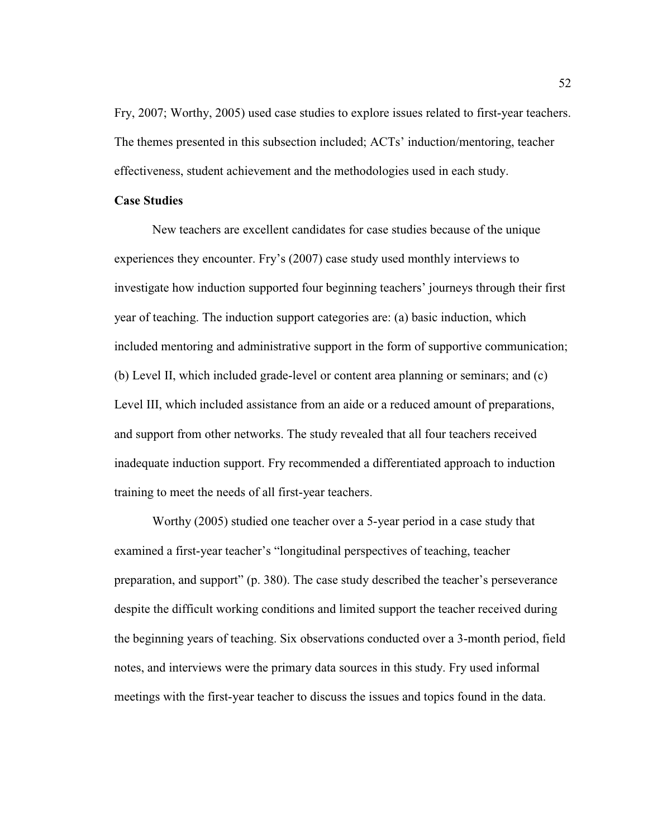Fry, 2007; Worthy, 2005) used case studies to explore issues related to first-year teachers. The themes presented in this subsection included; ACTs' induction/mentoring, teacher effectiveness, student achievement and the methodologies used in each study.

## **Case Studies**

New teachers are excellent candidates for case studies because of the unique experiences they encounter. Fry's (2007) case study used monthly interviews to investigate how induction supported four beginning teachers' journeys through their first year of teaching. The induction support categories are: (a) basic induction, which included mentoring and administrative support in the form of supportive communication; (b) Level II, which included grade-level or content area planning or seminars; and (c) Level III, which included assistance from an aide or a reduced amount of preparations, and support from other networks. The study revealed that all four teachers received inadequate induction support. Fry recommended a differentiated approach to induction training to meet the needs of all first-year teachers.

Worthy (2005) studied one teacher over a 5-year period in a case study that examined a first-year teacher's "longitudinal perspectives of teaching, teacher preparation, and support" (p. 380). The case study described the teacher's perseverance despite the difficult working conditions and limited support the teacher received during the beginning years of teaching. Six observations conducted over a 3-month period, field notes, and interviews were the primary data sources in this study. Fry used informal meetings with the first-year teacher to discuss the issues and topics found in the data.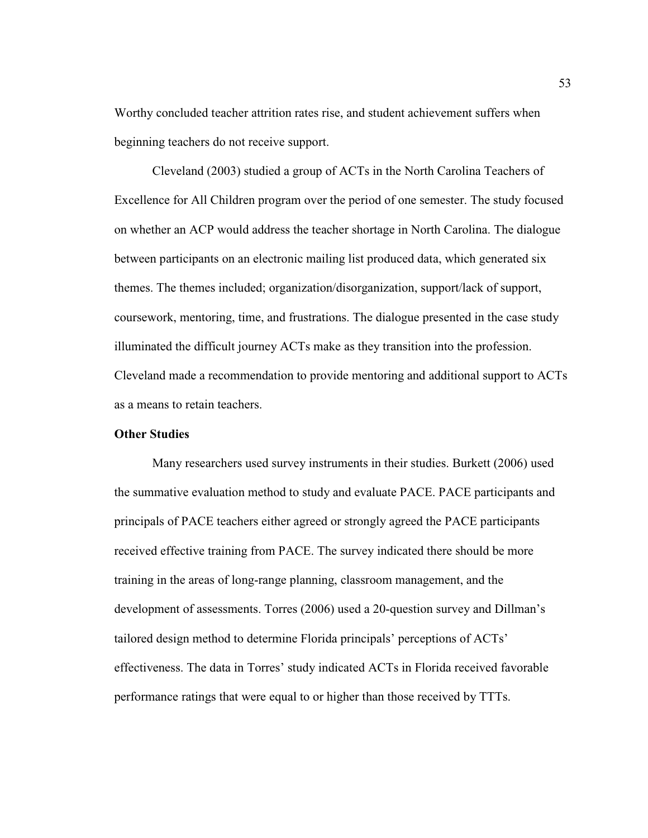Worthy concluded teacher attrition rates rise, and student achievement suffers when beginning teachers do not receive support.

Cleveland (2003) studied a group of ACTs in the North Carolina Teachers of Excellence for All Children program over the period of one semester. The study focused on whether an ACP would address the teacher shortage in North Carolina. The dialogue between participants on an electronic mailing list produced data, which generated six themes. The themes included; organization/disorganization, support/lack of support, coursework, mentoring, time, and frustrations. The dialogue presented in the case study illuminated the difficult journey ACTs make as they transition into the profession. Cleveland made a recommendation to provide mentoring and additional support to ACTs as a means to retain teachers.

# **Other Studies**

Many researchers used survey instruments in their studies. Burkett (2006) used the summative evaluation method to study and evaluate PACE. PACE participants and principals of PACE teachers either agreed or strongly agreed the PACE participants received effective training from PACE. The survey indicated there should be more training in the areas of long-range planning, classroom management, and the development of assessments. Torres (2006) used a 20-question survey and Dillman's tailored design method to determine Florida principals' perceptions of ACTs' effectiveness. The data in Torres' study indicated ACTs in Florida received favorable performance ratings that were equal to or higher than those received by TTTs.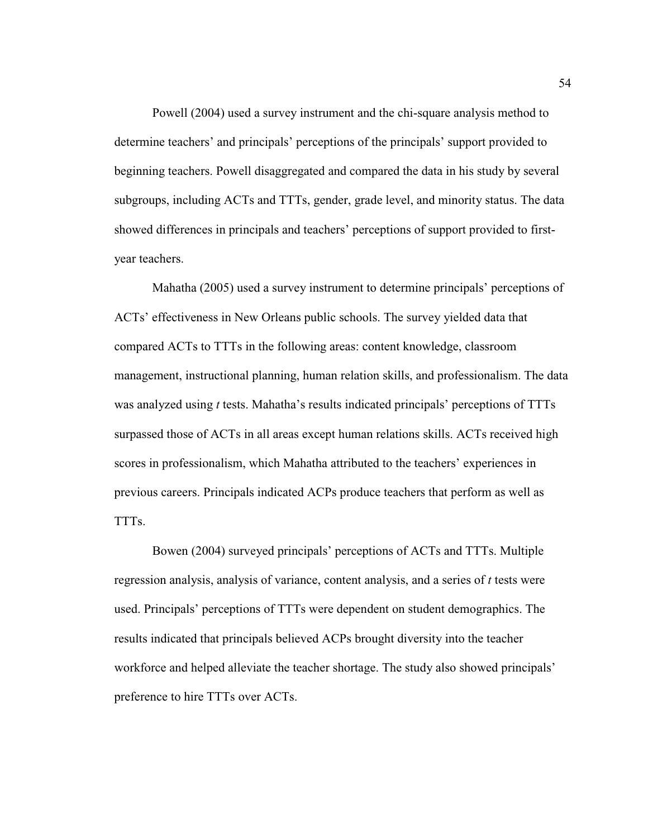Powell (2004) used a survey instrument and the chi-square analysis method to determine teachers' and principals' perceptions of the principals' support provided to beginning teachers. Powell disaggregated and compared the data in his study by several subgroups, including ACTs and TTTs, gender, grade level, and minority status. The data showed differences in principals and teachers' perceptions of support provided to firstyear teachers.

Mahatha (2005) used a survey instrument to determine principals' perceptions of ACTs' effectiveness in New Orleans public schools. The survey yielded data that compared ACTs to TTTs in the following areas: content knowledge, classroom management, instructional planning, human relation skills, and professionalism. The data was analyzed using *t* tests. Mahatha's results indicated principals' perceptions of TTTs surpassed those of ACTs in all areas except human relations skills. ACTs received high scores in professionalism, which Mahatha attributed to the teachers' experiences in previous careers. Principals indicated ACPs produce teachers that perform as well as TTTs.

Bowen (2004) surveyed principals' perceptions of ACTs and TTTs. Multiple regression analysis, analysis of variance, content analysis, and a series of *t* tests were used. Principals' perceptions of TTTs were dependent on student demographics. The results indicated that principals believed ACPs brought diversity into the teacher workforce and helped alleviate the teacher shortage. The study also showed principals' preference to hire TTTs over ACTs.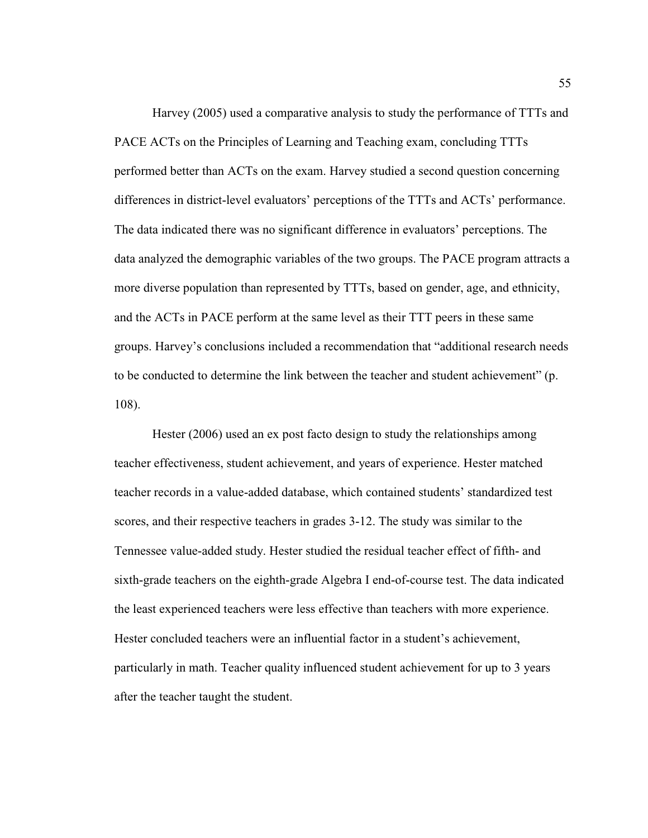Harvey (2005) used a comparative analysis to study the performance of TTTs and PACE ACTs on the Principles of Learning and Teaching exam, concluding TTTs performed better than ACTs on the exam. Harvey studied a second question concerning differences in district-level evaluators' perceptions of the TTTs and ACTs' performance. The data indicated there was no significant difference in evaluators' perceptions. The data analyzed the demographic variables of the two groups. The PACE program attracts a more diverse population than represented by TTTs, based on gender, age, and ethnicity, and the ACTs in PACE perform at the same level as their TTT peers in these same groups. Harvey's conclusions included a recommendation that "additional research needs to be conducted to determine the link between the teacher and student achievement" (p. 108).

Hester (2006) used an ex post facto design to study the relationships among teacher effectiveness, student achievement, and years of experience. Hester matched teacher records in a value-added database, which contained students' standardized test scores, and their respective teachers in grades 3-12. The study was similar to the Tennessee value-added study. Hester studied the residual teacher effect of fifth- and sixth-grade teachers on the eighth-grade Algebra I end-of-course test. The data indicated the least experienced teachers were less effective than teachers with more experience. Hester concluded teachers were an influential factor in a student's achievement, particularly in math. Teacher quality influenced student achievement for up to 3 years after the teacher taught the student.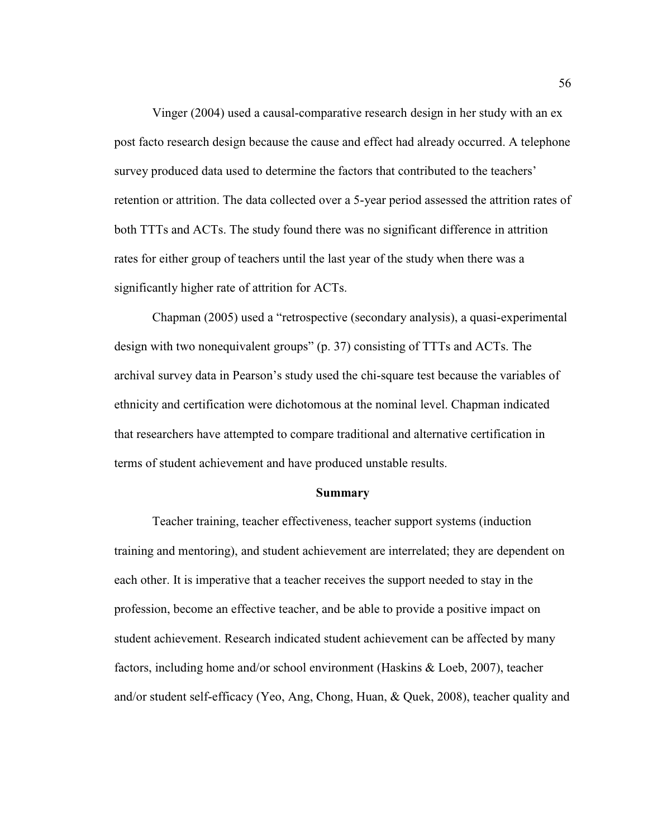Vinger (2004) used a causal-comparative research design in her study with an ex post facto research design because the cause and effect had already occurred. A telephone survey produced data used to determine the factors that contributed to the teachers' retention or attrition. The data collected over a 5-year period assessed the attrition rates of both TTTs and ACTs. The study found there was no significant difference in attrition rates for either group of teachers until the last year of the study when there was a significantly higher rate of attrition for ACTs.

Chapman (2005) used a "retrospective (secondary analysis), a quasi-experimental design with two nonequivalent groups" (p. 37) consisting of TTTs and ACTs. The archival survey data in Pearson's study used the chi-square test because the variables of ethnicity and certification were dichotomous at the nominal level. Chapman indicated that researchers have attempted to compare traditional and alternative certification in terms of student achievement and have produced unstable results.

#### **Summary**

Teacher training, teacher effectiveness, teacher support systems (induction training and mentoring), and student achievement are interrelated; they are dependent on each other. It is imperative that a teacher receives the support needed to stay in the profession, become an effective teacher, and be able to provide a positive impact on student achievement. Research indicated student achievement can be affected by many factors, including home and/or school environment (Haskins & Loeb, 2007), teacher and/or student self-efficacy (Yeo, Ang, Chong, Huan, & Quek, 2008), teacher quality and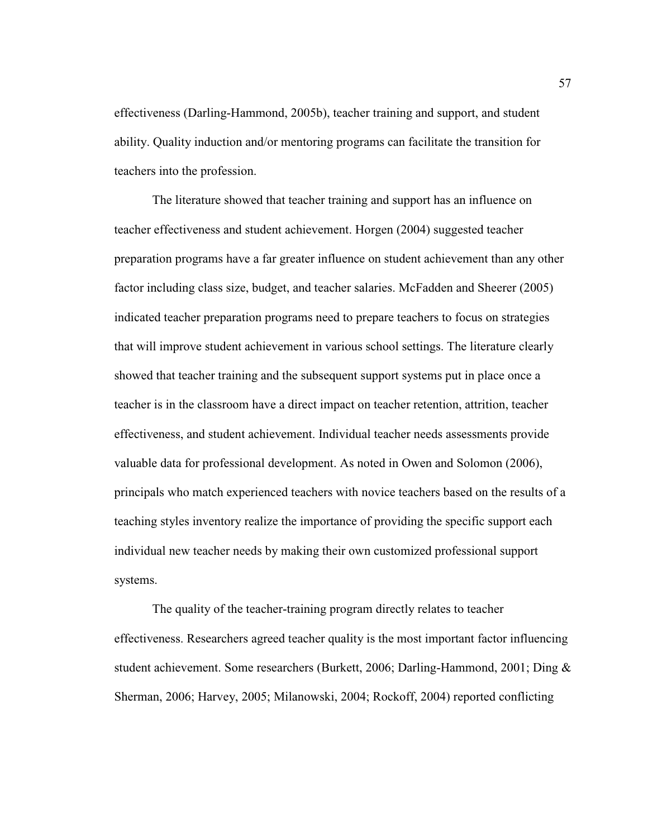effectiveness (Darling-Hammond, 2005b), teacher training and support, and student ability. Quality induction and/or mentoring programs can facilitate the transition for teachers into the profession.

The literature showed that teacher training and support has an influence on teacher effectiveness and student achievement. Horgen (2004) suggested teacher preparation programs have a far greater influence on student achievement than any other factor including class size, budget, and teacher salaries. McFadden and Sheerer (2005) indicated teacher preparation programs need to prepare teachers to focus on strategies that will improve student achievement in various school settings. The literature clearly showed that teacher training and the subsequent support systems put in place once a teacher is in the classroom have a direct impact on teacher retention, attrition, teacher effectiveness, and student achievement. Individual teacher needs assessments provide valuable data for professional development. As noted in Owen and Solomon (2006), principals who match experienced teachers with novice teachers based on the results of a teaching styles inventory realize the importance of providing the specific support each individual new teacher needs by making their own customized professional support systems.

The quality of the teacher-training program directly relates to teacher effectiveness. Researchers agreed teacher quality is the most important factor influencing student achievement. Some researchers (Burkett, 2006; Darling-Hammond, 2001; Ding & Sherman, 2006; Harvey, 2005; Milanowski, 2004; Rockoff, 2004) reported conflicting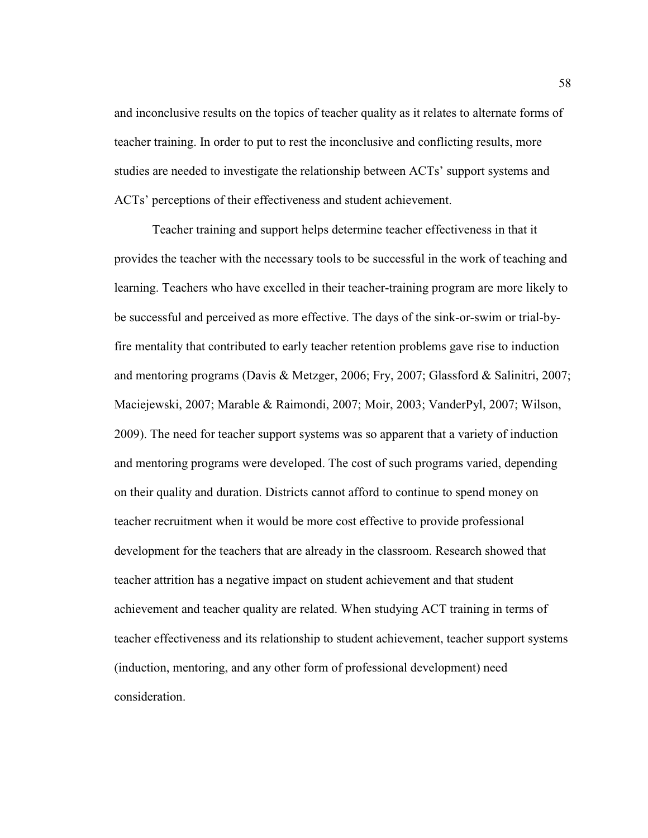and inconclusive results on the topics of teacher quality as it relates to alternate forms of teacher training. In order to put to rest the inconclusive and conflicting results, more studies are needed to investigate the relationship between ACTs' support systems and ACTs' perceptions of their effectiveness and student achievement.

Teacher training and support helps determine teacher effectiveness in that it provides the teacher with the necessary tools to be successful in the work of teaching and learning. Teachers who have excelled in their teacher-training program are more likely to be successful and perceived as more effective. The days of the sink-or-swim or trial-byfire mentality that contributed to early teacher retention problems gave rise to induction and mentoring programs (Davis & Metzger, 2006; Fry, 2007; Glassford & Salinitri, 2007; Maciejewski, 2007; Marable & Raimondi, 2007; Moir, 2003; VanderPyl, 2007; Wilson, 2009). The need for teacher support systems was so apparent that a variety of induction and mentoring programs were developed. The cost of such programs varied, depending on their quality and duration. Districts cannot afford to continue to spend money on teacher recruitment when it would be more cost effective to provide professional development for the teachers that are already in the classroom. Research showed that teacher attrition has a negative impact on student achievement and that student achievement and teacher quality are related. When studying ACT training in terms of teacher effectiveness and its relationship to student achievement, teacher support systems (induction, mentoring, and any other form of professional development) need consideration.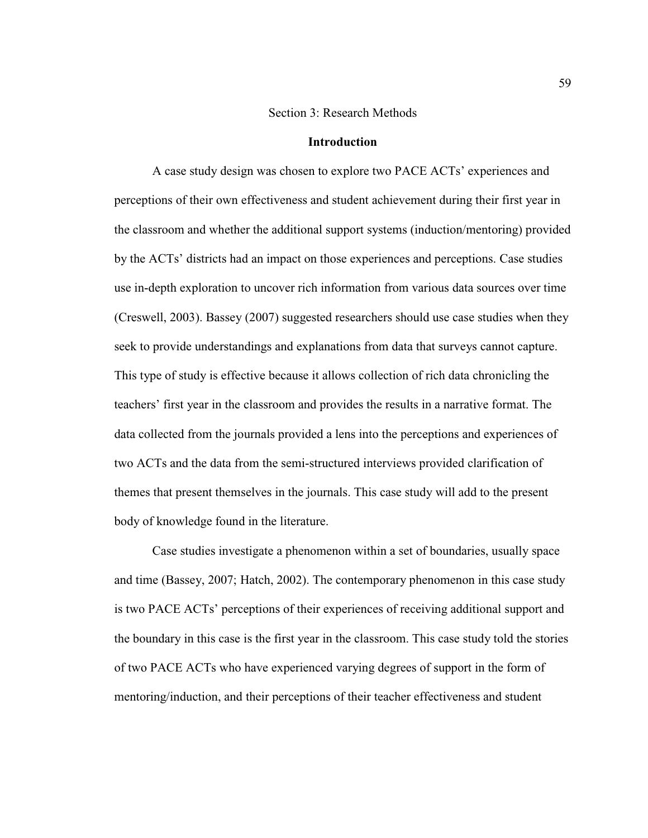### Section 3: Research Methods

### **Introduction**

A case study design was chosen to explore two PACE ACTs' experiences and perceptions of their own effectiveness and student achievement during their first year in the classroom and whether the additional support systems (induction/mentoring) provided by the ACTs' districts had an impact on those experiences and perceptions. Case studies use in-depth exploration to uncover rich information from various data sources over time (Creswell, 2003). Bassey (2007) suggested researchers should use case studies when they seek to provide understandings and explanations from data that surveys cannot capture. This type of study is effective because it allows collection of rich data chronicling the teachers' first year in the classroom and provides the results in a narrative format. The data collected from the journals provided a lens into the perceptions and experiences of two ACTs and the data from the semi-structured interviews provided clarification of themes that present themselves in the journals. This case study will add to the present body of knowledge found in the literature.

Case studies investigate a phenomenon within a set of boundaries, usually space and time (Bassey, 2007; Hatch, 2002). The contemporary phenomenon in this case study is two PACE ACTs' perceptions of their experiences of receiving additional support and the boundary in this case is the first year in the classroom. This case study told the stories of two PACE ACTs who have experienced varying degrees of support in the form of mentoring/induction, and their perceptions of their teacher effectiveness and student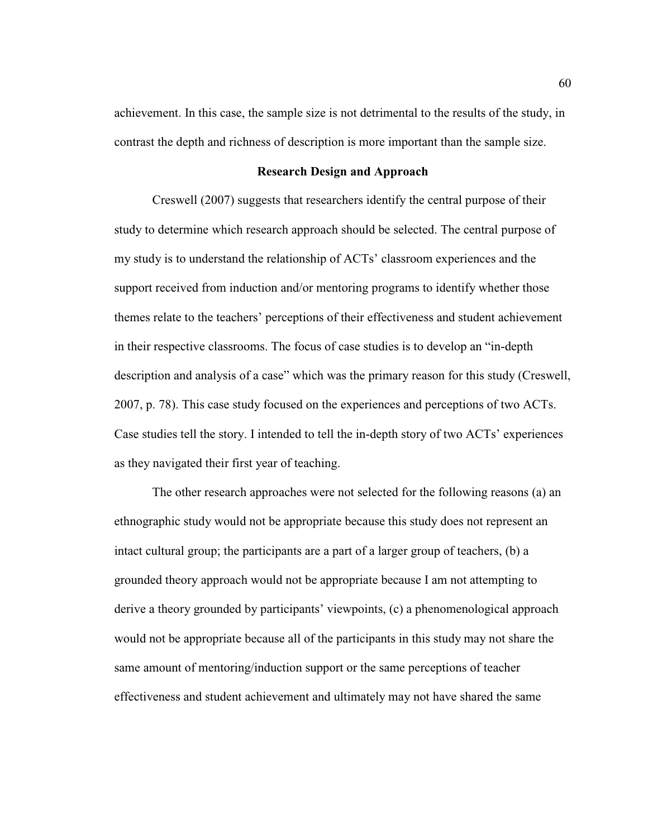achievement. In this case, the sample size is not detrimental to the results of the study, in contrast the depth and richness of description is more important than the sample size.

# **Research Design and Approach**

Creswell (2007) suggests that researchers identify the central purpose of their study to determine which research approach should be selected. The central purpose of my study is to understand the relationship of ACTs' classroom experiences and the support received from induction and/or mentoring programs to identify whether those themes relate to the teachers' perceptions of their effectiveness and student achievement in their respective classrooms. The focus of case studies is to develop an "in-depth description and analysis of a case" which was the primary reason for this study (Creswell, 2007, p. 78). This case study focused on the experiences and perceptions of two ACTs. Case studies tell the story. I intended to tell the in-depth story of two ACTs' experiences as they navigated their first year of teaching.

The other research approaches were not selected for the following reasons (a) an ethnographic study would not be appropriate because this study does not represent an intact cultural group; the participants are a part of a larger group of teachers, (b) a grounded theory approach would not be appropriate because I am not attempting to derive a theory grounded by participants' viewpoints, (c) a phenomenological approach would not be appropriate because all of the participants in this study may not share the same amount of mentoring/induction support or the same perceptions of teacher effectiveness and student achievement and ultimately may not have shared the same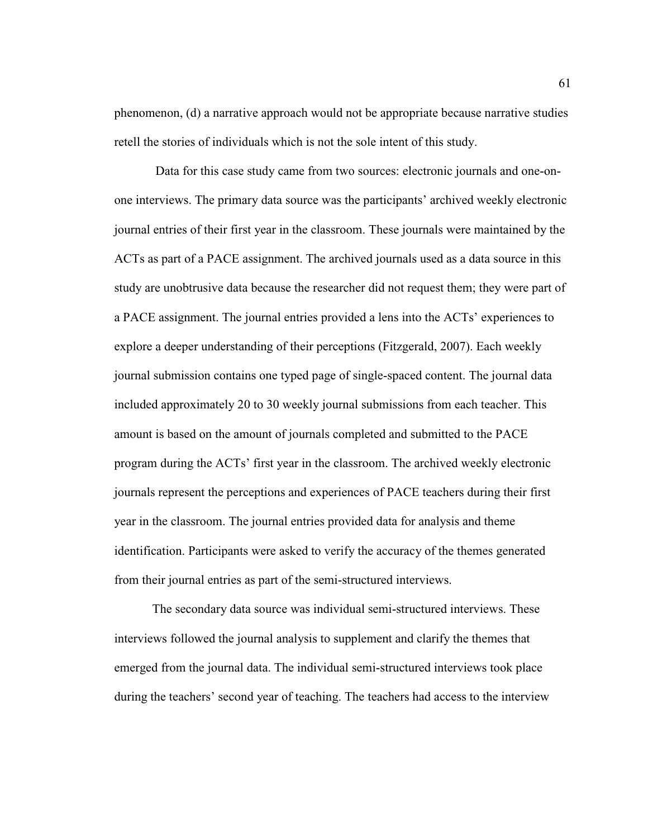phenomenon, (d) a narrative approach would not be appropriate because narrative studies retell the stories of individuals which is not the sole intent of this study.

 Data for this case study came from two sources: electronic journals and one-onone interviews. The primary data source was the participants' archived weekly electronic journal entries of their first year in the classroom. These journals were maintained by the ACTs as part of a PACE assignment. The archived journals used as a data source in this study are unobtrusive data because the researcher did not request them; they were part of a PACE assignment. The journal entries provided a lens into the ACTs' experiences to explore a deeper understanding of their perceptions (Fitzgerald, 2007). Each weekly journal submission contains one typed page of single-spaced content. The journal data included approximately 20 to 30 weekly journal submissions from each teacher. This amount is based on the amount of journals completed and submitted to the PACE program during the ACTs' first year in the classroom. The archived weekly electronic journals represent the perceptions and experiences of PACE teachers during their first year in the classroom. The journal entries provided data for analysis and theme identification. Participants were asked to verify the accuracy of the themes generated from their journal entries as part of the semi-structured interviews.

The secondary data source was individual semi-structured interviews. These interviews followed the journal analysis to supplement and clarify the themes that emerged from the journal data. The individual semi-structured interviews took place during the teachers' second year of teaching. The teachers had access to the interview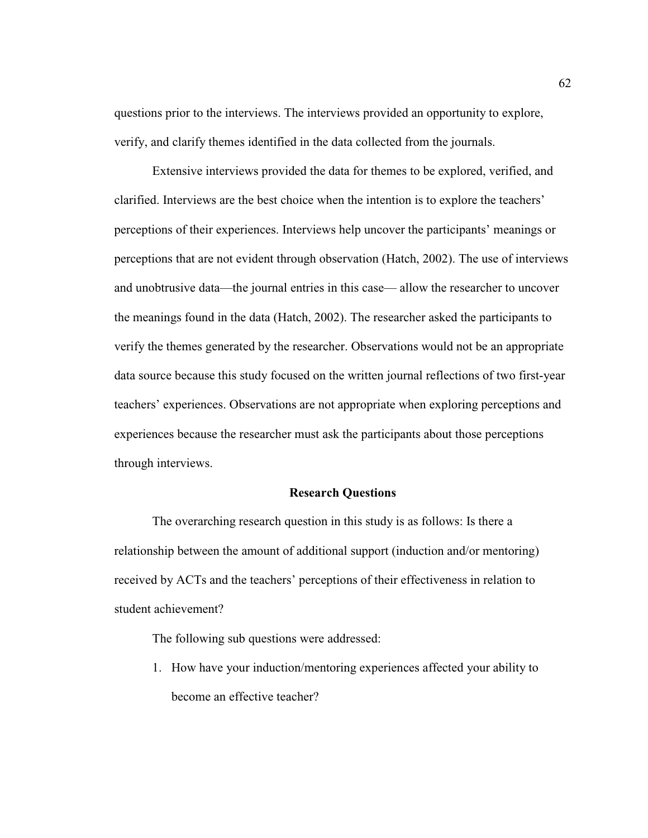questions prior to the interviews. The interviews provided an opportunity to explore, verify, and clarify themes identified in the data collected from the journals.

Extensive interviews provided the data for themes to be explored, verified, and clarified. Interviews are the best choice when the intention is to explore the teachers' perceptions of their experiences. Interviews help uncover the participants' meanings or perceptions that are not evident through observation (Hatch, 2002). The use of interviews and unobtrusive data—the journal entries in this case— allow the researcher to uncover the meanings found in the data (Hatch, 2002). The researcher asked the participants to verify the themes generated by the researcher. Observations would not be an appropriate data source because this study focused on the written journal reflections of two first-year teachers' experiences. Observations are not appropriate when exploring perceptions and experiences because the researcher must ask the participants about those perceptions through interviews.

### **Research Questions**

The overarching research question in this study is as follows: Is there a relationship between the amount of additional support (induction and/or mentoring) received by ACTs and the teachers' perceptions of their effectiveness in relation to student achievement?

The following sub questions were addressed:

1. How have your induction/mentoring experiences affected your ability to become an effective teacher?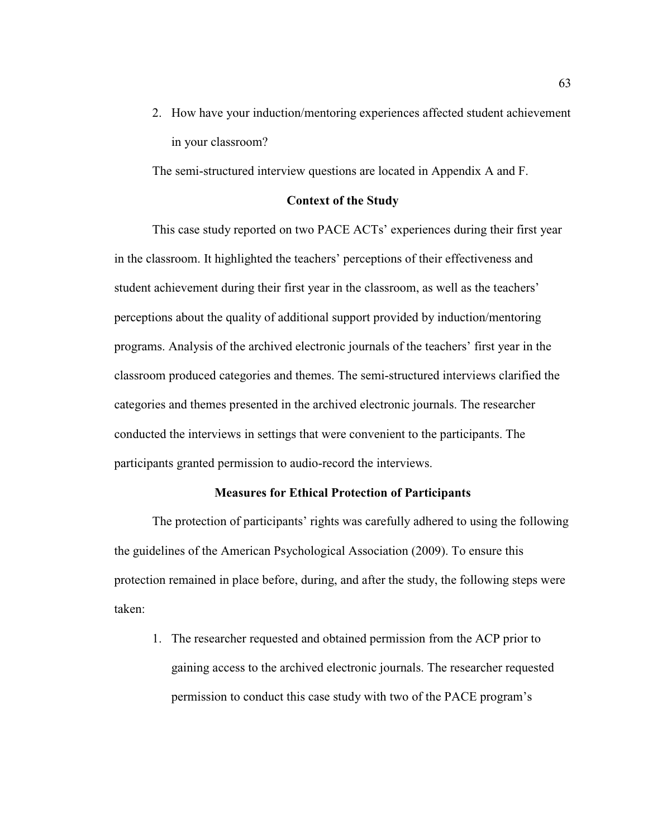2. How have your induction/mentoring experiences affected student achievement in your classroom?

The semi-structured interview questions are located in Appendix A and F.

# **Context of the Study**

This case study reported on two PACE ACTs' experiences during their first year in the classroom. It highlighted the teachers' perceptions of their effectiveness and student achievement during their first year in the classroom, as well as the teachers' perceptions about the quality of additional support provided by induction/mentoring programs. Analysis of the archived electronic journals of the teachers' first year in the classroom produced categories and themes. The semi-structured interviews clarified the categories and themes presented in the archived electronic journals. The researcher conducted the interviews in settings that were convenient to the participants. The participants granted permission to audio-record the interviews.

# **Measures for Ethical Protection of Participants**

The protection of participants' rights was carefully adhered to using the following the guidelines of the American Psychological Association (2009). To ensure this protection remained in place before, during, and after the study, the following steps were taken:

1. The researcher requested and obtained permission from the ACP prior to gaining access to the archived electronic journals. The researcher requested permission to conduct this case study with two of the PACE program's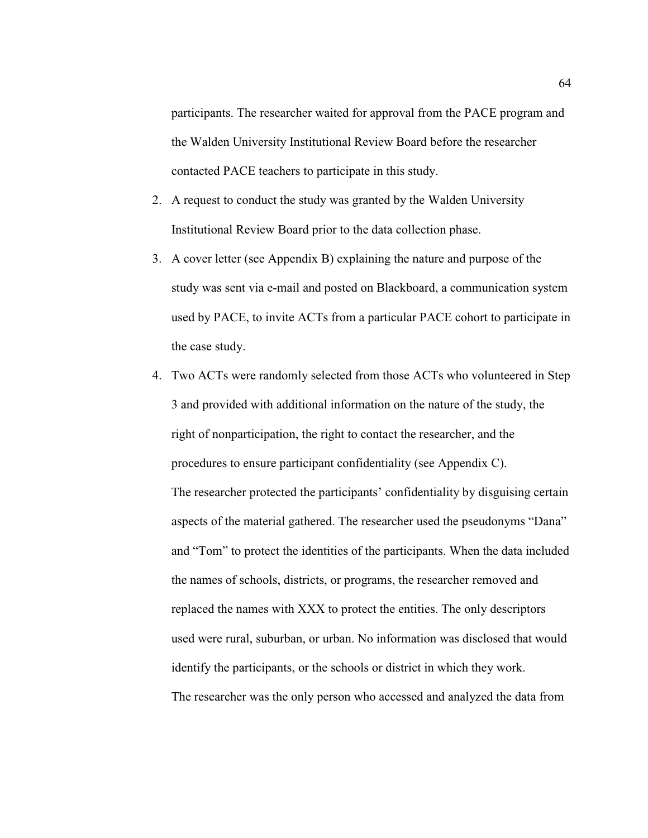participants. The researcher waited for approval from the PACE program and the Walden University Institutional Review Board before the researcher contacted PACE teachers to participate in this study.

- 2. A request to conduct the study was granted by the Walden University Institutional Review Board prior to the data collection phase.
- 3. A cover letter (see Appendix B) explaining the nature and purpose of the study was sent via e-mail and posted on Blackboard, a communication system used by PACE, to invite ACTs from a particular PACE cohort to participate in the case study.
- 4. Two ACTs were randomly selected from those ACTs who volunteered in Step 3 and provided with additional information on the nature of the study, the right of nonparticipation, the right to contact the researcher, and the procedures to ensure participant confidentiality (see Appendix C). The researcher protected the participants' confidentiality by disguising certain aspects of the material gathered. The researcher used the pseudonyms "Dana" and "Tom" to protect the identities of the participants. When the data included the names of schools, districts, or programs, the researcher removed and replaced the names with XXX to protect the entities. The only descriptors used were rural, suburban, or urban. No information was disclosed that would identify the participants, or the schools or district in which they work. The researcher was the only person who accessed and analyzed the data from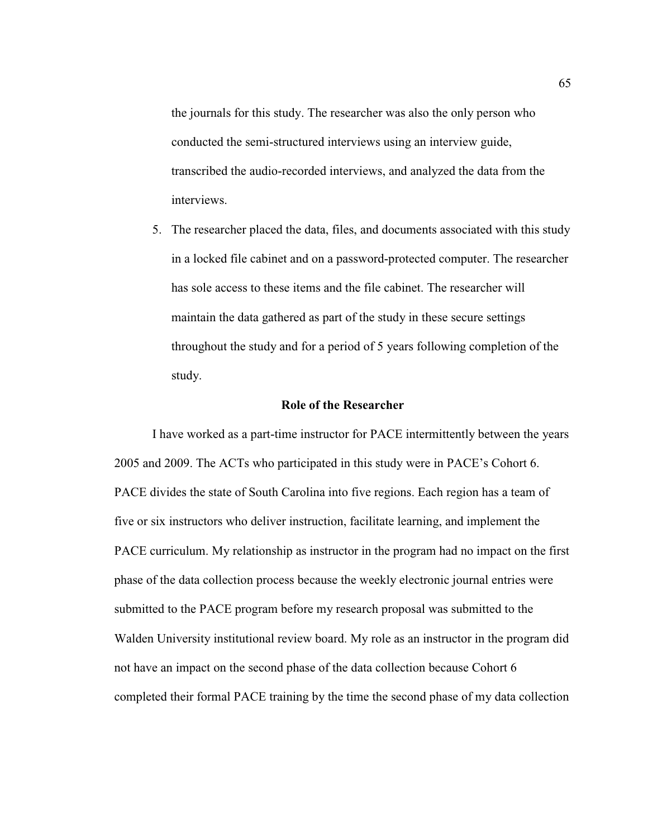the journals for this study. The researcher was also the only person who conducted the semi-structured interviews using an interview guide, transcribed the audio-recorded interviews, and analyzed the data from the interviews.

5. The researcher placed the data, files, and documents associated with this study in a locked file cabinet and on a password-protected computer. The researcher has sole access to these items and the file cabinet. The researcher will maintain the data gathered as part of the study in these secure settings throughout the study and for a period of 5 years following completion of the study.

#### **Role of the Researcher**

I have worked as a part-time instructor for PACE intermittently between the years 2005 and 2009. The ACTs who participated in this study were in PACE's Cohort 6. PACE divides the state of South Carolina into five regions. Each region has a team of five or six instructors who deliver instruction, facilitate learning, and implement the PACE curriculum. My relationship as instructor in the program had no impact on the first phase of the data collection process because the weekly electronic journal entries were submitted to the PACE program before my research proposal was submitted to the Walden University institutional review board. My role as an instructor in the program did not have an impact on the second phase of the data collection because Cohort 6 completed their formal PACE training by the time the second phase of my data collection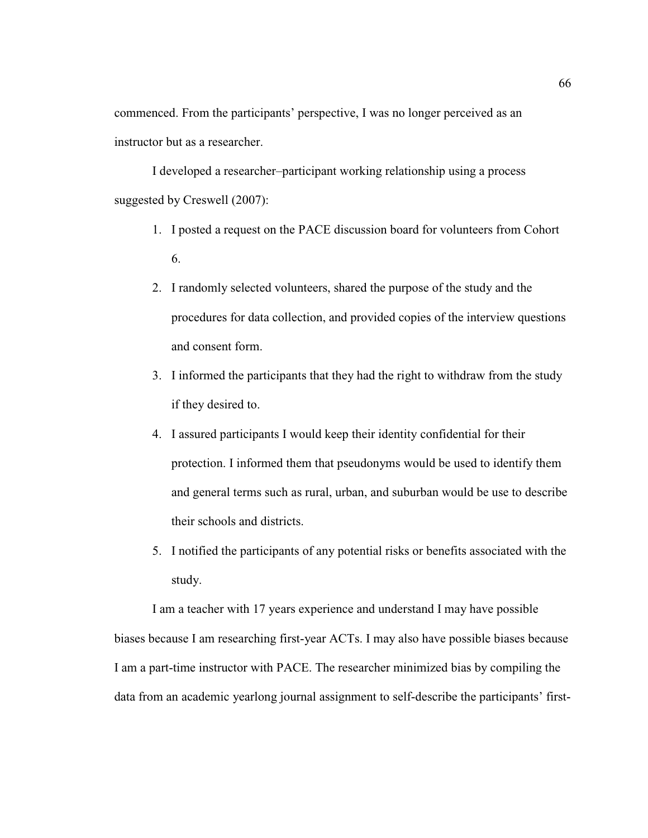commenced. From the participants' perspective, I was no longer perceived as an instructor but as a researcher.

I developed a researcher–participant working relationship using a process suggested by Creswell (2007):

- 1. I posted a request on the PACE discussion board for volunteers from Cohort 6.
- 2. I randomly selected volunteers, shared the purpose of the study and the procedures for data collection, and provided copies of the interview questions and consent form.
- 3. I informed the participants that they had the right to withdraw from the study if they desired to.
- 4. I assured participants I would keep their identity confidential for their protection. I informed them that pseudonyms would be used to identify them and general terms such as rural, urban, and suburban would be use to describe their schools and districts.
- 5. I notified the participants of any potential risks or benefits associated with the study.

I am a teacher with 17 years experience and understand I may have possible biases because I am researching first-year ACTs. I may also have possible biases because I am a part-time instructor with PACE. The researcher minimized bias by compiling the data from an academic yearlong journal assignment to self-describe the participants' first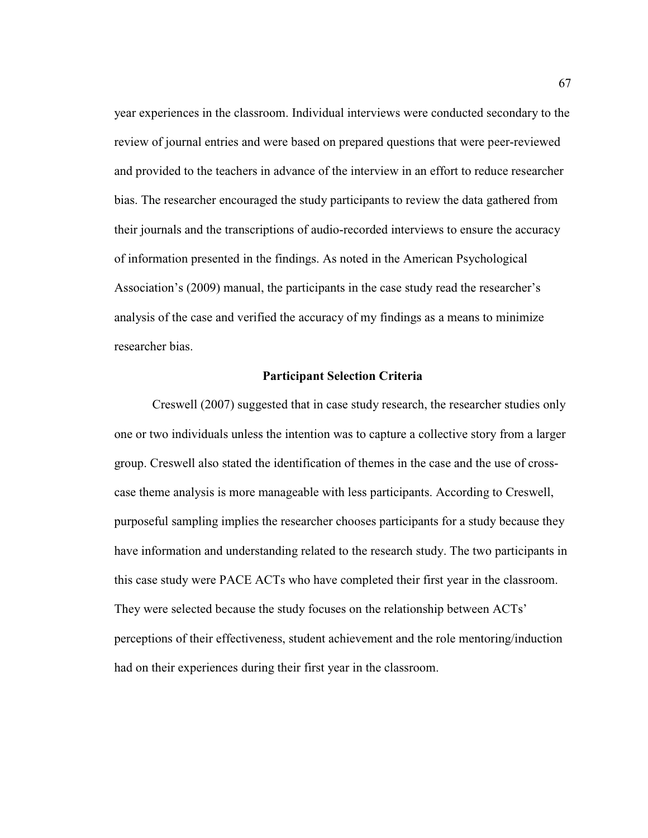year experiences in the classroom. Individual interviews were conducted secondary to the review of journal entries and were based on prepared questions that were peer-reviewed and provided to the teachers in advance of the interview in an effort to reduce researcher bias. The researcher encouraged the study participants to review the data gathered from their journals and the transcriptions of audio-recorded interviews to ensure the accuracy of information presented in the findings. As noted in the American Psychological Association's (2009) manual, the participants in the case study read the researcher's analysis of the case and verified the accuracy of my findings as a means to minimize researcher bias.

## **Participant Selection Criteria**

Creswell (2007) suggested that in case study research, the researcher studies only one or two individuals unless the intention was to capture a collective story from a larger group. Creswell also stated the identification of themes in the case and the use of crosscase theme analysis is more manageable with less participants. According to Creswell, purposeful sampling implies the researcher chooses participants for a study because they have information and understanding related to the research study. The two participants in this case study were PACE ACTs who have completed their first year in the classroom. They were selected because the study focuses on the relationship between ACTs' perceptions of their effectiveness, student achievement and the role mentoring/induction had on their experiences during their first year in the classroom.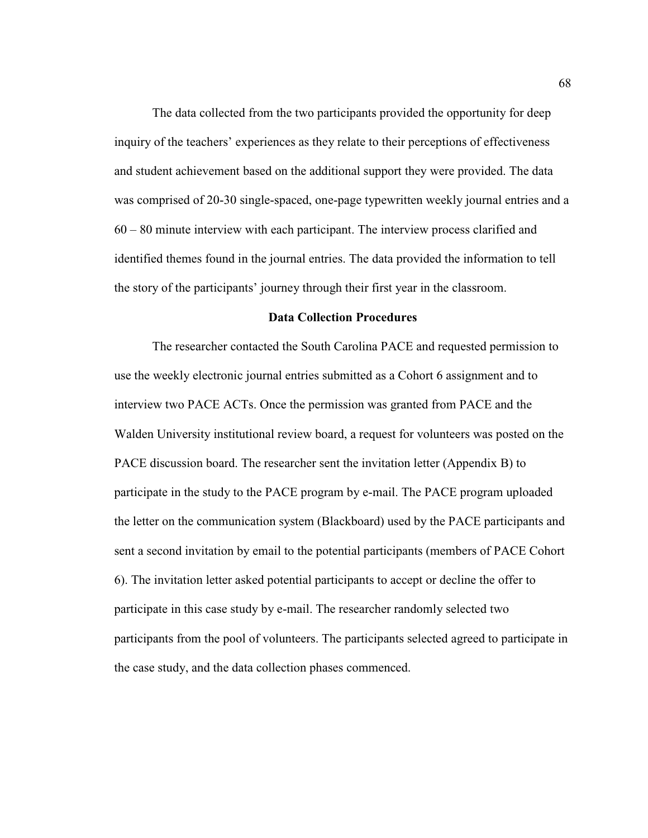The data collected from the two participants provided the opportunity for deep inquiry of the teachers' experiences as they relate to their perceptions of effectiveness and student achievement based on the additional support they were provided. The data was comprised of 20-30 single-spaced, one-page typewritten weekly journal entries and a 60 – 80 minute interview with each participant. The interview process clarified and identified themes found in the journal entries. The data provided the information to tell the story of the participants' journey through their first year in the classroom.

### **Data Collection Procedures**

The researcher contacted the South Carolina PACE and requested permission to use the weekly electronic journal entries submitted as a Cohort 6 assignment and to interview two PACE ACTs. Once the permission was granted from PACE and the Walden University institutional review board, a request for volunteers was posted on the PACE discussion board. The researcher sent the invitation letter (Appendix B) to participate in the study to the PACE program by e-mail. The PACE program uploaded the letter on the communication system (Blackboard) used by the PACE participants and sent a second invitation by email to the potential participants (members of PACE Cohort 6). The invitation letter asked potential participants to accept or decline the offer to participate in this case study by e-mail. The researcher randomly selected two participants from the pool of volunteers. The participants selected agreed to participate in the case study, and the data collection phases commenced.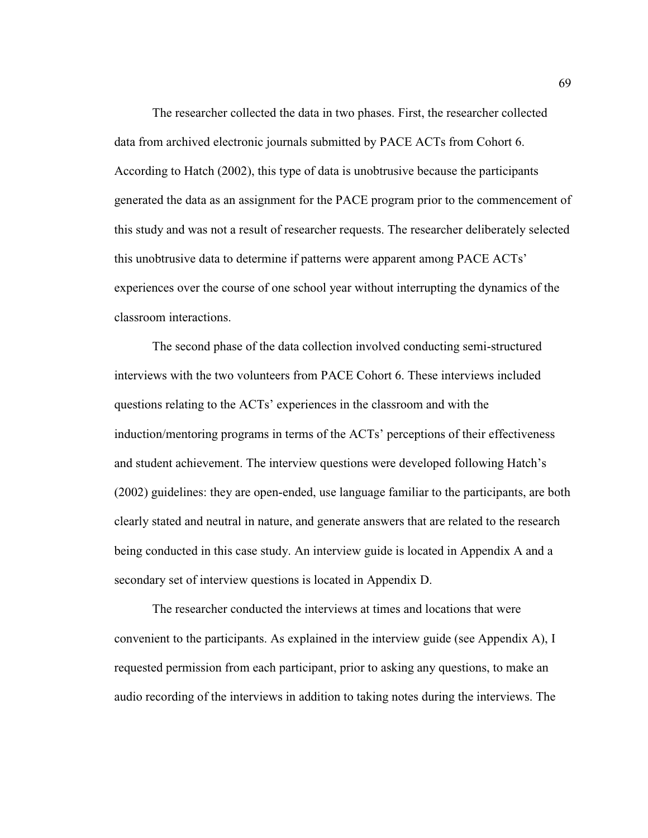The researcher collected the data in two phases. First, the researcher collected data from archived electronic journals submitted by PACE ACTs from Cohort 6. According to Hatch (2002), this type of data is unobtrusive because the participants generated the data as an assignment for the PACE program prior to the commencement of this study and was not a result of researcher requests. The researcher deliberately selected this unobtrusive data to determine if patterns were apparent among PACE ACTs' experiences over the course of one school year without interrupting the dynamics of the classroom interactions.

The second phase of the data collection involved conducting semi-structured interviews with the two volunteers from PACE Cohort 6. These interviews included questions relating to the ACTs' experiences in the classroom and with the induction/mentoring programs in terms of the ACTs' perceptions of their effectiveness and student achievement. The interview questions were developed following Hatch's (2002) guidelines: they are open-ended, use language familiar to the participants, are both clearly stated and neutral in nature, and generate answers that are related to the research being conducted in this case study. An interview guide is located in Appendix A and a secondary set of interview questions is located in Appendix D.

The researcher conducted the interviews at times and locations that were convenient to the participants. As explained in the interview guide (see Appendix A), I requested permission from each participant, prior to asking any questions, to make an audio recording of the interviews in addition to taking notes during the interviews. The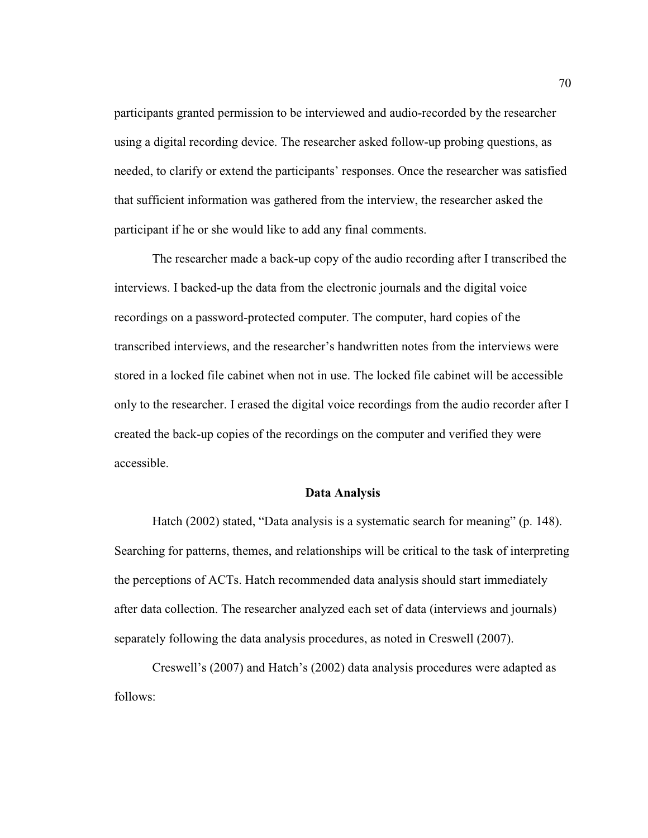participants granted permission to be interviewed and audio-recorded by the researcher using a digital recording device. The researcher asked follow-up probing questions, as needed, to clarify or extend the participants' responses. Once the researcher was satisfied that sufficient information was gathered from the interview, the researcher asked the participant if he or she would like to add any final comments.

The researcher made a back-up copy of the audio recording after I transcribed the interviews. I backed-up the data from the electronic journals and the digital voice recordings on a password-protected computer. The computer, hard copies of the transcribed interviews, and the researcher's handwritten notes from the interviews were stored in a locked file cabinet when not in use. The locked file cabinet will be accessible only to the researcher. I erased the digital voice recordings from the audio recorder after I created the back-up copies of the recordings on the computer and verified they were accessible.

# **Data Analysis**

Hatch (2002) stated, "Data analysis is a systematic search for meaning" (p. 148). Searching for patterns, themes, and relationships will be critical to the task of interpreting the perceptions of ACTs. Hatch recommended data analysis should start immediately after data collection. The researcher analyzed each set of data (interviews and journals) separately following the data analysis procedures, as noted in Creswell (2007).

Creswell's (2007) and Hatch's (2002) data analysis procedures were adapted as follows: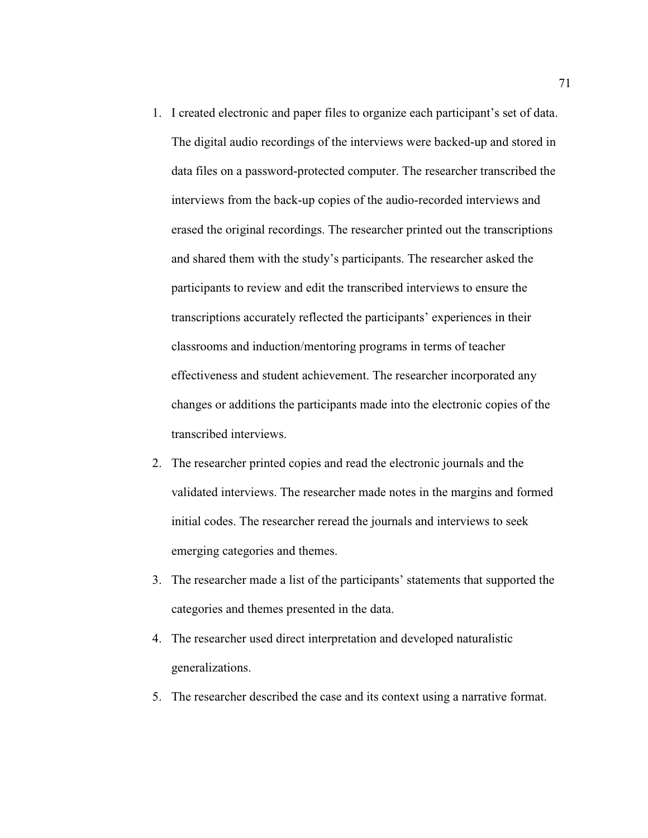1. I created electronic and paper files to organize each participant's set of data.

The digital audio recordings of the interviews were backed-up and stored in data files on a password-protected computer. The researcher transcribed the interviews from the back-up copies of the audio-recorded interviews and erased the original recordings. The researcher printed out the transcriptions and shared them with the study's participants. The researcher asked the participants to review and edit the transcribed interviews to ensure the transcriptions accurately reflected the participants' experiences in their classrooms and induction/mentoring programs in terms of teacher effectiveness and student achievement. The researcher incorporated any changes or additions the participants made into the electronic copies of the transcribed interviews.

- 2. The researcher printed copies and read the electronic journals and the validated interviews. The researcher made notes in the margins and formed initial codes. The researcher reread the journals and interviews to seek emerging categories and themes.
- 3. The researcher made a list of the participants' statements that supported the categories and themes presented in the data.
- 4. The researcher used direct interpretation and developed naturalistic generalizations.
- 5. The researcher described the case and its context using a narrative format.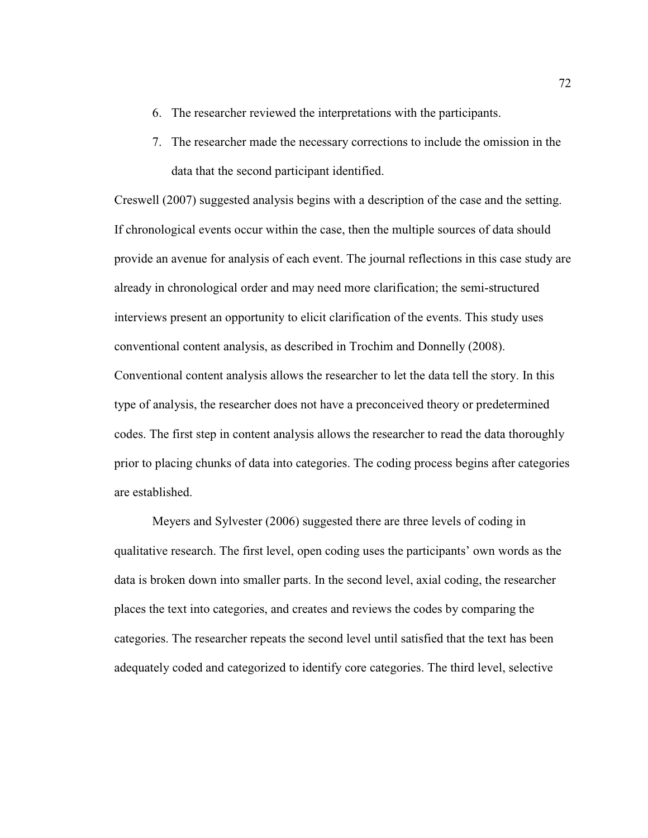- 6. The researcher reviewed the interpretations with the participants.
- 7. The researcher made the necessary corrections to include the omission in the data that the second participant identified.

Creswell (2007) suggested analysis begins with a description of the case and the setting. If chronological events occur within the case, then the multiple sources of data should provide an avenue for analysis of each event. The journal reflections in this case study are already in chronological order and may need more clarification; the semi-structured interviews present an opportunity to elicit clarification of the events. This study uses conventional content analysis, as described in Trochim and Donnelly (2008). Conventional content analysis allows the researcher to let the data tell the story. In this type of analysis, the researcher does not have a preconceived theory or predetermined codes. The first step in content analysis allows the researcher to read the data thoroughly prior to placing chunks of data into categories. The coding process begins after categories are established.

Meyers and Sylvester (2006) suggested there are three levels of coding in qualitative research. The first level, open coding uses the participants' own words as the data is broken down into smaller parts. In the second level, axial coding, the researcher places the text into categories, and creates and reviews the codes by comparing the categories. The researcher repeats the second level until satisfied that the text has been adequately coded and categorized to identify core categories. The third level, selective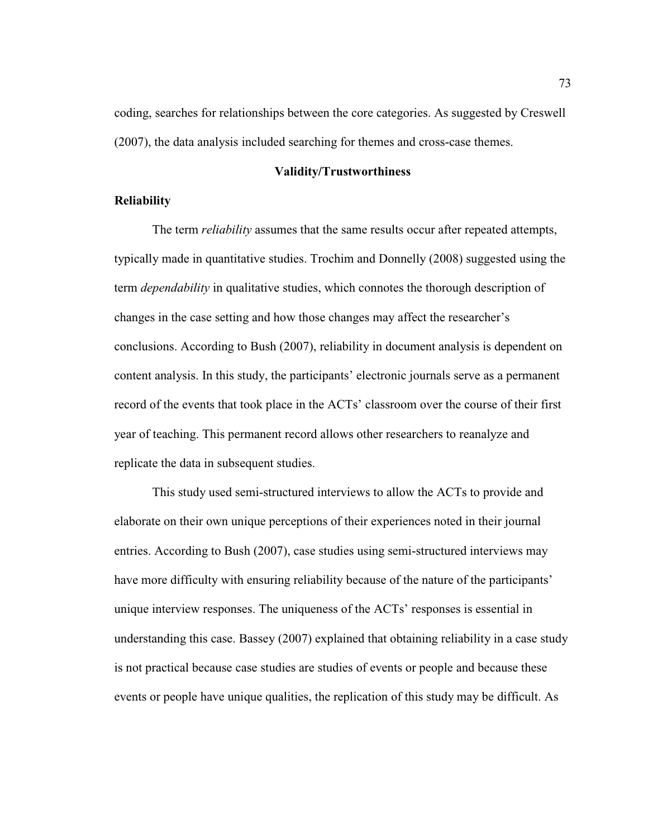coding, searches for relationships between the core categories. As suggested by Creswell (2007), the data analysis included searching for themes and cross-case themes.

# **Validity/Trustworthiness**

# **Reliability**

The term *reliability* assumes that the same results occur after repeated attempts, typically made in quantitative studies. Trochim and Donnelly (2008) suggested using the term *dependability* in qualitative studies, which connotes the thorough description of changes in the case setting and how those changes may affect the researcher's conclusions. According to Bush (2007), reliability in document analysis is dependent on content analysis. In this study, the participants' electronic journals serve as a permanent record of the events that took place in the ACTs' classroom over the course of their first year of teaching. This permanent record allows other researchers to reanalyze and replicate the data in subsequent studies.

This study used semi-structured interviews to allow the ACTs to provide and elaborate on their own unique perceptions of their experiences noted in their journal entries. According to Bush (2007), case studies using semi-structured interviews may have more difficulty with ensuring reliability because of the nature of the participants' unique interview responses. The uniqueness of the ACTs' responses is essential in understanding this case. Bassey (2007) explained that obtaining reliability in a case study is not practical because case studies are studies of events or people and because these events or people have unique qualities, the replication of this study may be difficult. As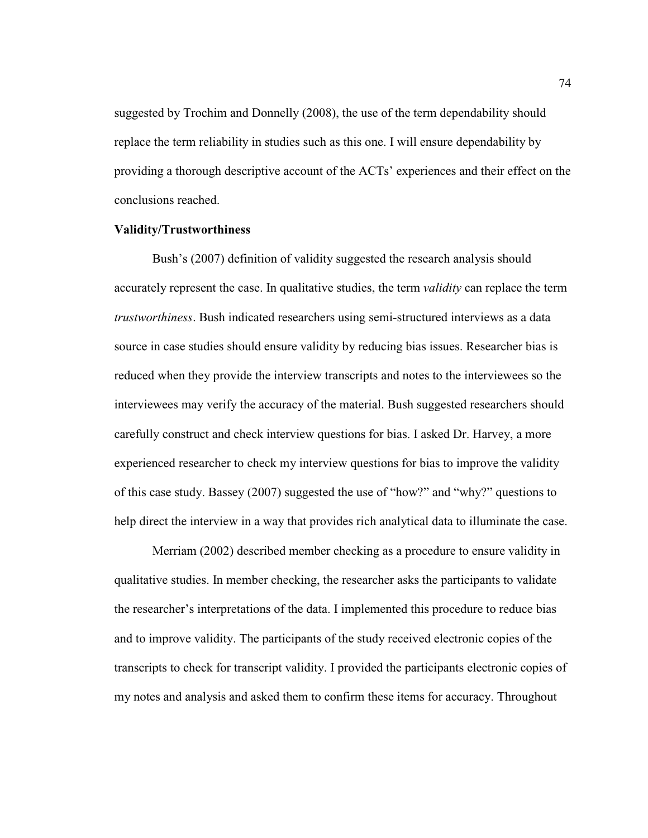suggested by Trochim and Donnelly (2008), the use of the term dependability should replace the term reliability in studies such as this one. I will ensure dependability by providing a thorough descriptive account of the ACTs' experiences and their effect on the conclusions reached.

# **Validity/Trustworthiness**

Bush's (2007) definition of validity suggested the research analysis should accurately represent the case. In qualitative studies, the term *validity* can replace the term *trustworthiness*. Bush indicated researchers using semi-structured interviews as a data source in case studies should ensure validity by reducing bias issues. Researcher bias is reduced when they provide the interview transcripts and notes to the interviewees so the interviewees may verify the accuracy of the material. Bush suggested researchers should carefully construct and check interview questions for bias. I asked Dr. Harvey, a more experienced researcher to check my interview questions for bias to improve the validity of this case study. Bassey (2007) suggested the use of "how?" and "why?" questions to help direct the interview in a way that provides rich analytical data to illuminate the case.

Merriam (2002) described member checking as a procedure to ensure validity in qualitative studies. In member checking, the researcher asks the participants to validate the researcher's interpretations of the data. I implemented this procedure to reduce bias and to improve validity. The participants of the study received electronic copies of the transcripts to check for transcript validity. I provided the participants electronic copies of my notes and analysis and asked them to confirm these items for accuracy. Throughout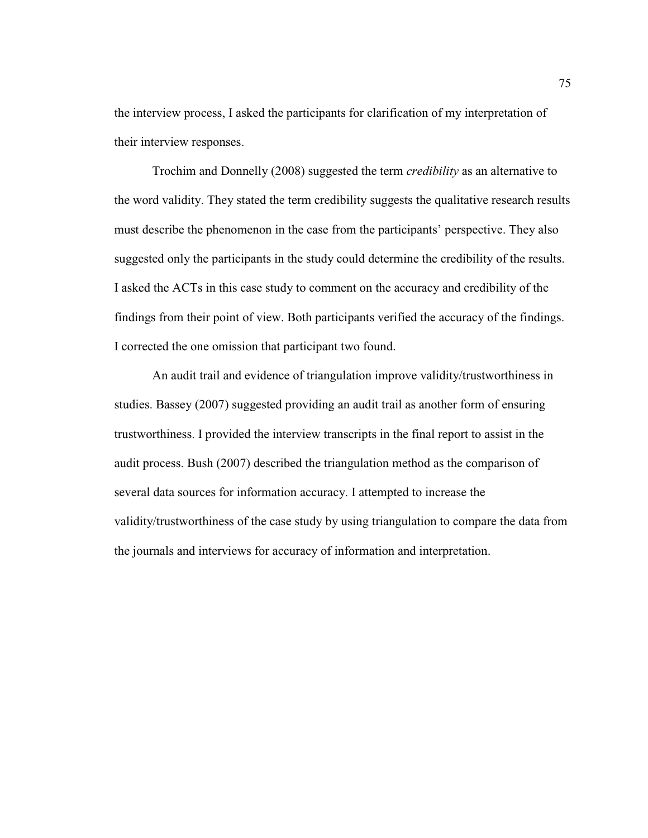the interview process, I asked the participants for clarification of my interpretation of their interview responses.

Trochim and Donnelly (2008) suggested the term *credibility* as an alternative to the word validity. They stated the term credibility suggests the qualitative research results must describe the phenomenon in the case from the participants' perspective. They also suggested only the participants in the study could determine the credibility of the results. I asked the ACTs in this case study to comment on the accuracy and credibility of the findings from their point of view. Both participants verified the accuracy of the findings. I corrected the one omission that participant two found.

An audit trail and evidence of triangulation improve validity/trustworthiness in studies. Bassey (2007) suggested providing an audit trail as another form of ensuring trustworthiness. I provided the interview transcripts in the final report to assist in the audit process. Bush (2007) described the triangulation method as the comparison of several data sources for information accuracy. I attempted to increase the validity/trustworthiness of the case study by using triangulation to compare the data from the journals and interviews for accuracy of information and interpretation.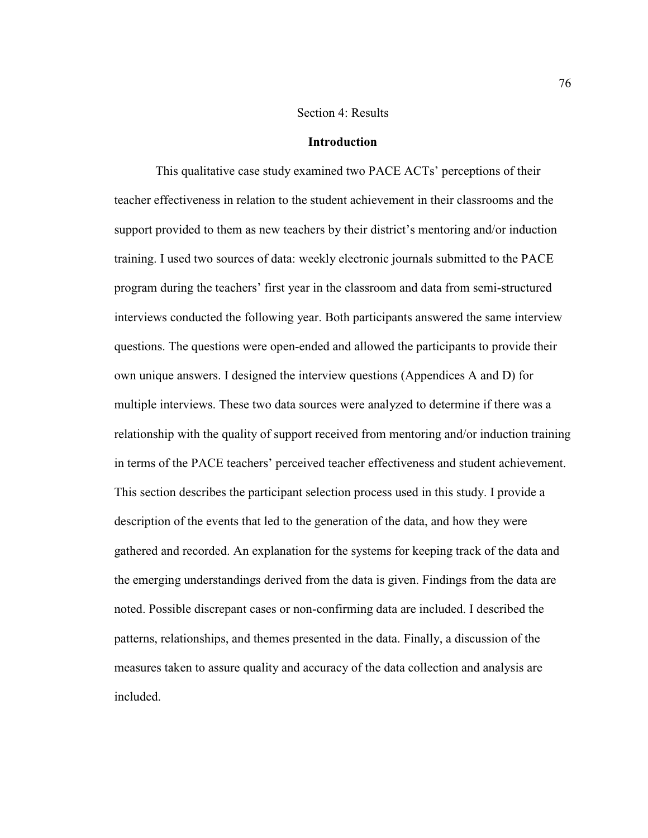### Section 4: Results

### **Introduction**

 This qualitative case study examined two PACE ACTs' perceptions of their teacher effectiveness in relation to the student achievement in their classrooms and the support provided to them as new teachers by their district's mentoring and/or induction training. I used two sources of data: weekly electronic journals submitted to the PACE program during the teachers' first year in the classroom and data from semi-structured interviews conducted the following year. Both participants answered the same interview questions. The questions were open-ended and allowed the participants to provide their own unique answers. I designed the interview questions (Appendices A and D) for multiple interviews. These two data sources were analyzed to determine if there was a relationship with the quality of support received from mentoring and/or induction training in terms of the PACE teachers' perceived teacher effectiveness and student achievement. This section describes the participant selection process used in this study. I provide a description of the events that led to the generation of the data, and how they were gathered and recorded. An explanation for the systems for keeping track of the data and the emerging understandings derived from the data is given. Findings from the data are noted. Possible discrepant cases or non-confirming data are included. I described the patterns, relationships, and themes presented in the data. Finally, a discussion of the measures taken to assure quality and accuracy of the data collection and analysis are included.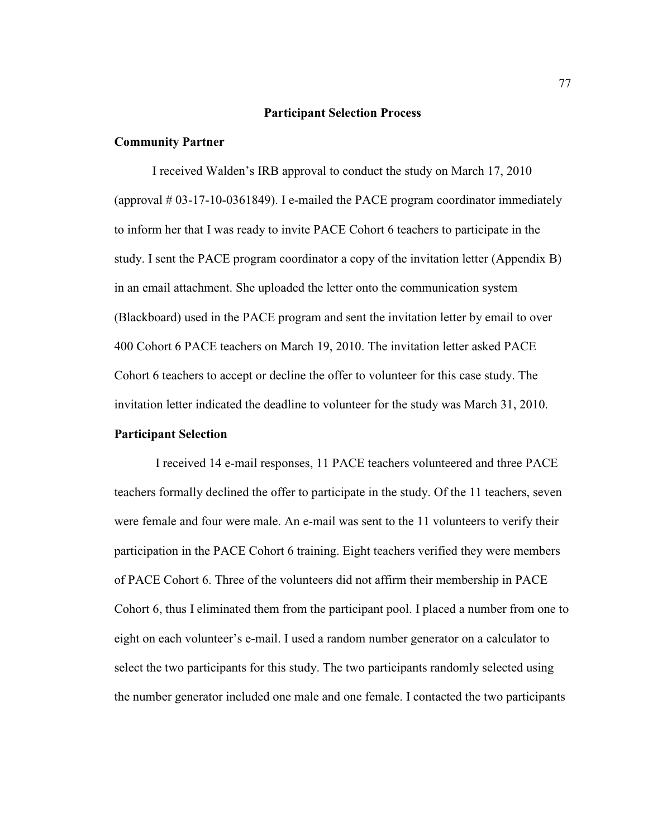# **Participant Selection Process**

# **Community Partner**

I received Walden's IRB approval to conduct the study on March 17, 2010 (approval  $\#$  03-17-10-0361849). I e-mailed the PACE program coordinator immediately to inform her that I was ready to invite PACE Cohort 6 teachers to participate in the study. I sent the PACE program coordinator a copy of the invitation letter (Appendix B) in an email attachment. She uploaded the letter onto the communication system (Blackboard) used in the PACE program and sent the invitation letter by email to over 400 Cohort 6 PACE teachers on March 19, 2010. The invitation letter asked PACE Cohort 6 teachers to accept or decline the offer to volunteer for this case study. The invitation letter indicated the deadline to volunteer for the study was March 31, 2010.

# **Participant Selection**

 I received 14 e-mail responses, 11 PACE teachers volunteered and three PACE teachers formally declined the offer to participate in the study. Of the 11 teachers, seven were female and four were male. An e-mail was sent to the 11 volunteers to verify their participation in the PACE Cohort 6 training. Eight teachers verified they were members of PACE Cohort 6. Three of the volunteers did not affirm their membership in PACE Cohort 6, thus I eliminated them from the participant pool. I placed a number from one to eight on each volunteer's e-mail. I used a random number generator on a calculator to select the two participants for this study. The two participants randomly selected using the number generator included one male and one female. I contacted the two participants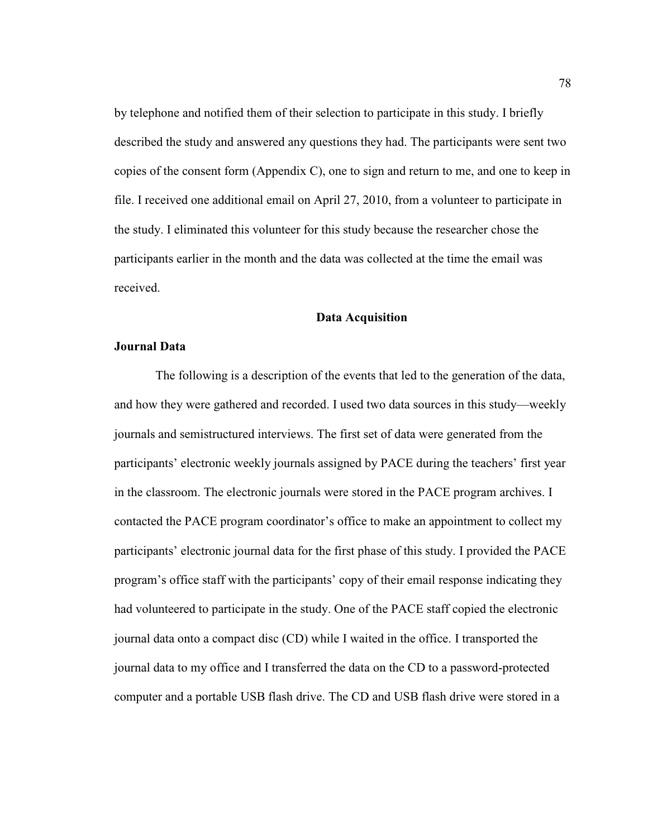by telephone and notified them of their selection to participate in this study. I briefly described the study and answered any questions they had. The participants were sent two copies of the consent form (Appendix C), one to sign and return to me, and one to keep in file. I received one additional email on April 27, 2010, from a volunteer to participate in the study. I eliminated this volunteer for this study because the researcher chose the participants earlier in the month and the data was collected at the time the email was received.

# **Data Acquisition**

# **Journal Data**

 The following is a description of the events that led to the generation of the data, and how they were gathered and recorded. I used two data sources in this study—weekly journals and semistructured interviews. The first set of data were generated from the participants' electronic weekly journals assigned by PACE during the teachers' first year in the classroom. The electronic journals were stored in the PACE program archives. I contacted the PACE program coordinator's office to make an appointment to collect my participants' electronic journal data for the first phase of this study. I provided the PACE program's office staff with the participants' copy of their email response indicating they had volunteered to participate in the study. One of the PACE staff copied the electronic journal data onto a compact disc (CD) while I waited in the office. I transported the journal data to my office and I transferred the data on the CD to a password-protected computer and a portable USB flash drive. The CD and USB flash drive were stored in a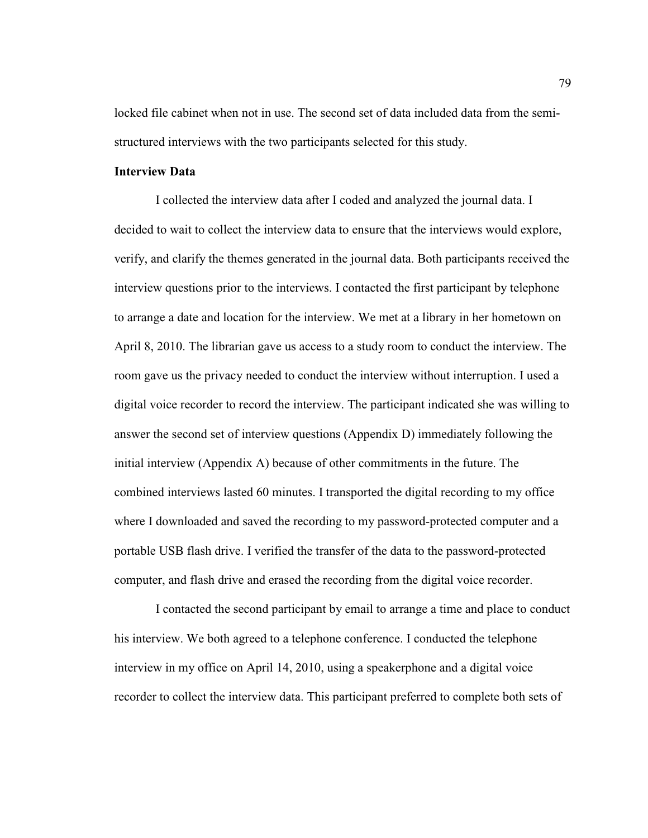locked file cabinet when not in use. The second set of data included data from the semistructured interviews with the two participants selected for this study.

# **Interview Data**

 I collected the interview data after I coded and analyzed the journal data. I decided to wait to collect the interview data to ensure that the interviews would explore, verify, and clarify the themes generated in the journal data. Both participants received the interview questions prior to the interviews. I contacted the first participant by telephone to arrange a date and location for the interview. We met at a library in her hometown on April 8, 2010. The librarian gave us access to a study room to conduct the interview. The room gave us the privacy needed to conduct the interview without interruption. I used a digital voice recorder to record the interview. The participant indicated she was willing to answer the second set of interview questions (Appendix D) immediately following the initial interview (Appendix A) because of other commitments in the future. The combined interviews lasted 60 minutes. I transported the digital recording to my office where I downloaded and saved the recording to my password-protected computer and a portable USB flash drive. I verified the transfer of the data to the password-protected computer, and flash drive and erased the recording from the digital voice recorder.

 I contacted the second participant by email to arrange a time and place to conduct his interview. We both agreed to a telephone conference. I conducted the telephone interview in my office on April 14, 2010, using a speakerphone and a digital voice recorder to collect the interview data. This participant preferred to complete both sets of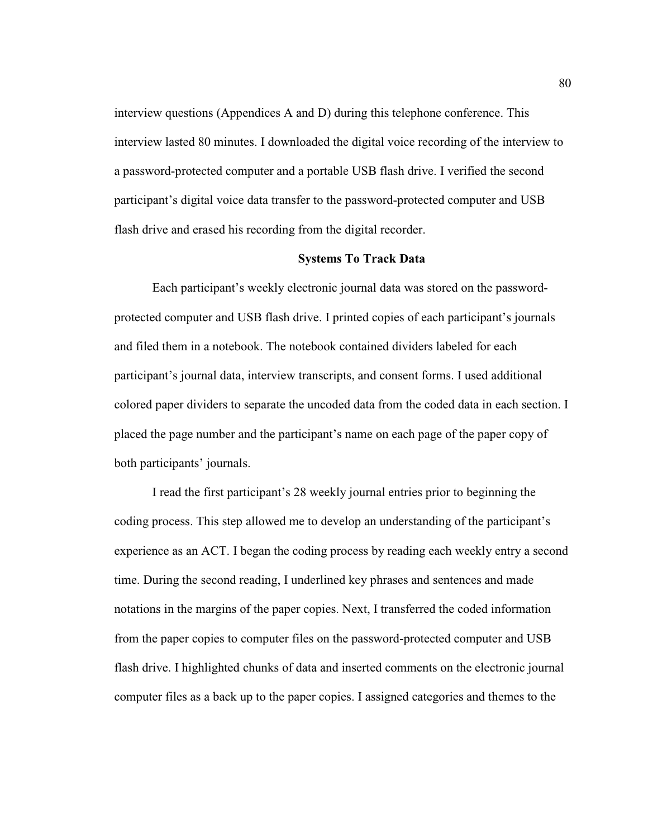interview questions (Appendices A and D) during this telephone conference. This interview lasted 80 minutes. I downloaded the digital voice recording of the interview to a password-protected computer and a portable USB flash drive. I verified the second participant's digital voice data transfer to the password-protected computer and USB flash drive and erased his recording from the digital recorder.

# **Systems To Track Data**

Each participant's weekly electronic journal data was stored on the passwordprotected computer and USB flash drive. I printed copies of each participant's journals and filed them in a notebook. The notebook contained dividers labeled for each participant's journal data, interview transcripts, and consent forms. I used additional colored paper dividers to separate the uncoded data from the coded data in each section. I placed the page number and the participant's name on each page of the paper copy of both participants' journals.

I read the first participant's 28 weekly journal entries prior to beginning the coding process. This step allowed me to develop an understanding of the participant's experience as an ACT. I began the coding process by reading each weekly entry a second time. During the second reading, I underlined key phrases and sentences and made notations in the margins of the paper copies. Next, I transferred the coded information from the paper copies to computer files on the password-protected computer and USB flash drive. I highlighted chunks of data and inserted comments on the electronic journal computer files as a back up to the paper copies. I assigned categories and themes to the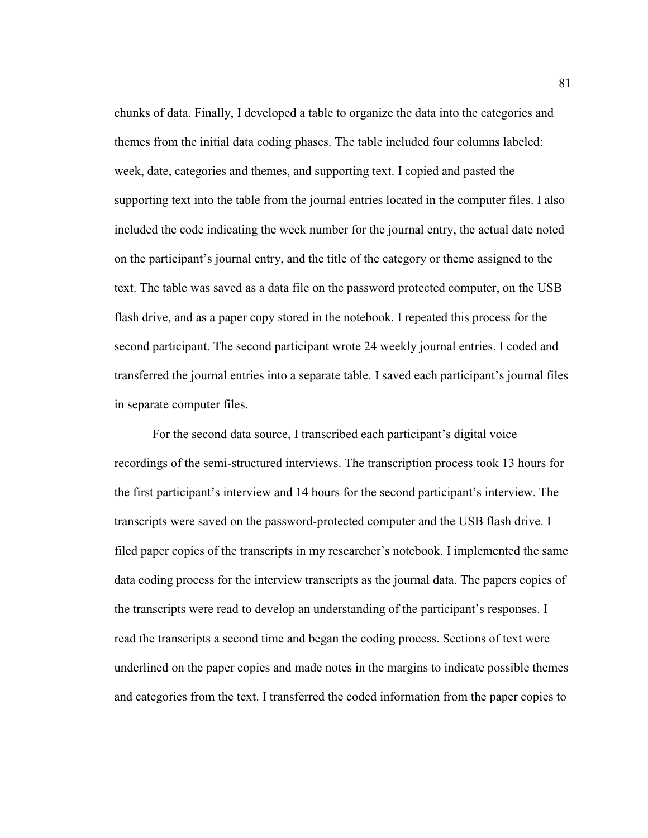chunks of data. Finally, I developed a table to organize the data into the categories and themes from the initial data coding phases. The table included four columns labeled: week, date, categories and themes, and supporting text. I copied and pasted the supporting text into the table from the journal entries located in the computer files. I also included the code indicating the week number for the journal entry, the actual date noted on the participant's journal entry, and the title of the category or theme assigned to the text. The table was saved as a data file on the password protected computer, on the USB flash drive, and as a paper copy stored in the notebook. I repeated this process for the second participant. The second participant wrote 24 weekly journal entries. I coded and transferred the journal entries into a separate table. I saved each participant's journal files in separate computer files.

For the second data source, I transcribed each participant's digital voice recordings of the semi-structured interviews. The transcription process took 13 hours for the first participant's interview and 14 hours for the second participant's interview. The transcripts were saved on the password-protected computer and the USB flash drive. I filed paper copies of the transcripts in my researcher's notebook. I implemented the same data coding process for the interview transcripts as the journal data. The papers copies of the transcripts were read to develop an understanding of the participant's responses. I read the transcripts a second time and began the coding process. Sections of text were underlined on the paper copies and made notes in the margins to indicate possible themes and categories from the text. I transferred the coded information from the paper copies to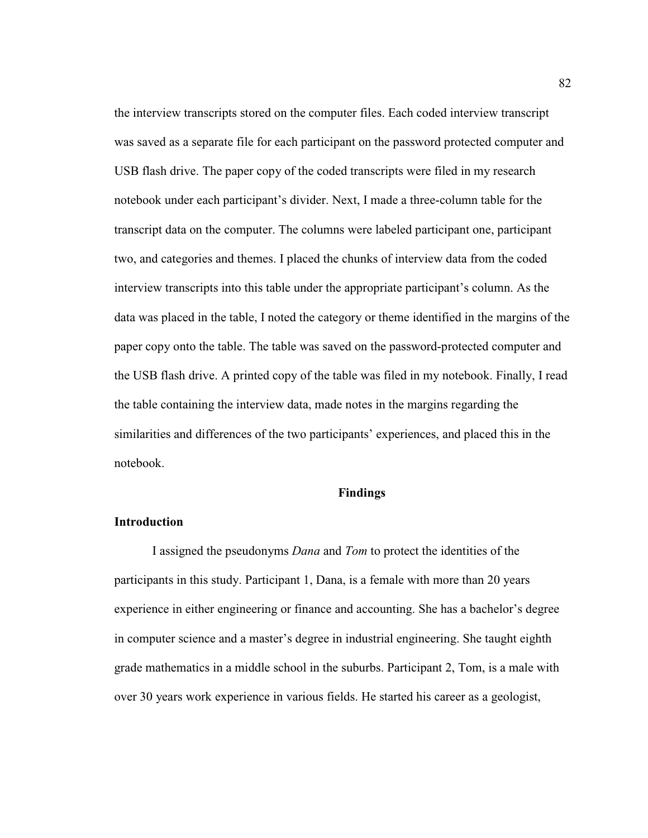the interview transcripts stored on the computer files. Each coded interview transcript was saved as a separate file for each participant on the password protected computer and USB flash drive. The paper copy of the coded transcripts were filed in my research notebook under each participant's divider. Next, I made a three-column table for the transcript data on the computer. The columns were labeled participant one, participant two, and categories and themes. I placed the chunks of interview data from the coded interview transcripts into this table under the appropriate participant's column. As the data was placed in the table, I noted the category or theme identified in the margins of the paper copy onto the table. The table was saved on the password-protected computer and the USB flash drive. A printed copy of the table was filed in my notebook. Finally, I read the table containing the interview data, made notes in the margins regarding the similarities and differences of the two participants' experiences, and placed this in the notebook.

# **Findings**

### **Introduction**

I assigned the pseudonyms *Dana* and *Tom* to protect the identities of the participants in this study. Participant 1, Dana, is a female with more than 20 years experience in either engineering or finance and accounting. She has a bachelor's degree in computer science and a master's degree in industrial engineering. She taught eighth grade mathematics in a middle school in the suburbs. Participant 2, Tom, is a male with over 30 years work experience in various fields. He started his career as a geologist,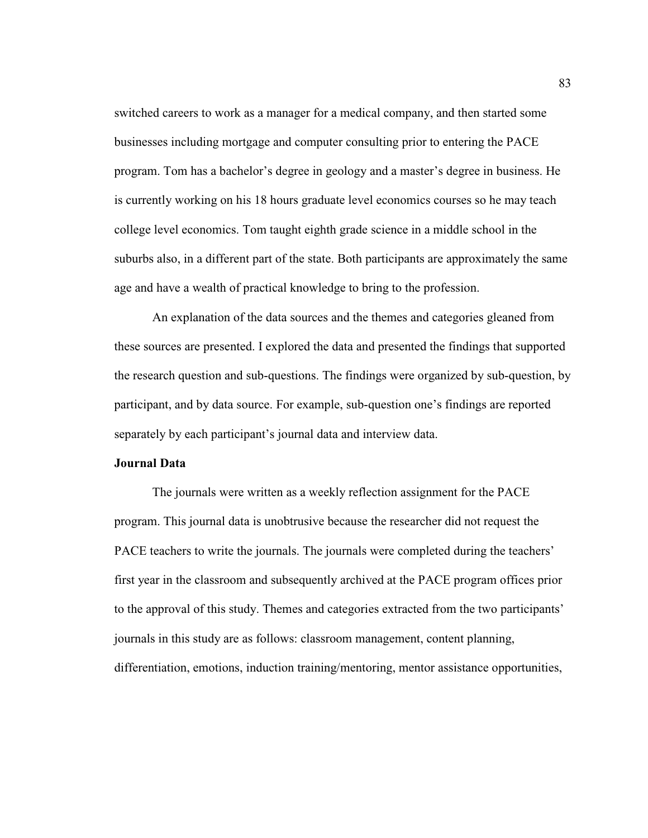switched careers to work as a manager for a medical company, and then started some businesses including mortgage and computer consulting prior to entering the PACE program. Tom has a bachelor's degree in geology and a master's degree in business. He is currently working on his 18 hours graduate level economics courses so he may teach college level economics. Tom taught eighth grade science in a middle school in the suburbs also, in a different part of the state. Both participants are approximately the same age and have a wealth of practical knowledge to bring to the profession.

An explanation of the data sources and the themes and categories gleaned from these sources are presented. I explored the data and presented the findings that supported the research question and sub-questions. The findings were organized by sub-question, by participant, and by data source. For example, sub-question one's findings are reported separately by each participant's journal data and interview data.

# **Journal Data**

The journals were written as a weekly reflection assignment for the PACE program. This journal data is unobtrusive because the researcher did not request the PACE teachers to write the journals. The journals were completed during the teachers' first year in the classroom and subsequently archived at the PACE program offices prior to the approval of this study. Themes and categories extracted from the two participants' journals in this study are as follows: classroom management, content planning, differentiation, emotions, induction training/mentoring, mentor assistance opportunities,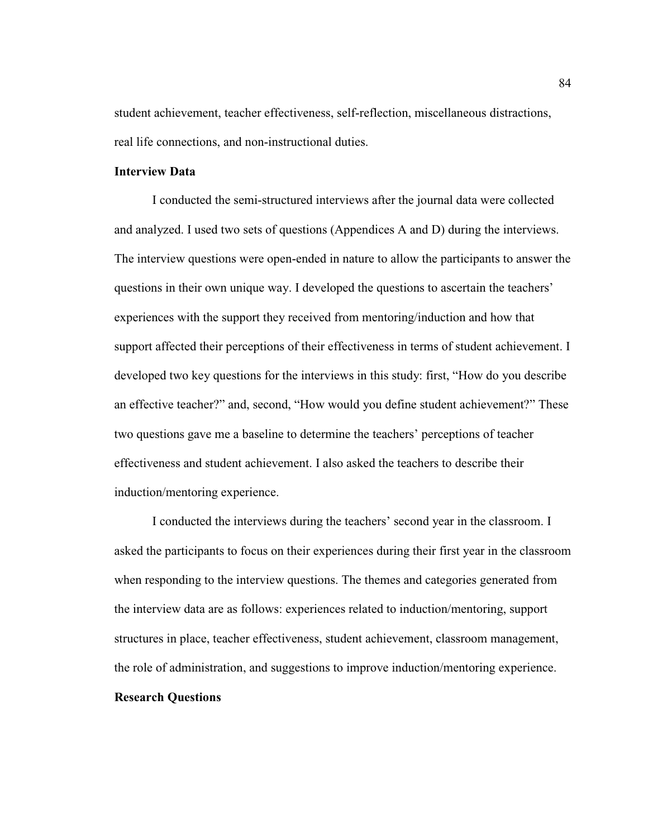student achievement, teacher effectiveness, self-reflection, miscellaneous distractions, real life connections, and non-instructional duties.

# **Interview Data**

I conducted the semi-structured interviews after the journal data were collected and analyzed. I used two sets of questions (Appendices A and D) during the interviews. The interview questions were open-ended in nature to allow the participants to answer the questions in their own unique way. I developed the questions to ascertain the teachers' experiences with the support they received from mentoring/induction and how that support affected their perceptions of their effectiveness in terms of student achievement. I developed two key questions for the interviews in this study: first, "How do you describe an effective teacher?" and, second, "How would you define student achievement?" These two questions gave me a baseline to determine the teachers' perceptions of teacher effectiveness and student achievement. I also asked the teachers to describe their induction/mentoring experience.

I conducted the interviews during the teachers' second year in the classroom. I asked the participants to focus on their experiences during their first year in the classroom when responding to the interview questions. The themes and categories generated from the interview data are as follows: experiences related to induction/mentoring, support structures in place, teacher effectiveness, student achievement, classroom management, the role of administration, and suggestions to improve induction/mentoring experience.

# **Research Questions**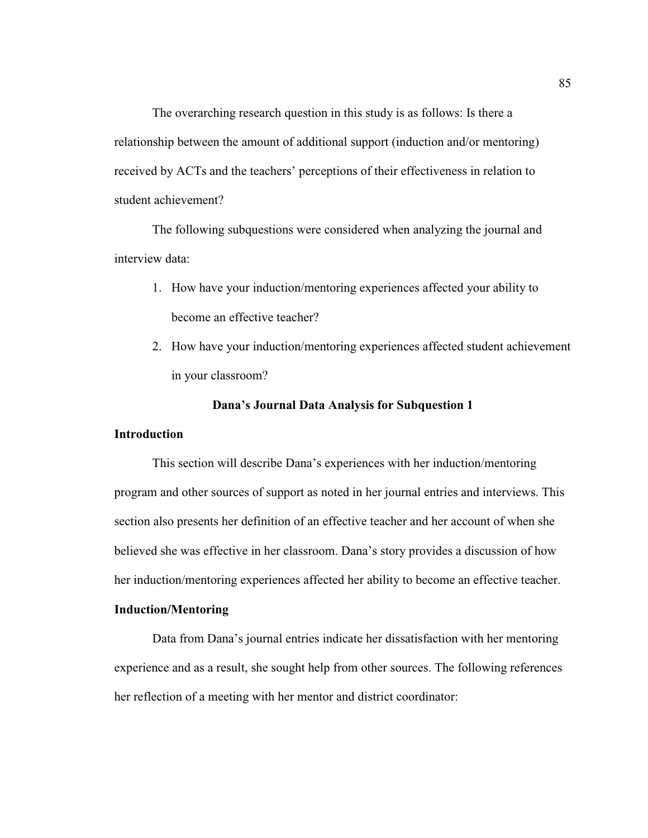The overarching research question in this study is as follows: Is there a relationship between the amount of additional support (induction and/or mentoring) received by ACTs and the teachers' perceptions of their effectiveness in relation to student achievement?

The following subquestions were considered when analyzing the journal and interview data:

- 1. How have your induction/mentoring experiences affected your ability to become an effective teacher?
- 2. How have your induction/mentoring experiences affected student achievement in your classroom?

# **Dana's Journal Data Analysis for Subquestion 1**

### **Introduction**

This section will describe Dana's experiences with her induction/mentoring program and other sources of support as noted in her journal entries and interviews. This section also presents her definition of an effective teacher and her account of when she believed she was effective in her classroom. Dana's story provides a discussion of how her induction/mentoring experiences affected her ability to become an effective teacher.

# **Induction/Mentoring**

Data from Dana's journal entries indicate her dissatisfaction with her mentoring experience and as a result, she sought help from other sources. The following references her reflection of a meeting with her mentor and district coordinator: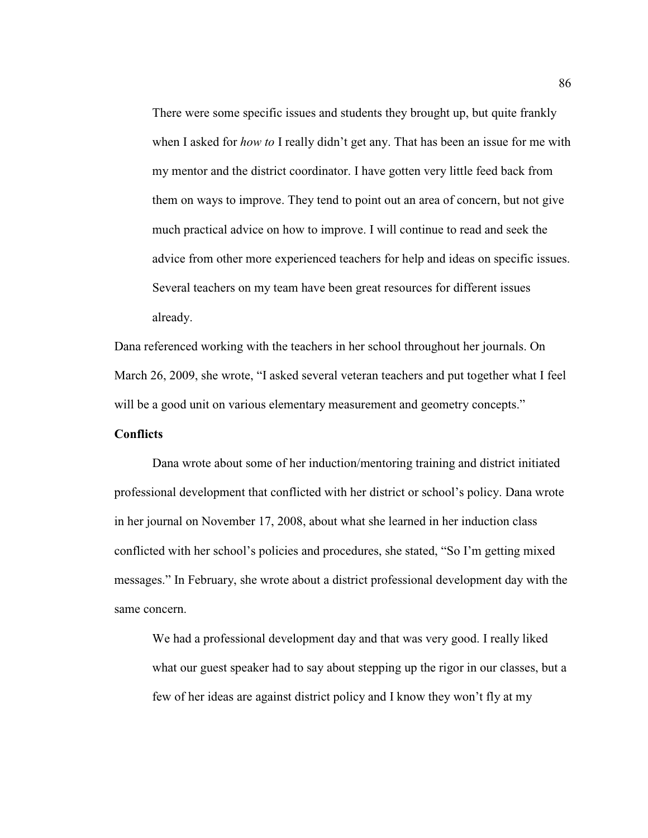There were some specific issues and students they brought up, but quite frankly when I asked for *how to* I really didn't get any. That has been an issue for me with my mentor and the district coordinator. I have gotten very little feed back from them on ways to improve. They tend to point out an area of concern, but not give much practical advice on how to improve. I will continue to read and seek the advice from other more experienced teachers for help and ideas on specific issues. Several teachers on my team have been great resources for different issues already.

Dana referenced working with the teachers in her school throughout her journals. On March 26, 2009, she wrote, "I asked several veteran teachers and put together what I feel will be a good unit on various elementary measurement and geometry concepts."

# **Conflicts**

Dana wrote about some of her induction/mentoring training and district initiated professional development that conflicted with her district or school's policy. Dana wrote in her journal on November 17, 2008, about what she learned in her induction class conflicted with her school's policies and procedures, she stated, "So I'm getting mixed messages." In February, she wrote about a district professional development day with the same concern.

We had a professional development day and that was very good. I really liked what our guest speaker had to say about stepping up the rigor in our classes, but a few of her ideas are against district policy and I know they won't fly at my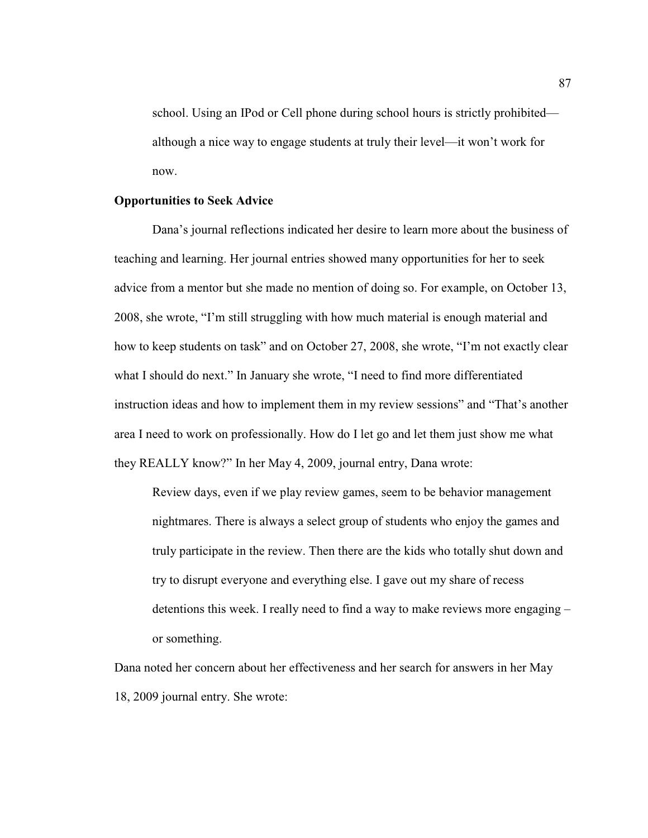school. Using an IPod or Cell phone during school hours is strictly prohibited although a nice way to engage students at truly their level—it won't work for now.

# **Opportunities to Seek Advice**

Dana's journal reflections indicated her desire to learn more about the business of teaching and learning. Her journal entries showed many opportunities for her to seek advice from a mentor but she made no mention of doing so. For example, on October 13, 2008, she wrote, "I'm still struggling with how much material is enough material and how to keep students on task" and on October 27, 2008, she wrote, "I'm not exactly clear what I should do next." In January she wrote, "I need to find more differentiated instruction ideas and how to implement them in my review sessions" and "That's another area I need to work on professionally. How do I let go and let them just show me what they REALLY know?" In her May 4, 2009, journal entry, Dana wrote:

Review days, even if we play review games, seem to be behavior management nightmares. There is always a select group of students who enjoy the games and truly participate in the review. Then there are the kids who totally shut down and try to disrupt everyone and everything else. I gave out my share of recess detentions this week. I really need to find a way to make reviews more engaging – or something.

Dana noted her concern about her effectiveness and her search for answers in her May 18, 2009 journal entry. She wrote: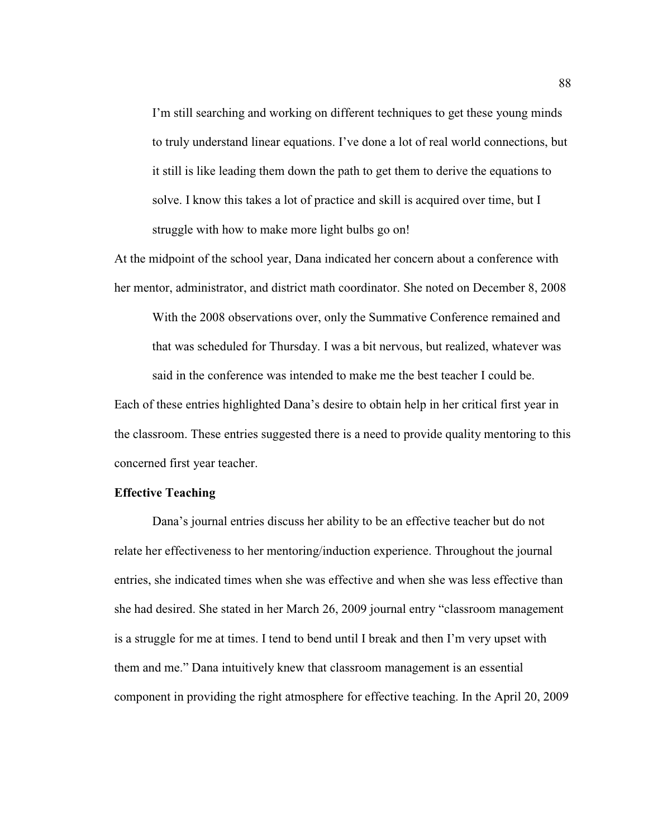I'm still searching and working on different techniques to get these young minds to truly understand linear equations. I've done a lot of real world connections, but it still is like leading them down the path to get them to derive the equations to solve. I know this takes a lot of practice and skill is acquired over time, but I struggle with how to make more light bulbs go on!

At the midpoint of the school year, Dana indicated her concern about a conference with her mentor, administrator, and district math coordinator. She noted on December 8, 2008

With the 2008 observations over, only the Summative Conference remained and that was scheduled for Thursday. I was a bit nervous, but realized, whatever was said in the conference was intended to make me the best teacher I could be.

Each of these entries highlighted Dana's desire to obtain help in her critical first year in the classroom. These entries suggested there is a need to provide quality mentoring to this concerned first year teacher.

# **Effective Teaching**

Dana's journal entries discuss her ability to be an effective teacher but do not relate her effectiveness to her mentoring/induction experience. Throughout the journal entries, she indicated times when she was effective and when she was less effective than she had desired. She stated in her March 26, 2009 journal entry "classroom management is a struggle for me at times. I tend to bend until I break and then I'm very upset with them and me." Dana intuitively knew that classroom management is an essential component in providing the right atmosphere for effective teaching. In the April 20, 2009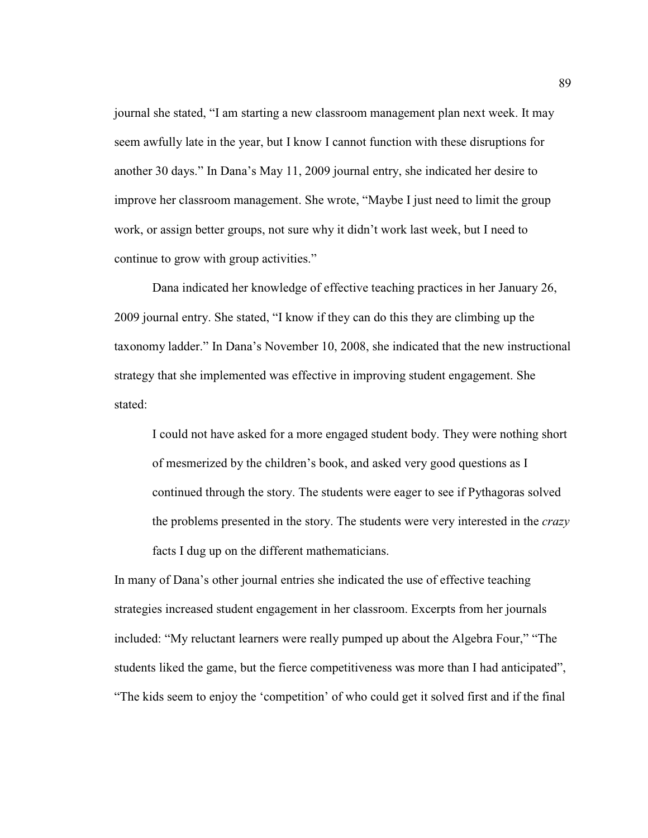journal she stated, "I am starting a new classroom management plan next week. It may seem awfully late in the year, but I know I cannot function with these disruptions for another 30 days." In Dana's May 11, 2009 journal entry, she indicated her desire to improve her classroom management. She wrote, "Maybe I just need to limit the group work, or assign better groups, not sure why it didn't work last week, but I need to continue to grow with group activities."

Dana indicated her knowledge of effective teaching practices in her January 26, 2009 journal entry. She stated, "I know if they can do this they are climbing up the taxonomy ladder." In Dana's November 10, 2008, she indicated that the new instructional strategy that she implemented was effective in improving student engagement. She stated:

I could not have asked for a more engaged student body. They were nothing short of mesmerized by the children's book, and asked very good questions as I continued through the story. The students were eager to see if Pythagoras solved the problems presented in the story. The students were very interested in the *crazy* facts I dug up on the different mathematicians.

In many of Dana's other journal entries she indicated the use of effective teaching strategies increased student engagement in her classroom. Excerpts from her journals included: "My reluctant learners were really pumped up about the Algebra Four," "The students liked the game, but the fierce competitiveness was more than I had anticipated", "The kids seem to enjoy the 'competition' of who could get it solved first and if the final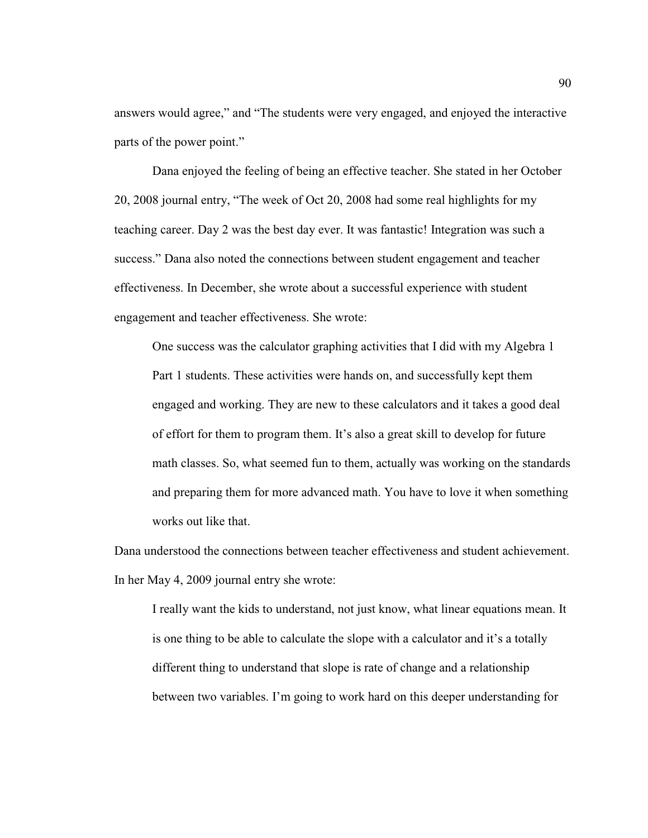answers would agree," and "The students were very engaged, and enjoyed the interactive parts of the power point."

Dana enjoyed the feeling of being an effective teacher. She stated in her October 20, 2008 journal entry, "The week of Oct 20, 2008 had some real highlights for my teaching career. Day 2 was the best day ever. It was fantastic! Integration was such a success." Dana also noted the connections between student engagement and teacher effectiveness. In December, she wrote about a successful experience with student engagement and teacher effectiveness. She wrote:

One success was the calculator graphing activities that I did with my Algebra 1 Part 1 students. These activities were hands on, and successfully kept them engaged and working. They are new to these calculators and it takes a good deal of effort for them to program them. It's also a great skill to develop for future math classes. So, what seemed fun to them, actually was working on the standards and preparing them for more advanced math. You have to love it when something works out like that.

Dana understood the connections between teacher effectiveness and student achievement. In her May 4, 2009 journal entry she wrote:

I really want the kids to understand, not just know, what linear equations mean. It is one thing to be able to calculate the slope with a calculator and it's a totally different thing to understand that slope is rate of change and a relationship between two variables. I'm going to work hard on this deeper understanding for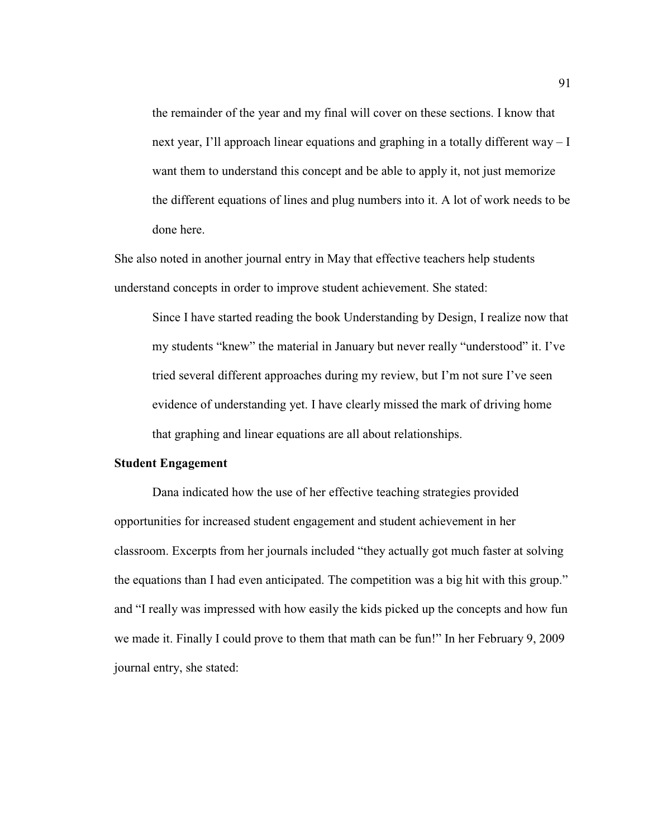the remainder of the year and my final will cover on these sections. I know that next year, I'll approach linear equations and graphing in a totally different way  $-I$ want them to understand this concept and be able to apply it, not just memorize the different equations of lines and plug numbers into it. A lot of work needs to be done here.

She also noted in another journal entry in May that effective teachers help students understand concepts in order to improve student achievement. She stated:

Since I have started reading the book Understanding by Design, I realize now that my students "knew" the material in January but never really "understood" it. I've tried several different approaches during my review, but I'm not sure I've seen evidence of understanding yet. I have clearly missed the mark of driving home that graphing and linear equations are all about relationships.

# **Student Engagement**

Dana indicated how the use of her effective teaching strategies provided opportunities for increased student engagement and student achievement in her classroom. Excerpts from her journals included "they actually got much faster at solving the equations than I had even anticipated. The competition was a big hit with this group." and "I really was impressed with how easily the kids picked up the concepts and how fun we made it. Finally I could prove to them that math can be fun!" In her February 9, 2009 journal entry, she stated: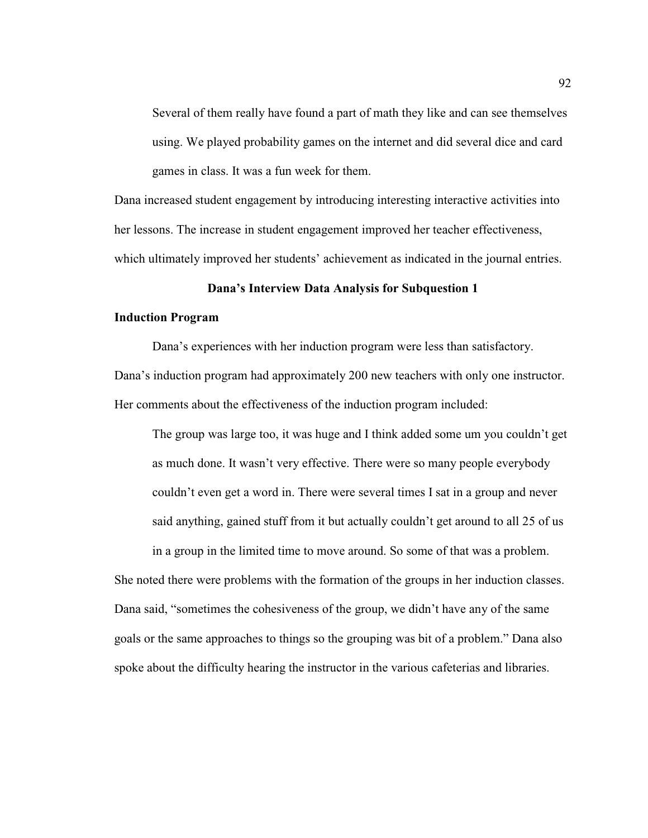Several of them really have found a part of math they like and can see themselves using. We played probability games on the internet and did several dice and card games in class. It was a fun week for them.

Dana increased student engagement by introducing interesting interactive activities into her lessons. The increase in student engagement improved her teacher effectiveness, which ultimately improved her students' achievement as indicated in the journal entries.

# **Dana's Interview Data Analysis for Subquestion 1**

# **Induction Program**

Dana's experiences with her induction program were less than satisfactory. Dana's induction program had approximately 200 new teachers with only one instructor. Her comments about the effectiveness of the induction program included:

The group was large too, it was huge and I think added some um you couldn't get as much done. It wasn't very effective. There were so many people everybody couldn't even get a word in. There were several times I sat in a group and never said anything, gained stuff from it but actually couldn't get around to all 25 of us in a group in the limited time to move around. So some of that was a problem.

She noted there were problems with the formation of the groups in her induction classes. Dana said, "sometimes the cohesiveness of the group, we didn't have any of the same goals or the same approaches to things so the grouping was bit of a problem." Dana also spoke about the difficulty hearing the instructor in the various cafeterias and libraries.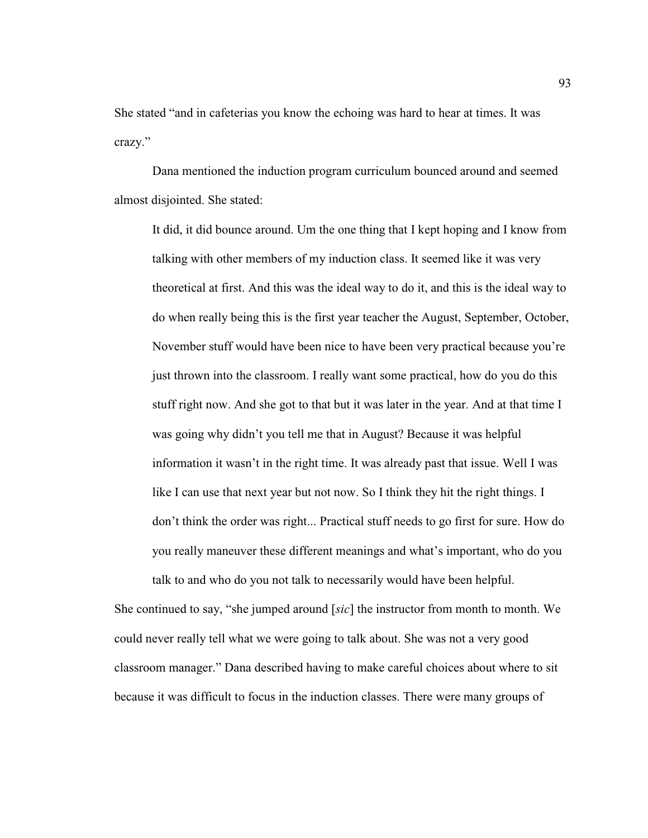She stated "and in cafeterias you know the echoing was hard to hear at times. It was crazy."

Dana mentioned the induction program curriculum bounced around and seemed almost disjointed. She stated:

It did, it did bounce around. Um the one thing that I kept hoping and I know from talking with other members of my induction class. It seemed like it was very theoretical at first. And this was the ideal way to do it, and this is the ideal way to do when really being this is the first year teacher the August, September, October, November stuff would have been nice to have been very practical because you're just thrown into the classroom. I really want some practical, how do you do this stuff right now. And she got to that but it was later in the year. And at that time I was going why didn't you tell me that in August? Because it was helpful information it wasn't in the right time. It was already past that issue. Well I was like I can use that next year but not now. So I think they hit the right things. I don't think the order was right... Practical stuff needs to go first for sure. How do you really maneuver these different meanings and what's important, who do you

She continued to say, "she jumped around [*sic*] the instructor from month to month. We could never really tell what we were going to talk about. She was not a very good classroom manager." Dana described having to make careful choices about where to sit because it was difficult to focus in the induction classes. There were many groups of

talk to and who do you not talk to necessarily would have been helpful.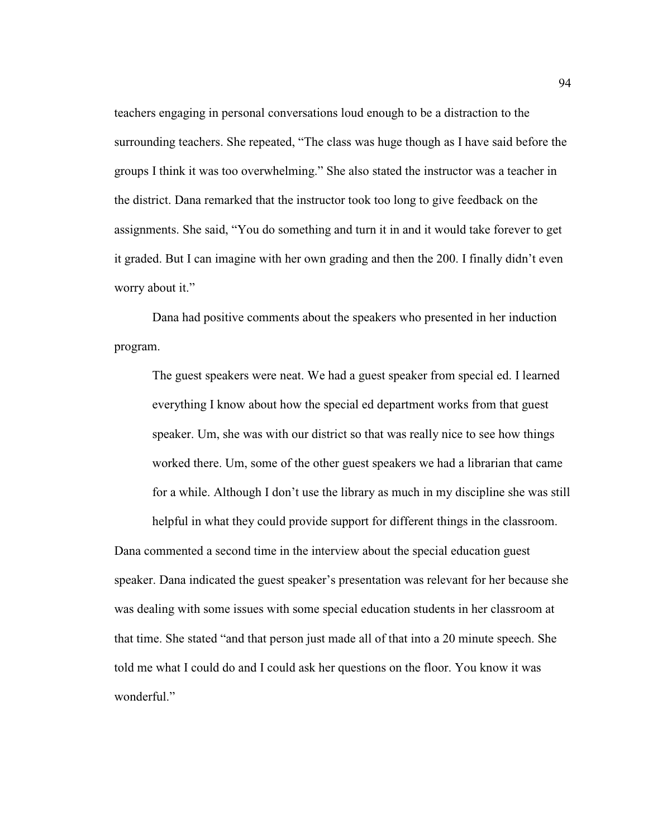teachers engaging in personal conversations loud enough to be a distraction to the surrounding teachers. She repeated, "The class was huge though as I have said before the groups I think it was too overwhelming." She also stated the instructor was a teacher in the district. Dana remarked that the instructor took too long to give feedback on the assignments. She said, "You do something and turn it in and it would take forever to get it graded. But I can imagine with her own grading and then the 200. I finally didn't even worry about it."

Dana had positive comments about the speakers who presented in her induction program.

The guest speakers were neat. We had a guest speaker from special ed. I learned everything I know about how the special ed department works from that guest speaker. Um, she was with our district so that was really nice to see how things worked there. Um, some of the other guest speakers we had a librarian that came for a while. Although I don't use the library as much in my discipline she was still helpful in what they could provide support for different things in the classroom.

Dana commented a second time in the interview about the special education guest speaker. Dana indicated the guest speaker's presentation was relevant for her because she was dealing with some issues with some special education students in her classroom at that time. She stated "and that person just made all of that into a 20 minute speech. She told me what I could do and I could ask her questions on the floor. You know it was wonderful."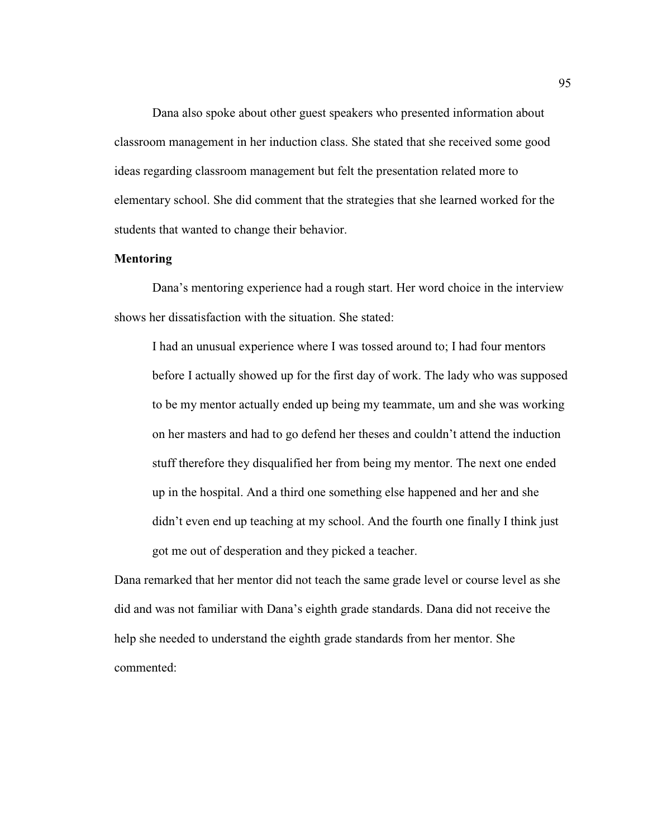Dana also spoke about other guest speakers who presented information about classroom management in her induction class. She stated that she received some good ideas regarding classroom management but felt the presentation related more to elementary school. She did comment that the strategies that she learned worked for the students that wanted to change their behavior.

#### **Mentoring**

 Dana's mentoring experience had a rough start. Her word choice in the interview shows her dissatisfaction with the situation. She stated:

I had an unusual experience where I was tossed around to; I had four mentors before I actually showed up for the first day of work. The lady who was supposed to be my mentor actually ended up being my teammate, um and she was working on her masters and had to go defend her theses and couldn't attend the induction stuff therefore they disqualified her from being my mentor. The next one ended up in the hospital. And a third one something else happened and her and she didn't even end up teaching at my school. And the fourth one finally I think just got me out of desperation and they picked a teacher.

Dana remarked that her mentor did not teach the same grade level or course level as she did and was not familiar with Dana's eighth grade standards. Dana did not receive the help she needed to understand the eighth grade standards from her mentor. She commented: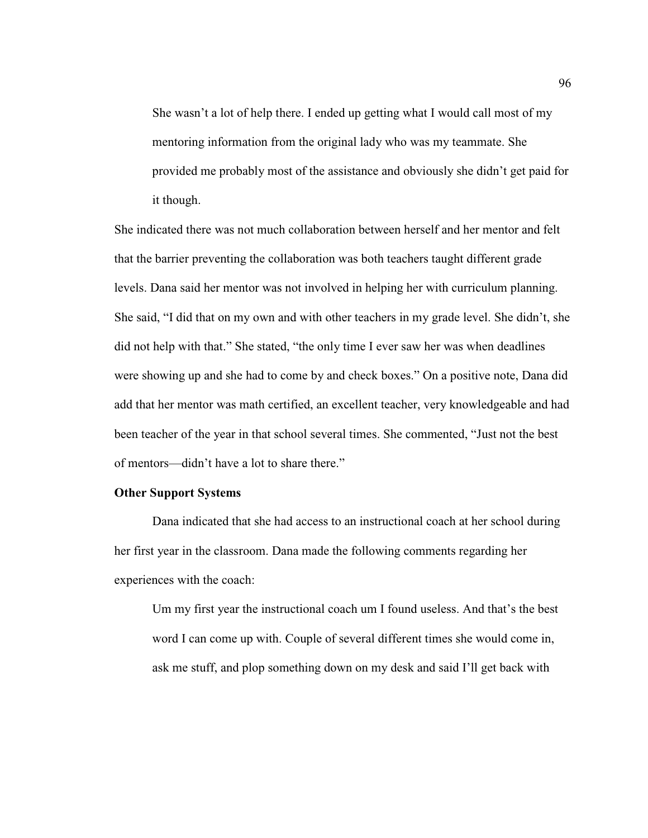She wasn't a lot of help there. I ended up getting what I would call most of my mentoring information from the original lady who was my teammate. She provided me probably most of the assistance and obviously she didn't get paid for it though.

She indicated there was not much collaboration between herself and her mentor and felt that the barrier preventing the collaboration was both teachers taught different grade levels. Dana said her mentor was not involved in helping her with curriculum planning. She said, "I did that on my own and with other teachers in my grade level. She didn't, she did not help with that." She stated, "the only time I ever saw her was when deadlines were showing up and she had to come by and check boxes." On a positive note, Dana did add that her mentor was math certified, an excellent teacher, very knowledgeable and had been teacher of the year in that school several times. She commented, "Just not the best of mentors—didn't have a lot to share there."

## **Other Support Systems**

 Dana indicated that she had access to an instructional coach at her school during her first year in the classroom. Dana made the following comments regarding her experiences with the coach:

Um my first year the instructional coach um I found useless. And that's the best word I can come up with. Couple of several different times she would come in, ask me stuff, and plop something down on my desk and said I'll get back with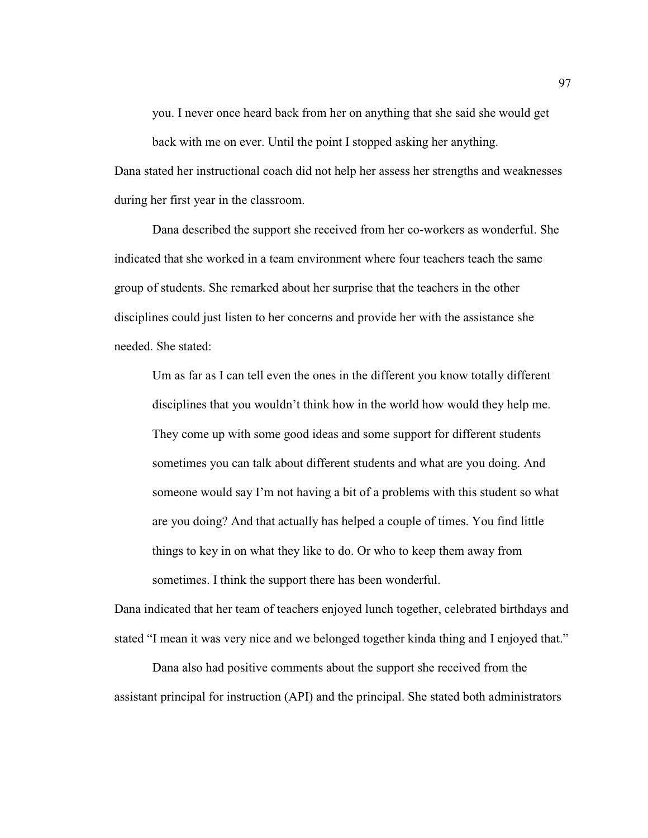you. I never once heard back from her on anything that she said she would get

back with me on ever. Until the point I stopped asking her anything. Dana stated her instructional coach did not help her assess her strengths and weaknesses

during her first year in the classroom.

 Dana described the support she received from her co-workers as wonderful. She indicated that she worked in a team environment where four teachers teach the same group of students. She remarked about her surprise that the teachers in the other disciplines could just listen to her concerns and provide her with the assistance she needed. She stated:

Um as far as I can tell even the ones in the different you know totally different disciplines that you wouldn't think how in the world how would they help me. They come up with some good ideas and some support for different students sometimes you can talk about different students and what are you doing. And someone would say I'm not having a bit of a problems with this student so what are you doing? And that actually has helped a couple of times. You find little things to key in on what they like to do. Or who to keep them away from sometimes. I think the support there has been wonderful.

Dana indicated that her team of teachers enjoyed lunch together, celebrated birthdays and stated "I mean it was very nice and we belonged together kinda thing and I enjoyed that."

Dana also had positive comments about the support she received from the assistant principal for instruction (API) and the principal. She stated both administrators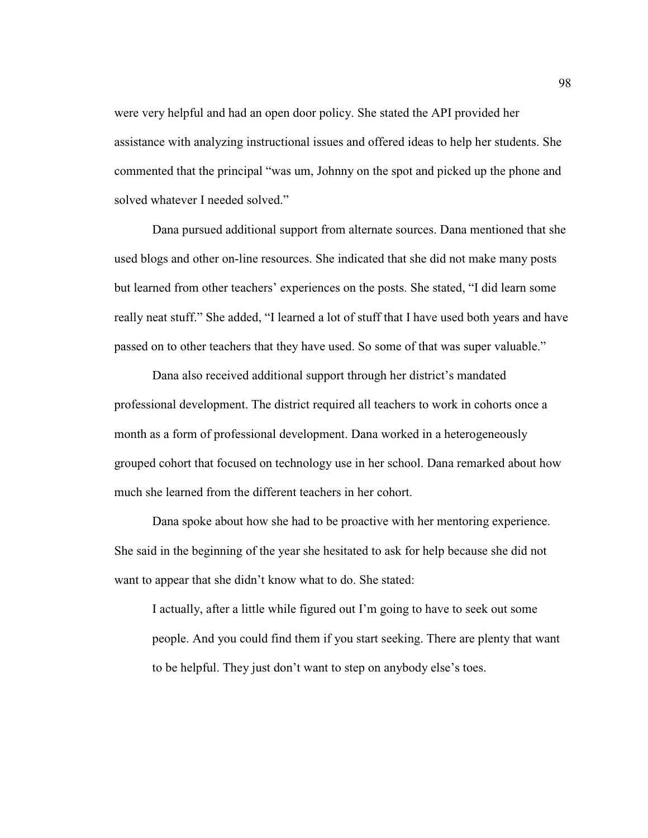were very helpful and had an open door policy. She stated the API provided her assistance with analyzing instructional issues and offered ideas to help her students. She commented that the principal "was um, Johnny on the spot and picked up the phone and solved whatever I needed solved."

 Dana pursued additional support from alternate sources. Dana mentioned that she used blogs and other on-line resources. She indicated that she did not make many posts but learned from other teachers' experiences on the posts. She stated, "I did learn some really neat stuff." She added, "I learned a lot of stuff that I have used both years and have passed on to other teachers that they have used. So some of that was super valuable."

Dana also received additional support through her district's mandated professional development. The district required all teachers to work in cohorts once a month as a form of professional development. Dana worked in a heterogeneously grouped cohort that focused on technology use in her school. Dana remarked about how much she learned from the different teachers in her cohort.

 Dana spoke about how she had to be proactive with her mentoring experience. She said in the beginning of the year she hesitated to ask for help because she did not want to appear that she didn't know what to do. She stated:

I actually, after a little while figured out I'm going to have to seek out some people. And you could find them if you start seeking. There are plenty that want to be helpful. They just don't want to step on anybody else's toes.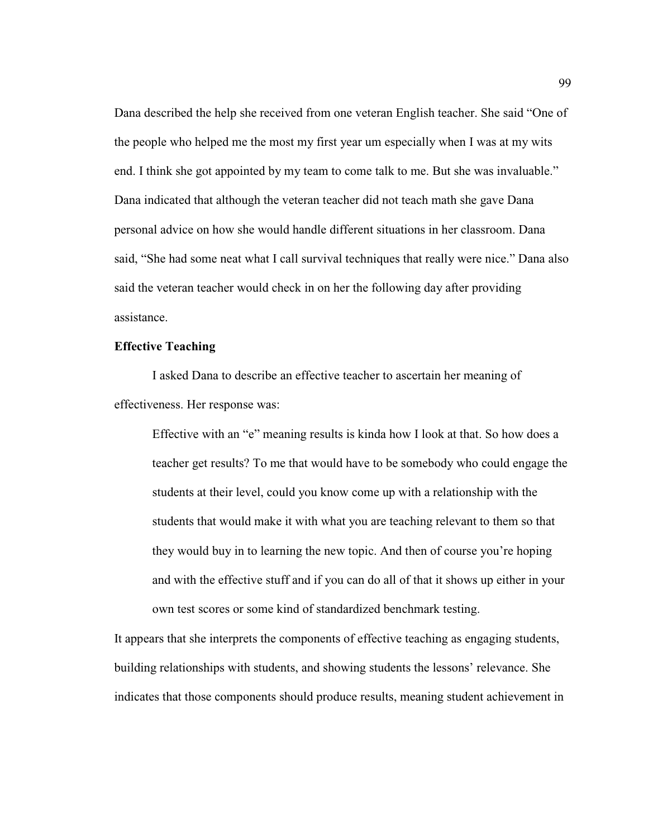Dana described the help she received from one veteran English teacher. She said "One of the people who helped me the most my first year um especially when I was at my wits end. I think she got appointed by my team to come talk to me. But she was invaluable." Dana indicated that although the veteran teacher did not teach math she gave Dana personal advice on how she would handle different situations in her classroom. Dana said, "She had some neat what I call survival techniques that really were nice." Dana also said the veteran teacher would check in on her the following day after providing assistance.

# **Effective Teaching**

I asked Dana to describe an effective teacher to ascertain her meaning of effectiveness. Her response was:

Effective with an "e" meaning results is kinda how I look at that. So how does a teacher get results? To me that would have to be somebody who could engage the students at their level, could you know come up with a relationship with the students that would make it with what you are teaching relevant to them so that they would buy in to learning the new topic. And then of course you're hoping and with the effective stuff and if you can do all of that it shows up either in your own test scores or some kind of standardized benchmark testing.

It appears that she interprets the components of effective teaching as engaging students, building relationships with students, and showing students the lessons' relevance. She indicates that those components should produce results, meaning student achievement in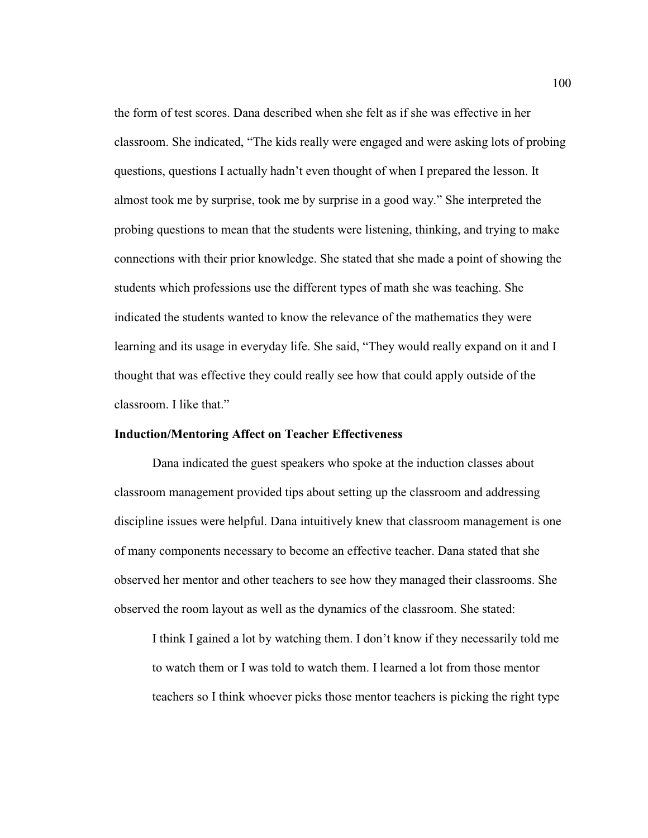the form of test scores. Dana described when she felt as if she was effective in her classroom. She indicated, "The kids really were engaged and were asking lots of probing questions, questions I actually hadn't even thought of when I prepared the lesson. It almost took me by surprise, took me by surprise in a good way." She interpreted the probing questions to mean that the students were listening, thinking, and trying to make connections with their prior knowledge. She stated that she made a point of showing the students which professions use the different types of math she was teaching. She indicated the students wanted to know the relevance of the mathematics they were learning and its usage in everyday life. She said, "They would really expand on it and I thought that was effective they could really see how that could apply outside of the classroom. I like that."

#### **Induction/Mentoring Affect on Teacher Effectiveness**

 Dana indicated the guest speakers who spoke at the induction classes about classroom management provided tips about setting up the classroom and addressing discipline issues were helpful. Dana intuitively knew that classroom management is one of many components necessary to become an effective teacher. Dana stated that she observed her mentor and other teachers to see how they managed their classrooms. She observed the room layout as well as the dynamics of the classroom. She stated:

I think I gained a lot by watching them. I don't know if they necessarily told me to watch them or I was told to watch them. I learned a lot from those mentor teachers so I think whoever picks those mentor teachers is picking the right type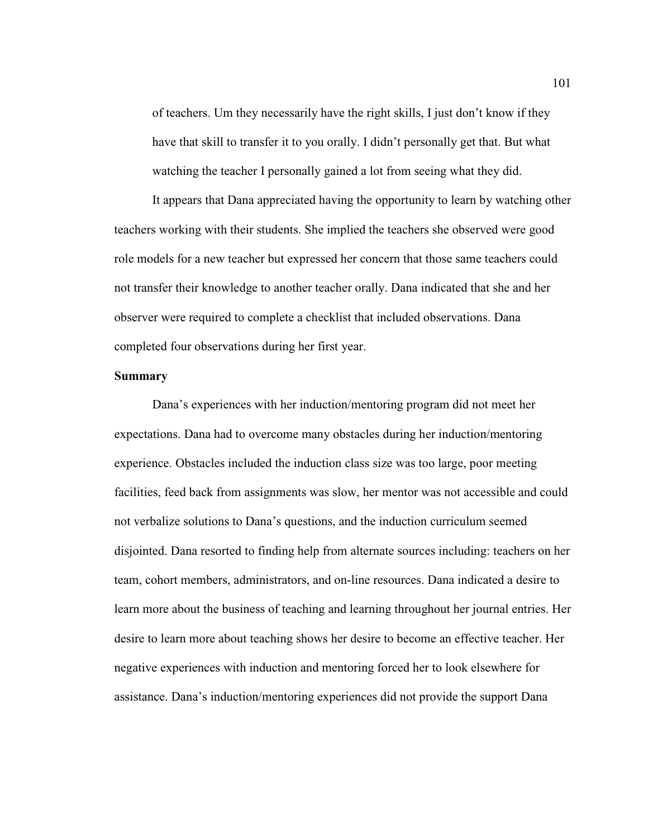of teachers. Um they necessarily have the right skills, I just don't know if they have that skill to transfer it to you orally. I didn't personally get that. But what watching the teacher I personally gained a lot from seeing what they did.

It appears that Dana appreciated having the opportunity to learn by watching other teachers working with their students. She implied the teachers she observed were good role models for a new teacher but expressed her concern that those same teachers could not transfer their knowledge to another teacher orally. Dana indicated that she and her observer were required to complete a checklist that included observations. Dana completed four observations during her first year.

# **Summary**

 Dana's experiences with her induction/mentoring program did not meet her expectations. Dana had to overcome many obstacles during her induction/mentoring experience. Obstacles included the induction class size was too large, poor meeting facilities, feed back from assignments was slow, her mentor was not accessible and could not verbalize solutions to Dana's questions, and the induction curriculum seemed disjointed. Dana resorted to finding help from alternate sources including: teachers on her team, cohort members, administrators, and on-line resources. Dana indicated a desire to learn more about the business of teaching and learning throughout her journal entries. Her desire to learn more about teaching shows her desire to become an effective teacher. Her negative experiences with induction and mentoring forced her to look elsewhere for assistance. Dana's induction/mentoring experiences did not provide the support Dana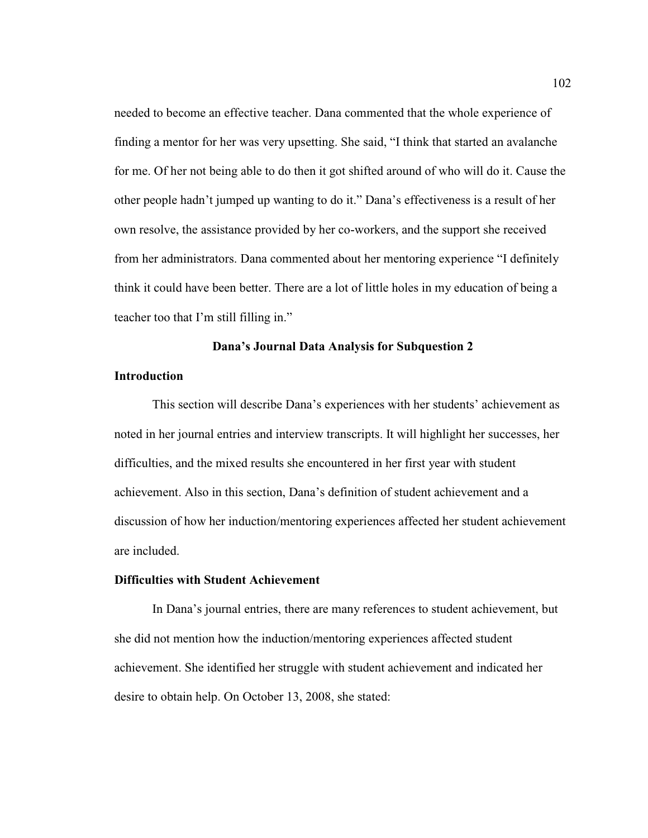needed to become an effective teacher. Dana commented that the whole experience of finding a mentor for her was very upsetting. She said, "I think that started an avalanche for me. Of her not being able to do then it got shifted around of who will do it. Cause the other people hadn't jumped up wanting to do it." Dana's effectiveness is a result of her own resolve, the assistance provided by her co-workers, and the support she received from her administrators. Dana commented about her mentoring experience "I definitely think it could have been better. There are a lot of little holes in my education of being a teacher too that I'm still filling in."

# **Dana's Journal Data Analysis for Subquestion 2**

#### **Introduction**

This section will describe Dana's experiences with her students' achievement as noted in her journal entries and interview transcripts. It will highlight her successes, her difficulties, and the mixed results she encountered in her first year with student achievement. Also in this section, Dana's definition of student achievement and a discussion of how her induction/mentoring experiences affected her student achievement are included.

#### **Difficulties with Student Achievement**

In Dana's journal entries, there are many references to student achievement, but she did not mention how the induction/mentoring experiences affected student achievement. She identified her struggle with student achievement and indicated her desire to obtain help. On October 13, 2008, she stated: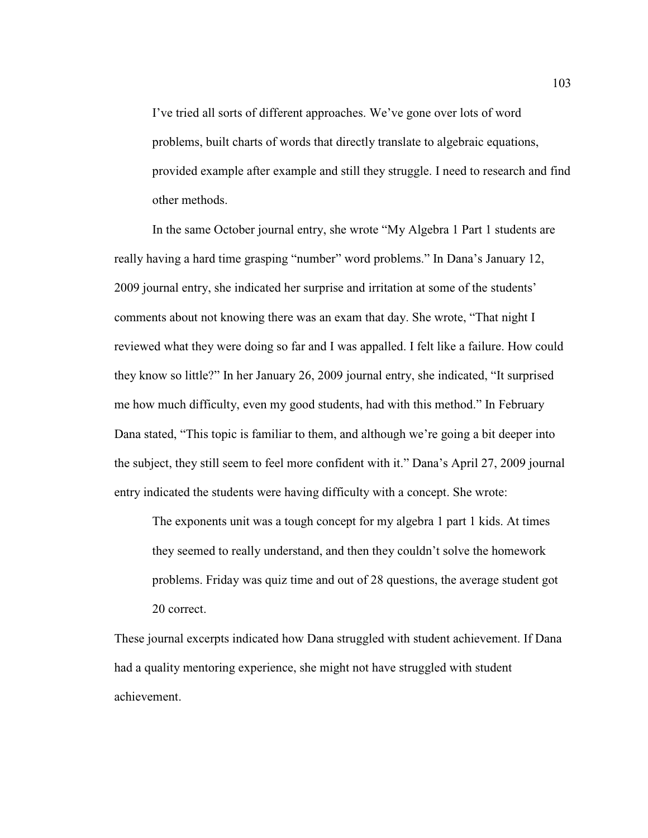I've tried all sorts of different approaches. We've gone over lots of word problems, built charts of words that directly translate to algebraic equations, provided example after example and still they struggle. I need to research and find other methods.

In the same October journal entry, she wrote "My Algebra 1 Part 1 students are really having a hard time grasping "number" word problems." In Dana's January 12, 2009 journal entry, she indicated her surprise and irritation at some of the students' comments about not knowing there was an exam that day. She wrote, "That night I reviewed what they were doing so far and I was appalled. I felt like a failure. How could they know so little?" In her January 26, 2009 journal entry, she indicated, "It surprised me how much difficulty, even my good students, had with this method." In February Dana stated, "This topic is familiar to them, and although we're going a bit deeper into the subject, they still seem to feel more confident with it." Dana's April 27, 2009 journal entry indicated the students were having difficulty with a concept. She wrote:

The exponents unit was a tough concept for my algebra 1 part 1 kids. At times they seemed to really understand, and then they couldn't solve the homework problems. Friday was quiz time and out of 28 questions, the average student got 20 correct.

These journal excerpts indicated how Dana struggled with student achievement. If Dana had a quality mentoring experience, she might not have struggled with student achievement.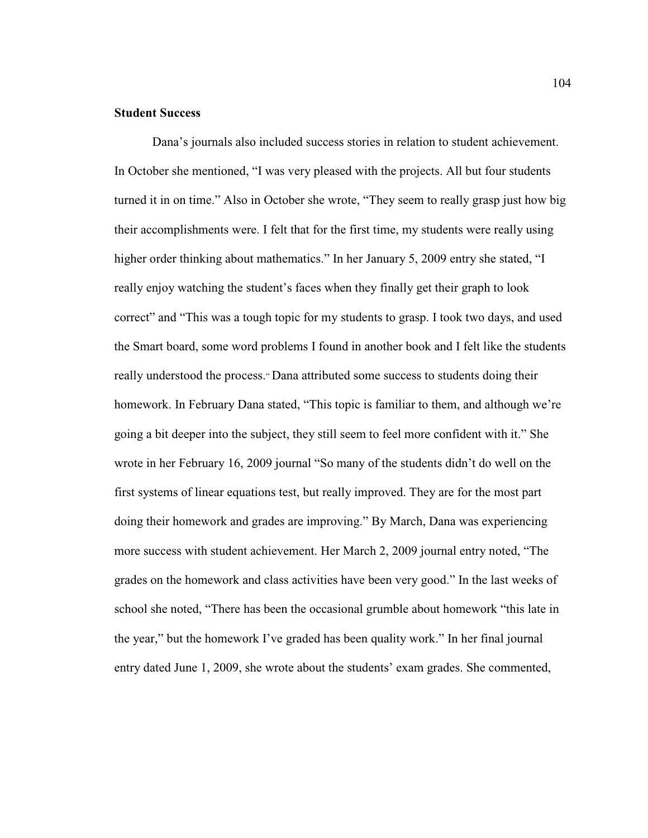# **Student Success**

Dana's journals also included success stories in relation to student achievement. In October she mentioned, "I was very pleased with the projects. All but four students turned it in on time." Also in October she wrote, "They seem to really grasp just how big their accomplishments were. I felt that for the first time, my students were really using higher order thinking about mathematics." In her January 5, 2009 entry she stated, "I really enjoy watching the student's faces when they finally get their graph to look correct" and "This was a tough topic for my students to grasp. I took two days, and used the Smart board, some word problems I found in another book and I felt like the students really understood the process." Dana attributed some success to students doing their homework. In February Dana stated, "This topic is familiar to them, and although we're going a bit deeper into the subject, they still seem to feel more confident with it." She wrote in her February 16, 2009 journal "So many of the students didn't do well on the first systems of linear equations test, but really improved. They are for the most part doing their homework and grades are improving." By March, Dana was experiencing more success with student achievement. Her March 2, 2009 journal entry noted, "The grades on the homework and class activities have been very good." In the last weeks of school she noted, "There has been the occasional grumble about homework "this late in the year," but the homework I've graded has been quality work." In her final journal entry dated June 1, 2009, she wrote about the students' exam grades. She commented,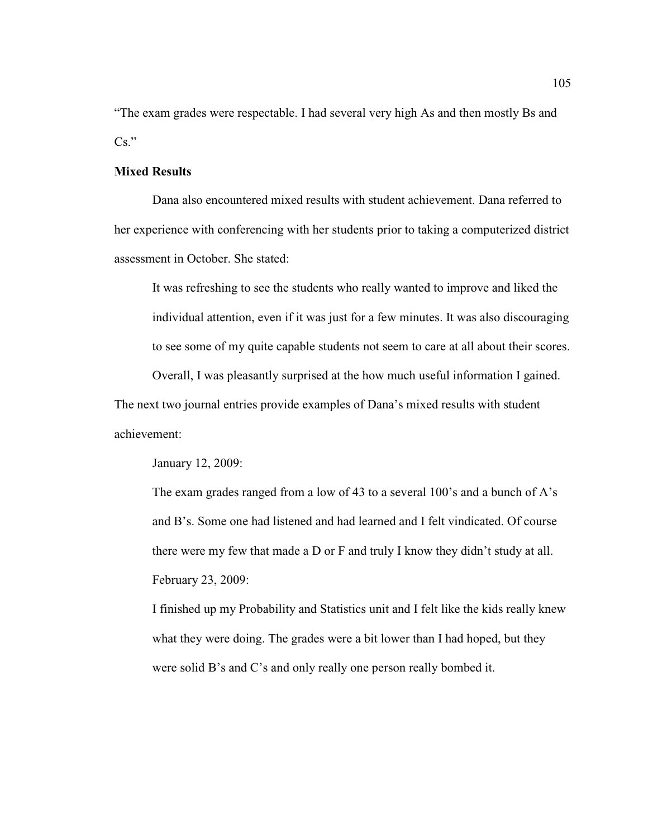"The exam grades were respectable. I had several very high As and then mostly Bs and  $Cs.$ "

# **Mixed Results**

Dana also encountered mixed results with student achievement. Dana referred to her experience with conferencing with her students prior to taking a computerized district assessment in October. She stated:

It was refreshing to see the students who really wanted to improve and liked the individual attention, even if it was just for a few minutes. It was also discouraging to see some of my quite capable students not seem to care at all about their scores.

Overall, I was pleasantly surprised at the how much useful information I gained.

The next two journal entries provide examples of Dana's mixed results with student achievement:

January 12, 2009:

The exam grades ranged from a low of 43 to a several 100's and a bunch of A's and B's. Some one had listened and had learned and I felt vindicated. Of course there were my few that made a D or F and truly I know they didn't study at all. February 23, 2009:

I finished up my Probability and Statistics unit and I felt like the kids really knew what they were doing. The grades were a bit lower than I had hoped, but they were solid B's and C's and only really one person really bombed it.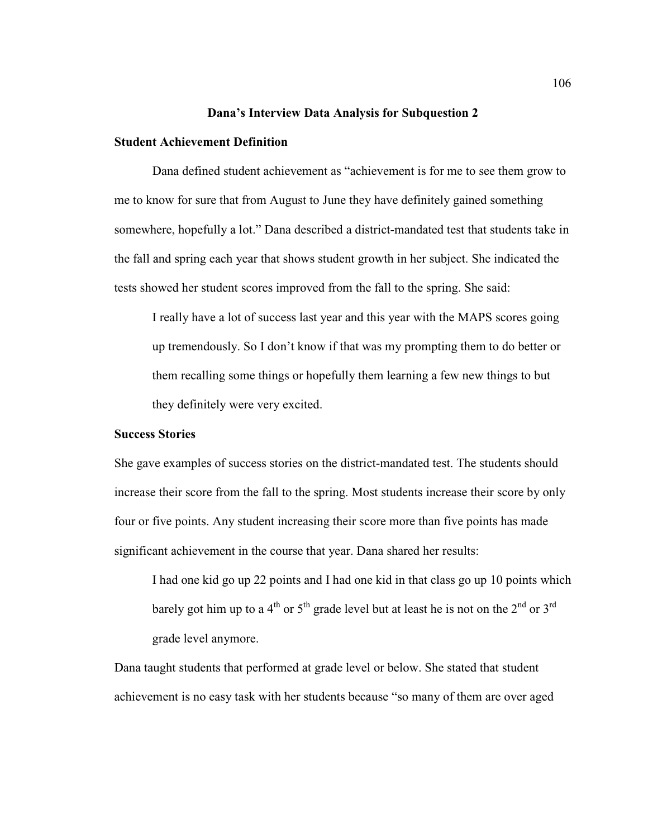#### **Dana's Interview Data Analysis for Subquestion 2**

# **Student Achievement Definition**

 Dana defined student achievement as "achievement is for me to see them grow to me to know for sure that from August to June they have definitely gained something somewhere, hopefully a lot." Dana described a district-mandated test that students take in the fall and spring each year that shows student growth in her subject. She indicated the tests showed her student scores improved from the fall to the spring. She said:

I really have a lot of success last year and this year with the MAPS scores going up tremendously. So I don't know if that was my prompting them to do better or them recalling some things or hopefully them learning a few new things to but they definitely were very excited.

# **Success Stories**

She gave examples of success stories on the district-mandated test. The students should increase their score from the fall to the spring. Most students increase their score by only four or five points. Any student increasing their score more than five points has made significant achievement in the course that year. Dana shared her results:

I had one kid go up 22 points and I had one kid in that class go up 10 points which barely got him up to a 4<sup>th</sup> or 5<sup>th</sup> grade level but at least he is not on the 2<sup>nd</sup> or 3<sup>rd</sup> grade level anymore.

Dana taught students that performed at grade level or below. She stated that student achievement is no easy task with her students because "so many of them are over aged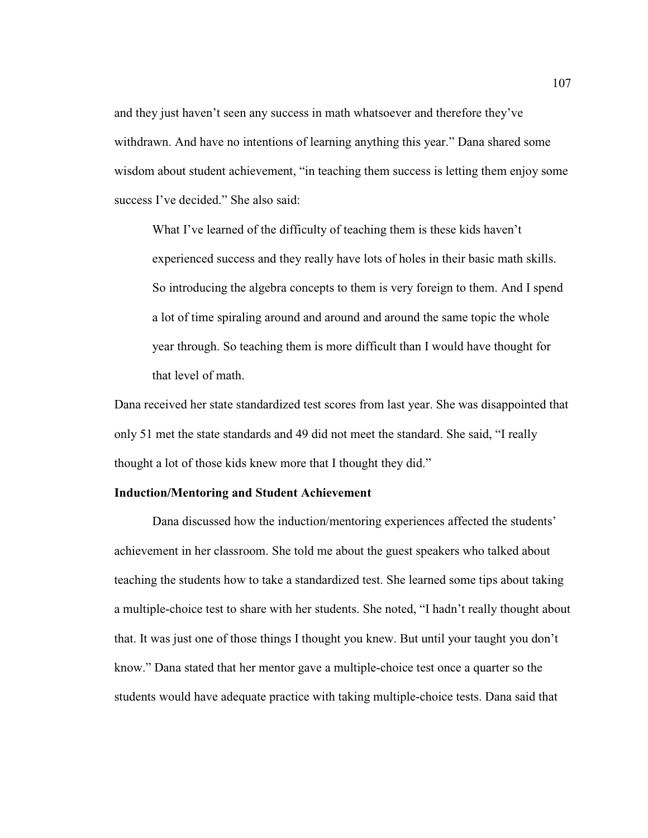and they just haven't seen any success in math whatsoever and therefore they've withdrawn. And have no intentions of learning anything this year." Dana shared some wisdom about student achievement, "in teaching them success is letting them enjoy some success I've decided." She also said:

What I've learned of the difficulty of teaching them is these kids haven't experienced success and they really have lots of holes in their basic math skills. So introducing the algebra concepts to them is very foreign to them. And I spend a lot of time spiraling around and around and around the same topic the whole year through. So teaching them is more difficult than I would have thought for that level of math.

Dana received her state standardized test scores from last year. She was disappointed that only 51 met the state standards and 49 did not meet the standard. She said, "I really thought a lot of those kids knew more that I thought they did."

#### **Induction/Mentoring and Student Achievement**

 Dana discussed how the induction/mentoring experiences affected the students' achievement in her classroom. She told me about the guest speakers who talked about teaching the students how to take a standardized test. She learned some tips about taking a multiple-choice test to share with her students. She noted, "I hadn't really thought about that. It was just one of those things I thought you knew. But until your taught you don't know." Dana stated that her mentor gave a multiple-choice test once a quarter so the students would have adequate practice with taking multiple-choice tests. Dana said that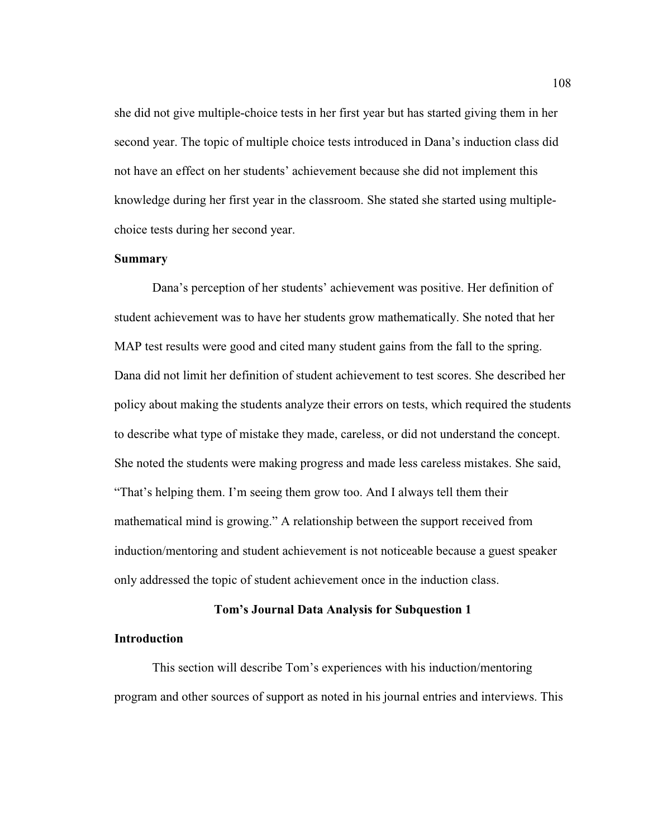she did not give multiple-choice tests in her first year but has started giving them in her second year. The topic of multiple choice tests introduced in Dana's induction class did not have an effect on her students' achievement because she did not implement this knowledge during her first year in the classroom. She stated she started using multiplechoice tests during her second year.

# **Summary**

 Dana's perception of her students' achievement was positive. Her definition of student achievement was to have her students grow mathematically. She noted that her MAP test results were good and cited many student gains from the fall to the spring. Dana did not limit her definition of student achievement to test scores. She described her policy about making the students analyze their errors on tests, which required the students to describe what type of mistake they made, careless, or did not understand the concept. She noted the students were making progress and made less careless mistakes. She said, "That's helping them. I'm seeing them grow too. And I always tell them their mathematical mind is growing." A relationship between the support received from induction/mentoring and student achievement is not noticeable because a guest speaker only addressed the topic of student achievement once in the induction class.

#### **Tom's Journal Data Analysis for Subquestion 1**

# **Introduction**

This section will describe Tom's experiences with his induction/mentoring program and other sources of support as noted in his journal entries and interviews. This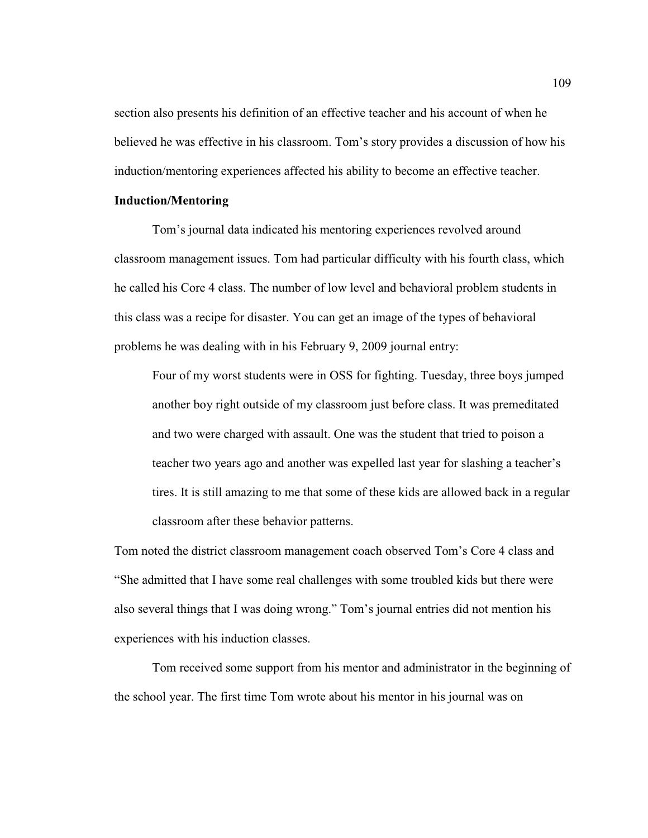section also presents his definition of an effective teacher and his account of when he believed he was effective in his classroom. Tom's story provides a discussion of how his induction/mentoring experiences affected his ability to become an effective teacher.

### **Induction/Mentoring**

Tom's journal data indicated his mentoring experiences revolved around classroom management issues. Tom had particular difficulty with his fourth class, which he called his Core 4 class. The number of low level and behavioral problem students in this class was a recipe for disaster. You can get an image of the types of behavioral problems he was dealing with in his February 9, 2009 journal entry:

Four of my worst students were in OSS for fighting. Tuesday, three boys jumped another boy right outside of my classroom just before class. It was premeditated and two were charged with assault. One was the student that tried to poison a teacher two years ago and another was expelled last year for slashing a teacher's tires. It is still amazing to me that some of these kids are allowed back in a regular classroom after these behavior patterns.

Tom noted the district classroom management coach observed Tom's Core 4 class and "She admitted that I have some real challenges with some troubled kids but there were also several things that I was doing wrong." Tom's journal entries did not mention his experiences with his induction classes.

 Tom received some support from his mentor and administrator in the beginning of the school year. The first time Tom wrote about his mentor in his journal was on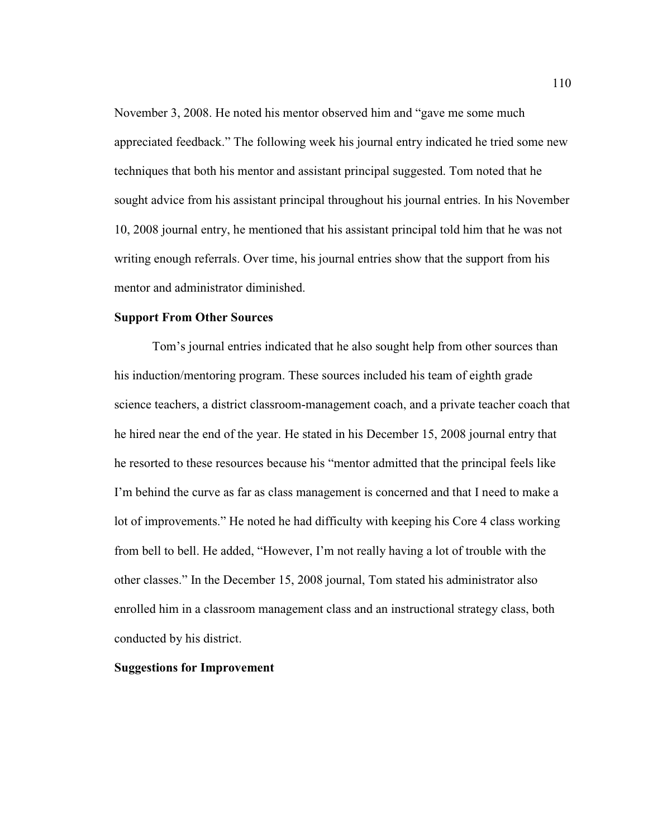November 3, 2008. He noted his mentor observed him and "gave me some much appreciated feedback." The following week his journal entry indicated he tried some new techniques that both his mentor and assistant principal suggested. Tom noted that he sought advice from his assistant principal throughout his journal entries. In his November 10, 2008 journal entry, he mentioned that his assistant principal told him that he was not writing enough referrals. Over time, his journal entries show that the support from his mentor and administrator diminished.

#### **Support From Other Sources**

Tom's journal entries indicated that he also sought help from other sources than his induction/mentoring program. These sources included his team of eighth grade science teachers, a district classroom-management coach, and a private teacher coach that he hired near the end of the year. He stated in his December 15, 2008 journal entry that he resorted to these resources because his "mentor admitted that the principal feels like I'm behind the curve as far as class management is concerned and that I need to make a lot of improvements." He noted he had difficulty with keeping his Core 4 class working from bell to bell. He added, "However, I'm not really having a lot of trouble with the other classes." In the December 15, 2008 journal, Tom stated his administrator also enrolled him in a classroom management class and an instructional strategy class, both conducted by his district.

# **Suggestions for Improvement**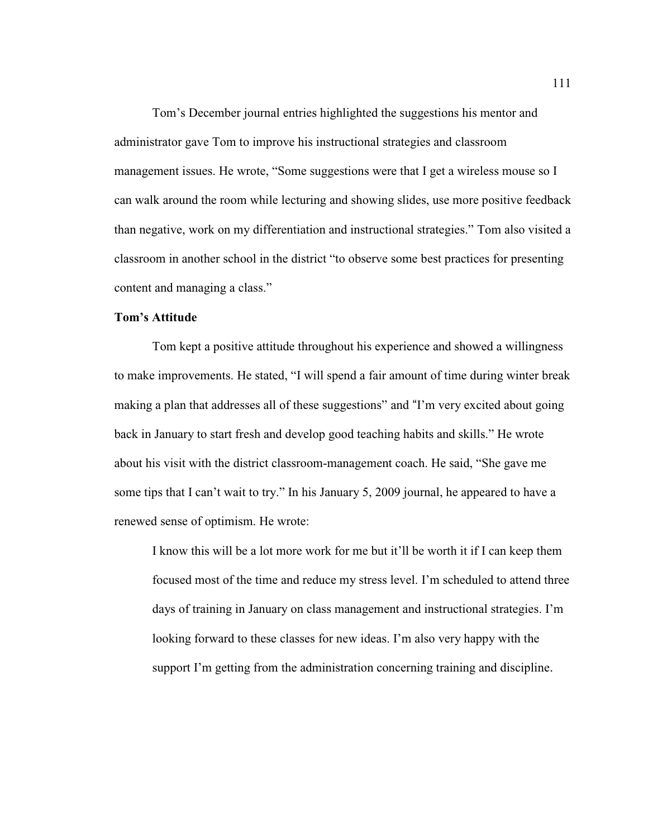Tom's December journal entries highlighted the suggestions his mentor and administrator gave Tom to improve his instructional strategies and classroom management issues. He wrote, "Some suggestions were that I get a wireless mouse so I can walk around the room while lecturing and showing slides, use more positive feedback than negative, work on my differentiation and instructional strategies." Tom also visited a classroom in another school in the district "to observe some best practices for presenting content and managing a class."

# **Tom's Attitude**

Tom kept a positive attitude throughout his experience and showed a willingness to make improvements. He stated, "I will spend a fair amount of time during winter break making a plan that addresses all of these suggestions" and "I'm very excited about going back in January to start fresh and develop good teaching habits and skills." He wrote about his visit with the district classroom-management coach. He said, "She gave me some tips that I can't wait to try." In his January 5, 2009 journal, he appeared to have a renewed sense of optimism. He wrote:

I know this will be a lot more work for me but it'll be worth it if I can keep them focused most of the time and reduce my stress level. I'm scheduled to attend three days of training in January on class management and instructional strategies. I'm looking forward to these classes for new ideas. I'm also very happy with the support I'm getting from the administration concerning training and discipline.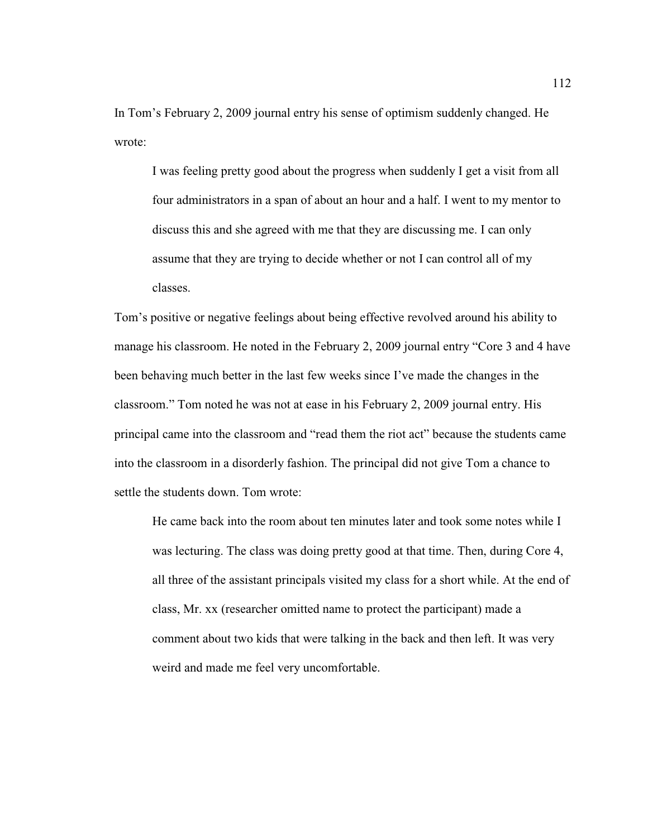In Tom's February 2, 2009 journal entry his sense of optimism suddenly changed. He wrote:

I was feeling pretty good about the progress when suddenly I get a visit from all four administrators in a span of about an hour and a half. I went to my mentor to discuss this and she agreed with me that they are discussing me. I can only assume that they are trying to decide whether or not I can control all of my classes.

Tom's positive or negative feelings about being effective revolved around his ability to manage his classroom. He noted in the February 2, 2009 journal entry "Core 3 and 4 have been behaving much better in the last few weeks since I've made the changes in the classroom." Tom noted he was not at ease in his February 2, 2009 journal entry. His principal came into the classroom and "read them the riot act" because the students came into the classroom in a disorderly fashion. The principal did not give Tom a chance to settle the students down. Tom wrote:

He came back into the room about ten minutes later and took some notes while I was lecturing. The class was doing pretty good at that time. Then, during Core 4, all three of the assistant principals visited my class for a short while. At the end of class, Mr. xx (researcher omitted name to protect the participant) made a comment about two kids that were talking in the back and then left. It was very weird and made me feel very uncomfortable.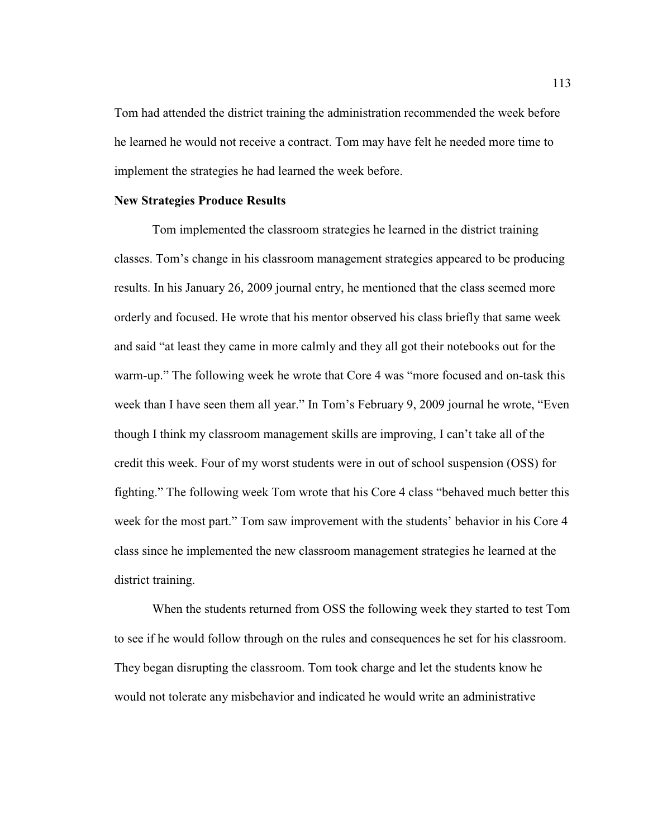Tom had attended the district training the administration recommended the week before he learned he would not receive a contract. Tom may have felt he needed more time to implement the strategies he had learned the week before.

#### **New Strategies Produce Results**

Tom implemented the classroom strategies he learned in the district training classes. Tom's change in his classroom management strategies appeared to be producing results. In his January 26, 2009 journal entry, he mentioned that the class seemed more orderly and focused. He wrote that his mentor observed his class briefly that same week and said "at least they came in more calmly and they all got their notebooks out for the warm-up." The following week he wrote that Core 4 was "more focused and on-task this week than I have seen them all year." In Tom's February 9, 2009 journal he wrote, "Even though I think my classroom management skills are improving, I can't take all of the credit this week. Four of my worst students were in out of school suspension (OSS) for fighting." The following week Tom wrote that his Core 4 class "behaved much better this week for the most part." Tom saw improvement with the students' behavior in his Core 4 class since he implemented the new classroom management strategies he learned at the district training.

When the students returned from OSS the following week they started to test Tom to see if he would follow through on the rules and consequences he set for his classroom. They began disrupting the classroom. Tom took charge and let the students know he would not tolerate any misbehavior and indicated he would write an administrative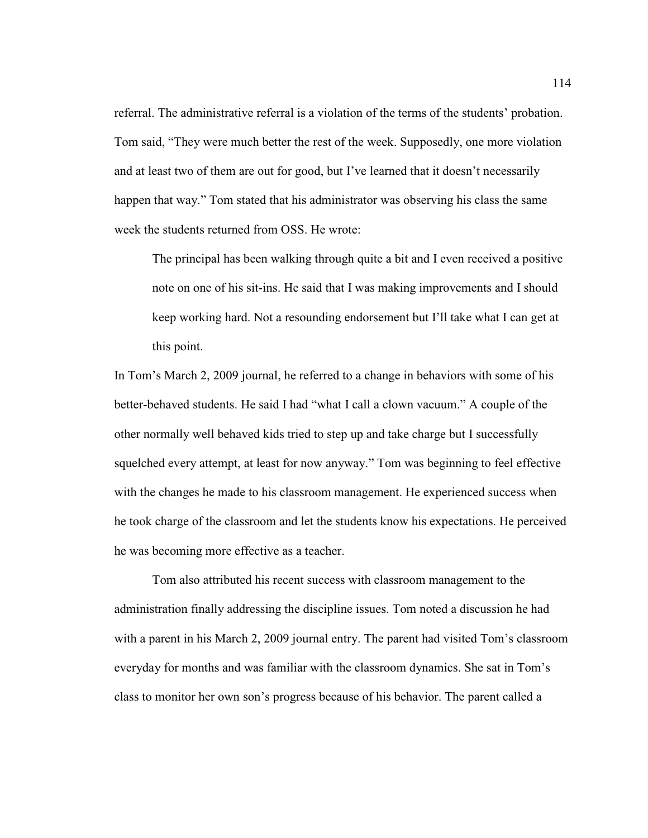referral. The administrative referral is a violation of the terms of the students' probation. Tom said, "They were much better the rest of the week. Supposedly, one more violation and at least two of them are out for good, but I've learned that it doesn't necessarily happen that way." Tom stated that his administrator was observing his class the same week the students returned from OSS. He wrote:

The principal has been walking through quite a bit and I even received a positive note on one of his sit-ins. He said that I was making improvements and I should keep working hard. Not a resounding endorsement but I'll take what I can get at this point.

In Tom's March 2, 2009 journal, he referred to a change in behaviors with some of his better-behaved students. He said I had "what I call a clown vacuum." A couple of the other normally well behaved kids tried to step up and take charge but I successfully squelched every attempt, at least for now anyway." Tom was beginning to feel effective with the changes he made to his classroom management. He experienced success when he took charge of the classroom and let the students know his expectations. He perceived he was becoming more effective as a teacher.

 Tom also attributed his recent success with classroom management to the administration finally addressing the discipline issues. Tom noted a discussion he had with a parent in his March 2, 2009 journal entry. The parent had visited Tom's classroom everyday for months and was familiar with the classroom dynamics. She sat in Tom's class to monitor her own son's progress because of his behavior. The parent called a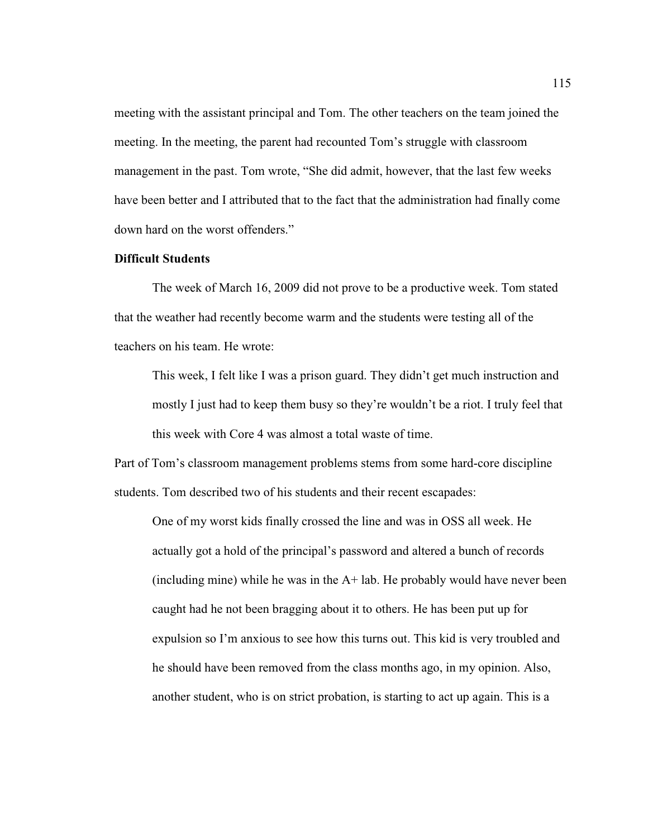meeting with the assistant principal and Tom. The other teachers on the team joined the meeting. In the meeting, the parent had recounted Tom's struggle with classroom management in the past. Tom wrote, "She did admit, however, that the last few weeks have been better and I attributed that to the fact that the administration had finally come down hard on the worst offenders."

# **Difficult Students**

The week of March 16, 2009 did not prove to be a productive week. Tom stated that the weather had recently become warm and the students were testing all of the teachers on his team. He wrote:

This week, I felt like I was a prison guard. They didn't get much instruction and mostly I just had to keep them busy so they're wouldn't be a riot. I truly feel that this week with Core 4 was almost a total waste of time.

Part of Tom's classroom management problems stems from some hard-core discipline students. Tom described two of his students and their recent escapades:

One of my worst kids finally crossed the line and was in OSS all week. He actually got a hold of the principal's password and altered a bunch of records (including mine) while he was in the A+ lab. He probably would have never been caught had he not been bragging about it to others. He has been put up for expulsion so I'm anxious to see how this turns out. This kid is very troubled and he should have been removed from the class months ago, in my opinion. Also, another student, who is on strict probation, is starting to act up again. This is a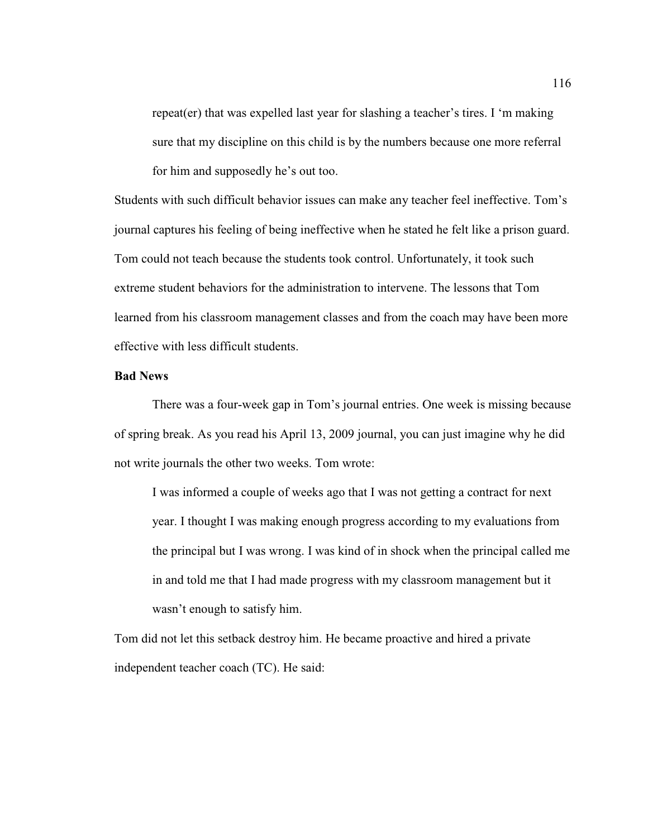repeat(er) that was expelled last year for slashing a teacher's tires. I 'm making sure that my discipline on this child is by the numbers because one more referral for him and supposedly he's out too.

Students with such difficult behavior issues can make any teacher feel ineffective. Tom's journal captures his feeling of being ineffective when he stated he felt like a prison guard. Tom could not teach because the students took control. Unfortunately, it took such extreme student behaviors for the administration to intervene. The lessons that Tom learned from his classroom management classes and from the coach may have been more effective with less difficult students.

#### **Bad News**

 There was a four-week gap in Tom's journal entries. One week is missing because of spring break. As you read his April 13, 2009 journal, you can just imagine why he did not write journals the other two weeks. Tom wrote:

I was informed a couple of weeks ago that I was not getting a contract for next year. I thought I was making enough progress according to my evaluations from the principal but I was wrong. I was kind of in shock when the principal called me in and told me that I had made progress with my classroom management but it wasn't enough to satisfy him.

Tom did not let this setback destroy him. He became proactive and hired a private independent teacher coach (TC). He said: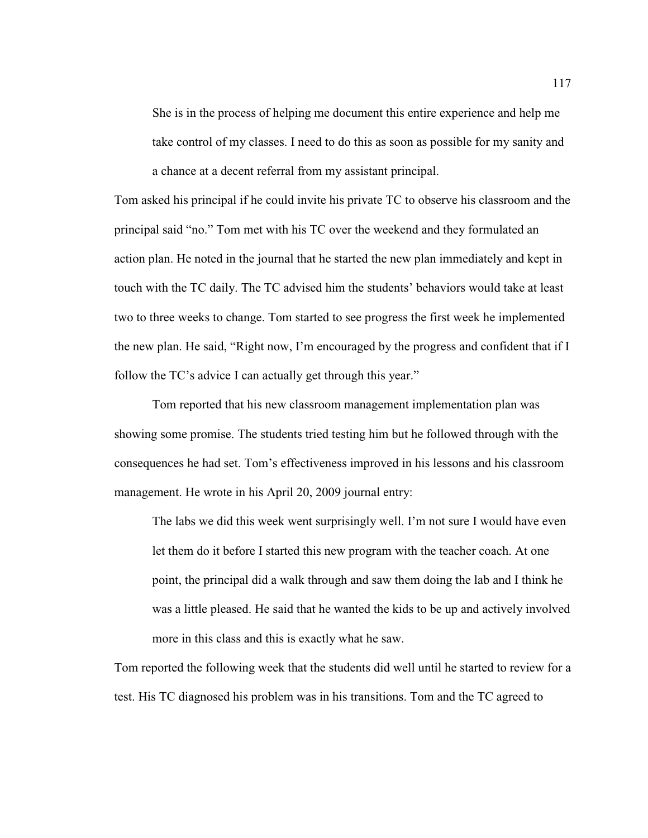She is in the process of helping me document this entire experience and help me take control of my classes. I need to do this as soon as possible for my sanity and a chance at a decent referral from my assistant principal.

Tom asked his principal if he could invite his private TC to observe his classroom and the principal said "no." Tom met with his TC over the weekend and they formulated an action plan. He noted in the journal that he started the new plan immediately and kept in touch with the TC daily. The TC advised him the students' behaviors would take at least two to three weeks to change. Tom started to see progress the first week he implemented the new plan. He said, "Right now, I'm encouraged by the progress and confident that if I follow the TC's advice I can actually get through this year."

 Tom reported that his new classroom management implementation plan was showing some promise. The students tried testing him but he followed through with the consequences he had set. Tom's effectiveness improved in his lessons and his classroom management. He wrote in his April 20, 2009 journal entry:

The labs we did this week went surprisingly well. I'm not sure I would have even let them do it before I started this new program with the teacher coach. At one point, the principal did a walk through and saw them doing the lab and I think he was a little pleased. He said that he wanted the kids to be up and actively involved more in this class and this is exactly what he saw.

Tom reported the following week that the students did well until he started to review for a test. His TC diagnosed his problem was in his transitions. Tom and the TC agreed to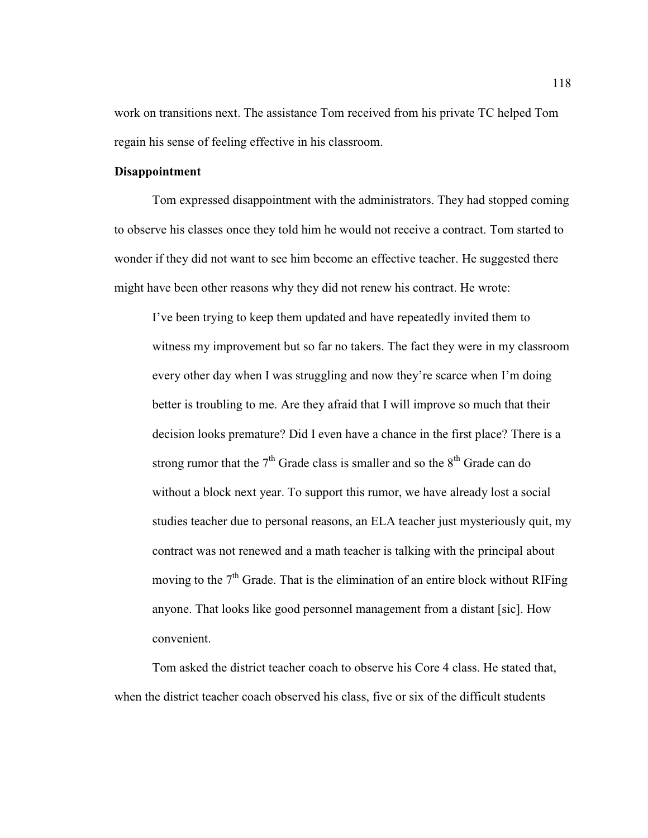work on transitions next. The assistance Tom received from his private TC helped Tom regain his sense of feeling effective in his classroom.

# **Disappointment**

Tom expressed disappointment with the administrators. They had stopped coming to observe his classes once they told him he would not receive a contract. Tom started to wonder if they did not want to see him become an effective teacher. He suggested there might have been other reasons why they did not renew his contract. He wrote:

I've been trying to keep them updated and have repeatedly invited them to witness my improvement but so far no takers. The fact they were in my classroom every other day when I was struggling and now they're scarce when I'm doing better is troubling to me. Are they afraid that I will improve so much that their decision looks premature? Did I even have a chance in the first place? There is a strong rumor that the  $7<sup>th</sup>$  Grade class is smaller and so the  $8<sup>th</sup>$  Grade can do without a block next year. To support this rumor, we have already lost a social studies teacher due to personal reasons, an ELA teacher just mysteriously quit, my contract was not renewed and a math teacher is talking with the principal about moving to the  $7<sup>th</sup>$  Grade. That is the elimination of an entire block without RIFing anyone. That looks like good personnel management from a distant [sic]. How convenient.

Tom asked the district teacher coach to observe his Core 4 class. He stated that, when the district teacher coach observed his class, five or six of the difficult students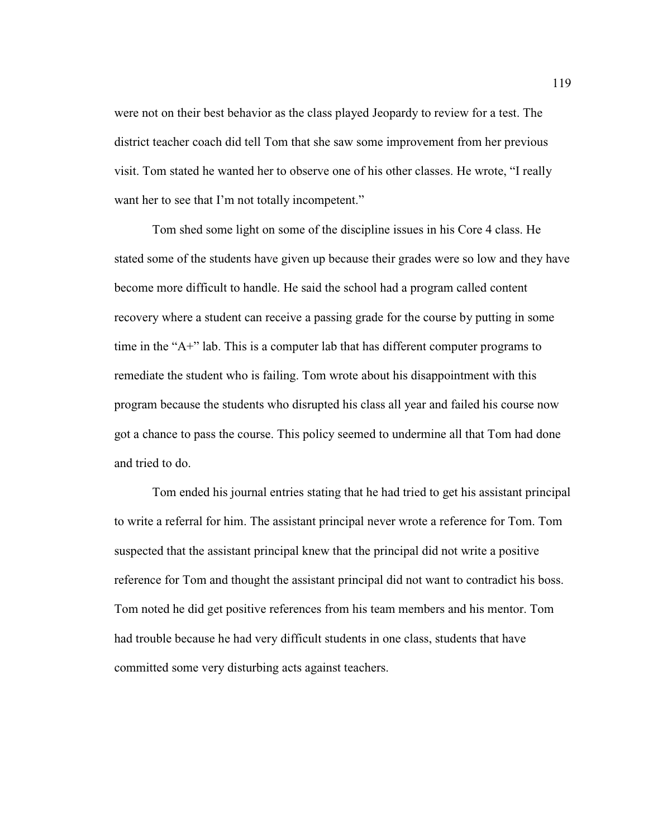were not on their best behavior as the class played Jeopardy to review for a test. The district teacher coach did tell Tom that she saw some improvement from her previous visit. Tom stated he wanted her to observe one of his other classes. He wrote, "I really want her to see that I'm not totally incompetent."

 Tom shed some light on some of the discipline issues in his Core 4 class. He stated some of the students have given up because their grades were so low and they have become more difficult to handle. He said the school had a program called content recovery where a student can receive a passing grade for the course by putting in some time in the "A+" lab. This is a computer lab that has different computer programs to remediate the student who is failing. Tom wrote about his disappointment with this program because the students who disrupted his class all year and failed his course now got a chance to pass the course. This policy seemed to undermine all that Tom had done and tried to do.

 Tom ended his journal entries stating that he had tried to get his assistant principal to write a referral for him. The assistant principal never wrote a reference for Tom. Tom suspected that the assistant principal knew that the principal did not write a positive reference for Tom and thought the assistant principal did not want to contradict his boss. Tom noted he did get positive references from his team members and his mentor. Tom had trouble because he had very difficult students in one class, students that have committed some very disturbing acts against teachers.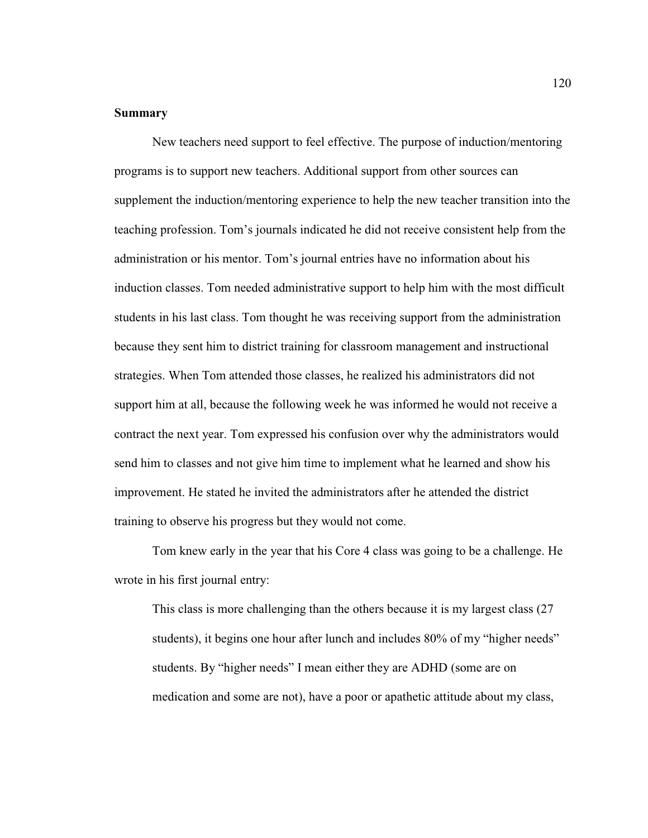# **Summary**

New teachers need support to feel effective. The purpose of induction/mentoring programs is to support new teachers. Additional support from other sources can supplement the induction/mentoring experience to help the new teacher transition into the teaching profession. Tom's journals indicated he did not receive consistent help from the administration or his mentor. Tom's journal entries have no information about his induction classes. Tom needed administrative support to help him with the most difficult students in his last class. Tom thought he was receiving support from the administration because they sent him to district training for classroom management and instructional strategies. When Tom attended those classes, he realized his administrators did not support him at all, because the following week he was informed he would not receive a contract the next year. Tom expressed his confusion over why the administrators would send him to classes and not give him time to implement what he learned and show his improvement. He stated he invited the administrators after he attended the district training to observe his progress but they would not come.

Tom knew early in the year that his Core 4 class was going to be a challenge. He wrote in his first journal entry:

This class is more challenging than the others because it is my largest class (27 students), it begins one hour after lunch and includes 80% of my "higher needs" students. By "higher needs" I mean either they are ADHD (some are on medication and some are not), have a poor or apathetic attitude about my class,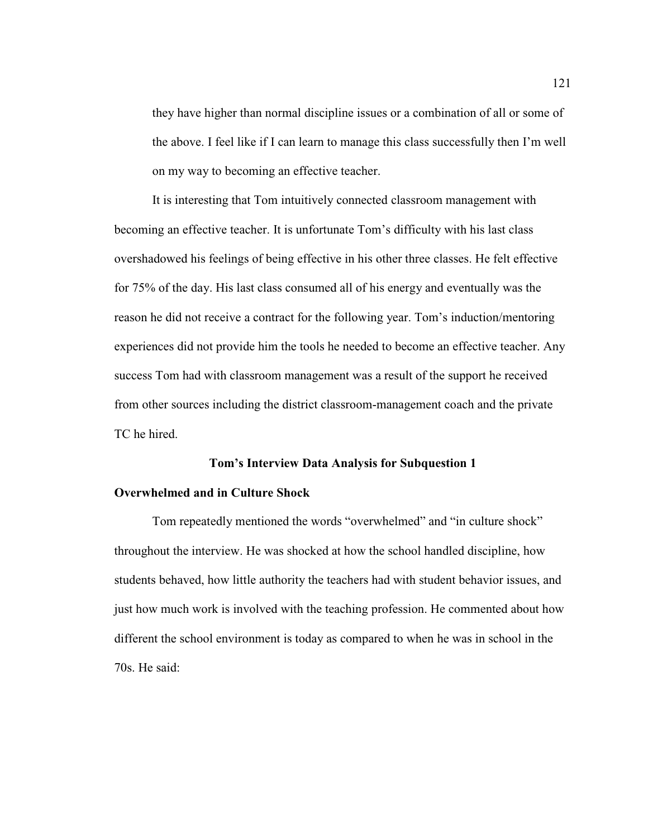they have higher than normal discipline issues or a combination of all or some of the above. I feel like if I can learn to manage this class successfully then I'm well on my way to becoming an effective teacher.

It is interesting that Tom intuitively connected classroom management with becoming an effective teacher. It is unfortunate Tom's difficulty with his last class overshadowed his feelings of being effective in his other three classes. He felt effective for 75% of the day. His last class consumed all of his energy and eventually was the reason he did not receive a contract for the following year. Tom's induction/mentoring experiences did not provide him the tools he needed to become an effective teacher. Any success Tom had with classroom management was a result of the support he received from other sources including the district classroom-management coach and the private TC he hired.

#### **Tom's Interview Data Analysis for Subquestion 1**

#### **Overwhelmed and in Culture Shock**

Tom repeatedly mentioned the words "overwhelmed" and "in culture shock" throughout the interview. He was shocked at how the school handled discipline, how students behaved, how little authority the teachers had with student behavior issues, and just how much work is involved with the teaching profession. He commented about how different the school environment is today as compared to when he was in school in the 70s. He said: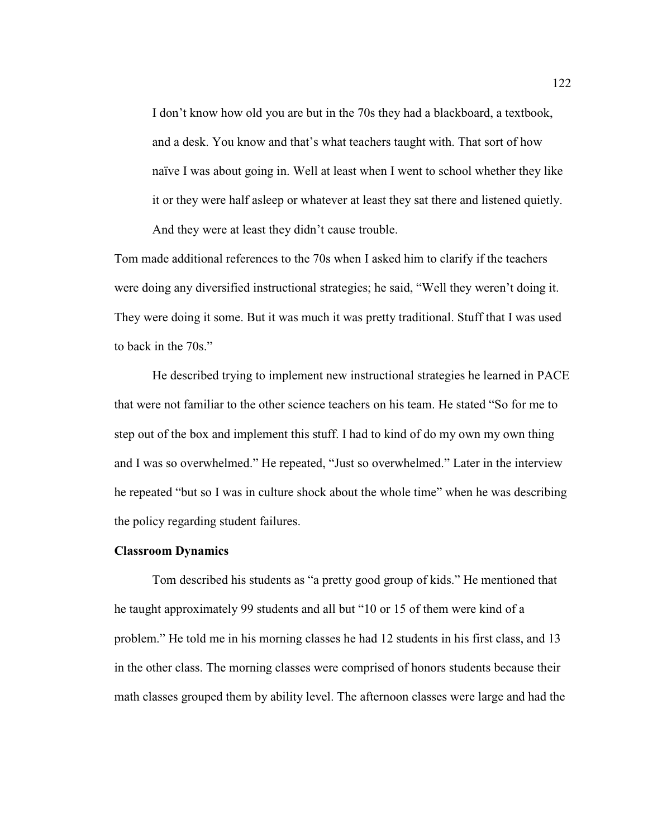I don't know how old you are but in the 70s they had a blackboard, a textbook, and a desk. You know and that's what teachers taught with. That sort of how naïve I was about going in. Well at least when I went to school whether they like it or they were half asleep or whatever at least they sat there and listened quietly. And they were at least they didn't cause trouble.

Tom made additional references to the 70s when I asked him to clarify if the teachers were doing any diversified instructional strategies; he said, "Well they weren't doing it. They were doing it some. But it was much it was pretty traditional. Stuff that I was used to back in the 70s."

He described trying to implement new instructional strategies he learned in PACE that were not familiar to the other science teachers on his team. He stated "So for me to step out of the box and implement this stuff. I had to kind of do my own my own thing and I was so overwhelmed." He repeated, "Just so overwhelmed." Later in the interview he repeated "but so I was in culture shock about the whole time" when he was describing the policy regarding student failures.

#### **Classroom Dynamics**

 Tom described his students as "a pretty good group of kids." He mentioned that he taught approximately 99 students and all but "10 or 15 of them were kind of a problem." He told me in his morning classes he had 12 students in his first class, and 13 in the other class. The morning classes were comprised of honors students because their math classes grouped them by ability level. The afternoon classes were large and had the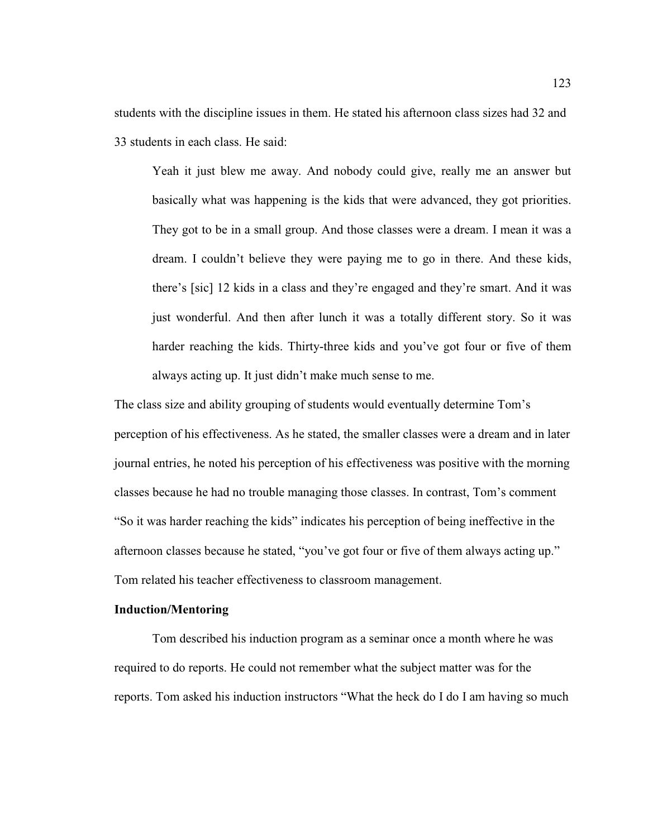students with the discipline issues in them. He stated his afternoon class sizes had 32 and 33 students in each class. He said:

Yeah it just blew me away. And nobody could give, really me an answer but basically what was happening is the kids that were advanced, they got priorities. They got to be in a small group. And those classes were a dream. I mean it was a dream. I couldn't believe they were paying me to go in there. And these kids, there's [sic] 12 kids in a class and they're engaged and they're smart. And it was just wonderful. And then after lunch it was a totally different story. So it was harder reaching the kids. Thirty-three kids and you've got four or five of them always acting up. It just didn't make much sense to me.

The class size and ability grouping of students would eventually determine Tom's perception of his effectiveness. As he stated, the smaller classes were a dream and in later journal entries, he noted his perception of his effectiveness was positive with the morning classes because he had no trouble managing those classes. In contrast, Tom's comment "So it was harder reaching the kids" indicates his perception of being ineffective in the afternoon classes because he stated, "you've got four or five of them always acting up." Tom related his teacher effectiveness to classroom management.

### **Induction/Mentoring**

Tom described his induction program as a seminar once a month where he was required to do reports. He could not remember what the subject matter was for the reports. Tom asked his induction instructors "What the heck do I do I am having so much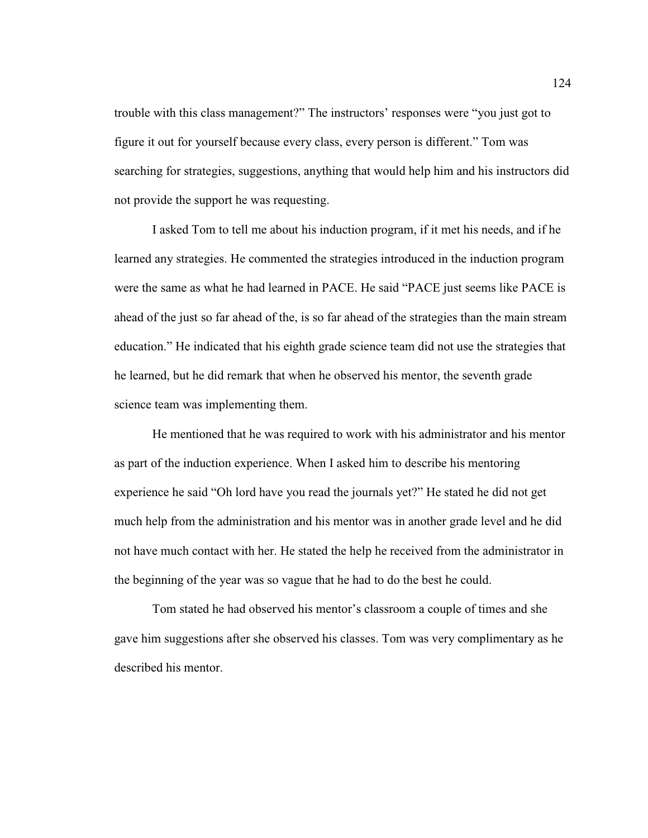trouble with this class management?" The instructors' responses were "you just got to figure it out for yourself because every class, every person is different." Tom was searching for strategies, suggestions, anything that would help him and his instructors did not provide the support he was requesting.

I asked Tom to tell me about his induction program, if it met his needs, and if he learned any strategies. He commented the strategies introduced in the induction program were the same as what he had learned in PACE. He said "PACE just seems like PACE is ahead of the just so far ahead of the, is so far ahead of the strategies than the main stream education." He indicated that his eighth grade science team did not use the strategies that he learned, but he did remark that when he observed his mentor, the seventh grade science team was implementing them.

He mentioned that he was required to work with his administrator and his mentor as part of the induction experience. When I asked him to describe his mentoring experience he said "Oh lord have you read the journals yet?" He stated he did not get much help from the administration and his mentor was in another grade level and he did not have much contact with her. He stated the help he received from the administrator in the beginning of the year was so vague that he had to do the best he could.

Tom stated he had observed his mentor's classroom a couple of times and she gave him suggestions after she observed his classes. Tom was very complimentary as he described his mentor.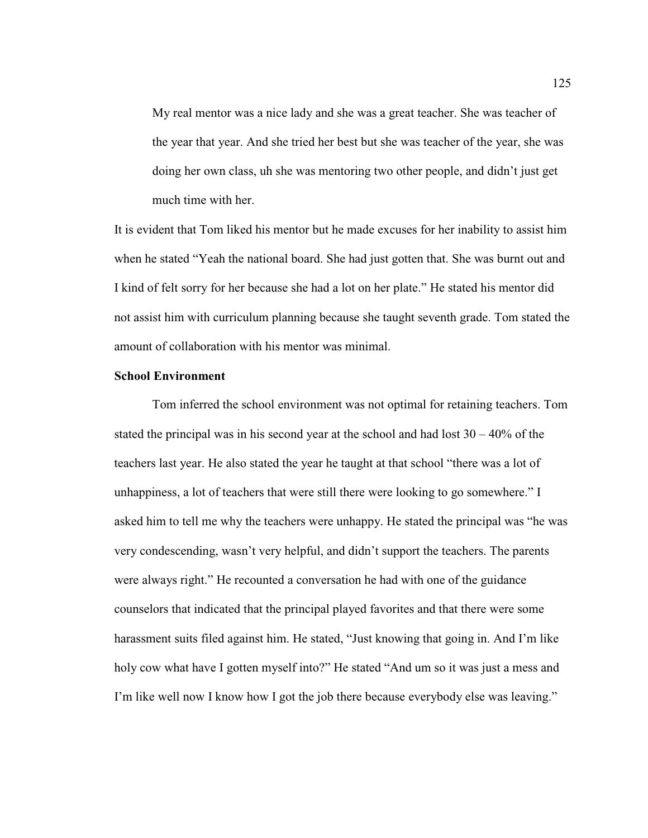My real mentor was a nice lady and she was a great teacher. She was teacher of the year that year. And she tried her best but she was teacher of the year, she was doing her own class, uh she was mentoring two other people, and didn't just get much time with her.

It is evident that Tom liked his mentor but he made excuses for her inability to assist him when he stated "Yeah the national board. She had just gotten that. She was burnt out and I kind of felt sorry for her because she had a lot on her plate." He stated his mentor did not assist him with curriculum planning because she taught seventh grade. Tom stated the amount of collaboration with his mentor was minimal.

#### **School Environment**

Tom inferred the school environment was not optimal for retaining teachers. Tom stated the principal was in his second year at the school and had lost  $30 - 40\%$  of the teachers last year. He also stated the year he taught at that school "there was a lot of unhappiness, a lot of teachers that were still there were looking to go somewhere." I asked him to tell me why the teachers were unhappy. He stated the principal was "he was very condescending, wasn't very helpful, and didn't support the teachers. The parents were always right." He recounted a conversation he had with one of the guidance counselors that indicated that the principal played favorites and that there were some harassment suits filed against him. He stated, "Just knowing that going in. And I'm like holy cow what have I gotten myself into?" He stated "And um so it was just a mess and I'm like well now I know how I got the job there because everybody else was leaving."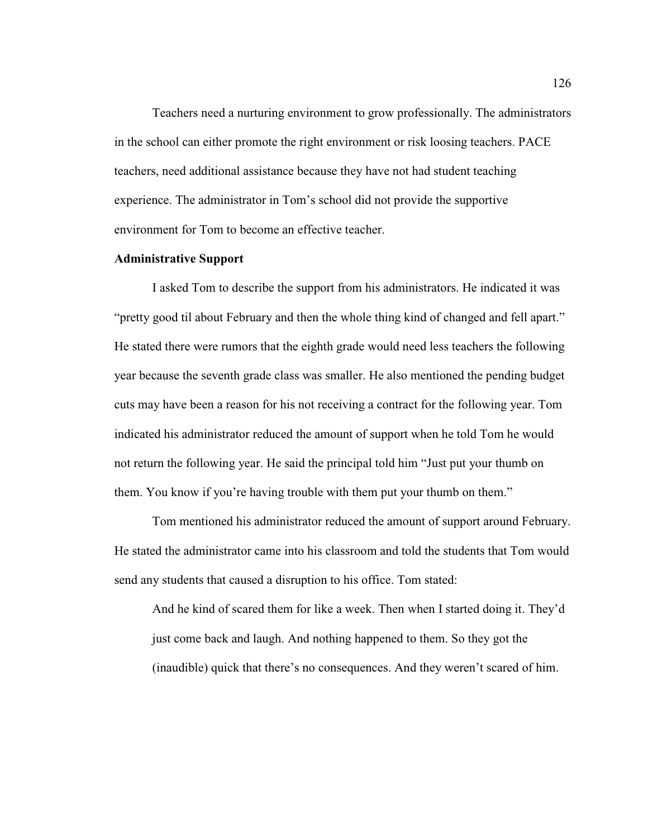Teachers need a nurturing environment to grow professionally. The administrators in the school can either promote the right environment or risk loosing teachers. PACE teachers, need additional assistance because they have not had student teaching experience. The administrator in Tom's school did not provide the supportive environment for Tom to become an effective teacher.

# **Administrative Support**

 I asked Tom to describe the support from his administrators. He indicated it was "pretty good til about February and then the whole thing kind of changed and fell apart." He stated there were rumors that the eighth grade would need less teachers the following year because the seventh grade class was smaller. He also mentioned the pending budget cuts may have been a reason for his not receiving a contract for the following year. Tom indicated his administrator reduced the amount of support when he told Tom he would not return the following year. He said the principal told him "Just put your thumb on them. You know if you're having trouble with them put your thumb on them."

 Tom mentioned his administrator reduced the amount of support around February. He stated the administrator came into his classroom and told the students that Tom would send any students that caused a disruption to his office. Tom stated:

And he kind of scared them for like a week. Then when I started doing it. They'd just come back and laugh. And nothing happened to them. So they got the (inaudible) quick that there's no consequences. And they weren't scared of him.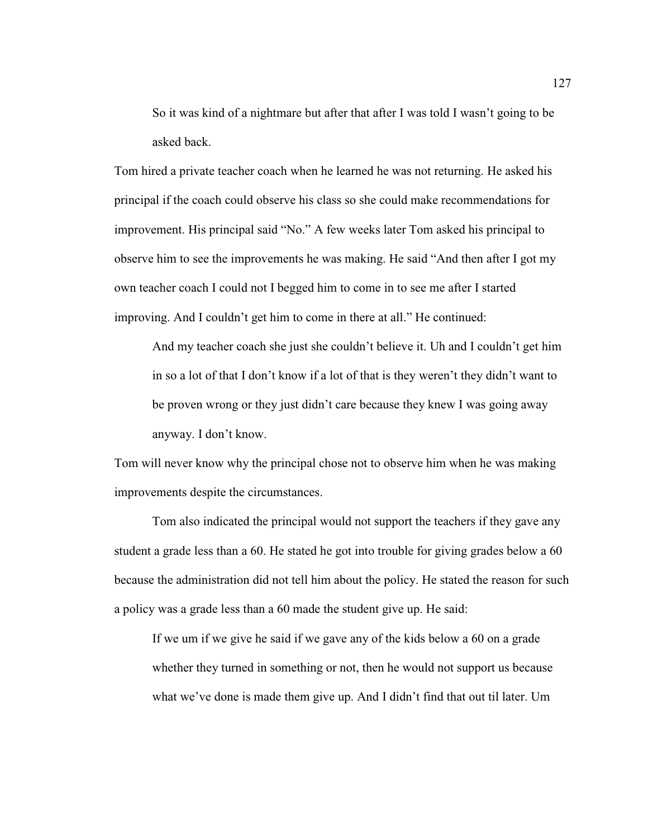So it was kind of a nightmare but after that after I was told I wasn't going to be asked back.

Tom hired a private teacher coach when he learned he was not returning. He asked his principal if the coach could observe his class so she could make recommendations for improvement. His principal said "No." A few weeks later Tom asked his principal to observe him to see the improvements he was making. He said "And then after I got my own teacher coach I could not I begged him to come in to see me after I started improving. And I couldn't get him to come in there at all." He continued:

And my teacher coach she just she couldn't believe it. Uh and I couldn't get him in so a lot of that I don't know if a lot of that is they weren't they didn't want to be proven wrong or they just didn't care because they knew I was going away anyway. I don't know.

Tom will never know why the principal chose not to observe him when he was making improvements despite the circumstances.

Tom also indicated the principal would not support the teachers if they gave any student a grade less than a 60. He stated he got into trouble for giving grades below a 60 because the administration did not tell him about the policy. He stated the reason for such a policy was a grade less than a 60 made the student give up. He said:

If we um if we give he said if we gave any of the kids below a 60 on a grade whether they turned in something or not, then he would not support us because what we've done is made them give up. And I didn't find that out til later. Um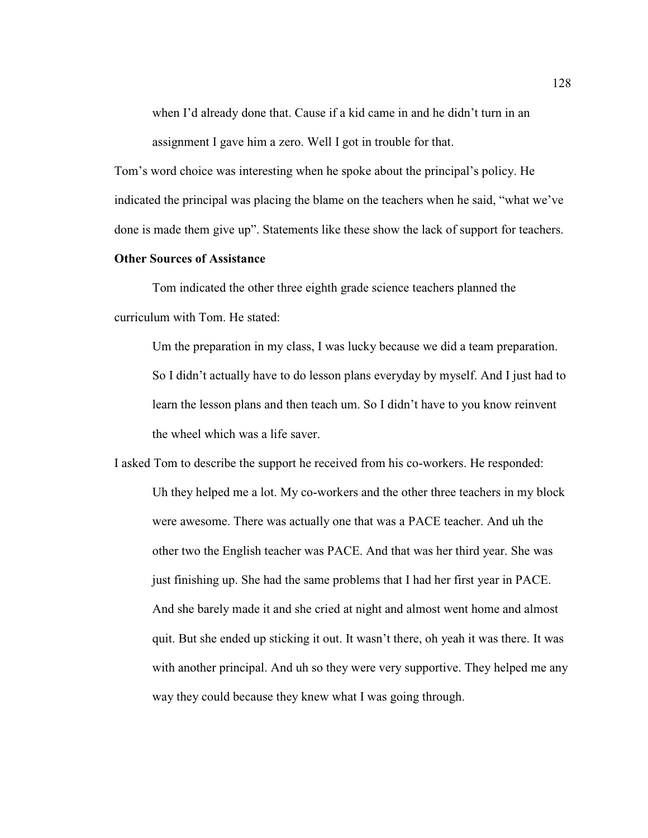when I'd already done that. Cause if a kid came in and he didn't turn in an assignment I gave him a zero. Well I got in trouble for that.

Tom's word choice was interesting when he spoke about the principal's policy. He indicated the principal was placing the blame on the teachers when he said, "what we've done is made them give up". Statements like these show the lack of support for teachers.

# **Other Sources of Assistance**

Tom indicated the other three eighth grade science teachers planned the curriculum with Tom. He stated:

Um the preparation in my class, I was lucky because we did a team preparation. So I didn't actually have to do lesson plans everyday by myself. And I just had to learn the lesson plans and then teach um. So I didn't have to you know reinvent the wheel which was a life saver.

I asked Tom to describe the support he received from his co-workers. He responded: Uh they helped me a lot. My co-workers and the other three teachers in my block were awesome. There was actually one that was a PACE teacher. And uh the other two the English teacher was PACE. And that was her third year. She was just finishing up. She had the same problems that I had her first year in PACE. And she barely made it and she cried at night and almost went home and almost quit. But she ended up sticking it out. It wasn't there, oh yeah it was there. It was with another principal. And uh so they were very supportive. They helped me any way they could because they knew what I was going through.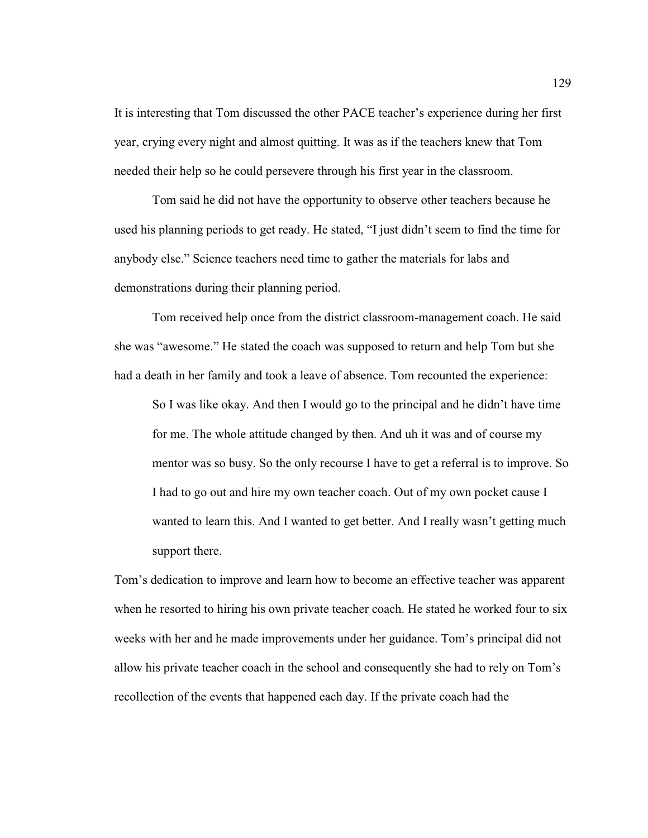It is interesting that Tom discussed the other PACE teacher's experience during her first year, crying every night and almost quitting. It was as if the teachers knew that Tom needed their help so he could persevere through his first year in the classroom.

Tom said he did not have the opportunity to observe other teachers because he used his planning periods to get ready. He stated, "I just didn't seem to find the time for anybody else." Science teachers need time to gather the materials for labs and demonstrations during their planning period.

 Tom received help once from the district classroom-management coach. He said she was "awesome." He stated the coach was supposed to return and help Tom but she had a death in her family and took a leave of absence. Tom recounted the experience:

So I was like okay. And then I would go to the principal and he didn't have time for me. The whole attitude changed by then. And uh it was and of course my mentor was so busy. So the only recourse I have to get a referral is to improve. So I had to go out and hire my own teacher coach. Out of my own pocket cause I wanted to learn this. And I wanted to get better. And I really wasn't getting much support there.

Tom's dedication to improve and learn how to become an effective teacher was apparent when he resorted to hiring his own private teacher coach. He stated he worked four to six weeks with her and he made improvements under her guidance. Tom's principal did not allow his private teacher coach in the school and consequently she had to rely on Tom's recollection of the events that happened each day. If the private coach had the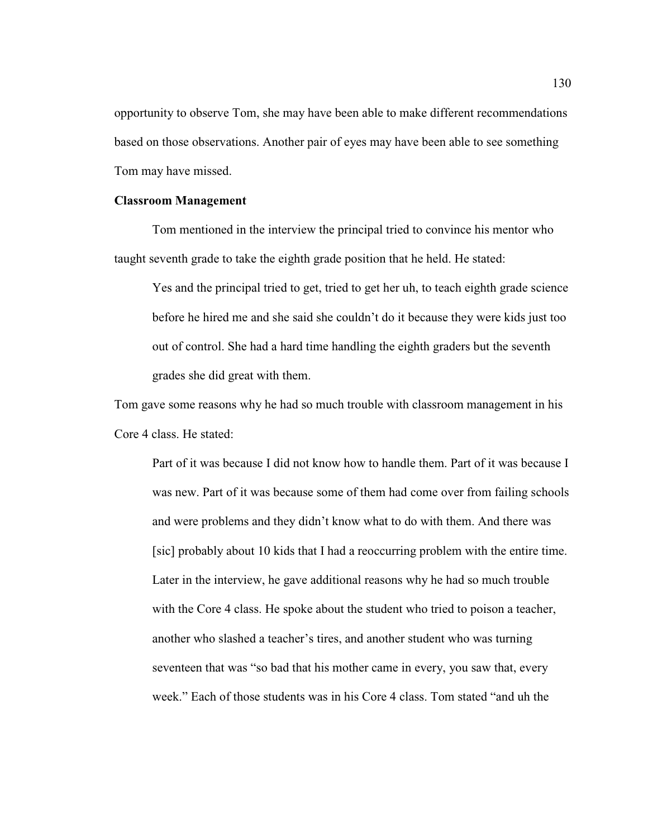opportunity to observe Tom, she may have been able to make different recommendations based on those observations. Another pair of eyes may have been able to see something Tom may have missed.

## **Classroom Management**

 Tom mentioned in the interview the principal tried to convince his mentor who taught seventh grade to take the eighth grade position that he held. He stated:

Yes and the principal tried to get, tried to get her uh, to teach eighth grade science before he hired me and she said she couldn't do it because they were kids just too out of control. She had a hard time handling the eighth graders but the seventh grades she did great with them.

Tom gave some reasons why he had so much trouble with classroom management in his Core 4 class. He stated:

Part of it was because I did not know how to handle them. Part of it was because I was new. Part of it was because some of them had come over from failing schools and were problems and they didn't know what to do with them. And there was [sic] probably about 10 kids that I had a reoccurring problem with the entire time. Later in the interview, he gave additional reasons why he had so much trouble with the Core 4 class. He spoke about the student who tried to poison a teacher, another who slashed a teacher's tires, and another student who was turning seventeen that was "so bad that his mother came in every, you saw that, every week." Each of those students was in his Core 4 class. Tom stated "and uh the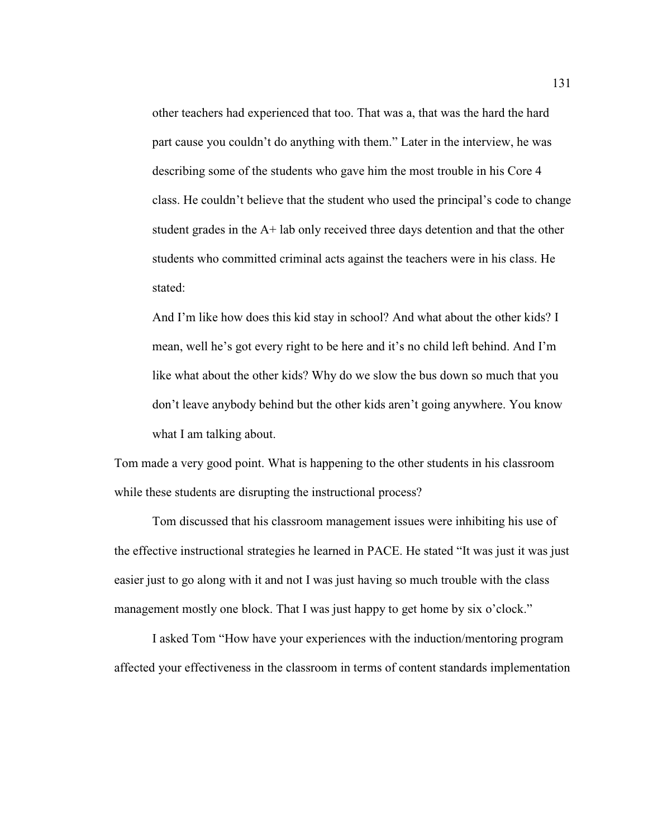other teachers had experienced that too. That was a, that was the hard the hard part cause you couldn't do anything with them." Later in the interview, he was describing some of the students who gave him the most trouble in his Core 4 class. He couldn't believe that the student who used the principal's code to change student grades in the A+ lab only received three days detention and that the other students who committed criminal acts against the teachers were in his class. He stated:

And I'm like how does this kid stay in school? And what about the other kids? I mean, well he's got every right to be here and it's no child left behind. And I'm like what about the other kids? Why do we slow the bus down so much that you don't leave anybody behind but the other kids aren't going anywhere. You know what I am talking about.

Tom made a very good point. What is happening to the other students in his classroom while these students are disrupting the instructional process?

Tom discussed that his classroom management issues were inhibiting his use of the effective instructional strategies he learned in PACE. He stated "It was just it was just easier just to go along with it and not I was just having so much trouble with the class management mostly one block. That I was just happy to get home by six o'clock."

I asked Tom "How have your experiences with the induction/mentoring program affected your effectiveness in the classroom in terms of content standards implementation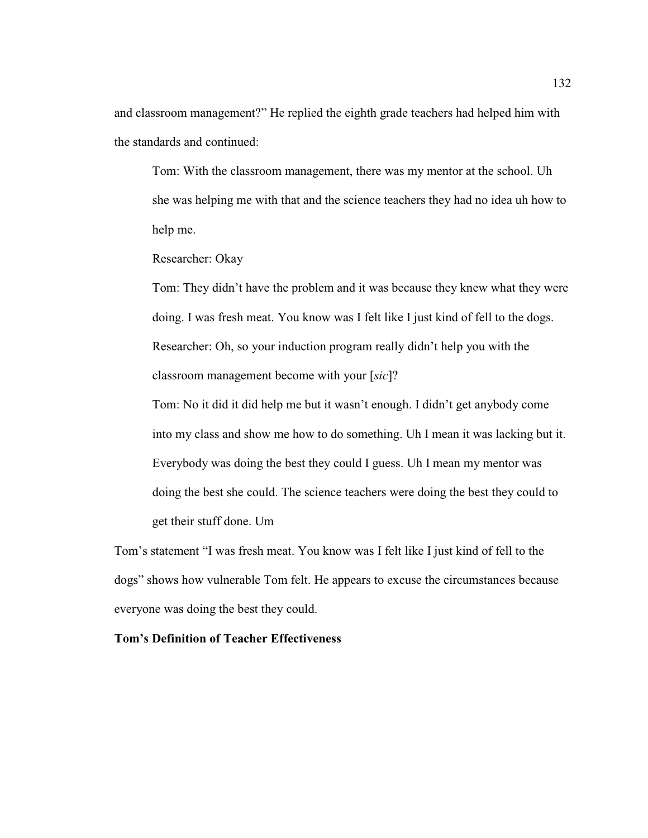and classroom management?" He replied the eighth grade teachers had helped him with the standards and continued:

Tom: With the classroom management, there was my mentor at the school. Uh she was helping me with that and the science teachers they had no idea uh how to help me.

Researcher: Okay

Tom: They didn't have the problem and it was because they knew what they were doing. I was fresh meat. You know was I felt like I just kind of fell to the dogs. Researcher: Oh, so your induction program really didn't help you with the classroom management become with your [*sic*]?

Tom: No it did it did help me but it wasn't enough. I didn't get anybody come into my class and show me how to do something. Uh I mean it was lacking but it. Everybody was doing the best they could I guess. Uh I mean my mentor was doing the best she could. The science teachers were doing the best they could to get their stuff done. Um

Tom's statement "I was fresh meat. You know was I felt like I just kind of fell to the dogs" shows how vulnerable Tom felt. He appears to excuse the circumstances because everyone was doing the best they could.

## **Tom's Definition of Teacher Effectiveness**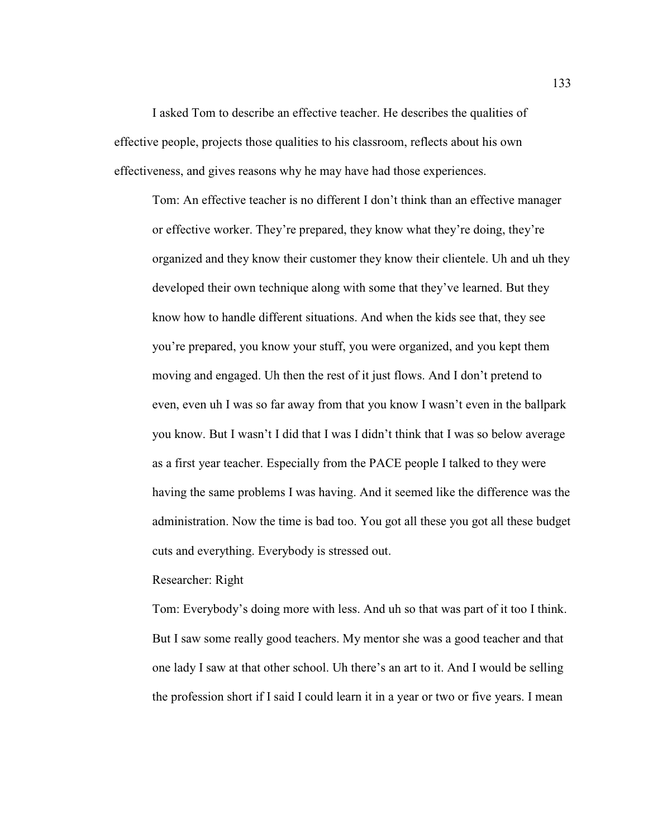I asked Tom to describe an effective teacher. He describes the qualities of effective people, projects those qualities to his classroom, reflects about his own effectiveness, and gives reasons why he may have had those experiences.

Tom: An effective teacher is no different I don't think than an effective manager or effective worker. They're prepared, they know what they're doing, they're organized and they know their customer they know their clientele. Uh and uh they developed their own technique along with some that they've learned. But they know how to handle different situations. And when the kids see that, they see you're prepared, you know your stuff, you were organized, and you kept them moving and engaged. Uh then the rest of it just flows. And I don't pretend to even, even uh I was so far away from that you know I wasn't even in the ballpark you know. But I wasn't I did that I was I didn't think that I was so below average as a first year teacher. Especially from the PACE people I talked to they were having the same problems I was having. And it seemed like the difference was the administration. Now the time is bad too. You got all these you got all these budget cuts and everything. Everybody is stressed out.

## Researcher: Right

Tom: Everybody's doing more with less. And uh so that was part of it too I think. But I saw some really good teachers. My mentor she was a good teacher and that one lady I saw at that other school. Uh there's an art to it. And I would be selling the profession short if I said I could learn it in a year or two or five years. I mean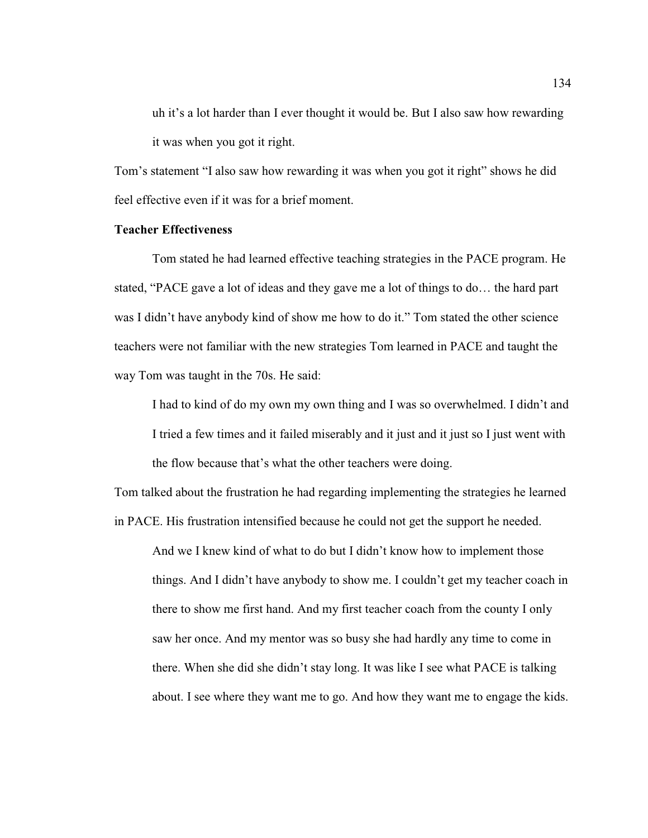uh it's a lot harder than I ever thought it would be. But I also saw how rewarding it was when you got it right.

Tom's statement "I also saw how rewarding it was when you got it right" shows he did feel effective even if it was for a brief moment.

## **Teacher Effectiveness**

Tom stated he had learned effective teaching strategies in the PACE program. He stated, "PACE gave a lot of ideas and they gave me a lot of things to do… the hard part was I didn't have anybody kind of show me how to do it." Tom stated the other science teachers were not familiar with the new strategies Tom learned in PACE and taught the way Tom was taught in the 70s. He said:

I had to kind of do my own my own thing and I was so overwhelmed. I didn't and I tried a few times and it failed miserably and it just and it just so I just went with the flow because that's what the other teachers were doing.

Tom talked about the frustration he had regarding implementing the strategies he learned in PACE. His frustration intensified because he could not get the support he needed.

And we I knew kind of what to do but I didn't know how to implement those things. And I didn't have anybody to show me. I couldn't get my teacher coach in there to show me first hand. And my first teacher coach from the county I only saw her once. And my mentor was so busy she had hardly any time to come in there. When she did she didn't stay long. It was like I see what PACE is talking about. I see where they want me to go. And how they want me to engage the kids.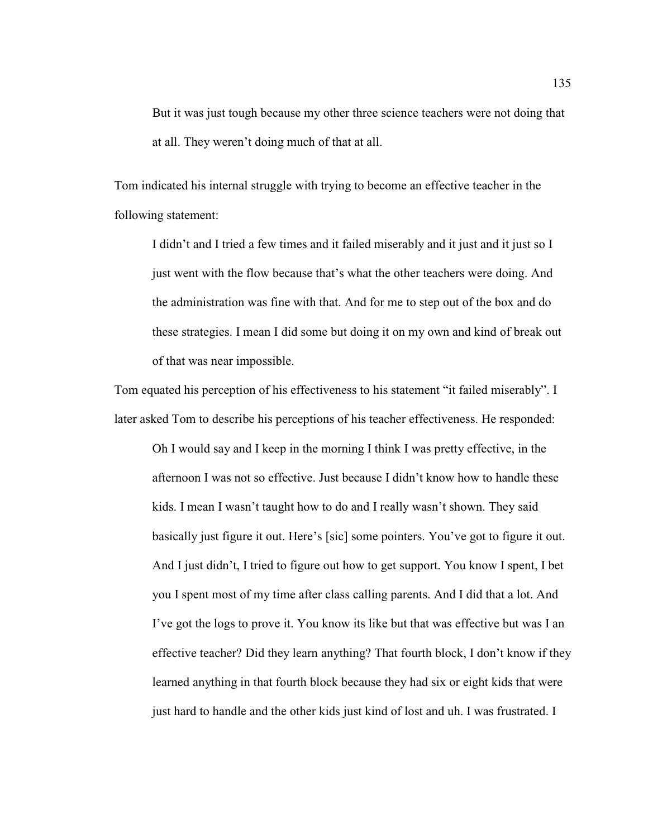But it was just tough because my other three science teachers were not doing that at all. They weren't doing much of that at all.

Tom indicated his internal struggle with trying to become an effective teacher in the following statement:

I didn't and I tried a few times and it failed miserably and it just and it just so I just went with the flow because that's what the other teachers were doing. And the administration was fine with that. And for me to step out of the box and do these strategies. I mean I did some but doing it on my own and kind of break out of that was near impossible.

Tom equated his perception of his effectiveness to his statement "it failed miserably". I later asked Tom to describe his perceptions of his teacher effectiveness. He responded:

Oh I would say and I keep in the morning I think I was pretty effective, in the afternoon I was not so effective. Just because I didn't know how to handle these kids. I mean I wasn't taught how to do and I really wasn't shown. They said basically just figure it out. Here's [sic] some pointers. You've got to figure it out. And I just didn't, I tried to figure out how to get support. You know I spent, I bet you I spent most of my time after class calling parents. And I did that a lot. And I've got the logs to prove it. You know its like but that was effective but was I an effective teacher? Did they learn anything? That fourth block, I don't know if they learned anything in that fourth block because they had six or eight kids that were just hard to handle and the other kids just kind of lost and uh. I was frustrated. I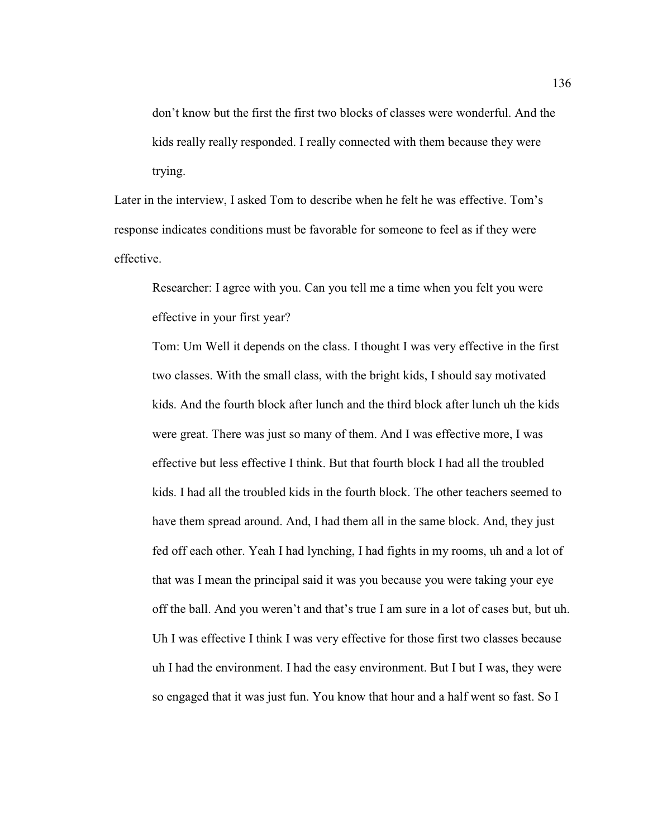don't know but the first the first two blocks of classes were wonderful. And the kids really really responded. I really connected with them because they were trying.

Later in the interview, I asked Tom to describe when he felt he was effective. Tom's response indicates conditions must be favorable for someone to feel as if they were effective.

Researcher: I agree with you. Can you tell me a time when you felt you were effective in your first year?

Tom: Um Well it depends on the class. I thought I was very effective in the first two classes. With the small class, with the bright kids, I should say motivated kids. And the fourth block after lunch and the third block after lunch uh the kids were great. There was just so many of them. And I was effective more, I was effective but less effective I think. But that fourth block I had all the troubled kids. I had all the troubled kids in the fourth block. The other teachers seemed to have them spread around. And, I had them all in the same block. And, they just fed off each other. Yeah I had lynching, I had fights in my rooms, uh and a lot of that was I mean the principal said it was you because you were taking your eye off the ball. And you weren't and that's true I am sure in a lot of cases but, but uh. Uh I was effective I think I was very effective for those first two classes because uh I had the environment. I had the easy environment. But I but I was, they were so engaged that it was just fun. You know that hour and a half went so fast. So I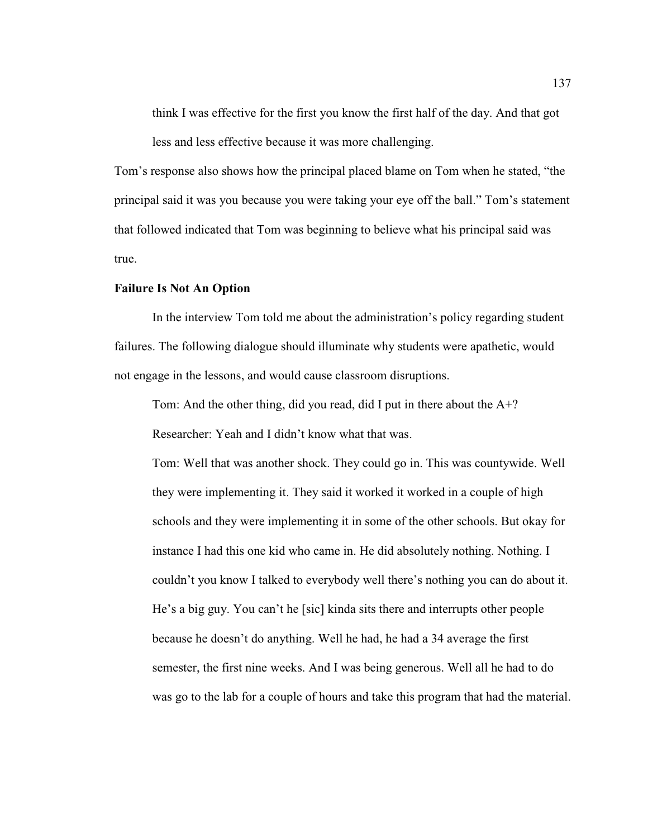think I was effective for the first you know the first half of the day. And that got less and less effective because it was more challenging.

Tom's response also shows how the principal placed blame on Tom when he stated, "the principal said it was you because you were taking your eye off the ball." Tom's statement that followed indicated that Tom was beginning to believe what his principal said was true.

## **Failure Is Not An Option**

 In the interview Tom told me about the administration's policy regarding student failures. The following dialogue should illuminate why students were apathetic, would not engage in the lessons, and would cause classroom disruptions.

Tom: And the other thing, did you read, did I put in there about the A+? Researcher: Yeah and I didn't know what that was.

Tom: Well that was another shock. They could go in. This was countywide. Well they were implementing it. They said it worked it worked in a couple of high schools and they were implementing it in some of the other schools. But okay for instance I had this one kid who came in. He did absolutely nothing. Nothing. I couldn't you know I talked to everybody well there's nothing you can do about it. He's a big guy. You can't he [sic] kinda sits there and interrupts other people because he doesn't do anything. Well he had, he had a 34 average the first semester, the first nine weeks. And I was being generous. Well all he had to do was go to the lab for a couple of hours and take this program that had the material.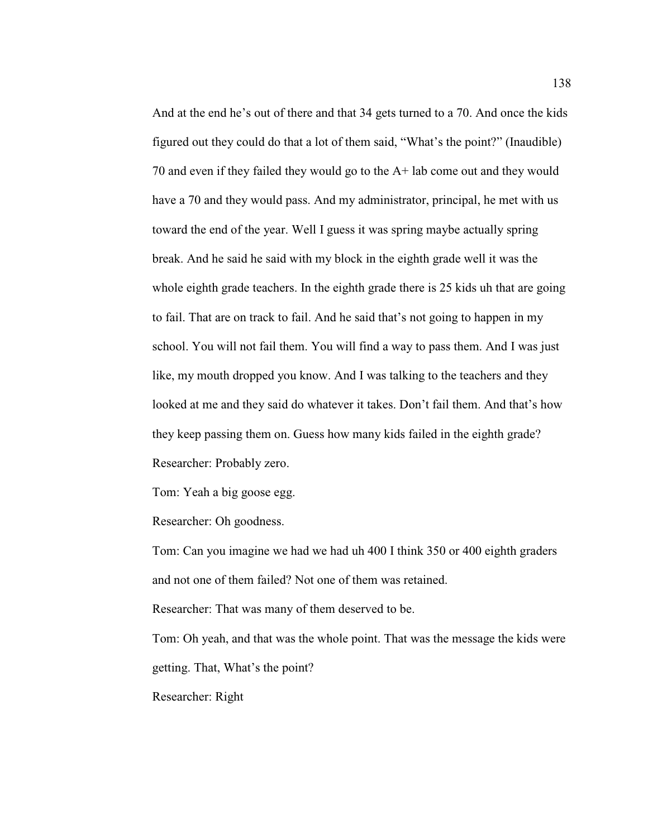And at the end he's out of there and that 34 gets turned to a 70. And once the kids figured out they could do that a lot of them said, "What's the point?" (Inaudible) 70 and even if they failed they would go to the A+ lab come out and they would have a 70 and they would pass. And my administrator, principal, he met with us toward the end of the year. Well I guess it was spring maybe actually spring break. And he said he said with my block in the eighth grade well it was the whole eighth grade teachers. In the eighth grade there is 25 kids uh that are going to fail. That are on track to fail. And he said that's not going to happen in my school. You will not fail them. You will find a way to pass them. And I was just like, my mouth dropped you know. And I was talking to the teachers and they looked at me and they said do whatever it takes. Don't fail them. And that's how they keep passing them on. Guess how many kids failed in the eighth grade? Researcher: Probably zero.

Tom: Yeah a big goose egg.

Researcher: Oh goodness.

Tom: Can you imagine we had we had uh 400 I think 350 or 400 eighth graders and not one of them failed? Not one of them was retained.

Researcher: That was many of them deserved to be.

Tom: Oh yeah, and that was the whole point. That was the message the kids were getting. That, What's the point?

Researcher: Right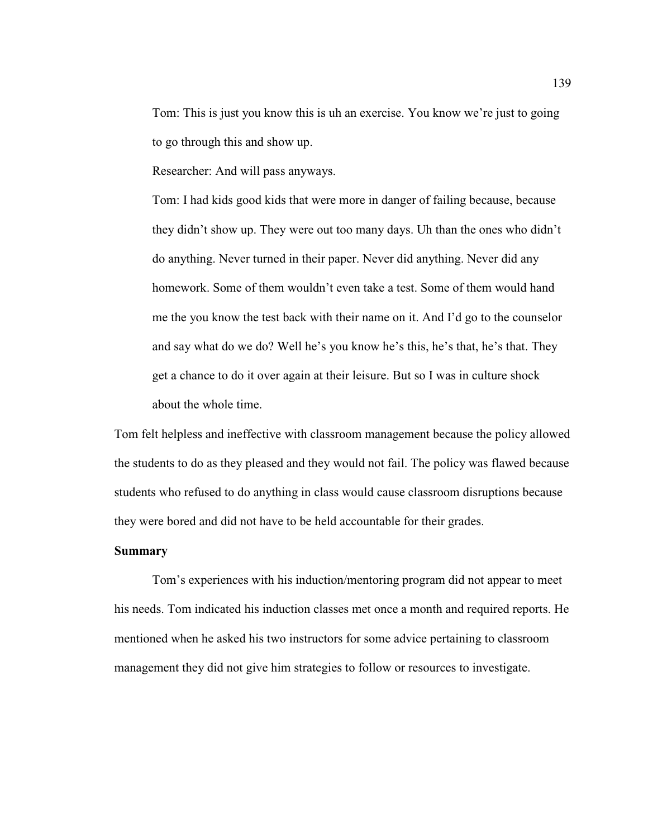Tom: This is just you know this is uh an exercise. You know we're just to going to go through this and show up.

Researcher: And will pass anyways.

Tom: I had kids good kids that were more in danger of failing because, because they didn't show up. They were out too many days. Uh than the ones who didn't do anything. Never turned in their paper. Never did anything. Never did any homework. Some of them wouldn't even take a test. Some of them would hand me the you know the test back with their name on it. And I'd go to the counselor and say what do we do? Well he's you know he's this, he's that, he's that. They get a chance to do it over again at their leisure. But so I was in culture shock about the whole time.

Tom felt helpless and ineffective with classroom management because the policy allowed the students to do as they pleased and they would not fail. The policy was flawed because students who refused to do anything in class would cause classroom disruptions because they were bored and did not have to be held accountable for their grades.

## **Summary**

Tom's experiences with his induction/mentoring program did not appear to meet his needs. Tom indicated his induction classes met once a month and required reports. He mentioned when he asked his two instructors for some advice pertaining to classroom management they did not give him strategies to follow or resources to investigate.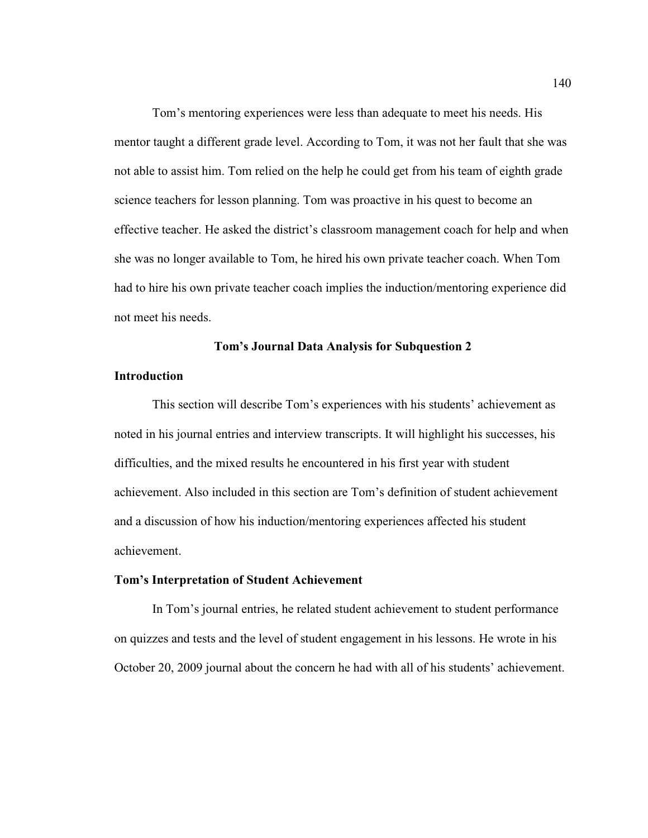Tom's mentoring experiences were less than adequate to meet his needs. His mentor taught a different grade level. According to Tom, it was not her fault that she was not able to assist him. Tom relied on the help he could get from his team of eighth grade science teachers for lesson planning. Tom was proactive in his quest to become an effective teacher. He asked the district's classroom management coach for help and when she was no longer available to Tom, he hired his own private teacher coach. When Tom had to hire his own private teacher coach implies the induction/mentoring experience did not meet his needs.

#### **Tom's Journal Data Analysis for Subquestion 2**

## **Introduction**

This section will describe Tom's experiences with his students' achievement as noted in his journal entries and interview transcripts. It will highlight his successes, his difficulties, and the mixed results he encountered in his first year with student achievement. Also included in this section are Tom's definition of student achievement and a discussion of how his induction/mentoring experiences affected his student achievement.

## **Tom's Interpretation of Student Achievement**

In Tom's journal entries, he related student achievement to student performance on quizzes and tests and the level of student engagement in his lessons. He wrote in his October 20, 2009 journal about the concern he had with all of his students' achievement.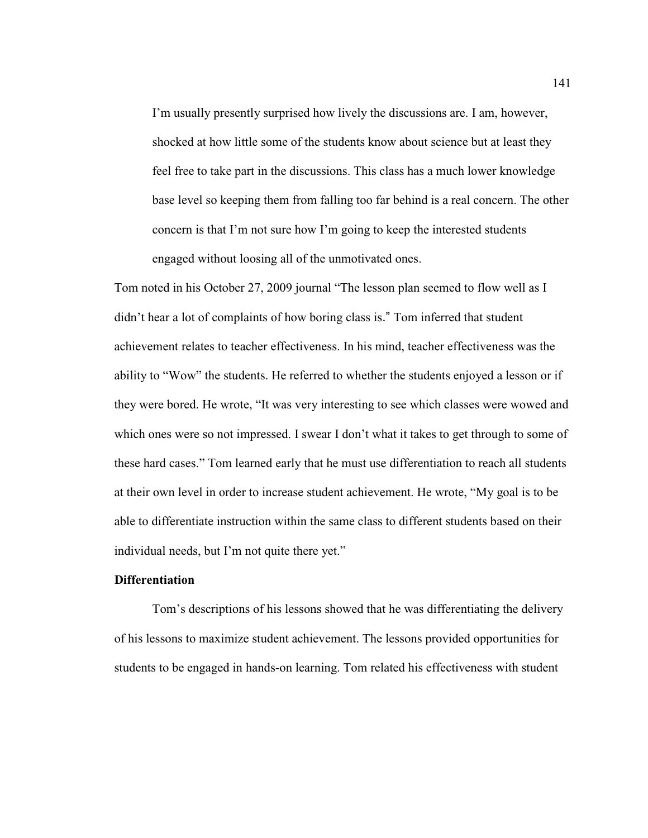I'm usually presently surprised how lively the discussions are. I am, however, shocked at how little some of the students know about science but at least they feel free to take part in the discussions. This class has a much lower knowledge base level so keeping them from falling too far behind is a real concern. The other concern is that I'm not sure how I'm going to keep the interested students engaged without loosing all of the unmotivated ones.

Tom noted in his October 27, 2009 journal "The lesson plan seemed to flow well as I didn't hear a lot of complaints of how boring class is." Tom inferred that student achievement relates to teacher effectiveness. In his mind, teacher effectiveness was the ability to "Wow" the students. He referred to whether the students enjoyed a lesson or if they were bored. He wrote, "It was very interesting to see which classes were wowed and which ones were so not impressed. I swear I don't what it takes to get through to some of these hard cases." Tom learned early that he must use differentiation to reach all students at their own level in order to increase student achievement. He wrote, "My goal is to be able to differentiate instruction within the same class to different students based on their individual needs, but I'm not quite there yet."

## **Differentiation**

 Tom's descriptions of his lessons showed that he was differentiating the delivery of his lessons to maximize student achievement. The lessons provided opportunities for students to be engaged in hands-on learning. Tom related his effectiveness with student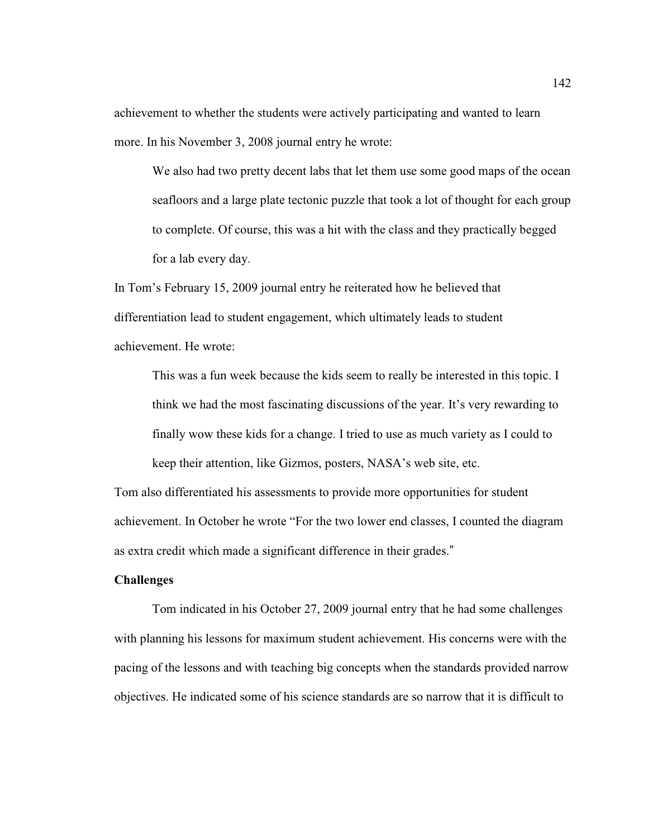achievement to whether the students were actively participating and wanted to learn more. In his November 3, 2008 journal entry he wrote:

We also had two pretty decent labs that let them use some good maps of the ocean seafloors and a large plate tectonic puzzle that took a lot of thought for each group to complete. Of course, this was a hit with the class and they practically begged for a lab every day.

In Tom's February 15, 2009 journal entry he reiterated how he believed that differentiation lead to student engagement, which ultimately leads to student achievement. He wrote:

This was a fun week because the kids seem to really be interested in this topic. I think we had the most fascinating discussions of the year. It's very rewarding to finally wow these kids for a change. I tried to use as much variety as I could to keep their attention, like Gizmos, posters, NASA's web site, etc.

Tom also differentiated his assessments to provide more opportunities for student achievement. In October he wrote "For the two lower end classes, I counted the diagram as extra credit which made a significant difference in their grades."

## **Challenges**

Tom indicated in his October 27, 2009 journal entry that he had some challenges with planning his lessons for maximum student achievement. His concerns were with the pacing of the lessons and with teaching big concepts when the standards provided narrow objectives. He indicated some of his science standards are so narrow that it is difficult to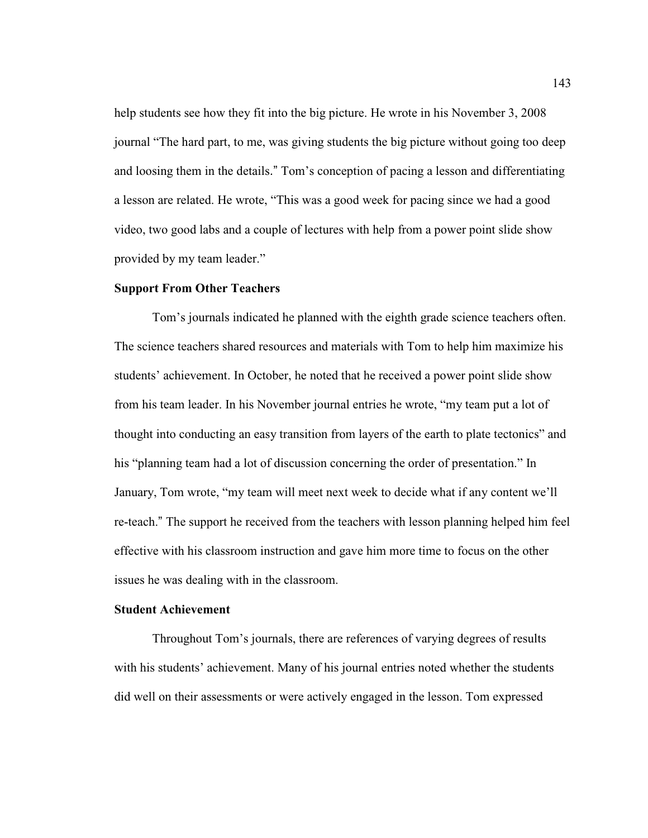help students see how they fit into the big picture. He wrote in his November 3, 2008 journal "The hard part, to me, was giving students the big picture without going too deep and loosing them in the details." Tom's conception of pacing a lesson and differentiating a lesson are related. He wrote, "This was a good week for pacing since we had a good video, two good labs and a couple of lectures with help from a power point slide show provided by my team leader."

## **Support From Other Teachers**

 Tom's journals indicated he planned with the eighth grade science teachers often. The science teachers shared resources and materials with Tom to help him maximize his students' achievement. In October, he noted that he received a power point slide show from his team leader. In his November journal entries he wrote, "my team put a lot of thought into conducting an easy transition from layers of the earth to plate tectonics" and his "planning team had a lot of discussion concerning the order of presentation." In January, Tom wrote, "my team will meet next week to decide what if any content we'll re-teach." The support he received from the teachers with lesson planning helped him feel effective with his classroom instruction and gave him more time to focus on the other issues he was dealing with in the classroom.

#### **Student Achievement**

 Throughout Tom's journals, there are references of varying degrees of results with his students' achievement. Many of his journal entries noted whether the students did well on their assessments or were actively engaged in the lesson. Tom expressed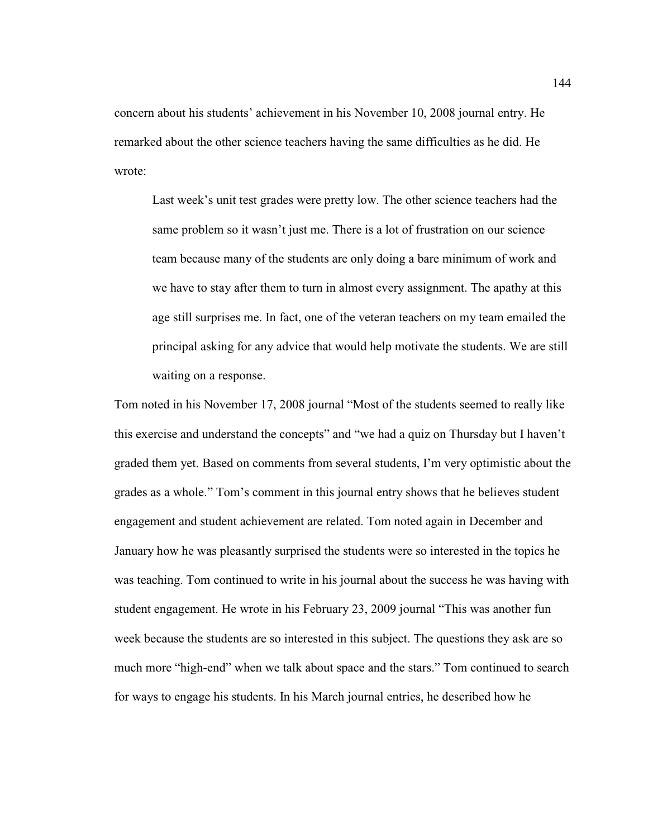concern about his students' achievement in his November 10, 2008 journal entry. He remarked about the other science teachers having the same difficulties as he did. He wrote:

Last week's unit test grades were pretty low. The other science teachers had the same problem so it wasn't just me. There is a lot of frustration on our science team because many of the students are only doing a bare minimum of work and we have to stay after them to turn in almost every assignment. The apathy at this age still surprises me. In fact, one of the veteran teachers on my team emailed the principal asking for any advice that would help motivate the students. We are still waiting on a response.

Tom noted in his November 17, 2008 journal "Most of the students seemed to really like this exercise and understand the concepts" and "we had a quiz on Thursday but I haven't graded them yet. Based on comments from several students, I'm very optimistic about the grades as a whole." Tom's comment in this journal entry shows that he believes student engagement and student achievement are related. Tom noted again in December and January how he was pleasantly surprised the students were so interested in the topics he was teaching. Tom continued to write in his journal about the success he was having with student engagement. He wrote in his February 23, 2009 journal "This was another fun week because the students are so interested in this subject. The questions they ask are so much more "high-end" when we talk about space and the stars." Tom continued to search for ways to engage his students. In his March journal entries, he described how he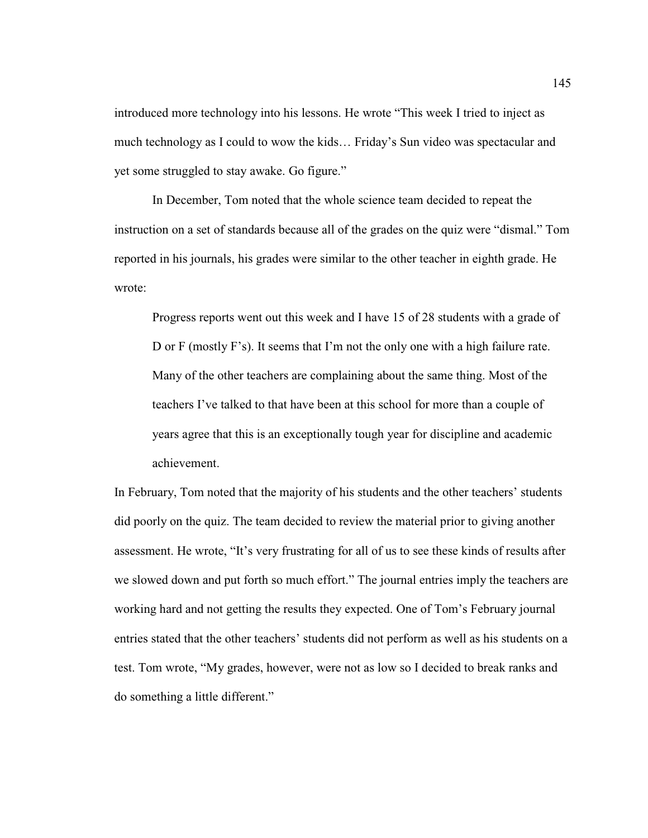introduced more technology into his lessons. He wrote "This week I tried to inject as much technology as I could to wow the kids… Friday's Sun video was spectacular and yet some struggled to stay awake. Go figure."

 In December, Tom noted that the whole science team decided to repeat the instruction on a set of standards because all of the grades on the quiz were "dismal." Tom reported in his journals, his grades were similar to the other teacher in eighth grade. He wrote:

Progress reports went out this week and I have 15 of 28 students with a grade of D or F (mostly F's). It seems that I'm not the only one with a high failure rate. Many of the other teachers are complaining about the same thing. Most of the teachers I've talked to that have been at this school for more than a couple of years agree that this is an exceptionally tough year for discipline and academic achievement.

In February, Tom noted that the majority of his students and the other teachers' students did poorly on the quiz. The team decided to review the material prior to giving another assessment. He wrote, "It's very frustrating for all of us to see these kinds of results after we slowed down and put forth so much effort." The journal entries imply the teachers are working hard and not getting the results they expected. One of Tom's February journal entries stated that the other teachers' students did not perform as well as his students on a test. Tom wrote, "My grades, however, were not as low so I decided to break ranks and do something a little different."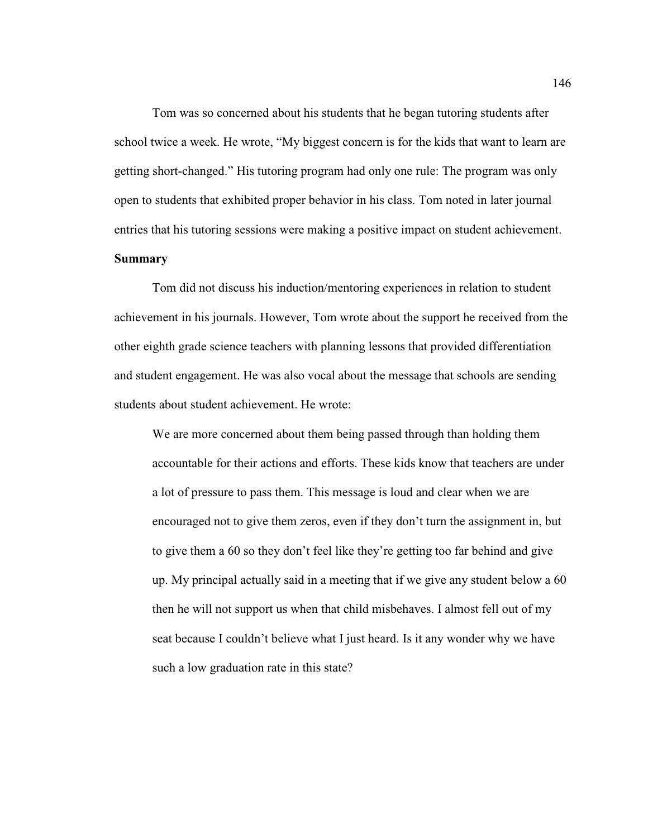Tom was so concerned about his students that he began tutoring students after school twice a week. He wrote, "My biggest concern is for the kids that want to learn are getting short-changed." His tutoring program had only one rule: The program was only open to students that exhibited proper behavior in his class. Tom noted in later journal entries that his tutoring sessions were making a positive impact on student achievement.

# **Summary**

Tom did not discuss his induction/mentoring experiences in relation to student achievement in his journals. However, Tom wrote about the support he received from the other eighth grade science teachers with planning lessons that provided differentiation and student engagement. He was also vocal about the message that schools are sending students about student achievement. He wrote:

We are more concerned about them being passed through than holding them accountable for their actions and efforts. These kids know that teachers are under a lot of pressure to pass them. This message is loud and clear when we are encouraged not to give them zeros, even if they don't turn the assignment in, but to give them a 60 so they don't feel like they're getting too far behind and give up. My principal actually said in a meeting that if we give any student below a 60 then he will not support us when that child misbehaves. I almost fell out of my seat because I couldn't believe what I just heard. Is it any wonder why we have such a low graduation rate in this state?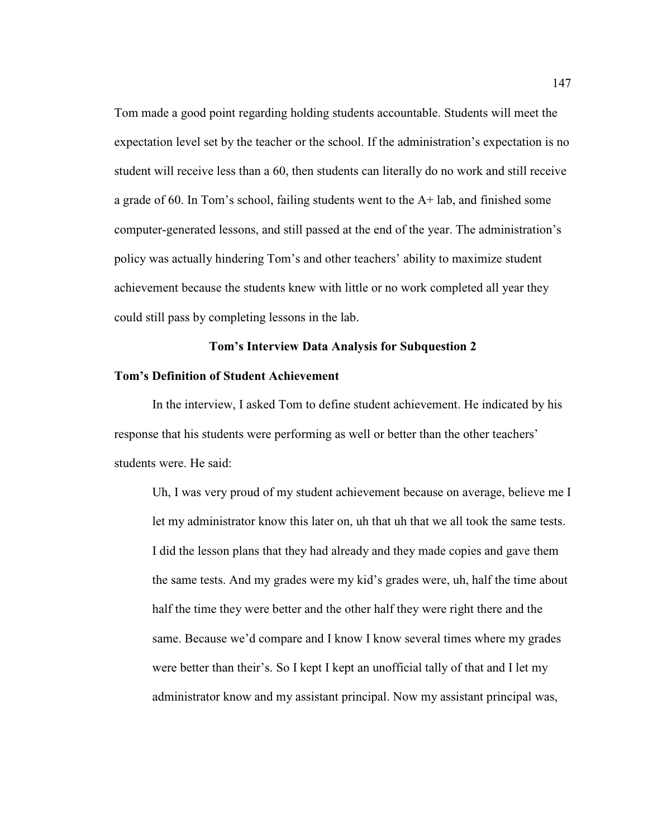Tom made a good point regarding holding students accountable. Students will meet the expectation level set by the teacher or the school. If the administration's expectation is no student will receive less than a 60, then students can literally do no work and still receive a grade of 60. In Tom's school, failing students went to the  $A+$  lab, and finished some computer-generated lessons, and still passed at the end of the year. The administration's policy was actually hindering Tom's and other teachers' ability to maximize student achievement because the students knew with little or no work completed all year they could still pass by completing lessons in the lab.

## **Tom's Interview Data Analysis for Subquestion 2**

#### **Tom's Definition of Student Achievement**

In the interview, I asked Tom to define student achievement. He indicated by his response that his students were performing as well or better than the other teachers' students were. He said:

Uh, I was very proud of my student achievement because on average, believe me I let my administrator know this later on, uh that uh that we all took the same tests. I did the lesson plans that they had already and they made copies and gave them the same tests. And my grades were my kid's grades were, uh, half the time about half the time they were better and the other half they were right there and the same. Because we'd compare and I know I know several times where my grades were better than their's. So I kept I kept an unofficial tally of that and I let my administrator know and my assistant principal. Now my assistant principal was,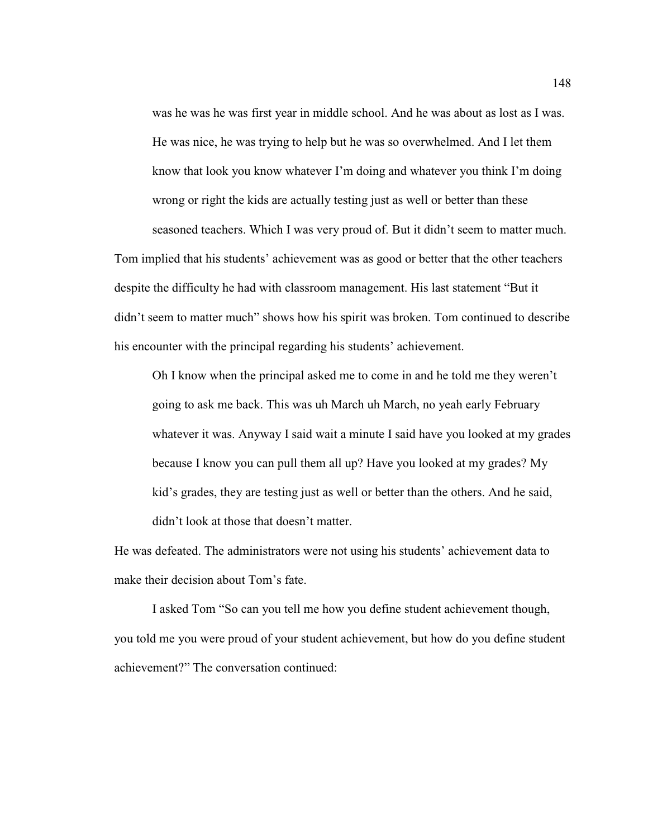was he was he was first year in middle school. And he was about as lost as I was. He was nice, he was trying to help but he was so overwhelmed. And I let them know that look you know whatever I'm doing and whatever you think I'm doing wrong or right the kids are actually testing just as well or better than these seasoned teachers. Which I was very proud of. But it didn't seem to matter much.

Tom implied that his students' achievement was as good or better that the other teachers despite the difficulty he had with classroom management. His last statement "But it didn't seem to matter much" shows how his spirit was broken. Tom continued to describe his encounter with the principal regarding his students' achievement.

Oh I know when the principal asked me to come in and he told me they weren't going to ask me back. This was uh March uh March, no yeah early February whatever it was. Anyway I said wait a minute I said have you looked at my grades because I know you can pull them all up? Have you looked at my grades? My kid's grades, they are testing just as well or better than the others. And he said, didn't look at those that doesn't matter.

He was defeated. The administrators were not using his students' achievement data to make their decision about Tom's fate.

I asked Tom "So can you tell me how you define student achievement though, you told me you were proud of your student achievement, but how do you define student achievement?" The conversation continued: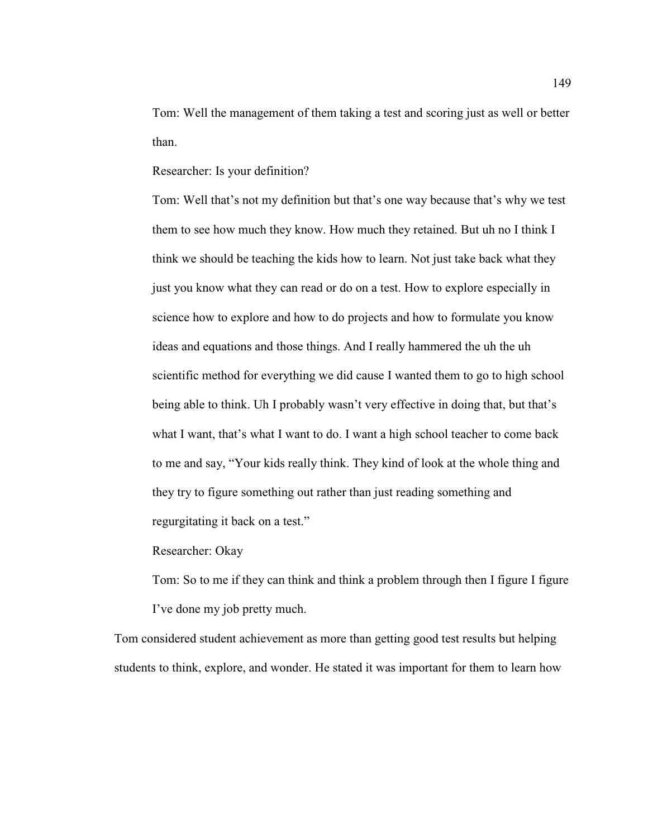Tom: Well the management of them taking a test and scoring just as well or better than.

Researcher: Is your definition?

Tom: Well that's not my definition but that's one way because that's why we test them to see how much they know. How much they retained. But uh no I think I think we should be teaching the kids how to learn. Not just take back what they just you know what they can read or do on a test. How to explore especially in science how to explore and how to do projects and how to formulate you know ideas and equations and those things. And I really hammered the uh the uh scientific method for everything we did cause I wanted them to go to high school being able to think. Uh I probably wasn't very effective in doing that, but that's what I want, that's what I want to do. I want a high school teacher to come back to me and say, "Your kids really think. They kind of look at the whole thing and they try to figure something out rather than just reading something and regurgitating it back on a test."

Researcher: Okay

Tom: So to me if they can think and think a problem through then I figure I figure I've done my job pretty much.

Tom considered student achievement as more than getting good test results but helping students to think, explore, and wonder. He stated it was important for them to learn how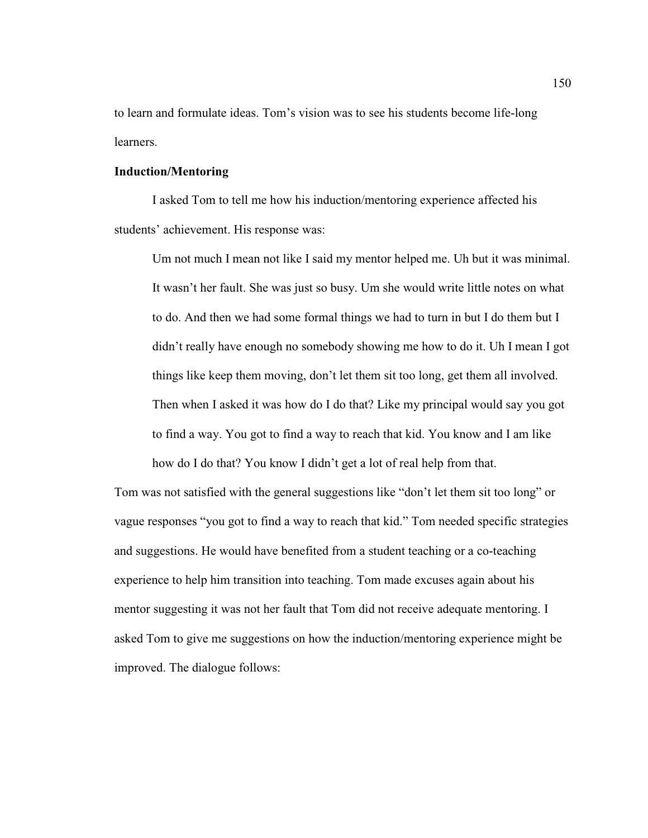to learn and formulate ideas. Tom's vision was to see his students become life-long learners.

## **Induction/Mentoring**

I asked Tom to tell me how his induction/mentoring experience affected his students' achievement. His response was:

Um not much I mean not like I said my mentor helped me. Uh but it was minimal. It wasn't her fault. She was just so busy. Um she would write little notes on what to do. And then we had some formal things we had to turn in but I do them but I didn't really have enough no somebody showing me how to do it. Uh I mean I got things like keep them moving, don't let them sit too long, get them all involved. Then when I asked it was how do I do that? Like my principal would say you got to find a way. You got to find a way to reach that kid. You know and I am like how do I do that? You know I didn't get a lot of real help from that.

Tom was not satisfied with the general suggestions like "don't let them sit too long" or vague responses "you got to find a way to reach that kid." Tom needed specific strategies and suggestions. He would have benefited from a student teaching or a co-teaching experience to help him transition into teaching. Tom made excuses again about his mentor suggesting it was not her fault that Tom did not receive adequate mentoring. I asked Tom to give me suggestions on how the induction/mentoring experience might be improved. The dialogue follows: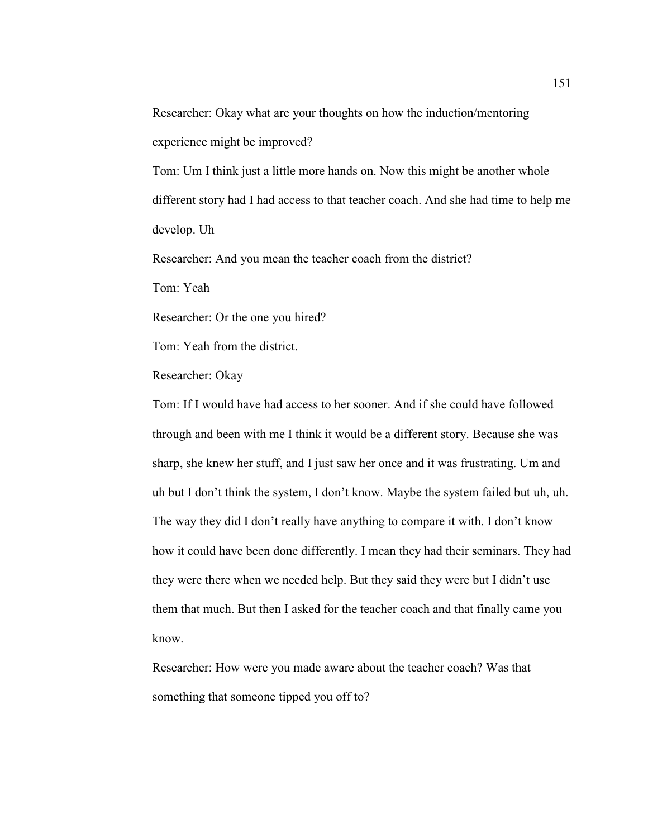Researcher: Okay what are your thoughts on how the induction/mentoring experience might be improved?

Tom: Um I think just a little more hands on. Now this might be another whole different story had I had access to that teacher coach. And she had time to help me develop. Uh

Researcher: And you mean the teacher coach from the district?

Tom: Yeah

Researcher: Or the one you hired?

Tom: Yeah from the district.

Researcher: Okay

Tom: If I would have had access to her sooner. And if she could have followed through and been with me I think it would be a different story. Because she was sharp, she knew her stuff, and I just saw her once and it was frustrating. Um and uh but I don't think the system, I don't know. Maybe the system failed but uh, uh. The way they did I don't really have anything to compare it with. I don't know how it could have been done differently. I mean they had their seminars. They had they were there when we needed help. But they said they were but I didn't use them that much. But then I asked for the teacher coach and that finally came you know.

Researcher: How were you made aware about the teacher coach? Was that something that someone tipped you off to?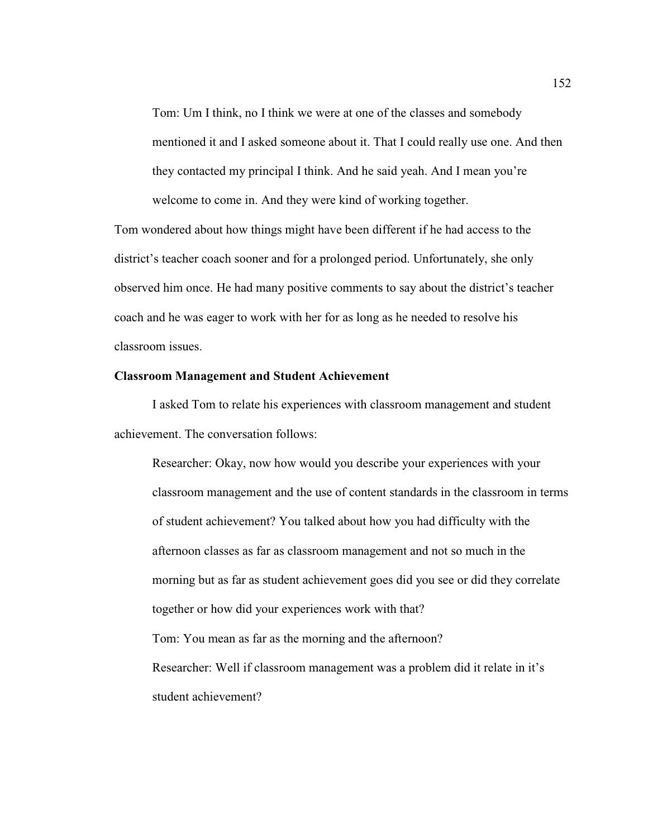Tom: Um I think, no I think we were at one of the classes and somebody mentioned it and I asked someone about it. That I could really use one. And then they contacted my principal I think. And he said yeah. And I mean you're welcome to come in. And they were kind of working together.

Tom wondered about how things might have been different if he had access to the district's teacher coach sooner and for a prolonged period. Unfortunately, she only observed him once. He had many positive comments to say about the district's teacher coach and he was eager to work with her for as long as he needed to resolve his classroom issues.

## **Classroom Management and Student Achievement**

 I asked Tom to relate his experiences with classroom management and student achievement. The conversation follows:

Researcher: Okay, now how would you describe your experiences with your classroom management and the use of content standards in the classroom in terms of student achievement? You talked about how you had difficulty with the afternoon classes as far as classroom management and not so much in the morning but as far as student achievement goes did you see or did they correlate together or how did your experiences work with that? Tom: You mean as far as the morning and the afternoon? Researcher: Well if classroom management was a problem did it relate in it's student achievement?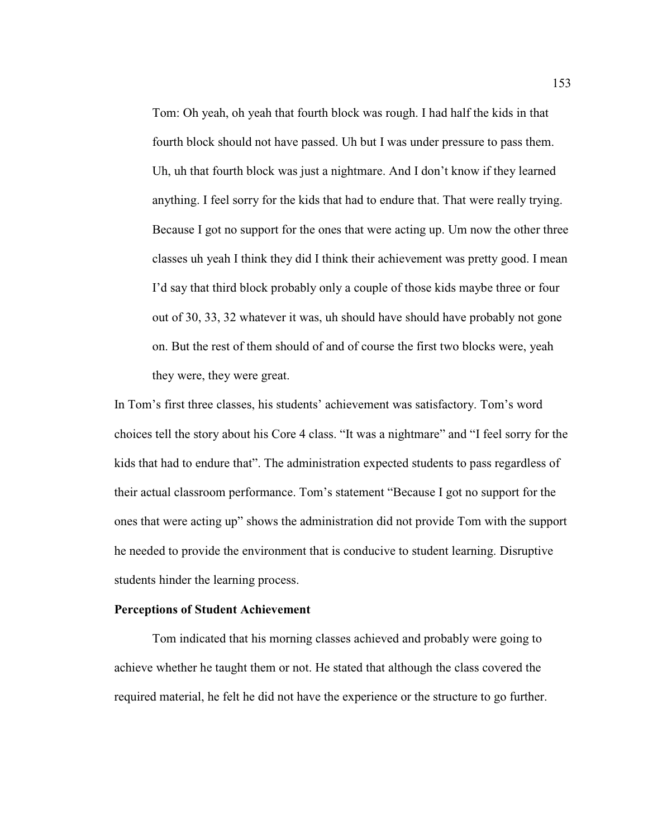Tom: Oh yeah, oh yeah that fourth block was rough. I had half the kids in that fourth block should not have passed. Uh but I was under pressure to pass them. Uh, uh that fourth block was just a nightmare. And I don't know if they learned anything. I feel sorry for the kids that had to endure that. That were really trying. Because I got no support for the ones that were acting up. Um now the other three classes uh yeah I think they did I think their achievement was pretty good. I mean I'd say that third block probably only a couple of those kids maybe three or four out of 30, 33, 32 whatever it was, uh should have should have probably not gone on. But the rest of them should of and of course the first two blocks were, yeah they were, they were great.

In Tom's first three classes, his students' achievement was satisfactory. Tom's word choices tell the story about his Core 4 class. "It was a nightmare" and "I feel sorry for the kids that had to endure that". The administration expected students to pass regardless of their actual classroom performance. Tom's statement "Because I got no support for the ones that were acting up" shows the administration did not provide Tom with the support he needed to provide the environment that is conducive to student learning. Disruptive students hinder the learning process.

#### **Perceptions of Student Achievement**

 Tom indicated that his morning classes achieved and probably were going to achieve whether he taught them or not. He stated that although the class covered the required material, he felt he did not have the experience or the structure to go further.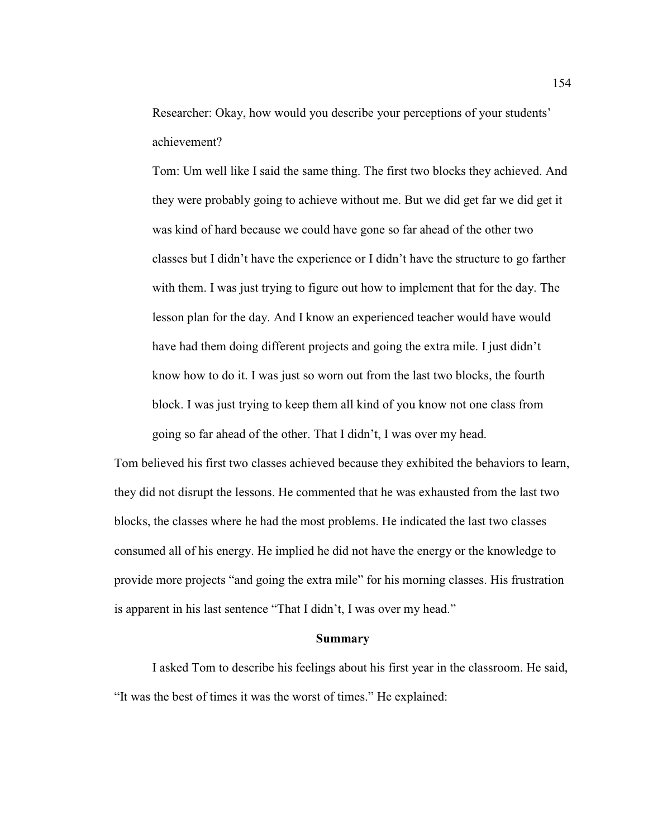Researcher: Okay, how would you describe your perceptions of your students' achievement?

Tom: Um well like I said the same thing. The first two blocks they achieved. And they were probably going to achieve without me. But we did get far we did get it was kind of hard because we could have gone so far ahead of the other two classes but I didn't have the experience or I didn't have the structure to go farther with them. I was just trying to figure out how to implement that for the day. The lesson plan for the day. And I know an experienced teacher would have would have had them doing different projects and going the extra mile. I just didn't know how to do it. I was just so worn out from the last two blocks, the fourth block. I was just trying to keep them all kind of you know not one class from going so far ahead of the other. That I didn't, I was over my head.

Tom believed his first two classes achieved because they exhibited the behaviors to learn, they did not disrupt the lessons. He commented that he was exhausted from the last two blocks, the classes where he had the most problems. He indicated the last two classes consumed all of his energy. He implied he did not have the energy or the knowledge to provide more projects "and going the extra mile" for his morning classes. His frustration is apparent in his last sentence "That I didn't, I was over my head."

#### **Summary**

 I asked Tom to describe his feelings about his first year in the classroom. He said, "It was the best of times it was the worst of times." He explained: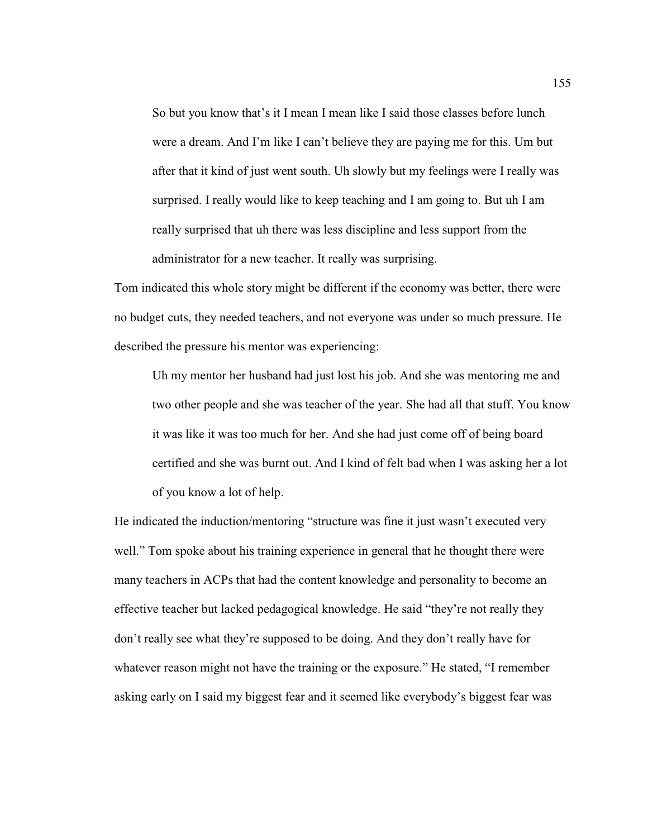So but you know that's it I mean I mean like I said those classes before lunch were a dream. And I'm like I can't believe they are paying me for this. Um but after that it kind of just went south. Uh slowly but my feelings were I really was surprised. I really would like to keep teaching and I am going to. But uh I am really surprised that uh there was less discipline and less support from the administrator for a new teacher. It really was surprising.

Tom indicated this whole story might be different if the economy was better, there were no budget cuts, they needed teachers, and not everyone was under so much pressure. He described the pressure his mentor was experiencing:

Uh my mentor her husband had just lost his job. And she was mentoring me and two other people and she was teacher of the year. She had all that stuff. You know it was like it was too much for her. And she had just come off of being board certified and she was burnt out. And I kind of felt bad when I was asking her a lot of you know a lot of help.

He indicated the induction/mentoring "structure was fine it just wasn't executed very well." Tom spoke about his training experience in general that he thought there were many teachers in ACPs that had the content knowledge and personality to become an effective teacher but lacked pedagogical knowledge. He said "they're not really they don't really see what they're supposed to be doing. And they don't really have for whatever reason might not have the training or the exposure." He stated, "I remember asking early on I said my biggest fear and it seemed like everybody's biggest fear was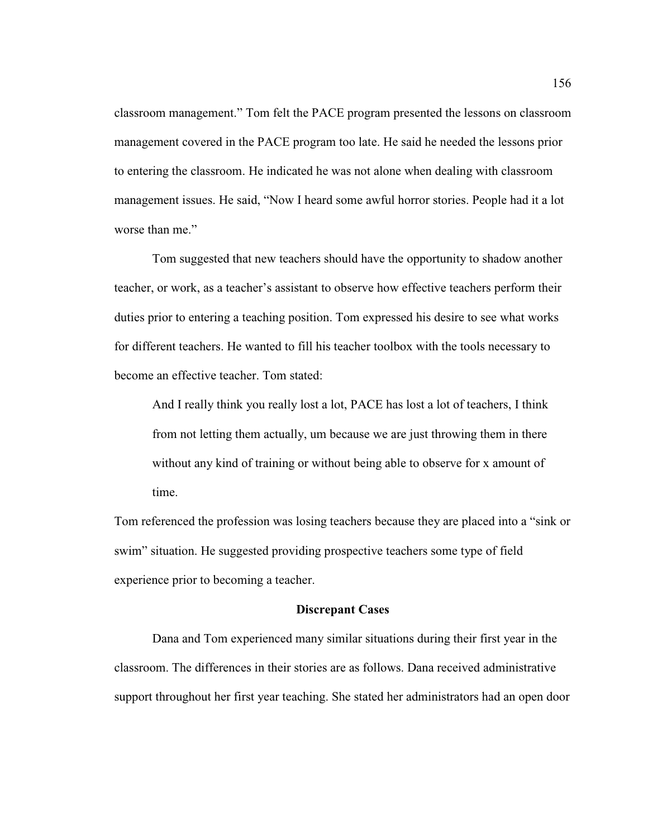classroom management." Tom felt the PACE program presented the lessons on classroom management covered in the PACE program too late. He said he needed the lessons prior to entering the classroom. He indicated he was not alone when dealing with classroom management issues. He said, "Now I heard some awful horror stories. People had it a lot worse than me."

Tom suggested that new teachers should have the opportunity to shadow another teacher, or work, as a teacher's assistant to observe how effective teachers perform their duties prior to entering a teaching position. Tom expressed his desire to see what works for different teachers. He wanted to fill his teacher toolbox with the tools necessary to become an effective teacher. Tom stated:

And I really think you really lost a lot, PACE has lost a lot of teachers, I think from not letting them actually, um because we are just throwing them in there without any kind of training or without being able to observe for x amount of time.

Tom referenced the profession was losing teachers because they are placed into a "sink or swim" situation. He suggested providing prospective teachers some type of field experience prior to becoming a teacher.

#### **Discrepant Cases**

Dana and Tom experienced many similar situations during their first year in the classroom. The differences in their stories are as follows. Dana received administrative support throughout her first year teaching. She stated her administrators had an open door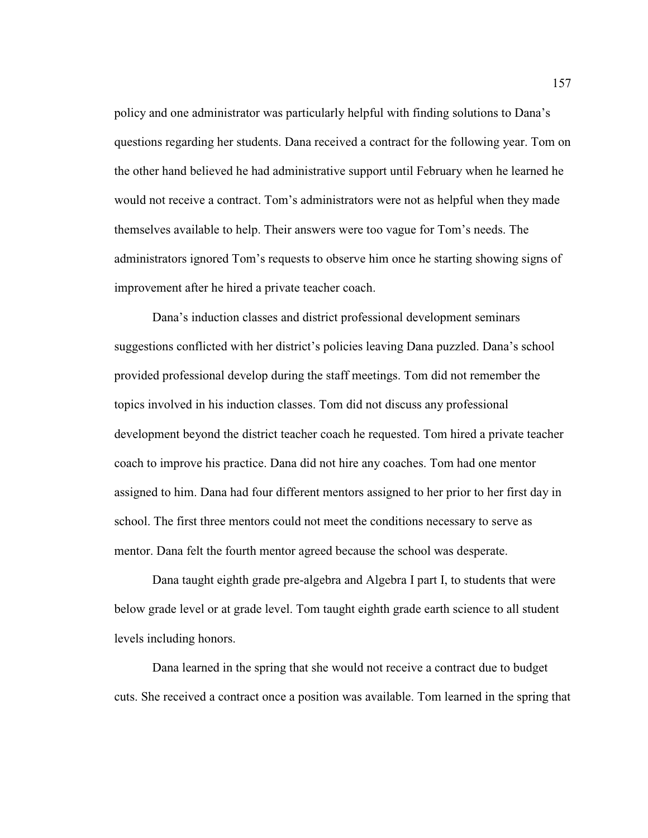policy and one administrator was particularly helpful with finding solutions to Dana's questions regarding her students. Dana received a contract for the following year. Tom on the other hand believed he had administrative support until February when he learned he would not receive a contract. Tom's administrators were not as helpful when they made themselves available to help. Their answers were too vague for Tom's needs. The administrators ignored Tom's requests to observe him once he starting showing signs of improvement after he hired a private teacher coach.

Dana's induction classes and district professional development seminars suggestions conflicted with her district's policies leaving Dana puzzled. Dana's school provided professional develop during the staff meetings. Tom did not remember the topics involved in his induction classes. Tom did not discuss any professional development beyond the district teacher coach he requested. Tom hired a private teacher coach to improve his practice. Dana did not hire any coaches. Tom had one mentor assigned to him. Dana had four different mentors assigned to her prior to her first day in school. The first three mentors could not meet the conditions necessary to serve as mentor. Dana felt the fourth mentor agreed because the school was desperate.

Dana taught eighth grade pre-algebra and Algebra I part I, to students that were below grade level or at grade level. Tom taught eighth grade earth science to all student levels including honors.

Dana learned in the spring that she would not receive a contract due to budget cuts. She received a contract once a position was available. Tom learned in the spring that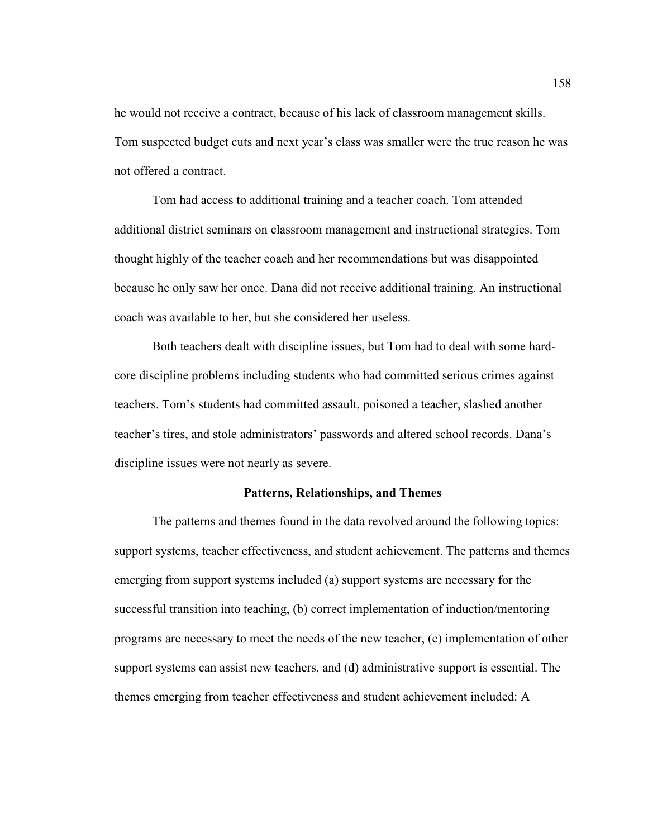he would not receive a contract, because of his lack of classroom management skills. Tom suspected budget cuts and next year's class was smaller were the true reason he was not offered a contract.

Tom had access to additional training and a teacher coach. Tom attended additional district seminars on classroom management and instructional strategies. Tom thought highly of the teacher coach and her recommendations but was disappointed because he only saw her once. Dana did not receive additional training. An instructional coach was available to her, but she considered her useless.

Both teachers dealt with discipline issues, but Tom had to deal with some hardcore discipline problems including students who had committed serious crimes against teachers. Tom's students had committed assault, poisoned a teacher, slashed another teacher's tires, and stole administrators' passwords and altered school records. Dana's discipline issues were not nearly as severe.

#### **Patterns, Relationships, and Themes**

The patterns and themes found in the data revolved around the following topics: support systems, teacher effectiveness, and student achievement. The patterns and themes emerging from support systems included (a) support systems are necessary for the successful transition into teaching, (b) correct implementation of induction/mentoring programs are necessary to meet the needs of the new teacher, (c) implementation of other support systems can assist new teachers, and (d) administrative support is essential. The themes emerging from teacher effectiveness and student achievement included: A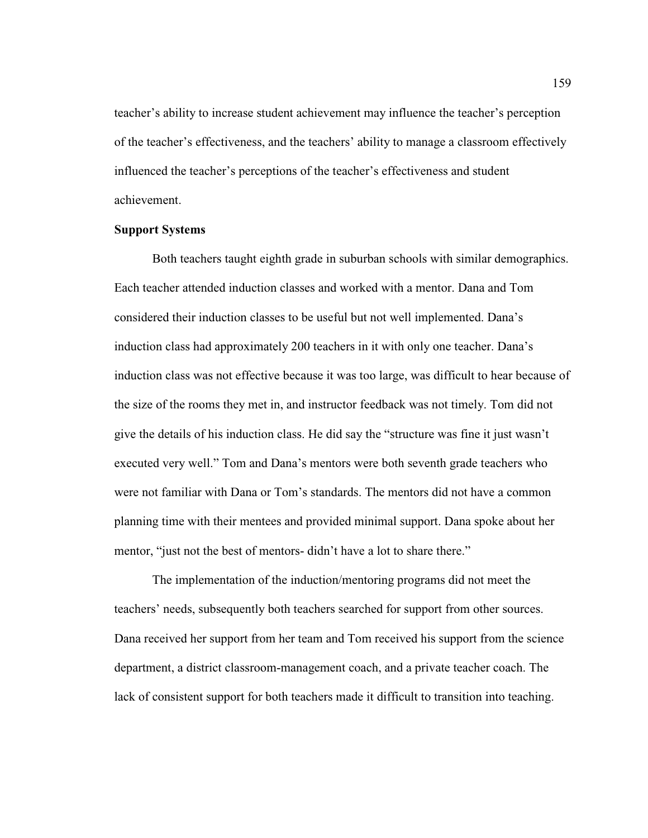teacher's ability to increase student achievement may influence the teacher's perception of the teacher's effectiveness, and the teachers' ability to manage a classroom effectively influenced the teacher's perceptions of the teacher's effectiveness and student achievement.

## **Support Systems**

 Both teachers taught eighth grade in suburban schools with similar demographics. Each teacher attended induction classes and worked with a mentor. Dana and Tom considered their induction classes to be useful but not well implemented. Dana's induction class had approximately 200 teachers in it with only one teacher. Dana's induction class was not effective because it was too large, was difficult to hear because of the size of the rooms they met in, and instructor feedback was not timely. Tom did not give the details of his induction class. He did say the "structure was fine it just wasn't executed very well." Tom and Dana's mentors were both seventh grade teachers who were not familiar with Dana or Tom's standards. The mentors did not have a common planning time with their mentees and provided minimal support. Dana spoke about her mentor, "just not the best of mentors- didn't have a lot to share there."

 The implementation of the induction/mentoring programs did not meet the teachers' needs, subsequently both teachers searched for support from other sources. Dana received her support from her team and Tom received his support from the science department, a district classroom-management coach, and a private teacher coach. The lack of consistent support for both teachers made it difficult to transition into teaching.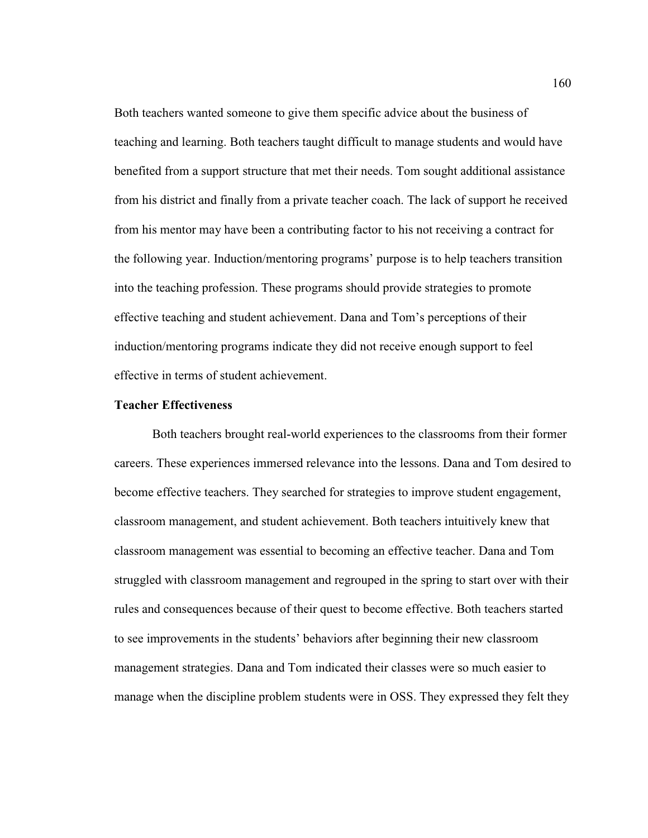Both teachers wanted someone to give them specific advice about the business of teaching and learning. Both teachers taught difficult to manage students and would have benefited from a support structure that met their needs. Tom sought additional assistance from his district and finally from a private teacher coach. The lack of support he received from his mentor may have been a contributing factor to his not receiving a contract for the following year. Induction/mentoring programs' purpose is to help teachers transition into the teaching profession. These programs should provide strategies to promote effective teaching and student achievement. Dana and Tom's perceptions of their induction/mentoring programs indicate they did not receive enough support to feel effective in terms of student achievement.

## **Teacher Effectiveness**

 Both teachers brought real-world experiences to the classrooms from their former careers. These experiences immersed relevance into the lessons. Dana and Tom desired to become effective teachers. They searched for strategies to improve student engagement, classroom management, and student achievement. Both teachers intuitively knew that classroom management was essential to becoming an effective teacher. Dana and Tom struggled with classroom management and regrouped in the spring to start over with their rules and consequences because of their quest to become effective. Both teachers started to see improvements in the students' behaviors after beginning their new classroom management strategies. Dana and Tom indicated their classes were so much easier to manage when the discipline problem students were in OSS. They expressed they felt they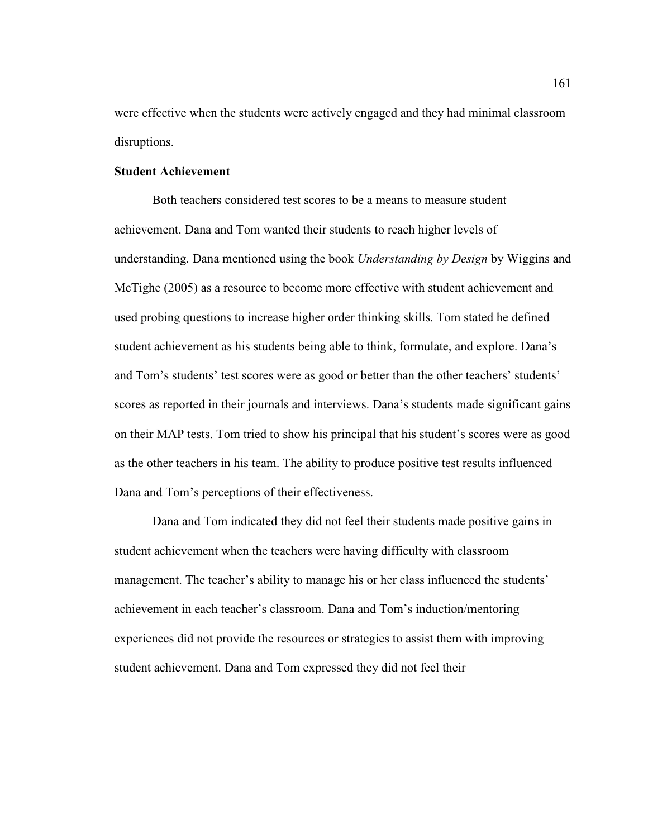were effective when the students were actively engaged and they had minimal classroom disruptions.

## **Student Achievement**

Both teachers considered test scores to be a means to measure student achievement. Dana and Tom wanted their students to reach higher levels of understanding. Dana mentioned using the book *Understanding by Design* by Wiggins and McTighe (2005) as a resource to become more effective with student achievement and used probing questions to increase higher order thinking skills. Tom stated he defined student achievement as his students being able to think, formulate, and explore. Dana's and Tom's students' test scores were as good or better than the other teachers' students' scores as reported in their journals and interviews. Dana's students made significant gains on their MAP tests. Tom tried to show his principal that his student's scores were as good as the other teachers in his team. The ability to produce positive test results influenced Dana and Tom's perceptions of their effectiveness.

Dana and Tom indicated they did not feel their students made positive gains in student achievement when the teachers were having difficulty with classroom management. The teacher's ability to manage his or her class influenced the students' achievement in each teacher's classroom. Dana and Tom's induction/mentoring experiences did not provide the resources or strategies to assist them with improving student achievement. Dana and Tom expressed they did not feel their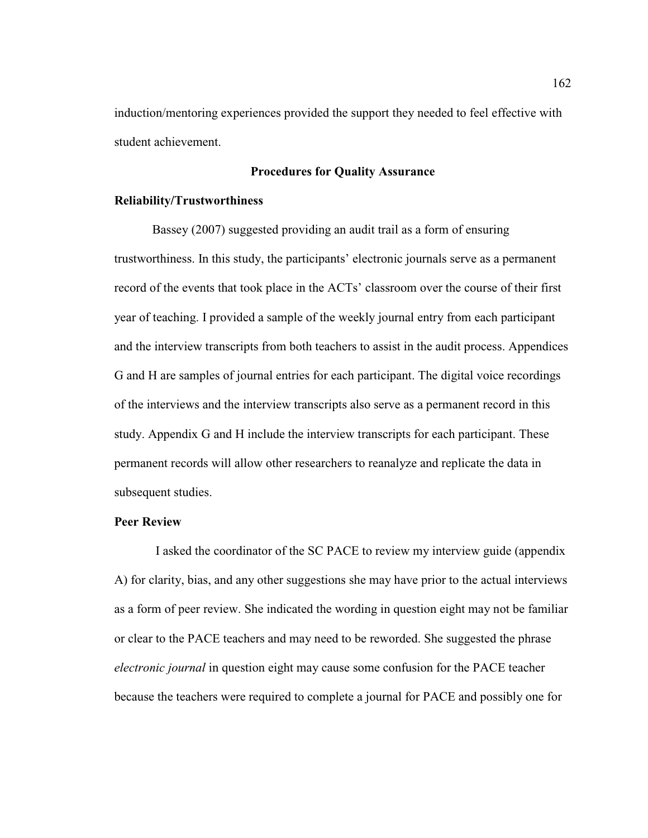induction/mentoring experiences provided the support they needed to feel effective with student achievement.

# **Procedures for Quality Assurance**

## **Reliability/Trustworthiness**

Bassey (2007) suggested providing an audit trail as a form of ensuring trustworthiness. In this study, the participants' electronic journals serve as a permanent record of the events that took place in the ACTs' classroom over the course of their first year of teaching. I provided a sample of the weekly journal entry from each participant and the interview transcripts from both teachers to assist in the audit process. Appendices G and H are samples of journal entries for each participant. The digital voice recordings of the interviews and the interview transcripts also serve as a permanent record in this study. Appendix G and H include the interview transcripts for each participant. These permanent records will allow other researchers to reanalyze and replicate the data in subsequent studies.

### **Peer Review**

 I asked the coordinator of the SC PACE to review my interview guide (appendix A) for clarity, bias, and any other suggestions she may have prior to the actual interviews as a form of peer review. She indicated the wording in question eight may not be familiar or clear to the PACE teachers and may need to be reworded. She suggested the phrase *electronic journal* in question eight may cause some confusion for the PACE teacher because the teachers were required to complete a journal for PACE and possibly one for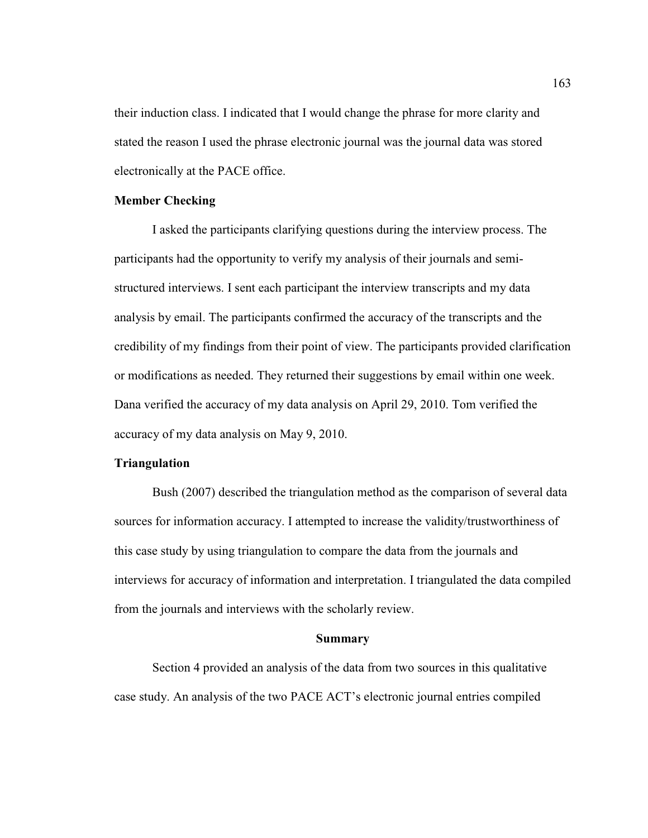their induction class. I indicated that I would change the phrase for more clarity and stated the reason I used the phrase electronic journal was the journal data was stored electronically at the PACE office.

# **Member Checking**

 I asked the participants clarifying questions during the interview process. The participants had the opportunity to verify my analysis of their journals and semistructured interviews. I sent each participant the interview transcripts and my data analysis by email. The participants confirmed the accuracy of the transcripts and the credibility of my findings from their point of view. The participants provided clarification or modifications as needed. They returned their suggestions by email within one week. Dana verified the accuracy of my data analysis on April 29, 2010. Tom verified the accuracy of my data analysis on May 9, 2010.

# **Triangulation**

Bush (2007) described the triangulation method as the comparison of several data sources for information accuracy. I attempted to increase the validity/trustworthiness of this case study by using triangulation to compare the data from the journals and interviews for accuracy of information and interpretation. I triangulated the data compiled from the journals and interviews with the scholarly review.

#### **Summary**

Section 4 provided an analysis of the data from two sources in this qualitative case study. An analysis of the two PACE ACT's electronic journal entries compiled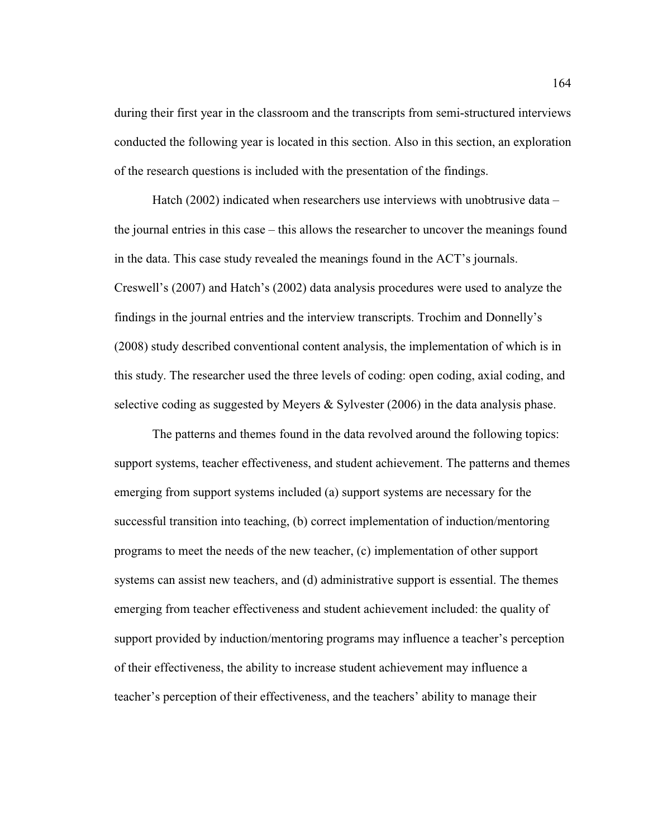during their first year in the classroom and the transcripts from semi-structured interviews conducted the following year is located in this section. Also in this section, an exploration of the research questions is included with the presentation of the findings.

Hatch (2002) indicated when researchers use interviews with unobtrusive data – the journal entries in this case – this allows the researcher to uncover the meanings found in the data. This case study revealed the meanings found in the ACT's journals. Creswell's (2007) and Hatch's (2002) data analysis procedures were used to analyze the findings in the journal entries and the interview transcripts. Trochim and Donnelly's (2008) study described conventional content analysis, the implementation of which is in this study. The researcher used the three levels of coding: open coding, axial coding, and selective coding as suggested by Meyers & Sylvester (2006) in the data analysis phase.

The patterns and themes found in the data revolved around the following topics: support systems, teacher effectiveness, and student achievement. The patterns and themes emerging from support systems included (a) support systems are necessary for the successful transition into teaching, (b) correct implementation of induction/mentoring programs to meet the needs of the new teacher, (c) implementation of other support systems can assist new teachers, and (d) administrative support is essential. The themes emerging from teacher effectiveness and student achievement included: the quality of support provided by induction/mentoring programs may influence a teacher's perception of their effectiveness, the ability to increase student achievement may influence a teacher's perception of their effectiveness, and the teachers' ability to manage their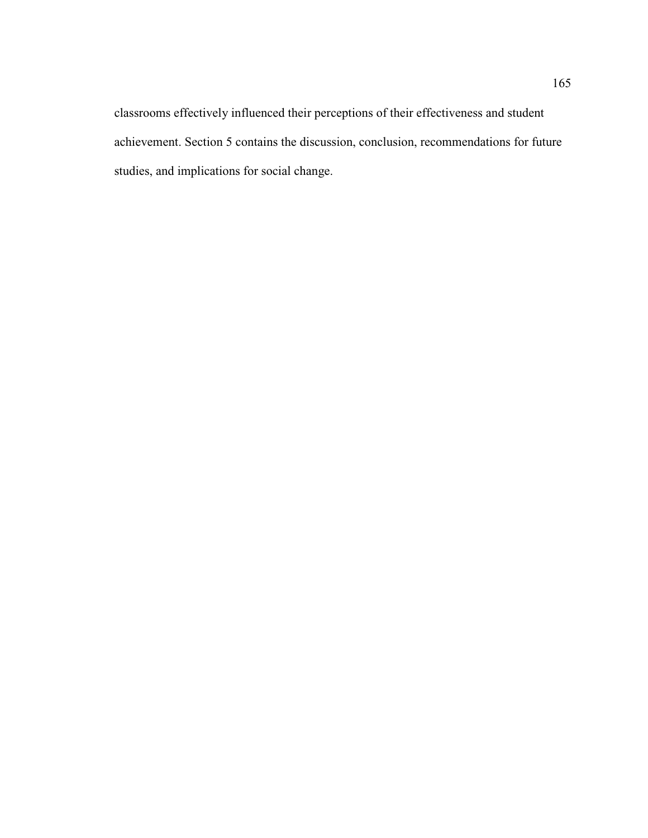classrooms effectively influenced their perceptions of their effectiveness and student achievement. Section 5 contains the discussion, conclusion, recommendations for future studies, and implications for social change.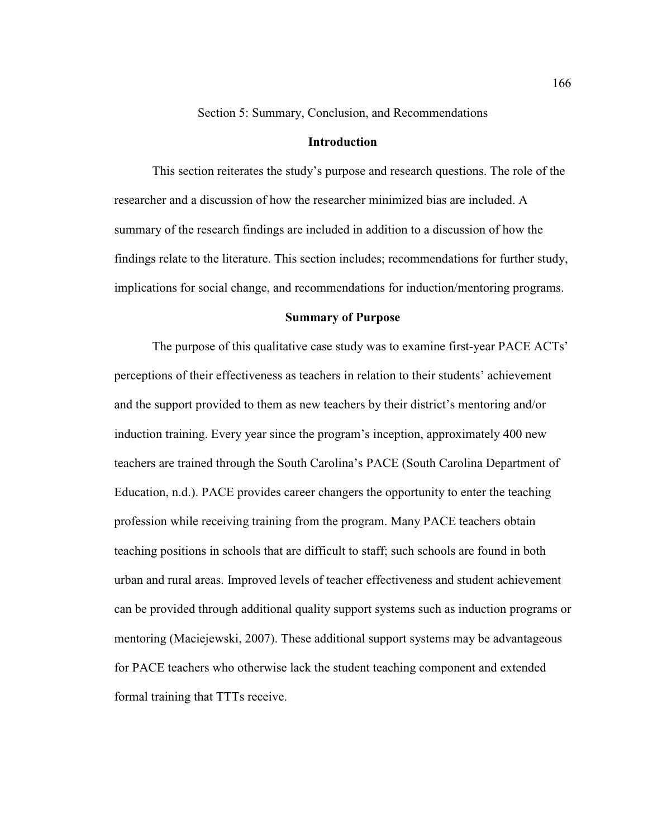Section 5: Summary, Conclusion, and Recommendations

## **Introduction**

This section reiterates the study's purpose and research questions. The role of the researcher and a discussion of how the researcher minimized bias are included. A summary of the research findings are included in addition to a discussion of how the findings relate to the literature. This section includes; recommendations for further study, implications for social change, and recommendations for induction/mentoring programs.

## **Summary of Purpose**

The purpose of this qualitative case study was to examine first-year PACE ACTs' perceptions of their effectiveness as teachers in relation to their students' achievement and the support provided to them as new teachers by their district's mentoring and/or induction training. Every year since the program's inception, approximately 400 new teachers are trained through the South Carolina's PACE (South Carolina Department of Education, n.d.). PACE provides career changers the opportunity to enter the teaching profession while receiving training from the program. Many PACE teachers obtain teaching positions in schools that are difficult to staff; such schools are found in both urban and rural areas. Improved levels of teacher effectiveness and student achievement can be provided through additional quality support systems such as induction programs or mentoring (Maciejewski, 2007). These additional support systems may be advantageous for PACE teachers who otherwise lack the student teaching component and extended formal training that TTTs receive.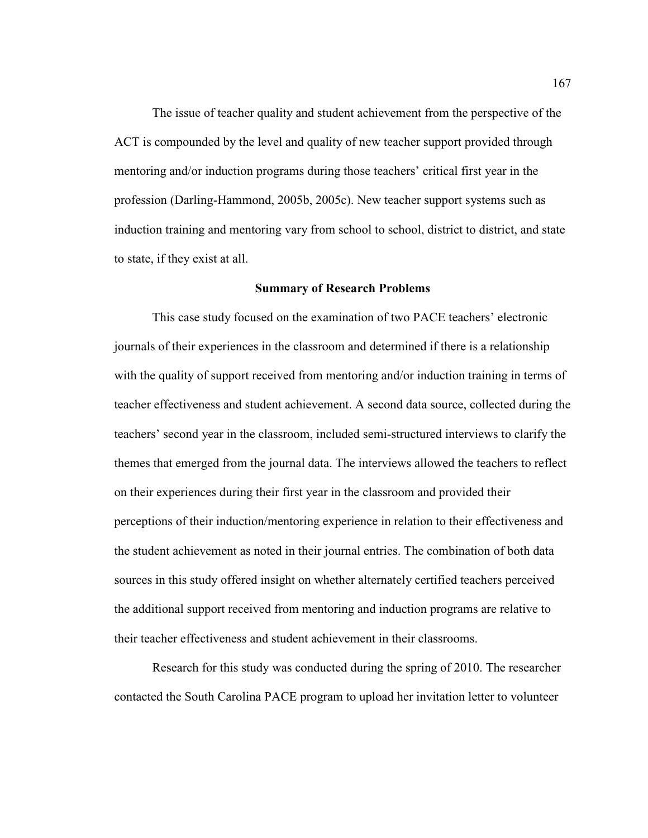The issue of teacher quality and student achievement from the perspective of the ACT is compounded by the level and quality of new teacher support provided through mentoring and/or induction programs during those teachers' critical first year in the profession (Darling-Hammond, 2005b, 2005c). New teacher support systems such as induction training and mentoring vary from school to school, district to district, and state to state, if they exist at all.

### **Summary of Research Problems**

This case study focused on the examination of two PACE teachers' electronic journals of their experiences in the classroom and determined if there is a relationship with the quality of support received from mentoring and/or induction training in terms of teacher effectiveness and student achievement. A second data source, collected during the teachers' second year in the classroom, included semi-structured interviews to clarify the themes that emerged from the journal data. The interviews allowed the teachers to reflect on their experiences during their first year in the classroom and provided their perceptions of their induction/mentoring experience in relation to their effectiveness and the student achievement as noted in their journal entries. The combination of both data sources in this study offered insight on whether alternately certified teachers perceived the additional support received from mentoring and induction programs are relative to their teacher effectiveness and student achievement in their classrooms.

Research for this study was conducted during the spring of 2010. The researcher contacted the South Carolina PACE program to upload her invitation letter to volunteer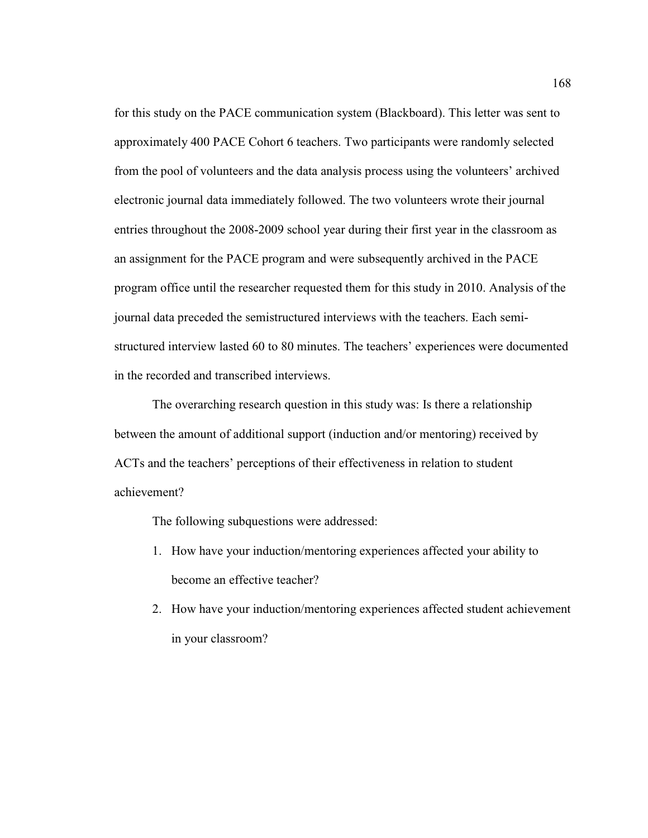for this study on the PACE communication system (Blackboard). This letter was sent to approximately 400 PACE Cohort 6 teachers. Two participants were randomly selected from the pool of volunteers and the data analysis process using the volunteers' archived electronic journal data immediately followed. The two volunteers wrote their journal entries throughout the 2008-2009 school year during their first year in the classroom as an assignment for the PACE program and were subsequently archived in the PACE program office until the researcher requested them for this study in 2010. Analysis of the journal data preceded the semistructured interviews with the teachers. Each semistructured interview lasted 60 to 80 minutes. The teachers' experiences were documented in the recorded and transcribed interviews.

The overarching research question in this study was: Is there a relationship between the amount of additional support (induction and/or mentoring) received by ACTs and the teachers' perceptions of their effectiveness in relation to student achievement?

The following subquestions were addressed:

- 1. How have your induction/mentoring experiences affected your ability to become an effective teacher?
- 2. How have your induction/mentoring experiences affected student achievement in your classroom?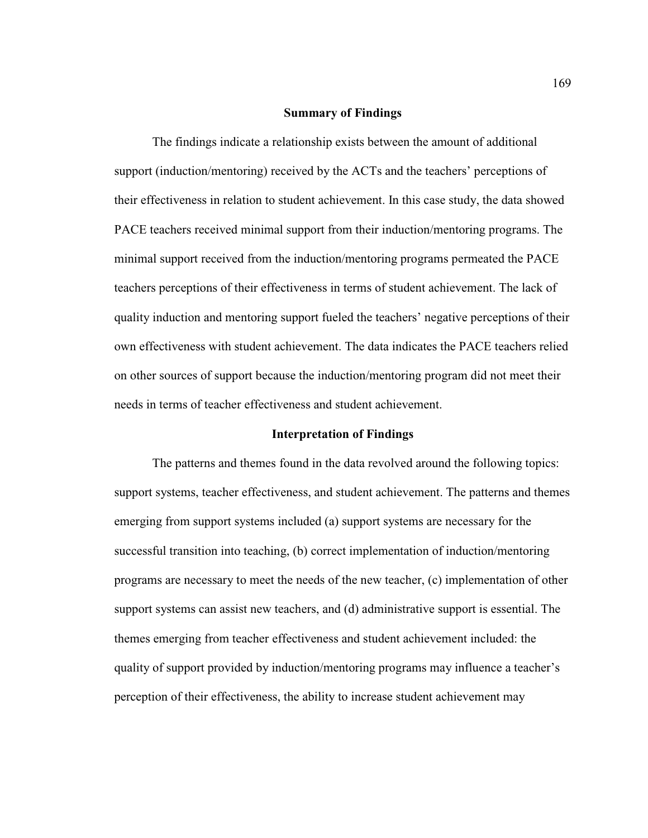#### **Summary of Findings**

 The findings indicate a relationship exists between the amount of additional support (induction/mentoring) received by the ACTs and the teachers' perceptions of their effectiveness in relation to student achievement. In this case study, the data showed PACE teachers received minimal support from their induction/mentoring programs. The minimal support received from the induction/mentoring programs permeated the PACE teachers perceptions of their effectiveness in terms of student achievement. The lack of quality induction and mentoring support fueled the teachers' negative perceptions of their own effectiveness with student achievement. The data indicates the PACE teachers relied on other sources of support because the induction/mentoring program did not meet their needs in terms of teacher effectiveness and student achievement.

#### **Interpretation of Findings**

The patterns and themes found in the data revolved around the following topics: support systems, teacher effectiveness, and student achievement. The patterns and themes emerging from support systems included (a) support systems are necessary for the successful transition into teaching, (b) correct implementation of induction/mentoring programs are necessary to meet the needs of the new teacher, (c) implementation of other support systems can assist new teachers, and (d) administrative support is essential. The themes emerging from teacher effectiveness and student achievement included: the quality of support provided by induction/mentoring programs may influence a teacher's perception of their effectiveness, the ability to increase student achievement may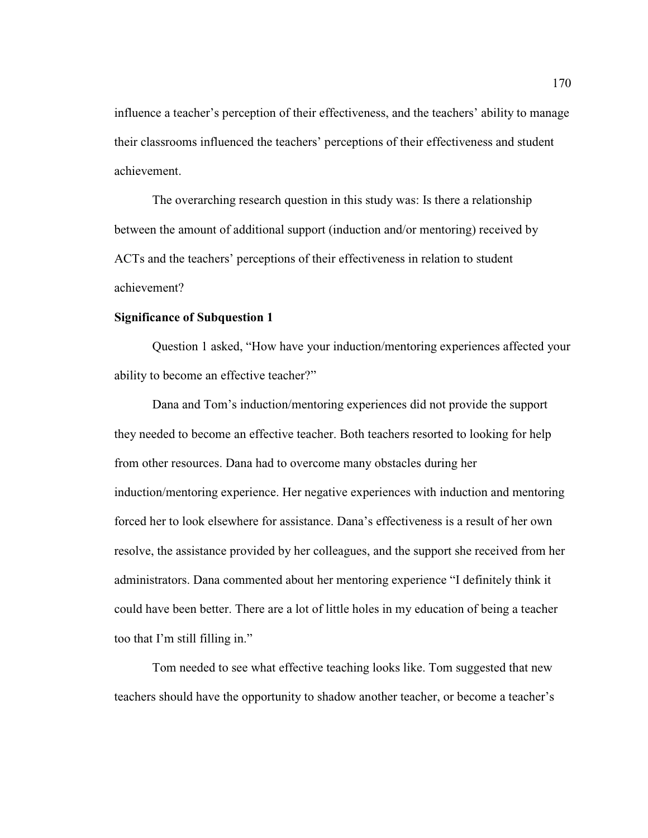influence a teacher's perception of their effectiveness, and the teachers' ability to manage their classrooms influenced the teachers' perceptions of their effectiveness and student achievement.

The overarching research question in this study was: Is there a relationship between the amount of additional support (induction and/or mentoring) received by ACTs and the teachers' perceptions of their effectiveness in relation to student achievement?

# **Significance of Subquestion 1**

Question 1 asked, "How have your induction/mentoring experiences affected your ability to become an effective teacher?"

 Dana and Tom's induction/mentoring experiences did not provide the support they needed to become an effective teacher. Both teachers resorted to looking for help from other resources. Dana had to overcome many obstacles during her induction/mentoring experience. Her negative experiences with induction and mentoring forced her to look elsewhere for assistance. Dana's effectiveness is a result of her own resolve, the assistance provided by her colleagues, and the support she received from her administrators. Dana commented about her mentoring experience "I definitely think it could have been better. There are a lot of little holes in my education of being a teacher too that I'm still filling in."

 Tom needed to see what effective teaching looks like. Tom suggested that new teachers should have the opportunity to shadow another teacher, or become a teacher's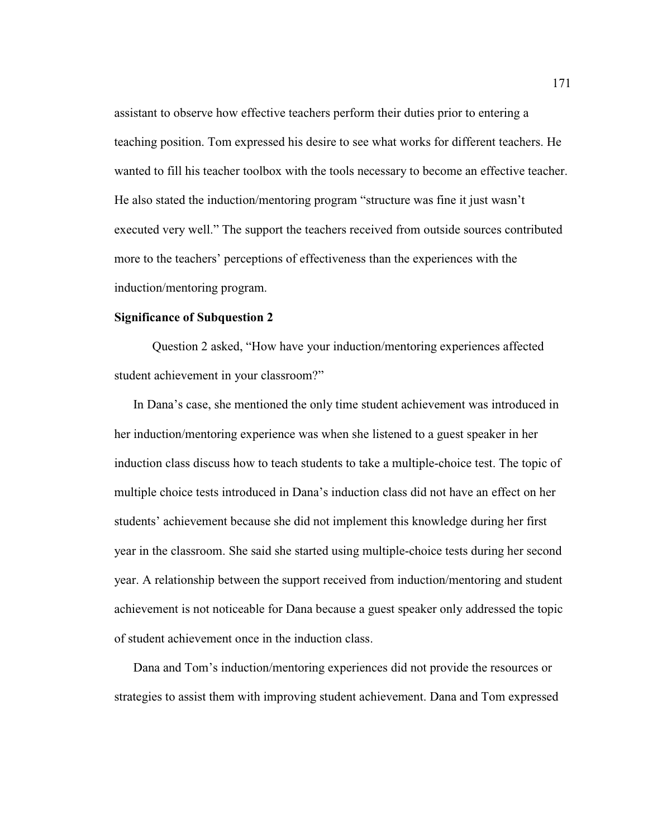assistant to observe how effective teachers perform their duties prior to entering a teaching position. Tom expressed his desire to see what works for different teachers. He wanted to fill his teacher toolbox with the tools necessary to become an effective teacher. He also stated the induction/mentoring program "structure was fine it just wasn't executed very well." The support the teachers received from outside sources contributed more to the teachers' perceptions of effectiveness than the experiences with the induction/mentoring program.

## **Significance of Subquestion 2**

 Question 2 asked, "How have your induction/mentoring experiences affected student achievement in your classroom?"

In Dana's case, she mentioned the only time student achievement was introduced in her induction/mentoring experience was when she listened to a guest speaker in her induction class discuss how to teach students to take a multiple-choice test. The topic of multiple choice tests introduced in Dana's induction class did not have an effect on her students' achievement because she did not implement this knowledge during her first year in the classroom. She said she started using multiple-choice tests during her second year. A relationship between the support received from induction/mentoring and student achievement is not noticeable for Dana because a guest speaker only addressed the topic of student achievement once in the induction class.

Dana and Tom's induction/mentoring experiences did not provide the resources or strategies to assist them with improving student achievement. Dana and Tom expressed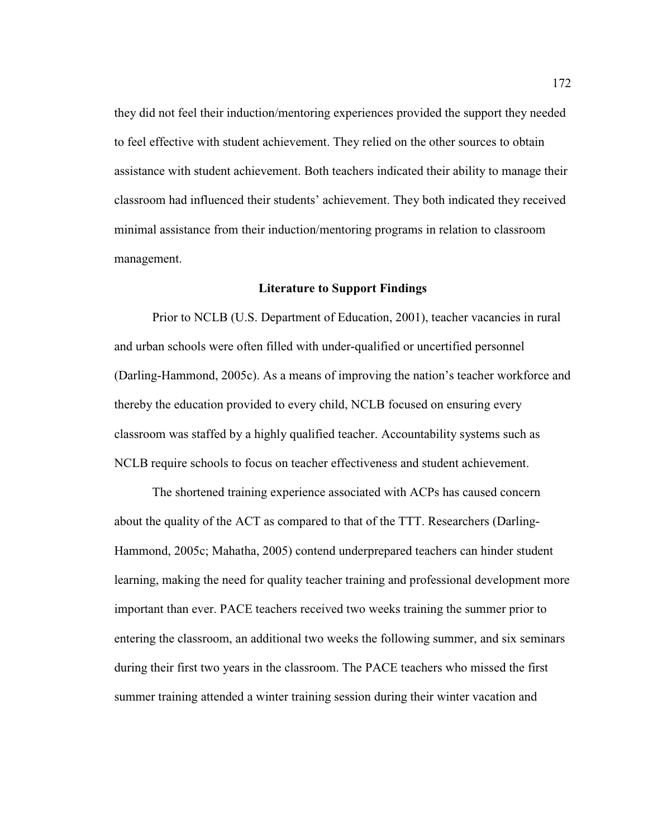they did not feel their induction/mentoring experiences provided the support they needed to feel effective with student achievement. They relied on the other sources to obtain assistance with student achievement. Both teachers indicated their ability to manage their classroom had influenced their students' achievement. They both indicated they received minimal assistance from their induction/mentoring programs in relation to classroom management.

### **Literature to Support Findings**

Prior to NCLB (U.S. Department of Education, 2001), teacher vacancies in rural and urban schools were often filled with under-qualified or uncertified personnel (Darling-Hammond, 2005c). As a means of improving the nation's teacher workforce and thereby the education provided to every child, NCLB focused on ensuring every classroom was staffed by a highly qualified teacher. Accountability systems such as NCLB require schools to focus on teacher effectiveness and student achievement.

The shortened training experience associated with ACPs has caused concern about the quality of the ACT as compared to that of the TTT. Researchers (Darling-Hammond, 2005c; Mahatha, 2005) contend underprepared teachers can hinder student learning, making the need for quality teacher training and professional development more important than ever. PACE teachers received two weeks training the summer prior to entering the classroom, an additional two weeks the following summer, and six seminars during their first two years in the classroom. The PACE teachers who missed the first summer training attended a winter training session during their winter vacation and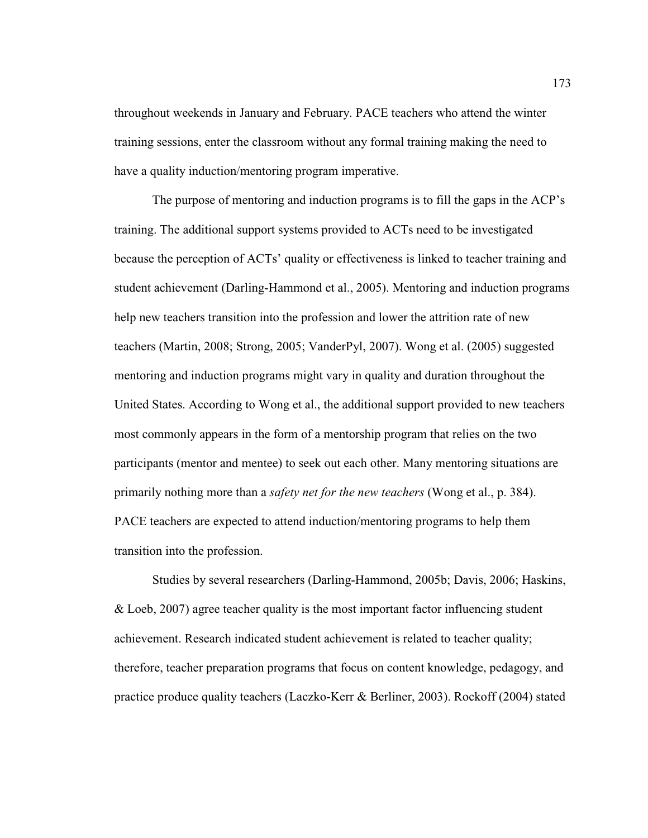throughout weekends in January and February. PACE teachers who attend the winter training sessions, enter the classroom without any formal training making the need to have a quality induction/mentoring program imperative.

The purpose of mentoring and induction programs is to fill the gaps in the ACP's training. The additional support systems provided to ACTs need to be investigated because the perception of ACTs' quality or effectiveness is linked to teacher training and student achievement (Darling-Hammond et al., 2005). Mentoring and induction programs help new teachers transition into the profession and lower the attrition rate of new teachers (Martin, 2008; Strong, 2005; VanderPyl, 2007). Wong et al. (2005) suggested mentoring and induction programs might vary in quality and duration throughout the United States. According to Wong et al., the additional support provided to new teachers most commonly appears in the form of a mentorship program that relies on the two participants (mentor and mentee) to seek out each other. Many mentoring situations are primarily nothing more than a *safety net for the new teachers* (Wong et al., p. 384). PACE teachers are expected to attend induction/mentoring programs to help them transition into the profession.

Studies by several researchers (Darling-Hammond, 2005b; Davis, 2006; Haskins, & Loeb, 2007) agree teacher quality is the most important factor influencing student achievement. Research indicated student achievement is related to teacher quality; therefore, teacher preparation programs that focus on content knowledge, pedagogy, and practice produce quality teachers (Laczko-Kerr & Berliner, 2003). Rockoff (2004) stated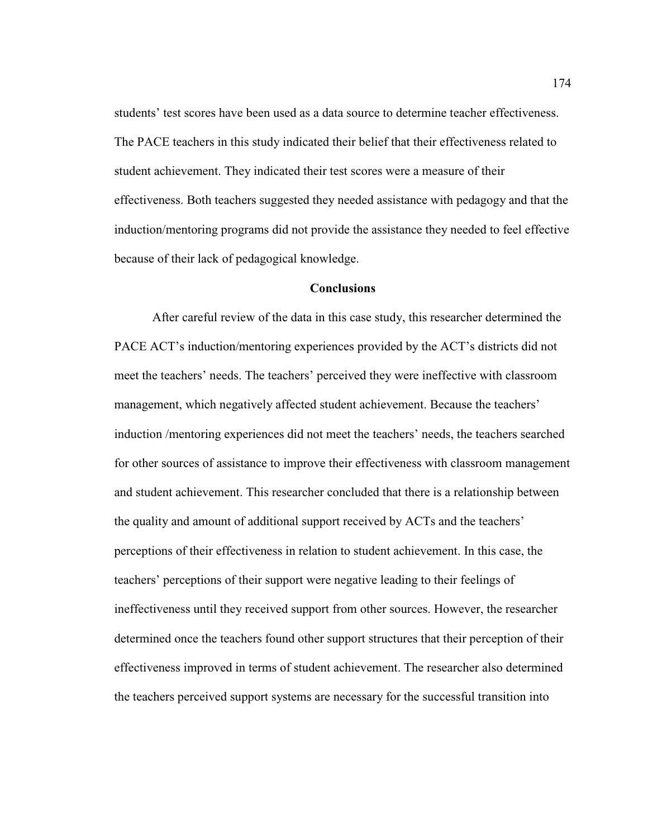students' test scores have been used as a data source to determine teacher effectiveness. The PACE teachers in this study indicated their belief that their effectiveness related to student achievement. They indicated their test scores were a measure of their effectiveness. Both teachers suggested they needed assistance with pedagogy and that the induction/mentoring programs did not provide the assistance they needed to feel effective because of their lack of pedagogical knowledge.

## **Conclusions**

After careful review of the data in this case study, this researcher determined the PACE ACT's induction/mentoring experiences provided by the ACT's districts did not meet the teachers' needs. The teachers' perceived they were ineffective with classroom management, which negatively affected student achievement. Because the teachers' induction /mentoring experiences did not meet the teachers' needs, the teachers searched for other sources of assistance to improve their effectiveness with classroom management and student achievement. This researcher concluded that there is a relationship between the quality and amount of additional support received by ACTs and the teachers' perceptions of their effectiveness in relation to student achievement. In this case, the teachers' perceptions of their support were negative leading to their feelings of ineffectiveness until they received support from other sources. However, the researcher determined once the teachers found other support structures that their perception of their effectiveness improved in terms of student achievement. The researcher also determined the teachers perceived support systems are necessary for the successful transition into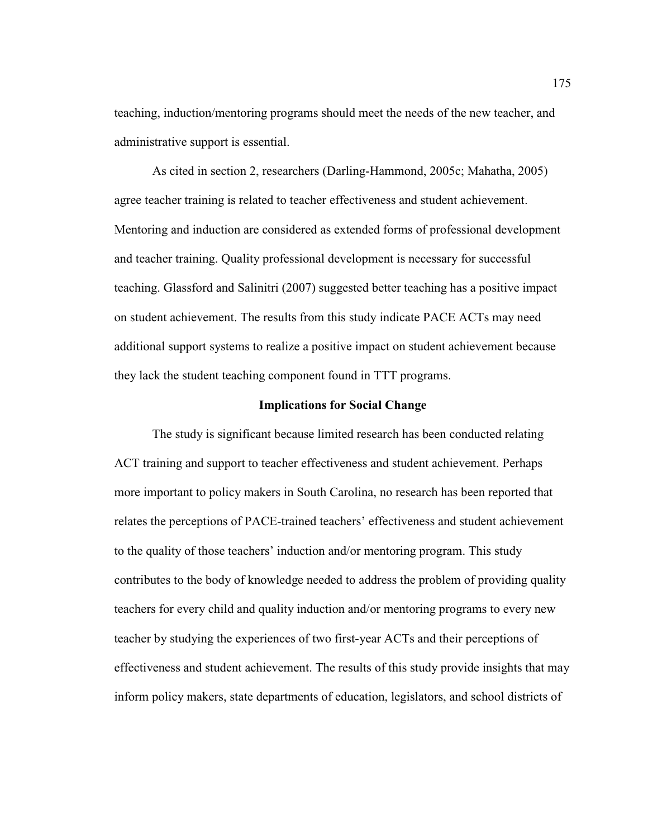teaching, induction/mentoring programs should meet the needs of the new teacher, and administrative support is essential.

As cited in section 2, researchers (Darling-Hammond, 2005c; Mahatha, 2005) agree teacher training is related to teacher effectiveness and student achievement. Mentoring and induction are considered as extended forms of professional development and teacher training. Quality professional development is necessary for successful teaching. Glassford and Salinitri (2007) suggested better teaching has a positive impact on student achievement. The results from this study indicate PACE ACTs may need additional support systems to realize a positive impact on student achievement because they lack the student teaching component found in TTT programs.

## **Implications for Social Change**

The study is significant because limited research has been conducted relating ACT training and support to teacher effectiveness and student achievement. Perhaps more important to policy makers in South Carolina, no research has been reported that relates the perceptions of PACE-trained teachers' effectiveness and student achievement to the quality of those teachers' induction and/or mentoring program. This study contributes to the body of knowledge needed to address the problem of providing quality teachers for every child and quality induction and/or mentoring programs to every new teacher by studying the experiences of two first-year ACTs and their perceptions of effectiveness and student achievement. The results of this study provide insights that may inform policy makers, state departments of education, legislators, and school districts of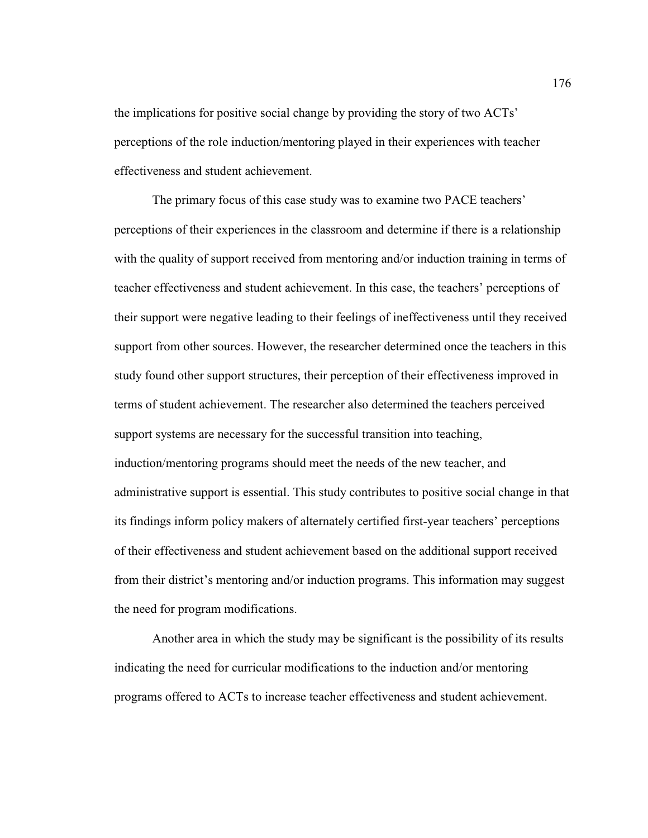the implications for positive social change by providing the story of two ACTs' perceptions of the role induction/mentoring played in their experiences with teacher effectiveness and student achievement.

The primary focus of this case study was to examine two PACE teachers' perceptions of their experiences in the classroom and determine if there is a relationship with the quality of support received from mentoring and/or induction training in terms of teacher effectiveness and student achievement. In this case, the teachers' perceptions of their support were negative leading to their feelings of ineffectiveness until they received support from other sources. However, the researcher determined once the teachers in this study found other support structures, their perception of their effectiveness improved in terms of student achievement. The researcher also determined the teachers perceived support systems are necessary for the successful transition into teaching, induction/mentoring programs should meet the needs of the new teacher, and administrative support is essential. This study contributes to positive social change in that its findings inform policy makers of alternately certified first-year teachers' perceptions of their effectiveness and student achievement based on the additional support received from their district's mentoring and/or induction programs. This information may suggest the need for program modifications.

Another area in which the study may be significant is the possibility of its results indicating the need for curricular modifications to the induction and/or mentoring programs offered to ACTs to increase teacher effectiveness and student achievement.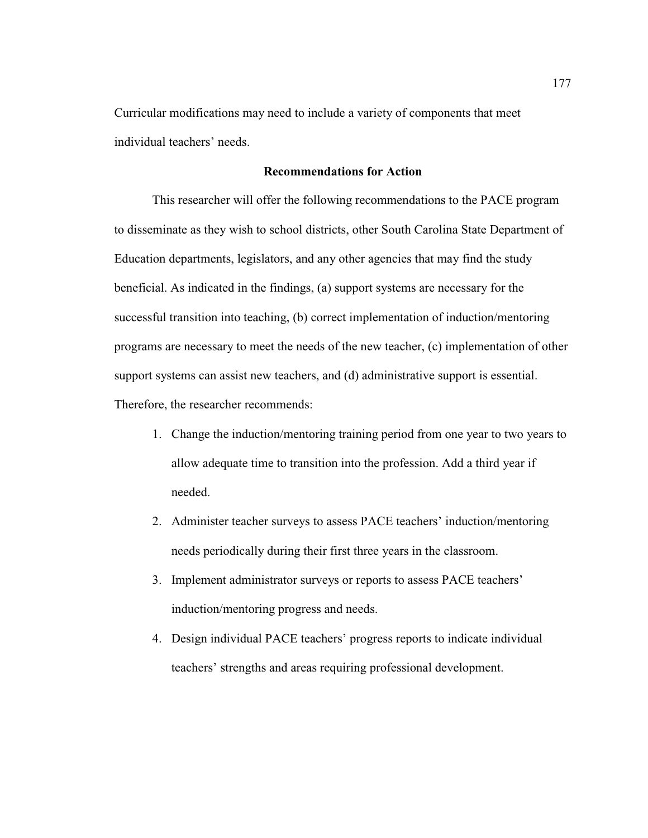Curricular modifications may need to include a variety of components that meet individual teachers' needs.

# **Recommendations for Action**

This researcher will offer the following recommendations to the PACE program to disseminate as they wish to school districts, other South Carolina State Department of Education departments, legislators, and any other agencies that may find the study beneficial. As indicated in the findings, (a) support systems are necessary for the successful transition into teaching, (b) correct implementation of induction/mentoring programs are necessary to meet the needs of the new teacher, (c) implementation of other support systems can assist new teachers, and (d) administrative support is essential. Therefore, the researcher recommends:

- 1. Change the induction/mentoring training period from one year to two years to allow adequate time to transition into the profession. Add a third year if needed.
- 2. Administer teacher surveys to assess PACE teachers' induction/mentoring needs periodically during their first three years in the classroom.
- 3. Implement administrator surveys or reports to assess PACE teachers' induction/mentoring progress and needs.
- 4. Design individual PACE teachers' progress reports to indicate individual teachers' strengths and areas requiring professional development.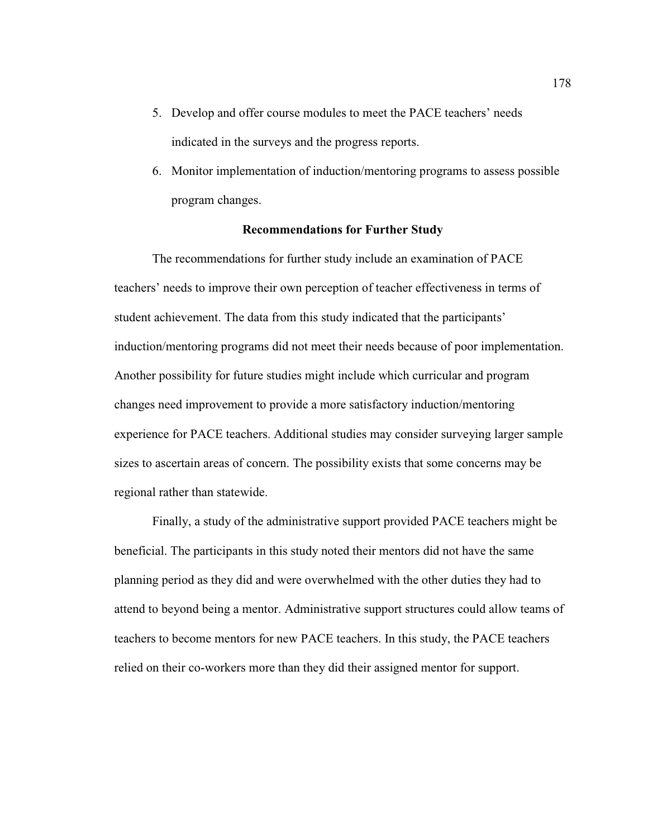- 5. Develop and offer course modules to meet the PACE teachers' needs indicated in the surveys and the progress reports.
- 6. Monitor implementation of induction/mentoring programs to assess possible program changes.

# **Recommendations for Further Study**

The recommendations for further study include an examination of PACE teachers' needs to improve their own perception of teacher effectiveness in terms of student achievement. The data from this study indicated that the participants' induction/mentoring programs did not meet their needs because of poor implementation. Another possibility for future studies might include which curricular and program changes need improvement to provide a more satisfactory induction/mentoring experience for PACE teachers. Additional studies may consider surveying larger sample sizes to ascertain areas of concern. The possibility exists that some concerns may be regional rather than statewide.

Finally, a study of the administrative support provided PACE teachers might be beneficial. The participants in this study noted their mentors did not have the same planning period as they did and were overwhelmed with the other duties they had to attend to beyond being a mentor. Administrative support structures could allow teams of teachers to become mentors for new PACE teachers. In this study, the PACE teachers relied on their co-workers more than they did their assigned mentor for support.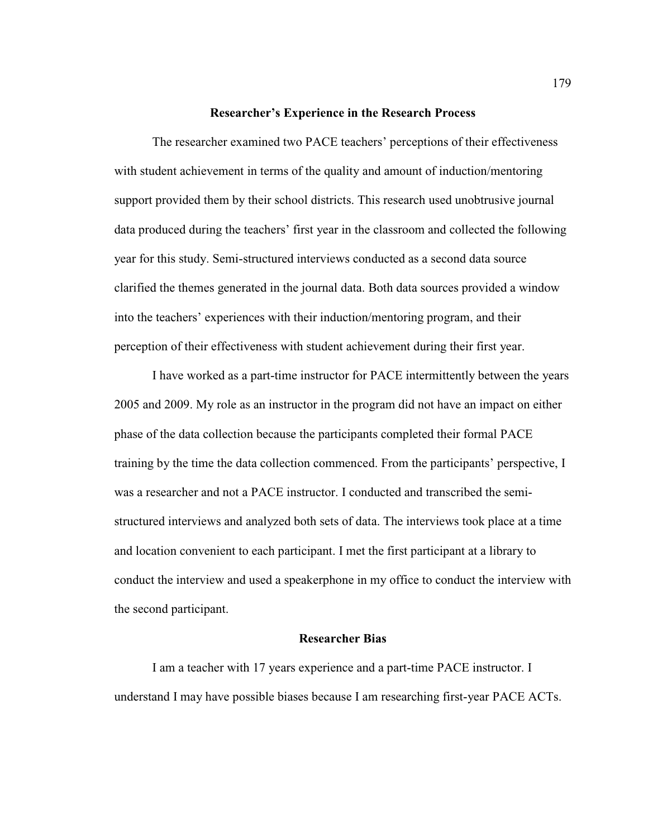#### **Researcher's Experience in the Research Process**

The researcher examined two PACE teachers' perceptions of their effectiveness with student achievement in terms of the quality and amount of induction/mentoring support provided them by their school districts. This research used unobtrusive journal data produced during the teachers' first year in the classroom and collected the following year for this study. Semi-structured interviews conducted as a second data source clarified the themes generated in the journal data. Both data sources provided a window into the teachers' experiences with their induction/mentoring program, and their perception of their effectiveness with student achievement during their first year.

I have worked as a part-time instructor for PACE intermittently between the years 2005 and 2009. My role as an instructor in the program did not have an impact on either phase of the data collection because the participants completed their formal PACE training by the time the data collection commenced. From the participants' perspective, I was a researcher and not a PACE instructor. I conducted and transcribed the semistructured interviews and analyzed both sets of data. The interviews took place at a time and location convenient to each participant. I met the first participant at a library to conduct the interview and used a speakerphone in my office to conduct the interview with the second participant.

## **Researcher Bias**

I am a teacher with 17 years experience and a part-time PACE instructor. I understand I may have possible biases because I am researching first-year PACE ACTs.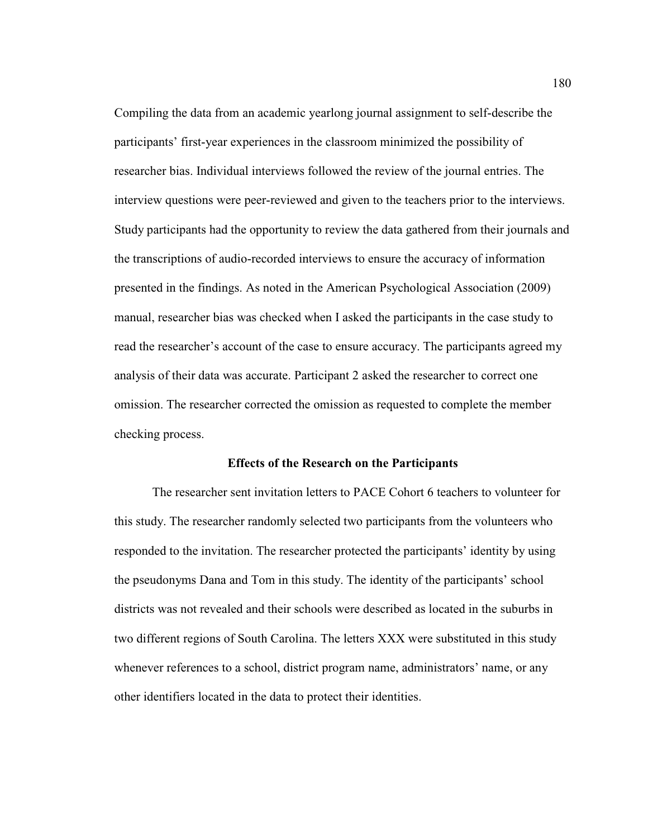Compiling the data from an academic yearlong journal assignment to self-describe the participants' first-year experiences in the classroom minimized the possibility of researcher bias. Individual interviews followed the review of the journal entries. The interview questions were peer-reviewed and given to the teachers prior to the interviews. Study participants had the opportunity to review the data gathered from their journals and the transcriptions of audio-recorded interviews to ensure the accuracy of information presented in the findings. As noted in the American Psychological Association (2009) manual, researcher bias was checked when I asked the participants in the case study to read the researcher's account of the case to ensure accuracy. The participants agreed my analysis of their data was accurate. Participant 2 asked the researcher to correct one omission. The researcher corrected the omission as requested to complete the member checking process.

#### **Effects of the Research on the Participants**

The researcher sent invitation letters to PACE Cohort 6 teachers to volunteer for this study. The researcher randomly selected two participants from the volunteers who responded to the invitation. The researcher protected the participants' identity by using the pseudonyms Dana and Tom in this study. The identity of the participants' school districts was not revealed and their schools were described as located in the suburbs in two different regions of South Carolina. The letters XXX were substituted in this study whenever references to a school, district program name, administrators' name, or any other identifiers located in the data to protect their identities.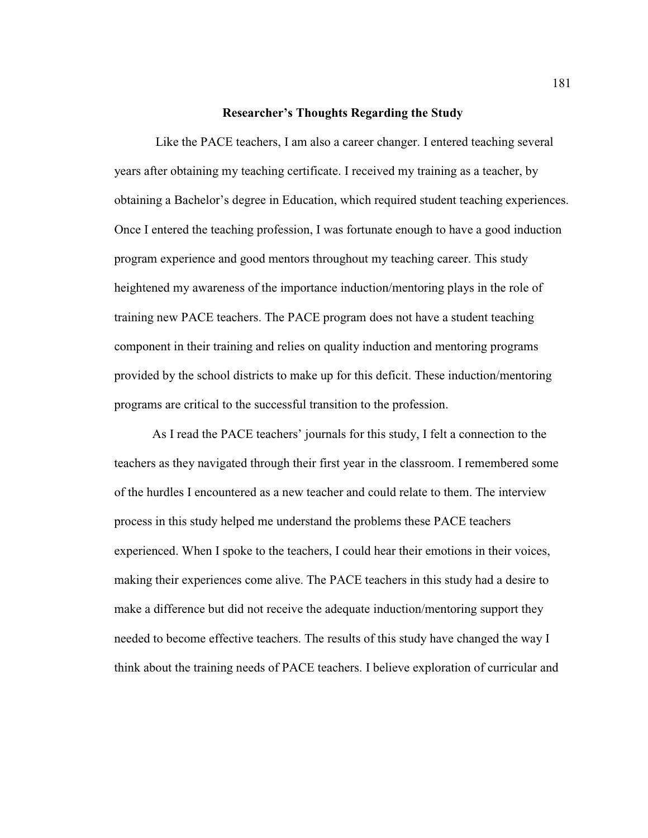#### **Researcher's Thoughts Regarding the Study**

Like the PACE teachers, I am also a career changer. I entered teaching several years after obtaining my teaching certificate. I received my training as a teacher, by obtaining a Bachelor's degree in Education, which required student teaching experiences. Once I entered the teaching profession, I was fortunate enough to have a good induction program experience and good mentors throughout my teaching career. This study heightened my awareness of the importance induction/mentoring plays in the role of training new PACE teachers. The PACE program does not have a student teaching component in their training and relies on quality induction and mentoring programs provided by the school districts to make up for this deficit. These induction/mentoring programs are critical to the successful transition to the profession.

As I read the PACE teachers' journals for this study, I felt a connection to the teachers as they navigated through their first year in the classroom. I remembered some of the hurdles I encountered as a new teacher and could relate to them. The interview process in this study helped me understand the problems these PACE teachers experienced. When I spoke to the teachers, I could hear their emotions in their voices, making their experiences come alive. The PACE teachers in this study had a desire to make a difference but did not receive the adequate induction/mentoring support they needed to become effective teachers. The results of this study have changed the way I think about the training needs of PACE teachers. I believe exploration of curricular and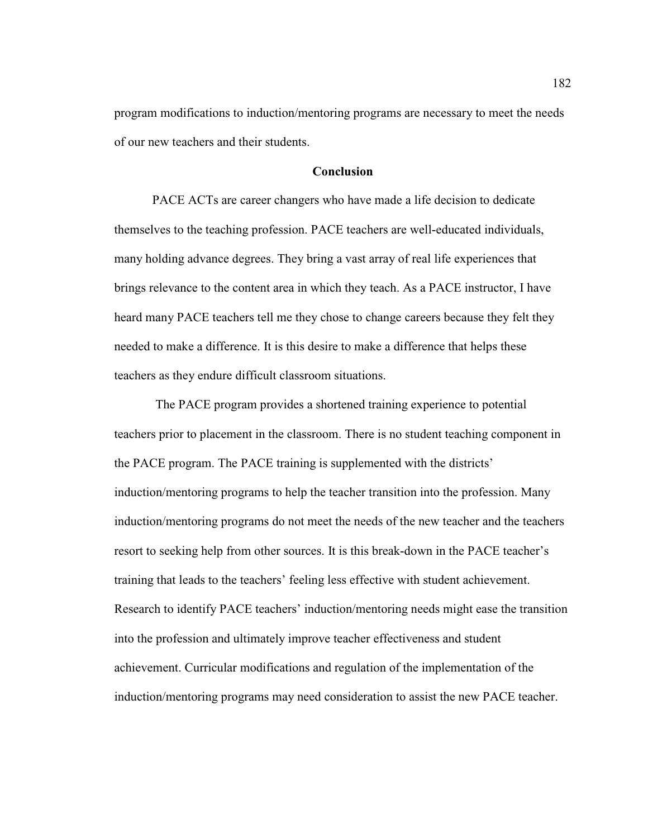program modifications to induction/mentoring programs are necessary to meet the needs of our new teachers and their students.

## **Conclusion**

 PACE ACTs are career changers who have made a life decision to dedicate themselves to the teaching profession. PACE teachers are well-educated individuals, many holding advance degrees. They bring a vast array of real life experiences that brings relevance to the content area in which they teach. As a PACE instructor, I have heard many PACE teachers tell me they chose to change careers because they felt they needed to make a difference. It is this desire to make a difference that helps these teachers as they endure difficult classroom situations.

 The PACE program provides a shortened training experience to potential teachers prior to placement in the classroom. There is no student teaching component in the PACE program. The PACE training is supplemented with the districts' induction/mentoring programs to help the teacher transition into the profession. Many induction/mentoring programs do not meet the needs of the new teacher and the teachers resort to seeking help from other sources. It is this break-down in the PACE teacher's training that leads to the teachers' feeling less effective with student achievement. Research to identify PACE teachers' induction/mentoring needs might ease the transition into the profession and ultimately improve teacher effectiveness and student achievement. Curricular modifications and regulation of the implementation of the induction/mentoring programs may need consideration to assist the new PACE teacher.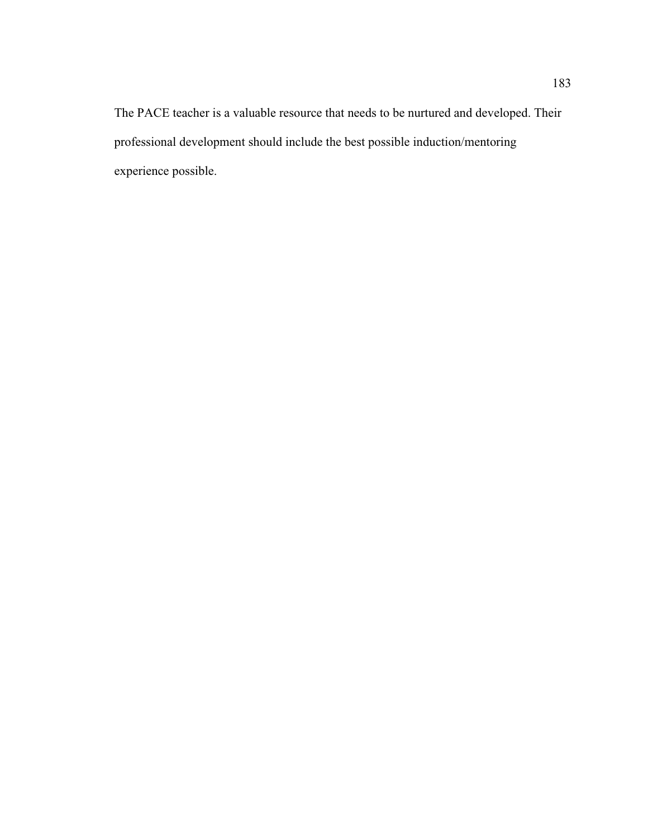The PACE teacher is a valuable resource that needs to be nurtured and developed. Their professional development should include the best possible induction/mentoring experience possible.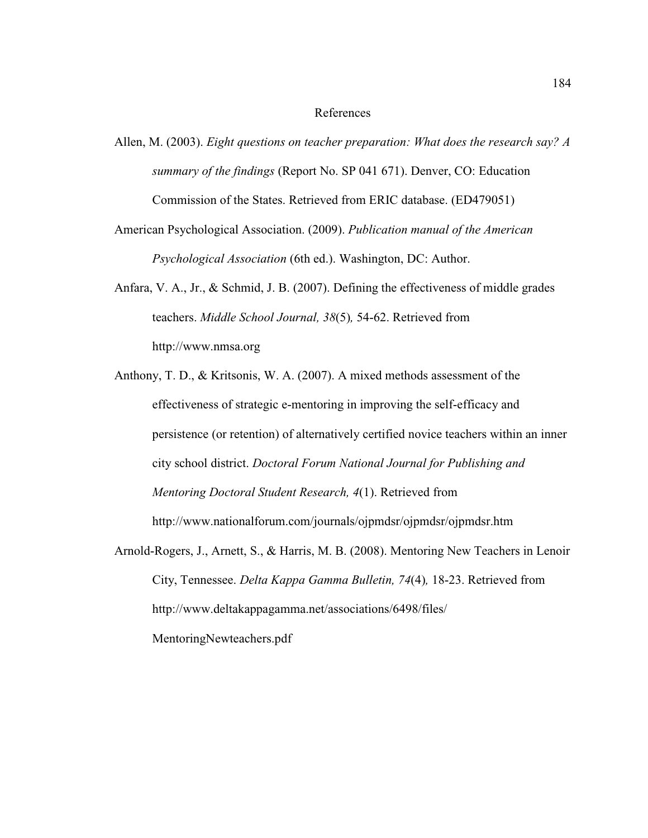# References

- Allen, M. (2003). *Eight questions on teacher preparation: What does the research say? A summary of the findings* (Report No. SP 041 671). Denver, CO: Education Commission of the States. Retrieved from ERIC database. (ED479051)
- American Psychological Association. (2009). *Publication manual of the American Psychological Association* (6th ed.). Washington, DC: Author.
- Anfara, V. A., Jr., & Schmid, J. B. (2007). Defining the effectiveness of middle grades teachers. *Middle School Journal, 38*(5)*,* 54-62. Retrieved from http://www.nmsa.org
- Anthony, T. D., & Kritsonis, W. A. (2007). A mixed methods assessment of the effectiveness of strategic e-mentoring in improving the self-efficacy and persistence (or retention) of alternatively certified novice teachers within an inner city school district. *Doctoral Forum National Journal for Publishing and Mentoring Doctoral Student Research, 4*(1). Retrieved from http://www.nationalforum.com/journals/ojpmdsr/ojpmdsr/ojpmdsr.htm
- Arnold-Rogers, J., Arnett, S., & Harris, M. B. (2008). Mentoring New Teachers in Lenoir City, Tennessee. *Delta Kappa Gamma Bulletin, 74*(4)*,* 18-23. Retrieved from http://www.deltakappagamma.net/associations/6498/files/ MentoringNewteachers.pdf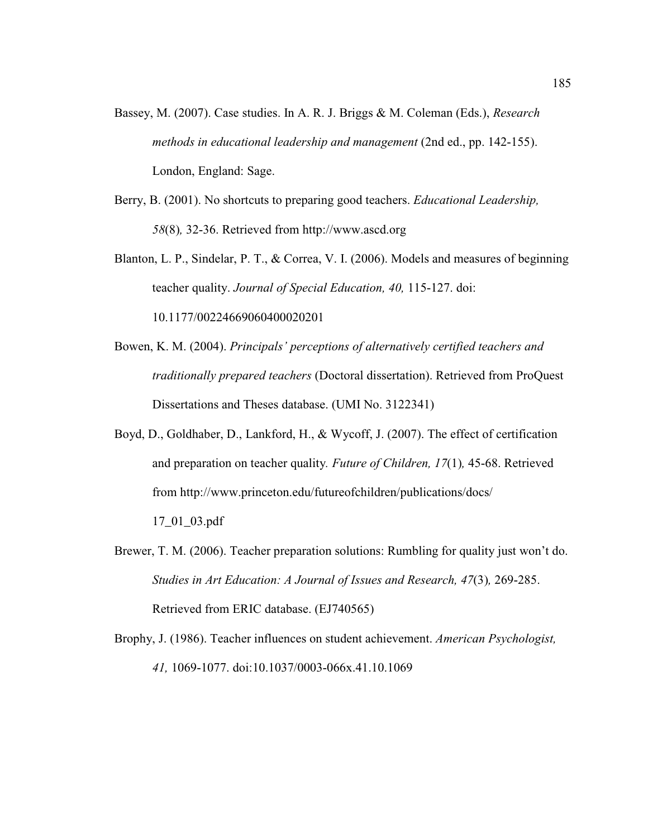- Bassey, M. (2007). Case studies. In A. R. J. Briggs & M. Coleman (Eds.), *Research methods in educational leadership and management* (2nd ed., pp. 142-155). London, England: Sage.
- Berry, B. (2001). No shortcuts to preparing good teachers. *Educational Leadership, 58*(8)*,* 32-36. Retrieved from http://www.ascd.org
- Blanton, L. P., Sindelar, P. T., & Correa, V. I. (2006). Models and measures of beginning teacher quality. *Journal of Special Education, 40,* 115-127. doi: 10.1177/00224669060400020201
- Bowen, K. M. (2004). *Principals' perceptions of alternatively certified teachers and traditionally prepared teachers* (Doctoral dissertation). Retrieved from ProQuest Dissertations and Theses database. (UMI No. 3122341)
- Boyd, D., Goldhaber, D., Lankford, H., & Wycoff, J. (2007). The effect of certification and preparation on teacher quality*. Future of Children, 17*(1)*,* 45-68. Retrieved from http://www.princeton.edu/futureofchildren/publications/docs/ 17\_01\_03.pdf
- Brewer, T. M. (2006). Teacher preparation solutions: Rumbling for quality just won't do. *Studies in Art Education: A Journal of Issues and Research, 47*(3)*,* 269-285. Retrieved from ERIC database. (EJ740565)
- Brophy, J. (1986). Teacher influences on student achievement. *American Psychologist, 41,* 1069-1077. doi:10.1037/0003-066x.41.10.1069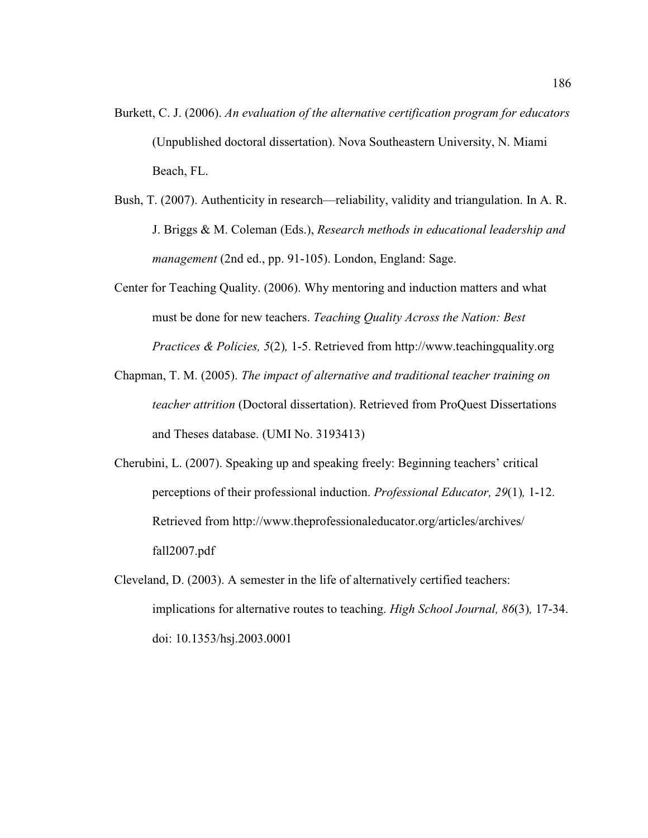- Burkett, C. J. (2006). *An evaluation of the alternative certification program for educators*  (Unpublished doctoral dissertation). Nova Southeastern University, N. Miami Beach, FL.
- Bush, T. (2007). Authenticity in research—reliability, validity and triangulation. In A. R. J. Briggs & M. Coleman (Eds.), *Research methods in educational leadership and management* (2nd ed., pp. 91-105). London, England: Sage.
- Center for Teaching Quality. (2006). Why mentoring and induction matters and what must be done for new teachers. *Teaching Quality Across the Nation: Best Practices & Policies, 5*(2)*,* 1-5. Retrieved from http://www.teachingquality.org
- Chapman, T. M. (2005). *The impact of alternative and traditional teacher training on teacher attrition* (Doctoral dissertation). Retrieved from ProQuest Dissertations and Theses database. (UMI No. 3193413)
- Cherubini, L. (2007). Speaking up and speaking freely: Beginning teachers' critical perceptions of their professional induction. *Professional Educator, 29*(1)*,* 1-12. Retrieved from http://www.theprofessionaleducator.org/articles/archives/ fall2007.pdf
- Cleveland, D. (2003). A semester in the life of alternatively certified teachers: implications for alternative routes to teaching. *High School Journal, 86*(3)*,* 17-34. doi: 10.1353/hsj.2003.0001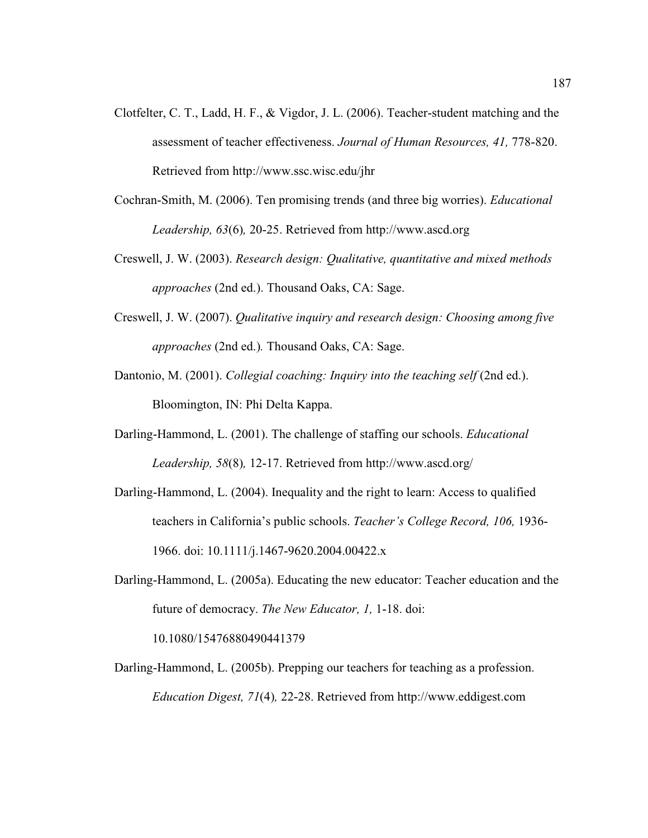- Clotfelter, C. T., Ladd, H. F., & Vigdor, J. L. (2006). Teacher-student matching and the assessment of teacher effectiveness. *Journal of Human Resources, 41,* 778-820. Retrieved from http://www.ssc.wisc.edu/jhr
- Cochran-Smith, M. (2006). Ten promising trends (and three big worries). *Educational Leadership, 63*(6)*,* 20-25. Retrieved from http://www.ascd.org
- Creswell, J. W. (2003). *Research design: Qualitative, quantitative and mixed methods approaches* (2nd ed.). Thousand Oaks, CA: Sage.
- Creswell, J. W. (2007). *Qualitative inquiry and research design: Choosing among five approaches* (2nd ed.)*.* Thousand Oaks, CA: Sage.
- Dantonio, M. (2001). *Collegial coaching: Inquiry into the teaching self* (2nd ed.). Bloomington, IN: Phi Delta Kappa.
- Darling-Hammond, L. (2001). The challenge of staffing our schools. *Educational Leadership, 58*(8)*,* 12-17. Retrieved from http://www.ascd.org/
- Darling-Hammond, L. (2004). Inequality and the right to learn: Access to qualified teachers in California's public schools. *Teacher's College Record, 106,* 1936- 1966. doi: 10.1111/j.1467-9620.2004.00422.x
- Darling-Hammond, L. (2005a). Educating the new educator: Teacher education and the future of democracy. *The New Educator, 1,* 1-18. doi:

10.1080/15476880490441379

Darling-Hammond, L. (2005b). Prepping our teachers for teaching as a profession. *Education Digest, 71*(4)*,* 22-28. Retrieved from http://www.eddigest.com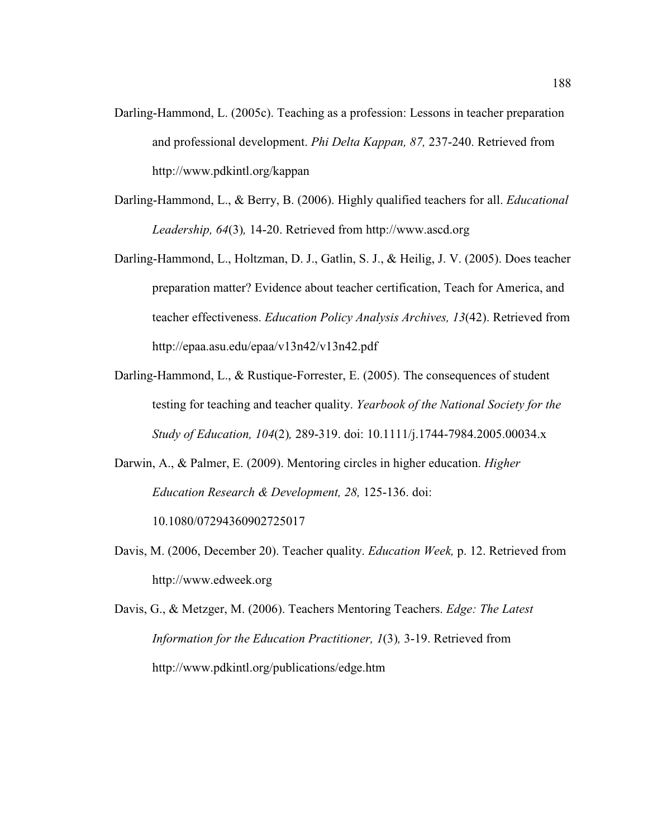- Darling-Hammond, L. (2005c). Teaching as a profession: Lessons in teacher preparation and professional development. *Phi Delta Kappan, 87,* 237-240. Retrieved from http://www.pdkintl.org/kappan
- Darling-Hammond, L., & Berry, B. (2006). Highly qualified teachers for all. *Educational Leadership, 64*(3)*,* 14-20. Retrieved from http://www.ascd.org
- Darling-Hammond, L., Holtzman, D. J., Gatlin, S. J., & Heilig, J. V. (2005). Does teacher preparation matter? Evidence about teacher certification, Teach for America, and teacher effectiveness. *Education Policy Analysis Archives, 13*(42). Retrieved from http://epaa.asu.edu/epaa/v13n42/v13n42.pdf
- Darling-Hammond, L., & Rustique-Forrester, E. (2005). The consequences of student testing for teaching and teacher quality. *Yearbook of the National Society for the Study of Education, 104*(2)*,* 289-319. doi: 10.1111/j.1744-7984.2005.00034.x
- Darwin, A., & Palmer, E. (2009). Mentoring circles in higher education. *Higher Education Research & Development, 28,* 125-136. doi:

10.1080/07294360902725017

- Davis, M. (2006, December 20). Teacher quality. *Education Week,* p. 12. Retrieved from http://www.edweek.org
- Davis, G., & Metzger, M. (2006). Teachers Mentoring Teachers. *Edge: The Latest Information for the Education Practitioner, 1*(3)*,* 3-19. Retrieved from http://www.pdkintl.org/publications/edge.htm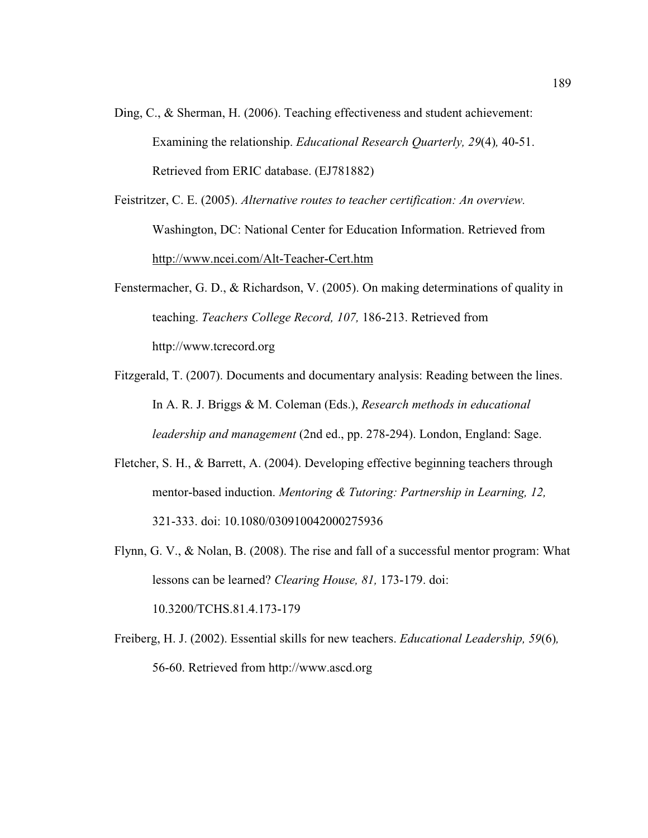- Ding, C., & Sherman, H. (2006). Teaching effectiveness and student achievement: Examining the relationship. *Educational Research Quarterly, 29*(4)*,* 40-51. Retrieved from ERIC database. (EJ781882)
- Feistritzer, C. E. (2005). *Alternative routes to teacher certification: An overview.* Washington, DC: National Center for Education Information. Retrieved from http://www.ncei.com/Alt-Teacher-Cert.htm
- Fenstermacher, G. D., & Richardson, V. (2005). On making determinations of quality in teaching. *Teachers College Record, 107,* 186-213. Retrieved from http://www.tcrecord.org
- Fitzgerald, T. (2007). Documents and documentary analysis: Reading between the lines. In A. R. J. Briggs & M. Coleman (Eds.), *Research methods in educational leadership and management* (2nd ed., pp. 278-294). London, England: Sage.
- Fletcher, S. H., & Barrett, A. (2004). Developing effective beginning teachers through mentor-based induction. *Mentoring & Tutoring: Partnership in Learning, 12,* 321-333. doi: 10.1080/030910042000275936
- Flynn, G. V., & Nolan, B. (2008). The rise and fall of a successful mentor program: What lessons can be learned? *Clearing House, 81,* 173-179. doi: 10.3200/TCHS.81.4.173-179
- Freiberg, H. J. (2002). Essential skills for new teachers. *Educational Leadership, 59*(6)*,* 56-60. Retrieved from http://www.ascd.org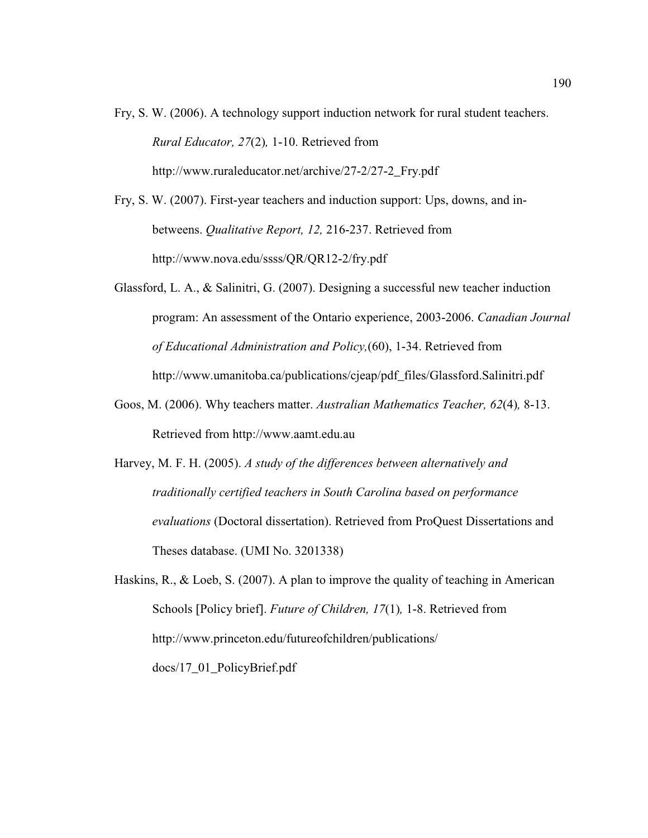- Fry, S. W. (2006). A technology support induction network for rural student teachers. *Rural Educator, 27*(2)*,* 1-10. Retrieved from http://www.ruraleducator.net/archive/27-2/27-2\_Fry.pdf
- Fry, S. W. (2007). First-year teachers and induction support: Ups, downs, and inbetweens. *Qualitative Report, 12,* 216-237. Retrieved from http://www.nova.edu/ssss/QR/QR12-2/fry.pdf
- Glassford, L. A., & Salinitri, G. (2007). Designing a successful new teacher induction program: An assessment of the Ontario experience, 2003-2006. *Canadian Journal of Educational Administration and Policy,*(60), 1-34. Retrieved from http://www.umanitoba.ca/publications/cjeap/pdf\_files/Glassford.Salinitri.pdf
- Goos, M. (2006). Why teachers matter. *Australian Mathematics Teacher, 62*(4)*,* 8-13. Retrieved from http://www.aamt.edu.au
- Harvey, M. F. H. (2005). *A study of the differences between alternatively and traditionally certified teachers in South Carolina based on performance evaluations* (Doctoral dissertation). Retrieved from ProQuest Dissertations and Theses database. (UMI No. 3201338)
- Haskins, R., & Loeb, S. (2007). A plan to improve the quality of teaching in American Schools [Policy brief]. *Future of Children, 17*(1)*,* 1-8. Retrieved from http://www.princeton.edu/futureofchildren/publications/ docs/17\_01\_PolicyBrief.pdf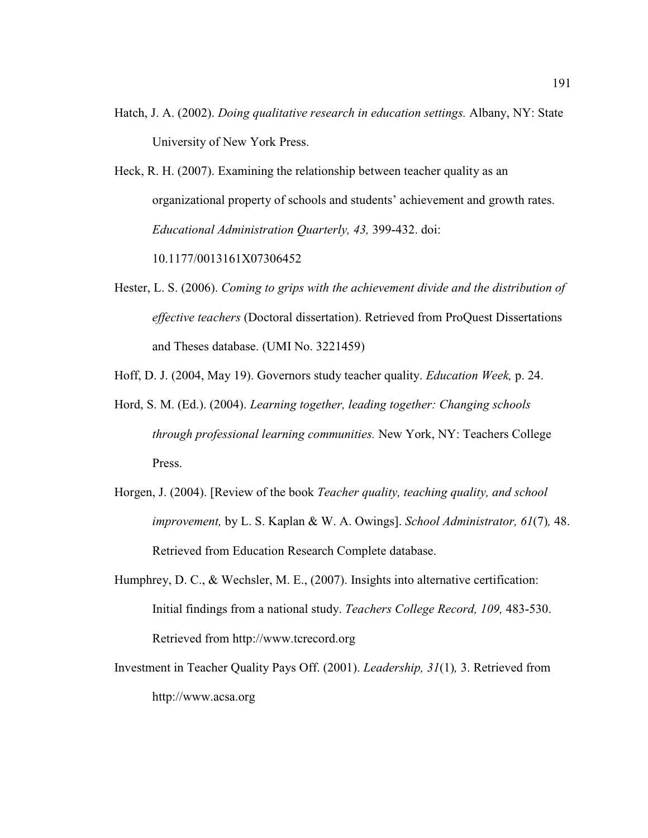- Hatch, J. A. (2002). *Doing qualitative research in education settings.* Albany, NY: State University of New York Press.
- Heck, R. H. (2007). Examining the relationship between teacher quality as an organizational property of schools and students' achievement and growth rates. *Educational Administration Quarterly, 43,* 399-432. doi:

10.1177/0013161X07306452

- Hester, L. S. (2006). *Coming to grips with the achievement divide and the distribution of effective teachers* (Doctoral dissertation). Retrieved from ProQuest Dissertations and Theses database. (UMI No. 3221459)
- Hoff, D. J. (2004, May 19). Governors study teacher quality. *Education Week,* p. 24.
- Hord, S. M. (Ed.). (2004). *Learning together, leading together: Changing schools through professional learning communities.* New York, NY: Teachers College Press.
- Horgen, J. (2004). [Review of the book *Teacher quality, teaching quality, and school improvement,* by L. S. Kaplan & W. A. Owings]. *School Administrator, 61*(7)*,* 48. Retrieved from Education Research Complete database.
- Humphrey, D. C., & Wechsler, M. E., (2007). Insights into alternative certification: Initial findings from a national study. *Teachers College Record, 109,* 483-530. Retrieved from http://www.tcrecord.org
- Investment in Teacher Quality Pays Off. (2001). *Leadership, 31*(1)*,* 3. Retrieved from http://www.acsa.org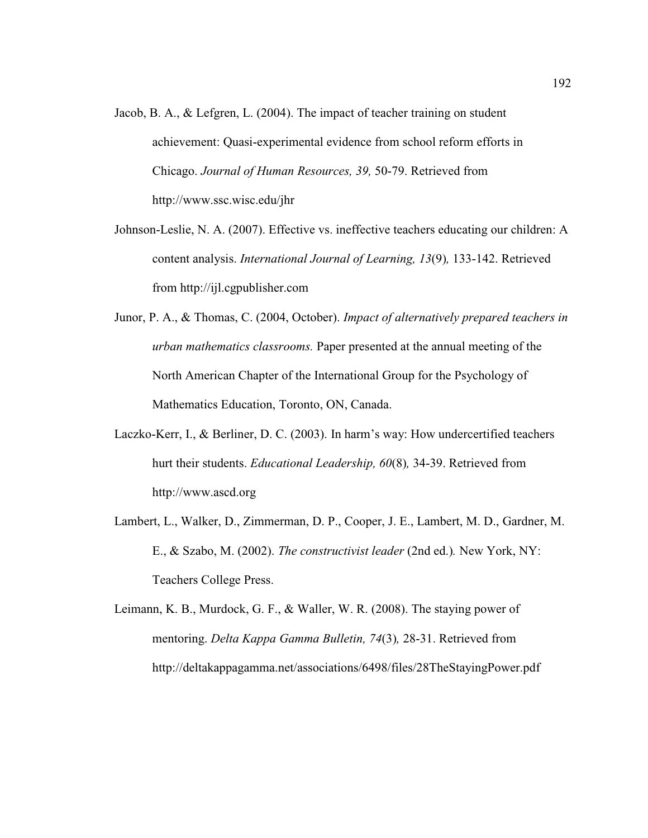- Jacob, B. A., & Lefgren, L. (2004). The impact of teacher training on student achievement: Quasi-experimental evidence from school reform efforts in Chicago. *Journal of Human Resources, 39,* 50-79. Retrieved from http://www.ssc.wisc.edu/jhr
- Johnson-Leslie, N. A. (2007). Effective vs. ineffective teachers educating our children: A content analysis. *International Journal of Learning, 13*(9)*,* 133-142. Retrieved from http://ijl.cgpublisher.com
- Junor, P. A., & Thomas, C. (2004, October). *Impact of alternatively prepared teachers in urban mathematics classrooms.* Paper presented at the annual meeting of the North American Chapter of the International Group for the Psychology of Mathematics Education, Toronto, ON, Canada.
- Laczko-Kerr, I., & Berliner, D. C. (2003). In harm's way: How undercertified teachers hurt their students. *Educational Leadership, 60*(8)*,* 34-39. Retrieved from http://www.ascd.org
- Lambert, L., Walker, D., Zimmerman, D. P., Cooper, J. E., Lambert, M. D., Gardner, M. E., & Szabo, M. (2002). *The constructivist leader* (2nd ed.)*.* New York, NY: Teachers College Press.
- Leimann, K. B., Murdock, G. F., & Waller, W. R. (2008). The staying power of mentoring. *Delta Kappa Gamma Bulletin, 74*(3)*,* 28-31. Retrieved from http://deltakappagamma.net/associations/6498/files/28TheStayingPower.pdf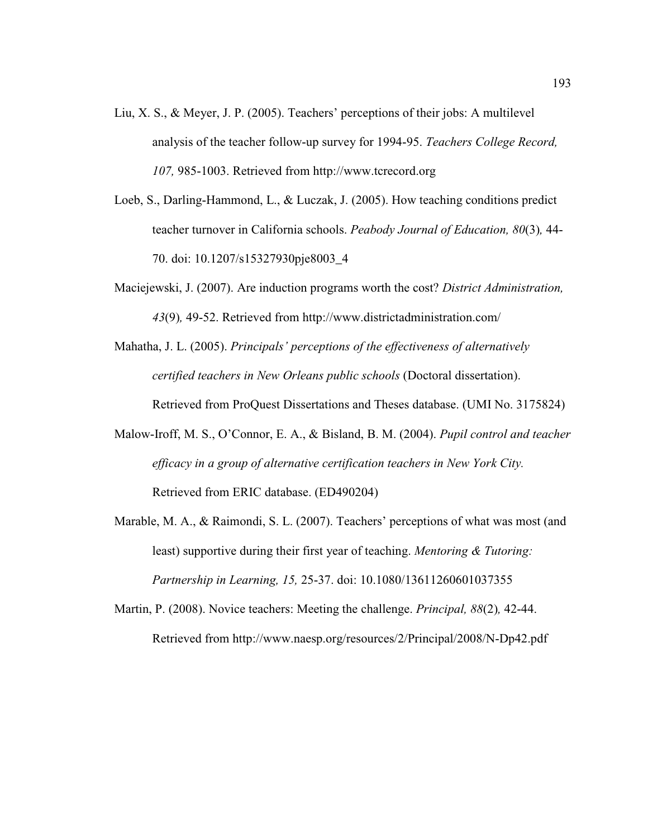- Liu, X. S., & Meyer, J. P. (2005). Teachers' perceptions of their jobs: A multilevel analysis of the teacher follow-up survey for 1994-95. *Teachers College Record, 107,* 985-1003. Retrieved from http://www.tcrecord.org
- Loeb, S., Darling-Hammond, L., & Luczak, J. (2005). How teaching conditions predict teacher turnover in California schools. *Peabody Journal of Education, 80*(3)*,* 44- 70. doi: 10.1207/s15327930pje8003\_4
- Maciejewski, J. (2007). Are induction programs worth the cost? *District Administration, 43*(9)*,* 49-52. Retrieved from http://www.districtadministration.com/
- Mahatha, J. L. (2005). *Principals' perceptions of the effectiveness of alternatively certified teachers in New Orleans public schools* (Doctoral dissertation). Retrieved from ProQuest Dissertations and Theses database. (UMI No. 3175824)
- Malow-Iroff, M. S., O'Connor, E. A., & Bisland, B. M. (2004). *Pupil control and teacher efficacy in a group of alternative certification teachers in New York City.* Retrieved from ERIC database. (ED490204)
- Marable, M. A., & Raimondi, S. L. (2007). Teachers' perceptions of what was most (and least) supportive during their first year of teaching. *Mentoring & Tutoring: Partnership in Learning, 15,* 25-37. doi: 10.1080/13611260601037355
- Martin, P. (2008). Novice teachers: Meeting the challenge. *Principal, 88*(2)*,* 42-44. Retrieved from http://www.naesp.org/resources/2/Principal/2008/N-Dp42.pdf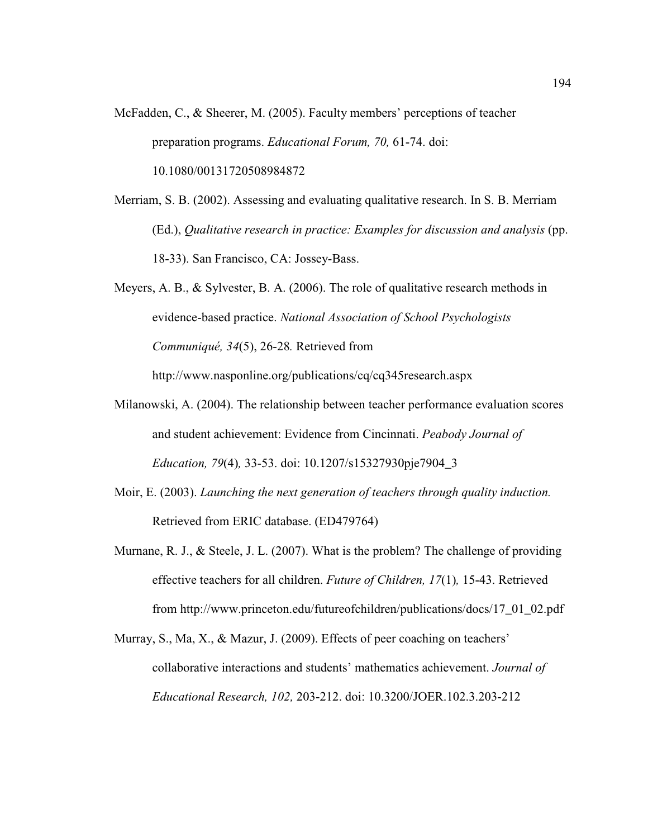- McFadden, C., & Sheerer, M. (2005). Faculty members' perceptions of teacher preparation programs. *Educational Forum, 70,* 61-74. doi: 10.1080/00131720508984872
- Merriam, S. B. (2002). Assessing and evaluating qualitative research. In S. B. Merriam (Ed.), *Qualitative research in practice: Examples for discussion and analysis* (pp. 18-33). San Francisco, CA: Jossey-Bass.
- Meyers, A. B., & Sylvester, B. A. (2006). The role of qualitative research methods in evidence-based practice. *National Association of School Psychologists Communiqué, 34*(5), 26-28*.* Retrieved from http://www.nasponline.org/publications/cq/cq345research.aspx
- Milanowski, A. (2004). The relationship between teacher performance evaluation scores and student achievement: Evidence from Cincinnati. *Peabody Journal of Education, 79*(4)*,* 33-53. doi: 10.1207/s15327930pje7904\_3
- Moir, E. (2003). *Launching the next generation of teachers through quality induction.* Retrieved from ERIC database. (ED479764)
- Murnane, R. J.,  $\&$  Steele, J. L. (2007). What is the problem? The challenge of providing effective teachers for all children. *Future of Children, 17*(1)*,* 15-43. Retrieved from http://www.princeton.edu/futureofchildren/publications/docs/17\_01\_02.pdf
- Murray, S., Ma, X., & Mazur, J. (2009). Effects of peer coaching on teachers' collaborative interactions and students' mathematics achievement. *Journal of Educational Research, 102,* 203-212. doi: 10.3200/JOER.102.3.203-212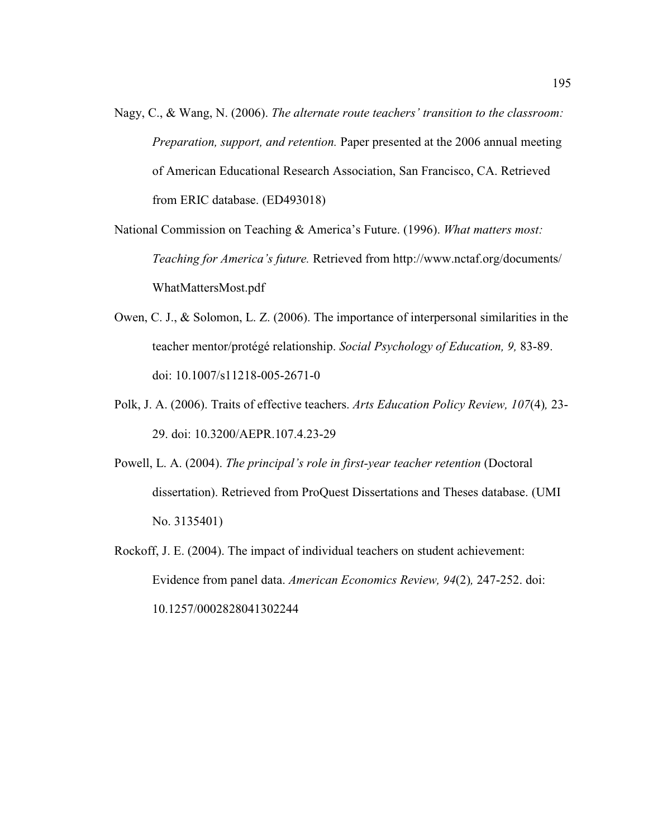- Nagy, C., & Wang, N. (2006). *The alternate route teachers' transition to the classroom: Preparation, support, and retention.* Paper presented at the 2006 annual meeting of American Educational Research Association, San Francisco, CA. Retrieved from ERIC database. (ED493018)
- National Commission on Teaching & America's Future. (1996). *What matters most: Teaching for America's future.* Retrieved from http://www.nctaf.org/documents/ WhatMattersMost.pdf
- Owen, C. J., & Solomon, L. Z. (2006). The importance of interpersonal similarities in the teacher mentor/protégé relationship. *Social Psychology of Education, 9,* 83-89. doi: 10.1007/s11218-005-2671-0
- Polk, J. A. (2006). Traits of effective teachers. *Arts Education Policy Review, 107*(4)*,* 23- 29. doi: 10.3200/AEPR.107.4.23-29
- Powell, L. A. (2004). *The principal's role in first-year teacher retention* (Doctoral dissertation). Retrieved from ProQuest Dissertations and Theses database. (UMI No. 3135401)
- Rockoff, J. E. (2004). The impact of individual teachers on student achievement: Evidence from panel data. *American Economics Review, 94*(2)*,* 247-252. doi: 10.1257/0002828041302244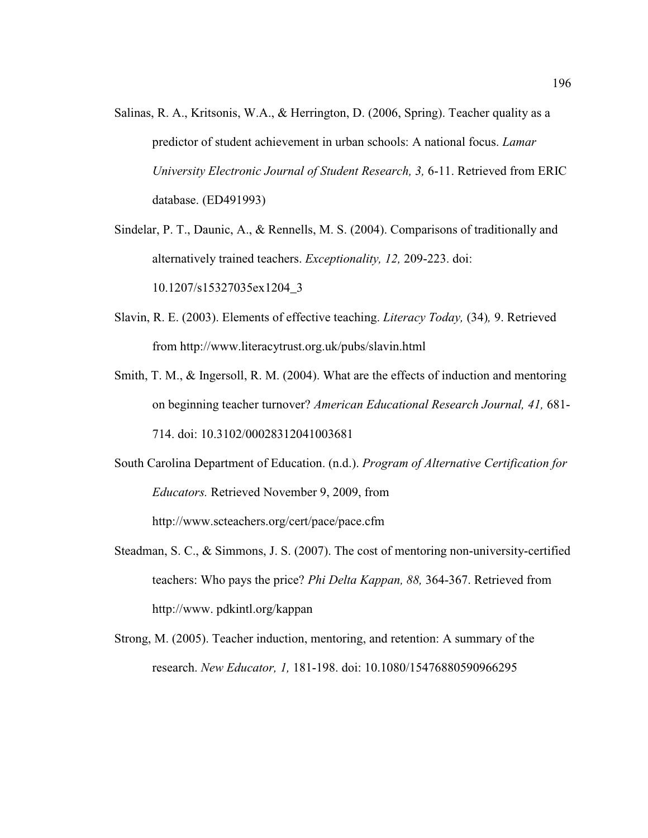- Salinas, R. A., Kritsonis, W.A., & Herrington, D. (2006, Spring). Teacher quality as a predictor of student achievement in urban schools: A national focus. *Lamar University Electronic Journal of Student Research, 3,* 6-11. Retrieved from ERIC database. (ED491993)
- Sindelar, P. T., Daunic, A., & Rennells, M. S. (2004). Comparisons of traditionally and alternatively trained teachers. *Exceptionality, 12,* 209-223. doi: 10.1207/s15327035ex1204\_3
- Slavin, R. E. (2003). Elements of effective teaching. *Literacy Today,* (34)*,* 9. Retrieved from http://www.literacytrust.org.uk/pubs/slavin.html
- Smith, T. M., & Ingersoll, R. M. (2004). What are the effects of induction and mentoring on beginning teacher turnover? *American Educational Research Journal, 41,* 681- 714. doi: 10.3102/00028312041003681
- South Carolina Department of Education. (n.d.). *Program of Alternative Certification for Educators.* Retrieved November 9, 2009, from

http://www.scteachers.org/cert/pace/pace.cfm

- Steadman, S. C., & Simmons, J. S. (2007). The cost of mentoring non-university-certified teachers: Who pays the price? *Phi Delta Kappan, 88,* 364-367. Retrieved from http://www. pdkintl.org/kappan
- Strong, M. (2005). Teacher induction, mentoring, and retention: A summary of the research. *New Educator, 1,* 181-198. doi: 10.1080/15476880590966295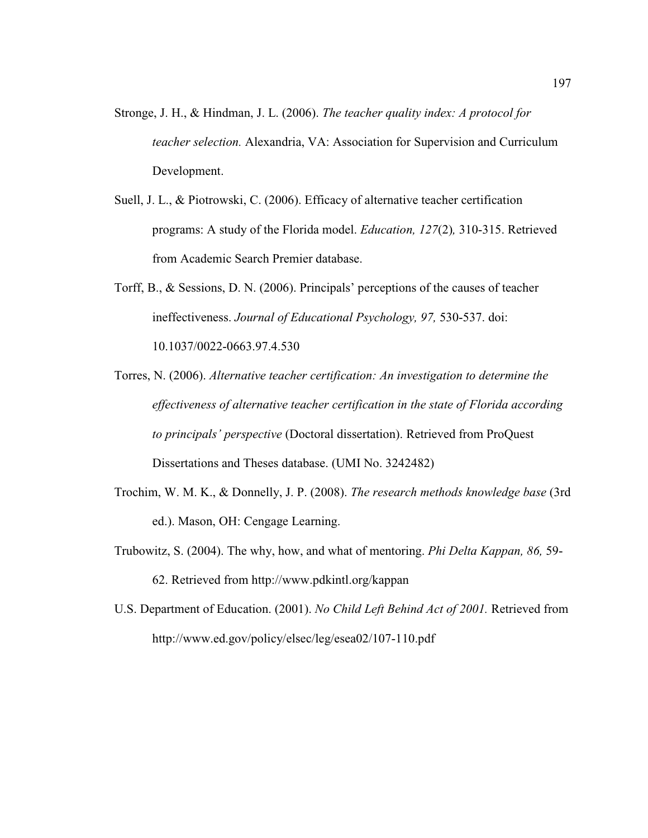- Stronge, J. H., & Hindman, J. L. (2006). *The teacher quality index: A protocol for teacher selection.* Alexandria, VA: Association for Supervision and Curriculum Development.
- Suell, J. L., & Piotrowski, C. (2006). Efficacy of alternative teacher certification programs: A study of the Florida model. *Education, 127*(2)*,* 310-315. Retrieved from Academic Search Premier database.
- Torff, B., & Sessions, D. N. (2006). Principals' perceptions of the causes of teacher ineffectiveness. *Journal of Educational Psychology, 97,* 530-537. doi: 10.1037/0022-0663.97.4.530
- Torres, N. (2006). *Alternative teacher certification: An investigation to determine the effectiveness of alternative teacher certification in the state of Florida according to principals' perspective* (Doctoral dissertation). Retrieved from ProQuest Dissertations and Theses database. (UMI No. 3242482)
- Trochim, W. M. K., & Donnelly, J. P. (2008). *The research methods knowledge base* (3rd ed.). Mason, OH: Cengage Learning.
- Trubowitz, S. (2004). The why, how, and what of mentoring. *Phi Delta Kappan, 86,* 59- 62. Retrieved from http://www.pdkintl.org/kappan
- U.S. Department of Education. (2001). *No Child Left Behind Act of 2001.* Retrieved from http://www.ed.gov/policy/elsec/leg/esea02/107-110.pdf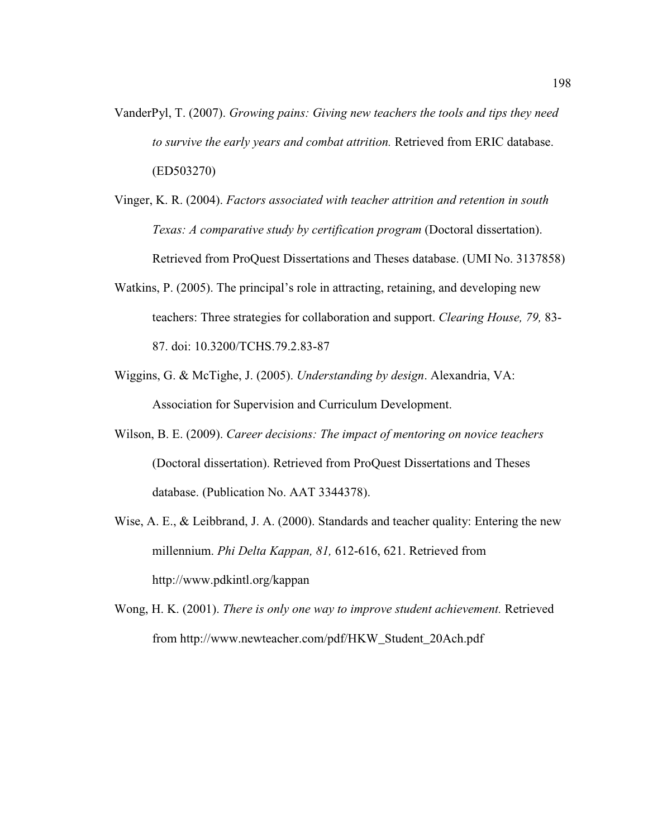- VanderPyl, T. (2007). *Growing pains: Giving new teachers the tools and tips they need to survive the early years and combat attrition.* Retrieved from ERIC database. (ED503270)
- Vinger, K. R. (2004). *Factors associated with teacher attrition and retention in south Texas: A comparative study by certification program* (Doctoral dissertation). Retrieved from ProQuest Dissertations and Theses database. (UMI No. 3137858)
- Watkins, P. (2005). The principal's role in attracting, retaining, and developing new teachers: Three strategies for collaboration and support. *Clearing House, 79,* 83- 87. doi: 10.3200/TCHS.79.2.83-87
- Wiggins, G. & McTighe, J. (2005). *Understanding by design*. Alexandria, VA: Association for Supervision and Curriculum Development.
- Wilson, B. E. (2009). *Career decisions: The impact of mentoring on novice teachers* (Doctoral dissertation). Retrieved from ProQuest Dissertations and Theses database. (Publication No. AAT 3344378).
- Wise, A. E., & Leibbrand, J. A. (2000). Standards and teacher quality: Entering the new millennium. *Phi Delta Kappan, 81,* 612-616, 621. Retrieved from http://www.pdkintl.org/kappan
- Wong, H. K. (2001). *There is only one way to improve student achievement.* Retrieved from http://www.newteacher.com/pdf/HKW\_Student\_20Ach.pdf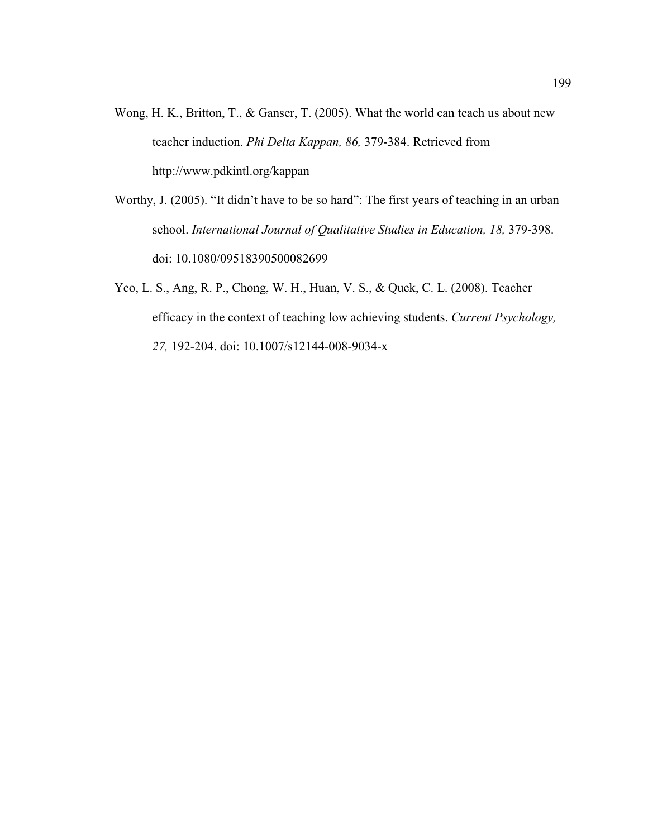- Wong, H. K., Britton, T., & Ganser, T. (2005). What the world can teach us about new teacher induction. *Phi Delta Kappan, 86,* 379-384. Retrieved from http://www.pdkintl.org/kappan
- Worthy, J. (2005). "It didn't have to be so hard": The first years of teaching in an urban school. *International Journal of Qualitative Studies in Education, 18, 379-398.* doi: 10.1080/09518390500082699
- Yeo, L. S., Ang, R. P., Chong, W. H., Huan, V. S., & Quek, C. L. (2008). Teacher efficacy in the context of teaching low achieving students. *Current Psychology, 27,* 192-204. doi: 10.1007/s12144-008-9034-x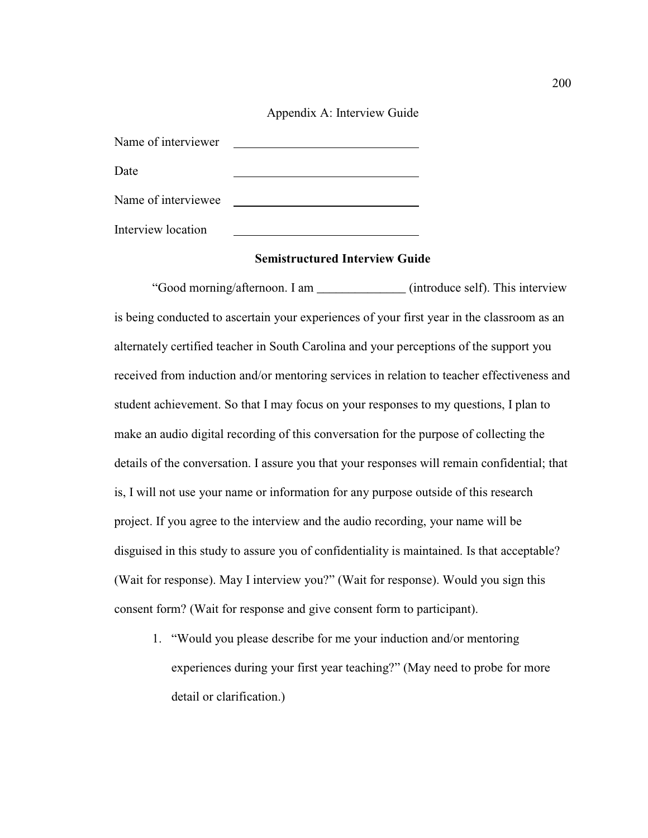### Appendix A: Interview Guide

| Name of interviewer |  |
|---------------------|--|
| Date                |  |
|                     |  |
| Name of interviewee |  |
| Interview location  |  |

## **Semistructured Interview Guide**

"Good morning/afternoon. I am \_\_\_\_\_\_\_\_\_\_\_\_\_\_ (introduce self). This interview is being conducted to ascertain your experiences of your first year in the classroom as an alternately certified teacher in South Carolina and your perceptions of the support you received from induction and/or mentoring services in relation to teacher effectiveness and student achievement. So that I may focus on your responses to my questions, I plan to make an audio digital recording of this conversation for the purpose of collecting the details of the conversation. I assure you that your responses will remain confidential; that is, I will not use your name or information for any purpose outside of this research project. If you agree to the interview and the audio recording, your name will be disguised in this study to assure you of confidentiality is maintained. Is that acceptable? (Wait for response). May I interview you?" (Wait for response). Would you sign this consent form? (Wait for response and give consent form to participant).

1. "Would you please describe for me your induction and/or mentoring experiences during your first year teaching?" (May need to probe for more detail or clarification.)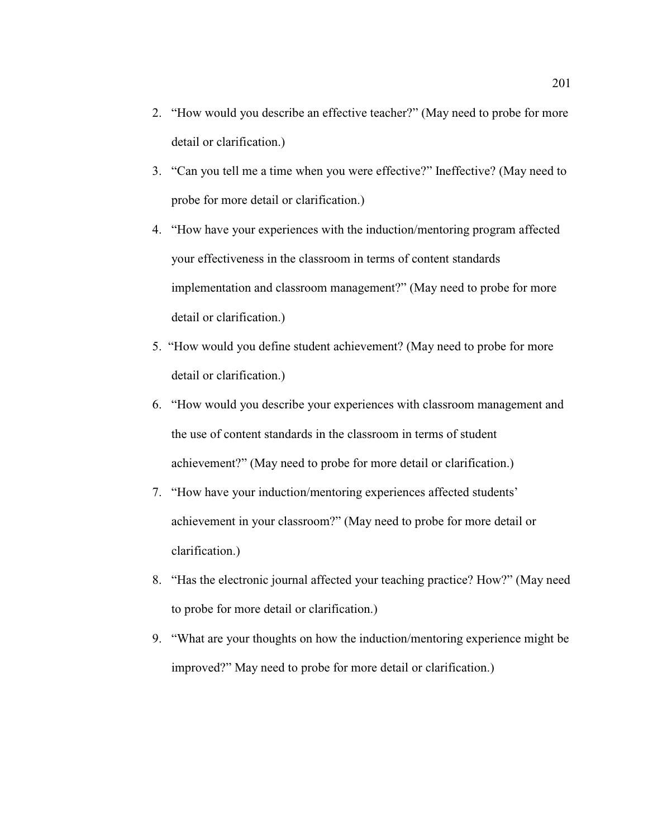- 2. "How would you describe an effective teacher?" (May need to probe for more detail or clarification.)
- 3. "Can you tell me a time when you were effective?" Ineffective? (May need to probe for more detail or clarification.)
- 4. "How have your experiences with the induction/mentoring program affected your effectiveness in the classroom in terms of content standards implementation and classroom management?" (May need to probe for more detail or clarification.)
- 5. "How would you define student achievement? (May need to probe for more detail or clarification.)
- 6. "How would you describe your experiences with classroom management and the use of content standards in the classroom in terms of student achievement?" (May need to probe for more detail or clarification.)
- 7. "How have your induction/mentoring experiences affected students' achievement in your classroom?" (May need to probe for more detail or clarification.)
- 8. "Has the electronic journal affected your teaching practice? How?" (May need to probe for more detail or clarification.)
- 9. "What are your thoughts on how the induction/mentoring experience might be improved?" May need to probe for more detail or clarification.)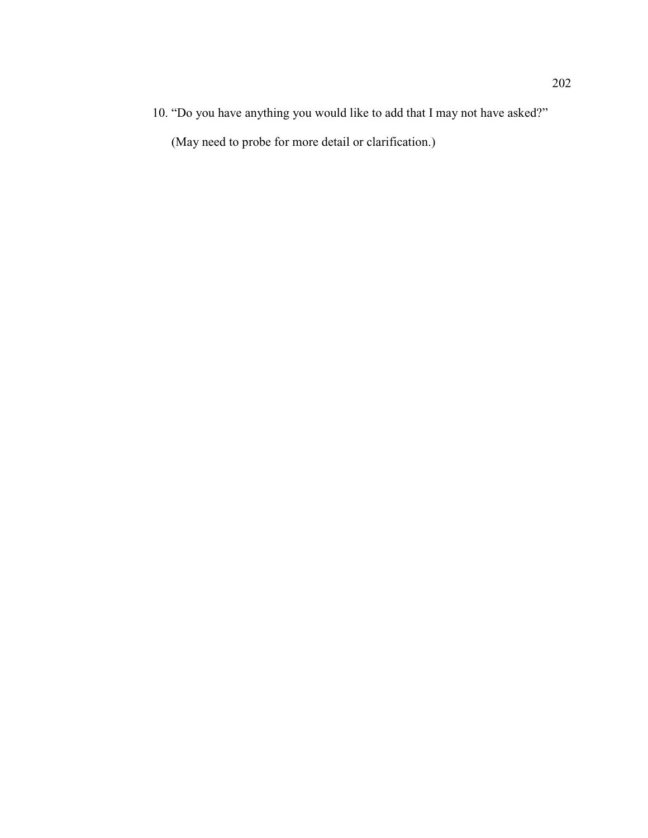10. "Do you have anything you would like to add that I may not have asked?"

(May need to probe for more detail or clarification.)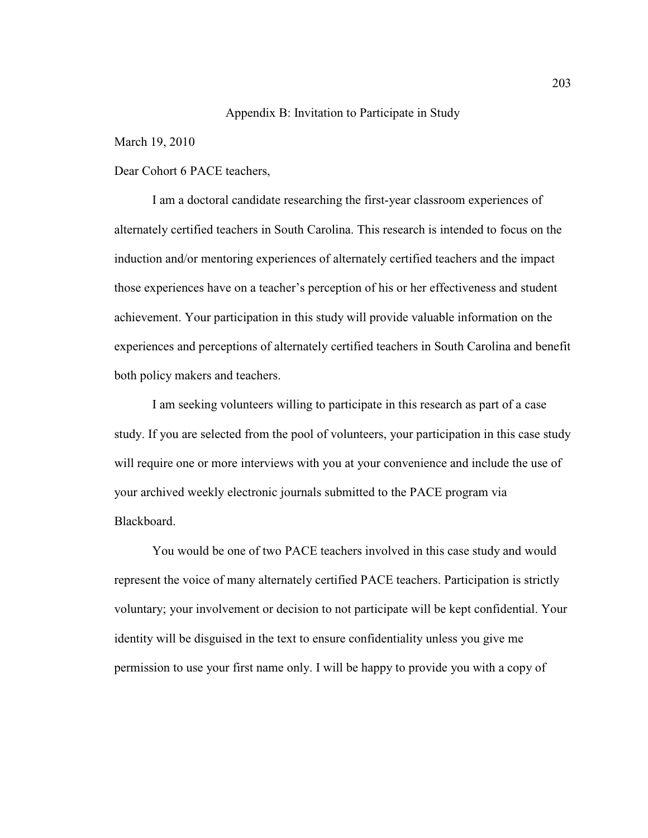## Appendix B: Invitation to Participate in Study

March 19, 2010

## Dear Cohort 6 PACE teachers,

I am a doctoral candidate researching the first-year classroom experiences of alternately certified teachers in South Carolina. This research is intended to focus on the induction and/or mentoring experiences of alternately certified teachers and the impact those experiences have on a teacher's perception of his or her effectiveness and student achievement. Your participation in this study will provide valuable information on the experiences and perceptions of alternately certified teachers in South Carolina and benefit both policy makers and teachers.

I am seeking volunteers willing to participate in this research as part of a case study. If you are selected from the pool of volunteers, your participation in this case study will require one or more interviews with you at your convenience and include the use of your archived weekly electronic journals submitted to the PACE program via Blackboard.

You would be one of two PACE teachers involved in this case study and would represent the voice of many alternately certified PACE teachers. Participation is strictly voluntary; your involvement or decision to not participate will be kept confidential. Your identity will be disguised in the text to ensure confidentiality unless you give me permission to use your first name only. I will be happy to provide you with a copy of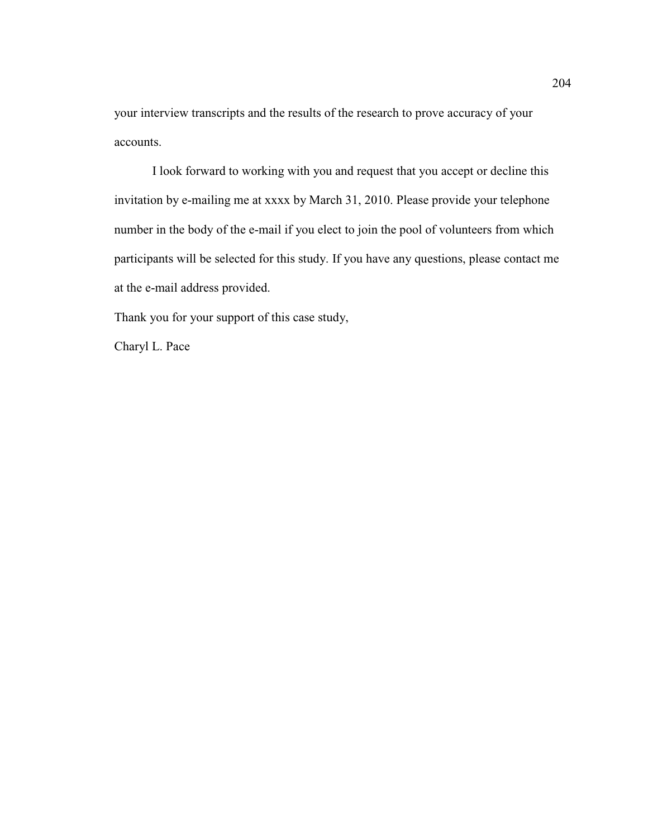your interview transcripts and the results of the research to prove accuracy of your accounts.

I look forward to working with you and request that you accept or decline this invitation by e-mailing me at xxxx by March 31, 2010. Please provide your telephone number in the body of the e-mail if you elect to join the pool of volunteers from which participants will be selected for this study. If you have any questions, please contact me at the e-mail address provided.

Thank you for your support of this case study,

Charyl L. Pace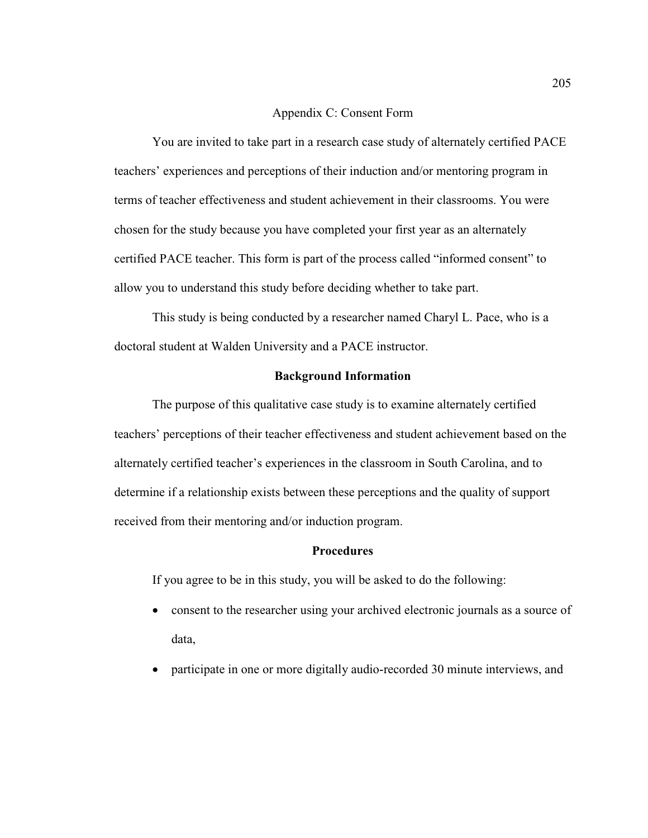## Appendix C: Consent Form

You are invited to take part in a research case study of alternately certified PACE teachers' experiences and perceptions of their induction and/or mentoring program in terms of teacher effectiveness and student achievement in their classrooms. You were chosen for the study because you have completed your first year as an alternately certified PACE teacher. This form is part of the process called "informed consent" to allow you to understand this study before deciding whether to take part.

This study is being conducted by a researcher named Charyl L. Pace, who is a doctoral student at Walden University and a PACE instructor.

### **Background Information**

The purpose of this qualitative case study is to examine alternately certified teachers' perceptions of their teacher effectiveness and student achievement based on the alternately certified teacher's experiences in the classroom in South Carolina, and to determine if a relationship exists between these perceptions and the quality of support received from their mentoring and/or induction program.

## **Procedures**

If you agree to be in this study, you will be asked to do the following:

- consent to the researcher using your archived electronic journals as a source of data,
- participate in one or more digitally audio-recorded 30 minute interviews, and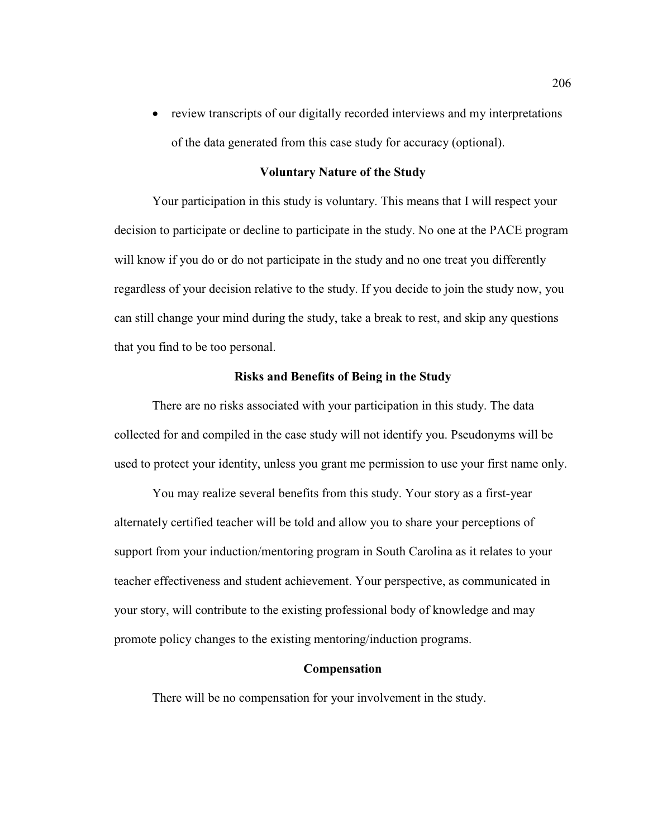• review transcripts of our digitally recorded interviews and my interpretations of the data generated from this case study for accuracy (optional).

### **Voluntary Nature of the Study**

Your participation in this study is voluntary. This means that I will respect your decision to participate or decline to participate in the study. No one at the PACE program will know if you do or do not participate in the study and no one treat you differently regardless of your decision relative to the study. If you decide to join the study now, you can still change your mind during the study, take a break to rest, and skip any questions that you find to be too personal.

#### **Risks and Benefits of Being in the Study**

There are no risks associated with your participation in this study. The data collected for and compiled in the case study will not identify you. Pseudonyms will be used to protect your identity, unless you grant me permission to use your first name only.

You may realize several benefits from this study. Your story as a first-year alternately certified teacher will be told and allow you to share your perceptions of support from your induction/mentoring program in South Carolina as it relates to your teacher effectiveness and student achievement. Your perspective, as communicated in your story, will contribute to the existing professional body of knowledge and may promote policy changes to the existing mentoring/induction programs.

## **Compensation**

There will be no compensation for your involvement in the study.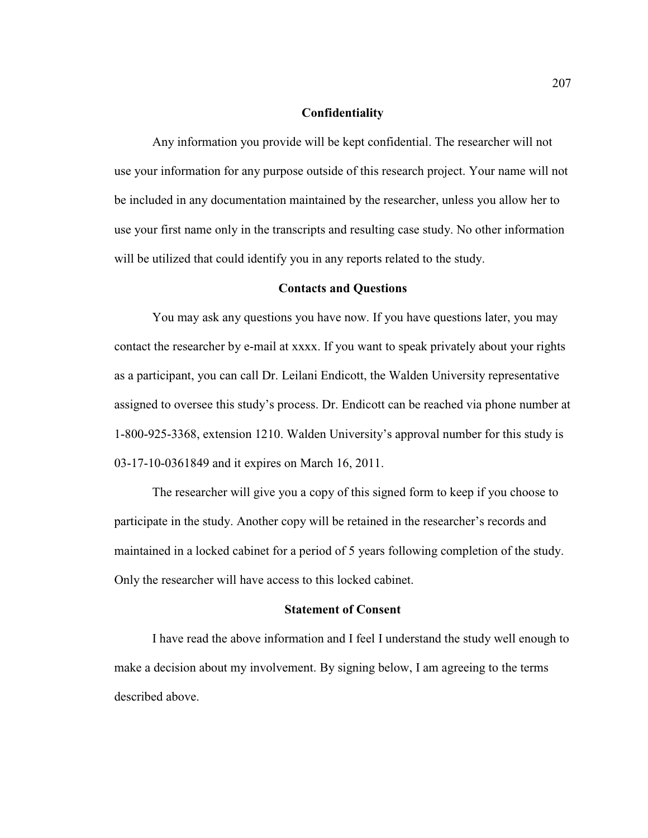#### **Confidentiality**

Any information you provide will be kept confidential. The researcher will not use your information for any purpose outside of this research project. Your name will not be included in any documentation maintained by the researcher, unless you allow her to use your first name only in the transcripts and resulting case study. No other information will be utilized that could identify you in any reports related to the study.

#### **Contacts and Questions**

You may ask any questions you have now. If you have questions later, you may contact the researcher by e-mail at xxxx. If you want to speak privately about your rights as a participant, you can call Dr. Leilani Endicott, the Walden University representative assigned to oversee this study's process. Dr. Endicott can be reached via phone number at 1-800-925-3368, extension 1210. Walden University's approval number for this study is 03-17-10-0361849 and it expires on March 16, 2011.

The researcher will give you a copy of this signed form to keep if you choose to participate in the study. Another copy will be retained in the researcher's records and maintained in a locked cabinet for a period of 5 years following completion of the study. Only the researcher will have access to this locked cabinet.

#### **Statement of Consent**

I have read the above information and I feel I understand the study well enough to make a decision about my involvement. By signing below, I am agreeing to the terms described above.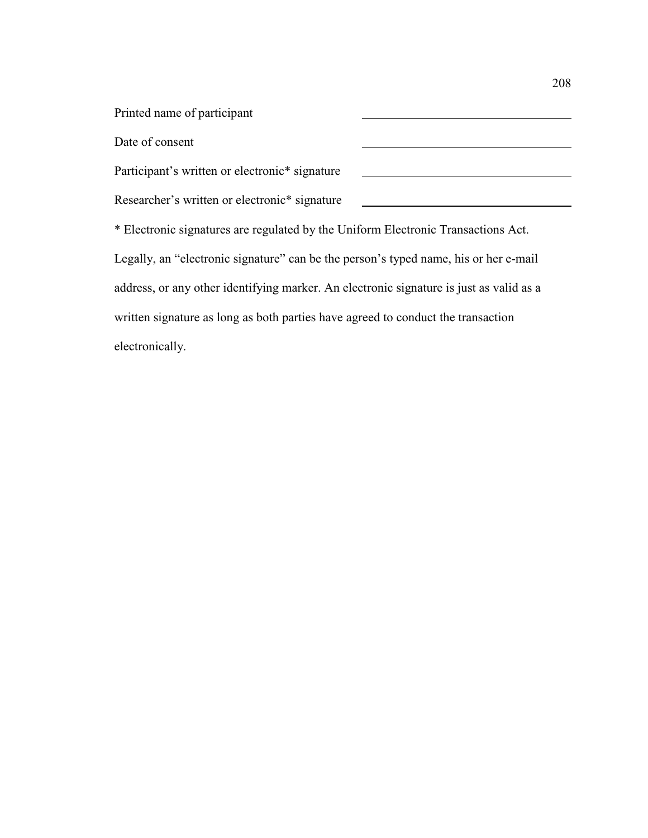Printed name of participant Date of consent Participant's written or electronic\* signature <u> 1980 - Johann Barn, mars ann an t-Amhain Aonaich an t-Aonaich an t-Aonaich ann an t-Aonaich ann an t-Aonaich</u> Researcher's written or electronic\* signature \* Electronic signatures are regulated by the Uniform Electronic Transactions Act. Legally, an "electronic signature" can be the person's typed name, his or her e-mail address, or any other identifying marker. An electronic signature is just as valid as a written signature as long as both parties have agreed to conduct the transaction electronically.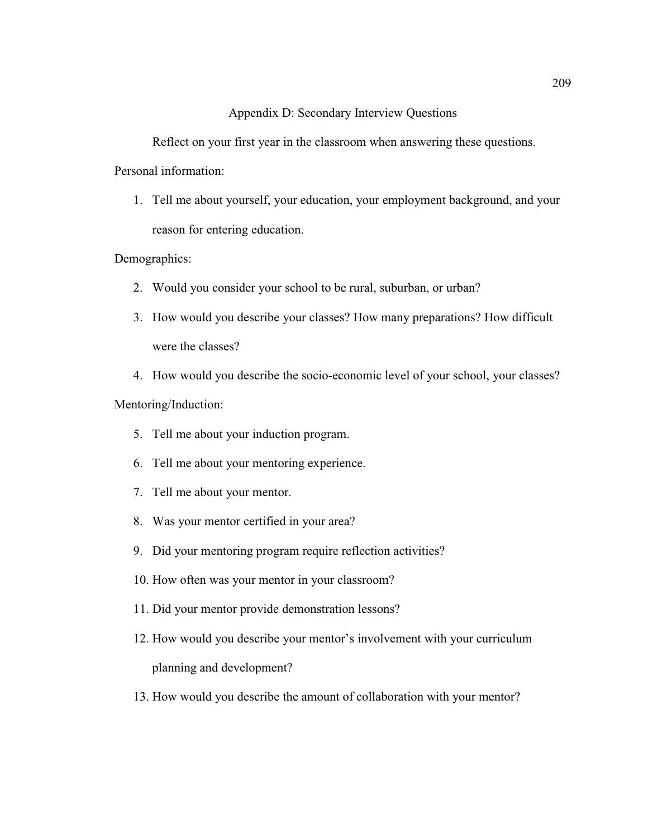## Appendix D: Secondary Interview Questions

Reflect on your first year in the classroom when answering these questions.

Personal information:

1. Tell me about yourself, your education, your employment background, and your reason for entering education.

Demographics:

- 2. Would you consider your school to be rural, suburban, or urban?
- 3. How would you describe your classes? How many preparations? How difficult were the classes?

4. How would you describe the socio-economic level of your school, your classes? Mentoring/Induction:

- 5. Tell me about your induction program.
- 6. Tell me about your mentoring experience.
- 7. Tell me about your mentor.
- 8. Was your mentor certified in your area?
- 9. Did your mentoring program require reflection activities?
- 10. How often was your mentor in your classroom?
- 11. Did your mentor provide demonstration lessons?
- 12. How would you describe your mentor's involvement with your curriculum planning and development?
- 13. How would you describe the amount of collaboration with your mentor?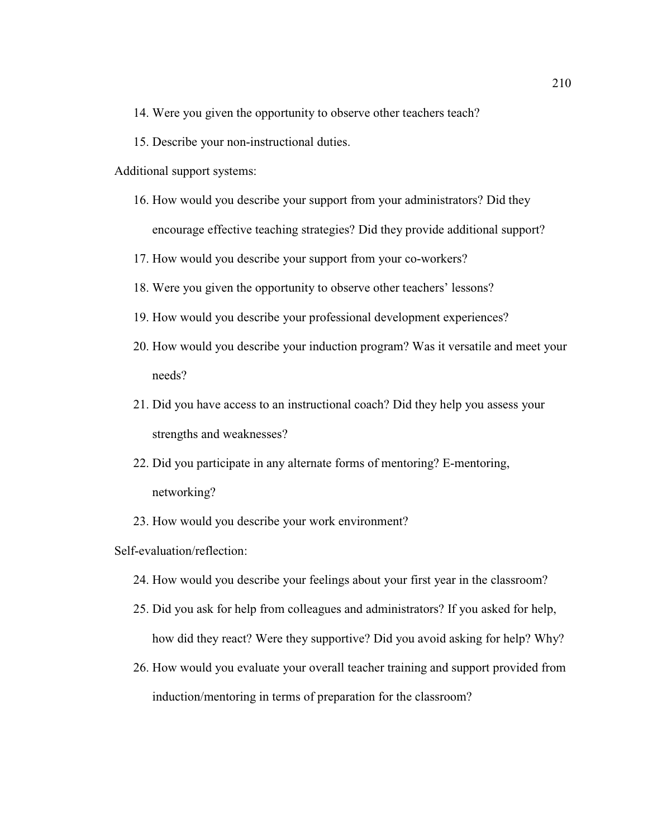- 14. Were you given the opportunity to observe other teachers teach?
- 15. Describe your non-instructional duties.
- Additional support systems:
	- 16. How would you describe your support from your administrators? Did they encourage effective teaching strategies? Did they provide additional support?
	- 17. How would you describe your support from your co-workers?
	- 18. Were you given the opportunity to observe other teachers' lessons?
	- 19. How would you describe your professional development experiences?
	- 20. How would you describe your induction program? Was it versatile and meet your needs?
	- 21. Did you have access to an instructional coach? Did they help you assess your strengths and weaknesses?
	- 22. Did you participate in any alternate forms of mentoring? E-mentoring, networking?
	- 23. How would you describe your work environment?

## Self-evaluation/reflection:

- 24. How would you describe your feelings about your first year in the classroom?
- 25. Did you ask for help from colleagues and administrators? If you asked for help, how did they react? Were they supportive? Did you avoid asking for help? Why?
- 26. How would you evaluate your overall teacher training and support provided from induction/mentoring in terms of preparation for the classroom?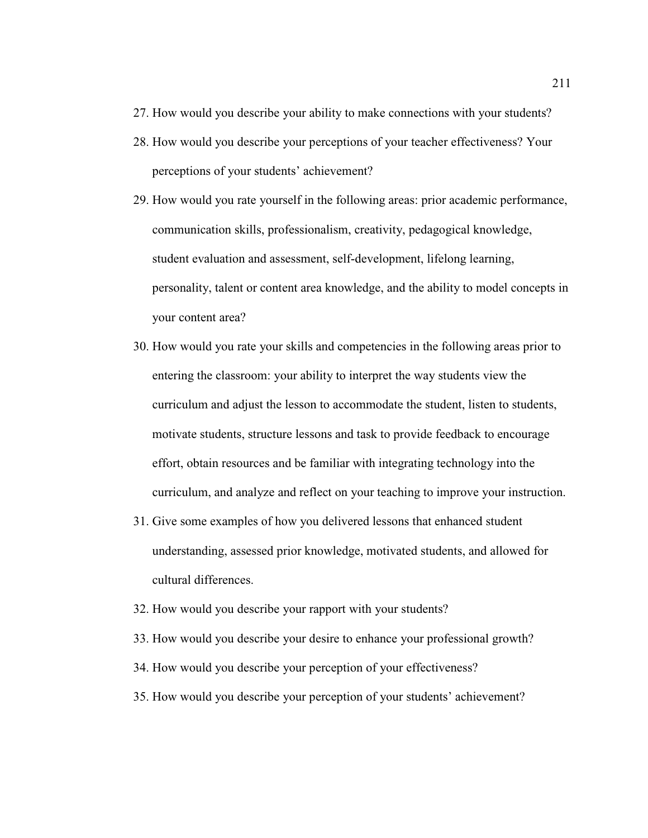- 27. How would you describe your ability to make connections with your students?
- 28. How would you describe your perceptions of your teacher effectiveness? Your perceptions of your students' achievement?
- 29. How would you rate yourself in the following areas: prior academic performance, communication skills, professionalism, creativity, pedagogical knowledge, student evaluation and assessment, self-development, lifelong learning, personality, talent or content area knowledge, and the ability to model concepts in your content area?
- 30. How would you rate your skills and competencies in the following areas prior to entering the classroom: your ability to interpret the way students view the curriculum and adjust the lesson to accommodate the student, listen to students, motivate students, structure lessons and task to provide feedback to encourage effort, obtain resources and be familiar with integrating technology into the curriculum, and analyze and reflect on your teaching to improve your instruction.
- 31. Give some examples of how you delivered lessons that enhanced student understanding, assessed prior knowledge, motivated students, and allowed for cultural differences.
- 32. How would you describe your rapport with your students?
- 33. How would you describe your desire to enhance your professional growth?
- 34. How would you describe your perception of your effectiveness?
- 35. How would you describe your perception of your students' achievement?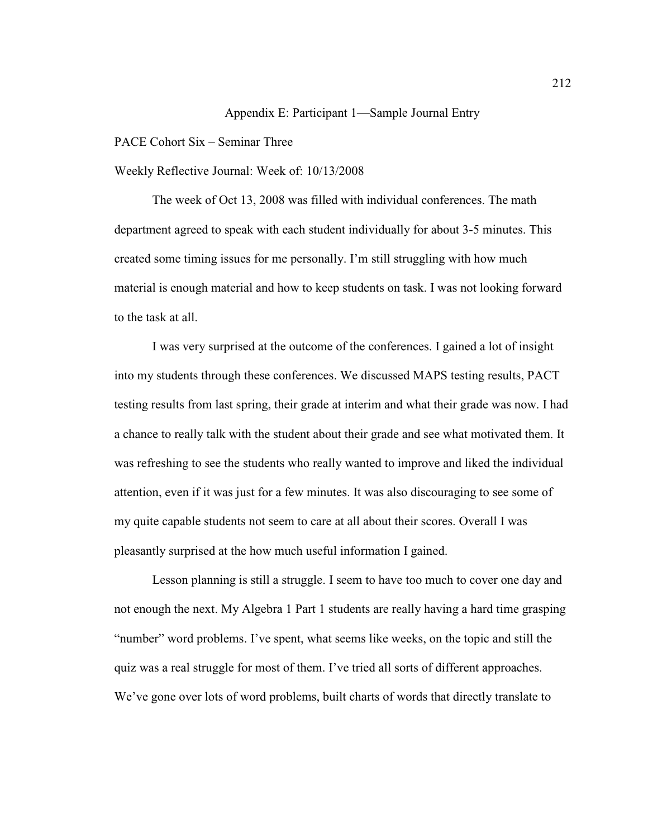## Appendix E: Participant 1—Sample Journal Entry

## PACE Cohort Six – Seminar Three

Weekly Reflective Journal: Week of: 10/13/2008

The week of Oct 13, 2008 was filled with individual conferences. The math department agreed to speak with each student individually for about 3-5 minutes. This created some timing issues for me personally. I'm still struggling with how much material is enough material and how to keep students on task. I was not looking forward to the task at all.

I was very surprised at the outcome of the conferences. I gained a lot of insight into my students through these conferences. We discussed MAPS testing results, PACT testing results from last spring, their grade at interim and what their grade was now. I had a chance to really talk with the student about their grade and see what motivated them. It was refreshing to see the students who really wanted to improve and liked the individual attention, even if it was just for a few minutes. It was also discouraging to see some of my quite capable students not seem to care at all about their scores. Overall I was pleasantly surprised at the how much useful information I gained.

Lesson planning is still a struggle. I seem to have too much to cover one day and not enough the next. My Algebra 1 Part 1 students are really having a hard time grasping "number" word problems. I've spent, what seems like weeks, on the topic and still the quiz was a real struggle for most of them. I've tried all sorts of different approaches. We've gone over lots of word problems, built charts of words that directly translate to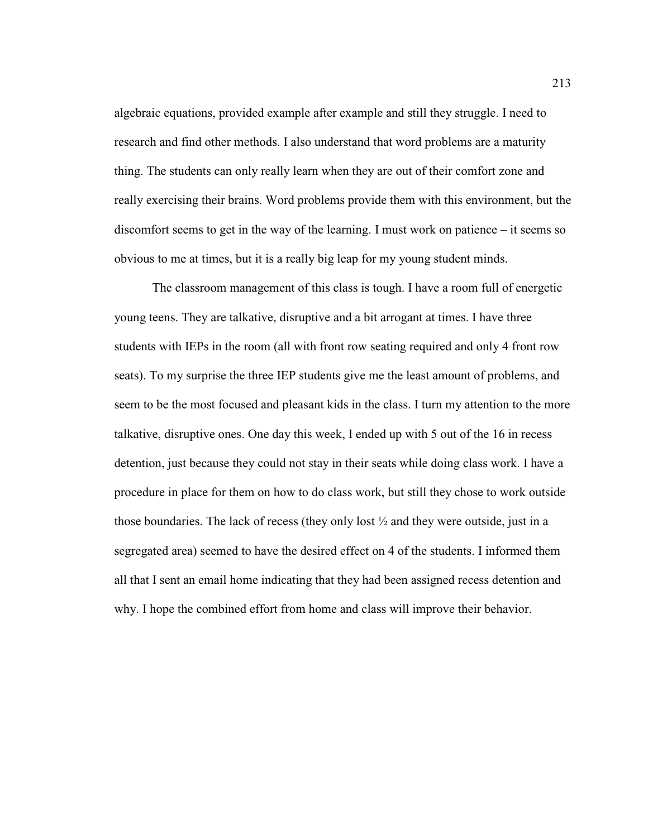algebraic equations, provided example after example and still they struggle. I need to research and find other methods. I also understand that word problems are a maturity thing. The students can only really learn when they are out of their comfort zone and really exercising their brains. Word problems provide them with this environment, but the discomfort seems to get in the way of the learning. I must work on patience – it seems so obvious to me at times, but it is a really big leap for my young student minds.

The classroom management of this class is tough. I have a room full of energetic young teens. They are talkative, disruptive and a bit arrogant at times. I have three students with IEPs in the room (all with front row seating required and only 4 front row seats). To my surprise the three IEP students give me the least amount of problems, and seem to be the most focused and pleasant kids in the class. I turn my attention to the more talkative, disruptive ones. One day this week, I ended up with 5 out of the 16 in recess detention, just because they could not stay in their seats while doing class work. I have a procedure in place for them on how to do class work, but still they chose to work outside those boundaries. The lack of recess (they only lost ½ and they were outside, just in a segregated area) seemed to have the desired effect on 4 of the students. I informed them all that I sent an email home indicating that they had been assigned recess detention and why. I hope the combined effort from home and class will improve their behavior.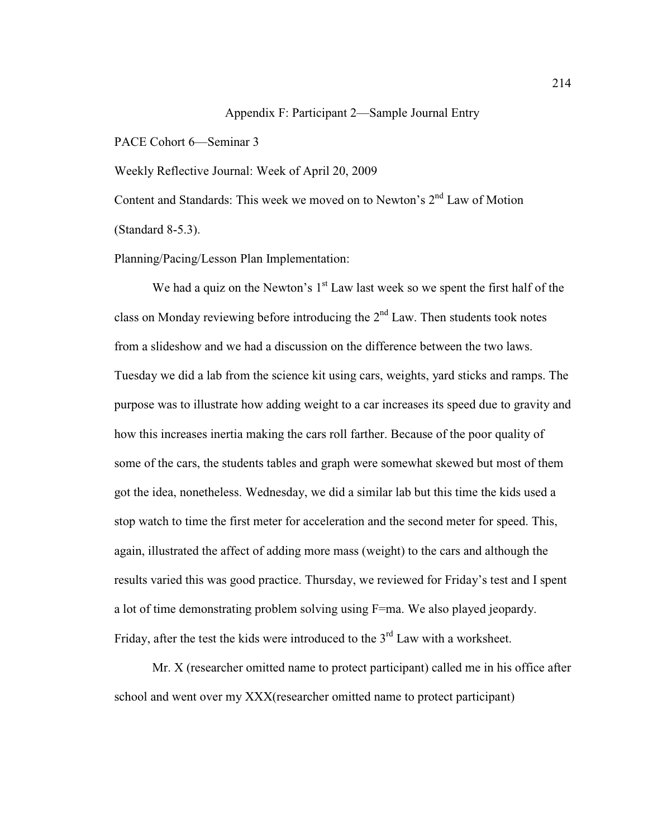# Appendix F: Participant 2—Sample Journal Entry

PACE Cohort 6—Seminar 3

Weekly Reflective Journal: Week of April 20, 2009

Content and Standards: This week we moved on to Newton's  $2<sup>nd</sup>$  Law of Motion (Standard 8-5.3).

Planning/Pacing/Lesson Plan Implementation:

We had a quiz on the Newton's  $1<sup>st</sup>$  Law last week so we spent the first half of the class on Monday reviewing before introducing the  $2<sup>nd</sup>$  Law. Then students took notes from a slideshow and we had a discussion on the difference between the two laws. Tuesday we did a lab from the science kit using cars, weights, yard sticks and ramps. The purpose was to illustrate how adding weight to a car increases its speed due to gravity and how this increases inertia making the cars roll farther. Because of the poor quality of some of the cars, the students tables and graph were somewhat skewed but most of them got the idea, nonetheless. Wednesday, we did a similar lab but this time the kids used a stop watch to time the first meter for acceleration and the second meter for speed. This, again, illustrated the affect of adding more mass (weight) to the cars and although the results varied this was good practice. Thursday, we reviewed for Friday's test and I spent a lot of time demonstrating problem solving using F=ma. We also played jeopardy. Friday, after the test the kids were introduced to the 3<sup>rd</sup> Law with a worksheet.

Mr. X (researcher omitted name to protect participant) called me in his office after school and went over my XXX(researcher omitted name to protect participant)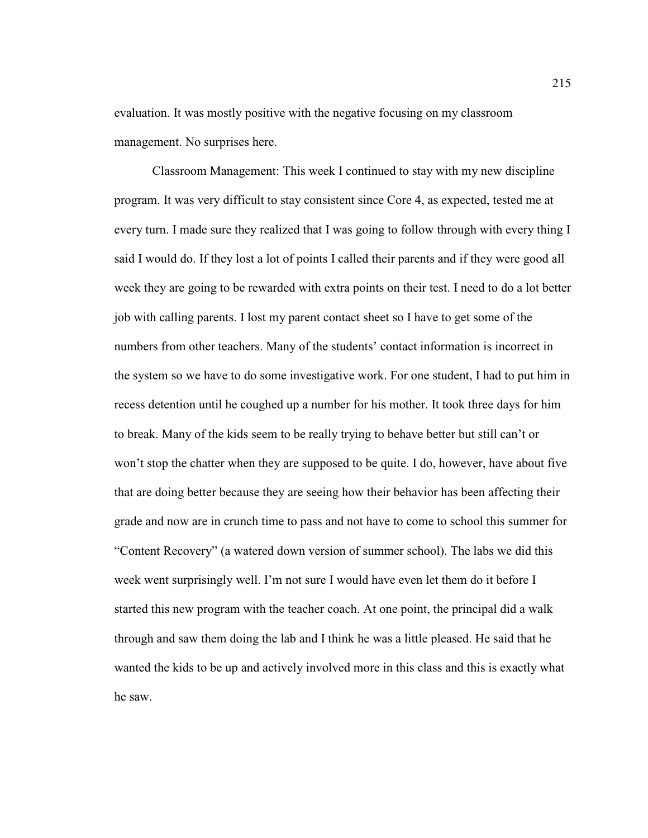evaluation. It was mostly positive with the negative focusing on my classroom management. No surprises here.

Classroom Management: This week I continued to stay with my new discipline program. It was very difficult to stay consistent since Core 4, as expected, tested me at every turn. I made sure they realized that I was going to follow through with every thing I said I would do. If they lost a lot of points I called their parents and if they were good all week they are going to be rewarded with extra points on their test. I need to do a lot better job with calling parents. I lost my parent contact sheet so I have to get some of the numbers from other teachers. Many of the students' contact information is incorrect in the system so we have to do some investigative work. For one student, I had to put him in recess detention until he coughed up a number for his mother. It took three days for him to break. Many of the kids seem to be really trying to behave better but still can't or won't stop the chatter when they are supposed to be quite. I do, however, have about five that are doing better because they are seeing how their behavior has been affecting their grade and now are in crunch time to pass and not have to come to school this summer for "Content Recovery" (a watered down version of summer school). The labs we did this week went surprisingly well. I'm not sure I would have even let them do it before I started this new program with the teacher coach. At one point, the principal did a walk through and saw them doing the lab and I think he was a little pleased. He said that he wanted the kids to be up and actively involved more in this class and this is exactly what he saw.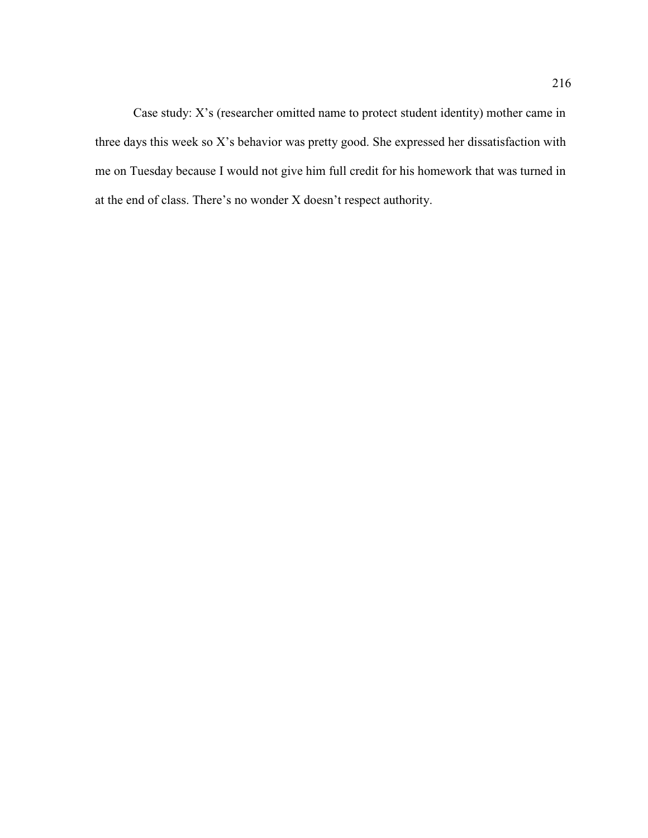Case study: X's (researcher omitted name to protect student identity) mother came in three days this week so X's behavior was pretty good. She expressed her dissatisfaction with me on Tuesday because I would not give him full credit for his homework that was turned in at the end of class. There's no wonder X doesn't respect authority.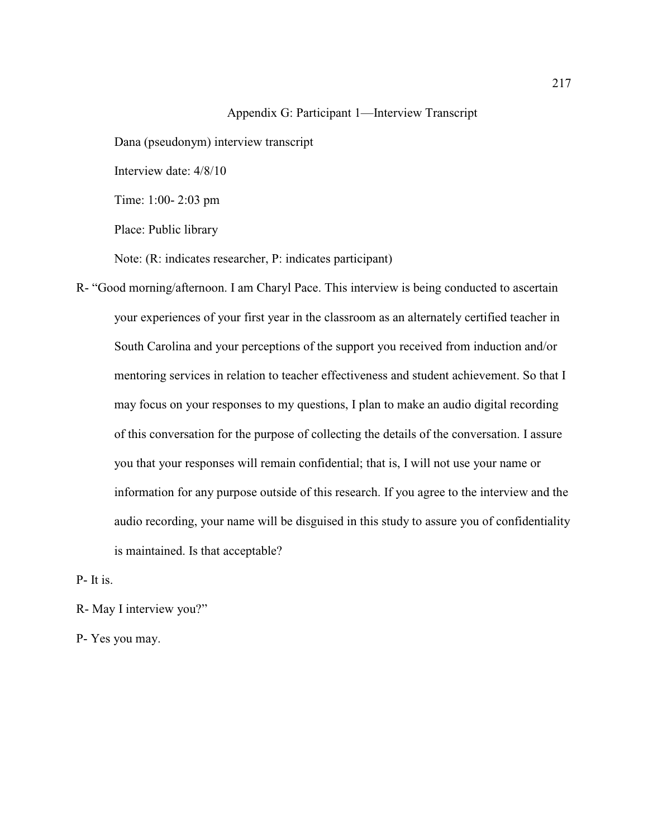### Appendix G: Participant 1—Interview Transcript

Dana (pseudonym) interview transcript

Interview date: 4/8/10

Time: 1:00- 2:03 pm

Place: Public library

Note: (R: indicates researcher, P: indicates participant)

R- "Good morning/afternoon. I am Charyl Pace. This interview is being conducted to ascertain your experiences of your first year in the classroom as an alternately certified teacher in South Carolina and your perceptions of the support you received from induction and/or mentoring services in relation to teacher effectiveness and student achievement. So that I may focus on your responses to my questions, I plan to make an audio digital recording of this conversation for the purpose of collecting the details of the conversation. I assure you that your responses will remain confidential; that is, I will not use your name or information for any purpose outside of this research. If you agree to the interview and the audio recording, your name will be disguised in this study to assure you of confidentiality is maintained. Is that acceptable?

P- It is.

R- May I interview you?"

P- Yes you may.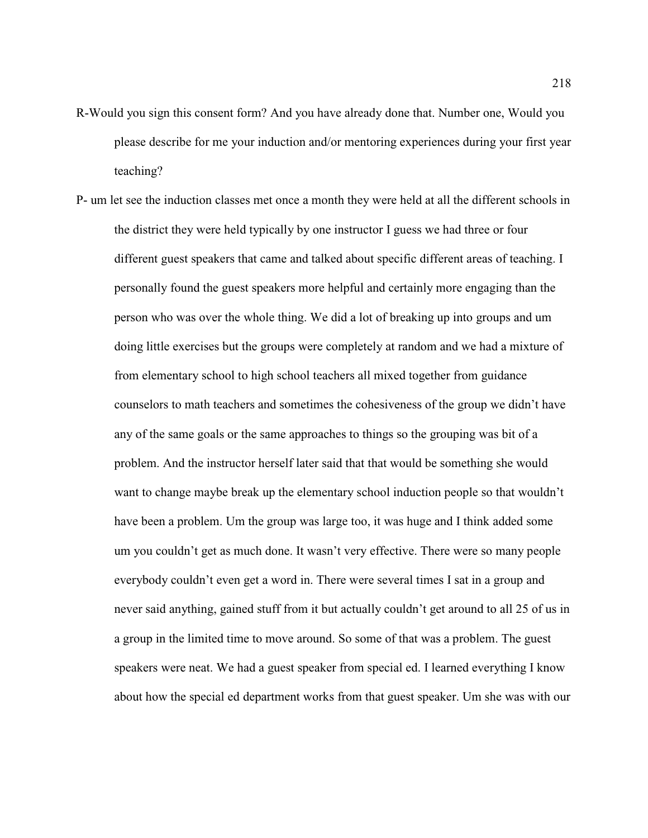- R-Would you sign this consent form? And you have already done that. Number one, Would you please describe for me your induction and/or mentoring experiences during your first year teaching?
- P- um let see the induction classes met once a month they were held at all the different schools in the district they were held typically by one instructor I guess we had three or four different guest speakers that came and talked about specific different areas of teaching. I personally found the guest speakers more helpful and certainly more engaging than the person who was over the whole thing. We did a lot of breaking up into groups and um doing little exercises but the groups were completely at random and we had a mixture of from elementary school to high school teachers all mixed together from guidance counselors to math teachers and sometimes the cohesiveness of the group we didn't have any of the same goals or the same approaches to things so the grouping was bit of a problem. And the instructor herself later said that that would be something she would want to change maybe break up the elementary school induction people so that wouldn't have been a problem. Um the group was large too, it was huge and I think added some um you couldn't get as much done. It wasn't very effective. There were so many people everybody couldn't even get a word in. There were several times I sat in a group and never said anything, gained stuff from it but actually couldn't get around to all 25 of us in a group in the limited time to move around. So some of that was a problem. The guest speakers were neat. We had a guest speaker from special ed. I learned everything I know about how the special ed department works from that guest speaker. Um she was with our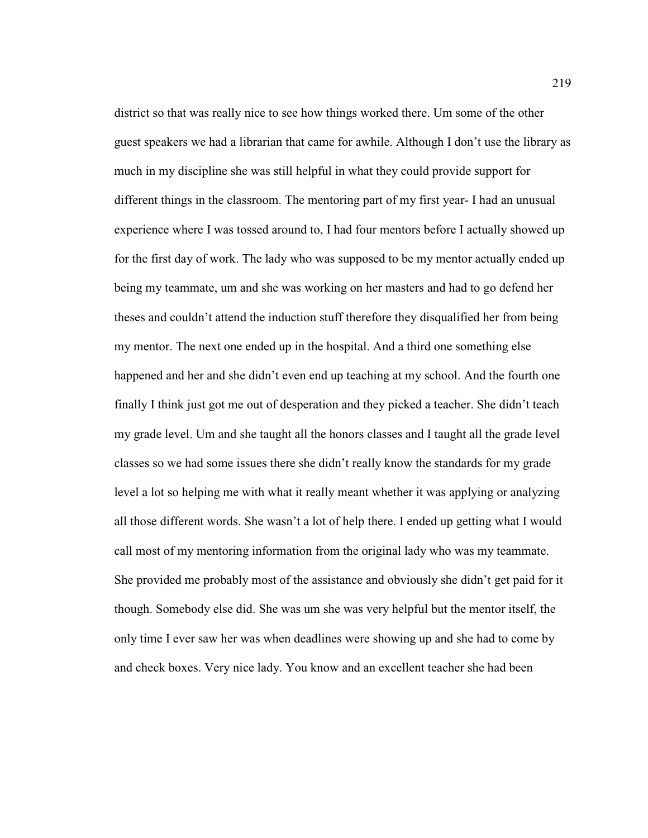district so that was really nice to see how things worked there. Um some of the other guest speakers we had a librarian that came for awhile. Although I don't use the library as much in my discipline she was still helpful in what they could provide support for different things in the classroom. The mentoring part of my first year- I had an unusual experience where I was tossed around to, I had four mentors before I actually showed up for the first day of work. The lady who was supposed to be my mentor actually ended up being my teammate, um and she was working on her masters and had to go defend her theses and couldn't attend the induction stuff therefore they disqualified her from being my mentor. The next one ended up in the hospital. And a third one something else happened and her and she didn't even end up teaching at my school. And the fourth one finally I think just got me out of desperation and they picked a teacher. She didn't teach my grade level. Um and she taught all the honors classes and I taught all the grade level classes so we had some issues there she didn't really know the standards for my grade level a lot so helping me with what it really meant whether it was applying or analyzing all those different words. She wasn't a lot of help there. I ended up getting what I would call most of my mentoring information from the original lady who was my teammate. She provided me probably most of the assistance and obviously she didn't get paid for it though. Somebody else did. She was um she was very helpful but the mentor itself, the only time I ever saw her was when deadlines were showing up and she had to come by and check boxes. Very nice lady. You know and an excellent teacher she had been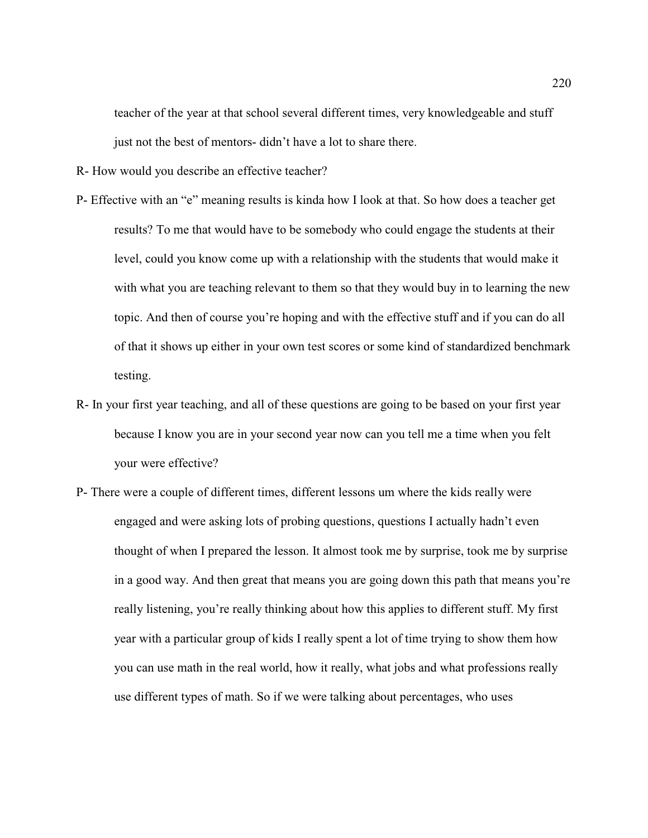teacher of the year at that school several different times, very knowledgeable and stuff just not the best of mentors- didn't have a lot to share there.

R- How would you describe an effective teacher?

- P- Effective with an "e" meaning results is kinda how I look at that. So how does a teacher get results? To me that would have to be somebody who could engage the students at their level, could you know come up with a relationship with the students that would make it with what you are teaching relevant to them so that they would buy in to learning the new topic. And then of course you're hoping and with the effective stuff and if you can do all of that it shows up either in your own test scores or some kind of standardized benchmark testing.
- R- In your first year teaching, and all of these questions are going to be based on your first year because I know you are in your second year now can you tell me a time when you felt your were effective?
- P- There were a couple of different times, different lessons um where the kids really were engaged and were asking lots of probing questions, questions I actually hadn't even thought of when I prepared the lesson. It almost took me by surprise, took me by surprise in a good way. And then great that means you are going down this path that means you're really listening, you're really thinking about how this applies to different stuff. My first year with a particular group of kids I really spent a lot of time trying to show them how you can use math in the real world, how it really, what jobs and what professions really use different types of math. So if we were talking about percentages, who uses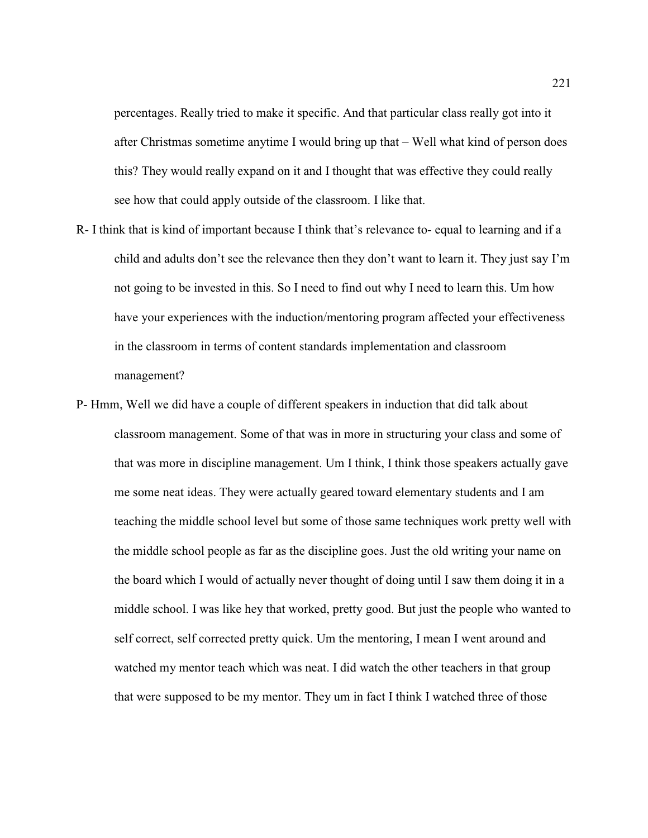percentages. Really tried to make it specific. And that particular class really got into it after Christmas sometime anytime I would bring up that – Well what kind of person does this? They would really expand on it and I thought that was effective they could really see how that could apply outside of the classroom. I like that.

- R- I think that is kind of important because I think that's relevance to- equal to learning and if a child and adults don't see the relevance then they don't want to learn it. They just say I'm not going to be invested in this. So I need to find out why I need to learn this. Um how have your experiences with the induction/mentoring program affected your effectiveness in the classroom in terms of content standards implementation and classroom management?
- P- Hmm, Well we did have a couple of different speakers in induction that did talk about classroom management. Some of that was in more in structuring your class and some of that was more in discipline management. Um I think, I think those speakers actually gave me some neat ideas. They were actually geared toward elementary students and I am teaching the middle school level but some of those same techniques work pretty well with the middle school people as far as the discipline goes. Just the old writing your name on the board which I would of actually never thought of doing until I saw them doing it in a middle school. I was like hey that worked, pretty good. But just the people who wanted to self correct, self corrected pretty quick. Um the mentoring, I mean I went around and watched my mentor teach which was neat. I did watch the other teachers in that group that were supposed to be my mentor. They um in fact I think I watched three of those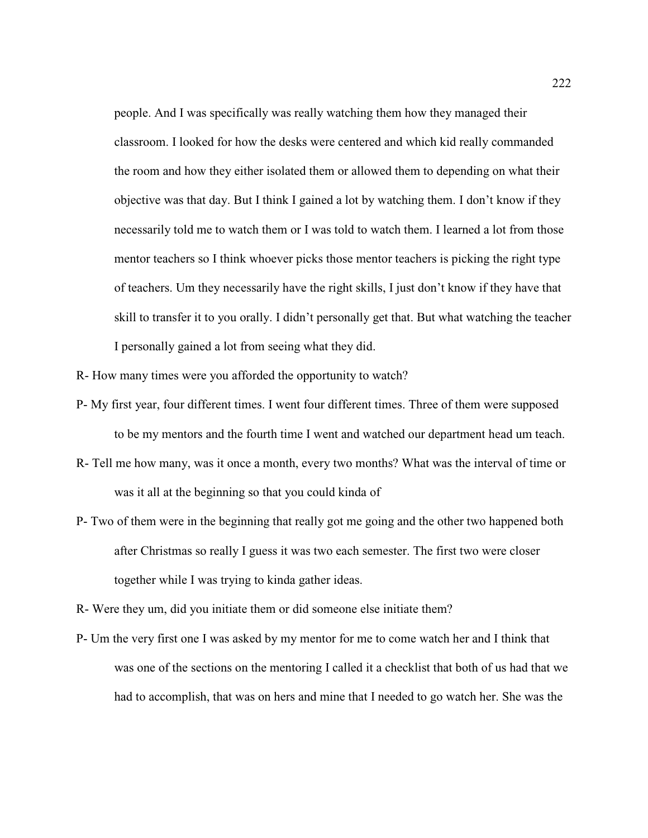people. And I was specifically was really watching them how they managed their classroom. I looked for how the desks were centered and which kid really commanded the room and how they either isolated them or allowed them to depending on what their objective was that day. But I think I gained a lot by watching them. I don't know if they necessarily told me to watch them or I was told to watch them. I learned a lot from those mentor teachers so I think whoever picks those mentor teachers is picking the right type of teachers. Um they necessarily have the right skills, I just don't know if they have that skill to transfer it to you orally. I didn't personally get that. But what watching the teacher I personally gained a lot from seeing what they did.

R- How many times were you afforded the opportunity to watch?

- P- My first year, four different times. I went four different times. Three of them were supposed to be my mentors and the fourth time I went and watched our department head um teach.
- R- Tell me how many, was it once a month, every two months? What was the interval of time or was it all at the beginning so that you could kinda of
- P- Two of them were in the beginning that really got me going and the other two happened both after Christmas so really I guess it was two each semester. The first two were closer together while I was trying to kinda gather ideas.
- R- Were they um, did you initiate them or did someone else initiate them?
- P- Um the very first one I was asked by my mentor for me to come watch her and I think that was one of the sections on the mentoring I called it a checklist that both of us had that we had to accomplish, that was on hers and mine that I needed to go watch her. She was the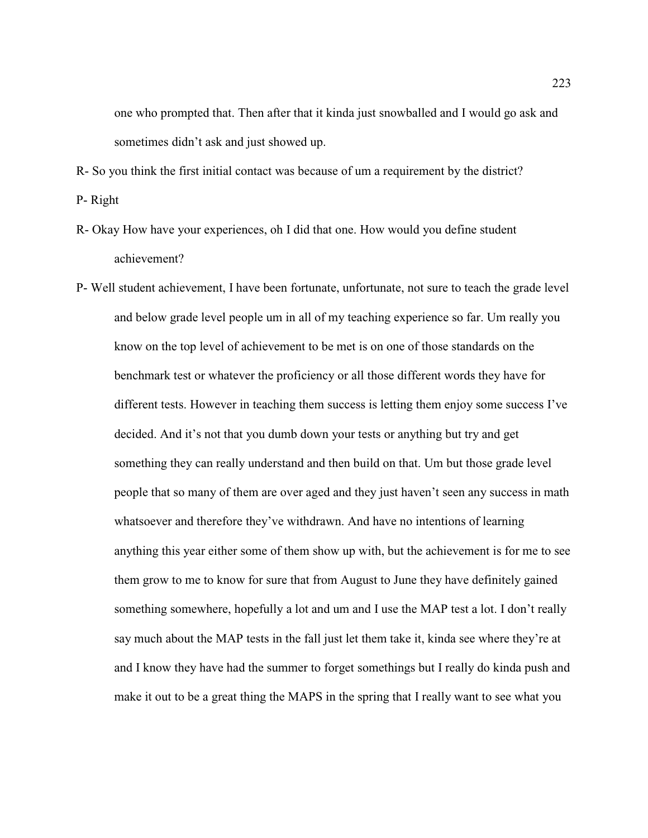one who prompted that. Then after that it kinda just snowballed and I would go ask and sometimes didn't ask and just showed up.

R- So you think the first initial contact was because of um a requirement by the district?

P- Right

- R- Okay How have your experiences, oh I did that one. How would you define student achievement?
- P- Well student achievement, I have been fortunate, unfortunate, not sure to teach the grade level and below grade level people um in all of my teaching experience so far. Um really you know on the top level of achievement to be met is on one of those standards on the benchmark test or whatever the proficiency or all those different words they have for different tests. However in teaching them success is letting them enjoy some success I've decided. And it's not that you dumb down your tests or anything but try and get something they can really understand and then build on that. Um but those grade level people that so many of them are over aged and they just haven't seen any success in math whatsoever and therefore they've withdrawn. And have no intentions of learning anything this year either some of them show up with, but the achievement is for me to see them grow to me to know for sure that from August to June they have definitely gained something somewhere, hopefully a lot and um and I use the MAP test a lot. I don't really say much about the MAP tests in the fall just let them take it, kinda see where they're at and I know they have had the summer to forget somethings but I really do kinda push and make it out to be a great thing the MAPS in the spring that I really want to see what you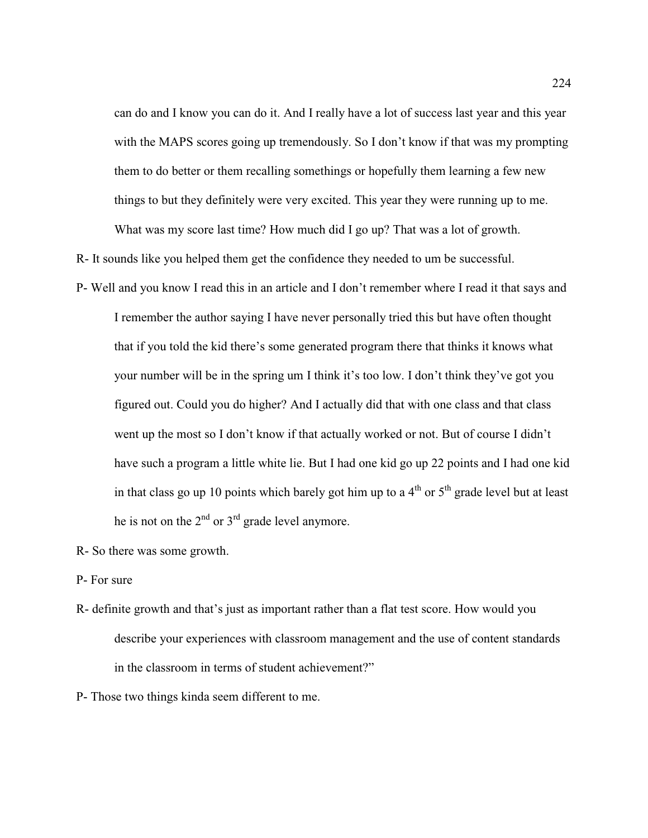can do and I know you can do it. And I really have a lot of success last year and this year with the MAPS scores going up tremendously. So I don't know if that was my prompting them to do better or them recalling somethings or hopefully them learning a few new things to but they definitely were very excited. This year they were running up to me. What was my score last time? How much did I go up? That was a lot of growth.

R- It sounds like you helped them get the confidence they needed to um be successful.

- P- Well and you know I read this in an article and I don't remember where I read it that says and I remember the author saying I have never personally tried this but have often thought that if you told the kid there's some generated program there that thinks it knows what your number will be in the spring um I think it's too low. I don't think they've got you figured out. Could you do higher? And I actually did that with one class and that class went up the most so I don't know if that actually worked or not. But of course I didn't have such a program a little white lie. But I had one kid go up 22 points and I had one kid in that class go up 10 points which barely got him up to a  $4<sup>th</sup>$  or  $5<sup>th</sup>$  grade level but at least he is not on the  $2<sup>nd</sup>$  or  $3<sup>rd</sup>$  grade level anymore.
- R- So there was some growth.
- P- For sure
- R- definite growth and that's just as important rather than a flat test score. How would you describe your experiences with classroom management and the use of content standards in the classroom in terms of student achievement?"

P- Those two things kinda seem different to me.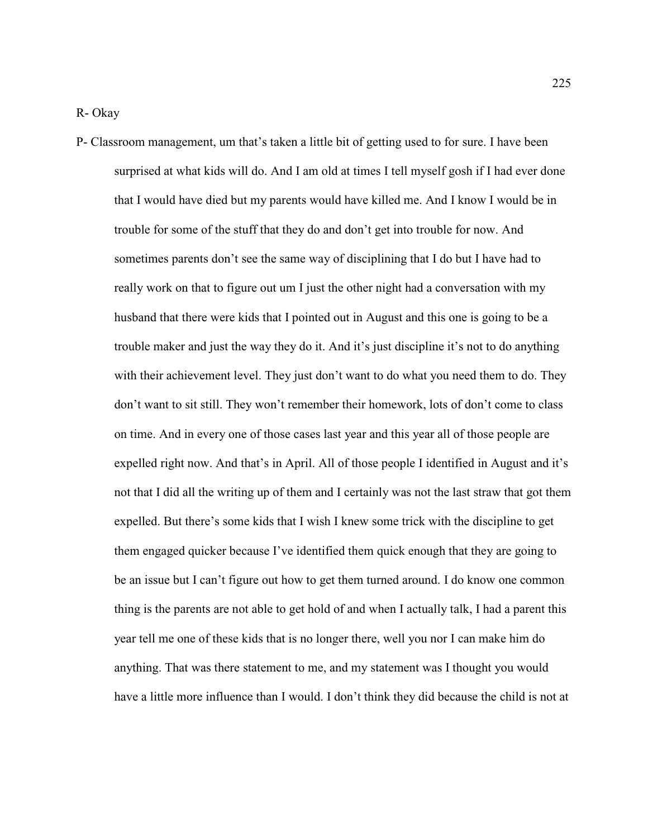P- Classroom management, um that's taken a little bit of getting used to for sure. I have been surprised at what kids will do. And I am old at times I tell myself gosh if I had ever done that I would have died but my parents would have killed me. And I know I would be in trouble for some of the stuff that they do and don't get into trouble for now. And sometimes parents don't see the same way of disciplining that I do but I have had to really work on that to figure out um I just the other night had a conversation with my husband that there were kids that I pointed out in August and this one is going to be a trouble maker and just the way they do it. And it's just discipline it's not to do anything with their achievement level. They just don't want to do what you need them to do. They don't want to sit still. They won't remember their homework, lots of don't come to class on time. And in every one of those cases last year and this year all of those people are expelled right now. And that's in April. All of those people I identified in August and it's not that I did all the writing up of them and I certainly was not the last straw that got them expelled. But there's some kids that I wish I knew some trick with the discipline to get them engaged quicker because I've identified them quick enough that they are going to be an issue but I can't figure out how to get them turned around. I do know one common thing is the parents are not able to get hold of and when I actually talk, I had a parent this year tell me one of these kids that is no longer there, well you nor I can make him do anything. That was there statement to me, and my statement was I thought you would have a little more influence than I would. I don't think they did because the child is not at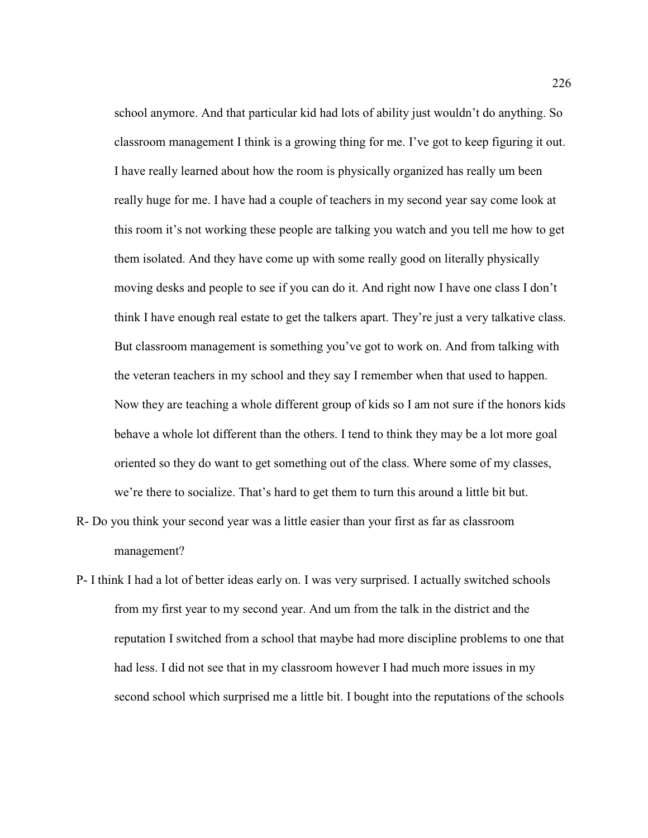school anymore. And that particular kid had lots of ability just wouldn't do anything. So classroom management I think is a growing thing for me. I've got to keep figuring it out. I have really learned about how the room is physically organized has really um been really huge for me. I have had a couple of teachers in my second year say come look at this room it's not working these people are talking you watch and you tell me how to get them isolated. And they have come up with some really good on literally physically moving desks and people to see if you can do it. And right now I have one class I don't think I have enough real estate to get the talkers apart. They're just a very talkative class. But classroom management is something you've got to work on. And from talking with the veteran teachers in my school and they say I remember when that used to happen. Now they are teaching a whole different group of kids so I am not sure if the honors kids behave a whole lot different than the others. I tend to think they may be a lot more goal oriented so they do want to get something out of the class. Where some of my classes, we're there to socialize. That's hard to get them to turn this around a little bit but.

- R- Do you think your second year was a little easier than your first as far as classroom management?
- P- I think I had a lot of better ideas early on. I was very surprised. I actually switched schools from my first year to my second year. And um from the talk in the district and the reputation I switched from a school that maybe had more discipline problems to one that had less. I did not see that in my classroom however I had much more issues in my second school which surprised me a little bit. I bought into the reputations of the schools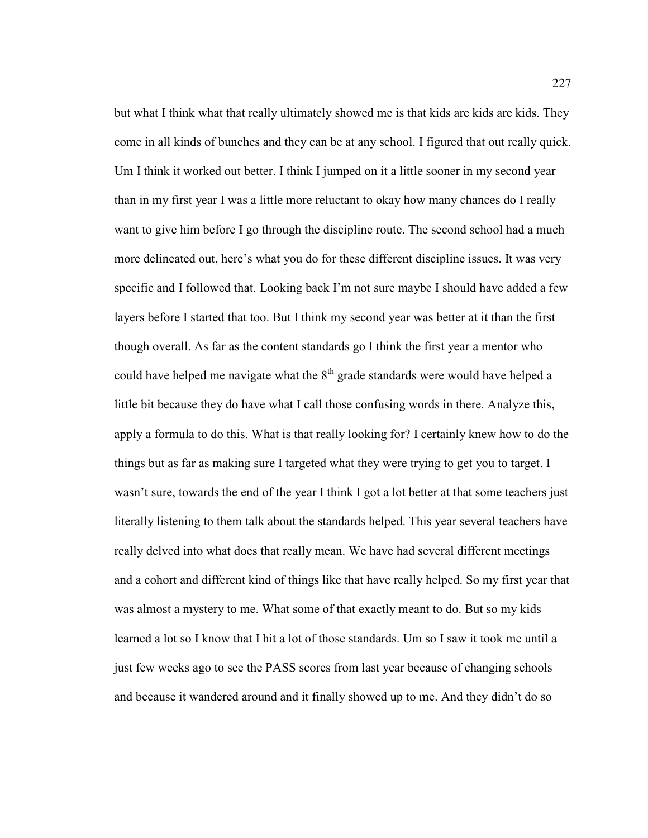but what I think what that really ultimately showed me is that kids are kids are kids. They come in all kinds of bunches and they can be at any school. I figured that out really quick. Um I think it worked out better. I think I jumped on it a little sooner in my second year than in my first year I was a little more reluctant to okay how many chances do I really want to give him before I go through the discipline route. The second school had a much more delineated out, here's what you do for these different discipline issues. It was very specific and I followed that. Looking back I'm not sure maybe I should have added a few layers before I started that too. But I think my second year was better at it than the first though overall. As far as the content standards go I think the first year a mentor who could have helped me navigate what the  $8<sup>th</sup>$  grade standards were would have helped a little bit because they do have what I call those confusing words in there. Analyze this, apply a formula to do this. What is that really looking for? I certainly knew how to do the things but as far as making sure I targeted what they were trying to get you to target. I wasn't sure, towards the end of the year I think I got a lot better at that some teachers just literally listening to them talk about the standards helped. This year several teachers have really delved into what does that really mean. We have had several different meetings and a cohort and different kind of things like that have really helped. So my first year that was almost a mystery to me. What some of that exactly meant to do. But so my kids learned a lot so I know that I hit a lot of those standards. Um so I saw it took me until a just few weeks ago to see the PASS scores from last year because of changing schools and because it wandered around and it finally showed up to me. And they didn't do so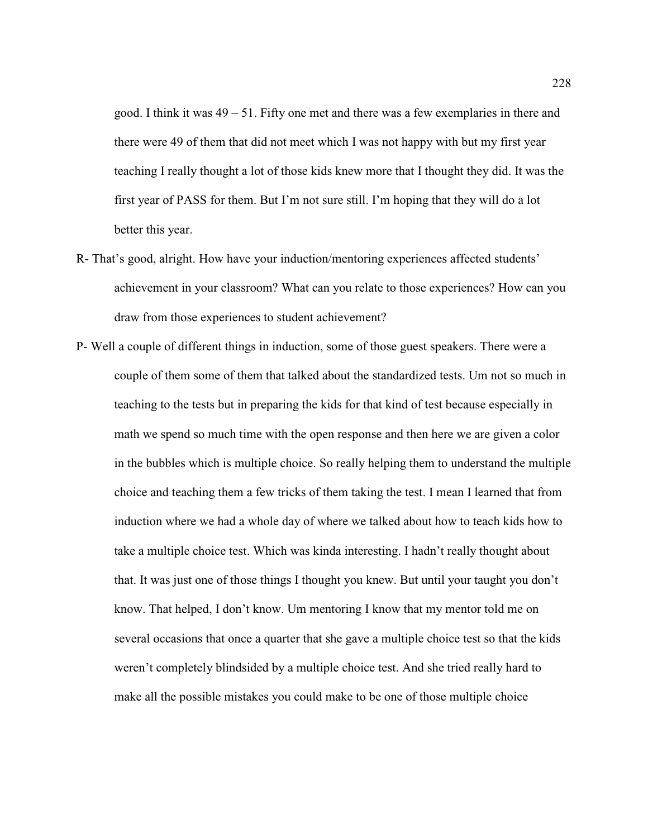good. I think it was 49 – 51. Fifty one met and there was a few exemplaries in there and there were 49 of them that did not meet which I was not happy with but my first year teaching I really thought a lot of those kids knew more that I thought they did. It was the first year of PASS for them. But I'm not sure still. I'm hoping that they will do a lot better this year.

- R- That's good, alright. How have your induction/mentoring experiences affected students' achievement in your classroom? What can you relate to those experiences? How can you draw from those experiences to student achievement?
- P- Well a couple of different things in induction, some of those guest speakers. There were a couple of them some of them that talked about the standardized tests. Um not so much in teaching to the tests but in preparing the kids for that kind of test because especially in math we spend so much time with the open response and then here we are given a color in the bubbles which is multiple choice. So really helping them to understand the multiple choice and teaching them a few tricks of them taking the test. I mean I learned that from induction where we had a whole day of where we talked about how to teach kids how to take a multiple choice test. Which was kinda interesting. I hadn't really thought about that. It was just one of those things I thought you knew. But until your taught you don't know. That helped, I don't know. Um mentoring I know that my mentor told me on several occasions that once a quarter that she gave a multiple choice test so that the kids weren't completely blindsided by a multiple choice test. And she tried really hard to make all the possible mistakes you could make to be one of those multiple choice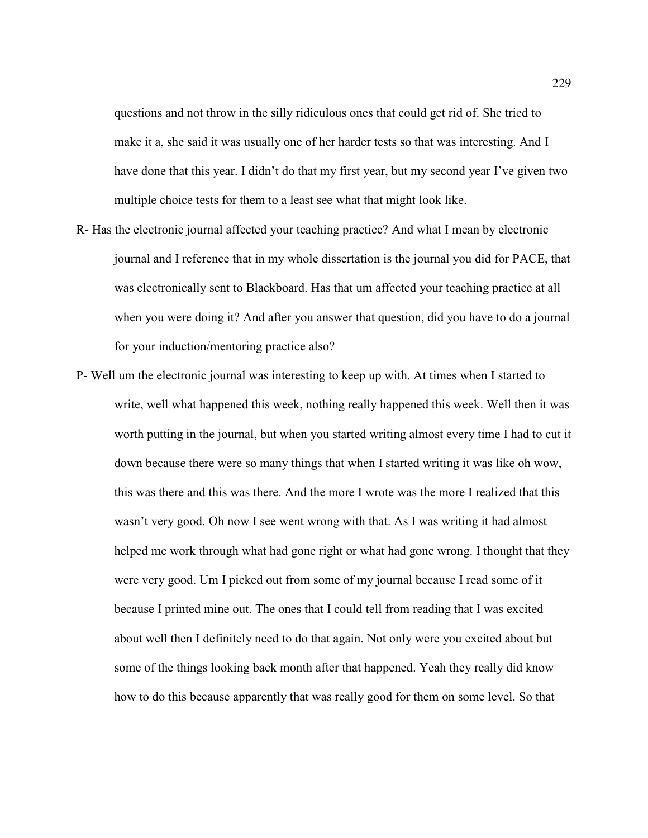questions and not throw in the silly ridiculous ones that could get rid of. She tried to make it a, she said it was usually one of her harder tests so that was interesting. And I have done that this year. I didn't do that my first year, but my second year I've given two multiple choice tests for them to a least see what that might look like.

- R- Has the electronic journal affected your teaching practice? And what I mean by electronic journal and I reference that in my whole dissertation is the journal you did for PACE, that was electronically sent to Blackboard. Has that um affected your teaching practice at all when you were doing it? And after you answer that question, did you have to do a journal for your induction/mentoring practice also?
- P- Well um the electronic journal was interesting to keep up with. At times when I started to write, well what happened this week, nothing really happened this week. Well then it was worth putting in the journal, but when you started writing almost every time I had to cut it down because there were so many things that when I started writing it was like oh wow, this was there and this was there. And the more I wrote was the more I realized that this wasn't very good. Oh now I see went wrong with that. As I was writing it had almost helped me work through what had gone right or what had gone wrong. I thought that they were very good. Um I picked out from some of my journal because I read some of it because I printed mine out. The ones that I could tell from reading that I was excited about well then I definitely need to do that again. Not only were you excited about but some of the things looking back month after that happened. Yeah they really did know how to do this because apparently that was really good for them on some level. So that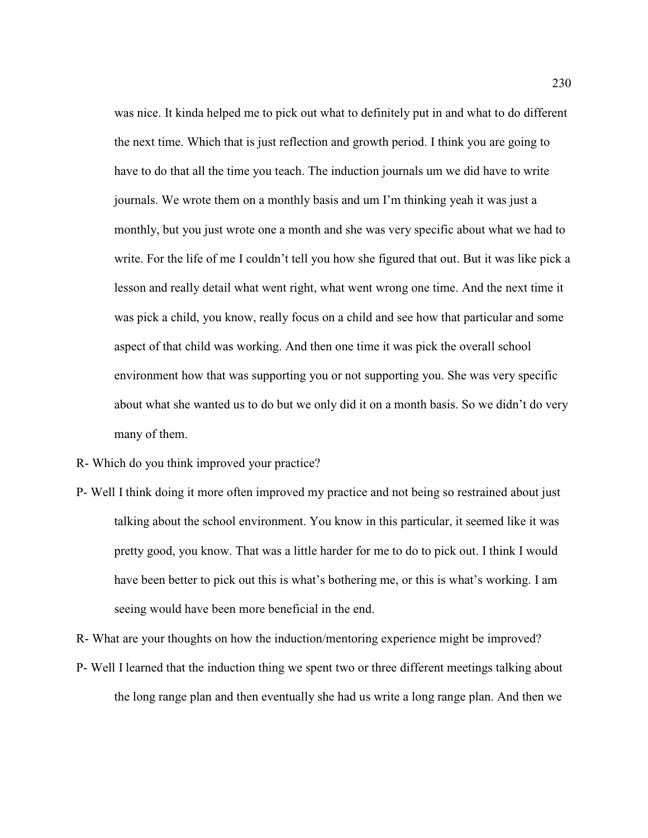was nice. It kinda helped me to pick out what to definitely put in and what to do different the next time. Which that is just reflection and growth period. I think you are going to have to do that all the time you teach. The induction journals um we did have to write journals. We wrote them on a monthly basis and um I'm thinking yeah it was just a monthly, but you just wrote one a month and she was very specific about what we had to write. For the life of me I couldn't tell you how she figured that out. But it was like pick a lesson and really detail what went right, what went wrong one time. And the next time it was pick a child, you know, really focus on a child and see how that particular and some aspect of that child was working. And then one time it was pick the overall school environment how that was supporting you or not supporting you. She was very specific about what she wanted us to do but we only did it on a month basis. So we didn't do very many of them.

- R- Which do you think improved your practice?
- P- Well I think doing it more often improved my practice and not being so restrained about just talking about the school environment. You know in this particular, it seemed like it was pretty good, you know. That was a little harder for me to do to pick out. I think I would have been better to pick out this is what's bothering me, or this is what's working. I am seeing would have been more beneficial in the end.

R- What are your thoughts on how the induction/mentoring experience might be improved?

P- Well I learned that the induction thing we spent two or three different meetings talking about the long range plan and then eventually she had us write a long range plan. And then we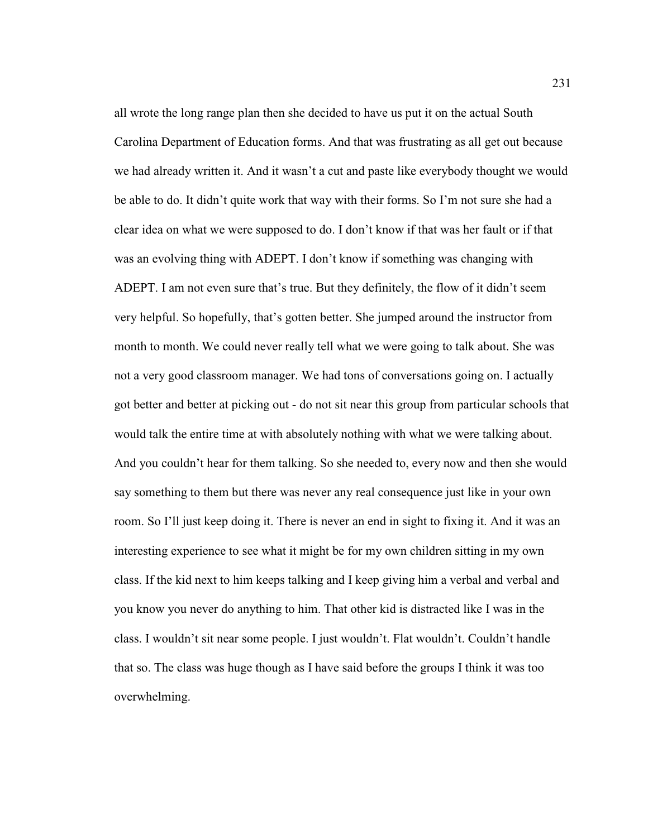all wrote the long range plan then she decided to have us put it on the actual South Carolina Department of Education forms. And that was frustrating as all get out because we had already written it. And it wasn't a cut and paste like everybody thought we would be able to do. It didn't quite work that way with their forms. So I'm not sure she had a clear idea on what we were supposed to do. I don't know if that was her fault or if that was an evolving thing with ADEPT. I don't know if something was changing with ADEPT. I am not even sure that's true. But they definitely, the flow of it didn't seem very helpful. So hopefully, that's gotten better. She jumped around the instructor from month to month. We could never really tell what we were going to talk about. She was not a very good classroom manager. We had tons of conversations going on. I actually got better and better at picking out - do not sit near this group from particular schools that would talk the entire time at with absolutely nothing with what we were talking about. And you couldn't hear for them talking. So she needed to, every now and then she would say something to them but there was never any real consequence just like in your own room. So I'll just keep doing it. There is never an end in sight to fixing it. And it was an interesting experience to see what it might be for my own children sitting in my own class. If the kid next to him keeps talking and I keep giving him a verbal and verbal and you know you never do anything to him. That other kid is distracted like I was in the class. I wouldn't sit near some people. I just wouldn't. Flat wouldn't. Couldn't handle that so. The class was huge though as I have said before the groups I think it was too overwhelming.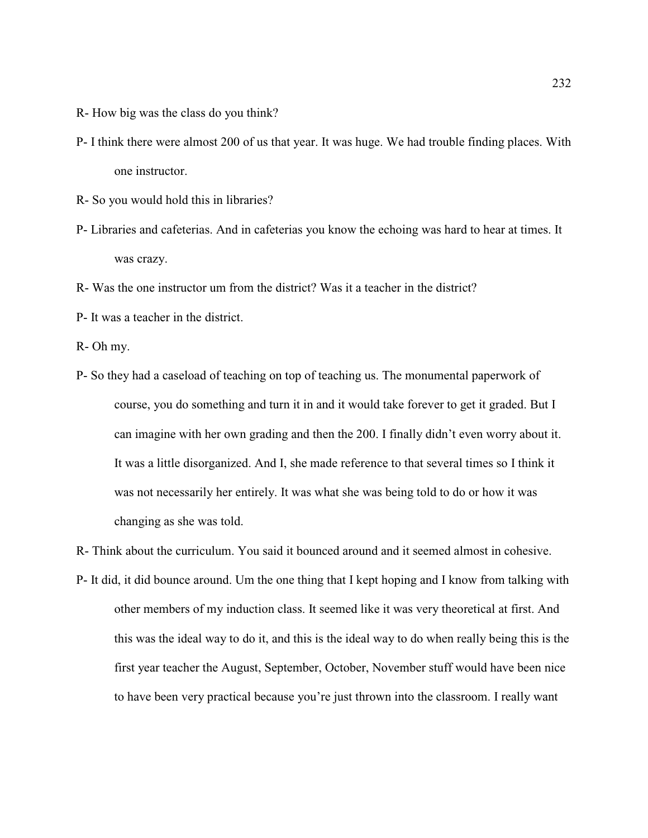- R- How big was the class do you think?
- P- I think there were almost 200 of us that year. It was huge. We had trouble finding places. With one instructor.
- R- So you would hold this in libraries?
- P- Libraries and cafeterias. And in cafeterias you know the echoing was hard to hear at times. It was crazy.
- R- Was the one instructor um from the district? Was it a teacher in the district?
- P- It was a teacher in the district.
- R- Oh my.
- P- So they had a caseload of teaching on top of teaching us. The monumental paperwork of course, you do something and turn it in and it would take forever to get it graded. But I can imagine with her own grading and then the 200. I finally didn't even worry about it. It was a little disorganized. And I, she made reference to that several times so I think it was not necessarily her entirely. It was what she was being told to do or how it was changing as she was told.

R- Think about the curriculum. You said it bounced around and it seemed almost in cohesive.

P- It did, it did bounce around. Um the one thing that I kept hoping and I know from talking with other members of my induction class. It seemed like it was very theoretical at first. And this was the ideal way to do it, and this is the ideal way to do when really being this is the first year teacher the August, September, October, November stuff would have been nice to have been very practical because you're just thrown into the classroom. I really want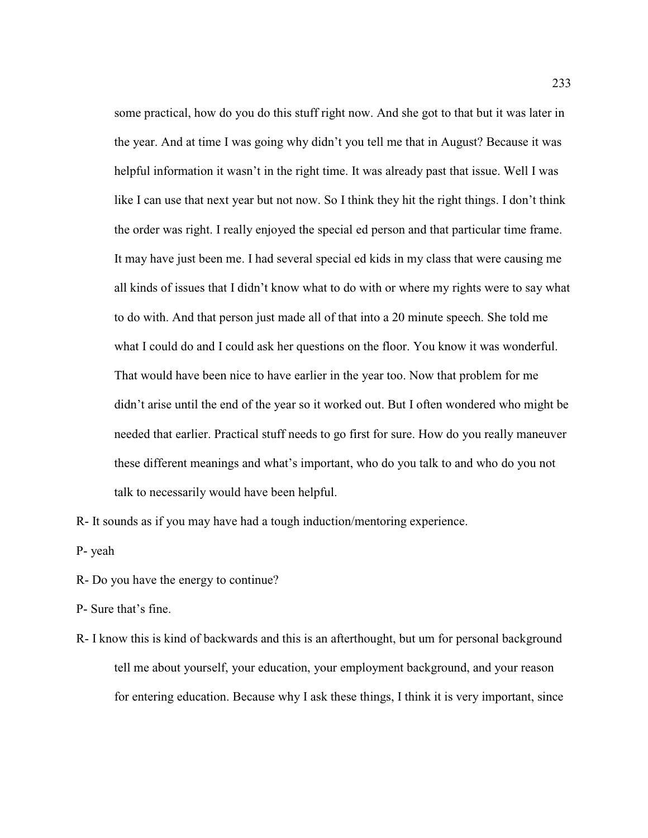some practical, how do you do this stuff right now. And she got to that but it was later in the year. And at time I was going why didn't you tell me that in August? Because it was helpful information it wasn't in the right time. It was already past that issue. Well I was like I can use that next year but not now. So I think they hit the right things. I don't think the order was right. I really enjoyed the special ed person and that particular time frame. It may have just been me. I had several special ed kids in my class that were causing me all kinds of issues that I didn't know what to do with or where my rights were to say what to do with. And that person just made all of that into a 20 minute speech. She told me what I could do and I could ask her questions on the floor. You know it was wonderful. That would have been nice to have earlier in the year too. Now that problem for me didn't arise until the end of the year so it worked out. But I often wondered who might be needed that earlier. Practical stuff needs to go first for sure. How do you really maneuver these different meanings and what's important, who do you talk to and who do you not talk to necessarily would have been helpful.

R- It sounds as if you may have had a tough induction/mentoring experience.

P- yeah

R- Do you have the energy to continue?

P- Sure that's fine.

R- I know this is kind of backwards and this is an afterthought, but um for personal background tell me about yourself, your education, your employment background, and your reason for entering education. Because why I ask these things, I think it is very important, since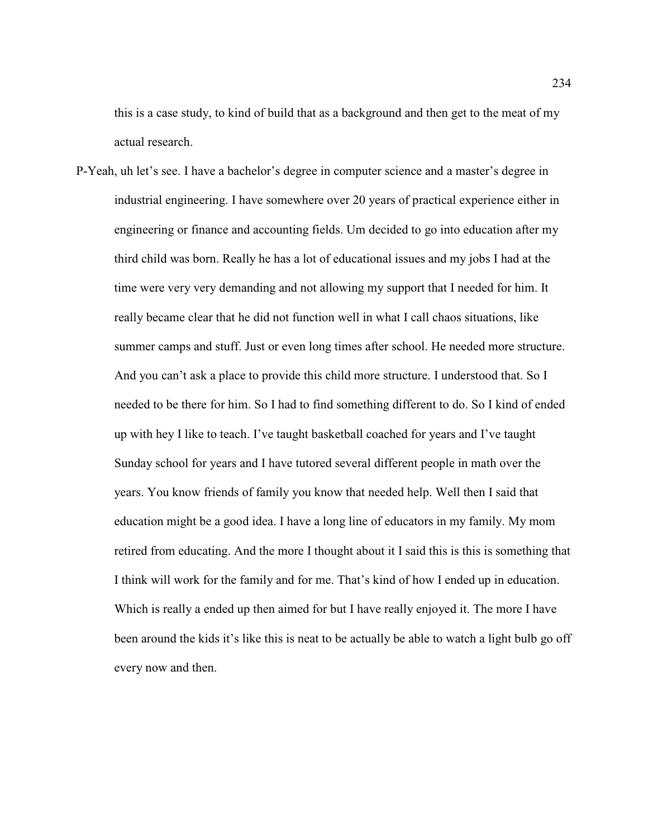this is a case study, to kind of build that as a background and then get to the meat of my actual research.

P-Yeah, uh let's see. I have a bachelor's degree in computer science and a master's degree in industrial engineering. I have somewhere over 20 years of practical experience either in engineering or finance and accounting fields. Um decided to go into education after my third child was born. Really he has a lot of educational issues and my jobs I had at the time were very very demanding and not allowing my support that I needed for him. It really became clear that he did not function well in what I call chaos situations, like summer camps and stuff. Just or even long times after school. He needed more structure. And you can't ask a place to provide this child more structure. I understood that. So I needed to be there for him. So I had to find something different to do. So I kind of ended up with hey I like to teach. I've taught basketball coached for years and I've taught Sunday school for years and I have tutored several different people in math over the years. You know friends of family you know that needed help. Well then I said that education might be a good idea. I have a long line of educators in my family. My mom retired from educating. And the more I thought about it I said this is this is something that I think will work for the family and for me. That's kind of how I ended up in education. Which is really a ended up then aimed for but I have really enjoyed it. The more I have been around the kids it's like this is neat to be actually be able to watch a light bulb go off every now and then.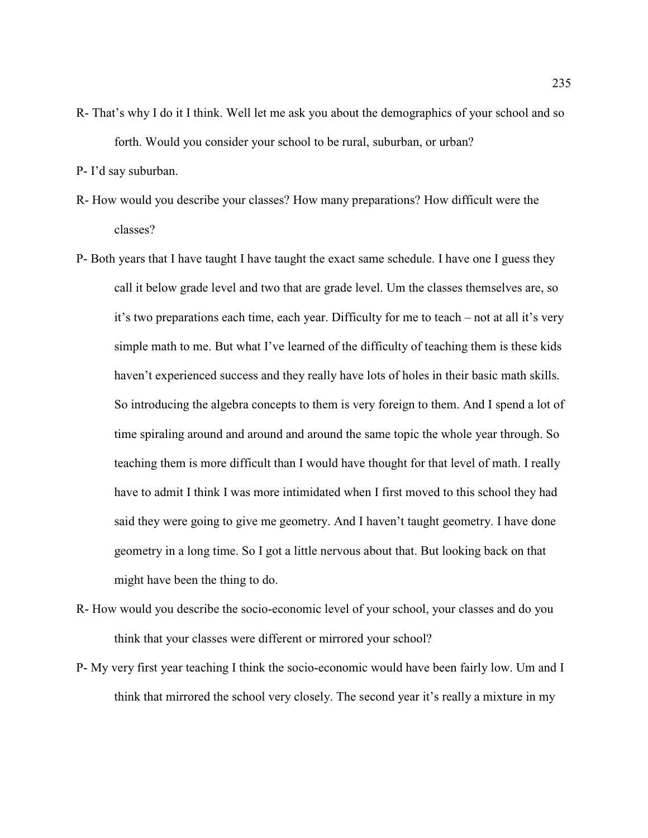- R- That's why I do it I think. Well let me ask you about the demographics of your school and so forth. Would you consider your school to be rural, suburban, or urban?
- P- I'd say suburban.
- R- How would you describe your classes? How many preparations? How difficult were the classes?
- P- Both years that I have taught I have taught the exact same schedule. I have one I guess they call it below grade level and two that are grade level. Um the classes themselves are, so it's two preparations each time, each year. Difficulty for me to teach – not at all it's very simple math to me. But what I've learned of the difficulty of teaching them is these kids haven't experienced success and they really have lots of holes in their basic math skills. So introducing the algebra concepts to them is very foreign to them. And I spend a lot of time spiraling around and around and around the same topic the whole year through. So teaching them is more difficult than I would have thought for that level of math. I really have to admit I think I was more intimidated when I first moved to this school they had said they were going to give me geometry. And I haven't taught geometry. I have done geometry in a long time. So I got a little nervous about that. But looking back on that might have been the thing to do.
- R- How would you describe the socio-economic level of your school, your classes and do you think that your classes were different or mirrored your school?
- P- My very first year teaching I think the socio-economic would have been fairly low. Um and I think that mirrored the school very closely. The second year it's really a mixture in my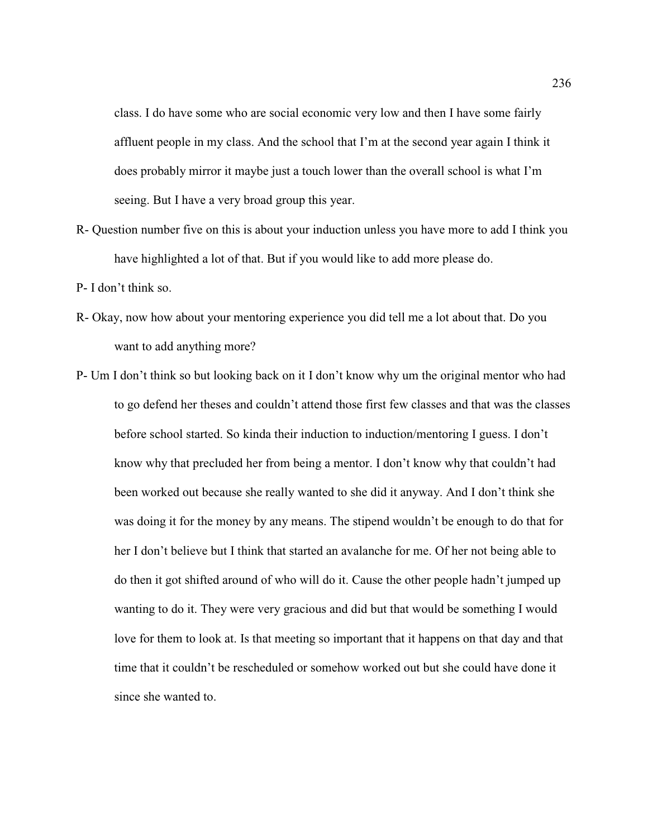class. I do have some who are social economic very low and then I have some fairly affluent people in my class. And the school that I'm at the second year again I think it does probably mirror it maybe just a touch lower than the overall school is what I'm seeing. But I have a very broad group this year.

- R- Question number five on this is about your induction unless you have more to add I think you have highlighted a lot of that. But if you would like to add more please do.
- P- I don't think so.
- R- Okay, now how about your mentoring experience you did tell me a lot about that. Do you want to add anything more?
- P- Um I don't think so but looking back on it I don't know why um the original mentor who had to go defend her theses and couldn't attend those first few classes and that was the classes before school started. So kinda their induction to induction/mentoring I guess. I don't know why that precluded her from being a mentor. I don't know why that couldn't had been worked out because she really wanted to she did it anyway. And I don't think she was doing it for the money by any means. The stipend wouldn't be enough to do that for her I don't believe but I think that started an avalanche for me. Of her not being able to do then it got shifted around of who will do it. Cause the other people hadn't jumped up wanting to do it. They were very gracious and did but that would be something I would love for them to look at. Is that meeting so important that it happens on that day and that time that it couldn't be rescheduled or somehow worked out but she could have done it since she wanted to.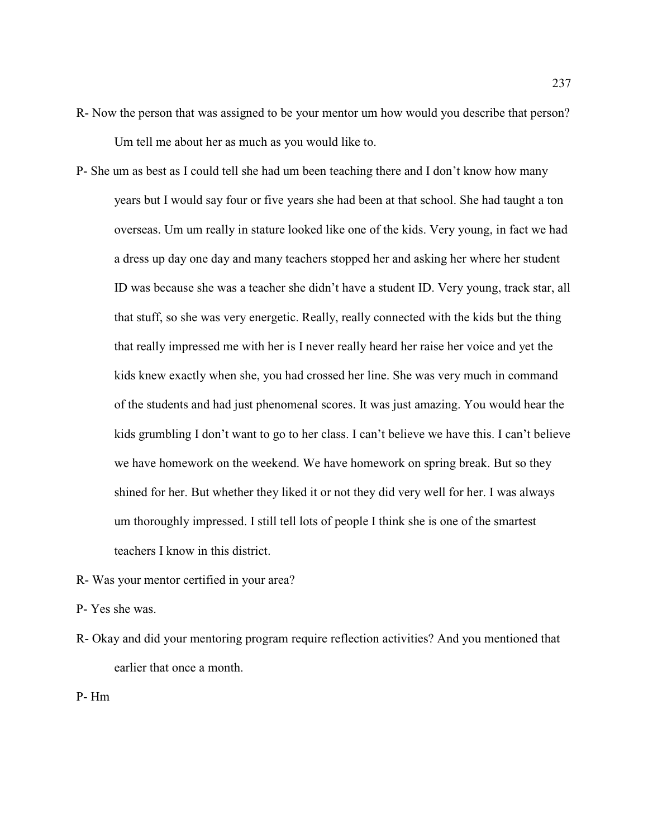- R- Now the person that was assigned to be your mentor um how would you describe that person? Um tell me about her as much as you would like to.
- P- She um as best as I could tell she had um been teaching there and I don't know how many years but I would say four or five years she had been at that school. She had taught a ton overseas. Um um really in stature looked like one of the kids. Very young, in fact we had a dress up day one day and many teachers stopped her and asking her where her student ID was because she was a teacher she didn't have a student ID. Very young, track star, all that stuff, so she was very energetic. Really, really connected with the kids but the thing that really impressed me with her is I never really heard her raise her voice and yet the kids knew exactly when she, you had crossed her line. She was very much in command of the students and had just phenomenal scores. It was just amazing. You would hear the kids grumbling I don't want to go to her class. I can't believe we have this. I can't believe we have homework on the weekend. We have homework on spring break. But so they shined for her. But whether they liked it or not they did very well for her. I was always um thoroughly impressed. I still tell lots of people I think she is one of the smartest teachers I know in this district.
- R- Was your mentor certified in your area?
- P- Yes she was.
- R- Okay and did your mentoring program require reflection activities? And you mentioned that earlier that once a month.
- P- Hm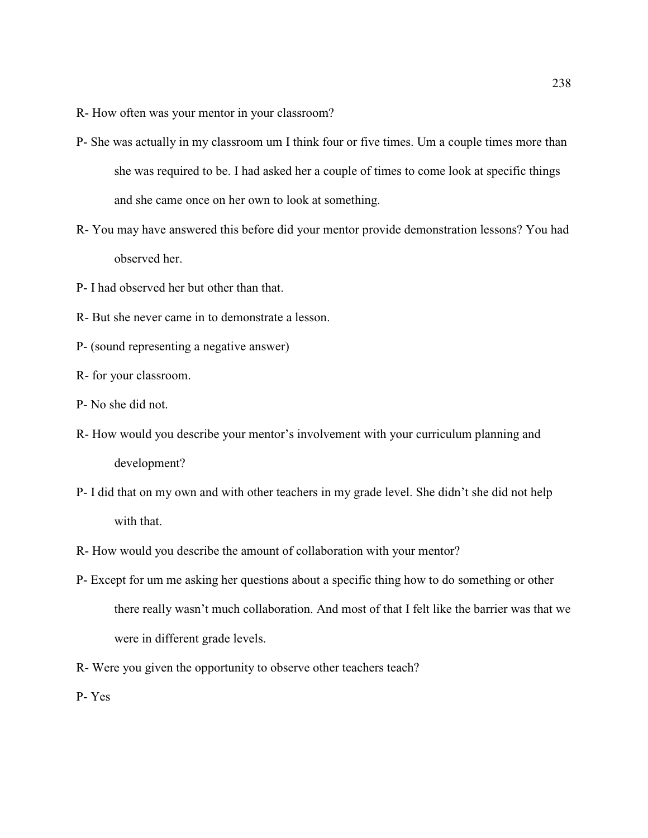R- How often was your mentor in your classroom?

- P- She was actually in my classroom um I think four or five times. Um a couple times more than she was required to be. I had asked her a couple of times to come look at specific things and she came once on her own to look at something.
- R- You may have answered this before did your mentor provide demonstration lessons? You had observed her.
- P- I had observed her but other than that.
- R- But she never came in to demonstrate a lesson.
- P- (sound representing a negative answer)
- R- for your classroom.
- P- No she did not.
- R- How would you describe your mentor's involvement with your curriculum planning and development?
- P- I did that on my own and with other teachers in my grade level. She didn't she did not help with that.
- R- How would you describe the amount of collaboration with your mentor?
- P- Except for um me asking her questions about a specific thing how to do something or other there really wasn't much collaboration. And most of that I felt like the barrier was that we were in different grade levels.
- R- Were you given the opportunity to observe other teachers teach?

P- Yes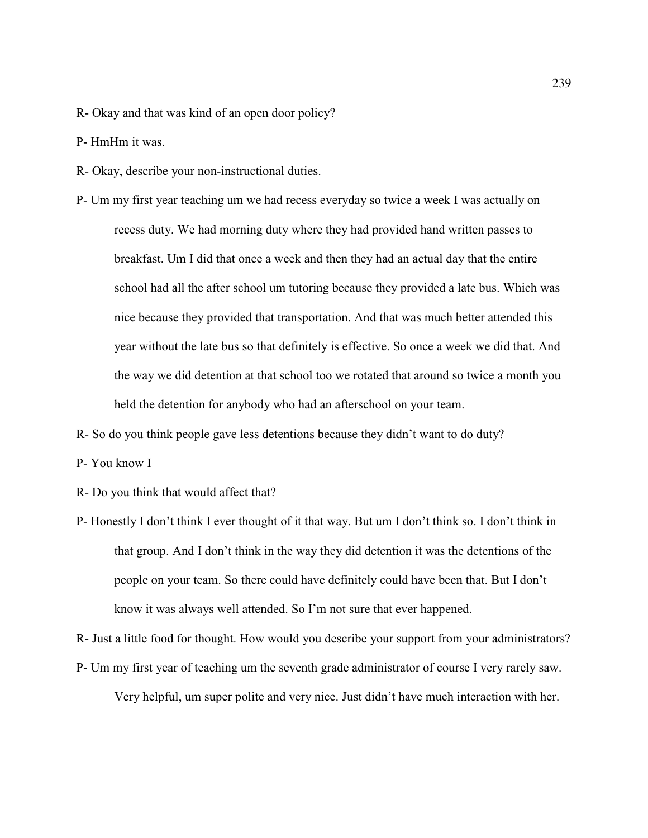- R- Okay and that was kind of an open door policy?
- P- HmHm it was.
- R- Okay, describe your non-instructional duties.
- P- Um my first year teaching um we had recess everyday so twice a week I was actually on recess duty. We had morning duty where they had provided hand written passes to breakfast. Um I did that once a week and then they had an actual day that the entire school had all the after school um tutoring because they provided a late bus. Which was nice because they provided that transportation. And that was much better attended this year without the late bus so that definitely is effective. So once a week we did that. And the way we did detention at that school too we rotated that around so twice a month you held the detention for anybody who had an afterschool on your team.
- R- So do you think people gave less detentions because they didn't want to do duty?
- P- You know I
- R- Do you think that would affect that?
- P- Honestly I don't think I ever thought of it that way. But um I don't think so. I don't think in that group. And I don't think in the way they did detention it was the detentions of the people on your team. So there could have definitely could have been that. But I don't know it was always well attended. So I'm not sure that ever happened.

R- Just a little food for thought. How would you describe your support from your administrators?

P- Um my first year of teaching um the seventh grade administrator of course I very rarely saw.

Very helpful, um super polite and very nice. Just didn't have much interaction with her.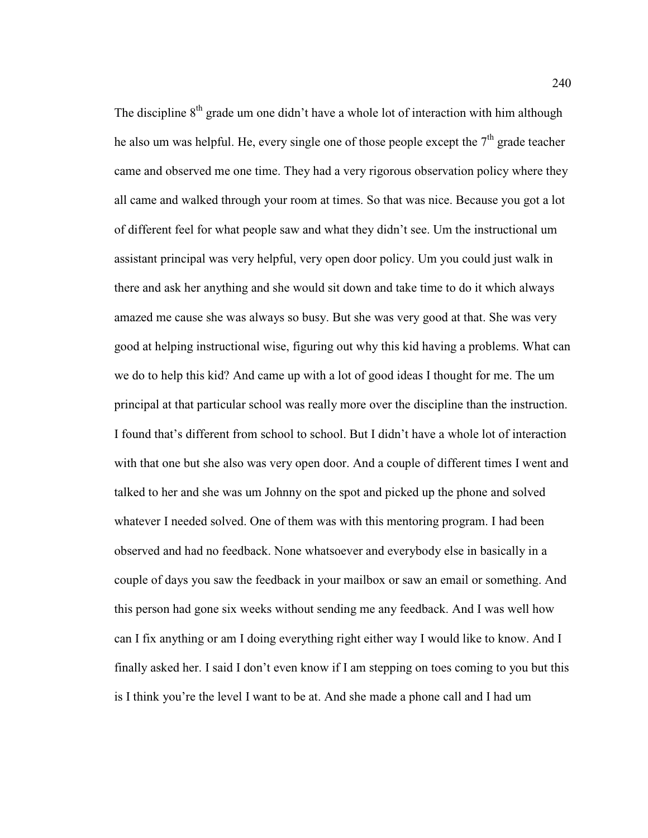The discipline  $8<sup>th</sup>$  grade um one didn't have a whole lot of interaction with him although he also um was helpful. He, every single one of those people except the  $7<sup>th</sup>$  grade teacher came and observed me one time. They had a very rigorous observation policy where they all came and walked through your room at times. So that was nice. Because you got a lot of different feel for what people saw and what they didn't see. Um the instructional um assistant principal was very helpful, very open door policy. Um you could just walk in there and ask her anything and she would sit down and take time to do it which always amazed me cause she was always so busy. But she was very good at that. She was very good at helping instructional wise, figuring out why this kid having a problems. What can we do to help this kid? And came up with a lot of good ideas I thought for me. The um principal at that particular school was really more over the discipline than the instruction. I found that's different from school to school. But I didn't have a whole lot of interaction with that one but she also was very open door. And a couple of different times I went and talked to her and she was um Johnny on the spot and picked up the phone and solved whatever I needed solved. One of them was with this mentoring program. I had been observed and had no feedback. None whatsoever and everybody else in basically in a couple of days you saw the feedback in your mailbox or saw an email or something. And this person had gone six weeks without sending me any feedback. And I was well how can I fix anything or am I doing everything right either way I would like to know. And I finally asked her. I said I don't even know if I am stepping on toes coming to you but this is I think you're the level I want to be at. And she made a phone call and I had um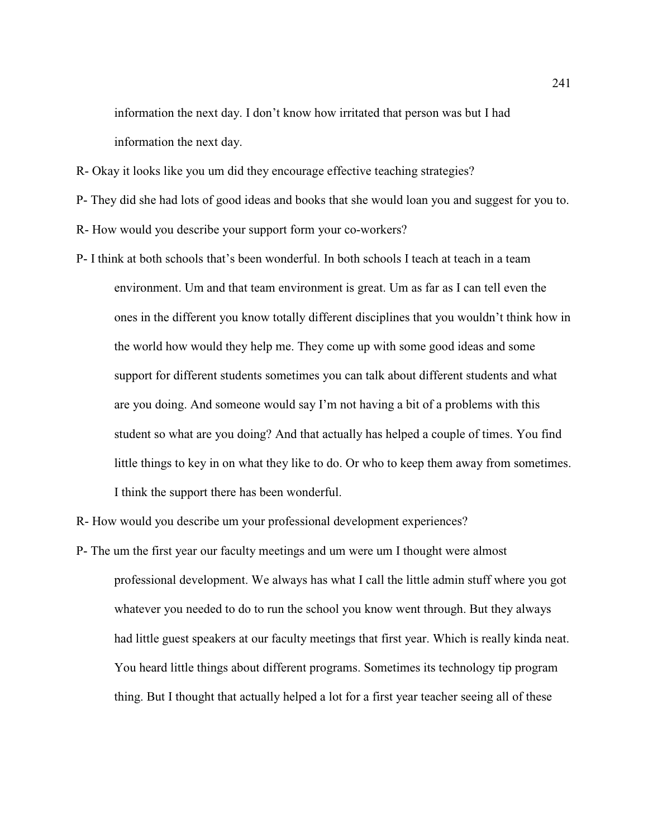information the next day. I don't know how irritated that person was but I had information the next day.

R- Okay it looks like you um did they encourage effective teaching strategies?

P- They did she had lots of good ideas and books that she would loan you and suggest for you to.

R- How would you describe your support form your co-workers?

P- I think at both schools that's been wonderful. In both schools I teach at teach in a team environment. Um and that team environment is great. Um as far as I can tell even the ones in the different you know totally different disciplines that you wouldn't think how in the world how would they help me. They come up with some good ideas and some support for different students sometimes you can talk about different students and what are you doing. And someone would say I'm not having a bit of a problems with this student so what are you doing? And that actually has helped a couple of times. You find little things to key in on what they like to do. Or who to keep them away from sometimes. I think the support there has been wonderful.

R- How would you describe um your professional development experiences?

P- The um the first year our faculty meetings and um were um I thought were almost professional development. We always has what I call the little admin stuff where you got whatever you needed to do to run the school you know went through. But they always had little guest speakers at our faculty meetings that first year. Which is really kinda neat. You heard little things about different programs. Sometimes its technology tip program thing. But I thought that actually helped a lot for a first year teacher seeing all of these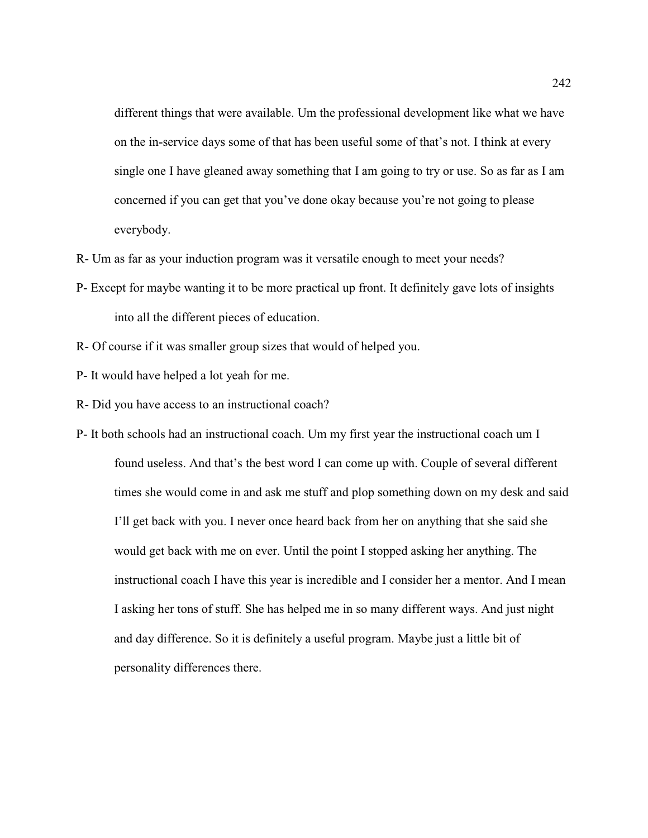different things that were available. Um the professional development like what we have on the in-service days some of that has been useful some of that's not. I think at every single one I have gleaned away something that I am going to try or use. So as far as I am concerned if you can get that you've done okay because you're not going to please everybody.

- R- Um as far as your induction program was it versatile enough to meet your needs?
- P- Except for maybe wanting it to be more practical up front. It definitely gave lots of insights into all the different pieces of education.
- R- Of course if it was smaller group sizes that would of helped you.
- P- It would have helped a lot yeah for me.
- R- Did you have access to an instructional coach?
- P- It both schools had an instructional coach. Um my first year the instructional coach um I found useless. And that's the best word I can come up with. Couple of several different times she would come in and ask me stuff and plop something down on my desk and said I'll get back with you. I never once heard back from her on anything that she said she would get back with me on ever. Until the point I stopped asking her anything. The instructional coach I have this year is incredible and I consider her a mentor. And I mean I asking her tons of stuff. She has helped me in so many different ways. And just night and day difference. So it is definitely a useful program. Maybe just a little bit of personality differences there.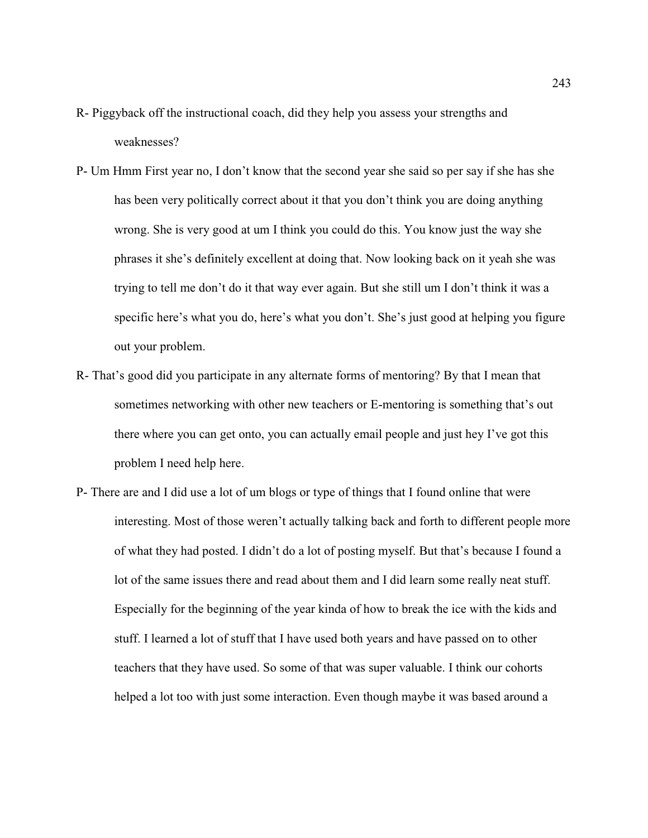- R- Piggyback off the instructional coach, did they help you assess your strengths and weaknesses?
- P- Um Hmm First year no, I don't know that the second year she said so per say if she has she has been very politically correct about it that you don't think you are doing anything wrong. She is very good at um I think you could do this. You know just the way she phrases it she's definitely excellent at doing that. Now looking back on it yeah she was trying to tell me don't do it that way ever again. But she still um I don't think it was a specific here's what you do, here's what you don't. She's just good at helping you figure out your problem.
- R- That's good did you participate in any alternate forms of mentoring? By that I mean that sometimes networking with other new teachers or E-mentoring is something that's out there where you can get onto, you can actually email people and just hey I've got this problem I need help here.
- P- There are and I did use a lot of um blogs or type of things that I found online that were interesting. Most of those weren't actually talking back and forth to different people more of what they had posted. I didn't do a lot of posting myself. But that's because I found a lot of the same issues there and read about them and I did learn some really neat stuff. Especially for the beginning of the year kinda of how to break the ice with the kids and stuff. I learned a lot of stuff that I have used both years and have passed on to other teachers that they have used. So some of that was super valuable. I think our cohorts helped a lot too with just some interaction. Even though maybe it was based around a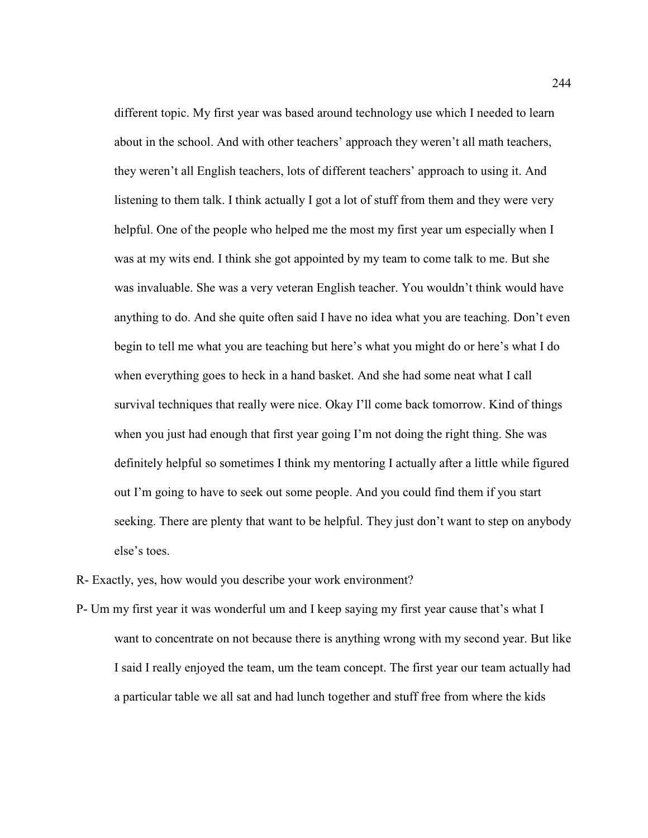different topic. My first year was based around technology use which I needed to learn about in the school. And with other teachers' approach they weren't all math teachers, they weren't all English teachers, lots of different teachers' approach to using it. And listening to them talk. I think actually I got a lot of stuff from them and they were very helpful. One of the people who helped me the most my first year um especially when I was at my wits end. I think she got appointed by my team to come talk to me. But she was invaluable. She was a very veteran English teacher. You wouldn't think would have anything to do. And she quite often said I have no idea what you are teaching. Don't even begin to tell me what you are teaching but here's what you might do or here's what I do when everything goes to heck in a hand basket. And she had some neat what I call survival techniques that really were nice. Okay I'll come back tomorrow. Kind of things when you just had enough that first year going I'm not doing the right thing. She was definitely helpful so sometimes I think my mentoring I actually after a little while figured out I'm going to have to seek out some people. And you could find them if you start seeking. There are plenty that want to be helpful. They just don't want to step on anybody else's toes.

- R- Exactly, yes, how would you describe your work environment?
- P- Um my first year it was wonderful um and I keep saying my first year cause that's what I want to concentrate on not because there is anything wrong with my second year. But like I said I really enjoyed the team, um the team concept. The first year our team actually had a particular table we all sat and had lunch together and stuff free from where the kids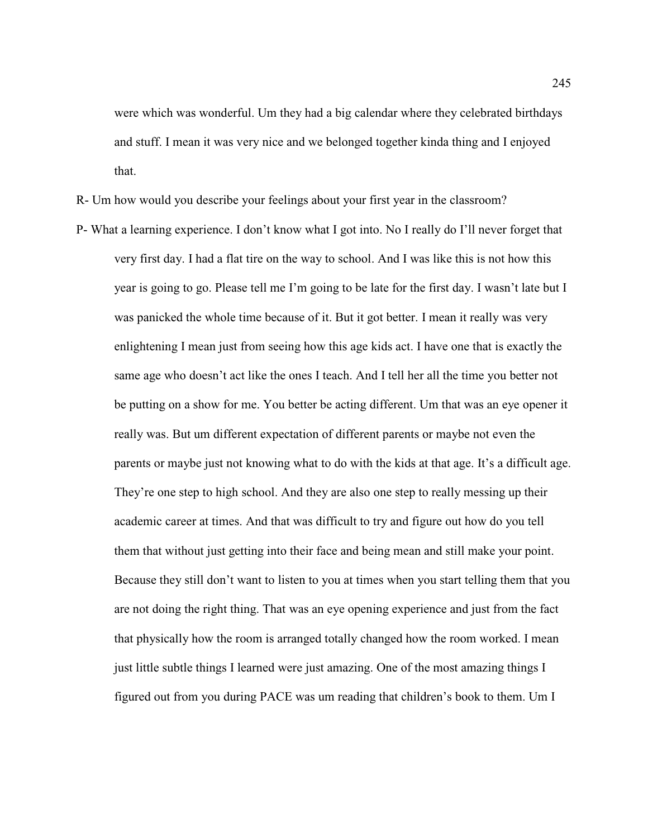were which was wonderful. Um they had a big calendar where they celebrated birthdays and stuff. I mean it was very nice and we belonged together kinda thing and I enjoyed that.

R- Um how would you describe your feelings about your first year in the classroom?

P- What a learning experience. I don't know what I got into. No I really do I'll never forget that very first day. I had a flat tire on the way to school. And I was like this is not how this year is going to go. Please tell me I'm going to be late for the first day. I wasn't late but I was panicked the whole time because of it. But it got better. I mean it really was very enlightening I mean just from seeing how this age kids act. I have one that is exactly the same age who doesn't act like the ones I teach. And I tell her all the time you better not be putting on a show for me. You better be acting different. Um that was an eye opener it really was. But um different expectation of different parents or maybe not even the parents or maybe just not knowing what to do with the kids at that age. It's a difficult age. They're one step to high school. And they are also one step to really messing up their academic career at times. And that was difficult to try and figure out how do you tell them that without just getting into their face and being mean and still make your point. Because they still don't want to listen to you at times when you start telling them that you are not doing the right thing. That was an eye opening experience and just from the fact that physically how the room is arranged totally changed how the room worked. I mean just little subtle things I learned were just amazing. One of the most amazing things I figured out from you during PACE was um reading that children's book to them. Um I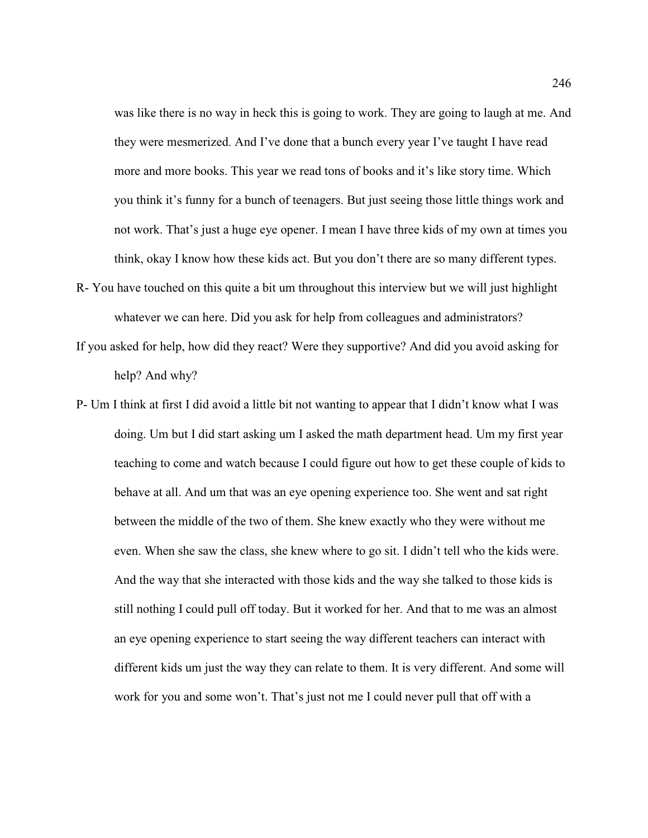was like there is no way in heck this is going to work. They are going to laugh at me. And they were mesmerized. And I've done that a bunch every year I've taught I have read more and more books. This year we read tons of books and it's like story time. Which you think it's funny for a bunch of teenagers. But just seeing those little things work and not work. That's just a huge eye opener. I mean I have three kids of my own at times you think, okay I know how these kids act. But you don't there are so many different types.

- R- You have touched on this quite a bit um throughout this interview but we will just highlight whatever we can here. Did you ask for help from colleagues and administrators?
- If you asked for help, how did they react? Were they supportive? And did you avoid asking for help? And why?
- P- Um I think at first I did avoid a little bit not wanting to appear that I didn't know what I was doing. Um but I did start asking um I asked the math department head. Um my first year teaching to come and watch because I could figure out how to get these couple of kids to behave at all. And um that was an eye opening experience too. She went and sat right between the middle of the two of them. She knew exactly who they were without me even. When she saw the class, she knew where to go sit. I didn't tell who the kids were. And the way that she interacted with those kids and the way she talked to those kids is still nothing I could pull off today. But it worked for her. And that to me was an almost an eye opening experience to start seeing the way different teachers can interact with different kids um just the way they can relate to them. It is very different. And some will work for you and some won't. That's just not me I could never pull that off with a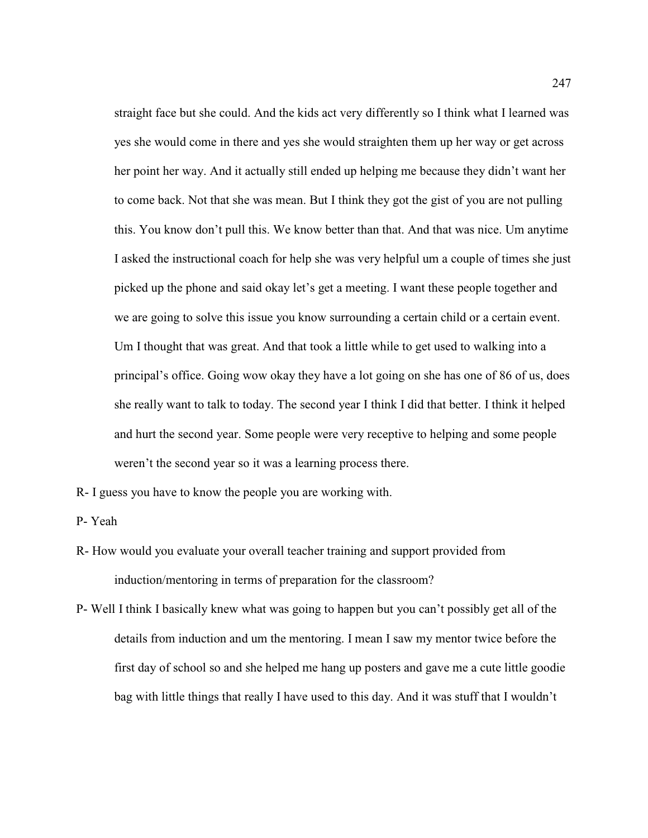straight face but she could. And the kids act very differently so I think what I learned was yes she would come in there and yes she would straighten them up her way or get across her point her way. And it actually still ended up helping me because they didn't want her to come back. Not that she was mean. But I think they got the gist of you are not pulling this. You know don't pull this. We know better than that. And that was nice. Um anytime I asked the instructional coach for help she was very helpful um a couple of times she just picked up the phone and said okay let's get a meeting. I want these people together and we are going to solve this issue you know surrounding a certain child or a certain event. Um I thought that was great. And that took a little while to get used to walking into a principal's office. Going wow okay they have a lot going on she has one of 86 of us, does she really want to talk to today. The second year I think I did that better. I think it helped and hurt the second year. Some people were very receptive to helping and some people weren't the second year so it was a learning process there.

R- I guess you have to know the people you are working with.

P- Yeah

- R- How would you evaluate your overall teacher training and support provided from induction/mentoring in terms of preparation for the classroom?
- P- Well I think I basically knew what was going to happen but you can't possibly get all of the details from induction and um the mentoring. I mean I saw my mentor twice before the first day of school so and she helped me hang up posters and gave me a cute little goodie bag with little things that really I have used to this day. And it was stuff that I wouldn't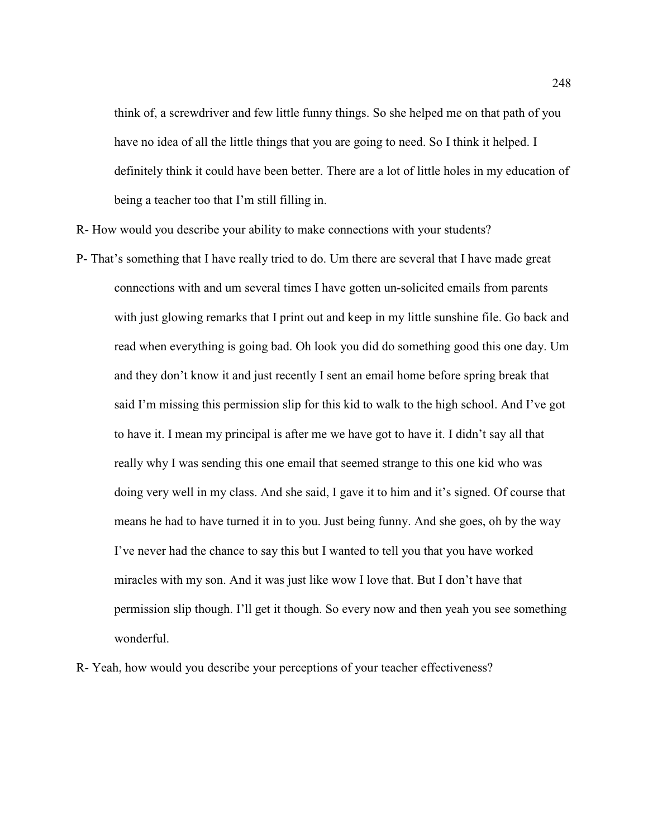think of, a screwdriver and few little funny things. So she helped me on that path of you have no idea of all the little things that you are going to need. So I think it helped. I definitely think it could have been better. There are a lot of little holes in my education of being a teacher too that I'm still filling in.

R- How would you describe your ability to make connections with your students?

P- That's something that I have really tried to do. Um there are several that I have made great connections with and um several times I have gotten un-solicited emails from parents with just glowing remarks that I print out and keep in my little sunshine file. Go back and read when everything is going bad. Oh look you did do something good this one day. Um and they don't know it and just recently I sent an email home before spring break that said I'm missing this permission slip for this kid to walk to the high school. And I've got to have it. I mean my principal is after me we have got to have it. I didn't say all that really why I was sending this one email that seemed strange to this one kid who was doing very well in my class. And she said, I gave it to him and it's signed. Of course that means he had to have turned it in to you. Just being funny. And she goes, oh by the way I've never had the chance to say this but I wanted to tell you that you have worked miracles with my son. And it was just like wow I love that. But I don't have that permission slip though. I'll get it though. So every now and then yeah you see something wonderful.

R- Yeah, how would you describe your perceptions of your teacher effectiveness?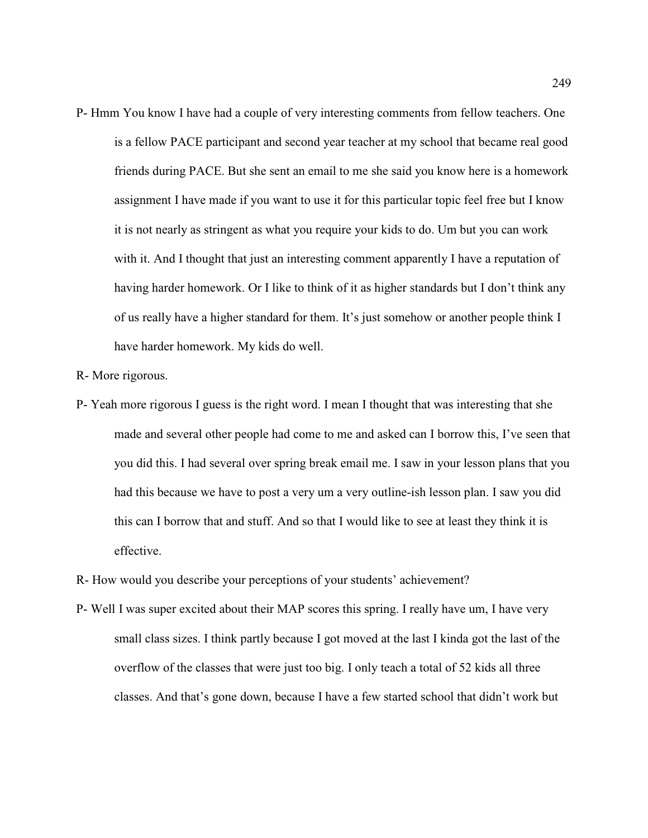- P- Hmm You know I have had a couple of very interesting comments from fellow teachers. One is a fellow PACE participant and second year teacher at my school that became real good friends during PACE. But she sent an email to me she said you know here is a homework assignment I have made if you want to use it for this particular topic feel free but I know it is not nearly as stringent as what you require your kids to do. Um but you can work with it. And I thought that just an interesting comment apparently I have a reputation of having harder homework. Or I like to think of it as higher standards but I don't think any of us really have a higher standard for them. It's just somehow or another people think I have harder homework. My kids do well.
- R- More rigorous.
- P- Yeah more rigorous I guess is the right word. I mean I thought that was interesting that she made and several other people had come to me and asked can I borrow this, I've seen that you did this. I had several over spring break email me. I saw in your lesson plans that you had this because we have to post a very um a very outline-ish lesson plan. I saw you did this can I borrow that and stuff. And so that I would like to see at least they think it is effective.
- R- How would you describe your perceptions of your students' achievement?
- P- Well I was super excited about their MAP scores this spring. I really have um, I have very small class sizes. I think partly because I got moved at the last I kinda got the last of the overflow of the classes that were just too big. I only teach a total of 52 kids all three classes. And that's gone down, because I have a few started school that didn't work but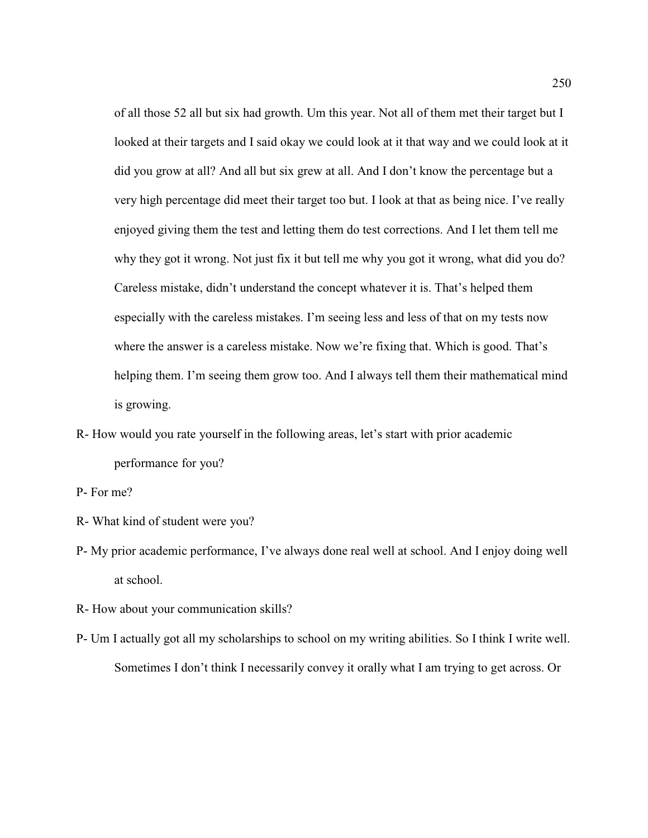of all those 52 all but six had growth. Um this year. Not all of them met their target but I looked at their targets and I said okay we could look at it that way and we could look at it did you grow at all? And all but six grew at all. And I don't know the percentage but a very high percentage did meet their target too but. I look at that as being nice. I've really enjoyed giving them the test and letting them do test corrections. And I let them tell me why they got it wrong. Not just fix it but tell me why you got it wrong, what did you do? Careless mistake, didn't understand the concept whatever it is. That's helped them especially with the careless mistakes. I'm seeing less and less of that on my tests now where the answer is a careless mistake. Now we're fixing that. Which is good. That's helping them. I'm seeing them grow too. And I always tell them their mathematical mind is growing.

- R- How would you rate yourself in the following areas, let's start with prior academic performance for you?
- P- For me?
- R- What kind of student were you?
- P- My prior academic performance, I've always done real well at school. And I enjoy doing well at school.
- R- How about your communication skills?
- P- Um I actually got all my scholarships to school on my writing abilities. So I think I write well. Sometimes I don't think I necessarily convey it orally what I am trying to get across. Or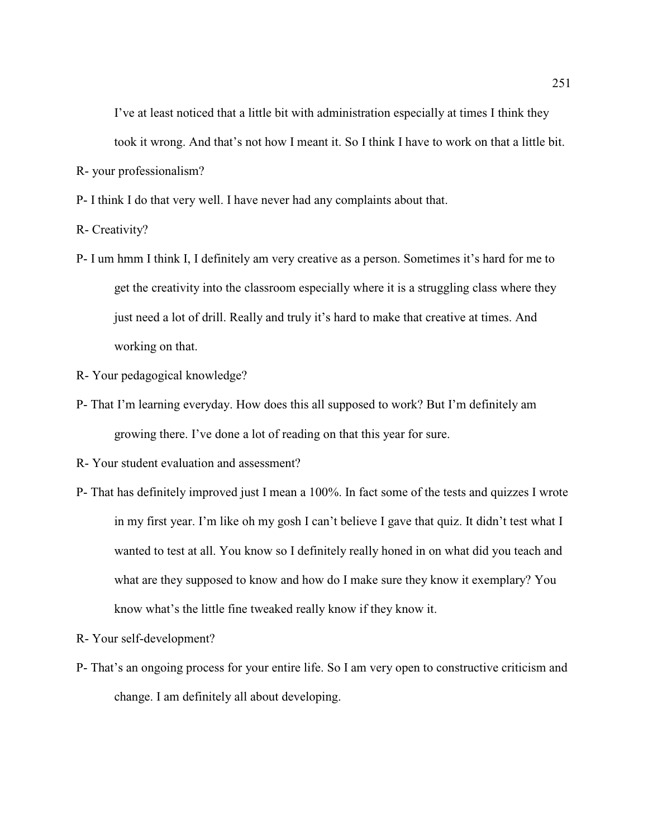I've at least noticed that a little bit with administration especially at times I think they took it wrong. And that's not how I meant it. So I think I have to work on that a little bit.

R- your professionalism?

P- I think I do that very well. I have never had any complaints about that.

R- Creativity?

P- I um hmm I think I, I definitely am very creative as a person. Sometimes it's hard for me to get the creativity into the classroom especially where it is a struggling class where they just need a lot of drill. Really and truly it's hard to make that creative at times. And working on that.

R- Your pedagogical knowledge?

P- That I'm learning everyday. How does this all supposed to work? But I'm definitely am growing there. I've done a lot of reading on that this year for sure.

R- Your student evaluation and assessment?

P- That has definitely improved just I mean a 100%. In fact some of the tests and quizzes I wrote in my first year. I'm like oh my gosh I can't believe I gave that quiz. It didn't test what I wanted to test at all. You know so I definitely really honed in on what did you teach and what are they supposed to know and how do I make sure they know it exemplary? You know what's the little fine tweaked really know if they know it.

R- Your self-development?

P- That's an ongoing process for your entire life. So I am very open to constructive criticism and change. I am definitely all about developing.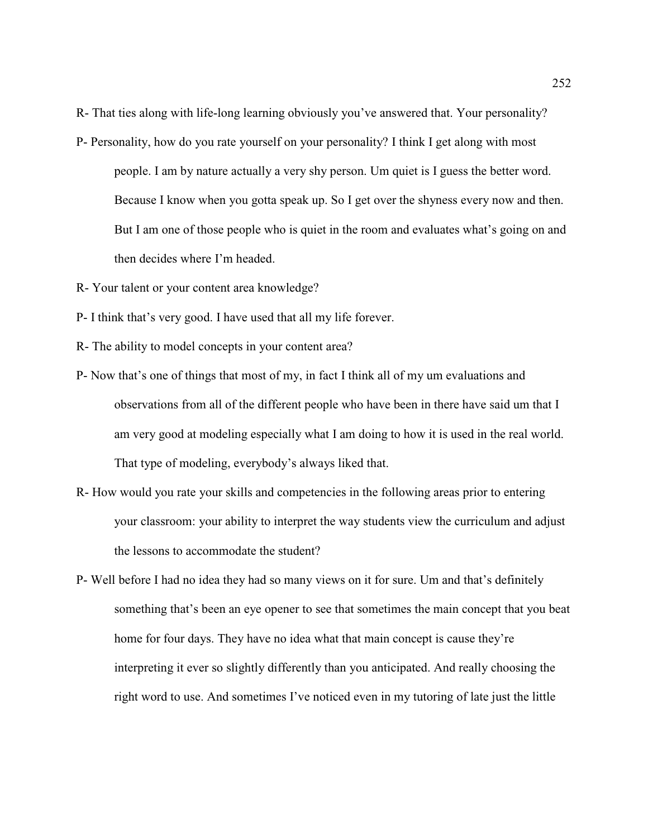R- That ties along with life-long learning obviously you've answered that. Your personality?

- P- Personality, how do you rate yourself on your personality? I think I get along with most people. I am by nature actually a very shy person. Um quiet is I guess the better word. Because I know when you gotta speak up. So I get over the shyness every now and then. But I am one of those people who is quiet in the room and evaluates what's going on and then decides where I'm headed.
- R- Your talent or your content area knowledge?
- P- I think that's very good. I have used that all my life forever.
- R- The ability to model concepts in your content area?
- P- Now that's one of things that most of my, in fact I think all of my um evaluations and observations from all of the different people who have been in there have said um that I am very good at modeling especially what I am doing to how it is used in the real world. That type of modeling, everybody's always liked that.
- R- How would you rate your skills and competencies in the following areas prior to entering your classroom: your ability to interpret the way students view the curriculum and adjust the lessons to accommodate the student?
- P- Well before I had no idea they had so many views on it for sure. Um and that's definitely something that's been an eye opener to see that sometimes the main concept that you beat home for four days. They have no idea what that main concept is cause they're interpreting it ever so slightly differently than you anticipated. And really choosing the right word to use. And sometimes I've noticed even in my tutoring of late just the little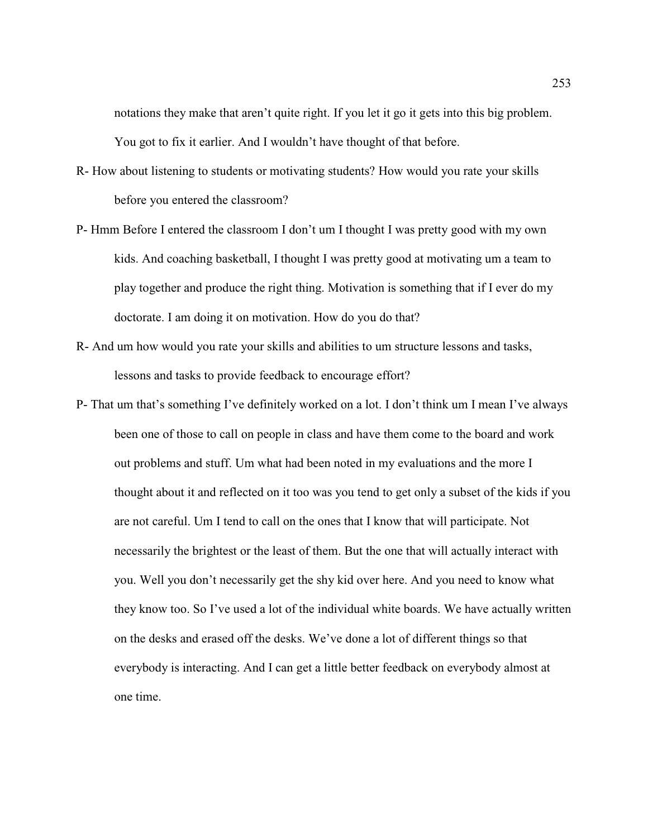notations they make that aren't quite right. If you let it go it gets into this big problem. You got to fix it earlier. And I wouldn't have thought of that before.

- R- How about listening to students or motivating students? How would you rate your skills before you entered the classroom?
- P- Hmm Before I entered the classroom I don't um I thought I was pretty good with my own kids. And coaching basketball, I thought I was pretty good at motivating um a team to play together and produce the right thing. Motivation is something that if I ever do my doctorate. I am doing it on motivation. How do you do that?
- R- And um how would you rate your skills and abilities to um structure lessons and tasks, lessons and tasks to provide feedback to encourage effort?
- P- That um that's something I've definitely worked on a lot. I don't think um I mean I've always been one of those to call on people in class and have them come to the board and work out problems and stuff. Um what had been noted in my evaluations and the more I thought about it and reflected on it too was you tend to get only a subset of the kids if you are not careful. Um I tend to call on the ones that I know that will participate. Not necessarily the brightest or the least of them. But the one that will actually interact with you. Well you don't necessarily get the shy kid over here. And you need to know what they know too. So I've used a lot of the individual white boards. We have actually written on the desks and erased off the desks. We've done a lot of different things so that everybody is interacting. And I can get a little better feedback on everybody almost at one time.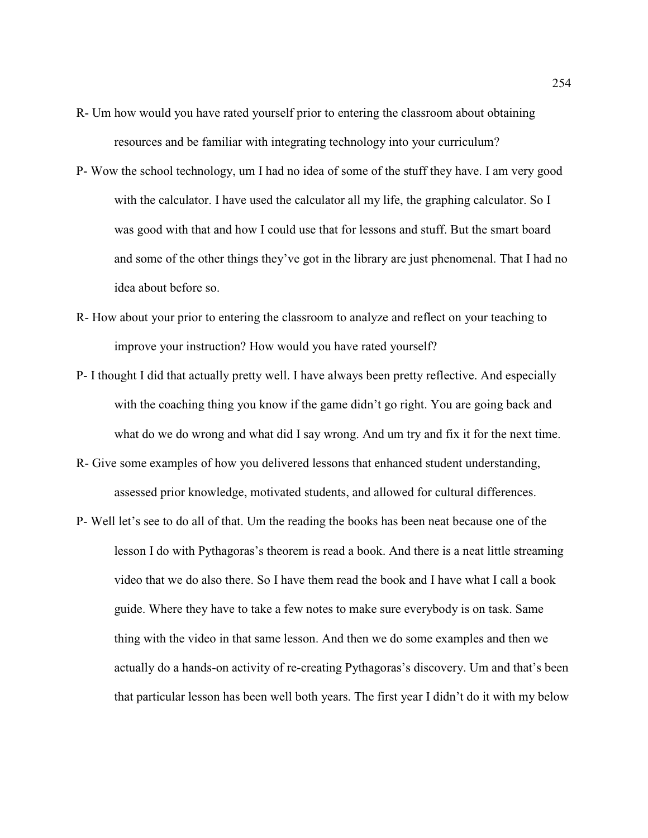- R- Um how would you have rated yourself prior to entering the classroom about obtaining resources and be familiar with integrating technology into your curriculum?
- P- Wow the school technology, um I had no idea of some of the stuff they have. I am very good with the calculator. I have used the calculator all my life, the graphing calculator. So I was good with that and how I could use that for lessons and stuff. But the smart board and some of the other things they've got in the library are just phenomenal. That I had no idea about before so.
- R- How about your prior to entering the classroom to analyze and reflect on your teaching to improve your instruction? How would you have rated yourself?
- P- I thought I did that actually pretty well. I have always been pretty reflective. And especially with the coaching thing you know if the game didn't go right. You are going back and what do we do wrong and what did I say wrong. And um try and fix it for the next time.
- R- Give some examples of how you delivered lessons that enhanced student understanding, assessed prior knowledge, motivated students, and allowed for cultural differences.
- P- Well let's see to do all of that. Um the reading the books has been neat because one of the lesson I do with Pythagoras's theorem is read a book. And there is a neat little streaming video that we do also there. So I have them read the book and I have what I call a book guide. Where they have to take a few notes to make sure everybody is on task. Same thing with the video in that same lesson. And then we do some examples and then we actually do a hands-on activity of re-creating Pythagoras's discovery. Um and that's been that particular lesson has been well both years. The first year I didn't do it with my below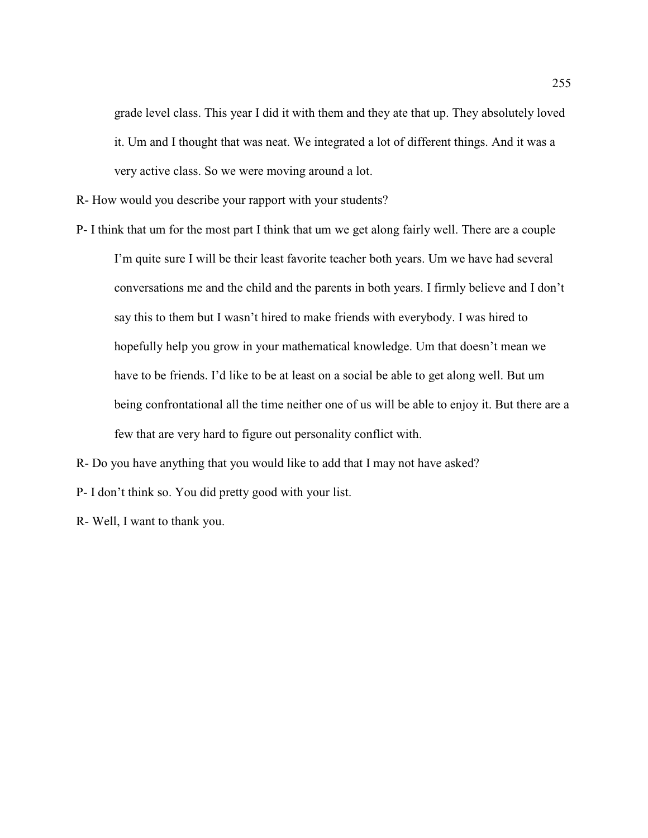grade level class. This year I did it with them and they ate that up. They absolutely loved it. Um and I thought that was neat. We integrated a lot of different things. And it was a very active class. So we were moving around a lot.

R- How would you describe your rapport with your students?

P- I think that um for the most part I think that um we get along fairly well. There are a couple I'm quite sure I will be their least favorite teacher both years. Um we have had several conversations me and the child and the parents in both years. I firmly believe and I don't say this to them but I wasn't hired to make friends with everybody. I was hired to hopefully help you grow in your mathematical knowledge. Um that doesn't mean we have to be friends. I'd like to be at least on a social be able to get along well. But um being confrontational all the time neither one of us will be able to enjoy it. But there are a few that are very hard to figure out personality conflict with.

R- Do you have anything that you would like to add that I may not have asked?

P- I don't think so. You did pretty good with your list.

R- Well, I want to thank you.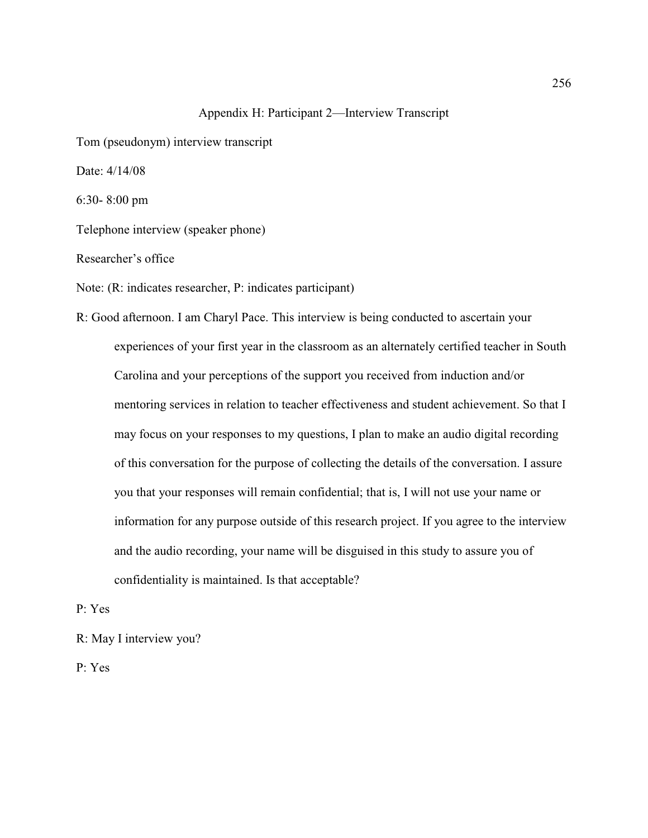## Appendix H: Participant 2—Interview Transcript

Tom (pseudonym) interview transcript

Date: 4/14/08

6:30- 8:00 pm

Telephone interview (speaker phone)

Researcher's office

Note: (R: indicates researcher, P: indicates participant)

R: Good afternoon. I am Charyl Pace. This interview is being conducted to ascertain your experiences of your first year in the classroom as an alternately certified teacher in South Carolina and your perceptions of the support you received from induction and/or mentoring services in relation to teacher effectiveness and student achievement. So that I may focus on your responses to my questions, I plan to make an audio digital recording of this conversation for the purpose of collecting the details of the conversation. I assure you that your responses will remain confidential; that is, I will not use your name or information for any purpose outside of this research project. If you agree to the interview and the audio recording, your name will be disguised in this study to assure you of confidentiality is maintained. Is that acceptable?

P: Yes

R: May I interview you?

P: Yes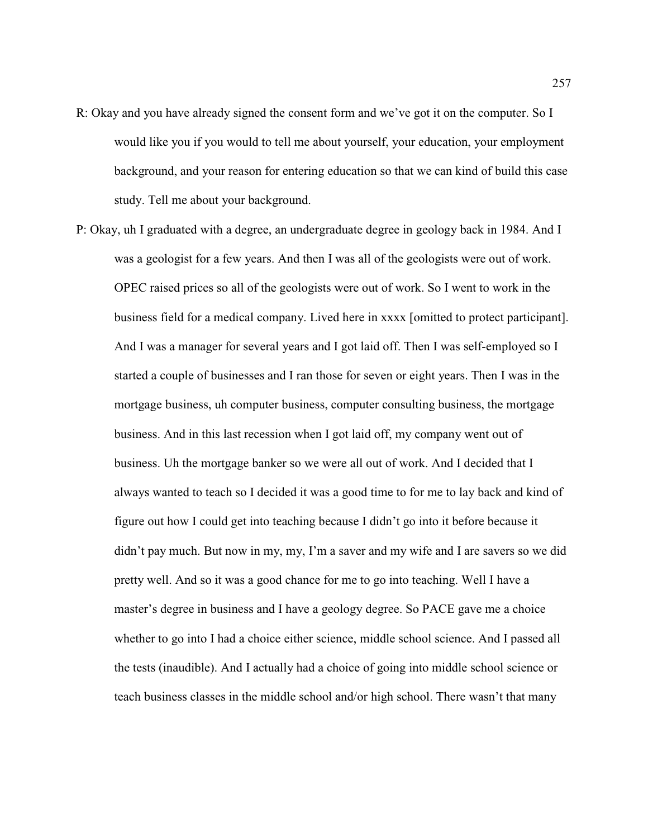- R: Okay and you have already signed the consent form and we've got it on the computer. So I would like you if you would to tell me about yourself, your education, your employment background, and your reason for entering education so that we can kind of build this case study. Tell me about your background.
- P: Okay, uh I graduated with a degree, an undergraduate degree in geology back in 1984. And I was a geologist for a few years. And then I was all of the geologists were out of work. OPEC raised prices so all of the geologists were out of work. So I went to work in the business field for a medical company. Lived here in xxxx [omitted to protect participant]. And I was a manager for several years and I got laid off. Then I was self-employed so I started a couple of businesses and I ran those for seven or eight years. Then I was in the mortgage business, uh computer business, computer consulting business, the mortgage business. And in this last recession when I got laid off, my company went out of business. Uh the mortgage banker so we were all out of work. And I decided that I always wanted to teach so I decided it was a good time to for me to lay back and kind of figure out how I could get into teaching because I didn't go into it before because it didn't pay much. But now in my, my, I'm a saver and my wife and I are savers so we did pretty well. And so it was a good chance for me to go into teaching. Well I have a master's degree in business and I have a geology degree. So PACE gave me a choice whether to go into I had a choice either science, middle school science. And I passed all the tests (inaudible). And I actually had a choice of going into middle school science or teach business classes in the middle school and/or high school. There wasn't that many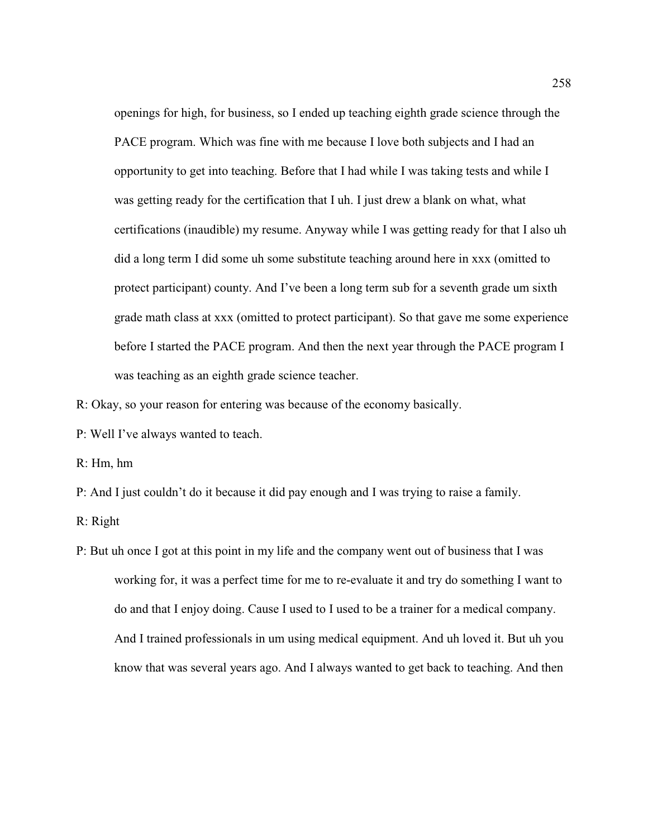openings for high, for business, so I ended up teaching eighth grade science through the PACE program. Which was fine with me because I love both subjects and I had an opportunity to get into teaching. Before that I had while I was taking tests and while I was getting ready for the certification that I uh. I just drew a blank on what, what certifications (inaudible) my resume. Anyway while I was getting ready for that I also uh did a long term I did some uh some substitute teaching around here in xxx (omitted to protect participant) county. And I've been a long term sub for a seventh grade um sixth grade math class at xxx (omitted to protect participant). So that gave me some experience before I started the PACE program. And then the next year through the PACE program I was teaching as an eighth grade science teacher.

R: Okay, so your reason for entering was because of the economy basically.

P: Well I've always wanted to teach.

R: Hm, hm

P: And I just couldn't do it because it did pay enough and I was trying to raise a family.

R: Right

P: But uh once I got at this point in my life and the company went out of business that I was working for, it was a perfect time for me to re-evaluate it and try do something I want to do and that I enjoy doing. Cause I used to I used to be a trainer for a medical company. And I trained professionals in um using medical equipment. And uh loved it. But uh you know that was several years ago. And I always wanted to get back to teaching. And then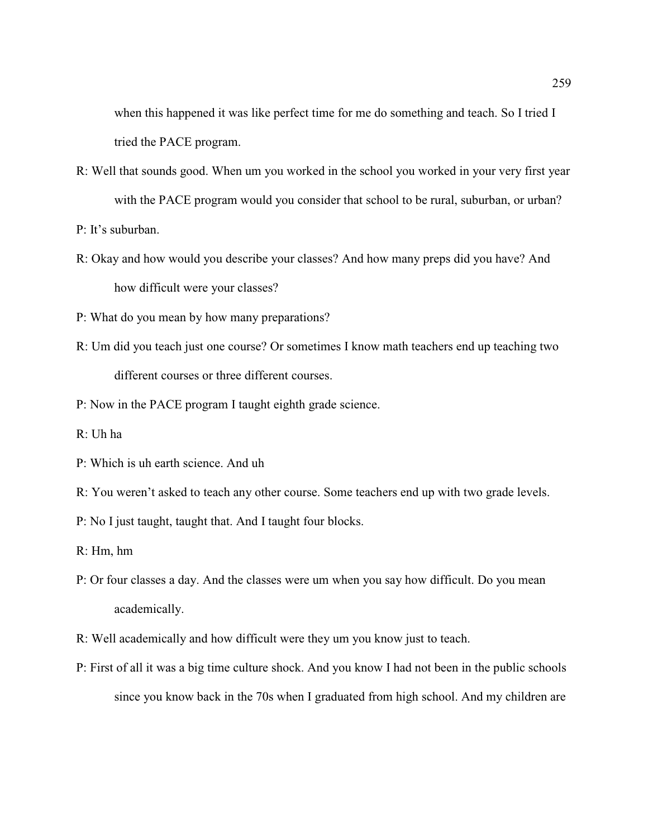when this happened it was like perfect time for me do something and teach. So I tried I tried the PACE program.

- R: Well that sounds good. When um you worked in the school you worked in your very first year with the PACE program would you consider that school to be rural, suburban, or urban?
- P: It's suburban.
- R: Okay and how would you describe your classes? And how many preps did you have? And how difficult were your classes?
- P: What do you mean by how many preparations?
- R: Um did you teach just one course? Or sometimes I know math teachers end up teaching two different courses or three different courses.
- P: Now in the PACE program I taught eighth grade science.
- R: Uh ha
- P: Which is uh earth science. And uh
- R: You weren't asked to teach any other course. Some teachers end up with two grade levels.
- P: No I just taught, taught that. And I taught four blocks.
- R: Hm, hm
- P: Or four classes a day. And the classes were um when you say how difficult. Do you mean academically.
- R: Well academically and how difficult were they um you know just to teach.
- P: First of all it was a big time culture shock. And you know I had not been in the public schools since you know back in the 70s when I graduated from high school. And my children are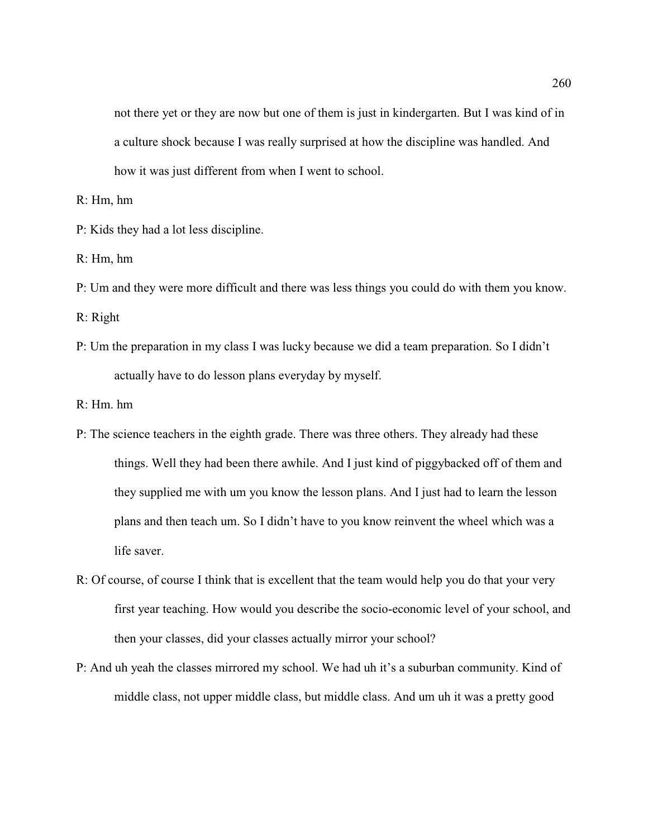not there yet or they are now but one of them is just in kindergarten. But I was kind of in a culture shock because I was really surprised at how the discipline was handled. And how it was just different from when I went to school.

R: Hm, hm

- P: Kids they had a lot less discipline.
- R: Hm, hm
- P: Um and they were more difficult and there was less things you could do with them you know.

R: Right

P: Um the preparation in my class I was lucky because we did a team preparation. So I didn't actually have to do lesson plans everyday by myself.

R: Hm. hm

- P: The science teachers in the eighth grade. There was three others. They already had these things. Well they had been there awhile. And I just kind of piggybacked off of them and they supplied me with um you know the lesson plans. And I just had to learn the lesson plans and then teach um. So I didn't have to you know reinvent the wheel which was a life saver.
- R: Of course, of course I think that is excellent that the team would help you do that your very first year teaching. How would you describe the socio-economic level of your school, and then your classes, did your classes actually mirror your school?
- P: And uh yeah the classes mirrored my school. We had uh it's a suburban community. Kind of middle class, not upper middle class, but middle class. And um uh it was a pretty good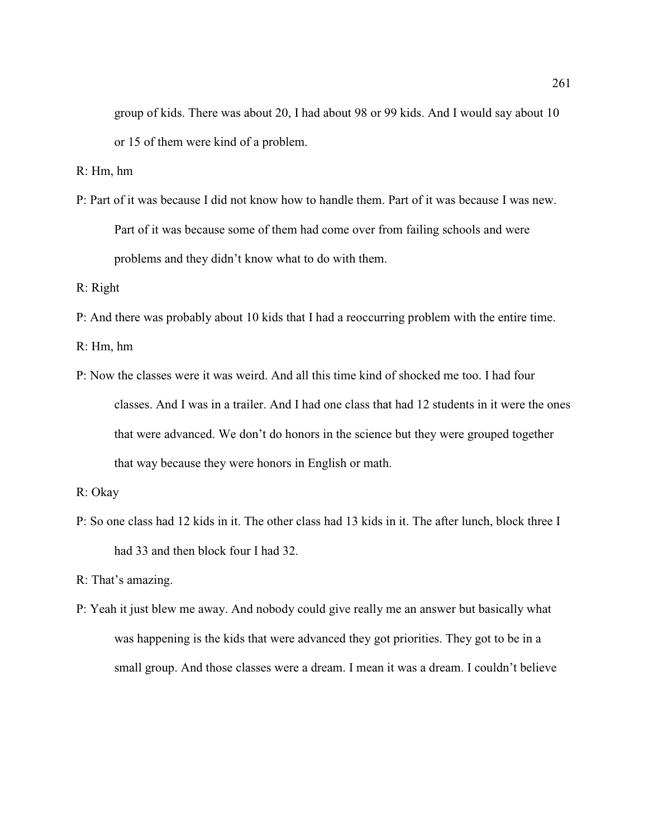group of kids. There was about 20, I had about 98 or 99 kids. And I would say about 10 or 15 of them were kind of a problem.

R: Hm, hm

P: Part of it was because I did not know how to handle them. Part of it was because I was new. Part of it was because some of them had come over from failing schools and were problems and they didn't know what to do with them.

R: Right

P: And there was probably about 10 kids that I had a reoccurring problem with the entire time.

R: Hm, hm

P: Now the classes were it was weird. And all this time kind of shocked me too. I had four classes. And I was in a trailer. And I had one class that had 12 students in it were the ones that were advanced. We don't do honors in the science but they were grouped together that way because they were honors in English or math.

P: So one class had 12 kids in it. The other class had 13 kids in it. The after lunch, block three I had 33 and then block four I had 32.

R: That's amazing.

P: Yeah it just blew me away. And nobody could give really me an answer but basically what was happening is the kids that were advanced they got priorities. They got to be in a small group. And those classes were a dream. I mean it was a dream. I couldn't believe

R: Okay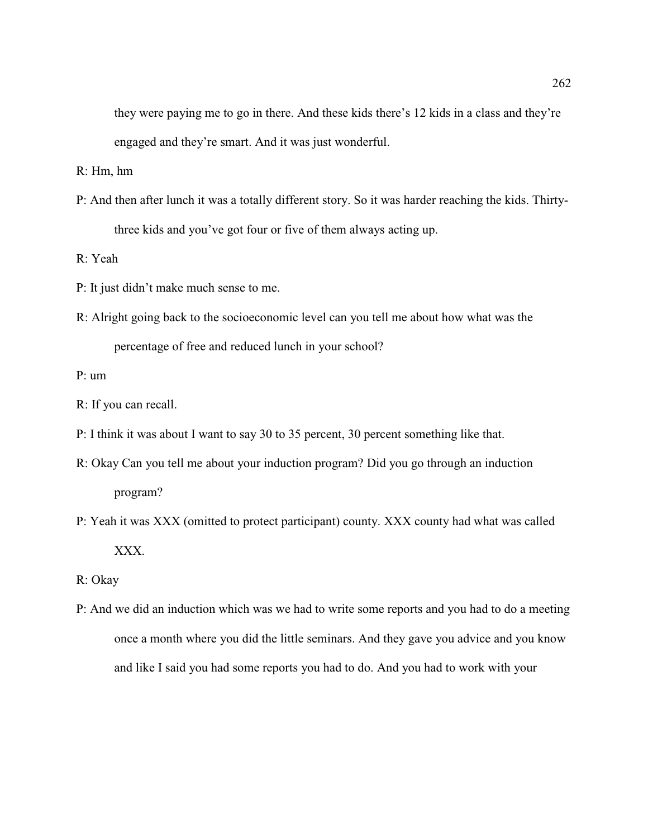they were paying me to go in there. And these kids there's 12 kids in a class and they're engaged and they're smart. And it was just wonderful.

R: Hm, hm

P: And then after lunch it was a totally different story. So it was harder reaching the kids. Thirtythree kids and you've got four or five of them always acting up.

R: Yeah

- P: It just didn't make much sense to me.
- R: Alright going back to the socioeconomic level can you tell me about how what was the percentage of free and reduced lunch in your school?

P: um

- R: If you can recall.
- P: I think it was about I want to say 30 to 35 percent, 30 percent something like that.
- R: Okay Can you tell me about your induction program? Did you go through an induction program?
- P: Yeah it was XXX (omitted to protect participant) county. XXX county had what was called XXX.
- R: Okay
- P: And we did an induction which was we had to write some reports and you had to do a meeting once a month where you did the little seminars. And they gave you advice and you know and like I said you had some reports you had to do. And you had to work with your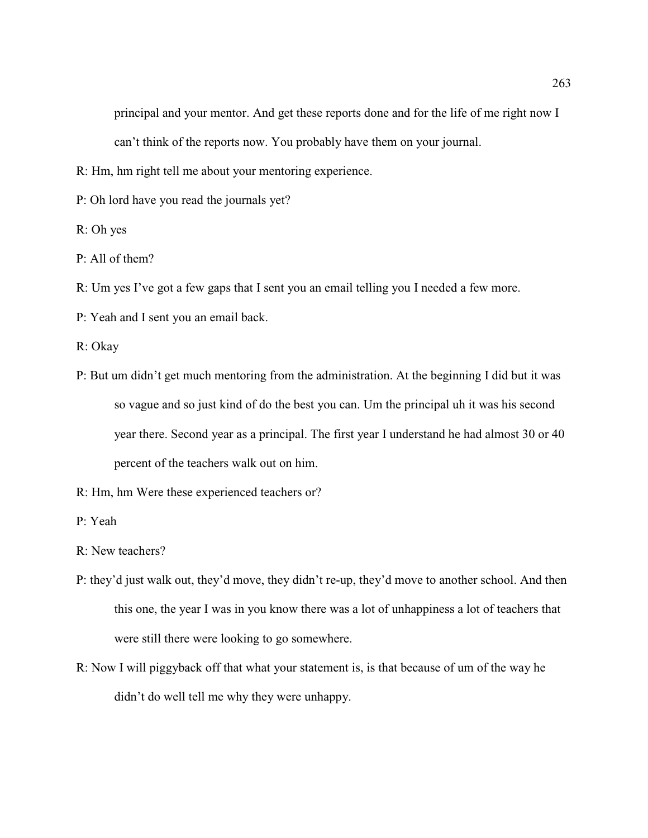principal and your mentor. And get these reports done and for the life of me right now I can't think of the reports now. You probably have them on your journal.

R: Hm, hm right tell me about your mentoring experience.

P: Oh lord have you read the journals yet?

R: Oh yes

P: All of them?

R: Um yes I've got a few gaps that I sent you an email telling you I needed a few more.

P: Yeah and I sent you an email back.

R: Okay

- P: But um didn't get much mentoring from the administration. At the beginning I did but it was so vague and so just kind of do the best you can. Um the principal uh it was his second year there. Second year as a principal. The first year I understand he had almost 30 or 40 percent of the teachers walk out on him.
- R: Hm, hm Were these experienced teachers or?
- P: Yeah
- R: New teachers?
- P: they'd just walk out, they'd move, they didn't re-up, they'd move to another school. And then this one, the year I was in you know there was a lot of unhappiness a lot of teachers that were still there were looking to go somewhere.
- R: Now I will piggyback off that what your statement is, is that because of um of the way he didn't do well tell me why they were unhappy.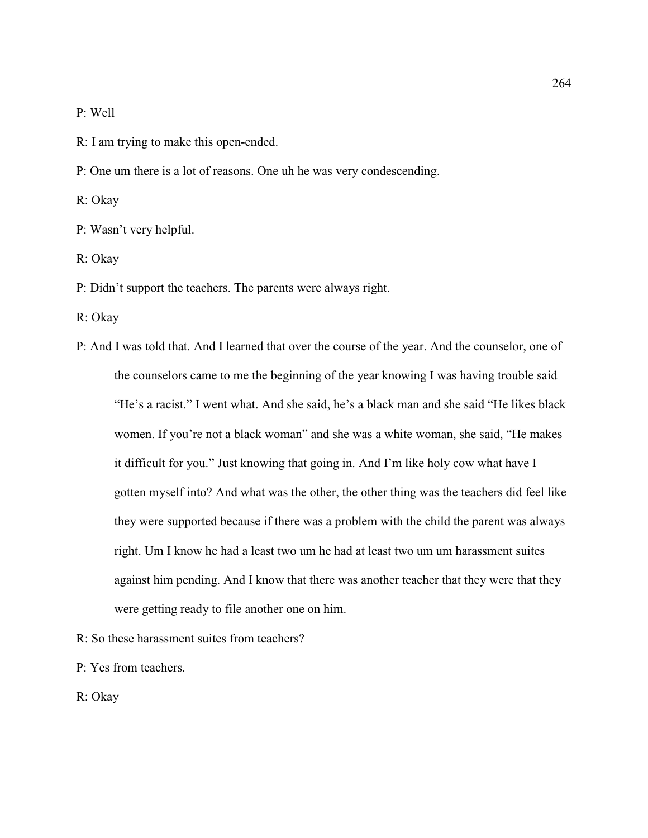P: Well

- R: I am trying to make this open-ended.
- P: One um there is a lot of reasons. One uh he was very condescending.

R: Okay

- P: Wasn't very helpful.
- R: Okay
- P: Didn't support the teachers. The parents were always right.
- R: Okay
- P: And I was told that. And I learned that over the course of the year. And the counselor, one of the counselors came to me the beginning of the year knowing I was having trouble said "He's a racist." I went what. And she said, he's a black man and she said "He likes black women. If you're not a black woman" and she was a white woman, she said, "He makes it difficult for you." Just knowing that going in. And I'm like holy cow what have I gotten myself into? And what was the other, the other thing was the teachers did feel like they were supported because if there was a problem with the child the parent was always right. Um I know he had a least two um he had at least two um um harassment suites against him pending. And I know that there was another teacher that they were that they were getting ready to file another one on him.
- R: So these harassment suites from teachers?
- P: Yes from teachers.
- R: Okay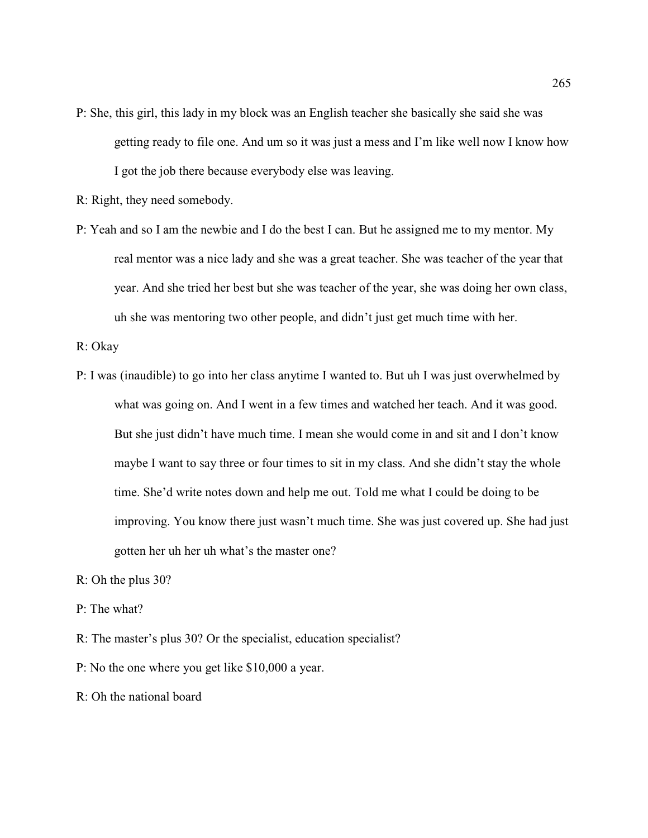- P: She, this girl, this lady in my block was an English teacher she basically she said she was getting ready to file one. And um so it was just a mess and I'm like well now I know how I got the job there because everybody else was leaving.
- R: Right, they need somebody.
- P: Yeah and so I am the newbie and I do the best I can. But he assigned me to my mentor. My real mentor was a nice lady and she was a great teacher. She was teacher of the year that year. And she tried her best but she was teacher of the year, she was doing her own class, uh she was mentoring two other people, and didn't just get much time with her.

R: Okay

- P: I was (inaudible) to go into her class anytime I wanted to. But uh I was just overwhelmed by what was going on. And I went in a few times and watched her teach. And it was good. But she just didn't have much time. I mean she would come in and sit and I don't know maybe I want to say three or four times to sit in my class. And she didn't stay the whole time. She'd write notes down and help me out. Told me what I could be doing to be improving. You know there just wasn't much time. She was just covered up. She had just gotten her uh her uh what's the master one?
- R: Oh the plus 30?
- P: The what?
- R: The master's plus 30? Or the specialist, education specialist?
- P: No the one where you get like \$10,000 a year.

R: Oh the national board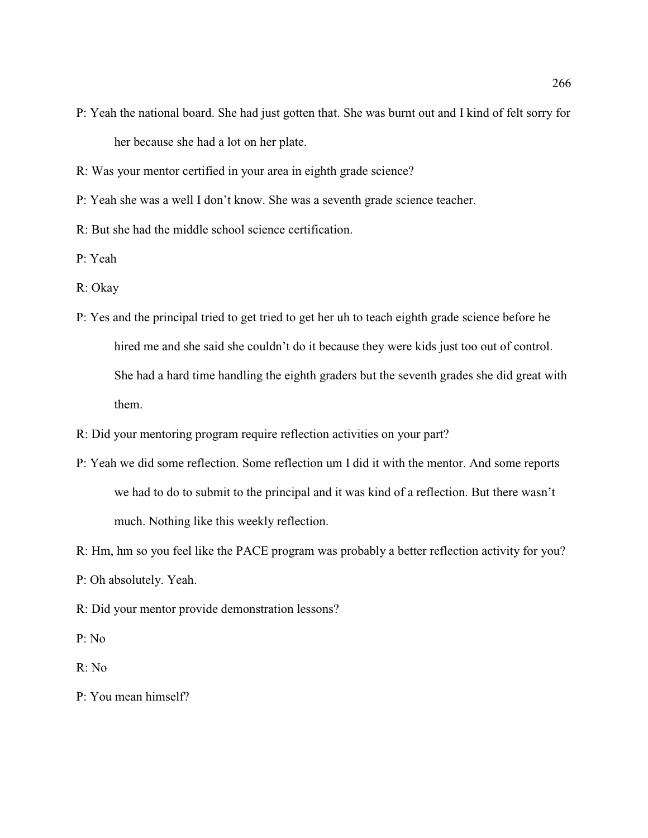- P: Yeah the national board. She had just gotten that. She was burnt out and I kind of felt sorry for her because she had a lot on her plate.
- R: Was your mentor certified in your area in eighth grade science?
- P: Yeah she was a well I don't know. She was a seventh grade science teacher.
- R: But she had the middle school science certification.
- P: Yeah
- R: Okay
- P: Yes and the principal tried to get tried to get her uh to teach eighth grade science before he hired me and she said she couldn't do it because they were kids just too out of control. She had a hard time handling the eighth graders but the seventh grades she did great with them.
- R: Did your mentoring program require reflection activities on your part?
- P: Yeah we did some reflection. Some reflection um I did it with the mentor. And some reports we had to do to submit to the principal and it was kind of a reflection. But there wasn't much. Nothing like this weekly reflection.
- R: Hm, hm so you feel like the PACE program was probably a better reflection activity for you?
- P: Oh absolutely. Yeah.
- R: Did your mentor provide demonstration lessons?
- P: No
- R: No
- P: You mean himself?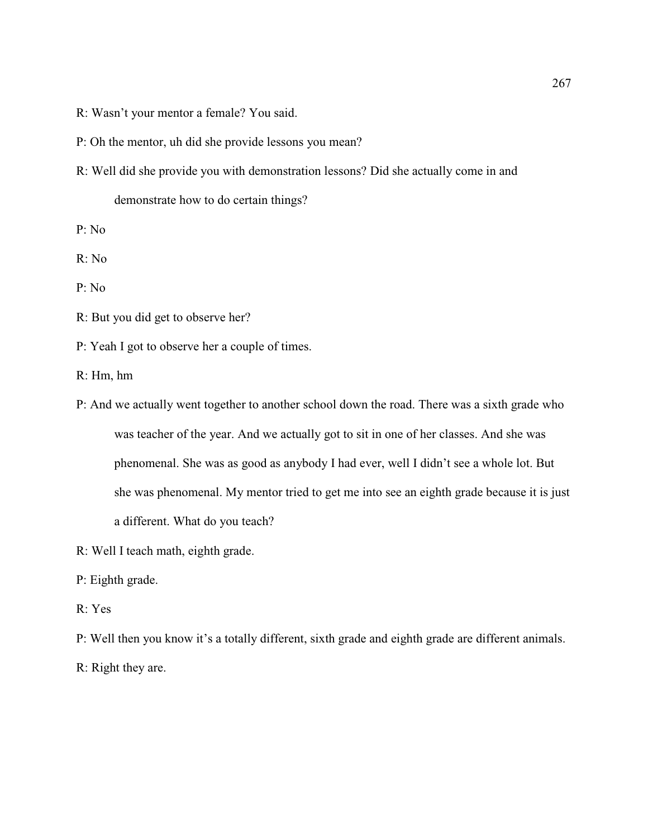R: Wasn't your mentor a female? You said.

P: Oh the mentor, uh did she provide lessons you mean?

R: Well did she provide you with demonstration lessons? Did she actually come in and demonstrate how to do certain things?

P: No

R: No

P: No

R: But you did get to observe her?

P: Yeah I got to observe her a couple of times.

R: Hm, hm

- P: And we actually went together to another school down the road. There was a sixth grade who was teacher of the year. And we actually got to sit in one of her classes. And she was phenomenal. She was as good as anybody I had ever, well I didn't see a whole lot. But she was phenomenal. My mentor tried to get me into see an eighth grade because it is just a different. What do you teach?
- R: Well I teach math, eighth grade.
- P: Eighth grade.
- R: Yes
- P: Well then you know it's a totally different, sixth grade and eighth grade are different animals. R: Right they are.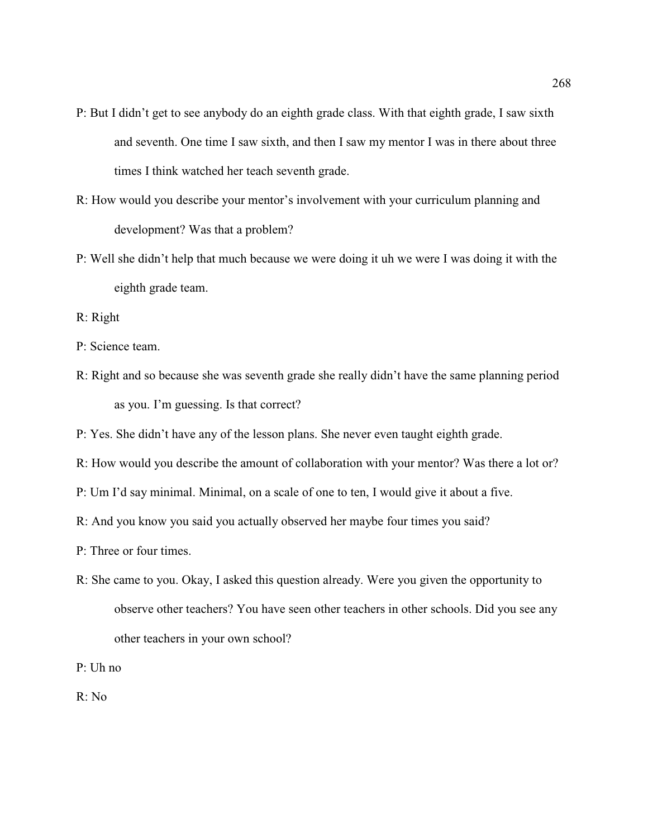- P: But I didn't get to see anybody do an eighth grade class. With that eighth grade, I saw sixth and seventh. One time I saw sixth, and then I saw my mentor I was in there about three times I think watched her teach seventh grade.
- R: How would you describe your mentor's involvement with your curriculum planning and development? Was that a problem?
- P: Well she didn't help that much because we were doing it uh we were I was doing it with the eighth grade team.
- R: Right
- P: Science team.
- R: Right and so because she was seventh grade she really didn't have the same planning period as you. I'm guessing. Is that correct?
- P: Yes. She didn't have any of the lesson plans. She never even taught eighth grade.
- R: How would you describe the amount of collaboration with your mentor? Was there a lot or?
- P: Um I'd say minimal. Minimal, on a scale of one to ten, I would give it about a five.
- R: And you know you said you actually observed her maybe four times you said?
- P: Three or four times.
- R: She came to you. Okay, I asked this question already. Were you given the opportunity to observe other teachers? You have seen other teachers in other schools. Did you see any other teachers in your own school?
- P: Uh no

R: No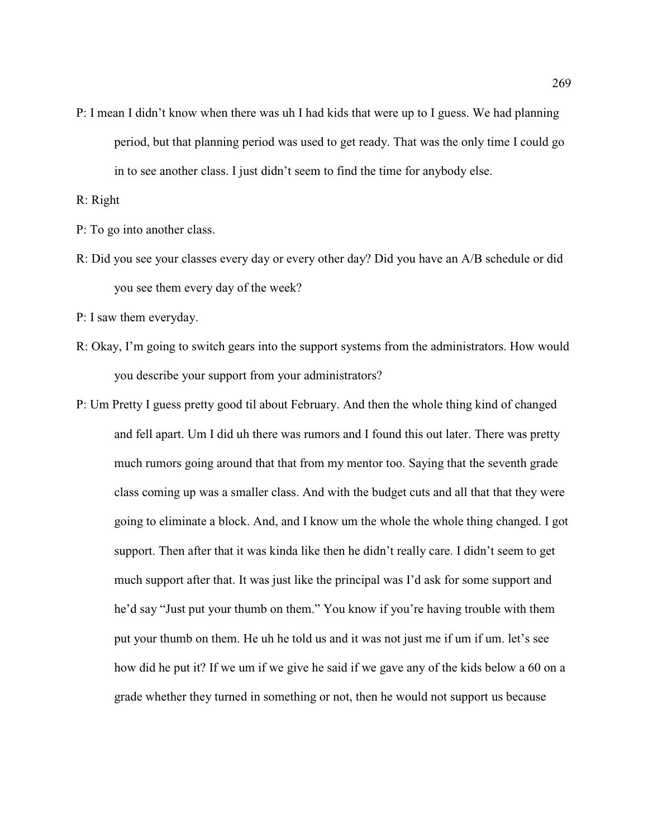P: I mean I didn't know when there was uh I had kids that were up to I guess. We had planning period, but that planning period was used to get ready. That was the only time I could go in to see another class. I just didn't seem to find the time for anybody else.

R: Right

P: To go into another class.

R: Did you see your classes every day or every other day? Did you have an A/B schedule or did you see them every day of the week?

P: I saw them everyday.

- R: Okay, I'm going to switch gears into the support systems from the administrators. How would you describe your support from your administrators?
- P: Um Pretty I guess pretty good til about February. And then the whole thing kind of changed and fell apart. Um I did uh there was rumors and I found this out later. There was pretty much rumors going around that that from my mentor too. Saying that the seventh grade class coming up was a smaller class. And with the budget cuts and all that that they were going to eliminate a block. And, and I know um the whole the whole thing changed. I got support. Then after that it was kinda like then he didn't really care. I didn't seem to get much support after that. It was just like the principal was I'd ask for some support and he'd say "Just put your thumb on them." You know if you're having trouble with them put your thumb on them. He uh he told us and it was not just me if um if um. let's see how did he put it? If we um if we give he said if we gave any of the kids below a 60 on a grade whether they turned in something or not, then he would not support us because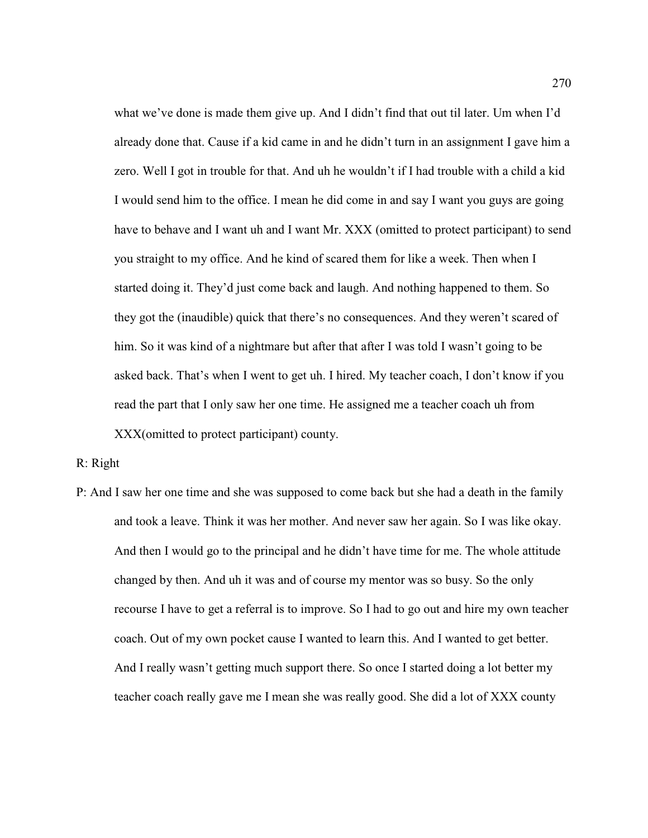what we've done is made them give up. And I didn't find that out til later. Um when I'd already done that. Cause if a kid came in and he didn't turn in an assignment I gave him a zero. Well I got in trouble for that. And uh he wouldn't if I had trouble with a child a kid I would send him to the office. I mean he did come in and say I want you guys are going have to behave and I want uh and I want Mr. XXX (omitted to protect participant) to send you straight to my office. And he kind of scared them for like a week. Then when I started doing it. They'd just come back and laugh. And nothing happened to them. So they got the (inaudible) quick that there's no consequences. And they weren't scared of him. So it was kind of a nightmare but after that after I was told I wasn't going to be asked back. That's when I went to get uh. I hired. My teacher coach, I don't know if you read the part that I only saw her one time. He assigned me a teacher coach uh from XXX(omitted to protect participant) county.

R: Right

P: And I saw her one time and she was supposed to come back but she had a death in the family and took a leave. Think it was her mother. And never saw her again. So I was like okay. And then I would go to the principal and he didn't have time for me. The whole attitude changed by then. And uh it was and of course my mentor was so busy. So the only recourse I have to get a referral is to improve. So I had to go out and hire my own teacher coach. Out of my own pocket cause I wanted to learn this. And I wanted to get better. And I really wasn't getting much support there. So once I started doing a lot better my teacher coach really gave me I mean she was really good. She did a lot of XXX county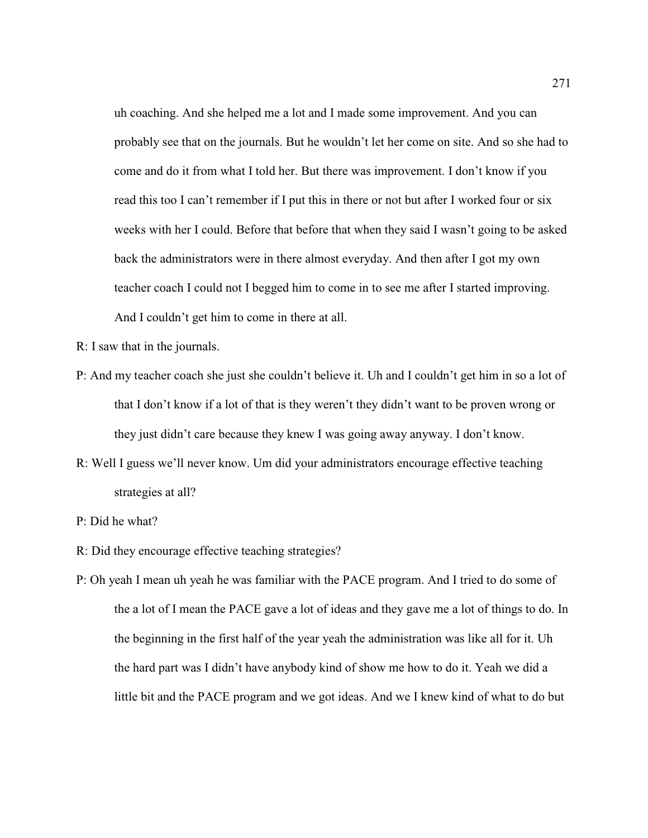uh coaching. And she helped me a lot and I made some improvement. And you can probably see that on the journals. But he wouldn't let her come on site. And so she had to come and do it from what I told her. But there was improvement. I don't know if you read this too I can't remember if I put this in there or not but after I worked four or six weeks with her I could. Before that before that when they said I wasn't going to be asked back the administrators were in there almost everyday. And then after I got my own teacher coach I could not I begged him to come in to see me after I started improving. And I couldn't get him to come in there at all.

- R: I saw that in the journals.
- P: And my teacher coach she just she couldn't believe it. Uh and I couldn't get him in so a lot of that I don't know if a lot of that is they weren't they didn't want to be proven wrong or they just didn't care because they knew I was going away anyway. I don't know.
- R: Well I guess we'll never know. Um did your administrators encourage effective teaching strategies at all?
- P: Did he what?
- R: Did they encourage effective teaching strategies?
- P: Oh yeah I mean uh yeah he was familiar with the PACE program. And I tried to do some of the a lot of I mean the PACE gave a lot of ideas and they gave me a lot of things to do. In the beginning in the first half of the year yeah the administration was like all for it. Uh the hard part was I didn't have anybody kind of show me how to do it. Yeah we did a little bit and the PACE program and we got ideas. And we I knew kind of what to do but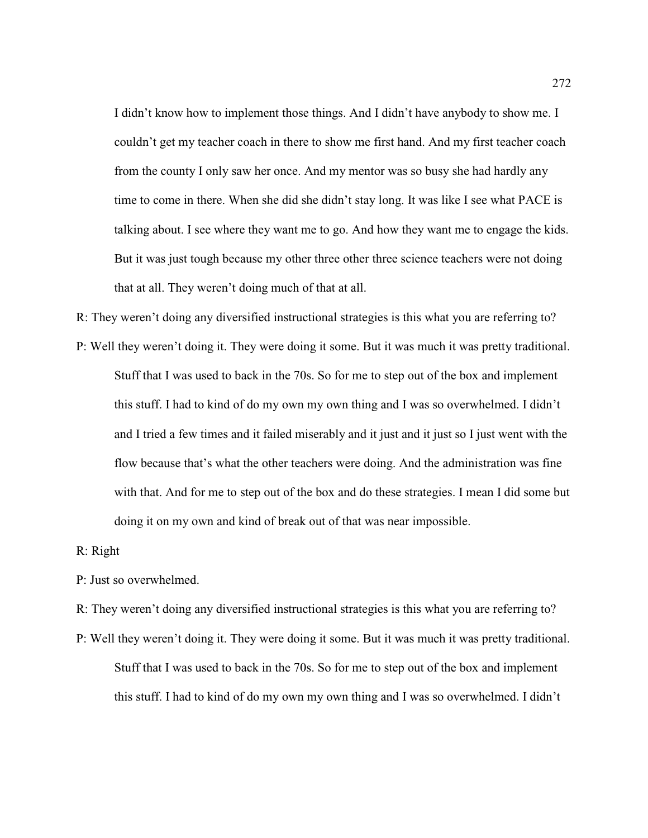I didn't know how to implement those things. And I didn't have anybody to show me. I couldn't get my teacher coach in there to show me first hand. And my first teacher coach from the county I only saw her once. And my mentor was so busy she had hardly any time to come in there. When she did she didn't stay long. It was like I see what PACE is talking about. I see where they want me to go. And how they want me to engage the kids. But it was just tough because my other three other three science teachers were not doing that at all. They weren't doing much of that at all.

R: They weren't doing any diversified instructional strategies is this what you are referring to?

P: Well they weren't doing it. They were doing it some. But it was much it was pretty traditional. Stuff that I was used to back in the 70s. So for me to step out of the box and implement this stuff. I had to kind of do my own my own thing and I was so overwhelmed. I didn't and I tried a few times and it failed miserably and it just and it just so I just went with the flow because that's what the other teachers were doing. And the administration was fine with that. And for me to step out of the box and do these strategies. I mean I did some but doing it on my own and kind of break out of that was near impossible.

#### R: Right

- P: Just so overwhelmed.
- R: They weren't doing any diversified instructional strategies is this what you are referring to?
- P: Well they weren't doing it. They were doing it some. But it was much it was pretty traditional. Stuff that I was used to back in the 70s. So for me to step out of the box and implement this stuff. I had to kind of do my own my own thing and I was so overwhelmed. I didn't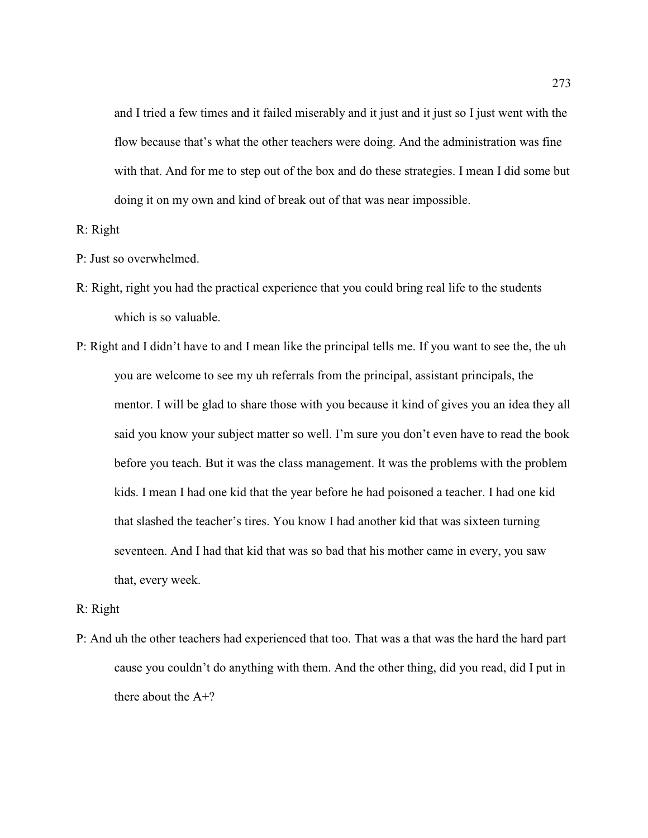and I tried a few times and it failed miserably and it just and it just so I just went with the flow because that's what the other teachers were doing. And the administration was fine with that. And for me to step out of the box and do these strategies. I mean I did some but doing it on my own and kind of break out of that was near impossible.

## R: Right

- P: Just so overwhelmed.
- R: Right, right you had the practical experience that you could bring real life to the students which is so valuable.
- P: Right and I didn't have to and I mean like the principal tells me. If you want to see the, the uh you are welcome to see my uh referrals from the principal, assistant principals, the mentor. I will be glad to share those with you because it kind of gives you an idea they all said you know your subject matter so well. I'm sure you don't even have to read the book before you teach. But it was the class management. It was the problems with the problem kids. I mean I had one kid that the year before he had poisoned a teacher. I had one kid that slashed the teacher's tires. You know I had another kid that was sixteen turning seventeen. And I had that kid that was so bad that his mother came in every, you saw that, every week.

#### R: Right

P: And uh the other teachers had experienced that too. That was a that was the hard the hard part cause you couldn't do anything with them. And the other thing, did you read, did I put in there about the A+?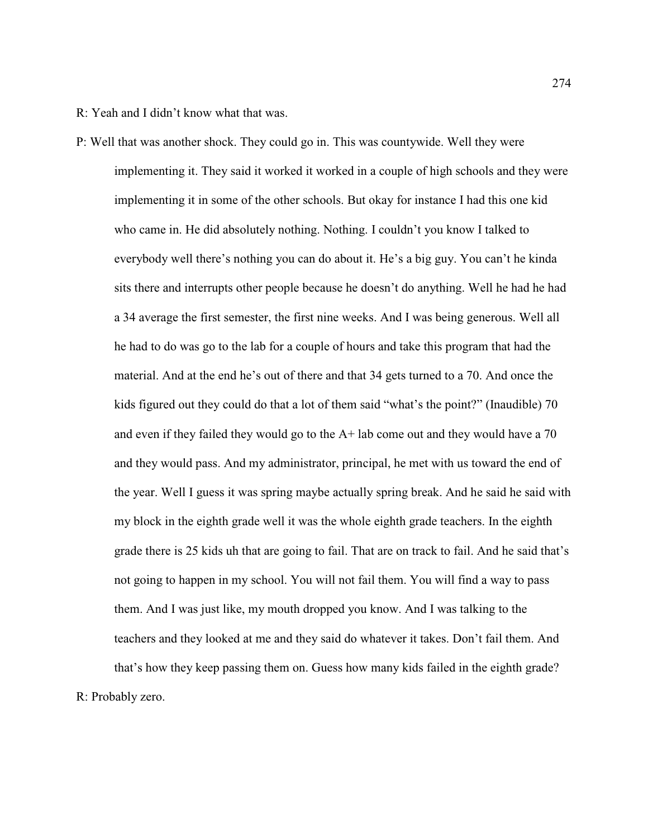R: Yeah and I didn't know what that was.

P: Well that was another shock. They could go in. This was countywide. Well they were implementing it. They said it worked it worked in a couple of high schools and they were implementing it in some of the other schools. But okay for instance I had this one kid who came in. He did absolutely nothing. Nothing. I couldn't you know I talked to everybody well there's nothing you can do about it. He's a big guy. You can't he kinda sits there and interrupts other people because he doesn't do anything. Well he had he had a 34 average the first semester, the first nine weeks. And I was being generous. Well all he had to do was go to the lab for a couple of hours and take this program that had the material. And at the end he's out of there and that 34 gets turned to a 70. And once the kids figured out they could do that a lot of them said "what's the point?" (Inaudible) 70 and even if they failed they would go to the A+ lab come out and they would have a 70 and they would pass. And my administrator, principal, he met with us toward the end of the year. Well I guess it was spring maybe actually spring break. And he said he said with my block in the eighth grade well it was the whole eighth grade teachers. In the eighth grade there is 25 kids uh that are going to fail. That are on track to fail. And he said that's not going to happen in my school. You will not fail them. You will find a way to pass them. And I was just like, my mouth dropped you know. And I was talking to the teachers and they looked at me and they said do whatever it takes. Don't fail them. And that's how they keep passing them on. Guess how many kids failed in the eighth grade?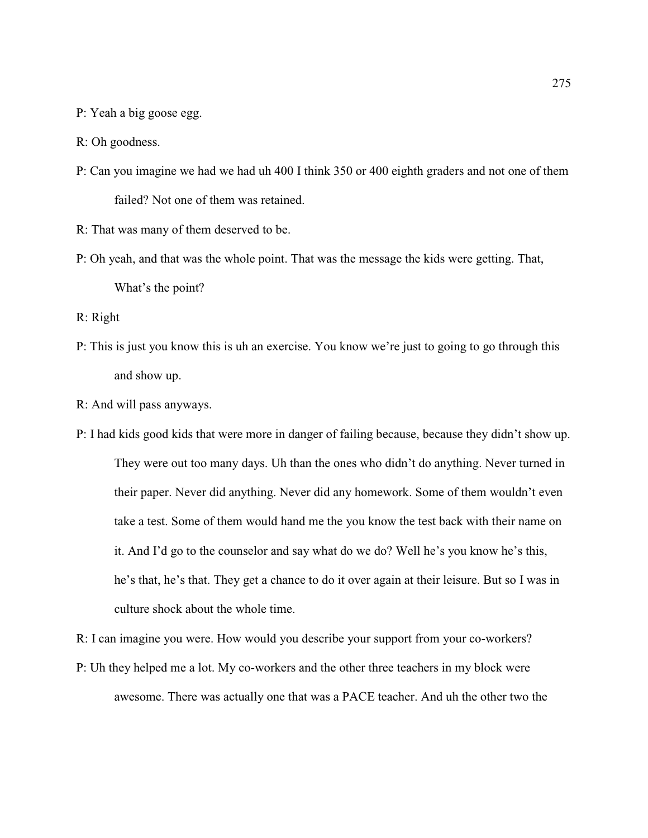P: Yeah a big goose egg.

R: Oh goodness.

- P: Can you imagine we had we had uh 400 I think 350 or 400 eighth graders and not one of them failed? Not one of them was retained.
- R: That was many of them deserved to be.
- P: Oh yeah, and that was the whole point. That was the message the kids were getting. That, What's the point?
- R: Right
- P: This is just you know this is uh an exercise. You know we're just to going to go through this and show up.
- R: And will pass anyways.
- P: I had kids good kids that were more in danger of failing because, because they didn't show up. They were out too many days. Uh than the ones who didn't do anything. Never turned in their paper. Never did anything. Never did any homework. Some of them wouldn't even take a test. Some of them would hand me the you know the test back with their name on it. And I'd go to the counselor and say what do we do? Well he's you know he's this, he's that, he's that. They get a chance to do it over again at their leisure. But so I was in culture shock about the whole time.
- R: I can imagine you were. How would you describe your support from your co-workers?
- P: Uh they helped me a lot. My co-workers and the other three teachers in my block were awesome. There was actually one that was a PACE teacher. And uh the other two the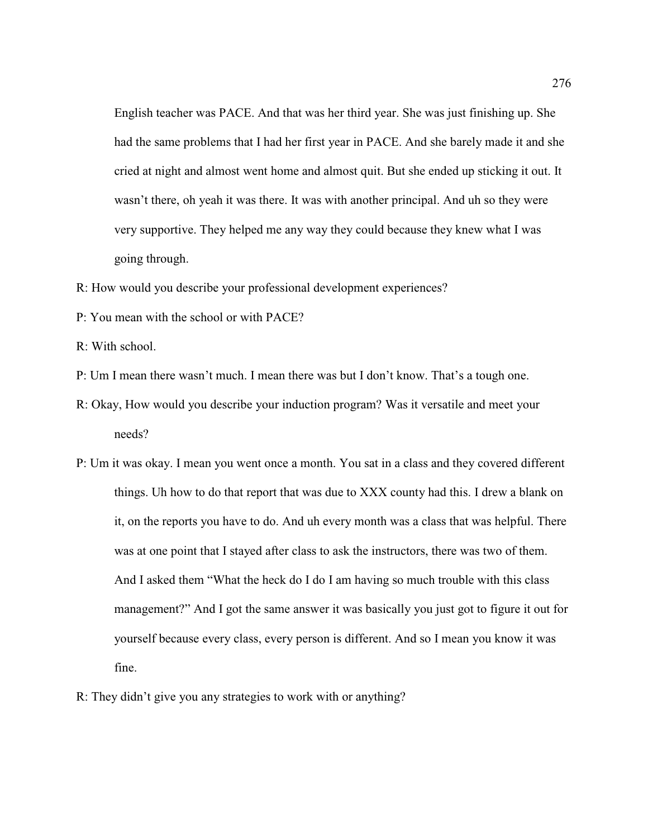English teacher was PACE. And that was her third year. She was just finishing up. She had the same problems that I had her first year in PACE. And she barely made it and she cried at night and almost went home and almost quit. But she ended up sticking it out. It wasn't there, oh yeah it was there. It was with another principal. And uh so they were very supportive. They helped me any way they could because they knew what I was going through.

- R: How would you describe your professional development experiences?
- P: You mean with the school or with PACE?

R: With school.

- P: Um I mean there wasn't much. I mean there was but I don't know. That's a tough one.
- R: Okay, How would you describe your induction program? Was it versatile and meet your needs?
- P: Um it was okay. I mean you went once a month. You sat in a class and they covered different things. Uh how to do that report that was due to XXX county had this. I drew a blank on it, on the reports you have to do. And uh every month was a class that was helpful. There was at one point that I stayed after class to ask the instructors, there was two of them. And I asked them "What the heck do I do I am having so much trouble with this class management?" And I got the same answer it was basically you just got to figure it out for yourself because every class, every person is different. And so I mean you know it was fine.
- R: They didn't give you any strategies to work with or anything?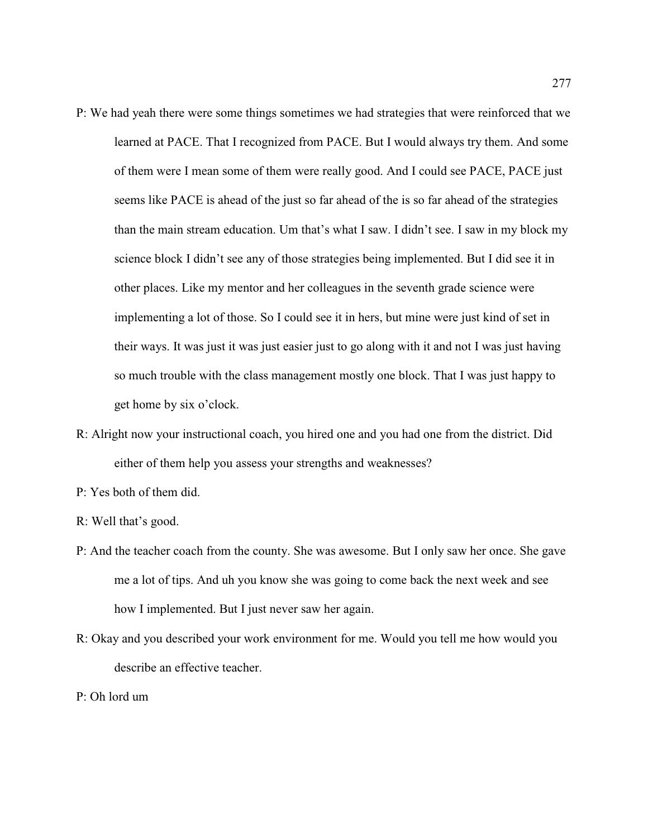- P: We had yeah there were some things sometimes we had strategies that were reinforced that we learned at PACE. That I recognized from PACE. But I would always try them. And some of them were I mean some of them were really good. And I could see PACE, PACE just seems like PACE is ahead of the just so far ahead of the is so far ahead of the strategies than the main stream education. Um that's what I saw. I didn't see. I saw in my block my science block I didn't see any of those strategies being implemented. But I did see it in other places. Like my mentor and her colleagues in the seventh grade science were implementing a lot of those. So I could see it in hers, but mine were just kind of set in their ways. It was just it was just easier just to go along with it and not I was just having so much trouble with the class management mostly one block. That I was just happy to get home by six o'clock.
- R: Alright now your instructional coach, you hired one and you had one from the district. Did either of them help you assess your strengths and weaknesses?
- P: Yes both of them did.
- R: Well that's good.
- P: And the teacher coach from the county. She was awesome. But I only saw her once. She gave me a lot of tips. And uh you know she was going to come back the next week and see how I implemented. But I just never saw her again.
- R: Okay and you described your work environment for me. Would you tell me how would you describe an effective teacher.
- P: Oh lord um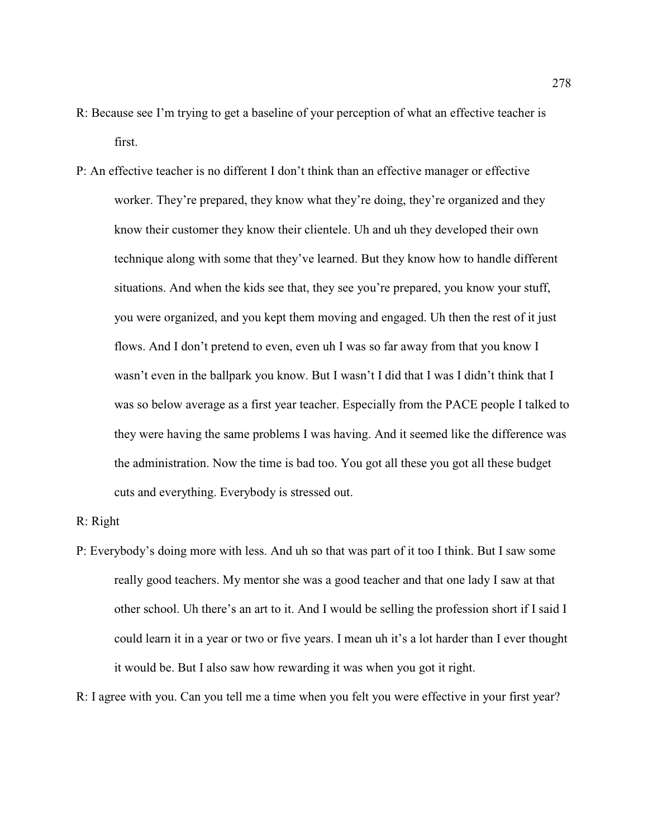- R: Because see I'm trying to get a baseline of your perception of what an effective teacher is first.
- P: An effective teacher is no different I don't think than an effective manager or effective worker. They're prepared, they know what they're doing, they're organized and they know their customer they know their clientele. Uh and uh they developed their own technique along with some that they've learned. But they know how to handle different situations. And when the kids see that, they see you're prepared, you know your stuff, you were organized, and you kept them moving and engaged. Uh then the rest of it just flows. And I don't pretend to even, even uh I was so far away from that you know I wasn't even in the ballpark you know. But I wasn't I did that I was I didn't think that I was so below average as a first year teacher. Especially from the PACE people I talked to they were having the same problems I was having. And it seemed like the difference was the administration. Now the time is bad too. You got all these you got all these budget cuts and everything. Everybody is stressed out.

### R: Right

P: Everybody's doing more with less. And uh so that was part of it too I think. But I saw some really good teachers. My mentor she was a good teacher and that one lady I saw at that other school. Uh there's an art to it. And I would be selling the profession short if I said I could learn it in a year or two or five years. I mean uh it's a lot harder than I ever thought it would be. But I also saw how rewarding it was when you got it right.

R: I agree with you. Can you tell me a time when you felt you were effective in your first year?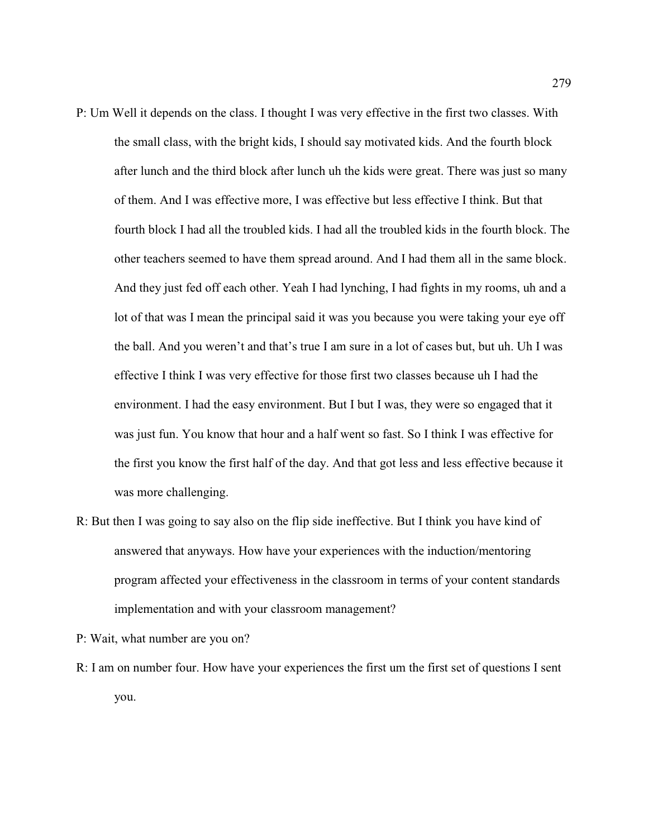- P: Um Well it depends on the class. I thought I was very effective in the first two classes. With the small class, with the bright kids, I should say motivated kids. And the fourth block after lunch and the third block after lunch uh the kids were great. There was just so many of them. And I was effective more, I was effective but less effective I think. But that fourth block I had all the troubled kids. I had all the troubled kids in the fourth block. The other teachers seemed to have them spread around. And I had them all in the same block. And they just fed off each other. Yeah I had lynching, I had fights in my rooms, uh and a lot of that was I mean the principal said it was you because you were taking your eye off the ball. And you weren't and that's true I am sure in a lot of cases but, but uh. Uh I was effective I think I was very effective for those first two classes because uh I had the environment. I had the easy environment. But I but I was, they were so engaged that it was just fun. You know that hour and a half went so fast. So I think I was effective for the first you know the first half of the day. And that got less and less effective because it was more challenging.
- R: But then I was going to say also on the flip side ineffective. But I think you have kind of answered that anyways. How have your experiences with the induction/mentoring program affected your effectiveness in the classroom in terms of your content standards implementation and with your classroom management?

P: Wait, what number are you on?

R: I am on number four. How have your experiences the first um the first set of questions I sent you.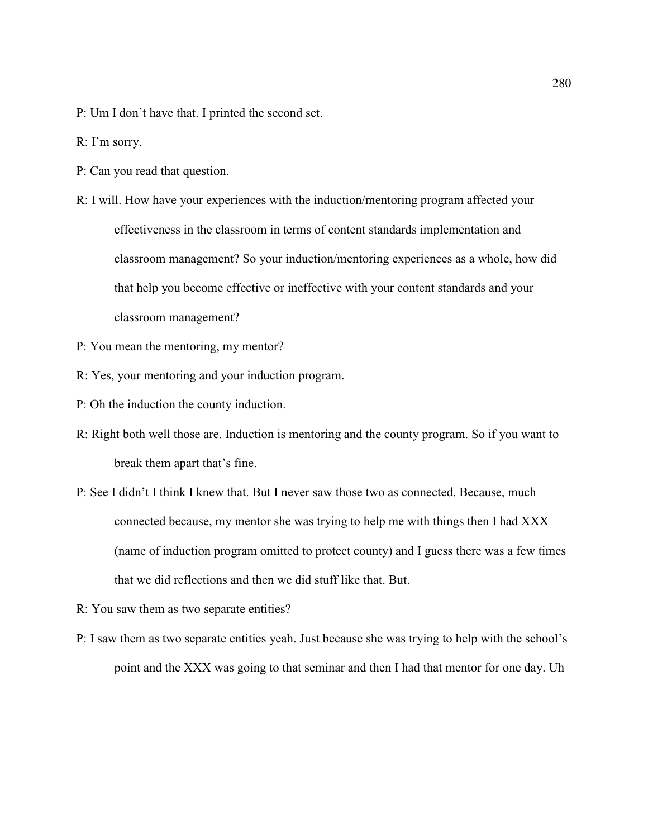- P: Um I don't have that. I printed the second set.
- R: I'm sorry.
- P: Can you read that question.
- R: I will. How have your experiences with the induction/mentoring program affected your effectiveness in the classroom in terms of content standards implementation and classroom management? So your induction/mentoring experiences as a whole, how did that help you become effective or ineffective with your content standards and your classroom management?
- P: You mean the mentoring, my mentor?
- R: Yes, your mentoring and your induction program.
- P: Oh the induction the county induction.
- R: Right both well those are. Induction is mentoring and the county program. So if you want to break them apart that's fine.
- P: See I didn't I think I knew that. But I never saw those two as connected. Because, much connected because, my mentor she was trying to help me with things then I had XXX (name of induction program omitted to protect county) and I guess there was a few times that we did reflections and then we did stuff like that. But.
- R: You saw them as two separate entities?
- P: I saw them as two separate entities yeah. Just because she was trying to help with the school's point and the XXX was going to that seminar and then I had that mentor for one day. Uh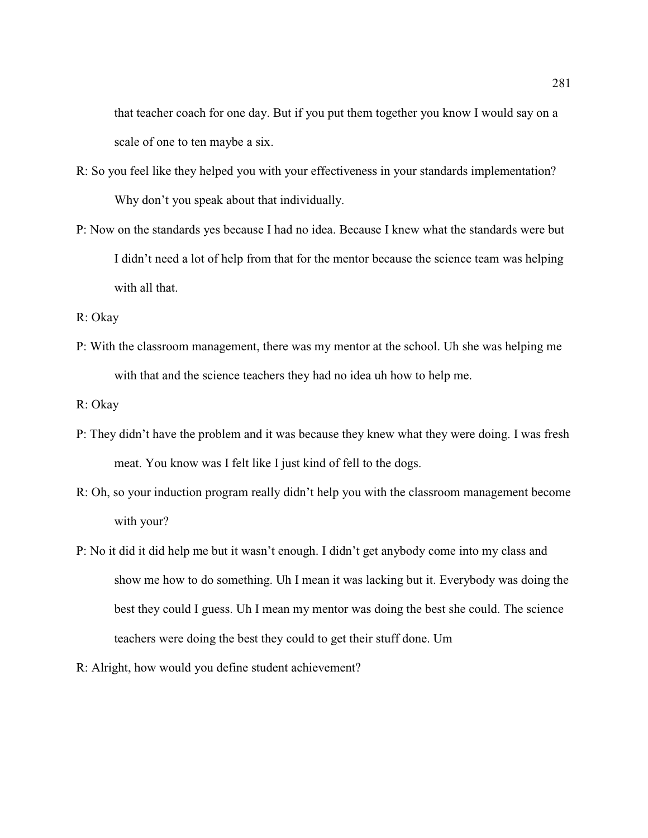that teacher coach for one day. But if you put them together you know I would say on a scale of one to ten maybe a six.

- R: So you feel like they helped you with your effectiveness in your standards implementation? Why don't you speak about that individually.
- P: Now on the standards yes because I had no idea. Because I knew what the standards were but I didn't need a lot of help from that for the mentor because the science team was helping with all that.
- R: Okay
- P: With the classroom management, there was my mentor at the school. Uh she was helping me with that and the science teachers they had no idea uh how to help me.
- R: Okay
- P: They didn't have the problem and it was because they knew what they were doing. I was fresh meat. You know was I felt like I just kind of fell to the dogs.
- R: Oh, so your induction program really didn't help you with the classroom management become with your?
- P: No it did it did help me but it wasn't enough. I didn't get anybody come into my class and show me how to do something. Uh I mean it was lacking but it. Everybody was doing the best they could I guess. Uh I mean my mentor was doing the best she could. The science teachers were doing the best they could to get their stuff done. Um
- R: Alright, how would you define student achievement?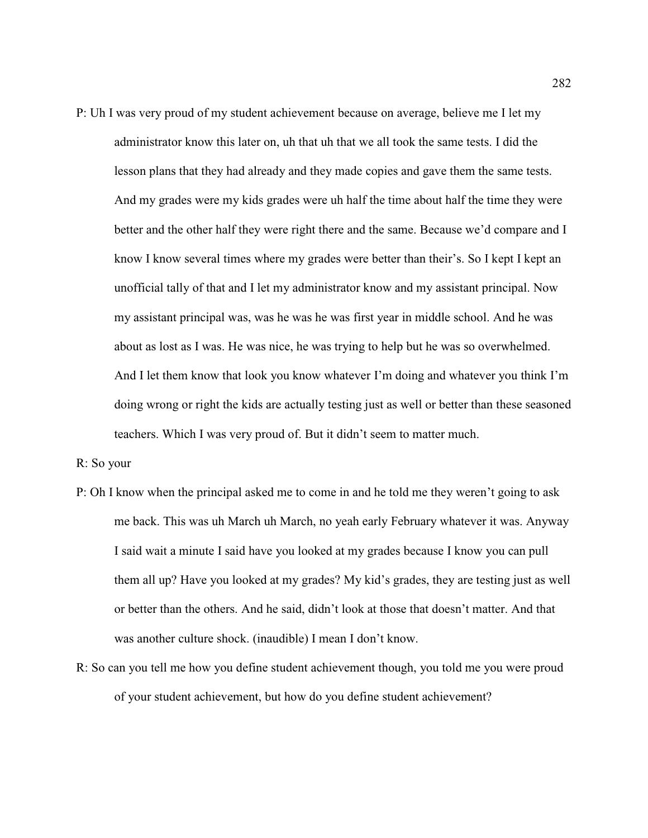P: Uh I was very proud of my student achievement because on average, believe me I let my administrator know this later on, uh that uh that we all took the same tests. I did the lesson plans that they had already and they made copies and gave them the same tests. And my grades were my kids grades were uh half the time about half the time they were better and the other half they were right there and the same. Because we'd compare and I know I know several times where my grades were better than their's. So I kept I kept an unofficial tally of that and I let my administrator know and my assistant principal. Now my assistant principal was, was he was he was first year in middle school. And he was about as lost as I was. He was nice, he was trying to help but he was so overwhelmed. And I let them know that look you know whatever I'm doing and whatever you think I'm doing wrong or right the kids are actually testing just as well or better than these seasoned teachers. Which I was very proud of. But it didn't seem to matter much.

R: So your

- P: Oh I know when the principal asked me to come in and he told me they weren't going to ask me back. This was uh March uh March, no yeah early February whatever it was. Anyway I said wait a minute I said have you looked at my grades because I know you can pull them all up? Have you looked at my grades? My kid's grades, they are testing just as well or better than the others. And he said, didn't look at those that doesn't matter. And that was another culture shock. (inaudible) I mean I don't know.
- R: So can you tell me how you define student achievement though, you told me you were proud of your student achievement, but how do you define student achievement?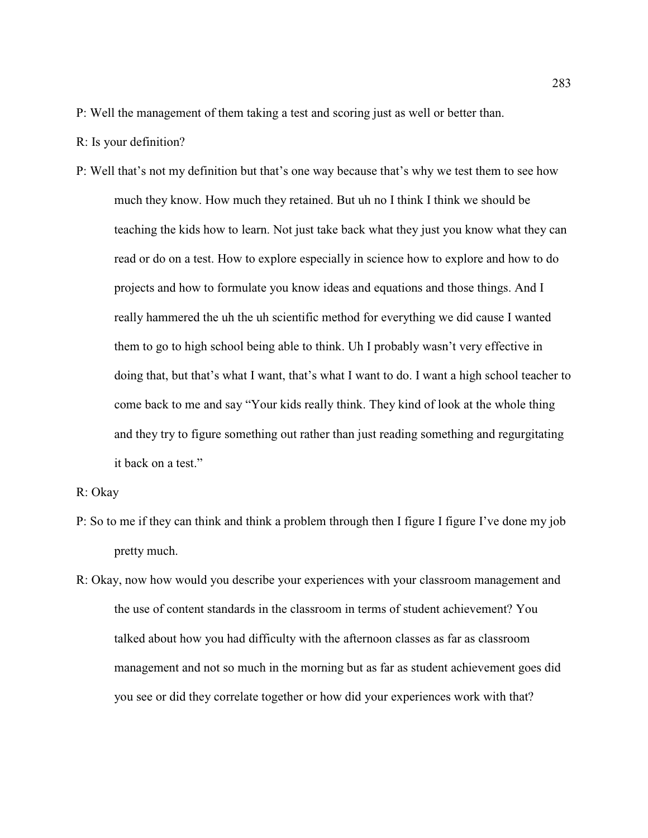- P: Well the management of them taking a test and scoring just as well or better than.
- R: Is your definition?
- P: Well that's not my definition but that's one way because that's why we test them to see how much they know. How much they retained. But uh no I think I think we should be teaching the kids how to learn. Not just take back what they just you know what they can read or do on a test. How to explore especially in science how to explore and how to do projects and how to formulate you know ideas and equations and those things. And I really hammered the uh the uh scientific method for everything we did cause I wanted them to go to high school being able to think. Uh I probably wasn't very effective in doing that, but that's what I want, that's what I want to do. I want a high school teacher to come back to me and say "Your kids really think. They kind of look at the whole thing and they try to figure something out rather than just reading something and regurgitating it back on a test."
- R: Okay
- P: So to me if they can think and think a problem through then I figure I figure I've done my job pretty much.
- R: Okay, now how would you describe your experiences with your classroom management and the use of content standards in the classroom in terms of student achievement? You talked about how you had difficulty with the afternoon classes as far as classroom management and not so much in the morning but as far as student achievement goes did you see or did they correlate together or how did your experiences work with that?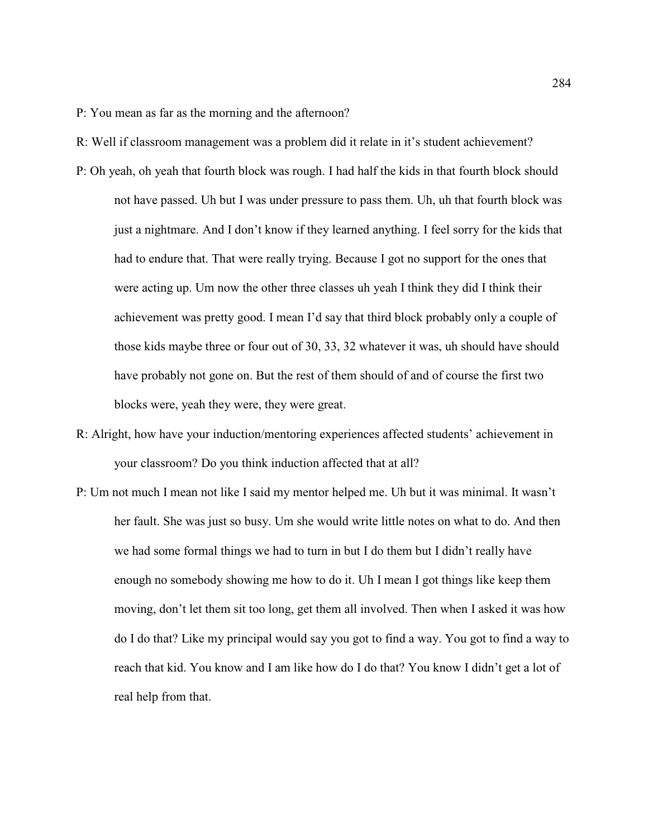P: You mean as far as the morning and the afternoon?

- R: Well if classroom management was a problem did it relate in it's student achievement?
- P: Oh yeah, oh yeah that fourth block was rough. I had half the kids in that fourth block should not have passed. Uh but I was under pressure to pass them. Uh, uh that fourth block was just a nightmare. And I don't know if they learned anything. I feel sorry for the kids that had to endure that. That were really trying. Because I got no support for the ones that were acting up. Um now the other three classes uh yeah I think they did I think their achievement was pretty good. I mean I'd say that third block probably only a couple of those kids maybe three or four out of 30, 33, 32 whatever it was, uh should have should have probably not gone on. But the rest of them should of and of course the first two blocks were, yeah they were, they were great.
- R: Alright, how have your induction/mentoring experiences affected students' achievement in your classroom? Do you think induction affected that at all?
- P: Um not much I mean not like I said my mentor helped me. Uh but it was minimal. It wasn't her fault. She was just so busy. Um she would write little notes on what to do. And then we had some formal things we had to turn in but I do them but I didn't really have enough no somebody showing me how to do it. Uh I mean I got things like keep them moving, don't let them sit too long, get them all involved. Then when I asked it was how do I do that? Like my principal would say you got to find a way. You got to find a way to reach that kid. You know and I am like how do I do that? You know I didn't get a lot of real help from that.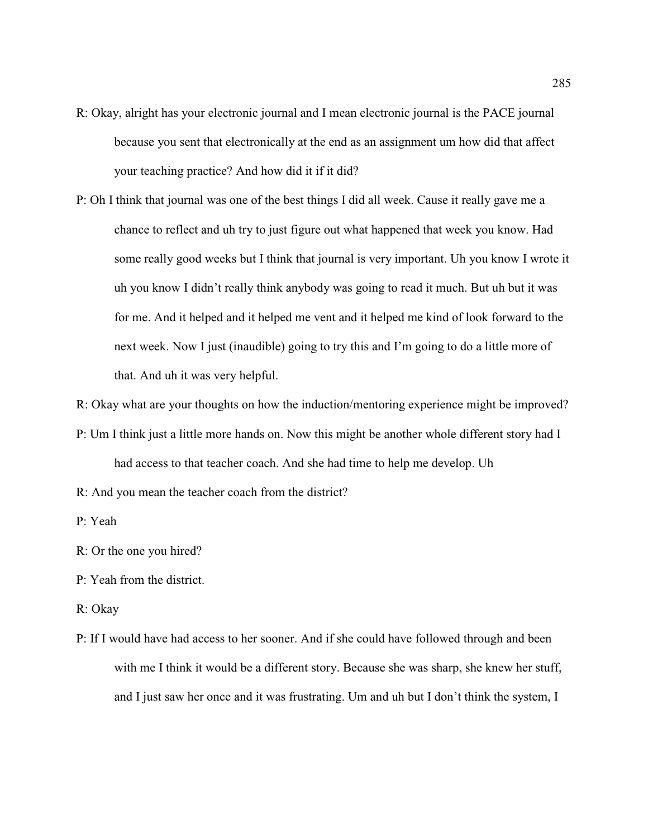- R: Okay, alright has your electronic journal and I mean electronic journal is the PACE journal because you sent that electronically at the end as an assignment um how did that affect your teaching practice? And how did it if it did?
- P: Oh I think that journal was one of the best things I did all week. Cause it really gave me a chance to reflect and uh try to just figure out what happened that week you know. Had some really good weeks but I think that journal is very important. Uh you know I wrote it uh you know I didn't really think anybody was going to read it much. But uh but it was for me. And it helped and it helped me vent and it helped me kind of look forward to the next week. Now I just (inaudible) going to try this and I'm going to do a little more of that. And uh it was very helpful.

R: Okay what are your thoughts on how the induction/mentoring experience might be improved?

- P: Um I think just a little more hands on. Now this might be another whole different story had I had access to that teacher coach. And she had time to help me develop. Uh
- R: And you mean the teacher coach from the district?
- P: Yeah
- R: Or the one you hired?
- P: Yeah from the district.
- R: Okay
- P: If I would have had access to her sooner. And if she could have followed through and been with me I think it would be a different story. Because she was sharp, she knew her stuff, and I just saw her once and it was frustrating. Um and uh but I don't think the system, I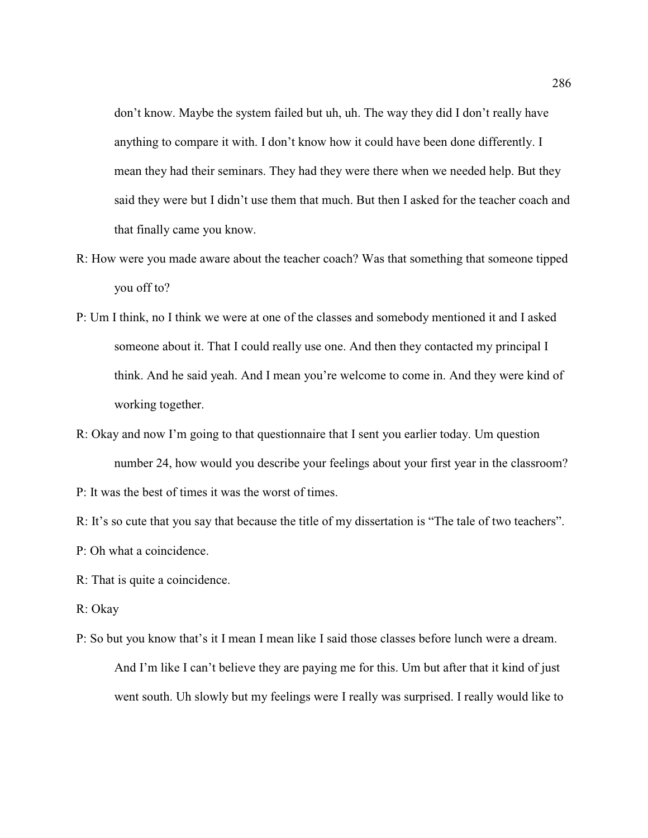don't know. Maybe the system failed but uh, uh. The way they did I don't really have anything to compare it with. I don't know how it could have been done differently. I mean they had their seminars. They had they were there when we needed help. But they said they were but I didn't use them that much. But then I asked for the teacher coach and that finally came you know.

- R: How were you made aware about the teacher coach? Was that something that someone tipped you off to?
- P: Um I think, no I think we were at one of the classes and somebody mentioned it and I asked someone about it. That I could really use one. And then they contacted my principal I think. And he said yeah. And I mean you're welcome to come in. And they were kind of working together.
- R: Okay and now I'm going to that questionnaire that I sent you earlier today. Um question number 24, how would you describe your feelings about your first year in the classroom?

P: It was the best of times it was the worst of times.

R: It's so cute that you say that because the title of my dissertation is "The tale of two teachers".

P: Oh what a coincidence.

R: That is quite a coincidence.

- R: Okay
- P: So but you know that's it I mean I mean like I said those classes before lunch were a dream. And I'm like I can't believe they are paying me for this. Um but after that it kind of just went south. Uh slowly but my feelings were I really was surprised. I really would like to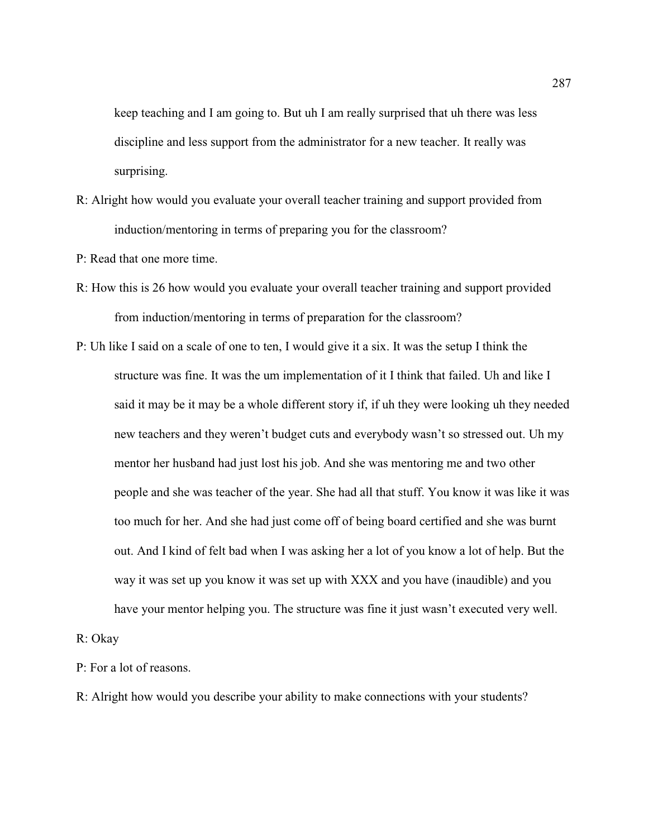keep teaching and I am going to. But uh I am really surprised that uh there was less discipline and less support from the administrator for a new teacher. It really was surprising.

R: Alright how would you evaluate your overall teacher training and support provided from induction/mentoring in terms of preparing you for the classroom?

P: Read that one more time.

- R: How this is 26 how would you evaluate your overall teacher training and support provided from induction/mentoring in terms of preparation for the classroom?
- P: Uh like I said on a scale of one to ten, I would give it a six. It was the setup I think the structure was fine. It was the um implementation of it I think that failed. Uh and like I said it may be it may be a whole different story if, if uh they were looking uh they needed new teachers and they weren't budget cuts and everybody wasn't so stressed out. Uh my mentor her husband had just lost his job. And she was mentoring me and two other people and she was teacher of the year. She had all that stuff. You know it was like it was too much for her. And she had just come off of being board certified and she was burnt out. And I kind of felt bad when I was asking her a lot of you know a lot of help. But the way it was set up you know it was set up with XXX and you have (inaudible) and you have your mentor helping you. The structure was fine it just wasn't executed very well.

R: Okay

P: For a lot of reasons.

R: Alright how would you describe your ability to make connections with your students?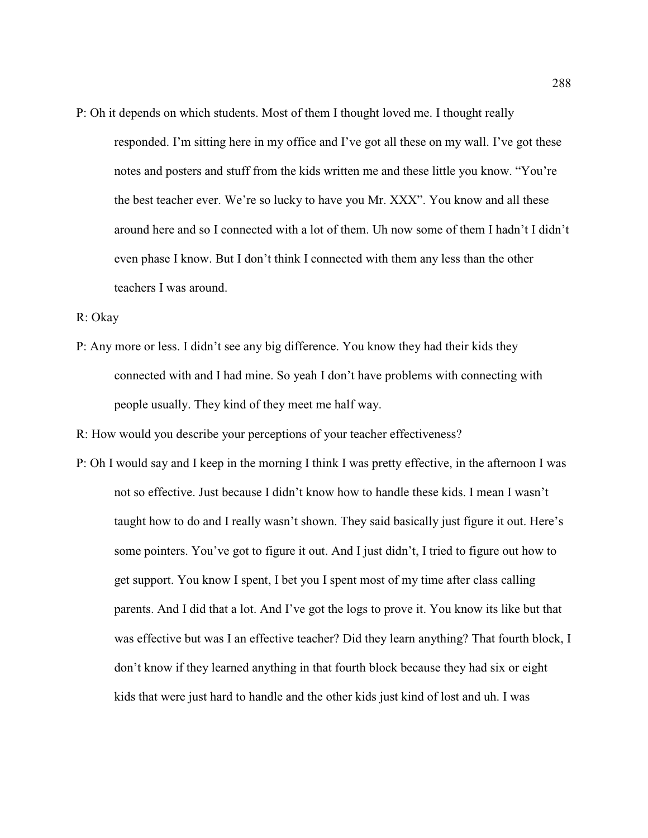- P: Oh it depends on which students. Most of them I thought loved me. I thought really
	- responded. I'm sitting here in my office and I've got all these on my wall. I've got these notes and posters and stuff from the kids written me and these little you know. "You're the best teacher ever. We're so lucky to have you Mr. XXX". You know and all these around here and so I connected with a lot of them. Uh now some of them I hadn't I didn't even phase I know. But I don't think I connected with them any less than the other teachers I was around.
- R: Okay
- P: Any more or less. I didn't see any big difference. You know they had their kids they connected with and I had mine. So yeah I don't have problems with connecting with people usually. They kind of they meet me half way.

R: How would you describe your perceptions of your teacher effectiveness?

P: Oh I would say and I keep in the morning I think I was pretty effective, in the afternoon I was not so effective. Just because I didn't know how to handle these kids. I mean I wasn't taught how to do and I really wasn't shown. They said basically just figure it out. Here's some pointers. You've got to figure it out. And I just didn't, I tried to figure out how to get support. You know I spent, I bet you I spent most of my time after class calling parents. And I did that a lot. And I've got the logs to prove it. You know its like but that was effective but was I an effective teacher? Did they learn anything? That fourth block, I don't know if they learned anything in that fourth block because they had six or eight kids that were just hard to handle and the other kids just kind of lost and uh. I was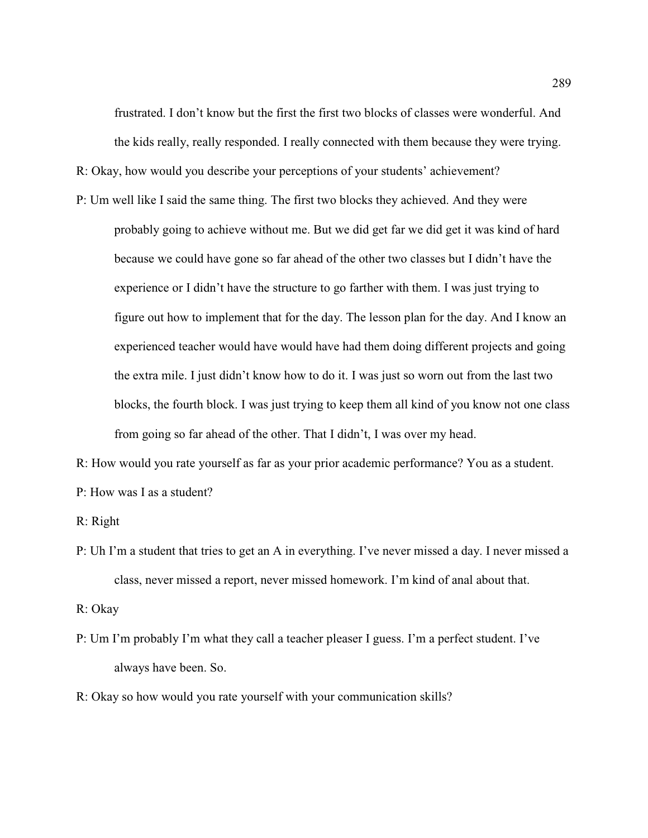frustrated. I don't know but the first the first two blocks of classes were wonderful. And the kids really, really responded. I really connected with them because they were trying.

R: Okay, how would you describe your perceptions of your students' achievement?

P: Um well like I said the same thing. The first two blocks they achieved. And they were probably going to achieve without me. But we did get far we did get it was kind of hard because we could have gone so far ahead of the other two classes but I didn't have the experience or I didn't have the structure to go farther with them. I was just trying to figure out how to implement that for the day. The lesson plan for the day. And I know an experienced teacher would have would have had them doing different projects and going the extra mile. I just didn't know how to do it. I was just so worn out from the last two blocks, the fourth block. I was just trying to keep them all kind of you know not one class from going so far ahead of the other. That I didn't, I was over my head.

R: How would you rate yourself as far as your prior academic performance? You as a student. P: How was I as a student?

R: Right

P: Uh I'm a student that tries to get an A in everything. I've never missed a day. I never missed a class, never missed a report, never missed homework. I'm kind of anal about that.

R: Okay

- P: Um I'm probably I'm what they call a teacher pleaser I guess. I'm a perfect student. I've always have been. So.
- R: Okay so how would you rate yourself with your communication skills?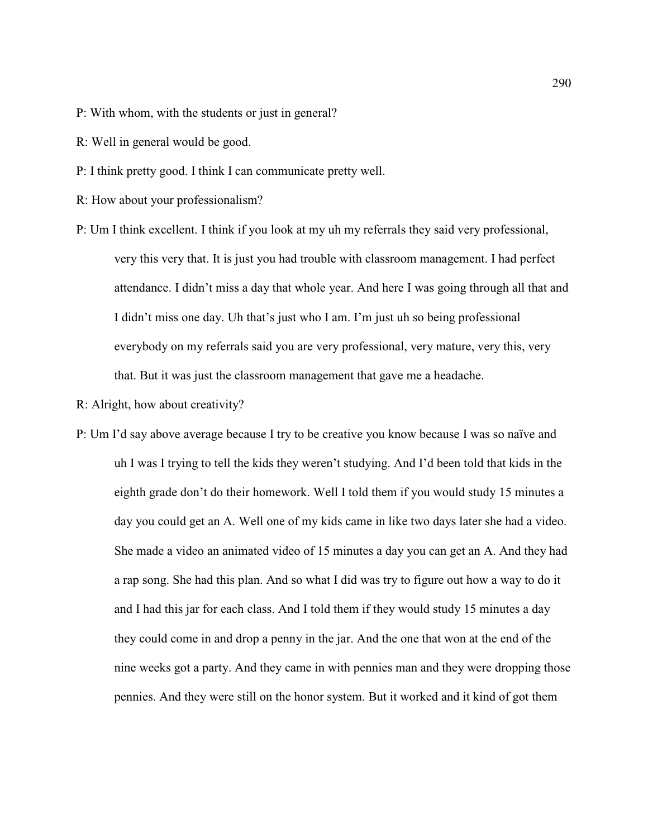- P: With whom, with the students or just in general?
- R: Well in general would be good.
- P: I think pretty good. I think I can communicate pretty well.
- R: How about your professionalism?
- P: Um I think excellent. I think if you look at my uh my referrals they said very professional, very this very that. It is just you had trouble with classroom management. I had perfect attendance. I didn't miss a day that whole year. And here I was going through all that and I didn't miss one day. Uh that's just who I am. I'm just uh so being professional everybody on my referrals said you are very professional, very mature, very this, very that. But it was just the classroom management that gave me a headache.
- R: Alright, how about creativity?
- P: Um I'd say above average because I try to be creative you know because I was so naïve and uh I was I trying to tell the kids they weren't studying. And I'd been told that kids in the eighth grade don't do their homework. Well I told them if you would study 15 minutes a day you could get an A. Well one of my kids came in like two days later she had a video. She made a video an animated video of 15 minutes a day you can get an A. And they had a rap song. She had this plan. And so what I did was try to figure out how a way to do it and I had this jar for each class. And I told them if they would study 15 minutes a day they could come in and drop a penny in the jar. And the one that won at the end of the nine weeks got a party. And they came in with pennies man and they were dropping those pennies. And they were still on the honor system. But it worked and it kind of got them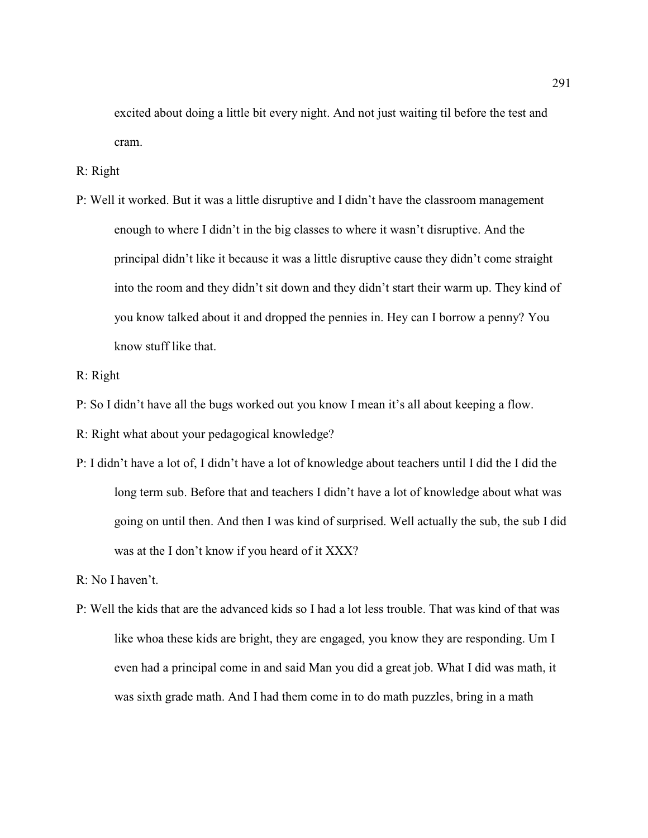excited about doing a little bit every night. And not just waiting til before the test and cram.

R: Right

- P: Well it worked. But it was a little disruptive and I didn't have the classroom management enough to where I didn't in the big classes to where it wasn't disruptive. And the principal didn't like it because it was a little disruptive cause they didn't come straight into the room and they didn't sit down and they didn't start their warm up. They kind of you know talked about it and dropped the pennies in. Hey can I borrow a penny? You know stuff like that.
- R: Right
- P: So I didn't have all the bugs worked out you know I mean it's all about keeping a flow.
- R: Right what about your pedagogical knowledge?
- P: I didn't have a lot of, I didn't have a lot of knowledge about teachers until I did the I did the long term sub. Before that and teachers I didn't have a lot of knowledge about what was going on until then. And then I was kind of surprised. Well actually the sub, the sub I did was at the I don't know if you heard of it XXX?

R: No I haven't.

P: Well the kids that are the advanced kids so I had a lot less trouble. That was kind of that was like whoa these kids are bright, they are engaged, you know they are responding. Um I even had a principal come in and said Man you did a great job. What I did was math, it was sixth grade math. And I had them come in to do math puzzles, bring in a math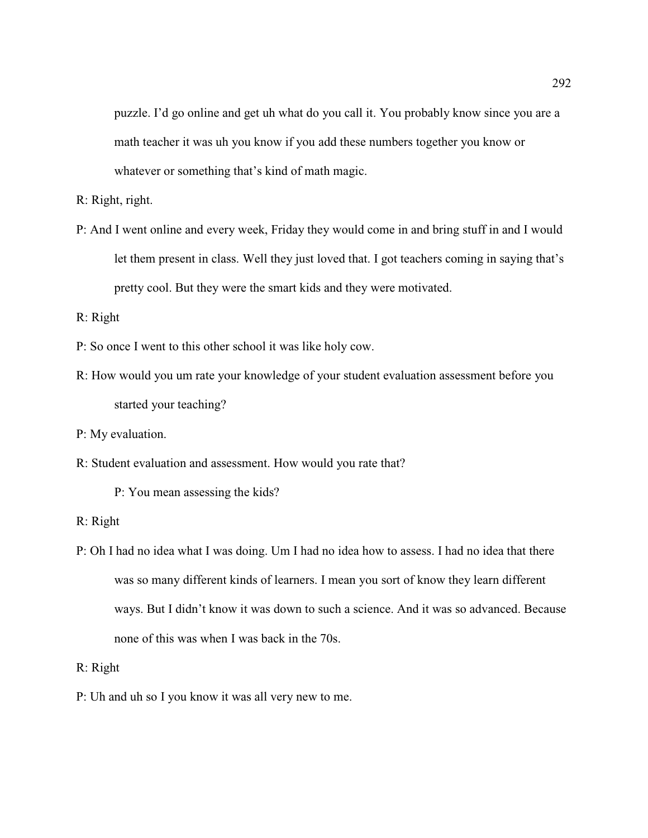puzzle. I'd go online and get uh what do you call it. You probably know since you are a math teacher it was uh you know if you add these numbers together you know or whatever or something that's kind of math magic.

R: Right, right.

P: And I went online and every week, Friday they would come in and bring stuff in and I would let them present in class. Well they just loved that. I got teachers coming in saying that's pretty cool. But they were the smart kids and they were motivated.

R: Right

- P: So once I went to this other school it was like holy cow.
- R: How would you um rate your knowledge of your student evaluation assessment before you started your teaching?
- P: My evaluation.
- R: Student evaluation and assessment. How would you rate that?

P: You mean assessing the kids?

- R: Right
- P: Oh I had no idea what I was doing. Um I had no idea how to assess. I had no idea that there was so many different kinds of learners. I mean you sort of know they learn different ways. But I didn't know it was down to such a science. And it was so advanced. Because none of this was when I was back in the 70s.

R: Right

P: Uh and uh so I you know it was all very new to me.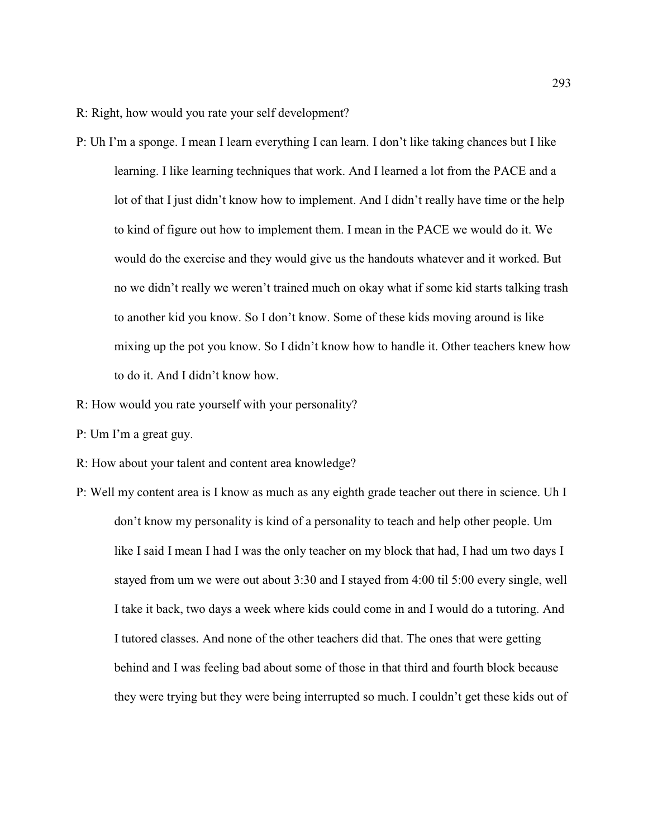R: Right, how would you rate your self development?

- P: Uh I'm a sponge. I mean I learn everything I can learn. I don't like taking chances but I like learning. I like learning techniques that work. And I learned a lot from the PACE and a lot of that I just didn't know how to implement. And I didn't really have time or the help to kind of figure out how to implement them. I mean in the PACE we would do it. We would do the exercise and they would give us the handouts whatever and it worked. But no we didn't really we weren't trained much on okay what if some kid starts talking trash to another kid you know. So I don't know. Some of these kids moving around is like mixing up the pot you know. So I didn't know how to handle it. Other teachers knew how to do it. And I didn't know how.
- R: How would you rate yourself with your personality?
- P: Um I'm a great guy.
- R: How about your talent and content area knowledge?
- P: Well my content area is I know as much as any eighth grade teacher out there in science. Uh I don't know my personality is kind of a personality to teach and help other people. Um like I said I mean I had I was the only teacher on my block that had, I had um two days I stayed from um we were out about 3:30 and I stayed from 4:00 til 5:00 every single, well I take it back, two days a week where kids could come in and I would do a tutoring. And I tutored classes. And none of the other teachers did that. The ones that were getting behind and I was feeling bad about some of those in that third and fourth block because they were trying but they were being interrupted so much. I couldn't get these kids out of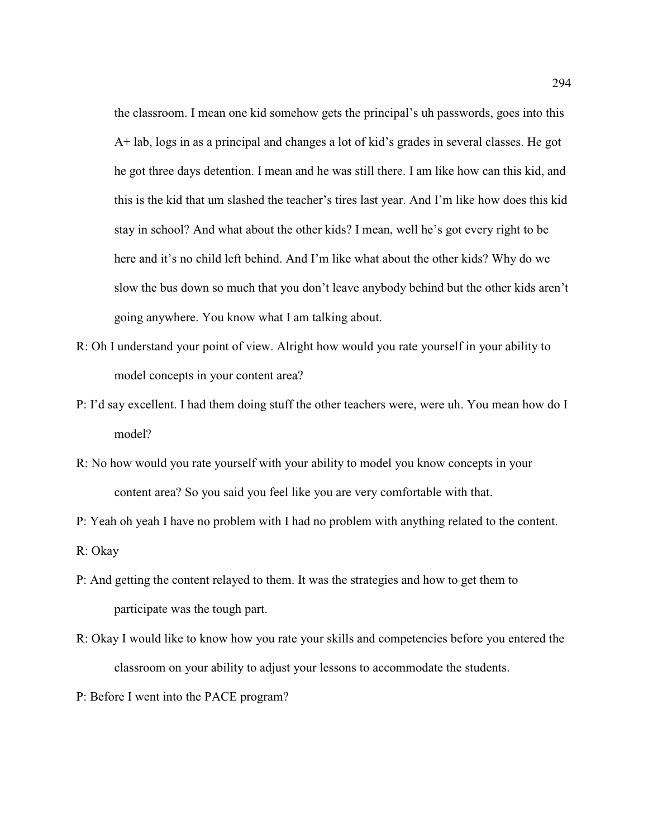the classroom. I mean one kid somehow gets the principal's uh passwords, goes into this A+ lab, logs in as a principal and changes a lot of kid's grades in several classes. He got he got three days detention. I mean and he was still there. I am like how can this kid, and this is the kid that um slashed the teacher's tires last year. And I'm like how does this kid stay in school? And what about the other kids? I mean, well he's got every right to be here and it's no child left behind. And I'm like what about the other kids? Why do we slow the bus down so much that you don't leave anybody behind but the other kids aren't going anywhere. You know what I am talking about.

- R: Oh I understand your point of view. Alright how would you rate yourself in your ability to model concepts in your content area?
- P: I'd say excellent. I had them doing stuff the other teachers were, were uh. You mean how do I model?
- R: No how would you rate yourself with your ability to model you know concepts in your content area? So you said you feel like you are very comfortable with that.
- P: Yeah oh yeah I have no problem with I had no problem with anything related to the content. R: Okay
- P: And getting the content relayed to them. It was the strategies and how to get them to participate was the tough part.
- R: Okay I would like to know how you rate your skills and competencies before you entered the classroom on your ability to adjust your lessons to accommodate the students.
- P: Before I went into the PACE program?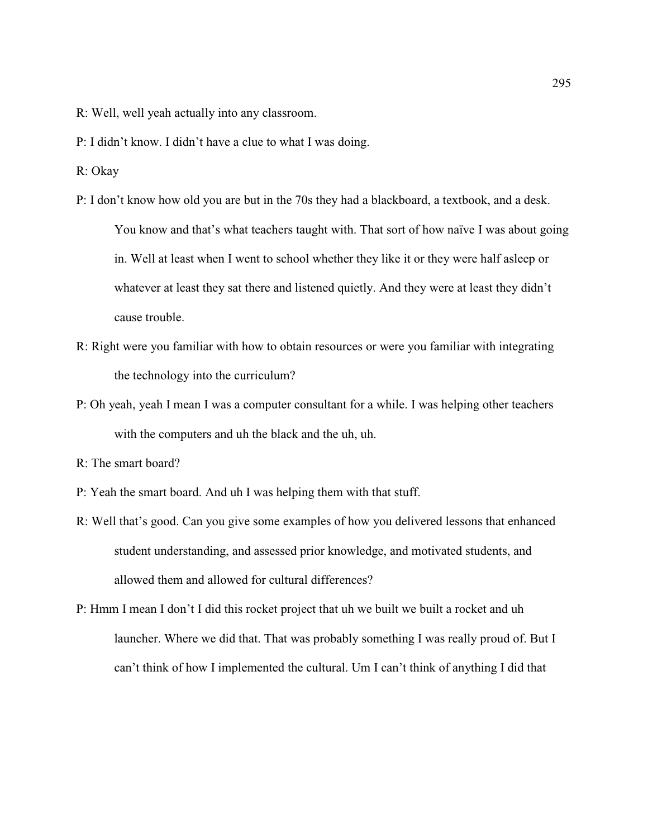- R: Well, well yeah actually into any classroom.
- P: I didn't know. I didn't have a clue to what I was doing.
- R: Okay
- P: I don't know how old you are but in the 70s they had a blackboard, a textbook, and a desk. You know and that's what teachers taught with. That sort of how naïve I was about going in. Well at least when I went to school whether they like it or they were half asleep or whatever at least they sat there and listened quietly. And they were at least they didn't cause trouble.
- R: Right were you familiar with how to obtain resources or were you familiar with integrating the technology into the curriculum?
- P: Oh yeah, yeah I mean I was a computer consultant for a while. I was helping other teachers with the computers and uh the black and the uh, uh.

- P: Yeah the smart board. And uh I was helping them with that stuff.
- R: Well that's good. Can you give some examples of how you delivered lessons that enhanced student understanding, and assessed prior knowledge, and motivated students, and allowed them and allowed for cultural differences?
- P: Hmm I mean I don't I did this rocket project that uh we built we built a rocket and uh launcher. Where we did that. That was probably something I was really proud of. But I can't think of how I implemented the cultural. Um I can't think of anything I did that

R: The smart board?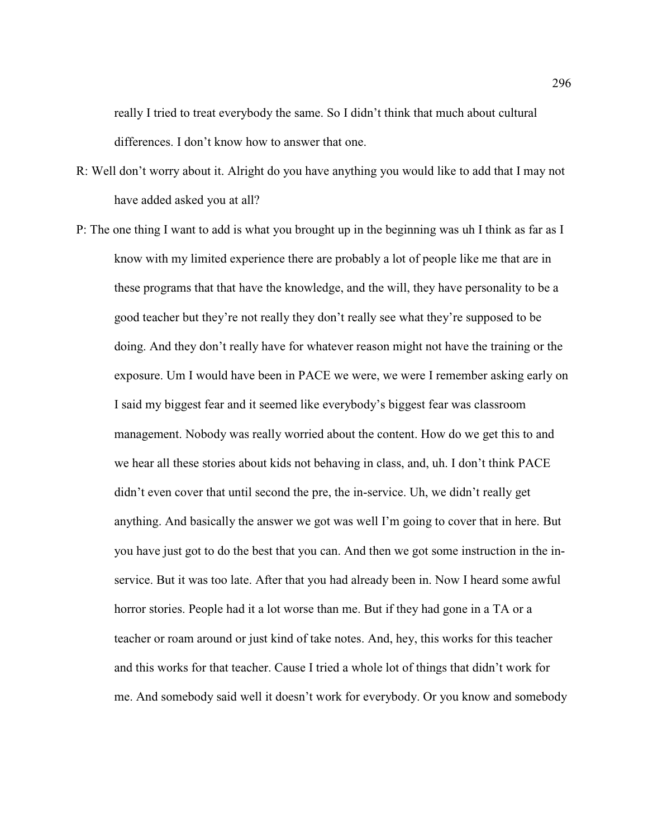really I tried to treat everybody the same. So I didn't think that much about cultural differences. I don't know how to answer that one.

- R: Well don't worry about it. Alright do you have anything you would like to add that I may not have added asked you at all?
- P: The one thing I want to add is what you brought up in the beginning was uh I think as far as I know with my limited experience there are probably a lot of people like me that are in these programs that that have the knowledge, and the will, they have personality to be a good teacher but they're not really they don't really see what they're supposed to be doing. And they don't really have for whatever reason might not have the training or the exposure. Um I would have been in PACE we were, we were I remember asking early on I said my biggest fear and it seemed like everybody's biggest fear was classroom management. Nobody was really worried about the content. How do we get this to and we hear all these stories about kids not behaving in class, and, uh. I don't think PACE didn't even cover that until second the pre, the in-service. Uh, we didn't really get anything. And basically the answer we got was well I'm going to cover that in here. But you have just got to do the best that you can. And then we got some instruction in the inservice. But it was too late. After that you had already been in. Now I heard some awful horror stories. People had it a lot worse than me. But if they had gone in a TA or a teacher or roam around or just kind of take notes. And, hey, this works for this teacher and this works for that teacher. Cause I tried a whole lot of things that didn't work for me. And somebody said well it doesn't work for everybody. Or you know and somebody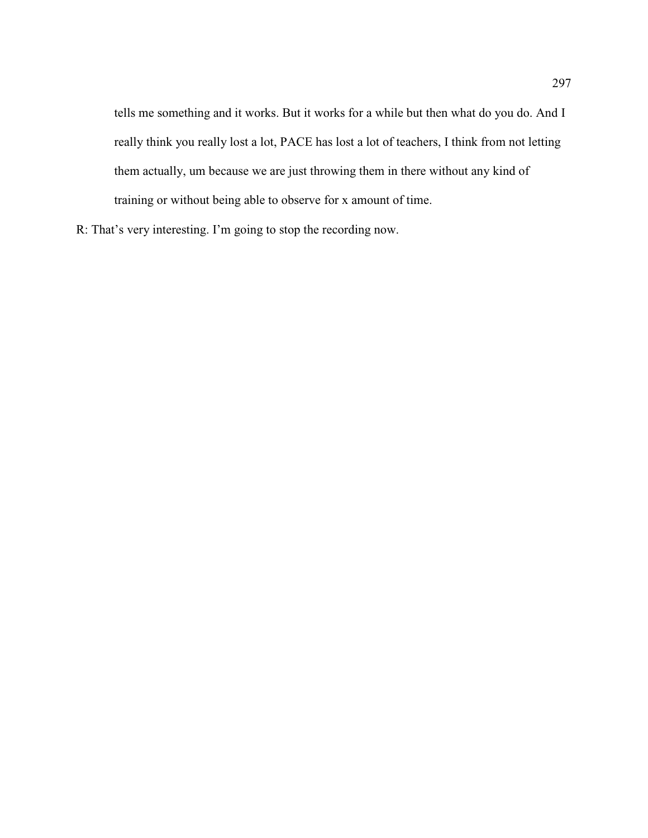tells me something and it works. But it works for a while but then what do you do. And I really think you really lost a lot, PACE has lost a lot of teachers, I think from not letting them actually, um because we are just throwing them in there without any kind of training or without being able to observe for x amount of time.

R: That's very interesting. I'm going to stop the recording now.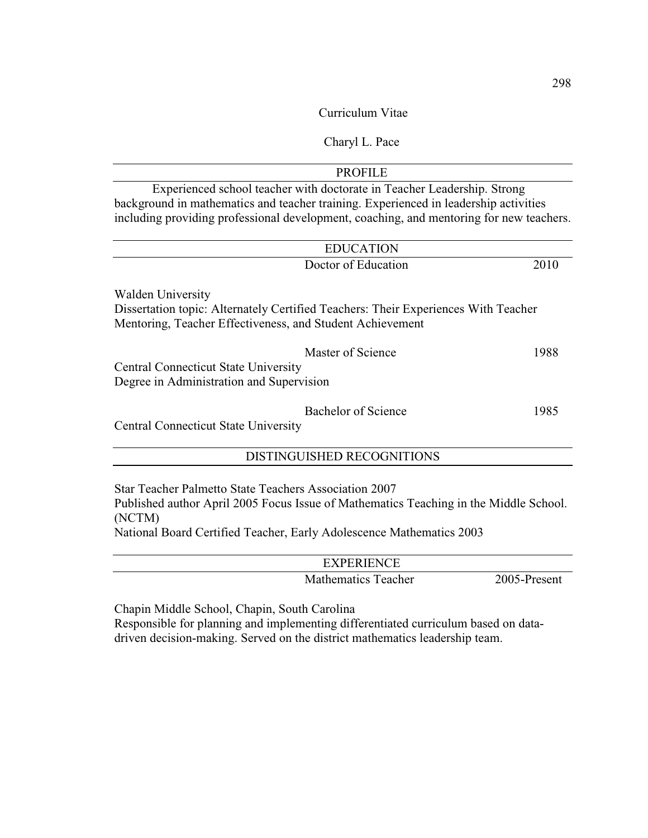Curriculum Vitae

# Charyl L. Pace

| <b>PROFILE</b>                                                                          |      |
|-----------------------------------------------------------------------------------------|------|
| Experienced school teacher with doctorate in Teacher Leadership. Strong                 |      |
| background in mathematics and teacher training. Experienced in leadership activities    |      |
| including providing professional development, coaching, and mentoring for new teachers. |      |
|                                                                                         |      |
| <b>EDUCATION</b>                                                                        |      |
| Doctor of Education                                                                     | 2010 |
| <b>Walden University</b>                                                                |      |
| Dissertation topic: Alternately Certified Teachers: Their Experiences With Teacher      |      |
| Mentoring, Teacher Effectiveness, and Student Achievement                               |      |
| Master of Science                                                                       | 1988 |
| <b>Central Connecticut State University</b>                                             |      |
| Degree in Administration and Supervision                                                |      |
| Bachelor of Science                                                                     | 1985 |
| <b>Central Connecticut State University</b>                                             |      |
|                                                                                         |      |
| DISTINGUISHED RECOGNITIONS                                                              |      |
| Star Teacher Palmetto State Teachers Association 2007                                   |      |

Published author April 2005 Focus Issue of Mathematics Teaching in the Middle School. (NCTM)

National Board Certified Teacher, Early Adolescence Mathematics 2003

| <b>EXPERIENCE</b>   |              |
|---------------------|--------------|
| Mathematics Teacher | 2005-Present |

Chapin Middle School, Chapin, South Carolina

Responsible for planning and implementing differentiated curriculum based on datadriven decision-making. Served on the district mathematics leadership team.